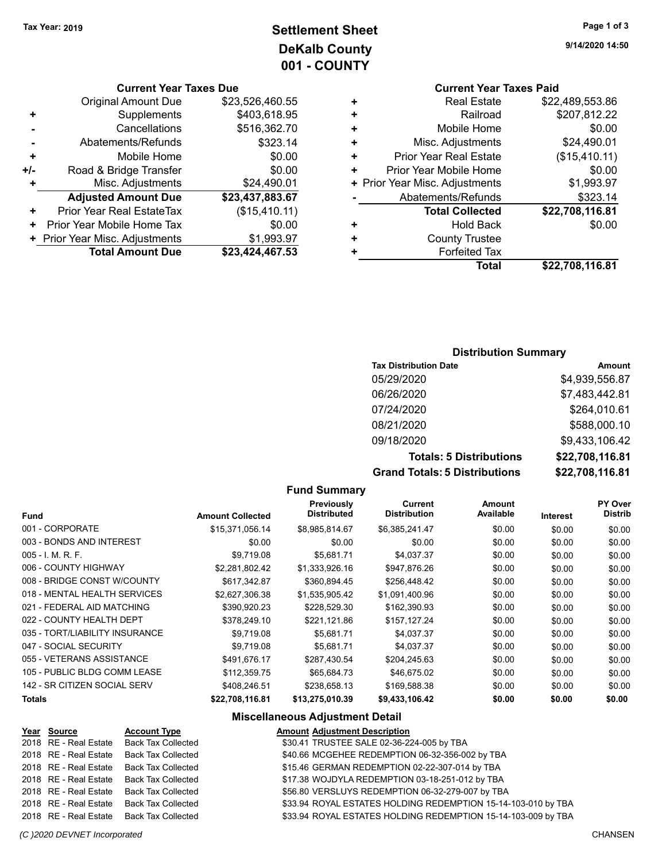**9/14/2020 14:50**

## **Settlement Sheet Tax Year: 2019 Page 1 of 3 DeKalb County 001 - COUNTY**

| <b>Current Year Taxes Due</b> |  |  |  |
|-------------------------------|--|--|--|
|-------------------------------|--|--|--|

|     | <b>Original Amount Due</b>     | \$23,526,460.55 |
|-----|--------------------------------|-----------------|
| ٠   | Supplements                    | \$403,618.95    |
|     | Cancellations                  | \$516,362.70    |
|     | Abatements/Refunds             | \$323.14        |
| ٠   | Mobile Home                    | \$0.00          |
| +/- | Road & Bridge Transfer         | \$0.00          |
|     | Misc. Adjustments              | \$24,490.01     |
|     | <b>Adjusted Amount Due</b>     | \$23,437,883.67 |
| ٠   | Prior Year Real EstateTax      | (\$15,410.11)   |
| ٠   | Prior Year Mobile Home Tax     | \$0.00          |
|     | + Prior Year Misc. Adjustments | \$1,993.97      |
|     | <b>Total Amount Due</b>        | \$23,424,467.53 |
|     |                                |                 |

|   | <b>Current Year Taxes Paid</b> |                 |
|---|--------------------------------|-----------------|
|   | Real Estate                    | \$22,489,553.86 |
| ٠ | Railroad                       | \$207,812.22    |
| ٠ | Mobile Home                    | \$0.00          |
| ٠ | Misc. Adjustments              | \$24,490.01     |
| ÷ | Prior Year Real Estate         | (\$15,410.11)   |
| ٠ | Prior Year Mobile Home         | \$0.00          |
|   | + Prior Year Misc. Adjustments | \$1,993.97      |
|   | Abatements/Refunds             | \$323.14        |
|   | <b>Total Collected</b>         | \$22,708,116.81 |
| ٠ | <b>Hold Back</b>               | \$0.00          |
|   | <b>County Trustee</b>          |                 |
|   | <b>Forfeited Tax</b>           |                 |
|   | Total                          | \$22,708,116.81 |

## **Distribution Summary**

| <b>Tax Distribution Date</b>         | Amount          |
|--------------------------------------|-----------------|
| 05/29/2020                           | \$4,939,556.87  |
| 06/26/2020                           | \$7,483,442.81  |
| 07/24/2020                           | \$264,010.61    |
| 08/21/2020                           | \$588,000.10    |
| 09/18/2020                           | \$9,433,106.42  |
| <b>Totals: 5 Distributions</b>       | \$22,708,116.81 |
| <b>Grand Totals: 5 Distributions</b> | \$22,708,116.81 |

## **Fund Summary**

| <b>Amount Collected</b> | Previously<br><b>Distributed</b> | Current<br><b>Distribution</b> | <b>Amount</b><br>Available | Interest | PY Over<br><b>Distrib</b> |
|-------------------------|----------------------------------|--------------------------------|----------------------------|----------|---------------------------|
| \$15,371,056.14         | \$8,985,814.67                   | \$6,385,241.47                 | \$0.00                     | \$0.00   | \$0.00                    |
| \$0.00                  | \$0.00                           | \$0.00                         | \$0.00                     | \$0.00   | \$0.00                    |
| \$9,719.08              | \$5.681.71                       | \$4,037.37                     | \$0.00                     | \$0.00   | \$0.00                    |
| \$2,281,802.42          | \$1,333,926.16                   | \$947,876.26                   | \$0.00                     | \$0.00   | \$0.00                    |
| \$617,342.87            | \$360,894.45                     | \$256,448.42                   | \$0.00                     | \$0.00   | \$0.00                    |
| \$2,627,306.38          | \$1,535,905.42                   | \$1,091,400.96                 | \$0.00                     | \$0.00   | \$0.00                    |
| \$390.920.23            | \$228,529.30                     | \$162,390.93                   | \$0.00                     | \$0.00   | \$0.00                    |
| \$378,249.10            | \$221,121.86                     | \$157,127.24                   | \$0.00                     | \$0.00   | \$0.00                    |
| \$9,719.08              | \$5,681.71                       | \$4,037.37                     | \$0.00                     | \$0.00   | \$0.00                    |
| \$9,719.08              | \$5,681.71                       | \$4,037.37                     | \$0.00                     | \$0.00   | \$0.00                    |
| \$491,676.17            | \$287,430.54                     | \$204,245.63                   | \$0.00                     | \$0.00   | \$0.00                    |
| \$112,359.75            | \$65,684.73                      | \$46,675.02                    | \$0.00                     | \$0.00   | \$0.00                    |
| \$408,246.51            | \$238,658.13                     | \$169,588.38                   | \$0.00                     | \$0.00   | \$0.00                    |
| \$22,708,116.81         | \$13,275,010.39                  | \$9,433,106.42                 | \$0.00                     | \$0.00   | \$0.00                    |
|                         |                                  |                                | Fund Summary               |          |                           |

#### **Miscellaneous Adjustment Detail**

# **Account Type**<br> **Year Source Account Adjustment Description**<br>  $\frac{$20.41 \text{ TPI ISTE} $41 E 02.26.25}$

| Year Source | <b>Account Type</b>                      | <b>Amount Adjustment Description</b>                          |
|-------------|------------------------------------------|---------------------------------------------------------------|
|             | 2018 RE - Real Estate Back Tax Collected | \$30.41 TRUSTEE SALE 02-36-224-005 by TBA                     |
|             | 2018 RE - Real Estate Back Tax Collected | \$40.66 MCGEHEE REDEMPTION 06-32-356-002 by TBA               |
|             | 2018 RE - Real Estate Back Tax Collected | \$15.46 GERMAN REDEMPTION 02-22-307-014 by TBA                |
|             | 2018 RE - Real Estate Back Tax Collected | \$17.38 WOJDYLA REDEMPTION 03-18-251-012 by TBA               |
|             | 2018 RE - Real Estate Back Tax Collected | \$56.80 VERSLUYS REDEMPTION 06-32-279-007 by TBA              |
|             | 2018 RE - Real Estate Back Tax Collected | \$33.94 ROYAL ESTATES HOLDING REDEMPTION 15-14-103-010 by TBA |
|             | 2018 RE - Real Estate Back Tax Collected | \$33.94 ROYAL ESTATES HOLDING REDEMPTION 15-14-103-009 by TBA |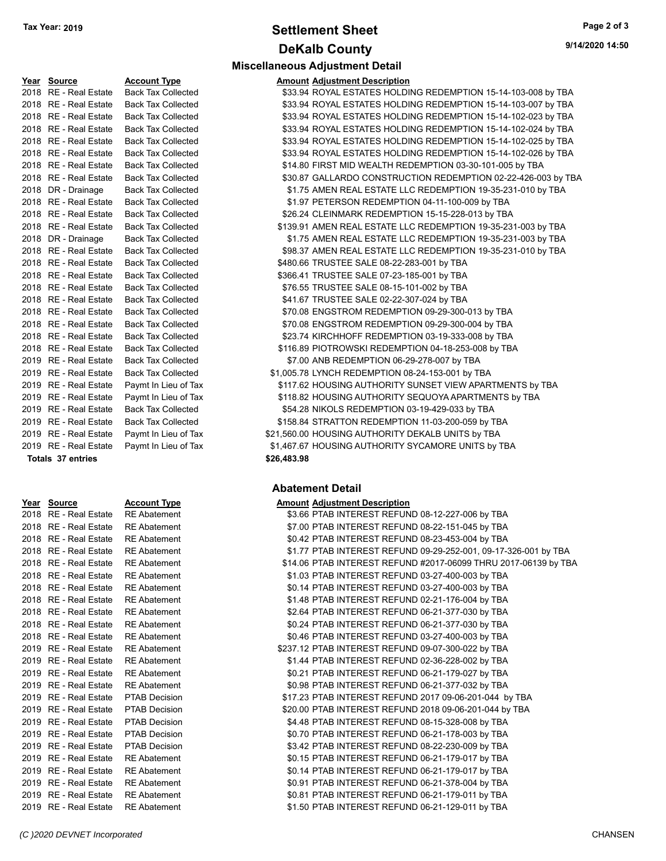# **Settlement Sheet Tax Year: 2019 Page 2 of 3 DeKalb County**

**Miscellaneous Adjustment Detail**

| Year Source           | <b>Account Type</b>       | <b>Amount Adjustment Description</b>                          |
|-----------------------|---------------------------|---------------------------------------------------------------|
| 2018 RE - Real Estate | <b>Back Tax Collected</b> | \$33.94 ROYAL ESTATES HOLDING REDEMPTION 15-14-103-008 by TBA |
| 2018 RE - Real Estate | <b>Back Tax Collected</b> | \$33.94 ROYAL ESTATES HOLDING REDEMPTION 15-14-103-007 by TBA |
| 2018 RE - Real Estate | <b>Back Tax Collected</b> | \$33.94 ROYAL ESTATES HOLDING REDEMPTION 15-14-102-023 by TBA |
| 2018 RE - Real Estate | <b>Back Tax Collected</b> | \$33.94 ROYAL ESTATES HOLDING REDEMPTION 15-14-102-024 by TBA |
| 2018 RE - Real Estate | <b>Back Tax Collected</b> | \$33.94 ROYAL ESTATES HOLDING REDEMPTION 15-14-102-025 by TBA |
| 2018 RE - Real Estate | <b>Back Tax Collected</b> | \$33.94 ROYAL ESTATES HOLDING REDEMPTION 15-14-102-026 by TBA |
| 2018 RE - Real Estate | <b>Back Tax Collected</b> | \$14.80 FIRST MID WEALTH REDEMPTION 03-30-101-005 by TBA      |
| 2018 RE - Real Estate | <b>Back Tax Collected</b> | \$30.87 GALLARDO CONSTRUCTION REDEMPTION 02-22-426-003 by TE  |
| 2018 DR - Drainage    | <b>Back Tax Collected</b> | \$1.75 AMEN REAL ESTATE LLC REDEMPTION 19-35-231-010 by TBA   |
| 2018 RE - Real Estate | <b>Back Tax Collected</b> | \$1.97 PETERSON REDEMPTION 04-11-100-009 by TBA               |
| 2018 RE - Real Estate | <b>Back Tax Collected</b> | \$26.24 CLEINMARK REDEMPTION 15-15-228-013 by TBA             |
| 2018 RE - Real Estate | <b>Back Tax Collected</b> | \$139.91 AMEN REAL ESTATE LLC REDEMPTION 19-35-231-003 by TBA |
| 2018 DR - Drainage    | <b>Back Tax Collected</b> | \$1.75 AMEN REAL ESTATE LLC REDEMPTION 19-35-231-003 by TBA   |
| 2018 RE - Real Estate | <b>Back Tax Collected</b> | \$98.37 AMEN REAL ESTATE LLC REDEMPTION 19-35-231-010 by TBA  |
| 2018 RE - Real Estate | <b>Back Tax Collected</b> | \$480.66 TRUSTEE SALE 08-22-283-001 by TBA                    |
| 2018 RE - Real Estate | <b>Back Tax Collected</b> | \$366.41 TRUSTEE SALE 07-23-185-001 by TBA                    |
| 2018 RE - Real Estate | <b>Back Tax Collected</b> | \$76.55 TRUSTEE SALE 08-15-101-002 by TBA                     |
| 2018 RE - Real Estate | <b>Back Tax Collected</b> | \$41.67 TRUSTEE SALE 02-22-307-024 by TBA                     |
| 2018 RE - Real Estate | <b>Back Tax Collected</b> | \$70.08 ENGSTROM REDEMPTION 09-29-300-013 by TBA              |
| 2018 RE - Real Estate | <b>Back Tax Collected</b> | \$70.08 ENGSTROM REDEMPTION 09-29-300-004 by TBA              |
| 2018 RE - Real Estate | <b>Back Tax Collected</b> | \$23.74 KIRCHHOFF REDEMPTION 03-19-333-008 by TBA             |
| 2018 RE - Real Estate | <b>Back Tax Collected</b> | \$116.89 PIOTROWSKI REDEMPTION 04-18-253-008 by TBA           |
| 2019 RE - Real Estate | <b>Back Tax Collected</b> | \$7.00 ANB REDEMPTION 06-29-278-007 by TBA                    |
| 2019 RE - Real Estate | <b>Back Tax Collected</b> | \$1,005.78 LYNCH REDEMPTION 08-24-153-001 by TBA              |
| 2019 RE - Real Estate | Paymt In Lieu of Tax      | \$117.62 HOUSING AUTHORITY SUNSET VIEW APARTMENTS by TBA      |
| 2019 RE - Real Estate | Paymt In Lieu of Tax      | \$118.82 HOUSING AUTHORITY SEQUOYA APARTMENTS by TBA          |
| 2019 RE - Real Estate | <b>Back Tax Collected</b> | \$54.28 NIKOLS REDEMPTION 03-19-429-033 by TBA                |
| 2019 RE - Real Estate | <b>Back Tax Collected</b> | \$158.84 STRATTON REDEMPTION 11-03-200-059 by TBA             |
| 2019 RE - Real Estate | Paymt In Lieu of Tax      | \$21,560.00 HOUSING AUTHORITY DEKALB UNITS by TBA             |
| 2019 RE - Real Estate | Paymt In Lieu of Tax      | \$1,467.67 HOUSING AUTHORITY SYCAMORE UNITS by TBA            |

**Totals \$26,483.98 37 entries**

| Year | <b>Source</b>           | <u>Account Ty</u> |
|------|-------------------------|-------------------|
| 2018 | RE - Real Estate        | <b>RE Abatem</b>  |
| 2018 | RE - Real Estate        | <b>RE Abatem</b>  |
| 2018 | RE - Real Estate        | <b>RE Abatem</b>  |
| 2018 | RE - Real Estate        | <b>RE Abatem</b>  |
| 2018 | RE - Real Estate        | <b>RE Abatem</b>  |
| 2018 | <b>RE</b> - Real Estate | <b>RE Abatem</b>  |
| 2018 | RE - Real Estate        | <b>RE Abatem</b>  |
| 2018 | RE - Real Estate        | <b>RE Abatem</b>  |
| 2018 | RE - Real Estate        | <b>RE Abatem</b>  |
| 2018 | RE - Real Estate        | <b>RE Abatem</b>  |
| 2018 | <b>RE</b> - Real Estate | <b>RE Abatem</b>  |
| 2019 | <b>RE</b> - Real Estate | <b>RE Abatem</b>  |
| 2019 | <b>RE</b> - Real Estate | <b>RE Abatem</b>  |
| 2019 | RE - Real Estate        | <b>RE Abatem</b>  |
| 2019 | RE - Real Estate        | <b>RE Abatem</b>  |
| 2019 | RE - Real Estate        | <b>PTAB Decis</b> |
| 2019 | RE - Real Estate        | <b>PTAB Decis</b> |
| 2019 | RE - Real Estate        | <b>PTAB Decis</b> |
| 2019 | RE - Real Estate        | <b>PTAB Decis</b> |
| 2019 | RE - Real Estate        | <b>PTAB Decis</b> |
| 2019 | RE - Real Estate        | <b>RE Abatem</b>  |
| 2019 | RE - Real Estate        | <b>RE Abatem</b>  |
| 2019 | <b>RE</b> - Real Estate | <b>RE Abatem</b>  |
| 2019 | RE - Real Estate        | <b>RE Abatem</b>  |
| 2019 | <b>RE</b> - Real Estate | <b>RE Abatem</b>  |

| 2018 RE - Real Estate | <b>Back Tax Collected</b> | \$33.94 ROYAL ESTATES HOLDING REDEMPTION 15-14-103-007 by TBA |
|-----------------------|---------------------------|---------------------------------------------------------------|
| 2018 RE - Real Estate | <b>Back Tax Collected</b> | \$33.94 ROYAL ESTATES HOLDING REDEMPTION 15-14-102-023 by TBA |
| 2018 RE - Real Estate | <b>Back Tax Collected</b> | \$33.94 ROYAL ESTATES HOLDING REDEMPTION 15-14-102-024 by TBA |
| 2018 RE - Real Estate | <b>Back Tax Collected</b> | \$33.94 ROYAL ESTATES HOLDING REDEMPTION 15-14-102-025 by TBA |
| 2018 RE - Real Estate | <b>Back Tax Collected</b> | \$33.94 ROYAL ESTATES HOLDING REDEMPTION 15-14-102-026 by TBA |
| 2018 RE - Real Estate | <b>Back Tax Collected</b> | \$14.80 FIRST MID WEALTH REDEMPTION 03-30-101-005 by TBA      |
| 2018 RE - Real Estate | <b>Back Tax Collected</b> | \$30.87 GALLARDO CONSTRUCTION REDEMPTION 02-22-426-003 by TBA |
| 2018 DR - Drainage    | <b>Back Tax Collected</b> | \$1.75 AMEN REAL ESTATE LLC REDEMPTION 19-35-231-010 by TBA   |
| 2018 RE - Real Estate | <b>Back Tax Collected</b> | \$1.97 PETERSON REDEMPTION 04-11-100-009 by TBA               |
| 2018 RE - Real Estate | <b>Back Tax Collected</b> | \$26.24 CLEINMARK REDEMPTION 15-15-228-013 by TBA             |
| 2018 RE - Real Estate | <b>Back Tax Collected</b> | \$139.91 AMEN REAL ESTATE LLC REDEMPTION 19-35-231-003 by TBA |
| 2018 DR - Drainage    | <b>Back Tax Collected</b> | \$1.75 AMEN REAL ESTATE LLC REDEMPTION 19-35-231-003 by TBA   |
| 2018 RE - Real Estate | <b>Back Tax Collected</b> | \$98.37 AMEN REAL ESTATE LLC REDEMPTION 19-35-231-010 by TBA  |
| 2018 RE - Real Estate | <b>Back Tax Collected</b> | \$480.66 TRUSTEE SALE 08-22-283-001 by TBA                    |
| 2018 RE - Real Estate | <b>Back Tax Collected</b> | \$366.41 TRUSTEE SALE 07-23-185-001 by TBA                    |
| 2018 RE - Real Estate | <b>Back Tax Collected</b> | \$76.55 TRUSTEE SALE 08-15-101-002 by TBA                     |
| 2018 RE - Real Estate | <b>Back Tax Collected</b> | \$41.67 TRUSTEE SALE 02-22-307-024 by TBA                     |
| 2018 RE - Real Estate | <b>Back Tax Collected</b> | \$70.08 ENGSTROM REDEMPTION 09-29-300-013 by TBA              |
| 2018 RE - Real Estate | <b>Back Tax Collected</b> | \$70.08 ENGSTROM REDEMPTION 09-29-300-004 by TBA              |
| 2018 RE - Real Estate | <b>Back Tax Collected</b> | \$23.74 KIRCHHOFF REDEMPTION 03-19-333-008 by TBA             |
| 2018 RE - Real Estate | <b>Back Tax Collected</b> | \$116.89 PIOTROWSKI REDEMPTION 04-18-253-008 by TBA           |
| 2019 RE - Real Estate | <b>Back Tax Collected</b> | \$7.00 ANB REDEMPTION 06-29-278-007 by TBA                    |
| 2019 RE - Real Estate | <b>Back Tax Collected</b> | \$1,005.78 LYNCH REDEMPTION 08-24-153-001 by TBA              |
| 2019 RE - Real Estate | Paymt In Lieu of Tax      | \$117.62 HOUSING AUTHORITY SUNSET VIEW APARTMENTS by TBA      |
| 2019 RE - Real Estate | Paymt In Lieu of Tax      | \$118.82 HOUSING AUTHORITY SEQUOYA APARTMENTS by TBA          |
| 2019 RE - Real Estate | <b>Back Tax Collected</b> | \$54.28 NIKOLS REDEMPTION 03-19-429-033 by TBA                |

| \$1,467.67 HOUSING AUTHORITY SYCAMORE UNITS by TBA |  |  |  |
|----------------------------------------------------|--|--|--|
| \$26,483.98                                        |  |  |  |

#### **Abatement Detail**

#### **Year Source Account Type Amount Adjustment Description**

| 2018 RE - Real Estate RE Abatement |                      | \$3.66 PTAB INTEREST REFUND 08-12-227-006 by TBA                |
|------------------------------------|----------------------|-----------------------------------------------------------------|
| 2018   RE - Real Estate            | <b>RE Abatement</b>  | \$7.00 PTAB INTEREST REFUND 08-22-151-045 by TBA                |
| 2018   RE - Real Estate            | <b>RE</b> Abatement  | \$0.42 PTAB INTEREST REFUND 08-23-453-004 by TBA                |
| 2018   RE - Real Estate            | <b>RE Abatement</b>  | \$1.77 PTAB INTEREST REFUND 09-29-252-001, 09-17-326-001 by TBA |
| 2018   RE - Real Estate            | <b>RE Abatement</b>  | \$14.06 PTAB INTEREST REFUND #2017-06099 THRU 2017-06139 by TBA |
| 2018   RE - Real Estate            | <b>RE Abatement</b>  | \$1.03 PTAB INTEREST REFUND 03-27-400-003 by TBA                |
| 2018   RE - Real Estate            | <b>RE Abatement</b>  | \$0.14 PTAB INTEREST REFUND 03-27-400-003 by TBA                |
| 2018   RE - Real Estate            | <b>RE Abatement</b>  | \$1.48 PTAB INTEREST REFUND 02-21-176-004 by TBA                |
| 2018   RE - Real Estate            | <b>RE Abatement</b>  | \$2.64 PTAB INTEREST REFUND 06-21-377-030 by TBA                |
| 2018   RE - Real Estate            | <b>RE Abatement</b>  | \$0.24 PTAB INTEREST REFUND 06-21-377-030 by TBA                |
| 2018   RE - Real Estate            | <b>RE Abatement</b>  | \$0.46 PTAB INTEREST REFUND 03-27-400-003 by TBA                |
| 2019   RE - Real Estate            | <b>RE Abatement</b>  | \$237.12 PTAB INTEREST REFUND 09-07-300-022 by TBA              |
| 2019   RE - Real Estate            | <b>RE Abatement</b>  | \$1.44 PTAB INTEREST REFUND 02-36-228-002 by TBA                |
| 2019   RE - Real Estate            | <b>RE Abatement</b>  | \$0.21 PTAB INTEREST REFUND 06-21-179-027 by TBA                |
| 2019   RE - Real Estate            | <b>RE Abatement</b>  | \$0.98 PTAB INTEREST REFUND 06-21-377-032 by TBA                |
| 2019   RE - Real Estate            | PTAB Decision        | \$17.23 PTAB INTEREST REFUND 2017 09-06-201-044 by TBA          |
| 2019   RE - Real Estate            | PTAB Decision        | \$20.00 PTAB INTEREST REFUND 2018 09-06-201-044 by TBA          |
| 2019   RE - Real Estate            | PTAB Decision        | \$4.48 PTAB INTEREST REFUND 08-15-328-008 by TBA                |
| 2019 RE - Real Estate              | <b>PTAB Decision</b> | \$0.70 PTAB INTEREST REFUND 06-21-178-003 by TBA                |
| 2019   RE - Real Estate            | <b>PTAB Decision</b> | \$3.42 PTAB INTEREST REFUND 08-22-230-009 by TBA                |
| 2019   RE - Real Estate            | <b>RE</b> Abatement  | \$0.15 PTAB INTEREST REFUND 06-21-179-017 by TBA                |
| 2019   RE - Real Estate            | <b>RE Abatement</b>  | \$0.14 PTAB INTEREST REFUND 06-21-179-017 by TBA                |
| 2019   RE - Real Estate            | <b>RE Abatement</b>  | \$0.91 PTAB INTEREST REFUND 06-21-378-004 by TBA                |
| 2019   RE - Real Estate            | <b>RE Abatement</b>  | \$0.81 PTAB INTEREST REFUND 06-21-179-011 by TBA                |
| 2019   RE - Real Estate            | <b>RE</b> Abatement  | \$1.50 PTAB INTEREST REFUND 06-21-129-011 by TBA                |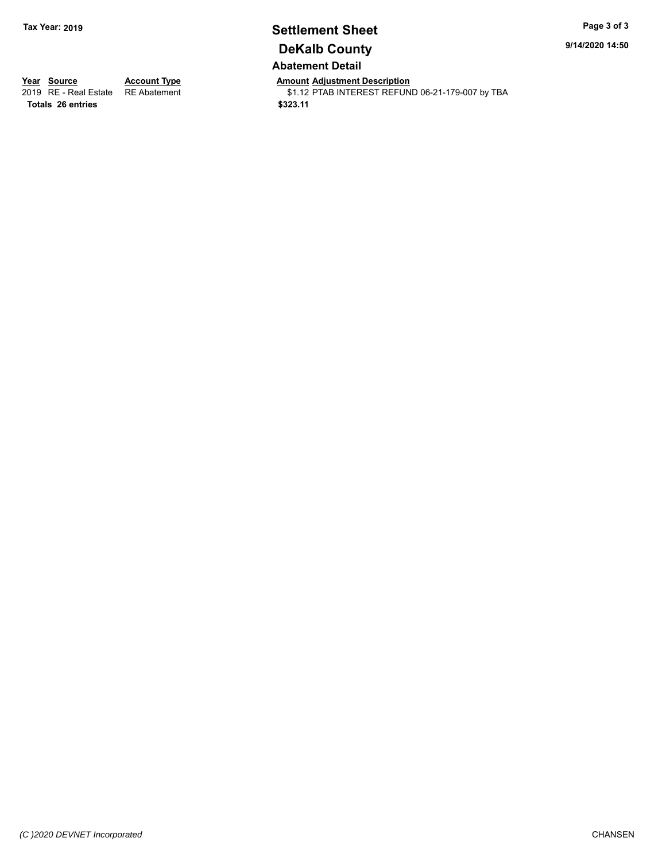## **Settlement Sheet Tax Year: 2019 Page 3 of 3 DeKalb County Abatement Detail**

**9/14/2020 14:50**

**Totals \$323.11 26 entries**

**Year Source Account Type Anneurs Amount Adjustment Description**<br>
2019 RE - Real Estate RE Abatement **Account 1999 AMOUNTEREST REFUN** \$1.12 PTAB INTEREST REFUND 06-21-179-007 by TBA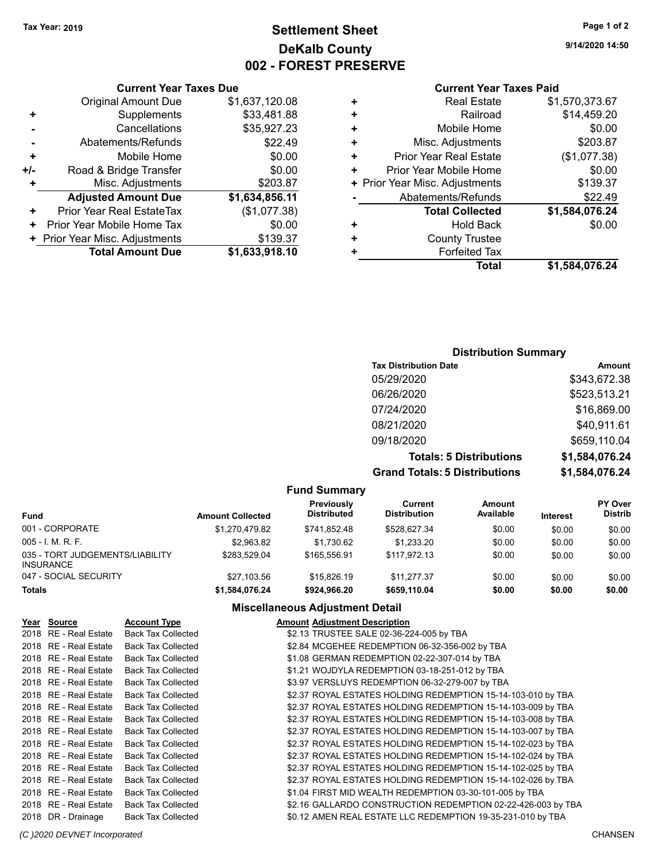## **Settlement Sheet Tax Year: 2019 Page 1 of 2 DeKalb County 002 - FOREST PRESERVE**

**9/14/2020 14:50**

#### **Current Year Taxes Paid**

|   | Total                          | \$1,584,076.24 |
|---|--------------------------------|----------------|
|   | <b>Forfeited Tax</b>           |                |
| ٠ | <b>County Trustee</b>          |                |
| ٠ | <b>Hold Back</b>               | \$0.00         |
|   | <b>Total Collected</b>         | \$1,584,076.24 |
|   | Abatements/Refunds             | \$22.49        |
|   | + Prior Year Misc. Adjustments | \$139.37       |
| ٠ | Prior Year Mobile Home         | \$0.00         |
| ÷ | <b>Prior Year Real Estate</b>  | (\$1,077.38)   |
| ÷ | Misc. Adjustments              | \$203.87       |
| ÷ | Mobile Home                    | \$0.00         |
| ٠ | Railroad                       | \$14,459.20    |
|   | <b>Real Estate</b>             | \$1,570,373.67 |
|   |                                |                |

#### **Current Year Taxes Due** Original Amount Due \$1,637,120.08<br>Supplements \$33,481,88  $+$  Supplements

|           | Cancellations                  | \$35,927.23    |
|-----------|--------------------------------|----------------|
|           | Abatements/Refunds             | \$22.49        |
| ÷         | Mobile Home                    | \$0.00         |
| $+/-$     | Road & Bridge Transfer         | \$0.00         |
| $\ddot{}$ | Misc. Adjustments              | \$203.87       |
|           |                                |                |
|           | <b>Adjusted Amount Due</b>     | \$1,634,856.11 |
| ٠         | Prior Year Real EstateTax      | (\$1,077.38)   |
|           | Prior Year Mobile Home Tax     | \$0.00         |
|           | + Prior Year Misc. Adjustments | \$139.37       |

## **Distribution Summary**

| <b>Tax Distribution Date</b>         | Amount         |
|--------------------------------------|----------------|
| 05/29/2020                           | \$343,672.38   |
| 06/26/2020                           | \$523,513.21   |
| 07/24/2020                           | \$16,869.00    |
| 08/21/2020                           | \$40,911.61    |
| 09/18/2020                           | \$659,110.04   |
| <b>Totals: 5 Distributions</b>       | \$1,584,076.24 |
| <b>Grand Totals: 5 Distributions</b> | \$1,584,076.24 |

#### **Fund Summary**

| <b>Fund</b>                                         | <b>Amount Collected</b> | Previously<br>Distributed | Current<br><b>Distribution</b> | <b>Amount</b><br>Available | <b>Interest</b> | <b>PY Over</b><br><b>Distrib</b> |
|-----------------------------------------------------|-------------------------|---------------------------|--------------------------------|----------------------------|-----------------|----------------------------------|
| 001 - CORPORATE                                     | \$1.270.479.82          | \$741.852.48              | \$528.627.34                   | \$0.00                     | \$0.00          | \$0.00                           |
| $005 - 1$ . M. R. F.                                | \$2.963.82              | \$1.730.62                | \$1.233.20                     | \$0.00                     | \$0.00          | \$0.00                           |
| 035 - TORT JUDGEMENTS/LIABILITY<br><b>INSURANCE</b> | \$283.529.04            | \$165,556.91              | \$117.972.13                   | \$0.00                     | \$0.00          | \$0.00                           |
| 047 - SOCIAL SECURITY                               | \$27.103.56             | \$15,826.19               | \$11.277.37                    | \$0.00                     | \$0.00          | \$0.00                           |
| <b>Totals</b>                                       | \$1,584,076.24          | \$924.966.20              | \$659.110.04                   | \$0.00                     | \$0.00          | \$0.00                           |

## **Miscellaneous Adjustment Detail**

| Year Source           | <b>Account Type</b>       | <b>Amount Adjustment Description</b>                         |  |
|-----------------------|---------------------------|--------------------------------------------------------------|--|
| 2018 RE - Real Estate | <b>Back Tax Collected</b> | \$2.13 TRUSTEE SALE 02-36-224-005 by TBA                     |  |
| 2018 RE - Real Estate | <b>Back Tax Collected</b> | \$2.84 MCGEHEE REDEMPTION 06-32-356-002 by TBA               |  |
| 2018 RE - Real Estate | <b>Back Tax Collected</b> | \$1.08 GERMAN REDEMPTION 02-22-307-014 by TBA                |  |
| 2018 RE - Real Estate | <b>Back Tax Collected</b> | \$1.21 WOJDYLA REDEMPTION 03-18-251-012 by TBA               |  |
| 2018 RE - Real Estate | <b>Back Tax Collected</b> | \$3.97 VERSLUYS REDEMPTION 06-32-279-007 by TBA              |  |
| 2018 RE - Real Estate | <b>Back Tax Collected</b> | \$2.37 ROYAL ESTATES HOLDING REDEMPTION 15-14-103-010 by TBA |  |
| 2018 RE - Real Estate | <b>Back Tax Collected</b> | \$2.37 ROYAL ESTATES HOLDING REDEMPTION 15-14-103-009 by TBA |  |
| 2018 RE - Real Estate | <b>Back Tax Collected</b> | \$2.37 ROYAL ESTATES HOLDING REDEMPTION 15-14-103-008 by TBA |  |
| 2018 RE - Real Estate | <b>Back Tax Collected</b> | \$2.37 ROYAL ESTATES HOLDING REDEMPTION 15-14-103-007 by TBA |  |
| 2018 RE - Real Estate | <b>Back Tax Collected</b> | \$2.37 ROYAL ESTATES HOLDING REDEMPTION 15-14-102-023 by TBA |  |
| 2018 RE - Real Estate | <b>Back Tax Collected</b> | \$2.37 ROYAL ESTATES HOLDING REDEMPTION 15-14-102-024 by TBA |  |
| 2018 RE - Real Estate | <b>Back Tax Collected</b> | \$2.37 ROYAL ESTATES HOLDING REDEMPTION 15-14-102-025 by TBA |  |
| 2018 RE - Real Estate | <b>Back Tax Collected</b> | \$2.37 ROYAL ESTATES HOLDING REDEMPTION 15-14-102-026 by TBA |  |
| 2018 RE - Real Estate | <b>Back Tax Collected</b> | \$1.04 FIRST MID WEALTH REDEMPTION 03-30-101-005 by TBA      |  |
| 2018 RE - Real Estate | <b>Back Tax Collected</b> | \$2.16 GALLARDO CONSTRUCTION REDEMPTION 02-22-426-003 by TBA |  |
| 2018 DR - Drainage    | <b>Back Tax Collected</b> | \$0.12 AMEN REAL ESTATE LLC REDEMPTION 19-35-231-010 by TBA  |  |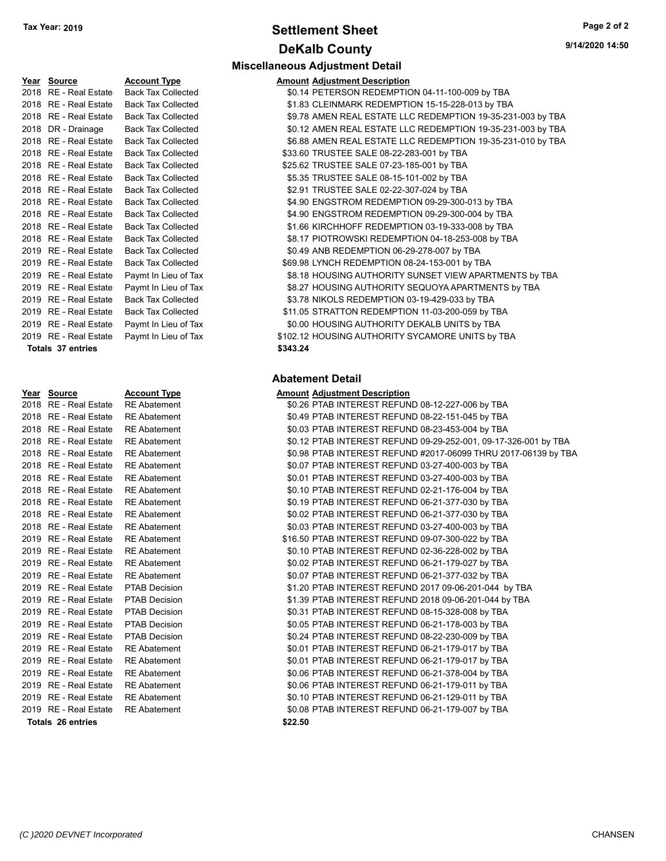## **Settlement Sheet Tax Year: 2019 Page 2 of 2 DeKalb County**

**Miscellaneous Adjustment Detail**

| Year Source           | <b>Account Type</b>       | <b>Amount Adjustment Description</b>             |
|-----------------------|---------------------------|--------------------------------------------------|
| 2018 RE - Real Estate | <b>Back Tax Collected</b> | \$0.14 PETERSON REDEMPTION 04-11-100-009 by TBA  |
| 2018 RE - Real Estate | <b>Back Tax Collected</b> | \$1.83 CLEINMARK REDEMPTION 15-15-228-013 by TBA |
| 2018 RE - Real Estate | <b>Back Tax Collected</b> | \$9.78 AMEN REAL ESTATE LLC REDEMPTION 19-35-23  |
| 2018 DR - Drainage    | <b>Back Tax Collected</b> | \$0.12 AMEN REAL ESTATE LLC REDEMPTION 19-35-23  |
| 2018 RE - Real Estate | <b>Back Tax Collected</b> | \$6.88 AMEN REAL ESTATE LLC REDEMPTION 19-35-23  |
| 2018 RE - Real Estate | <b>Back Tax Collected</b> | \$33.60 TRUSTEE SALE 08-22-283-001 by TBA        |
| 2018 RE - Real Estate | <b>Back Tax Collected</b> | \$25.62 TRUSTEE SALE 07-23-185-001 by TBA        |
| 2018 RE - Real Estate | <b>Back Tax Collected</b> | \$5.35 TRUSTEE SALE 08-15-101-002 by TBA         |
| 2018 RE - Real Estate | <b>Back Tax Collected</b> | \$2.91 TRUSTEE SALE 02-22-307-024 by TBA         |
| 2018 RE - Real Estate | <b>Back Tax Collected</b> | \$4.90 ENGSTROM REDEMPTION 09-29-300-013 by TBA  |
| 2018 RE - Real Estate | <b>Back Tax Collected</b> | \$4.90 ENGSTROM REDEMPTION 09-29-300-004 by TBA  |
| 2018 RE - Real Estate | <b>Back Tax Collected</b> | \$1.66 KIRCHHOFF REDEMPTION 03-19-333-008 by TBA |
| 2018 RE - Real Estate | <b>Back Tax Collected</b> | \$8.17 PIOTROWSKI REDEMPTION 04-18-253-008 by TE |
| 2019 RE - Real Estate | <b>Back Tax Collected</b> | \$0.49 ANB REDEMPTION 06-29-278-007 by TBA       |
| 2019 RE - Real Estate | <b>Back Tax Collected</b> | \$69.98 LYNCH REDEMPTION 08-24-153-001 by TBA    |
| 2019 RE - Real Estate | Paymt In Lieu of Tax      | \$8.18 HOUSING AUTHORITY SUNSET VIEW APARTME     |
| 2019 RE - Real Estate | Paymt In Lieu of Tax      | \$8.27 HOUSING AUTHORITY SEQUOYA APARTMENTS      |
| 2019 RE - Real Estate | <b>Back Tax Collected</b> | \$3.78 NIKOLS REDEMPTION 03-19-429-033 by TBA    |
| 2019 RE - Real Estate | <b>Back Tax Collected</b> | \$11.05 STRATTON REDEMPTION 11-03-200-059 by TBA |
| 2019 RE - Real Estate | Paymt In Lieu of Tax      | \$0.00 HOUSING AUTHORITY DEKALB UNITS by TBA     |
| 2019 RE - Real Estate | Paymt In Lieu of Tax      | \$102.12 HOUSING AUTHORITY SYCAMORE UNITS by TB. |
| Totals 37 entries     |                           | \$343.24                                         |
|                       |                           |                                                  |

| Year | <b>Source</b>           | <b>Account Type</b>  | Amount  |
|------|-------------------------|----------------------|---------|
| 2018 | RE - Real Estate        | <b>RE</b> Abatement  | \$0.26  |
| 2018 | RE - Real Estate        | <b>RE</b> Abatement  | \$0.49  |
| 2018 | <b>RE</b> - Real Estate | <b>RE</b> Abatement  | \$0.03  |
| 2018 | RE - Real Estate        | <b>RE</b> Abatement  | \$0.12  |
| 2018 | <b>RE</b> - Real Estate | <b>RE</b> Abatement  | \$0.98  |
| 2018 | <b>RE</b> - Real Estate | <b>RE</b> Abatement  | \$0.07  |
| 2018 | RE - Real Estate        | <b>RE</b> Abatement  | \$0.01  |
| 2018 | RE - Real Estate        | <b>RE</b> Abatement  | \$0.10  |
| 2018 | RE - Real Estate        | <b>RE</b> Abatement  | \$0.19  |
| 2018 | RE - Real Estate        | <b>RE</b> Abatement  | \$0.02  |
| 2018 | RE - Real Estate        | <b>RE</b> Abatement  | \$0.03  |
| 2019 | RE - Real Estate        | <b>RE</b> Abatement  | \$16.50 |
| 2019 | <b>RE</b> - Real Estate | <b>RE</b> Abatement  | \$0.10  |
|      | 2019 RE - Real Estate   | <b>RE</b> Abatement  | \$0.02  |
|      | 2019 RE - Real Estate   | <b>RE</b> Abatement  | \$0.07  |
| 2019 | <b>RE</b> - Real Estate | <b>PTAB Decision</b> | \$1.20  |
|      | 2019 RE - Real Estate   | <b>PTAB Decision</b> | \$1.39  |
| 2019 | RE - Real Estate        | <b>PTAB Decision</b> | \$0.31  |
| 2019 | <b>RE</b> - Real Estate | <b>PTAB Decision</b> | \$0.05  |
| 2019 | RE - Real Estate        | <b>PTAB Decision</b> | \$0.24  |
| 2019 | RE - Real Estate        | <b>RE</b> Abatement  | \$0.01  |
| 2019 | <b>RE</b> - Real Estate | <b>RE</b> Abatement  | \$0.01  |
|      | 2019 RE - Real Estate   | <b>RE</b> Abatement  | \$0.06  |
| 2019 | RE - Real Estate        | <b>RE</b> Abatement  | \$0.06  |
| 2019 | RE - Real Estate        | <b>RE</b> Abatement  | \$0.10  |
|      | 2019 RE - Real Estate   | <b>RE</b> Abatement  | \$0.08  |
|      | Totals 26 entries       |                      | \$22.50 |

#### Tax Collected **2018 ST.83 CLEINMARK REDEMPTION 15-15-228-013 by TBA** Tax Collected **2018 Back Tax Collected**  $$9.78$  AMEN REAL ESTATE LLC REDEMPTION 19-35-231-003 by TBA Tax Collected **2018 COLLC SETATE AMEN REAL ESTATE LLC REDEMPTION 19-35-231-003 by TBA** Tax Collected **2018 REAL ESTATE LLC REDEMPTION 19-35-231-010 by TBACK TAX Collected** Tax Collected **2018 833.60 TRUSTEE SALE 08-22-283-001 by TBA** Tax Collected **25.62 TRUSTEE SALE 07-23-185-001 by TBA** Tax Collected **2018 SEXUSTEE SALE 08-15-101-002 by TBA** Tax Collected **2018 S2.91 TRUSTEE SALE 02-22-307-024 by TBA** Tax Collected **2018 SA.90 ENGSTROM REDEMPTION 09-29-300-013 by TBA** Tax Collected **2018 SA.90 ENGSTROM REDEMPTION 09-29-300-004 by TBA** Tax Collected **2018 REAL ESTATE STATE STATE STATE STATE STATE STATE STATE STATE STATE STATE STATE STATE STATE ST** Tax Collected **2018 SB.17 PIOTROWSKI REDEMPTION 04-18-253-008 by TBA** Tax Collected  $$0.49$  ANB REDEMPTION 06-29-278-007 by TBA Tax Collected **2018 SEP 569.98 LYNCH REDEMPTION 08-24-153-001 by TBA** 2019 RE - Real Estate \$8.18 HOUSING AUTHORITY SUNSET VIEW APARTMEN Paymt In Lieu of Tax TS by TBA <sup>2</sup> at In Lieu of Tax **Authority SEQUOYA APARTMENTS by TBA** Tax Collected **2018 REDEMPTION 03-19-429-033 by TBA** Tax Collected **\$11.05 STRATTON REDEMPTION 11-03-200-059 by TBA** <sup>2019</sup> REAL ESTATE REAL REAL ESTATE IN LIGATION AND THE SUBJECT AT A PAYMENT AND IN LIGATION IN LIGATION OF THE I <sup>2</sup> at In Lieu of Tax **Canadia Cause \$102.12 HOUSING AUTHORITY SYCAMORE UNITS by TBA**

#### **Abatement Detail**

#### **Year Source Account Type Amount Adjustment Description**

| <u>rear overce</u>       | <b>ACCOMIL TYPE</b>  | <u>Amount Aujustment Description</u>                            |
|--------------------------|----------------------|-----------------------------------------------------------------|
| 2018   RE - Real Estate  | <b>RE</b> Abatement  | \$0.26 PTAB INTEREST REFUND 08-12-227-006 by TBA                |
| 2018   RE - Real Estate  | <b>RE</b> Abatement  | \$0.49 PTAB INTEREST REFUND 08-22-151-045 by TBA                |
| 2018   RE - Real Estate  | <b>RE</b> Abatement  | \$0.03 PTAB INTEREST REFUND 08-23-453-004 by TBA                |
| 2018 RE - Real Estate    | <b>RE</b> Abatement  | \$0.12 PTAB INTEREST REFUND 09-29-252-001, 09-17-326-001 by TBA |
| 2018 RE - Real Estate    | <b>RE</b> Abatement  | \$0.98 PTAB INTEREST REFUND #2017-06099 THRU 2017-06139 by TBA  |
| 2018 RE - Real Estate    | <b>RE</b> Abatement  | \$0.07 PTAB INTEREST REFUND 03-27-400-003 by TBA                |
| 2018 RE - Real Estate    | <b>RE</b> Abatement  | \$0.01 PTAB INTEREST REFUND 03-27-400-003 by TBA                |
| 2018 RE - Real Estate    | <b>RE</b> Abatement  | \$0.10 PTAB INTEREST REFUND 02-21-176-004 by TBA                |
| 2018 RE - Real Estate    | <b>RE</b> Abatement  | \$0.19 PTAB INTEREST REFUND 06-21-377-030 by TBA                |
| 2018   RE - Real Estate  | <b>RE</b> Abatement  | \$0.02 PTAB INTEREST REFUND 06-21-377-030 by TBA                |
| 2018 RE - Real Estate    | <b>RE</b> Abatement  | \$0.03 PTAB INTEREST REFUND 03-27-400-003 by TBA                |
| 2019 RE - Real Estate    | <b>RE</b> Abatement  | \$16.50 PTAB INTEREST REFUND 09-07-300-022 by TBA               |
| 2019 RE - Real Estate    | <b>RE</b> Abatement  | \$0.10 PTAB INTEREST REFUND 02-36-228-002 by TBA                |
| 2019 RE - Real Estate    | <b>RE</b> Abatement  | \$0.02 PTAB INTEREST REFUND 06-21-179-027 by TBA                |
| 2019   RE - Real Estate  | <b>RE</b> Abatement  | \$0.07 PTAB INTEREST REFUND 06-21-377-032 by TBA                |
| 2019   RE - Real Estate  | PTAB Decision        | \$1.20 PTAB INTEREST REFUND 2017 09-06-201-044 by TBA           |
| 2019 RE - Real Estate    | <b>PTAB Decision</b> | \$1.39 PTAB INTEREST REFUND 2018 09-06-201-044 by TBA           |
| 2019 RE - Real Estate    | <b>PTAB Decision</b> | \$0.31 PTAB INTEREST REFUND 08-15-328-008 by TBA                |
| 2019 RE - Real Estate    | <b>PTAB Decision</b> | \$0.05 PTAB INTEREST REFUND 06-21-178-003 by TBA                |
| 2019   RE - Real Estate  | <b>PTAB Decision</b> | \$0.24 PTAB INTEREST REFUND 08-22-230-009 by TBA                |
| 2019 RE - Real Estate    | <b>RE</b> Abatement  | \$0.01 PTAB INTEREST REFUND 06-21-179-017 by TBA                |
| 2019 RE - Real Estate    | <b>RE</b> Abatement  | \$0.01 PTAB INTEREST REFUND 06-21-179-017 by TBA                |
| 2019   RE - Real Estate  | <b>RE</b> Abatement  | \$0.06 PTAB INTEREST REFUND 06-21-378-004 by TBA                |
| 2019 RE - Real Estate    | <b>RE</b> Abatement  | \$0.06 PTAB INTEREST REFUND 06-21-179-011 by TBA                |
| 2019 RE - Real Estate    | <b>RE</b> Abatement  | \$0.10 PTAB INTEREST REFUND 06-21-129-011 by TBA                |
| 2019 RE - Real Estate    | <b>RE</b> Abatement  | \$0.08 PTAB INTEREST REFUND 06-21-179-007 by TBA                |
| <b>Totals 26 entries</b> |                      | \$22.50                                                         |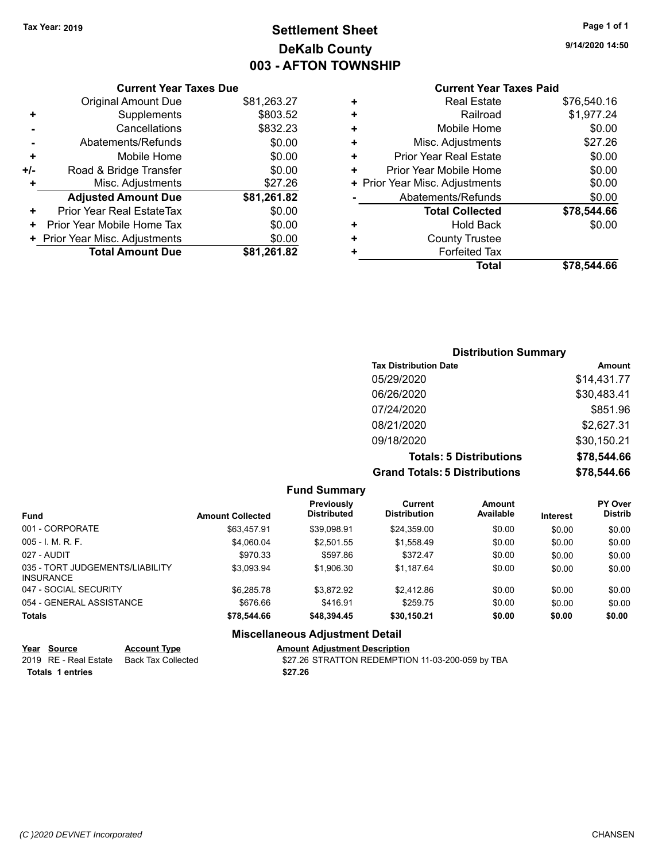# **Settlement Sheet Tax Year: 2019 Page 1 of 1 DeKalb County 003 - AFTON TOWNSHIP**

**9/14/2020 14:50**

## **Current Year Taxes Paid**

|     | <b>Current Year Taxes Due</b>  |             |
|-----|--------------------------------|-------------|
|     | <b>Original Amount Due</b>     | \$81,263.27 |
| ÷   | Supplements                    | \$803.52    |
|     | Cancellations                  | \$832.23    |
|     | Abatements/Refunds             | \$0.00      |
| ٠   | Mobile Home                    | \$0.00      |
| +/- | Road & Bridge Transfer         | \$0.00      |
|     | Misc. Adjustments              | \$27.26     |
|     | <b>Adjusted Amount Due</b>     | \$81,261.82 |
| ÷   | Prior Year Real EstateTax      | \$0.00      |
| ٠   | Prior Year Mobile Home Tax     | \$0.00      |
|     | + Prior Year Misc. Adjustments | \$0.00      |
|     | <b>Total Amount Due</b>        | \$81,261.82 |
|     |                                |             |

|   | <b>Real Estate</b>             | \$76,540.16 |
|---|--------------------------------|-------------|
| ٠ | Railroad                       | \$1,977.24  |
| ٠ | Mobile Home                    | \$0.00      |
| ٠ | Misc. Adjustments              | \$27.26     |
| ٠ | <b>Prior Year Real Estate</b>  | \$0.00      |
| ٠ | Prior Year Mobile Home         | \$0.00      |
|   | + Prior Year Misc. Adjustments | \$0.00      |
|   | Abatements/Refunds             | \$0.00      |
|   | <b>Total Collected</b>         | \$78,544.66 |
| ٠ | <b>Hold Back</b>               | \$0.00      |
| ÷ | <b>County Trustee</b>          |             |
| ٠ | <b>Forfeited Tax</b>           |             |
|   | Total                          | \$78.544.66 |
|   |                                |             |

## **Distribution Summary Tax Distribution Date Amount** 05/29/2020 \$14,431.77 06/26/2020 \$30,483.41 07/24/2020 \$851.96 08/21/2020 \$2,627.31 09/18/2020 \$30,150.21 **Totals: 5 Distributions \$78,544.66 Grand Totals: 5 Distributions \$78,544.66**

|                                                     |                         | <b>Fund Summary</b>                    |                                       |                     |                 |                                  |
|-----------------------------------------------------|-------------------------|----------------------------------------|---------------------------------------|---------------------|-----------------|----------------------------------|
| <b>Fund</b>                                         | <b>Amount Collected</b> | Previously<br><b>Distributed</b>       | <b>Current</b><br><b>Distribution</b> | Amount<br>Available | <b>Interest</b> | <b>PY Over</b><br><b>Distrib</b> |
| 001 - CORPORATE                                     | \$63,457.91             | \$39,098.91                            | \$24,359.00                           | \$0.00              | \$0.00          | \$0.00                           |
| $005 - 1$ , M, R, F,                                | \$4.060.04              | \$2.501.55                             | \$1.558.49                            | \$0.00              | \$0.00          | \$0.00                           |
| 027 - AUDIT                                         | \$970.33                | \$597.86                               | \$372.47                              | \$0.00              | \$0.00          | \$0.00                           |
| 035 - TORT JUDGEMENTS/LIABILITY<br><b>INSURANCE</b> | \$3.093.94              | \$1,906.30                             | \$1.187.64                            | \$0.00              | \$0.00          | \$0.00                           |
| 047 - SOCIAL SECURITY                               | \$6.285.78              | \$3.872.92                             | \$2,412.86                            | \$0.00              | \$0.00          | \$0.00                           |
| 054 - GENERAL ASSISTANCE                            | \$676.66                | \$416.91                               | \$259.75                              | \$0.00              | \$0.00          | \$0.00                           |
| <b>Totals</b>                                       | \$78,544.66             | \$48.394.45                            | \$30,150.21                           | \$0.00              | \$0.00          | \$0.00                           |
|                                                     |                         | <b>Miscellaneous Adjustment Detail</b> |                                       |                     |                 |                                  |
| $V_{222}$ $R_{21222}$                               |                         | American Additional Benediction        |                                       |                     |                 |                                  |

|                  | Year Source | <b>Account Type</b>                      | <b>Amount Adiustment Description</b>             |
|------------------|-------------|------------------------------------------|--------------------------------------------------|
|                  |             | 2019 RE - Real Estate Back Tax Collected | \$27.26 STRATTON REDEMPTION 11-03-200-059 by TBA |
| Totals 1 entries |             |                                          | \$27.26                                          |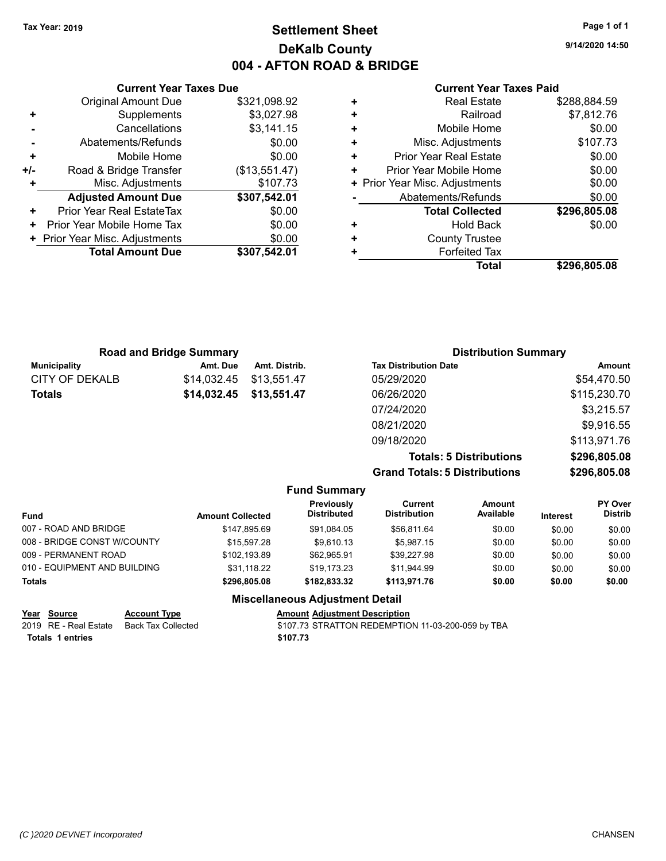## **Settlement Sheet Tax Year: 2019 Page 1 of 1 DeKalb County 004 - AFTON ROAD & BRIDGE**

**9/14/2020 14:50**

#### **Current Year Taxes Paid**

|     | <b>Current Year Taxes Due</b>  |               |  |  |  |
|-----|--------------------------------|---------------|--|--|--|
|     | <b>Original Amount Due</b>     | \$321,098.92  |  |  |  |
|     | Supplements                    | \$3,027.98    |  |  |  |
|     | Cancellations                  | \$3,141.15    |  |  |  |
|     | Abatements/Refunds             | \$0.00        |  |  |  |
| ٠   | Mobile Home                    | \$0.00        |  |  |  |
| +/- | Road & Bridge Transfer         | (\$13,551.47) |  |  |  |
|     | Misc. Adjustments              | \$107.73      |  |  |  |
|     | <b>Adjusted Amount Due</b>     | \$307,542.01  |  |  |  |
| ٠   | Prior Year Real EstateTax      | \$0.00        |  |  |  |
| ٠   | Prior Year Mobile Home Tax     | \$0.00        |  |  |  |
|     | + Prior Year Misc. Adjustments | \$0.00        |  |  |  |
|     | <b>Total Amount Due</b>        | \$307,542.01  |  |  |  |
|     |                                |               |  |  |  |

|   | <b>Real Estate</b>             | \$288,884.59 |
|---|--------------------------------|--------------|
| ٠ | Railroad                       | \$7,812.76   |
| ٠ | Mobile Home                    | \$0.00       |
| ٠ | Misc. Adjustments              | \$107.73     |
| ٠ | <b>Prior Year Real Estate</b>  | \$0.00       |
| ٠ | Prior Year Mobile Home         | \$0.00       |
|   | + Prior Year Misc. Adjustments | \$0.00       |
|   | Abatements/Refunds             | \$0.00       |
|   | <b>Total Collected</b>         | \$296,805.08 |
| ٠ | <b>Hold Back</b>               | \$0.00       |
| ٠ | <b>County Trustee</b>          |              |
| ٠ | <b>Forfeited Tax</b>           |              |
|   | Total                          | \$296,805.08 |
|   |                                |              |

|                     | <b>Road and Bridge Summary</b> |               | <b>Distribution Summary</b>  |              |  |
|---------------------|--------------------------------|---------------|------------------------------|--------------|--|
| <b>Municipality</b> | Amt. Due                       | Amt. Distrib. | <b>Tax Distribution Date</b> | Amount       |  |
| CITY OF DEKALB      | \$14.032.45                    | \$13,551.47   | 05/29/2020                   | \$54,470.50  |  |
| <b>Totals</b>       | \$14,032.45                    | \$13,551.47   | 06/26/2020                   | \$115,230.70 |  |
|                     |                                |               | 07/24/2020                   | \$3,215.57   |  |
|                     |                                |               | 08/21/2020                   | \$9,916.55   |  |
|                     |                                |               | 09/18/2020                   | \$113,971.76 |  |

**Totals: 5 Distributions \$296,805.08 Grand Totals: 5 Distributions \$296,805.08**

|                     | טועווע וטנעוט |  |
|---------------------|---------------|--|
|                     |               |  |
| <b>Fund Summary</b> |               |  |

| <b>Fund Summary</b>          |                         |                                         |                                |                     |                 |                                  |  |
|------------------------------|-------------------------|-----------------------------------------|--------------------------------|---------------------|-----------------|----------------------------------|--|
| <b>Fund</b>                  | <b>Amount Collected</b> | <b>Previously</b><br><b>Distributed</b> | Current<br><b>Distribution</b> | Amount<br>Available | <b>Interest</b> | <b>PY Over</b><br><b>Distrib</b> |  |
| 007 - ROAD AND BRIDGE        | \$147.895.69            | \$91.084.05                             | \$56.811.64                    | \$0.00              | \$0.00          | \$0.00                           |  |
| 008 - BRIDGE CONST W/COUNTY  | \$15.597.28             | \$9.610.13                              | \$5.987.15                     | \$0.00              | \$0.00          | \$0.00                           |  |
| 009 - PERMANENT ROAD         | \$102.193.89            | \$62,965.91                             | \$39.227.98                    | \$0.00              | \$0.00          | \$0.00                           |  |
| 010 - EQUIPMENT AND BUILDING | \$31.118.22             | \$19.173.23                             | \$11,944.99                    | \$0.00              | \$0.00          | \$0.00                           |  |
| <b>Totals</b>                | \$296.805.08            | \$182.833.32                            | \$113.971.76                   | \$0.00              | \$0.00          | \$0.00                           |  |

### **Miscellaneous Adjustment Detail**

| Year Source           | <b>Account Type</b> | <b>Amount Adiustment Description</b>              |
|-----------------------|---------------------|---------------------------------------------------|
| 2019 RE - Real Estate | Back Tax Collected  | \$107.73 STRATTON REDEMPTION 11-03-200-059 by TBA |
| Totals 1 entries      |                     | \$107.73                                          |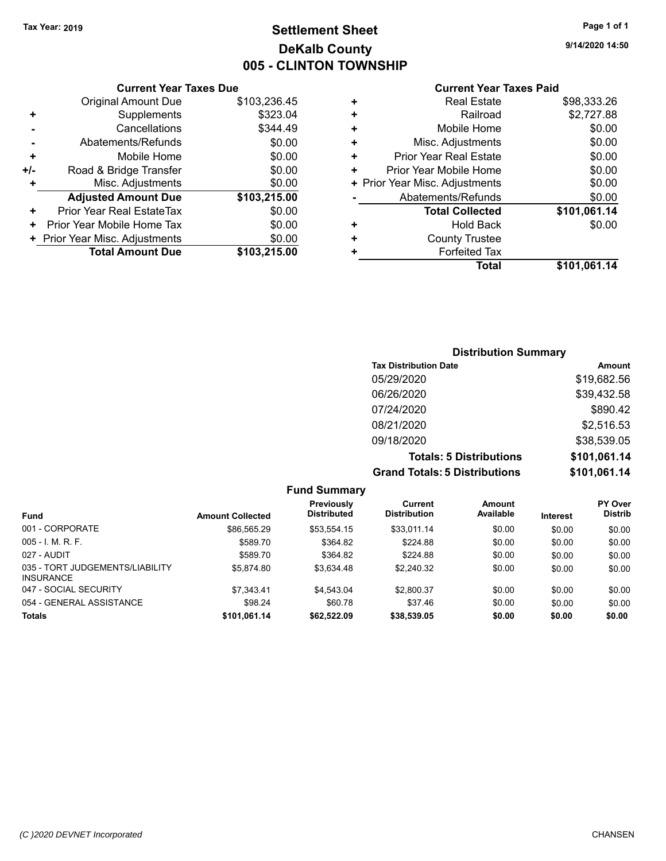## **Settlement Sheet Tax Year: 2019 Page 1 of 1 DeKalb County 005 - CLINTON TOWNSHIP**

**9/14/2020 14:50**

## **Current Year Taxes Paid**

|     | <b>Current Year Taxes Due</b>  |              |
|-----|--------------------------------|--------------|
|     | <b>Original Amount Due</b>     | \$103,236.45 |
| ٠   | Supplements                    | \$323.04     |
|     | Cancellations                  | \$344.49     |
|     | Abatements/Refunds             | \$0.00       |
| ٠   | Mobile Home                    | \$0.00       |
| +/- | Road & Bridge Transfer         | \$0.00       |
|     | Misc. Adjustments              | \$0.00       |
|     | <b>Adjusted Amount Due</b>     | \$103,215.00 |
| ÷   | Prior Year Real EstateTax      | \$0.00       |
| ٠   | Prior Year Mobile Home Tax     | \$0.00       |
|     | + Prior Year Misc. Adjustments | \$0.00       |
|     | <b>Total Amount Due</b>        | \$103,215,00 |
|     |                                |              |

| ٠ | <b>Real Estate</b>             | \$98,333.26  |
|---|--------------------------------|--------------|
| ٠ | Railroad                       | \$2,727.88   |
| ٠ | Mobile Home                    | \$0.00       |
| ٠ | Misc. Adjustments              | \$0.00       |
| ٠ | <b>Prior Year Real Estate</b>  | \$0.00       |
| ٠ | Prior Year Mobile Home         | \$0.00       |
|   | + Prior Year Misc. Adjustments | \$0.00       |
|   | Abatements/Refunds             | \$0.00       |
|   | <b>Total Collected</b>         | \$101,061.14 |
| ٠ | Hold Back                      | \$0.00       |
| ٠ | <b>County Trustee</b>          |              |
| ٠ | <b>Forfeited Tax</b>           |              |
|   | Total                          | \$101,061.14 |

## **Distribution Summary Tax Distribution Date Amount** 05/29/2020 \$19,682.56 06/26/2020 \$39,432.58 07/24/2020 \$890.42 08/21/2020 \$2,516.53 09/18/2020 \$38,539.05 **Totals: 5 Distributions \$101,061.14 Grand Totals: 5 Distributions \$101,061.14**

| <b>Fund Summary</b>                                 |                         |                                  |                                |                     |                 |                                  |  |
|-----------------------------------------------------|-------------------------|----------------------------------|--------------------------------|---------------------|-----------------|----------------------------------|--|
| <b>Fund</b>                                         | <b>Amount Collected</b> | Previously<br><b>Distributed</b> | Current<br><b>Distribution</b> | Amount<br>Available | <b>Interest</b> | <b>PY Over</b><br><b>Distrib</b> |  |
| 001 - CORPORATE                                     | \$86.565.29             | \$53.554.15                      | \$33,011.14                    | \$0.00              | \$0.00          | \$0.00                           |  |
| $005 - 1$ M, R, F.                                  | \$589.70                | \$364.82                         | \$224.88                       | \$0.00              | \$0.00          | \$0.00                           |  |
| 027 - AUDIT                                         | \$589.70                | \$364.82                         | \$224.88                       | \$0.00              | \$0.00          | \$0.00                           |  |
| 035 - TORT JUDGEMENTS/LIABILITY<br><b>INSURANCE</b> | \$5.874.80              | \$3.634.48                       | \$2,240.32                     | \$0.00              | \$0.00          | \$0.00                           |  |
| 047 - SOCIAL SECURITY                               | \$7,343.41              | \$4.543.04                       | \$2,800.37                     | \$0.00              | \$0.00          | \$0.00                           |  |
| 054 - GENERAL ASSISTANCE                            | \$98.24                 | \$60.78                          | \$37.46                        | \$0.00              | \$0.00          | \$0.00                           |  |
| <b>Totals</b>                                       | \$101,061.14            | \$62,522.09                      | \$38,539.05                    | \$0.00              | \$0.00          | \$0.00                           |  |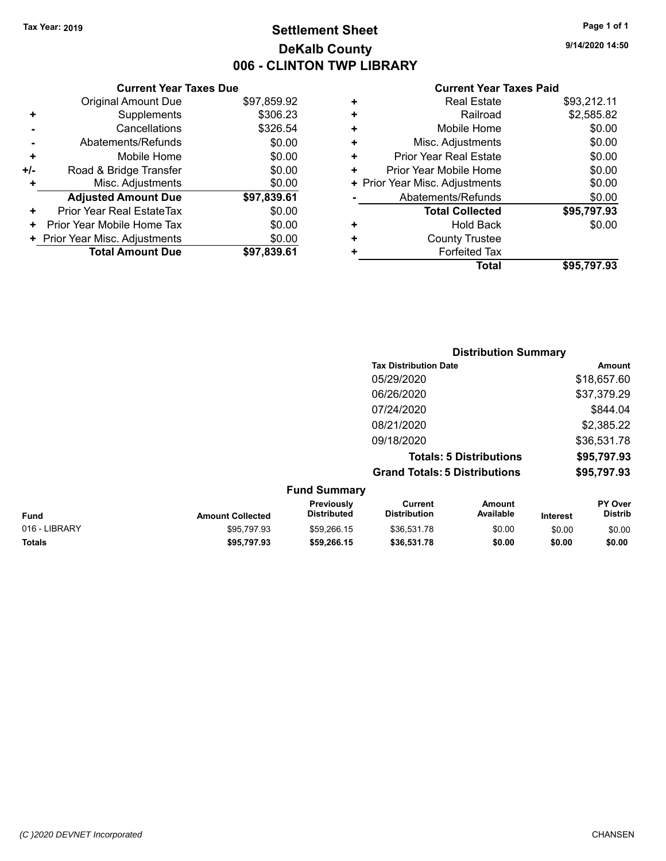## **Settlement Sheet Tax Year: 2019 Page 1 of 1 DeKalb County 006 - CLINTON TWP LIBRARY**

**9/14/2020 14:50**

|     | <b>Current Year Taxes Due</b>    |             |
|-----|----------------------------------|-------------|
|     | <b>Original Amount Due</b>       | \$97,859.92 |
| ÷   | Supplements                      | \$306.23    |
|     | Cancellations                    | \$326.54    |
|     | Abatements/Refunds               | \$0.00      |
| ٠   | Mobile Home                      | \$0.00      |
| +/- | Road & Bridge Transfer           | \$0.00      |
|     | Misc. Adjustments                | \$0.00      |
|     | <b>Adjusted Amount Due</b>       | \$97,839.61 |
| ٠   | <b>Prior Year Real EstateTax</b> | \$0.00      |
| ٠   | Prior Year Mobile Home Tax       | \$0.00      |
|     | + Prior Year Misc. Adjustments   | \$0.00      |
|     | <b>Total Amount Due</b>          | \$97,839.61 |
|     |                                  |             |

| ٠ | <b>Real Estate</b>             | \$93,212.11 |
|---|--------------------------------|-------------|
| ٠ | Railroad                       | \$2,585.82  |
| ٠ | Mobile Home                    | \$0.00      |
| ٠ | Misc. Adjustments              | \$0.00      |
| ٠ | <b>Prior Year Real Estate</b>  | \$0.00      |
| ٠ | Prior Year Mobile Home         | \$0.00      |
|   | + Prior Year Misc. Adjustments | \$0.00      |
|   | Abatements/Refunds             | \$0.00      |
|   | <b>Total Collected</b>         | \$95,797.93 |
| ٠ | Hold Back                      | \$0.00      |
| ÷ | <b>County Trustee</b>          |             |
| ٠ | <b>Forfeited Tax</b>           |             |
|   | Total                          | \$95,797.93 |
|   |                                |             |

|                     | <b>Distribution Summary</b>          |             |
|---------------------|--------------------------------------|-------------|
|                     | <b>Tax Distribution Date</b>         | Amount      |
|                     | 05/29/2020                           | \$18,657.60 |
|                     | 06/26/2020                           | \$37,379.29 |
|                     | 07/24/2020                           | \$844.04    |
|                     | 08/21/2020                           | \$2,385.22  |
|                     | 09/18/2020                           | \$36,531.78 |
|                     | <b>Totals: 5 Distributions</b>       | \$95,797.93 |
|                     | <b>Grand Totals: 5 Distributions</b> | \$95,797.93 |
| <b>Fund Summary</b> |                                      |             |

| <b>Fund</b>   | <b>Amount Collected</b> | <b>Previously</b><br><b>Distributed</b> | Current<br><b>Distribution</b> | Amount<br>Available | <b>Interest</b> | PY Over<br><b>Distrib</b> |
|---------------|-------------------------|-----------------------------------------|--------------------------------|---------------------|-----------------|---------------------------|
| 016 - LIBRARY | \$95,797.93             | \$59.266.15                             | \$36.531.78                    | \$0.00              | \$0.00          | \$0.00                    |
| <b>Totals</b> | \$95,797.93             | \$59,266.15                             | \$36,531.78                    | \$0.00              | \$0.00          | \$0.00                    |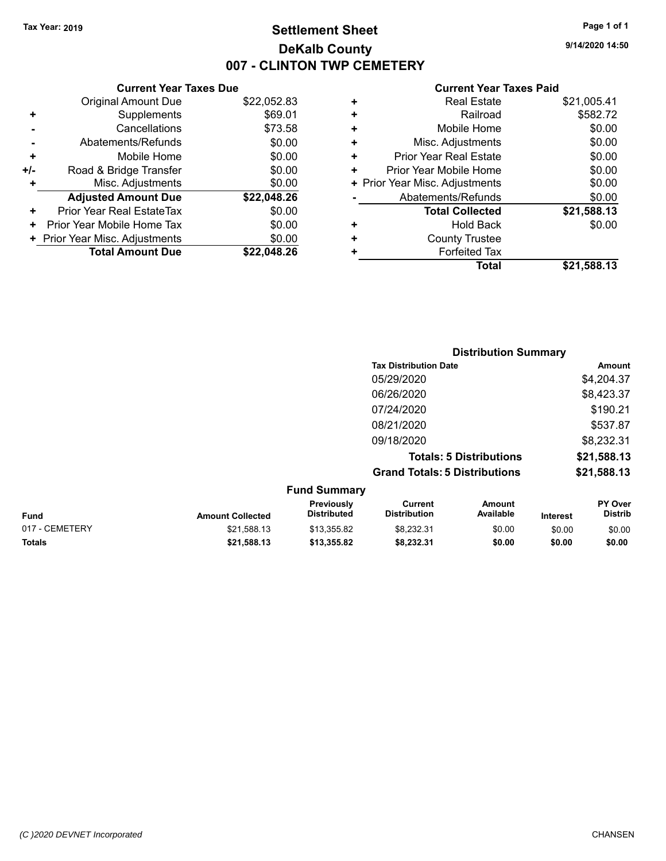## **Settlement Sheet Tax Year: 2019 Page 1 of 1 DeKalb County 007 - CLINTON TWP CEMETERY**

**9/14/2020 14:50**

|     | <b>Current Year Taxes Due</b>  |             |
|-----|--------------------------------|-------------|
|     | <b>Original Amount Due</b>     | \$22,052.83 |
| ٠   | Supplements                    | \$69.01     |
|     | Cancellations                  | \$73.58     |
|     | Abatements/Refunds             | \$0.00      |
| ٠   | Mobile Home                    | \$0.00      |
| +/- | Road & Bridge Transfer         | \$0.00      |
| ٠   | Misc. Adjustments              | \$0.00      |
|     | <b>Adjusted Amount Due</b>     | \$22,048.26 |
| ٠   | Prior Year Real EstateTax      | \$0.00      |
| ٠   | Prior Year Mobile Home Tax     | \$0.00      |
|     | + Prior Year Misc. Adjustments | \$0.00      |
|     | <b>Total Amount Due</b>        | \$22.048.26 |

|   | <b>Real Estate</b>             | \$21,005.41 |
|---|--------------------------------|-------------|
| ٠ | Railroad                       | \$582.72    |
| ÷ | Mobile Home                    | \$0.00      |
| ٠ | Misc. Adjustments              | \$0.00      |
| ٠ | Prior Year Real Estate         | \$0.00      |
| ٠ | Prior Year Mobile Home         | \$0.00      |
|   | + Prior Year Misc. Adjustments | \$0.00      |
|   | Abatements/Refunds             | \$0.00      |
|   | <b>Total Collected</b>         | \$21,588.13 |
| ٠ | Hold Back                      | \$0.00      |
| ٠ | <b>County Trustee</b>          |             |
| ٠ | <b>Forfeited Tax</b>           |             |
|   | Total                          | \$21,588.13 |
|   |                                |             |

|          | <b>Distribution Summary</b>          |             |
|----------|--------------------------------------|-------------|
|          | <b>Tax Distribution Date</b>         | Amount      |
|          | 05/29/2020                           | \$4,204.37  |
|          | 06/26/2020                           | \$8,423.37  |
|          | 07/24/2020                           | \$190.21    |
|          | 08/21/2020                           | \$537.87    |
|          | 09/18/2020                           | \$8,232.31  |
|          | <b>Totals: 5 Distributions</b>       | \$21,588.13 |
|          | <b>Grand Totals: 5 Distributions</b> | \$21,588.13 |
| F. J. O. |                                      |             |

|                |                         | <b>Fund Summary</b>                     |                                |                     |                 |                                  |
|----------------|-------------------------|-----------------------------------------|--------------------------------|---------------------|-----------------|----------------------------------|
| <b>Fund</b>    | <b>Amount Collected</b> | <b>Previously</b><br><b>Distributed</b> | Current<br><b>Distribution</b> | Amount<br>Available | <b>Interest</b> | <b>PY Over</b><br><b>Distrib</b> |
| 017 - CEMETERY | \$21,588.13             | \$13.355.82                             | \$8.232.31                     | \$0.00              | \$0.00          | \$0.00                           |
| <b>Totals</b>  | \$21,588.13             | \$13.355.82                             | \$8,232.31                     | \$0.00              | \$0.00          | \$0.00                           |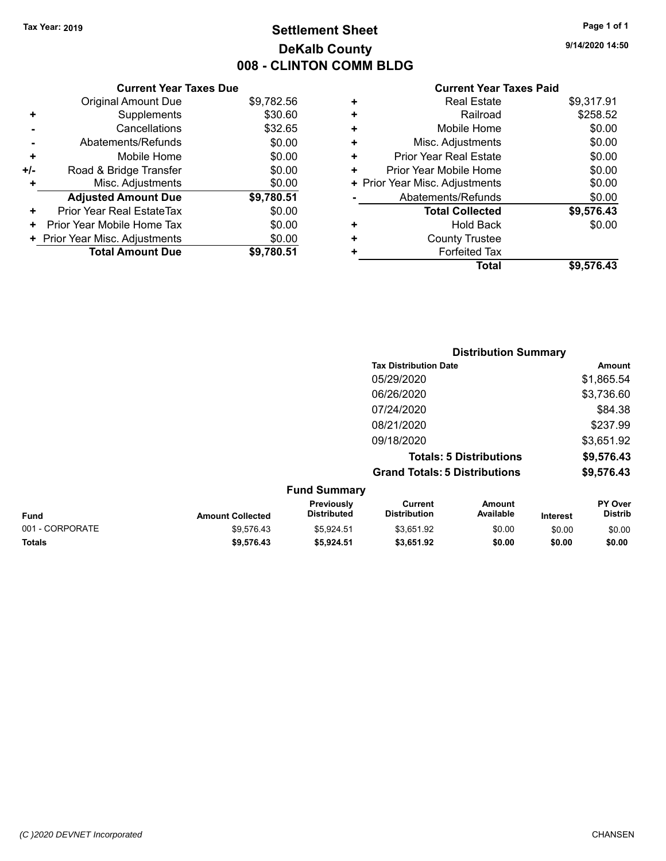## **Settlement Sheet Tax Year: 2019 Page 1 of 1 DeKalb County 008 - CLINTON COMM BLDG**

**9/14/2020 14:50**

| <b>Current Year Taxes Due</b>  |            |
|--------------------------------|------------|
| <b>Original Amount Due</b>     | \$9,782.56 |
| Supplements                    | \$30.60    |
| Cancellations                  | \$32.65    |
| Abatements/Refunds             | \$0.00     |
| Mobile Home                    | \$0.00     |
| Road & Bridge Transfer         | \$0.00     |
| Misc. Adjustments              | \$0.00     |
| <b>Adjusted Amount Due</b>     | \$9,780.51 |
| Prior Year Real EstateTax      | \$0.00     |
| Prior Year Mobile Home Tax     | \$0.00     |
| + Prior Year Misc. Adjustments | \$0.00     |
| <b>Total Amount Due</b>        | \$9.780.51 |
|                                |            |

|   | <b>Real Estate</b>             | \$9,317.91 |
|---|--------------------------------|------------|
| ÷ | Railroad                       | \$258.52   |
| ٠ | Mobile Home                    | \$0.00     |
| ٠ | Misc. Adjustments              | \$0.00     |
| ٠ | <b>Prior Year Real Estate</b>  | \$0.00     |
| ٠ | Prior Year Mobile Home         | \$0.00     |
|   | + Prior Year Misc. Adjustments | \$0.00     |
|   | Abatements/Refunds             | \$0.00     |
|   | <b>Total Collected</b>         | \$9,576.43 |
| ٠ | Hold Back                      | \$0.00     |
| ٠ | <b>County Trustee</b>          |            |
| ٠ | <b>Forfeited Tax</b>           |            |
|   | Total                          | \$9,576.43 |
|   |                                |            |

|   |                           |                                      | <b>Distribution Summary</b>    |                            |
|---|---------------------------|--------------------------------------|--------------------------------|----------------------------|
|   |                           | <b>Tax Distribution Date</b>         |                                | Amount                     |
|   |                           | 05/29/2020                           |                                | \$1,865.54                 |
|   |                           | 06/26/2020                           |                                | \$3,736.60                 |
|   |                           | 07/24/2020                           |                                | \$84.38                    |
|   |                           | 08/21/2020                           |                                | \$237.99                   |
|   |                           | 09/18/2020                           |                                | \$3,651.92                 |
|   |                           |                                      | <b>Totals: 5 Distributions</b> | \$9,576.43                 |
|   |                           | <b>Grand Totals: 5 Distributions</b> |                                | \$9,576.43                 |
|   | <b>Fund Summary</b>       |                                      |                                |                            |
| . | Previously<br>Diotributed | Current<br>Diotribution              | Amount<br><b>Available</b>     | <b>PY Over</b><br>Diatrib. |

| <b>Fund</b>     | <b>Amount Collected</b> | <b>Previously</b><br><b>Distributed</b> | Current<br><b>Distribution</b> | Amount<br>Available | <b>Interest</b> | <b>PY Over</b><br><b>Distrib</b> |
|-----------------|-------------------------|-----------------------------------------|--------------------------------|---------------------|-----------------|----------------------------------|
| 001 - CORPORATE | \$9.576.43              | \$5.924.51                              | \$3.651.92                     | \$0.00              | \$0.00          | \$0.00                           |
| <b>Totals</b>   | \$9.576.43              | \$5.924.51                              | \$3.651.92                     | \$0.00              | \$0.00          | \$0.00                           |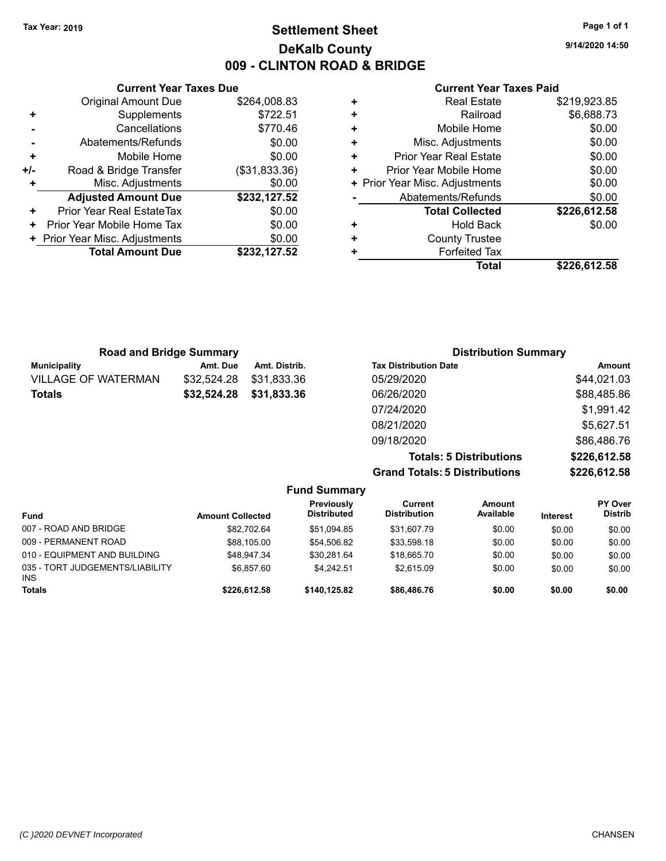## **Settlement Sheet Tax Year: 2019 Page 1 of 1 DeKalb County 009 - CLINTON ROAD & BRIDGE**

**9/14/2020 14:50**

#### **Current Year Taxes Paid**

| \$264,008.83<br>Original Amount Due<br>\$722.51<br>Supplements<br>÷<br>\$770.46<br>Cancellations<br>\$0.00<br>Abatements/Refunds<br>\$0.00<br>Mobile Home<br>٠<br>(\$31,833.36)<br>Road & Bridge Transfer<br>+/-<br>\$0.00<br>Misc. Adjustments |
|-------------------------------------------------------------------------------------------------------------------------------------------------------------------------------------------------------------------------------------------------|
|                                                                                                                                                                                                                                                 |
|                                                                                                                                                                                                                                                 |
|                                                                                                                                                                                                                                                 |
|                                                                                                                                                                                                                                                 |
|                                                                                                                                                                                                                                                 |
|                                                                                                                                                                                                                                                 |
|                                                                                                                                                                                                                                                 |
| <b>Adjusted Amount Due</b><br>\$232,127.52                                                                                                                                                                                                      |
| \$0.00<br>Prior Year Real EstateTax<br>٠                                                                                                                                                                                                        |
| \$0.00<br>Prior Year Mobile Home Tax                                                                                                                                                                                                            |
| \$0.00<br>+ Prior Year Misc. Adjustments                                                                                                                                                                                                        |
| <b>Total Amount Due</b><br>\$232,127.52                                                                                                                                                                                                         |

|   | <b>Real Estate</b>             | \$219,923.85 |
|---|--------------------------------|--------------|
| ٠ | Railroad                       | \$6,688.73   |
| ٠ | Mobile Home                    | \$0.00       |
| ٠ | Misc. Adjustments              | \$0.00       |
| ٠ | Prior Year Real Estate         | \$0.00       |
| ٠ | Prior Year Mobile Home         | \$0.00       |
|   | + Prior Year Misc. Adjustments | \$0.00       |
|   | Abatements/Refunds             | \$0.00       |
|   | <b>Total Collected</b>         | \$226,612.58 |
| ٠ | Hold Back                      | \$0.00       |
| ٠ | <b>County Trustee</b>          |              |
| ٠ | <b>Forfeited Tax</b>           |              |
|   | Total                          | \$226,612.58 |
|   |                                |              |

| <b>Road and Bridge Summary</b> |             |               | <b>Distribution Summary</b>  |             |
|--------------------------------|-------------|---------------|------------------------------|-------------|
| Municipality                   | Amt. Due    | Amt. Distrib. | <b>Tax Distribution Date</b> | Amount      |
| <b>VILLAGE OF WATERMAN</b>     | \$32,524.28 | \$31,833.36   | 05/29/2020                   | \$44,021.03 |
| <b>Totals</b>                  | \$32,524.28 | \$31,833.36   | 06/26/2020                   | \$88,485.86 |
|                                |             |               | 07/24/2020                   | \$1,991.42  |
|                                |             |               | 08/21/2020                   | \$5,627.51  |
|                                |             |               | 09/18/2020                   | \$86,486.76 |

**Totals: 5 Distributions \$226,612.58 Grand Totals: 5 Distributions \$226,612.58**

|                                         |                         | <b>Fund Summary</b>              |                                |                     |                 |                                  |
|-----------------------------------------|-------------------------|----------------------------------|--------------------------------|---------------------|-----------------|----------------------------------|
| <b>Fund</b>                             | <b>Amount Collected</b> | <b>Previously</b><br>Distributed | Current<br><b>Distribution</b> | Amount<br>Available | <b>Interest</b> | <b>PY Over</b><br><b>Distrib</b> |
| 007 - ROAD AND BRIDGE                   | \$82.702.64             | \$51,094.85                      | \$31,607.79                    | \$0.00              | \$0.00          | \$0.00                           |
| 009 - PERMANENT ROAD                    | \$88.105.00             | \$54,506.82                      | \$33,598.18                    | \$0.00              | \$0.00          | \$0.00                           |
| 010 - EQUIPMENT AND BUILDING            | \$48.947.34             | \$30.281.64                      | \$18,665.70                    | \$0.00              | \$0.00          | \$0.00                           |
| 035 - TORT JUDGEMENTS/LIABILITY<br>INS. | \$6.857.60              | \$4.242.51                       | \$2.615.09                     | \$0.00              | \$0.00          | \$0.00                           |
| <b>Totals</b>                           | \$226,612.58            | \$140.125.82                     | \$86,486.76                    | \$0.00              | \$0.00          | \$0.00                           |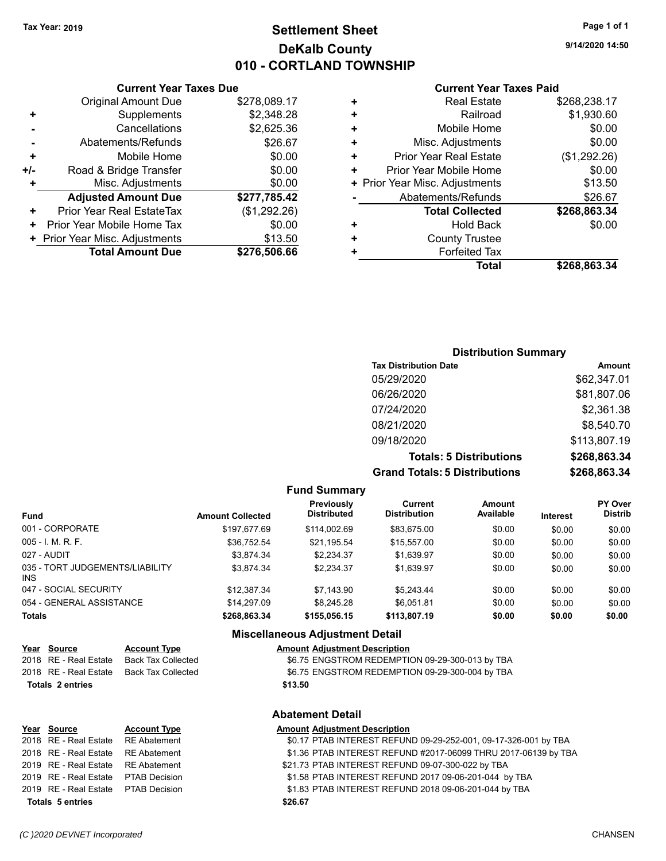## **Settlement Sheet Tax Year: 2019 Page 1 of 1 DeKalb County 010 - CORTLAND TOWNSHIP**

**9/14/2020 14:50**

#### **Current Year Taxes Paid**

|     | <b>Original Amount Due</b>       | \$278,089.17 | ٠ |
|-----|----------------------------------|--------------|---|
| ٠   | Supplements                      | \$2,348.28   |   |
|     | Cancellations                    | \$2,625.36   |   |
|     | Abatements/Refunds               | \$26.67      |   |
| ٠   | Mobile Home                      | \$0.00       | ٠ |
| +/- | Road & Bridge Transfer           | \$0.00       | ٠ |
| ÷   | Misc. Adjustments                | \$0.00       |   |
|     | <b>Adjusted Amount Due</b>       | \$277,785.42 |   |
| ٠   | <b>Prior Year Real EstateTax</b> | (\$1,292.26) |   |
| ٠   | Prior Year Mobile Home Tax       | \$0.00       |   |
|     | + Prior Year Misc. Adjustments   | \$13.50      |   |
|     | <b>Total Amount Due</b>          | \$276,506.66 |   |
|     |                                  |              |   |

**Current Year Taxes Due**

| ٠ | <b>Real Estate</b>             | \$268,238.17 |
|---|--------------------------------|--------------|
| ÷ | Railroad                       | \$1,930.60   |
| ٠ | Mobile Home                    | \$0.00       |
| ٠ | Misc. Adjustments              | \$0.00       |
| ٠ | <b>Prior Year Real Estate</b>  | (\$1,292.26) |
| ٠ | Prior Year Mobile Home         | \$0.00       |
|   | + Prior Year Misc. Adjustments | \$13.50      |
|   | Abatements/Refunds             | \$26.67      |
|   | <b>Total Collected</b>         | \$268,863.34 |
| ٠ | <b>Hold Back</b>               | \$0.00       |
| ٠ | <b>County Trustee</b>          |              |
| ٠ | <b>Forfeited Tax</b>           |              |
|   | Total                          | \$268,863.34 |
|   |                                |              |

## **Distribution Summary Tax Distribution Date Amount** 05/29/2020 \$62,347.01 06/26/2020 \$81,807.06 07/24/2020 \$2,361.38 08/21/2020 \$8,540.70 09/18/2020 \$113,807.19 **Totals: 5 Distributions \$268,863.34 Grand Totals: 5 Distributions \$268,863.34**

|  | <b>Fund Summary</b> |
|--|---------------------|
|--|---------------------|

| <b>Fund</b>                             | <b>Amount Collected</b> | <b>Previously</b><br><b>Distributed</b> | Current<br><b>Distribution</b> | <b>Amount</b><br>Available | <b>Interest</b> | <b>PY Over</b><br><b>Distrib</b> |
|-----------------------------------------|-------------------------|-----------------------------------------|--------------------------------|----------------------------|-----------------|----------------------------------|
| 001 - CORPORATE                         | \$197.677.69            | \$114.002.69                            | \$83.675.00                    | \$0.00                     | \$0.00          | \$0.00                           |
| $005 - 1$ , M, R, F,                    | \$36,752.54             | \$21,195.54                             | \$15.557.00                    | \$0.00                     | \$0.00          | \$0.00                           |
| 027 - AUDIT                             | \$3,874.34              | \$2.234.37                              | \$1,639.97                     | \$0.00                     | \$0.00          | \$0.00                           |
| 035 - TORT JUDGEMENTS/LIABILITY<br>INS. | \$3.874.34              | \$2.234.37                              | \$1.639.97                     | \$0.00                     | \$0.00          | \$0.00                           |
| 047 - SOCIAL SECURITY                   | \$12,387.34             | \$7.143.90                              | \$5.243.44                     | \$0.00                     | \$0.00          | \$0.00                           |
| 054 - GENERAL ASSISTANCE                | \$14.297.09             | \$8,245.28                              | \$6.051.81                     | \$0.00                     | \$0.00          | \$0.00                           |
| <b>Totals</b>                           | \$268,863.34            | \$155,056.15                            | \$113,807.19                   | \$0.00                     | \$0.00          | \$0.00                           |

#### **Miscellaneous Adjustment Detail**

| Year Source           | <b>Account Type</b> | <b>Amount Adjustment Description</b>            |
|-----------------------|---------------------|-------------------------------------------------|
| 2018 RE - Real Estate | Back Tax Collected  | \$6.75 ENGSTROM REDEMPTION 09-29-300-013 by TBA |
| 2018 RE - Real Estate | Back Tax Collected  | \$6.75 ENGSTROM REDEMPTION 09-29-300-004 by TBA |
| Totals 2 entries      |                     | \$13.50                                         |

| <b>Abatement Detail</b> |  |
|-------------------------|--|
|-------------------------|--|

| Year Source                         | <b>Account Type</b> | <b>Amount Adjustment Description</b>                            |
|-------------------------------------|---------------------|-----------------------------------------------------------------|
| 2018 RE - Real Estate               | RE Abatement        | \$0.17 PTAB INTEREST REFUND 09-29-252-001, 09-17-326-001 by TBA |
| 2018 RE - Real Estate RE Abatement  |                     | \$1.36 PTAB INTEREST REFUND #2017-06099 THRU 2017-06139 by TBA  |
| 2019 RE - Real Estate RE Abatement  |                     | \$21.73 PTAB INTEREST REFUND 09-07-300-022 by TBA               |
| 2019 RE - Real Estate PTAB Decision |                     | \$1.58 PTAB INTEREST REFUND 2017 09-06-201-044 by TBA           |
| 2019 RE - Real Estate PTAB Decision |                     | \$1.83 PTAB INTEREST REFUND 2018 09-06-201-044 by TBA           |
| <b>Totals 5 entries</b>             |                     | \$26.67                                                         |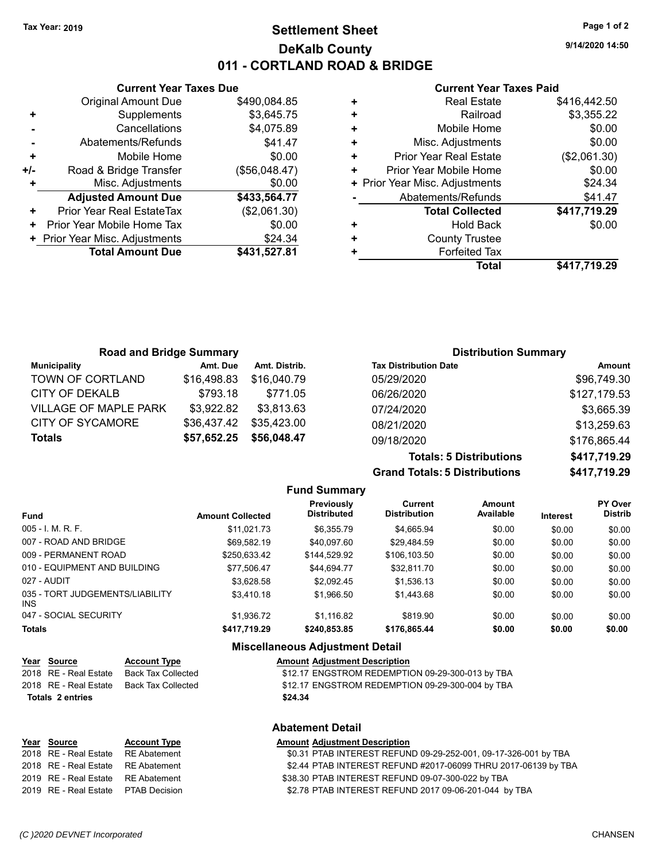## **Settlement Sheet Tax Year: 2019 Page 1 of 2 DeKalb County 011 - CORTLAND ROAD & BRIDGE**

**9/14/2020 14:50**

#### **Current Year Taxes Paid**

|     | <b>Current Year Taxes Due</b>              |               |  |  |  |  |
|-----|--------------------------------------------|---------------|--|--|--|--|
|     | <b>Original Amount Due</b><br>\$490,084.85 |               |  |  |  |  |
| ٠   | Supplements                                | \$3,645.75    |  |  |  |  |
|     | Cancellations                              | \$4,075.89    |  |  |  |  |
|     | Abatements/Refunds                         | \$41.47       |  |  |  |  |
| ٠   | Mobile Home                                | \$0.00        |  |  |  |  |
| +/- | Road & Bridge Transfer                     | (\$56,048.47) |  |  |  |  |
|     | Misc. Adjustments                          | \$0.00        |  |  |  |  |
|     | <b>Adjusted Amount Due</b>                 | \$433,564.77  |  |  |  |  |
| ٠   | Prior Year Real EstateTax                  | (\$2,061.30)  |  |  |  |  |
| ٠   | Prior Year Mobile Home Tax                 | \$0.00        |  |  |  |  |
|     | + Prior Year Misc. Adjustments             | \$24.34       |  |  |  |  |
|     | <b>Total Amount Due</b>                    | \$431,527.81  |  |  |  |  |
|     |                                            |               |  |  |  |  |

| ٠ | <b>Real Estate</b>             | \$416,442.50 |
|---|--------------------------------|--------------|
| ٠ | Railroad                       | \$3,355.22   |
| ٠ | Mobile Home                    | \$0.00       |
| ٠ | Misc. Adjustments              | \$0.00       |
| ٠ | <b>Prior Year Real Estate</b>  | (\$2,061.30) |
| ÷ | Prior Year Mobile Home         | \$0.00       |
|   | + Prior Year Misc. Adjustments | \$24.34      |
|   | Abatements/Refunds             | \$41.47      |
|   | <b>Total Collected</b>         | \$417,719.29 |
| ٠ | <b>Hold Back</b>               | \$0.00       |
| ٠ | <b>County Trustee</b>          |              |
| ٠ | <b>Forfeited Tax</b>           |              |
|   | Total                          | \$417,719.29 |
|   |                                |              |

| <b>Road and Bridge Summary</b> |             |               | <b>Distribution Summary</b>  |              |
|--------------------------------|-------------|---------------|------------------------------|--------------|
| <b>Municipality</b>            | Amt. Due    | Amt. Distrib. | <b>Tax Distribution Date</b> | Amount       |
| TOWN OF CORTLAND               | \$16,498.83 | \$16,040.79   | 05/29/2020                   | \$96,749.30  |
| CITY OF DEKALB                 | \$793.18    | \$771.05      | 06/26/2020                   | \$127,179.53 |
| <b>VILLAGE OF MAPLE PARK</b>   | \$3,922.82  | \$3.813.63    | 07/24/2020                   | \$3,665.39   |
| CITY OF SYCAMORE               | \$36,437.42 | \$35,423.00   | 08/21/2020                   | \$13,259.63  |
| <b>Totals</b>                  | \$57,652.25 | \$56,048.47   | 09/18/2020                   | \$176,865.44 |
|                                |             |               |                              |              |

**Totals: 5 Distributions \$417,719.29 Grand Totals: 5 Distributions \$417,719.29**

|                                         |                         | <b>Fund Summary</b>                     |                                |                     |                 |                                  |
|-----------------------------------------|-------------------------|-----------------------------------------|--------------------------------|---------------------|-----------------|----------------------------------|
| <b>Fund</b>                             | <b>Amount Collected</b> | <b>Previously</b><br><b>Distributed</b> | Current<br><b>Distribution</b> | Amount<br>Available | <b>Interest</b> | <b>PY Over</b><br><b>Distrib</b> |
| $005 - I$ , M, R, F,                    | \$11.021.73             | \$6.355.79                              | \$4.665.94                     | \$0.00              | \$0.00          | \$0.00                           |
| 007 - ROAD AND BRIDGE                   | \$69.582.19             | \$40.097.60                             | \$29.484.59                    | \$0.00              | \$0.00          | \$0.00                           |
| 009 - PERMANENT ROAD                    | \$250.633.42            | \$144.529.92                            | \$106,103.50                   | \$0.00              | \$0.00          | \$0.00                           |
| 010 - EQUIPMENT AND BUILDING            | \$77.506.47             | \$44.694.77                             | \$32.811.70                    | \$0.00              | \$0.00          | \$0.00                           |
| 027 - AUDIT                             | \$3.628.58              | \$2.092.45                              | \$1.536.13                     | \$0.00              | \$0.00          | \$0.00                           |
| 035 - TORT JUDGEMENTS/LIABILITY<br>INS. | \$3,410.18              | \$1,966.50                              | \$1.443.68                     | \$0.00              | \$0.00          | \$0.00                           |
| 047 - SOCIAL SECURITY                   | \$1.936.72              | \$1.116.82                              | \$819.90                       | \$0.00              | \$0.00          | \$0.00                           |
| <b>Totals</b>                           | \$417,719.29            | \$240,853.85                            | \$176,865.44                   | \$0.00              | \$0.00          | \$0.00                           |

#### **Miscellaneous Adjustment Detail**

**Abatement Detail**

|  | Year Source | <b>Account Type</b> | <b>Amount Adjustment Description</b> |
|--|-------------|---------------------|--------------------------------------|
|--|-------------|---------------------|--------------------------------------|

| Totals 2 entries |                       |                    | \$24.34                                          |
|------------------|-----------------------|--------------------|--------------------------------------------------|
|                  | 2018 RE - Real Estate | Back Tax Collected | \$12.17 ENGSTROM REDEMPTION 09-29-300-004 by TBA |
|                  | 2018 RE - Real Estate | Back Tax Collected | \$12.17 ENGSTROM REDEMPTION 09-29-300-013 by TBA |

| Year Source                         | <b>Account Type</b> | <b>Amount Adjustment Description</b>                            |
|-------------------------------------|---------------------|-----------------------------------------------------------------|
| 2018 RE - Real Estate RE Abatement  |                     | \$0.31 PTAB INTEREST REFUND 09-29-252-001, 09-17-326-001 by TBA |
| 2018 RE - Real Estate RE Abatement  |                     | \$2.44 PTAB INTEREST REFUND #2017-06099 THRU 2017-06139 by TBA  |
| 2019 RE - Real Estate RE Abatement  |                     | \$38.30 PTAB INTEREST REFUND 09-07-300-022 by TBA               |
| 2019 RE - Real Estate PTAB Decision |                     | \$2.78 PTAB INTEREST REFUND 2017 09-06-201-044 by TBA           |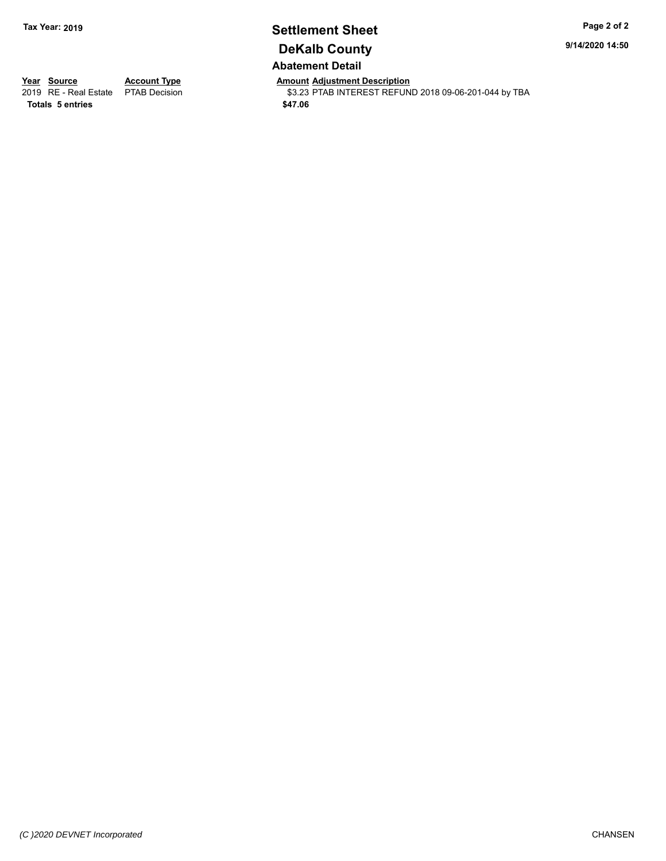## **Settlement Sheet Tax Year: 2019 Page 2 of 2 DeKalb County Abatement Detail**

**9/14/2020 14:50**

**Totals \$47.06 5 entries**

**Year Source Account Type Anneurs Amount Adjustment Description**<br>2019 RE - Real Estate PTAB Decision **Amount Adjustment Description** \$3.23 PTAB INTEREST REFUND 2018 09-06-201-044 by TBA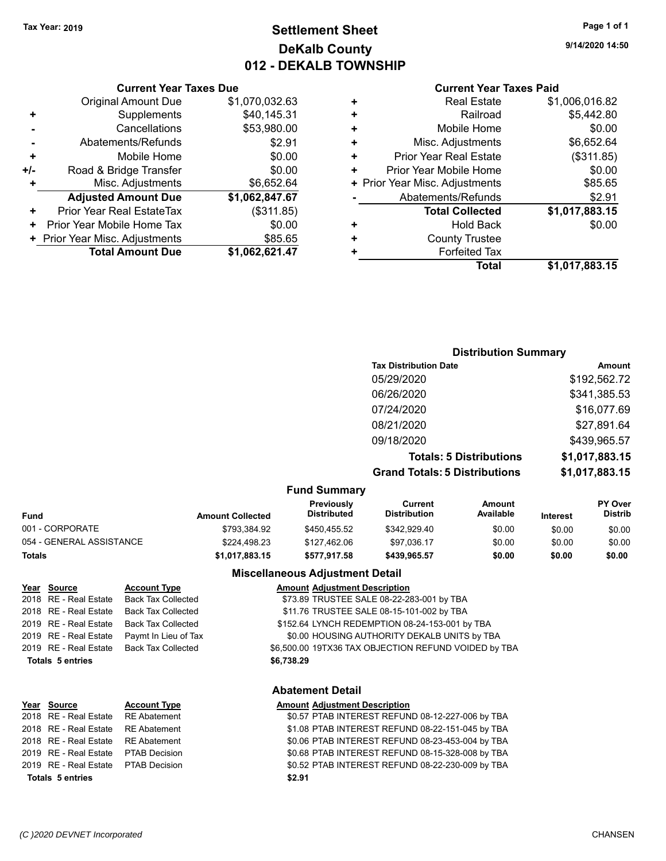## **Settlement Sheet Tax Year: 2019 Page 1 of 1 DeKalb County 012 - DEKALB TOWNSHIP**

**9/14/2020 14:50**

#### **Current Year Taxes Paid**

|     | <b>Original Amount Due</b>       | \$1,070,032.63 |
|-----|----------------------------------|----------------|
| ٠   | Supplements                      | \$40,145.31    |
|     | Cancellations                    | \$53,980.00    |
|     | Abatements/Refunds               | \$2.91         |
| ٠   | Mobile Home                      | \$0.00         |
| +/- | Road & Bridge Transfer           | \$0.00         |
| ٠   | Misc. Adjustments                | \$6,652.64     |
|     | <b>Adjusted Amount Due</b>       | \$1,062,847.67 |
| ٠   | <b>Prior Year Real EstateTax</b> | (\$311.85)     |
| ٠   | Prior Year Mobile Home Tax       | \$0.00         |
|     | + Prior Year Misc. Adjustments   | \$85.65        |
|     | <b>Total Amount Due</b>          | \$1,062,621.47 |
|     |                                  |                |

**Current Year Taxes Due**

|   | <b>Real Estate</b>             | \$1,006,016.82 |
|---|--------------------------------|----------------|
| ٠ | Railroad                       | \$5,442.80     |
| ٠ | Mobile Home                    | \$0.00         |
| ٠ | Misc. Adjustments              | \$6,652.64     |
| ٠ | <b>Prior Year Real Estate</b>  | (\$311.85)     |
| ٠ | Prior Year Mobile Home         | \$0.00         |
|   | + Prior Year Misc. Adjustments | \$85.65        |
|   | Abatements/Refunds             | \$2.91         |
|   | <b>Total Collected</b>         | \$1,017,883.15 |
| ٠ | <b>Hold Back</b>               | \$0.00         |
| ٠ | <b>County Trustee</b>          |                |
|   | <b>Forfeited Tax</b>           |                |
|   | Total                          | \$1,017,883.15 |
|   |                                |                |

#### **Distribution Summary**

| Amount         |
|----------------|
| \$192,562.72   |
| \$341,385.53   |
| \$16,077.69    |
| \$27,891.64    |
| \$439,965.57   |
| \$1,017,883.15 |
| \$1,017,883.15 |
|                |

#### **Fund Summary**

| <b>Fund</b>              | <b>Amount Collected</b> | <b>Previously</b><br><b>Distributed</b> | Current<br><b>Distribution</b> | Amount<br>Available | <b>Interest</b> | <b>PY Over</b><br><b>Distrib</b> |
|--------------------------|-------------------------|-----------------------------------------|--------------------------------|---------------------|-----------------|----------------------------------|
| 001 - CORPORATE          | \$793.384.92            | \$450.455.52                            | \$342.929.40                   | \$0.00              | \$0.00          | \$0.00                           |
| 054 - GENERAL ASSISTANCE | \$224.498.23            | \$127.462.06                            | \$97.036.17                    | \$0.00              | \$0.00          | \$0.00                           |
| <b>Totals</b>            | \$1,017,883.15          | \$577.917.58                            | \$439.965.57                   | \$0.00              | \$0.00          | \$0.00                           |

#### **Miscellaneous Adjustment Detail**

|                         | Year Source           | <b>Account Type</b>       | <b>Amount Adjustment Description</b>                 |  |
|-------------------------|-----------------------|---------------------------|------------------------------------------------------|--|
|                         | 2018 RE - Real Estate | <b>Back Tax Collected</b> | \$73.89 TRUSTEE SALE 08-22-283-001 by TBA            |  |
|                         | 2018 RE - Real Estate | <b>Back Tax Collected</b> | \$11.76 TRUSTEE SALE 08-15-101-002 by TBA            |  |
|                         | 2019 RE - Real Estate | <b>Back Tax Collected</b> | \$152.64 LYNCH REDEMPTION 08-24-153-001 by TBA       |  |
|                         | 2019 RE - Real Estate | Paymt In Lieu of Tax      | \$0.00 HOUSING AUTHORITY DEKALB UNITS by TBA         |  |
|                         | 2019 RE - Real Estate | <b>Back Tax Collected</b> | \$6,500.00 19TX36 TAX OBJECTION REFUND VOIDED by TBA |  |
| <b>Totals 5 entries</b> |                       |                           | \$6,738.29                                           |  |
|                         |                       |                           |                                                      |  |

#### **Abatement Detail**

#### **Year Source Account Type AMOU AMOUNT Adjustment Description** 2018 RE - Real Estate RE Abatement \$0.57 PTAB INTEREST REFUND 08-12-227-006 by TBA 2018 RE - Real Estate RE Abatement \$1.08 PTAB INTEREST REFUND 08-22-151-045 by TBA 2018 RE - Real Estate RE Abatement THE Abatement S0.06 PTAB INTEREST REFUND 08-23-453-004 by TBA 2019 RE - Real Estate \$0.68 PTAB INTEREST REFUND 08-15-328-008 by PTAB Decision TBA 2019 RE - Real Estate PTAB Decision 60.52 PTAB INTEREST REFUND 08-22-230-009 by TBA **Totals \$2.91 5 entries**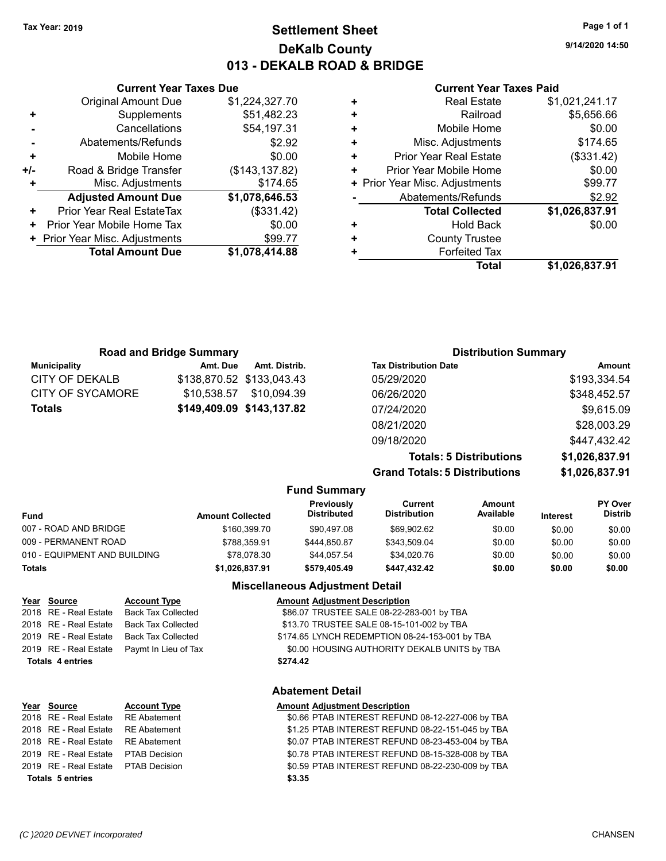## **Settlement Sheet Tax Year: 2019 Page 1 of 1 DeKalb County 013 - DEKALB ROAD & BRIDGE**

**9/14/2020 14:50**

#### **Current Year Taxes Paid**

|   | <b>Real Estate</b>             | \$1,021,241.17 |
|---|--------------------------------|----------------|
| ٠ | Railroad                       | \$5,656.66     |
| ٠ | Mobile Home                    | \$0.00         |
| ٠ | Misc. Adjustments              | \$174.65       |
| ٠ | <b>Prior Year Real Estate</b>  | (\$331.42)     |
| ٠ | Prior Year Mobile Home         | \$0.00         |
|   | + Prior Year Misc. Adjustments | \$99.77        |
|   | Abatements/Refunds             | \$2.92         |
|   | <b>Total Collected</b>         | \$1,026,837.91 |
| ٠ | <b>Hold Back</b>               | \$0.00         |
| ٠ | <b>County Trustee</b>          |                |
|   | <b>Forfeited Tax</b>           |                |
|   | Total                          | \$1,026,837.91 |
|   |                                |                |

|     | <b>Current Year Taxes Due</b>    |                 |  |  |  |
|-----|----------------------------------|-----------------|--|--|--|
|     | <b>Original Amount Due</b>       | \$1,224,327.70  |  |  |  |
| ٠   | Supplements                      | \$51,482.23     |  |  |  |
|     | Cancellations                    | \$54,197.31     |  |  |  |
|     | Abatements/Refunds               | \$2.92          |  |  |  |
| ٠   | Mobile Home                      | \$0.00          |  |  |  |
| +/- | Road & Bridge Transfer           | (\$143, 137.82) |  |  |  |
| ٠   | Misc. Adjustments                | \$174.65        |  |  |  |
|     | <b>Adjusted Amount Due</b>       | \$1,078,646.53  |  |  |  |
| ٠   | <b>Prior Year Real EstateTax</b> | (\$331.42)      |  |  |  |
| ٠   | Prior Year Mobile Home Tax       | \$0.00          |  |  |  |
|     | + Prior Year Misc. Adjustments   | \$99.77         |  |  |  |
|     | <b>Total Amount Due</b>          | \$1,078,414.88  |  |  |  |
|     |                                  |                 |  |  |  |

| <b>Road and Bridge Summary</b> |             |                           | <b>Distribution Summary</b>    |                |  |
|--------------------------------|-------------|---------------------------|--------------------------------|----------------|--|
| <b>Municipality</b>            | Amt. Due    | Amt. Distrib.             | <b>Tax Distribution Date</b>   | <b>Amount</b>  |  |
| <b>CITY OF DEKALB</b>          |             | \$138,870.52 \$133,043.43 | 05/29/2020                     | \$193,334.54   |  |
| CITY OF SYCAMORE               | \$10.538.57 | \$10,094.39               | 06/26/2020                     | \$348,452.57   |  |
| <b>Totals</b>                  |             | \$149,409.09 \$143,137.82 | 07/24/2020                     | \$9,615.09     |  |
|                                |             |                           | 08/21/2020                     | \$28,003.29    |  |
|                                |             |                           | 09/18/2020                     | \$447,432.42   |  |
|                                |             |                           | <b>Totals: 5 Distributions</b> | \$1,026,837.91 |  |

**Grand Totals: 5 Distributions \$1,026,837.91**

| .  | <del>.</del>   |
|----|----------------|
| ns | \$1,026,837.91 |
|    |                |

|                              |                         | <b>Fund Summary</b>              |                                |                     |                 |                                  |
|------------------------------|-------------------------|----------------------------------|--------------------------------|---------------------|-----------------|----------------------------------|
| <b>Fund</b>                  | <b>Amount Collected</b> | Previously<br><b>Distributed</b> | Current<br><b>Distribution</b> | Amount<br>Available | <b>Interest</b> | <b>PY Over</b><br><b>Distrib</b> |
| 007 - ROAD AND BRIDGE        | \$160,399.70            | \$90.497.08                      | \$69.902.62                    | \$0.00              | \$0.00          | \$0.00                           |
| 009 - PERMANENT ROAD         | \$788.359.91            | \$444.850.87                     | \$343.509.04                   | \$0.00              | \$0.00          | \$0.00                           |
| 010 - EQUIPMENT AND BUILDING | \$78,078.30             | \$44.057.54                      | \$34.020.76                    | \$0.00              | \$0.00          | \$0.00                           |
| <b>Totals</b>                | \$1.026.837.91          | \$579.405.49                     | \$447.432.42                   | \$0.00              | \$0.00          | \$0.00                           |
|                              |                         | Missellanessis Adiustment Detail |                                |                     |                 |                                  |

#### **Miscellaneous Adjustment Detail**

|                         | Year Source           | <b>Account Type</b>                        | <b>Amount Adjustment Description</b>           |
|-------------------------|-----------------------|--------------------------------------------|------------------------------------------------|
|                         | 2018 RE - Real Estate | Back Tax Collected                         | \$86.07 TRUSTEE SALE 08-22-283-001 by TBA      |
|                         |                       | 2018 RE - Real Estate Back Tax Collected   | \$13.70 TRUSTEE SALE 08-15-101-002 by TBA      |
|                         |                       | 2019 RE - Real Estate Back Tax Collected   | \$174.65 LYNCH REDEMPTION 08-24-153-001 by TBA |
|                         |                       | 2019 RE - Real Estate Paymt In Lieu of Tax | \$0.00 HOUSING AUTHORITY DEKALB UNITS by TBA   |
| <b>Totals 4 entries</b> |                       |                                            | \$274.42                                       |
|                         |                       |                                            |                                                |

#### **Abatement Detail**

#### **Year Source Account Type AMOU AMOUNT Adjustment Description** 2018 RE - Real Estate RE Abatement \$0.66 PTAB INTEREST REFUND 08-12-227-006 by TBA 2018 RE - Real Estate RE Abatement \$1.25 PTAB INTEREST REFUND 08-22-151-045 by TBA 2018 RE - Real Estate RE Abatement \$0.07 PTAB INTEREST REFUND 08-23-453-004 by TBA 2019 RE - Real Estate \$0.78 PTAB INTEREST REFUND 08-15-328-008 by PTAB Decision TBA 2019 RE - Real Estate \$0.59 PTAB INTEREST REFUND 08-22-230-009 by PTAB Decision TBA **Totals \$3.35 5 entries**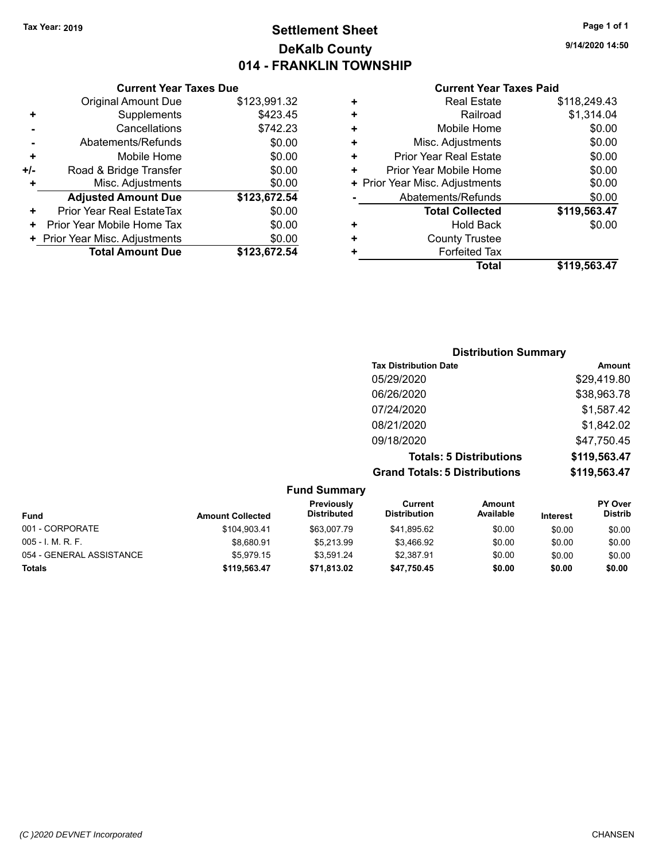## **Settlement Sheet Tax Year: 2019 Page 1 of 1 DeKalb County 014 - FRANKLIN TOWNSHIP**

**9/14/2020 14:50**

|     | <b>Current Year Taxes Due</b>  |              |
|-----|--------------------------------|--------------|
|     | <b>Original Amount Due</b>     | \$123,991.32 |
| ÷   | Supplements                    | \$423.45     |
|     | Cancellations                  | \$742.23     |
|     | Abatements/Refunds             | \$0.00       |
| ٠   | Mobile Home                    | \$0.00       |
| +/- | Road & Bridge Transfer         | \$0.00       |
| ٠   | Misc. Adjustments              | \$0.00       |
|     | <b>Adjusted Amount Due</b>     | \$123,672.54 |
| ٠   | Prior Year Real EstateTax      | \$0.00       |
| ٠   | Prior Year Mobile Home Tax     | \$0.00       |
|     | + Prior Year Misc. Adjustments | \$0.00       |
|     | <b>Total Amount Due</b>        | \$123.672.54 |
|     |                                |              |

| ٠ | <b>Real Estate</b>             | \$118,249.43 |
|---|--------------------------------|--------------|
| ٠ | Railroad                       | \$1,314.04   |
| ÷ | Mobile Home                    | \$0.00       |
| ٠ | Misc. Adjustments              | \$0.00       |
| ٠ | <b>Prior Year Real Estate</b>  | \$0.00       |
| ٠ | Prior Year Mobile Home         | \$0.00       |
|   | + Prior Year Misc. Adjustments | \$0.00       |
|   | Abatements/Refunds             | \$0.00       |
|   | <b>Total Collected</b>         | \$119,563.47 |
| + | Hold Back                      | \$0.00       |
| ÷ | <b>County Trustee</b>          |              |
| ÷ | <b>Forfeited Tax</b>           |              |
|   | Total                          | \$119,563.47 |
|   |                                |              |

| <b>Distribution Summary</b>          |              |
|--------------------------------------|--------------|
| <b>Tax Distribution Date</b>         | Amount       |
| 05/29/2020                           | \$29,419.80  |
| 06/26/2020                           | \$38,963.78  |
| 07/24/2020                           | \$1,587.42   |
| 08/21/2020                           | \$1,842.02   |
| 09/18/2020                           | \$47,750.45  |
| <b>Totals: 5 Distributions</b>       | \$119,563.47 |
| <b>Grand Totals: 5 Distributions</b> | \$119,563.47 |

|                          |                         | <b>Fund Summary</b>              |                                |                     |                 |                                  |
|--------------------------|-------------------------|----------------------------------|--------------------------------|---------------------|-----------------|----------------------------------|
| <b>Fund</b>              | <b>Amount Collected</b> | Previously<br><b>Distributed</b> | Current<br><b>Distribution</b> | Amount<br>Available | <b>Interest</b> | <b>PY Over</b><br><b>Distrib</b> |
| 001 - CORPORATE          | \$104.903.41            | \$63,007.79                      | \$41.895.62                    | \$0.00              | \$0.00          | \$0.00                           |
| 005 - I. M. R. F.        | \$8.680.91              | \$5.213.99                       | \$3.466.92                     | \$0.00              | \$0.00          | \$0.00                           |
| 054 - GENERAL ASSISTANCE | \$5.979.15              | \$3.591.24                       | \$2,387.91                     | \$0.00              | \$0.00          | \$0.00                           |
| <b>Totals</b>            | \$119.563.47            | \$71.813.02                      | \$47,750.45                    | \$0.00              | \$0.00          | \$0.00                           |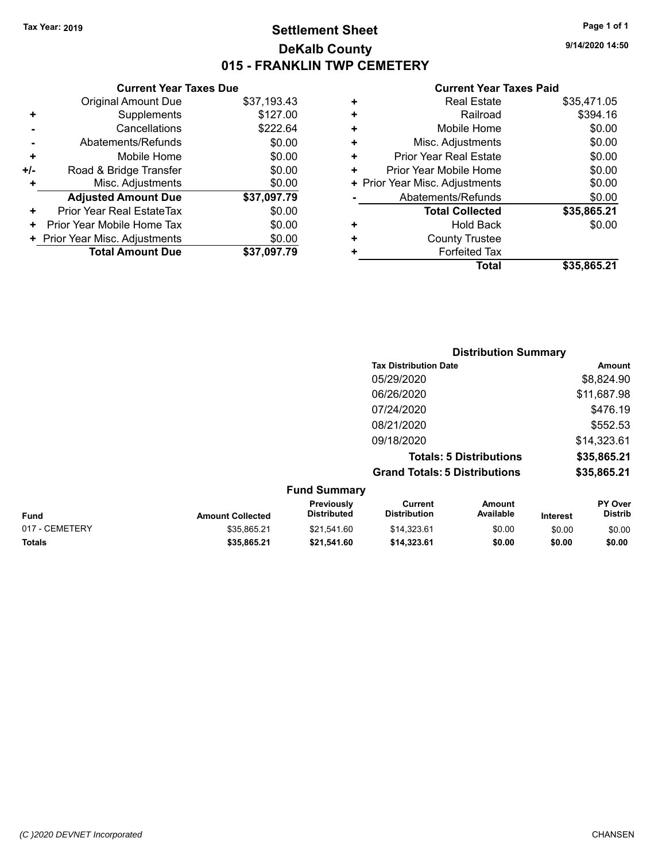## **Settlement Sheet Tax Year: 2019 Page 1 of 1 DeKalb County 015 - FRANKLIN TWP CEMETERY**

**Current Year Taxes Due** Original Amount Due \$37,193.43 **+** Supplements \$127.00 **-** Cancellations \$222.64 **-** Abatements/Refunds \$0.00 **+** Mobile Home \$0.00 **+/-** Road & Bridge Transfer **\$0.00 +** Misc. Adjustments \$0.00 **Adjusted Amount Due \$37,097.79 +** Prior Year Real EstateTax \$0.00 **+** Prior Year Mobile Home Tax  $$0.00$ **+ Prior Year Misc. Adjustments**  $$0.00$ **Total Amount Due \$37,097.79**

|   | <b>Real Estate</b>             | \$35,471.05 |
|---|--------------------------------|-------------|
| ÷ | Railroad                       | \$394.16    |
| ٠ | Mobile Home                    | \$0.00      |
| ٠ | Misc. Adjustments              | \$0.00      |
| ٠ | <b>Prior Year Real Estate</b>  | \$0.00      |
| ÷ | Prior Year Mobile Home         | \$0.00      |
|   | + Prior Year Misc. Adjustments | \$0.00      |
|   | Abatements/Refunds             | \$0.00      |
|   | <b>Total Collected</b>         | \$35,865.21 |
| ٠ | <b>Hold Back</b>               | \$0.00      |
| ٠ | <b>County Trustee</b>          |             |
| ٠ | <b>Forfeited Tax</b>           |             |
|   | <b>Total</b>                   | \$35,865.21 |

|                         | <b>Distribution Summary</b>      |                                       |                                |                 |                           |
|-------------------------|----------------------------------|---------------------------------------|--------------------------------|-----------------|---------------------------|
|                         |                                  | <b>Tax Distribution Date</b>          |                                |                 | <b>Amount</b>             |
|                         |                                  | 05/29/2020                            |                                |                 | \$8,824.90                |
|                         |                                  | 06/26/2020                            |                                |                 | \$11,687.98               |
|                         |                                  | 07/24/2020                            |                                |                 | \$476.19                  |
|                         |                                  | 08/21/2020                            |                                |                 | \$552.53                  |
|                         |                                  | 09/18/2020                            |                                |                 | \$14,323.61               |
|                         |                                  |                                       | <b>Totals: 5 Distributions</b> |                 | \$35,865.21               |
|                         |                                  | <b>Grand Totals: 5 Distributions</b>  |                                |                 | \$35,865.21               |
|                         | <b>Fund Summary</b>              |                                       |                                |                 |                           |
| <b>Amount Collected</b> | Previously<br><b>Distributed</b> | <b>Current</b><br><b>Distribution</b> | Amount<br>Available            | <b>Interest</b> | PY Over<br><b>Distrib</b> |

| <b>Fund</b>    | <b>Amount Collected</b> | Previously<br>Distributed | Current<br>Distribution | Amount<br>Available | Interest | <b>PY Over</b><br>Distrib |
|----------------|-------------------------|---------------------------|-------------------------|---------------------|----------|---------------------------|
| 017 - CEMETERY | \$35.865.21             | \$21.541.60               | \$14.323.61             | \$0.00              | \$0.00   | \$0.00                    |
| <b>Totals</b>  | \$35,865,21             | \$21.541.60               | \$14,323.61             | \$0.00              | \$0.00   | \$0.00                    |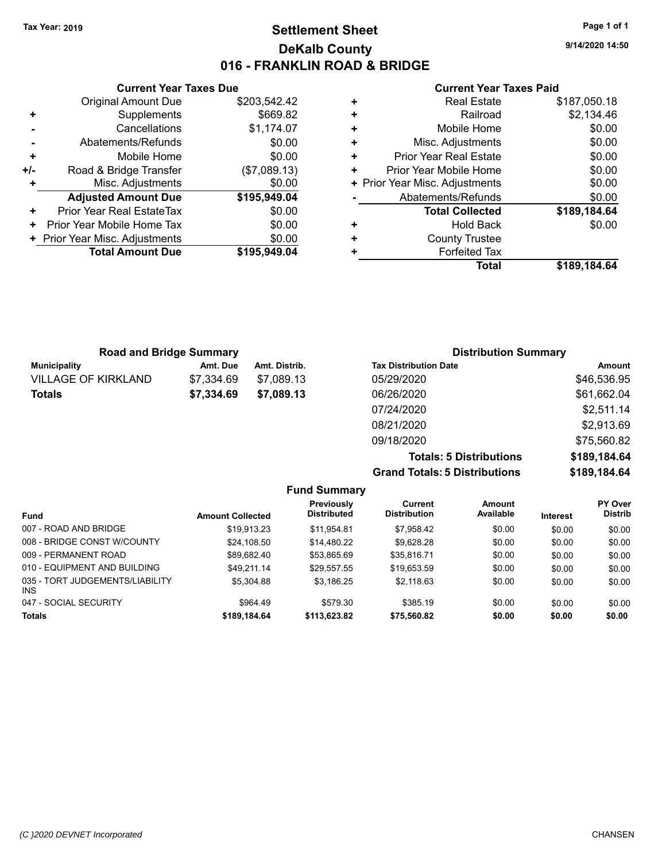## **Settlement Sheet Tax Year: 2019 Page 1 of 1 DeKalb County 016 - FRANKLIN ROAD & BRIDGE**

**9/14/2020 14:50**

#### **Current Year Taxes Paid**

|     | <b>Current Year Taxes Due</b>  |              |
|-----|--------------------------------|--------------|
|     | <b>Original Amount Due</b>     | \$203,542.42 |
| ÷   | Supplements                    | \$669.82     |
|     | Cancellations                  | \$1,174.07   |
|     | Abatements/Refunds             | \$0.00       |
| ÷   | Mobile Home                    | \$0.00       |
| +/- | Road & Bridge Transfer         | (\$7,089.13) |
|     | Misc. Adjustments              | \$0.00       |
|     | <b>Adjusted Amount Due</b>     | \$195,949.04 |
| ÷   | Prior Year Real EstateTax      | \$0.00       |
| ٠   | Prior Year Mobile Home Tax     | \$0.00       |
|     | + Prior Year Misc. Adjustments | \$0.00       |
|     | <b>Total Amount Due</b>        | \$195,949,04 |
|     |                                |              |

|   | <b>Real Estate</b>             | \$187,050.18 |
|---|--------------------------------|--------------|
| ٠ | Railroad                       | \$2,134.46   |
| ٠ | Mobile Home                    | \$0.00       |
| ٠ | Misc. Adjustments              | \$0.00       |
| ٠ | Prior Year Real Estate         | \$0.00       |
| ٠ | Prior Year Mobile Home         | \$0.00       |
|   | + Prior Year Misc. Adjustments | \$0.00       |
|   | Abatements/Refunds             | \$0.00       |
|   | <b>Total Collected</b>         | \$189,184.64 |
| ٠ | <b>Hold Back</b>               | \$0.00       |
| ٠ | <b>County Trustee</b>          |              |
| + | <b>Forfeited Tax</b>           |              |
|   | Total                          | \$189.184.64 |

| <b>Road and Bridge Summary</b> |            |               | <b>Distribution Summary</b>  |             |  |
|--------------------------------|------------|---------------|------------------------------|-------------|--|
| Municipality                   | Amt. Due   | Amt. Distrib. | <b>Tax Distribution Date</b> | Amount      |  |
| <b>VILLAGE OF KIRKLAND</b>     | \$7.334.69 | \$7.089.13    | 05/29/2020                   | \$46,536.95 |  |
| <b>Totals</b>                  | \$7,334.69 | \$7,089.13    | 06/26/2020                   | \$61,662.04 |  |
|                                |            |               | 07/24/2020                   | \$2,511.14  |  |
|                                |            |               | 08/21/2020                   | \$2,913.69  |  |
|                                |            |               | 09/18/2020                   | \$75,560.82 |  |

**Grand Totals: 5 Distributions** 

| <b>Totals: 5 Distributions</b> | \$189,184.64 |
|--------------------------------|--------------|
| <b>Totals: 5 Distributions</b> | \$189,184.64 |

|                                         |                         | <b>Fund Summary</b>                     |                                |                     |                 |                                  |
|-----------------------------------------|-------------------------|-----------------------------------------|--------------------------------|---------------------|-----------------|----------------------------------|
| <b>Fund</b>                             | <b>Amount Collected</b> | <b>Previously</b><br><b>Distributed</b> | Current<br><b>Distribution</b> | Amount<br>Available | <b>Interest</b> | <b>PY Over</b><br><b>Distrib</b> |
| 007 - ROAD AND BRIDGE                   | \$19.913.23             | \$11.954.81                             | \$7.958.42                     | \$0.00              | \$0.00          | \$0.00                           |
| 008 - BRIDGE CONST W/COUNTY             | \$24,108.50             | \$14.480.22                             | \$9.628.28                     | \$0.00              | \$0.00          | \$0.00                           |
| 009 - PERMANENT ROAD                    | \$89.682.40             | \$53.865.69                             | \$35.816.71                    | \$0.00              | \$0.00          | \$0.00                           |
| 010 - EQUIPMENT AND BUILDING            | \$49.211.14             | \$29.557.55                             | \$19.653.59                    | \$0.00              | \$0.00          | \$0.00                           |
| 035 - TORT JUDGEMENTS/LIABILITY<br>INS. | \$5.304.88              | \$3.186.25                              | \$2.118.63                     | \$0.00              | \$0.00          | \$0.00                           |
| 047 - SOCIAL SECURITY                   | \$964.49                | \$579.30                                | \$385.19                       | \$0.00              | \$0.00          | \$0.00                           |
| <b>Totals</b>                           | \$189,184.64            | \$113,623.82                            | \$75,560.82                    | \$0.00              | \$0.00          | \$0.00                           |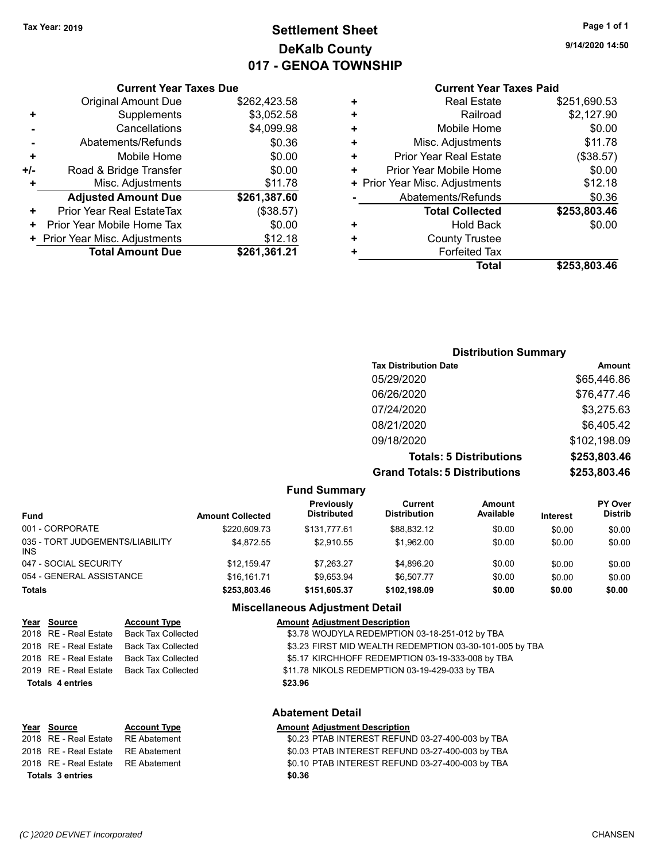# **Settlement Sheet Tax Year: 2019 Page 1 of 1 DeKalb County 017 - GENOA TOWNSHIP**

**9/14/2020 14:50**

#### **Current Year Taxes Paid**

|     | <b>Current Year Taxes Due</b>  |              |   |                |
|-----|--------------------------------|--------------|---|----------------|
|     | <b>Original Amount Due</b>     | \$262,423.58 | ٠ |                |
|     | Supplements                    | \$3,052.58   | ٠ |                |
|     | Cancellations                  | \$4,099.98   | ٠ |                |
|     | Abatements/Refunds             | \$0.36       | ٠ | N              |
|     | Mobile Home                    | \$0.00       | ٠ | Prior          |
| +/- | Road & Bridge Transfer         | \$0.00       | ٠ | Prior Y        |
| ٠   | Misc. Adjustments              | \$11.78      |   | + Prior Year M |
|     | <b>Adjusted Amount Due</b>     | \$261,387.60 |   | Aba            |
|     | Prior Year Real EstateTax      | (\$38.57)    |   |                |
|     | Prior Year Mobile Home Tax     | \$0.00       | ٠ |                |
|     | + Prior Year Misc. Adjustments | \$12.18      | ٠ |                |
|     | <b>Total Amount Due</b>        | \$261,361.21 |   |                |
|     |                                |              |   |                |

| <b>Real Estate</b>             | \$251,690.53 |
|--------------------------------|--------------|
| Railroad                       | \$2,127.90   |
| Mobile Home                    | \$0.00       |
| Misc. Adjustments              | \$11.78      |
| <b>Prior Year Real Estate</b>  | (\$38.57)    |
| Prior Year Mobile Home         | \$0.00       |
| + Prior Year Misc. Adjustments | \$12.18      |
| Abatements/Refunds             | \$0.36       |
| <b>Total Collected</b>         | \$253,803.46 |
| <b>Hold Back</b>               | \$0.00       |
| <b>County Trustee</b>          |              |
| <b>Forfeited Tax</b>           |              |
| Total                          | \$253,803.46 |
|                                |              |

## **Distribution Summary Tax Distribution Date Amount** 05/29/2020 \$65,446.86 06/26/2020 \$76,477.46 07/24/2020 \$3,275.63 08/21/2020 \$6,405.42 09/18/2020 \$102,198.09 **Totals: 5 Distributions \$253,803.46 Grand Totals: 5 Distributions \$253,803.46**

| <b>Fund Summary</b>                     |                         |                                  |                                |                     |                 |                                  |
|-----------------------------------------|-------------------------|----------------------------------|--------------------------------|---------------------|-----------------|----------------------------------|
| <b>Fund</b>                             | <b>Amount Collected</b> | Previously<br><b>Distributed</b> | Current<br><b>Distribution</b> | Amount<br>Available | <b>Interest</b> | <b>PY Over</b><br><b>Distrib</b> |
| 001 - CORPORATE                         | \$220,609.73            | \$131.777.61                     | \$88.832.12                    | \$0.00              | \$0.00          | \$0.00                           |
| 035 - TORT JUDGEMENTS/LIABILITY<br>INS. | \$4.872.55              | \$2.910.55                       | \$1.962.00                     | \$0.00              | \$0.00          | \$0.00                           |
| 047 - SOCIAL SECURITY                   | \$12.159.47             | \$7.263.27                       | \$4,896.20                     | \$0.00              | \$0.00          | \$0.00                           |
| 054 - GENERAL ASSISTANCE                | \$16.161.71             | \$9,653.94                       | \$6.507.77                     | \$0.00              | \$0.00          | \$0.00                           |
| <b>Totals</b>                           | \$253,803.46            | \$151,605.37                     | \$102,198.09                   | \$0.00              | \$0.00          | \$0.00                           |

## **Miscellaneous Adjustment Detail**

| <u>Year Source</u>      | <b>Account Type</b>       | <b>Amount Adjustment Description</b>                    |
|-------------------------|---------------------------|---------------------------------------------------------|
| 2018 RE - Real Estate   | <b>Back Tax Collected</b> | \$3.78 WOJDYLA REDEMPTION 03-18-251-012 by TBA          |
| 2018 RE - Real Estate   | Back Tax Collected        | \$3.23 FIRST MID WEALTH REDEMPTION 03-30-101-005 by TBA |
| 2018 RE - Real Estate   | <b>Back Tax Collected</b> | \$5.17 KIRCHHOFF REDEMPTION 03-19-333-008 by TBA        |
| 2019 RE - Real Estate   | Back Tax Collected        | \$11.78 NIKOLS REDEMPTION 03-19-429-033 by TBA          |
| <b>Totals 4 entries</b> |                           | \$23.96                                                 |
|                         |                           |                                                         |

#### **Abatement Detail**

| <u>Year Source</u>                 | <b>Account Type</b> | <b>Amount Adiustment Description</b>             |
|------------------------------------|---------------------|--------------------------------------------------|
| 2018 RE - Real Estate RE Abatement |                     | \$0.23 PTAB INTEREST REFUND 03-27-400-003 by TBA |
| 2018 RE - Real Estate RE Abatement |                     | \$0.03 PTAB INTEREST REFUND 03-27-400-003 by TBA |
| 2018 RE - Real Estate RE Abatement |                     | \$0.10 PTAB INTEREST REFUND 03-27-400-003 by TBA |
| Totals 3 entries                   |                     | \$0.36                                           |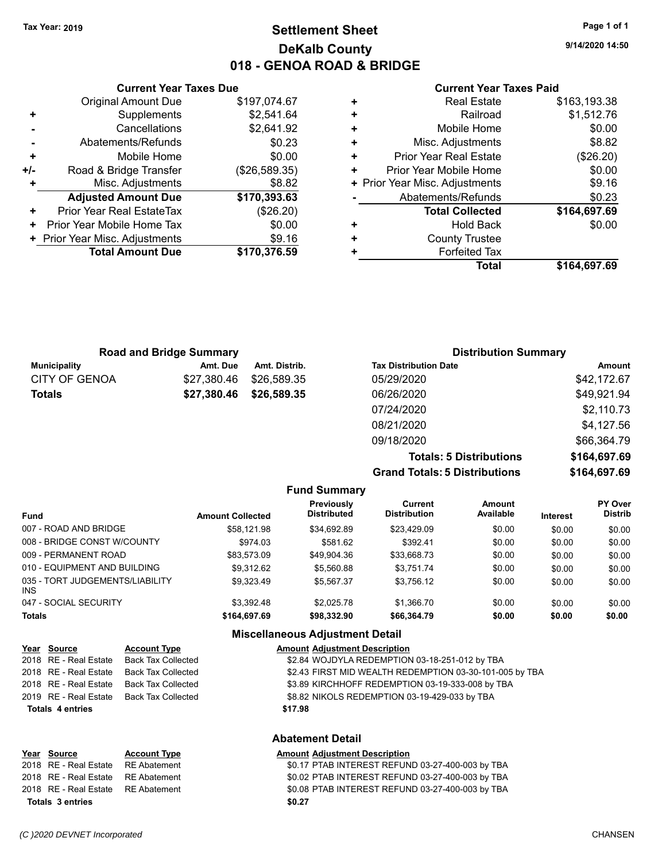## **Settlement Sheet Tax Year: 2019 Page 1 of 1 DeKalb County 018 - GENOA ROAD & BRIDGE**

**9/14/2020 14:50**

#### **Current Year Taxes Paid**

|       | <b>Original Amount Due</b>     | \$197,074.67  |
|-------|--------------------------------|---------------|
| ٠     | Supplements                    | \$2,541.64    |
|       | Cancellations                  | \$2,641.92    |
|       | Abatements/Refunds             | \$0.23        |
| ÷     | Mobile Home                    | \$0.00        |
| $+/-$ | Road & Bridge Transfer         | (\$26,589.35) |
|       | Misc. Adjustments              | \$8.82        |
|       | <b>Adjusted Amount Due</b>     | \$170,393.63  |
| ٠     | Prior Year Real EstateTax      | (\$26.20)     |
| ٠     | Prior Year Mobile Home Tax     | \$0.00        |
|       | + Prior Year Misc. Adjustments | \$9.16        |
|       | <b>Total Amount Due</b>        | \$170,376.59  |
|       |                                |               |

**Current Year Taxes Due**

|   | <b>Real Estate</b>             | \$163,193.38 |
|---|--------------------------------|--------------|
| ٠ | Railroad                       | \$1,512.76   |
| ٠ | Mobile Home                    | \$0.00       |
| ٠ | Misc. Adjustments              | \$8.82       |
| ٠ | <b>Prior Year Real Estate</b>  | $(\$26.20)$  |
| ٠ | Prior Year Mobile Home         | \$0.00       |
|   | + Prior Year Misc. Adjustments | \$9.16       |
|   | Abatements/Refunds             | \$0.23       |
|   | <b>Total Collected</b>         | \$164,697.69 |
| ٠ | Hold Back                      | \$0.00       |
| ٠ | <b>County Trustee</b>          |              |
| ٠ | <b>Forfeited Tax</b>           |              |
|   | Total                          | \$164,697.69 |

| <b>Road and Bridge Summary</b> |             |               | <b>Distribution Summary</b>  |             |
|--------------------------------|-------------|---------------|------------------------------|-------------|
| Municipality                   | Amt. Due    | Amt. Distrib. | <b>Tax Distribution Date</b> | Amount      |
| <b>CITY OF GENOA</b>           | \$27,380.46 | \$26,589.35   | 05/29/2020                   | \$42,172.67 |
| <b>Totals</b>                  | \$27,380.46 | \$26,589.35   | 06/26/2020                   | \$49,921.94 |
|                                |             |               | 07/24/2020                   | \$2,110.73  |
|                                |             |               | 08/21/2020                   | \$4,127.56  |
|                                |             |               | 09/18/2020                   | \$66,364.79 |

**Grand Totals: 5 Distributions** 

**Totals: 5 Distributions \$164,697.69**

|  | \$164,697.69 |
|--|--------------|
|  |              |
|  |              |
|  |              |

|                                         |                         | --------------                   |                                |                     |                 |                           |
|-----------------------------------------|-------------------------|----------------------------------|--------------------------------|---------------------|-----------------|---------------------------|
| Fund                                    | <b>Amount Collected</b> | Previously<br><b>Distributed</b> | Current<br><b>Distribution</b> | Amount<br>Available | <b>Interest</b> | PY Over<br><b>Distrib</b> |
| 007 - ROAD AND BRIDGE                   | \$58.121.98             | \$34,692.89                      | \$23,429.09                    | \$0.00              | \$0.00          | \$0.00                    |
| 008 - BRIDGE CONST W/COUNTY             | \$974.03                | \$581.62                         | \$392.41                       | \$0.00              | \$0.00          | \$0.00                    |
| 009 - PERMANENT ROAD                    | \$83.573.09             | \$49,904.36                      | \$33,668.73                    | \$0.00              | \$0.00          | \$0.00                    |
| 010 - EQUIPMENT AND BUILDING            | \$9.312.62              | \$5,560.88                       | \$3.751.74                     | \$0.00              | \$0.00          | \$0.00                    |
| 035 - TORT JUDGEMENTS/LIABILITY<br>INS. | \$9.323.49              | \$5.567.37                       | \$3.756.12                     | \$0.00              | \$0.00          | \$0.00                    |
| 047 - SOCIAL SECURITY                   | \$3.392.48              | \$2,025.78                       | \$1.366.70                     | \$0.00              | \$0.00          | \$0.00                    |
| Totals                                  | \$164,697.69            | \$98,332.90                      | \$66,364.79                    | \$0.00              | \$0.00          | \$0.00                    |
|                                         |                         |                                  |                                |                     |                 |                           |

**Fund Summary**

#### **Miscellaneous Adjustment Detail**

|                         | Year Source           | <b>Account Type</b>       | <b>Amount Adjustment Description</b>                    |
|-------------------------|-----------------------|---------------------------|---------------------------------------------------------|
|                         | 2018 RE - Real Estate | <b>Back Tax Collected</b> | \$2.84 WOJDYLA REDEMPTION 03-18-251-012 by TBA          |
|                         | 2018 RE - Real Estate | <b>Back Tax Collected</b> | \$2.43 FIRST MID WEALTH REDEMPTION 03-30-101-005 by TBA |
|                         | 2018 RE - Real Estate | <b>Back Tax Collected</b> | \$3.89 KIRCHHOFF REDEMPTION 03-19-333-008 by TBA        |
|                         | 2019 RE - Real Estate | Back Tax Collected        | \$8.82 NIKOLS REDEMPTION 03-19-429-033 by TBA           |
| <b>Totals 4 entries</b> |                       |                           | \$17.98                                                 |
|                         |                       |                           | <b>Abatement Detail</b>                                 |
|                         | Year Source           | <b>Account Type</b>       | <b>Amount Adjustment Description</b>                    |

# **Totals \$0.27 3 entries**

2018 RE - Real Estate RE Abatement \$0.17 PTAB INTEREST REFUND 03-27-400-003 by TBA 2018 RE - Real Estate RE Abatement \$0.02 PTAB INTEREST REFUND 03-27-400-003 by TBA 2018 RE - Real Estate RE Abatement \$0.08 PTAB INTEREST REFUND 03-27-400-003 by TBA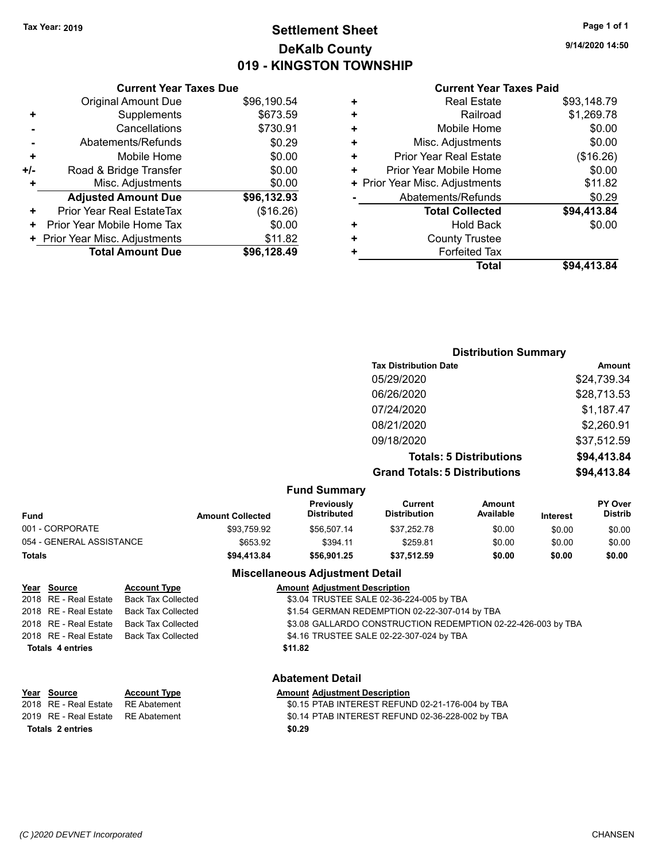## **Settlement Sheet Tax Year: 2019 Page 1 of 1 DeKalb County 019 - KINGSTON TOWNSHIP**

**9/14/2020 14:50**

#### **Current Year Taxes Paid**

|     | <b>Original Amount Due</b>     | \$96,190.54 |
|-----|--------------------------------|-------------|
| ٠   | Supplements                    | \$673.59    |
|     | Cancellations                  | \$730.91    |
|     | Abatements/Refunds             | \$0.29      |
| ÷   | Mobile Home                    | \$0.00      |
| +/- | Road & Bridge Transfer         | \$0.00      |
| ٠   | Misc. Adjustments              | \$0.00      |
|     | <b>Adjusted Amount Due</b>     | \$96,132.93 |
| ٠   | Prior Year Real EstateTax      | (\$16.26)   |
| ٠   | Prior Year Mobile Home Tax     | \$0.00      |
|     | + Prior Year Misc. Adjustments | \$11.82     |
|     | <b>Total Amount Due</b>        | \$96,128.49 |
|     |                                |             |

**Current Year Taxes Due**

| ٠ | <b>Real Estate</b>             | \$93,148.79 |
|---|--------------------------------|-------------|
| ٠ | Railroad                       | \$1,269.78  |
| ÷ | Mobile Home                    | \$0.00      |
| ÷ | Misc. Adjustments              | \$0.00      |
| ٠ | <b>Prior Year Real Estate</b>  | (\$16.26)   |
| ٠ | Prior Year Mobile Home         | \$0.00      |
|   | + Prior Year Misc. Adjustments | \$11.82     |
|   | Abatements/Refunds             | \$0.29      |
|   | <b>Total Collected</b>         | \$94,413.84 |
| ٠ | <b>Hold Back</b>               | \$0.00      |
| ÷ | <b>County Trustee</b>          |             |
| ٠ | <b>Forfeited Tax</b>           |             |
|   | Total                          | \$94,413.84 |
|   |                                |             |

#### **Distribution Summary Tax Distribution Date Amount** 05/29/2020 \$24,739.34 06/26/2020 \$28,713.53 07/24/2020 \$1,187.47 08/21/2020 \$2,260.91 09/18/2020 \$37,512.59 **Totals: 5 Distributions \$94,413.84 Grand Totals: 5 Distributions \$94,413.84 Fund Summary PY Over Amount Current Previously**

| <b>Fund</b>              | <b>Amount Collected</b> | <b>Previously</b><br><b>Distributed</b> | Current<br>Distribution | Amount<br>Available | <b>Interest</b> | <b>PY Over</b><br><b>Distrib</b> |
|--------------------------|-------------------------|-----------------------------------------|-------------------------|---------------------|-----------------|----------------------------------|
| 001 - CORPORATE          | \$93,759.92             | \$56.507.14                             | \$37.252.78             | \$0.00              | \$0.00          | \$0.00                           |
| 054 - GENERAL ASSISTANCE | \$653.92                | \$394.11                                | \$259.81                | \$0.00              | \$0.00          | \$0.00                           |
| <b>Totals</b>            | \$94,413.84             | \$56.901.25                             | \$37.512.59             | \$0.00              | \$0.00          | \$0.00                           |

## **Miscellaneous Adjustment Detail**

| Year Source             | <b>Account Type</b>                      | <b>Amount Adjustment Description</b>                         |
|-------------------------|------------------------------------------|--------------------------------------------------------------|
| 2018 RE - Real Estate   | Back Tax Collected                       | \$3.04 TRUSTEE SALE 02-36-224-005 by TBA                     |
| 2018 RE - Real Estate   | Back Tax Collected                       | \$1.54 GERMAN REDEMPTION 02-22-307-014 by TBA                |
| 2018 RE - Real Estate   | Back Tax Collected                       | \$3.08 GALLARDO CONSTRUCTION REDEMPTION 02-22-426-003 by TBA |
|                         | 2018 RE - Real Estate Back Tax Collected | \$4.16 TRUSTEE SALE 02-22-307-024 by TBA                     |
| <b>Totals 4 entries</b> |                                          | \$11.82                                                      |
|                         |                                          |                                                              |
|                         |                                          |                                                              |

### **Abatement Detail**

| Year Source                        | <b>Account Type</b> | <b>Amount Adjustment Description</b>             |
|------------------------------------|---------------------|--------------------------------------------------|
| 2018 RE - Real Estate RE Abatement |                     | \$0.15 PTAB INTEREST REFUND 02-21-176-004 by TBA |
| 2019 RE - Real Estate RE Abatement |                     | \$0.14 PTAB INTEREST REFUND 02-36-228-002 by TBA |
| Totals 2 entries                   |                     | \$0.29                                           |

**Year Source**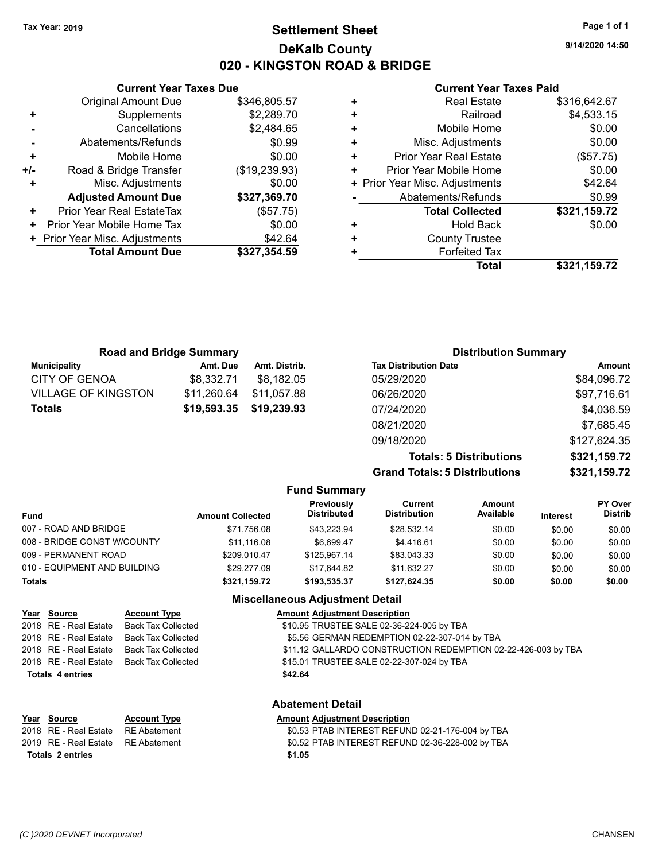## **Settlement Sheet Tax Year: 2019 Page 1 of 1 DeKalb County 020 - KINGSTON ROAD & BRIDGE**

**9/14/2020 14:50**

#### **Current Year Taxes Paid**

|     | <b>Current Year Taxes Due</b>  |               |  |  |  |
|-----|--------------------------------|---------------|--|--|--|
|     | <b>Original Amount Due</b>     | \$346,805.57  |  |  |  |
| ٠   | Supplements                    | \$2,289.70    |  |  |  |
|     | Cancellations                  | \$2,484.65    |  |  |  |
|     | Abatements/Refunds             | \$0.99        |  |  |  |
| ٠   | Mobile Home                    | \$0.00        |  |  |  |
| +/- | Road & Bridge Transfer         | (\$19,239.93) |  |  |  |
|     | Misc. Adjustments              | \$0.00        |  |  |  |
|     | <b>Adjusted Amount Due</b>     | \$327,369.70  |  |  |  |
| ٠   | Prior Year Real EstateTax      | (\$57.75)     |  |  |  |
| ٠   | Prior Year Mobile Home Tax     | \$0.00        |  |  |  |
|     | + Prior Year Misc. Adjustments | \$42.64       |  |  |  |
|     | <b>Total Amount Due</b>        | \$327,354.59  |  |  |  |
|     |                                |               |  |  |  |

|   | <b>Real Estate</b>             | \$316,642.67 |
|---|--------------------------------|--------------|
| ٠ | Railroad                       | \$4,533.15   |
| ٠ | Mobile Home                    | \$0.00       |
| ٠ | Misc. Adjustments              | \$0.00       |
| ٠ | <b>Prior Year Real Estate</b>  | (\$57.75)    |
| ÷ | Prior Year Mobile Home         | \$0.00       |
|   | + Prior Year Misc. Adjustments | \$42.64      |
|   | Abatements/Refunds             | \$0.99       |
|   | <b>Total Collected</b>         | \$321,159.72 |
| ٠ | <b>Hold Back</b>               | \$0.00       |
| ٠ | <b>County Trustee</b>          |              |
| ٠ | <b>Forfeited Tax</b>           |              |
|   | Total                          | \$321,159.72 |
|   |                                |              |

| <b>Road and Bridge Summary</b> |             |               | <b>Distribution Summary</b>          |               |  |
|--------------------------------|-------------|---------------|--------------------------------------|---------------|--|
| <b>Municipality</b>            | Amt. Due    | Amt. Distrib. | <b>Tax Distribution Date</b>         | <b>Amount</b> |  |
| <b>CITY OF GENOA</b>           | \$8,332.71  | \$8,182.05    | 05/29/2020                           | \$84,096.72   |  |
| VILLAGE OF KINGSTON            | \$11,260.64 | \$11,057.88   | 06/26/2020                           | \$97,716.61   |  |
| Totals                         | \$19,593.35 | \$19,239.93   | 07/24/2020                           | \$4,036.59    |  |
|                                |             |               | 08/21/2020                           | \$7,685.45    |  |
|                                |             |               | 09/18/2020                           | \$127,624.35  |  |
|                                |             |               | <b>Totals: 5 Distributions</b>       | \$321,159.72  |  |
|                                |             |               | <b>Grand Totals: 5 Distributions</b> | \$321,159.72  |  |

|                              |                         | <b>Fund Summary</b>              |                                |                     |                 |                                  |
|------------------------------|-------------------------|----------------------------------|--------------------------------|---------------------|-----------------|----------------------------------|
| <b>Fund</b>                  | <b>Amount Collected</b> | Previously<br><b>Distributed</b> | Current<br><b>Distribution</b> | Amount<br>Available | <b>Interest</b> | <b>PY Over</b><br><b>Distrib</b> |
| 007 - ROAD AND BRIDGE        | \$71.756.08             | \$43.223.94                      | \$28.532.14                    | \$0.00              | \$0.00          | \$0.00                           |
| 008 - BRIDGE CONST W/COUNTY  | \$11.116.08             | \$6.699.47                       | \$4.416.61                     | \$0.00              | \$0.00          | \$0.00                           |
| 009 - PERMANENT ROAD         | \$209.010.47            | \$125,967.14                     | \$83,043.33                    | \$0.00              | \$0.00          | \$0.00                           |
| 010 - EQUIPMENT AND BUILDING | \$29,277.09             | \$17.644.82                      | \$11.632.27                    | \$0.00              | \$0.00          | \$0.00                           |
| <b>Totals</b>                | \$321,159.72            | \$193.535.37                     | \$127,624.35                   | \$0.00              | \$0.00          | \$0.00                           |
|                              | $- - -$                 |                                  |                                |                     |                 |                                  |

#### **Miscellaneous Adjustment Detail**

| Year Source             | <b>Account Type</b>       | <b>Amount Adjustment Description</b>                          |
|-------------------------|---------------------------|---------------------------------------------------------------|
| 2018 RE - Real Estate   | <b>Back Tax Collected</b> | \$10.95 TRUSTEE SALE 02-36-224-005 by TBA                     |
| 2018 RE - Real Estate   | Back Tax Collected        | \$5.56 GERMAN REDEMPTION 02-22-307-014 by TBA                 |
| 2018 RE - Real Estate   | Back Tax Collected        | \$11.12 GALLARDO CONSTRUCTION REDEMPTION 02-22-426-003 by TBA |
| 2018 RE - Real Estate   | Back Tax Collected        | \$15.01 TRUSTEE SALE 02-22-307-024 by TBA                     |
| <b>Totals 4 entries</b> |                           | \$42.64                                                       |
|                         |                           | <b>Abatement Detail</b>                                       |
| Year Source             | <b>Account Type</b>       | <b>Amount Adjustment Description</b>                          |
| 2018 RE - Real Estate   | <b>RE</b> Abatement       | \$0.53 PTAB INTEREST REFUND 02-21-176-004 by TBA              |

#### 2019 RE - Real Estate RE Abatement \$0.52 PTAB INTEREST REFUND 02-36-228-002 by TBA **Totals \$1.05 2 entries**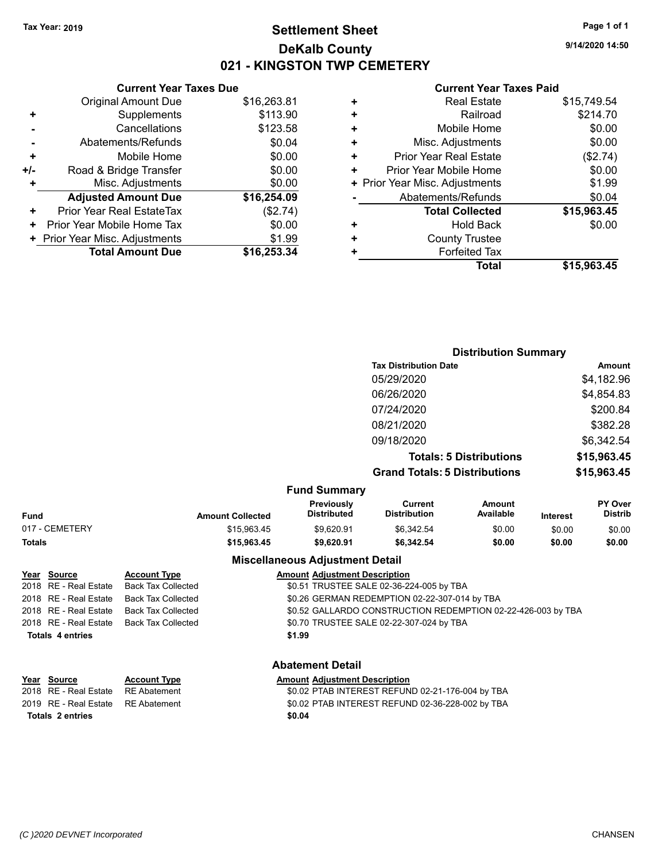## **Settlement Sheet Tax Year: 2019 Page 1 of 1 DeKalb County 021 - KINGSTON TWP CEMETERY**

**9/14/2020 14:50**

#### **Current Year Taxes Paid**

|     | <b>Original Amount Due</b>       | \$16,263.81 |
|-----|----------------------------------|-------------|
| ٠   | Supplements                      | \$113.90    |
|     | Cancellations                    | \$123.58    |
|     | Abatements/Refunds               | \$0.04      |
| ٠   | Mobile Home                      | \$0.00      |
| +/- | Road & Bridge Transfer           | \$0.00      |
| ÷   | Misc. Adjustments                | \$0.00      |
|     | <b>Adjusted Amount Due</b>       | \$16,254.09 |
| ٠   | <b>Prior Year Real EstateTax</b> | (\$2.74)    |
| ٠   | Prior Year Mobile Home Tax       | \$0.00      |
|     | + Prior Year Misc. Adjustments   | \$1.99      |
|     | <b>Total Amount Due</b>          | \$16,253.34 |
|     |                                  |             |

**Current Year Taxes Due**

|   | <b>Real Estate</b>             | \$15,749.54 |
|---|--------------------------------|-------------|
| ٠ | Railroad                       | \$214.70    |
| ٠ | Mobile Home                    | \$0.00      |
| ٠ | Misc. Adjustments              | \$0.00      |
| ٠ | <b>Prior Year Real Estate</b>  | (\$2.74)    |
| ٠ | Prior Year Mobile Home         | \$0.00      |
|   | + Prior Year Misc. Adjustments | \$1.99      |
|   | Abatements/Refunds             | \$0.04      |
|   | <b>Total Collected</b>         | \$15,963.45 |
| ٠ | <b>Hold Back</b>               | \$0.00      |
| ٠ | <b>County Trustee</b>          |             |
| ٠ | <b>Forfeited Tax</b>           |             |
|   | Total                          | \$15,963.45 |
|   |                                |             |

|                     | <b>Distribution Summary</b>          |             |
|---------------------|--------------------------------------|-------------|
|                     | <b>Tax Distribution Date</b>         | Amount      |
|                     | 05/29/2020                           | \$4,182.96  |
|                     | 06/26/2020                           | \$4,854.83  |
|                     | 07/24/2020                           | \$200.84    |
|                     | 08/21/2020                           | \$382.28    |
|                     | 09/18/2020                           | \$6,342.54  |
|                     | <b>Totals: 5 Distributions</b>       | \$15,963.45 |
|                     | <b>Grand Totals: 5 Distributions</b> | \$15,963.45 |
| <b>Fund Summary</b> |                                      |             |

| Fund           | <b>Amount Collected</b> | <b>Previously</b><br><b>Distributed</b> | Current<br><b>Distribution</b> | Amount<br>Available | <b>Interest</b> | PY Over<br><b>Distrib</b> |
|----------------|-------------------------|-----------------------------------------|--------------------------------|---------------------|-----------------|---------------------------|
| 017 - CEMETERY | \$15,963.45             | \$9.620.91                              | \$6.342.54                     | \$0.00              | \$0.00          | \$0.00                    |
| Totals         | \$15,963.45             | \$9.620.91                              | \$6,342.54                     | \$0.00              | \$0.00          | \$0.00                    |

#### **Miscellaneous Adjustment Detail**

| <u>Year Source</u>      | <b>Account Type</b>                      | <b>Amount Adjustment Description</b>                         |
|-------------------------|------------------------------------------|--------------------------------------------------------------|
|                         | 2018 RE - Real Estate Back Tax Collected | \$0.51 TRUSTEE SALE 02-36-224-005 by TBA                     |
|                         | 2018 RE - Real Estate Back Tax Collected | \$0.26 GERMAN REDEMPTION 02-22-307-014 by TBA                |
|                         | 2018 RE - Real Estate Back Tax Collected | \$0.52 GALLARDO CONSTRUCTION REDEMPTION 02-22-426-003 by TBA |
|                         | 2018 RE - Real Estate Back Tax Collected | \$0.70 TRUSTEE SALE 02-22-307-024 by TBA                     |
| <b>Totals 4 entries</b> |                                          | \$1.99                                                       |
|                         |                                          |                                                              |
|                         |                                          |                                                              |

**Abatement Detail**

#### **Year Source Account Type Amount Adjustment Description** 2018 RE - Real Estate RE Abatement \$0.02 PTAB INTEREST REFUND 02-21-176-004 by TBA

2019 RE - Real Estate RE Abatement \$0.02 PTAB INTEREST REFUND 02-36-228-002 by TBA **Totals \$0.04 2 entries**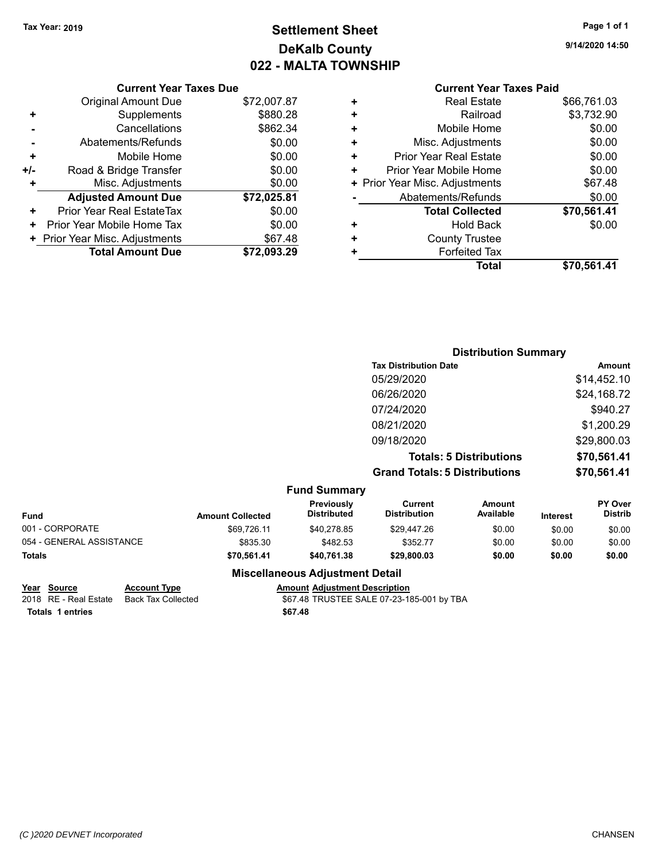# **Settlement Sheet Tax Year: 2019 Page 1 of 1 DeKalb County 022 - MALTA TOWNSHIP**

**9/14/2020 14:50**

# **Current Year Taxes Paid**

|       | <b>Original Amount Due</b>     | \$72,007.87 |
|-------|--------------------------------|-------------|
| ٠     | Supplements                    | \$880.28    |
|       | Cancellations                  | \$862.34    |
|       | Abatements/Refunds             | \$0.00      |
| ٠     | Mobile Home                    | \$0.00      |
| $+/-$ | Road & Bridge Transfer         | \$0.00      |
| ٠     | Misc. Adjustments              | \$0.00      |
|       | <b>Adjusted Amount Due</b>     | \$72,025.81 |
| ٠     | Prior Year Real EstateTax      | \$0.00      |
|       | Prior Year Mobile Home Tax     | \$0.00      |
|       | + Prior Year Misc. Adjustments | \$67.48     |
|       | <b>Total Amount Due</b>        | \$72,093.29 |

**Current Year Taxes Due**

|   | <b>Real Estate</b>             | \$66,761.03 |
|---|--------------------------------|-------------|
| ÷ | Railroad                       | \$3,732.90  |
| ÷ | Mobile Home                    | \$0.00      |
| ٠ | Misc. Adjustments              | \$0.00      |
| ÷ | <b>Prior Year Real Estate</b>  | \$0.00      |
| ٠ | Prior Year Mobile Home         | \$0.00      |
|   | + Prior Year Misc. Adjustments | \$67.48     |
|   | Abatements/Refunds             | \$0.00      |
|   | <b>Total Collected</b>         | \$70,561.41 |
| ٠ | <b>Hold Back</b>               | \$0.00      |
| ٠ | <b>County Trustee</b>          |             |
| ٠ | <b>Forfeited Tax</b>           |             |
|   | Total                          | \$70,561.41 |
|   |                                |             |

|   |                           |                                      | <b>Distribution Summary</b>    |                                  |
|---|---------------------------|--------------------------------------|--------------------------------|----------------------------------|
|   |                           | <b>Tax Distribution Date</b>         |                                | <b>Amount</b>                    |
|   |                           | 05/29/2020                           |                                | \$14,452.10                      |
|   |                           | 06/26/2020                           |                                | \$24,168.72                      |
|   |                           | 07/24/2020                           |                                | \$940.27                         |
|   |                           | 08/21/2020                           |                                | \$1,200.29                       |
|   |                           | 09/18/2020                           |                                | \$29,800.03                      |
|   |                           |                                      | <b>Totals: 5 Distributions</b> | \$70,561.41                      |
|   |                           | <b>Grand Totals: 5 Distributions</b> |                                | \$70,561.41                      |
|   | <b>Fund Summary</b>       |                                      |                                |                                  |
| . | Previously<br>Diotributed | <b>Current</b><br>Diotribution       | <b>Amount</b><br>A             | <b>PY Over</b><br><b>Diatrib</b> |

| <b>Fund</b>              | <b>Amount Collected</b> | <b>Previously</b><br>Distributed | Current<br>Distribution | Amount<br>Available | <b>Interest</b> | <b>PY Over</b><br><b>Distrib</b> |
|--------------------------|-------------------------|----------------------------------|-------------------------|---------------------|-----------------|----------------------------------|
| 001 - CORPORATE          | \$69.726.11             | \$40.278.85                      | \$29.447.26             | \$0.00              | \$0.00          | \$0.00                           |
| 054 - GENERAL ASSISTANCE | \$835.30                | \$482.53                         | \$352.77                | \$0.00              | \$0.00          | \$0.00                           |
| <b>Totals</b>            | \$70.561.41             | \$40.761.38                      | \$29,800.03             | \$0.00              | \$0.00          | \$0.00                           |

## **Miscellaneous Adjustment Detail**

| Year Source           | <b>Account Type</b> | <b>Amount Adiustment Description</b>      |
|-----------------------|---------------------|-------------------------------------------|
| 2018 RE - Real Estate | Back Tax Collected  | \$67.48 TRUSTEE SALE 07-23-185-001 by TBA |
| Totals 1 entries      |                     | \$67.48                                   |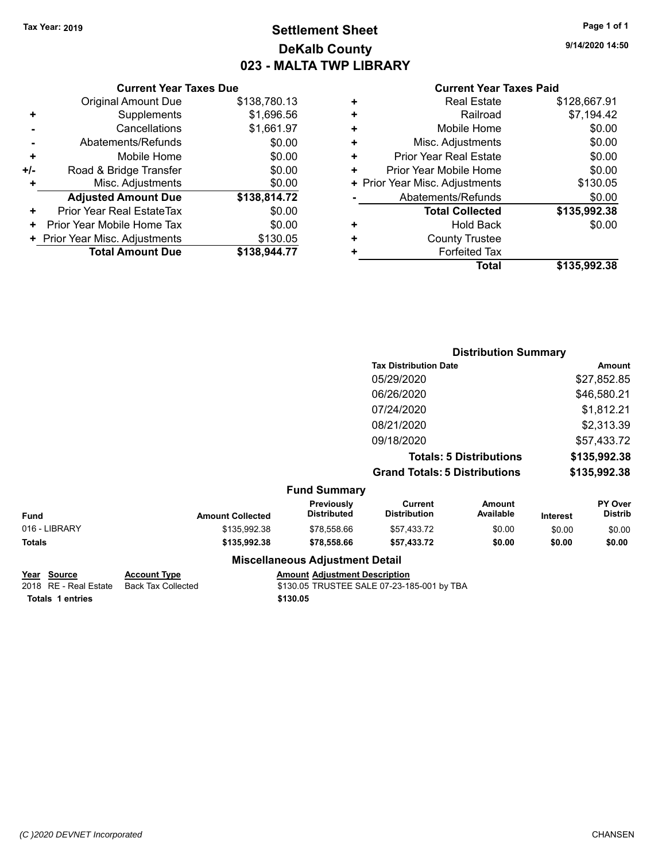## **Settlement Sheet Tax Year: 2019 Page 1 of 1 DeKalb County 023 - MALTA TWP LIBRARY**

**9/14/2020 14:50**

#### **Current Year Taxes Paid**

|     | <b>Current Year Taxes Due</b>  |              |
|-----|--------------------------------|--------------|
|     | <b>Original Amount Due</b>     | \$138,780.13 |
| ٠   | Supplements                    | \$1,696.56   |
|     | Cancellations                  | \$1,661.97   |
|     | Abatements/Refunds             | \$0.00       |
| ٠   | Mobile Home                    | \$0.00       |
| +/- | Road & Bridge Transfer         | \$0.00       |
| ٠   | Misc. Adjustments              | \$0.00       |
|     | <b>Adjusted Amount Due</b>     | \$138,814.72 |
| ٠   | Prior Year Real EstateTax      | \$0.00       |
|     | Prior Year Mobile Home Tax     | \$0.00       |
|     | + Prior Year Misc. Adjustments | \$130.05     |
|     | <b>Total Amount Due</b>        | \$138,944.77 |
|     |                                |              |

| ٠ | <b>Real Estate</b>             | \$128,667.91 |
|---|--------------------------------|--------------|
| ٠ | Railroad                       | \$7,194.42   |
| ٠ | Mobile Home                    | \$0.00       |
| ٠ | Misc. Adjustments              | \$0.00       |
| ٠ | <b>Prior Year Real Estate</b>  | \$0.00       |
| ٠ | Prior Year Mobile Home         | \$0.00       |
|   | + Prior Year Misc. Adjustments | \$130.05     |
|   | Abatements/Refunds             | \$0.00       |
|   | <b>Total Collected</b>         | \$135,992.38 |
| ٠ | <b>Hold Back</b>               | \$0.00       |
| ٠ | <b>County Trustee</b>          |              |
| ٠ | <b>Forfeited Tax</b>           |              |
|   | <b>Total</b>                   | \$135,992.38 |
|   |                                |              |

|                         |                                  |                                       |                     |                                                                                                        | <b>Amount</b>                    |
|-------------------------|----------------------------------|---------------------------------------|---------------------|--------------------------------------------------------------------------------------------------------|----------------------------------|
|                         |                                  | 05/29/2020                            |                     |                                                                                                        | \$27,852.85                      |
|                         |                                  | 06/26/2020                            |                     |                                                                                                        | \$46,580.21                      |
|                         |                                  | 07/24/2020                            |                     |                                                                                                        | \$1,812.21                       |
|                         |                                  | 08/21/2020                            |                     |                                                                                                        | \$2,313.39                       |
|                         |                                  | 09/18/2020                            |                     |                                                                                                        | \$57,433.72                      |
|                         |                                  |                                       |                     |                                                                                                        | \$135,992.38                     |
|                         |                                  |                                       |                     |                                                                                                        | \$135,992.38                     |
|                         | <b>Fund Summary</b>              |                                       |                     |                                                                                                        |                                  |
| <b>Amount Collected</b> | Previously<br><b>Distributed</b> | <b>Current</b><br><b>Distribution</b> | Amount<br>Available | <b>Interest</b>                                                                                        | <b>PY Over</b><br><b>Distrib</b> |
| \$135,992.38            | \$78.558.66                      | \$57.433.72                           | \$0.00              | \$0.00                                                                                                 | \$0.00                           |
|                         |                                  |                                       |                     | <b>Tax Distribution Date</b><br><b>Totals: 5 Distributions</b><br><b>Grand Totals: 5 Distributions</b> | <b>Distribution Summary</b>      |

| Fund          | <b>Amount Collected</b> | .<br><b>Distributed</b>                | ----------<br><b>Distribution</b> | -----------<br>Available | <b>Interest</b> | .<br><b>Distrib</b> |
|---------------|-------------------------|----------------------------------------|-----------------------------------|--------------------------|-----------------|---------------------|
| 016 - LIBRARY | \$135,992.38            | \$78.558.66                            | \$57.433.72                       | \$0.00                   | \$0.00          | \$0.00              |
| Totals        | \$135,992.38            | \$78,558.66                            | \$57.433.72                       | \$0.00                   | \$0.00          | \$0.00              |
|               |                         | <b>Miscellaneous Adjustment Detail</b> |                                   |                          |                 |                     |

# **Year Source Account Type**<br>
2018 RE - Real Estate Back Tax Collected **Amount Adjustment Description**<br>
\$130.05 TRUSTEE SALE 07-23-18

\$130.05 TRUSTEE SALE 07-23-185-001 by TBA **Totals \$130.05 1 entries**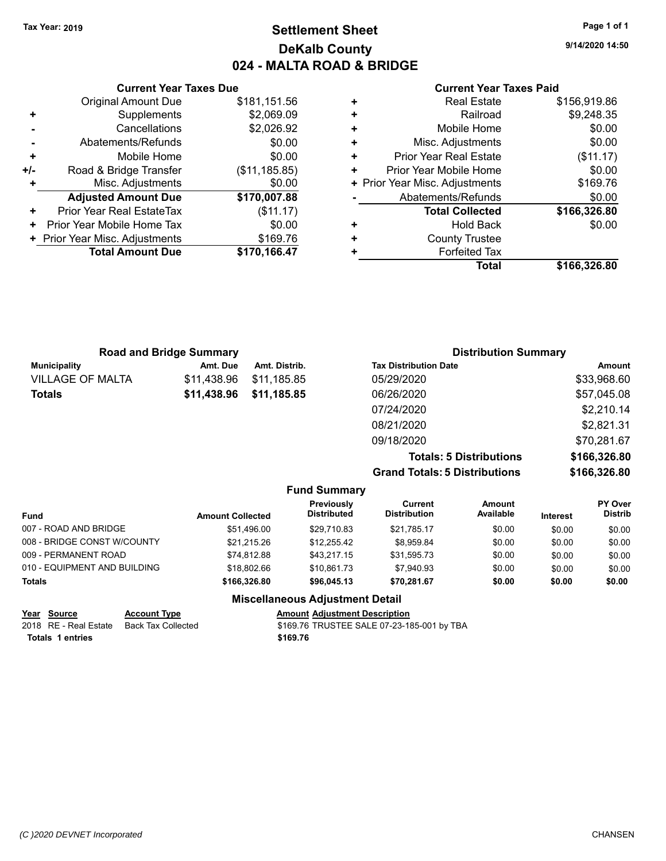## **Settlement Sheet Tax Year: 2019 Page 1 of 1 DeKalb County 024 - MALTA ROAD & BRIDGE**

**9/14/2020 14:50**

#### **Current Year Taxes Paid**

|     | <b>Current Year Taxes Due</b>  |                |
|-----|--------------------------------|----------------|
|     | <b>Original Amount Due</b>     | \$181,151.56   |
| ٠   | Supplements                    | \$2,069.09     |
|     | Cancellations                  | \$2,026.92     |
|     | Abatements/Refunds             | \$0.00         |
| ٠   | Mobile Home                    | \$0.00         |
| +/- | Road & Bridge Transfer         | (\$11, 185.85) |
|     | Misc. Adjustments              | \$0.00         |
|     | <b>Adjusted Amount Due</b>     | \$170,007.88   |
| ÷   | Prior Year Real EstateTax      | (\$11.17)      |
| ٠   | Prior Year Mobile Home Tax     | \$0.00         |
|     | + Prior Year Misc. Adjustments | \$169.76       |
|     | <b>Total Amount Due</b>        | \$170,166.47   |
|     |                                |                |

|   | <b>Real Estate</b>             | \$156,919.86 |
|---|--------------------------------|--------------|
| ٠ | Railroad                       | \$9,248.35   |
| ٠ | Mobile Home                    | \$0.00       |
| ٠ | Misc. Adjustments              | \$0.00       |
| ٠ | <b>Prior Year Real Estate</b>  | (\$11.17)    |
| ٠ | Prior Year Mobile Home         | \$0.00       |
|   | + Prior Year Misc. Adjustments | \$169.76     |
|   | Abatements/Refunds             | \$0.00       |
|   | <b>Total Collected</b>         | \$166,326.80 |
| ٠ | Hold Back                      | \$0.00       |
| ٠ | <b>County Trustee</b>          |              |
| ٠ | <b>Forfeited Tax</b>           |              |
|   | Total                          | \$166,326.80 |

|                         | <b>Road and Bridge Summary</b> |               | <b>Distribution Summary</b>  |             |
|-------------------------|--------------------------------|---------------|------------------------------|-------------|
| Municipality            | Amt. Due                       | Amt. Distrib. | <b>Tax Distribution Date</b> | Amount      |
| <b>VILLAGE OF MALTA</b> | \$11.438.96                    | \$11.185.85   | 05/29/2020                   | \$33,968.60 |
| <b>Totals</b>           | \$11,438.96                    | \$11,185.85   | 06/26/2020                   | \$57,045.08 |
|                         |                                |               | 07/24/2020                   | \$2,210.14  |
|                         |                                |               | 08/21/2020                   | \$2,821.31  |
|                         |                                |               | 09/18/2020                   | \$70,281.67 |

**Totals: 5 Distributions \$166,326.80 Grand Totals: 5 Distributions \$166,326.80**

| <b>Fund Summary</b> |                            |                         |              |  |
|---------------------|----------------------------|-------------------------|--------------|--|
|                     | Previously<br>Diatributaal | Current<br>Diateikutian | Amount<br>A. |  |

| <b>Fund</b>                  | <b>Amount Collected</b> | Previously<br><b>Distributed</b> | Current<br><b>Distribution</b> | <b>Amount</b><br>Available | <b>Interest</b> | <b>PY Over</b><br><b>Distrib</b> |
|------------------------------|-------------------------|----------------------------------|--------------------------------|----------------------------|-----------------|----------------------------------|
| 007 - ROAD AND BRIDGE        | \$51.496.00             | \$29.710.83                      | \$21.785.17                    | \$0.00                     | \$0.00          | \$0.00                           |
| 008 - BRIDGE CONST W/COUNTY  | \$21.215.26             | \$12.255.42                      | \$8.959.84                     | \$0.00                     | \$0.00          | \$0.00                           |
| 009 - PERMANENT ROAD         | \$74.812.88             | \$43.217.15                      | \$31,595.73                    | \$0.00                     | \$0.00          | \$0.00                           |
| 010 - EQUIPMENT AND BUILDING | \$18,802.66             | \$10.861.73                      | \$7.940.93                     | \$0.00                     | \$0.00          | \$0.00                           |
| <b>Totals</b>                | \$166,326,80            | \$96,045.13                      | \$70.281.67                    | \$0.00                     | \$0.00          | \$0.00                           |

### **Miscellaneous Adjustment Detail**

|                  | Year Source             | <b>Account Type</b> | <b>Amount Adjustment Description</b>       |
|------------------|-------------------------|---------------------|--------------------------------------------|
|                  | 2018   RE - Real Estate | Back Tax Collected  | \$169.76 TRUSTEE SALE 07-23-185-001 by TBA |
| Totals 1 entries |                         |                     | \$169.76                                   |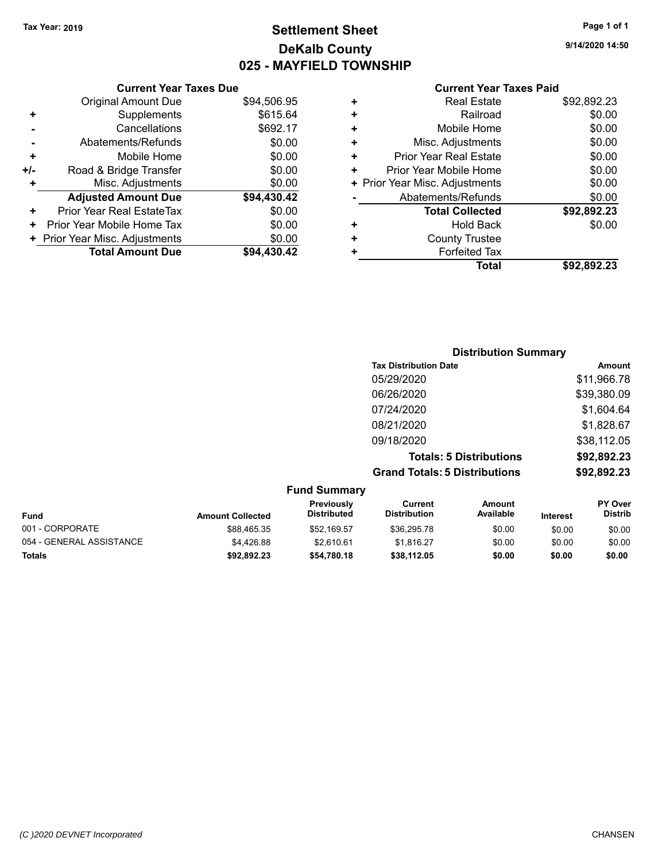## **Settlement Sheet Tax Year: 2019 Page 1 of 1 DeKalb County 025 - MAYFIELD TOWNSHIP**

**9/14/2020 14:50**

|     | <b>Current Year Taxes Due</b>  |             |
|-----|--------------------------------|-------------|
|     | <b>Original Amount Due</b>     | \$94,506.95 |
| ٠   | Supplements                    | \$615.64    |
|     | Cancellations                  | \$692.17    |
|     | Abatements/Refunds             | \$0.00      |
| ٠   | Mobile Home                    | \$0.00      |
| +/- | Road & Bridge Transfer         | \$0.00      |
| ٠   | Misc. Adjustments              | \$0.00      |
|     | <b>Adjusted Amount Due</b>     | \$94,430.42 |
| ٠   | Prior Year Real EstateTax      | \$0.00      |
| ٠   | Prior Year Mobile Home Tax     | \$0.00      |
|     | + Prior Year Misc. Adjustments | \$0.00      |
|     | <b>Total Amount Due</b>        | \$94.430.42 |
|     |                                |             |

| ٠ | <b>Real Estate</b>             | \$92,892.23 |
|---|--------------------------------|-------------|
| ÷ | Railroad                       | \$0.00      |
| ٠ | Mobile Home                    | \$0.00      |
| ٠ | Misc. Adjustments              | \$0.00      |
| ÷ | Prior Year Real Estate         | \$0.00      |
| ٠ | Prior Year Mobile Home         | \$0.00      |
|   | + Prior Year Misc. Adjustments | \$0.00      |
|   | Abatements/Refunds             | \$0.00      |
|   | <b>Total Collected</b>         | \$92,892.23 |
| ٠ | <b>Hold Back</b>               | \$0.00      |
| ٠ | <b>County Trustee</b>          |             |
| ٠ | <b>Forfeited Tax</b>           |             |
|   | Total                          | \$92,892.23 |
|   |                                |             |

| <b>Distribution Summary</b>          |             |
|--------------------------------------|-------------|
| <b>Tax Distribution Date</b>         | Amount      |
| 05/29/2020                           | \$11,966.78 |
| 06/26/2020                           | \$39,380.09 |
| 07/24/2020                           | \$1,604.64  |
| 08/21/2020                           | \$1,828.67  |
| 09/18/2020                           | \$38,112.05 |
| <b>Totals: 5 Distributions</b>       | \$92,892.23 |
| <b>Grand Totals: 5 Distributions</b> | \$92,892.23 |

| <b>Fund Summary</b>      |                         |                                  |                                |                     |                 |                                  |
|--------------------------|-------------------------|----------------------------------|--------------------------------|---------------------|-----------------|----------------------------------|
| <b>Fund</b>              | <b>Amount Collected</b> | Previously<br><b>Distributed</b> | Current<br><b>Distribution</b> | Amount<br>Available | <b>Interest</b> | <b>PY Over</b><br><b>Distrib</b> |
| 001 - CORPORATE          | \$88,465.35             | \$52,169.57                      | \$36,295.78                    | \$0.00              | \$0.00          | \$0.00                           |
| 054 - GENERAL ASSISTANCE | \$4,426.88              | \$2.610.61                       | \$1.816.27                     | \$0.00              | \$0.00          | \$0.00                           |
| <b>Totals</b>            | \$92,892.23             | \$54,780.18                      | \$38,112.05                    | \$0.00              | \$0.00          | \$0.00                           |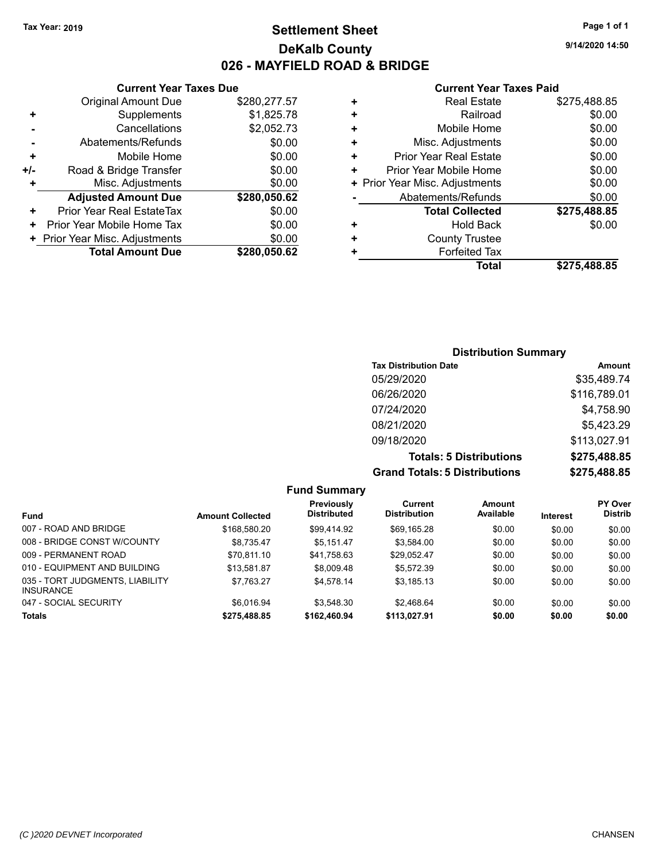## **Settlement Sheet Tax Year: 2019 Page 1 of 1 DeKalb County 026 - MAYFIELD ROAD & BRIDGE**

**9/14/2020 14:50**

#### **Current Year Taxes Paid**

|     | <b>Total Amount Due</b>        | \$280.050.62 |
|-----|--------------------------------|--------------|
|     | + Prior Year Misc. Adjustments | \$0.00       |
| ٠   | Prior Year Mobile Home Tax     | \$0.00       |
| ٠   | Prior Year Real EstateTax      | \$0.00       |
|     | <b>Adjusted Amount Due</b>     | \$280,050.62 |
| ٠   | Misc. Adjustments              | \$0.00       |
| +/- | Road & Bridge Transfer         | \$0.00       |
| ٠   | Mobile Home                    | \$0.00       |
|     | Abatements/Refunds             | \$0.00       |
|     | Cancellations                  | \$2,052.73   |
| ٠   | Supplements                    | \$1,825.78   |
|     | <b>Original Amount Due</b>     | \$280,277.57 |
|     | <b>Current Year Taxes Due</b>  |              |

|   | <b>Real Estate</b>             | \$275,488.85 |
|---|--------------------------------|--------------|
| ٠ | Railroad                       | \$0.00       |
| ٠ | Mobile Home                    | \$0.00       |
| ٠ | Misc. Adjustments              | \$0.00       |
| ٠ | <b>Prior Year Real Estate</b>  | \$0.00       |
| ٠ | Prior Year Mobile Home         | \$0.00       |
|   | + Prior Year Misc. Adjustments | \$0.00       |
|   | Abatements/Refunds             | \$0.00       |
|   | <b>Total Collected</b>         | \$275,488.85 |
| ٠ | Hold Back                      | \$0.00       |
| ٠ | <b>County Trustee</b>          |              |
|   | <b>Forfeited Tax</b>           |              |
|   | Total                          | \$275,488.85 |
|   |                                |              |

## **Distribution Summary Tax Distribution Date Amount** 05/29/2020 \$35,489.74 06/26/2020 \$116,789.01 07/24/2020 \$4,758.90 08/21/2020 \$5,423.29 09/18/2020 \$113,027.91 **Totals: 5 Distributions \$275,488.85 Grand Totals: 5 Distributions \$275,488.85**

|                                                     |                         | <b>Fund Summary</b>              |                                |                     |                 |                                  |
|-----------------------------------------------------|-------------------------|----------------------------------|--------------------------------|---------------------|-----------------|----------------------------------|
| <b>Fund</b>                                         | <b>Amount Collected</b> | Previously<br><b>Distributed</b> | Current<br><b>Distribution</b> | Amount<br>Available | <b>Interest</b> | <b>PY Over</b><br><b>Distrib</b> |
| 007 - ROAD AND BRIDGE                               | \$168,580.20            | \$99.414.92                      | \$69,165.28                    | \$0.00              | \$0.00          | \$0.00                           |
| 008 - BRIDGE CONST W/COUNTY                         | \$8.735.47              | \$5.151.47                       | \$3.584.00                     | \$0.00              | \$0.00          | \$0.00                           |
| 009 - PERMANENT ROAD                                | \$70,811.10             | \$41,758.63                      | \$29,052.47                    | \$0.00              | \$0.00          | \$0.00                           |
| 010 - EQUIPMENT AND BUILDING                        | \$13.581.87             | \$8,009.48                       | \$5.572.39                     | \$0.00              | \$0.00          | \$0.00                           |
| 035 - TORT JUDGMENTS, LIABILITY<br><b>INSURANCE</b> | \$7.763.27              | \$4.578.14                       | \$3.185.13                     | \$0.00              | \$0.00          | \$0.00                           |
| 047 - SOCIAL SECURITY                               | \$6.016.94              | \$3.548.30                       | \$2.468.64                     | \$0.00              | \$0.00          | \$0.00                           |
| <b>Totals</b>                                       | \$275,488.85            | \$162,460.94                     | \$113.027.91                   | \$0.00              | \$0.00          | \$0.00                           |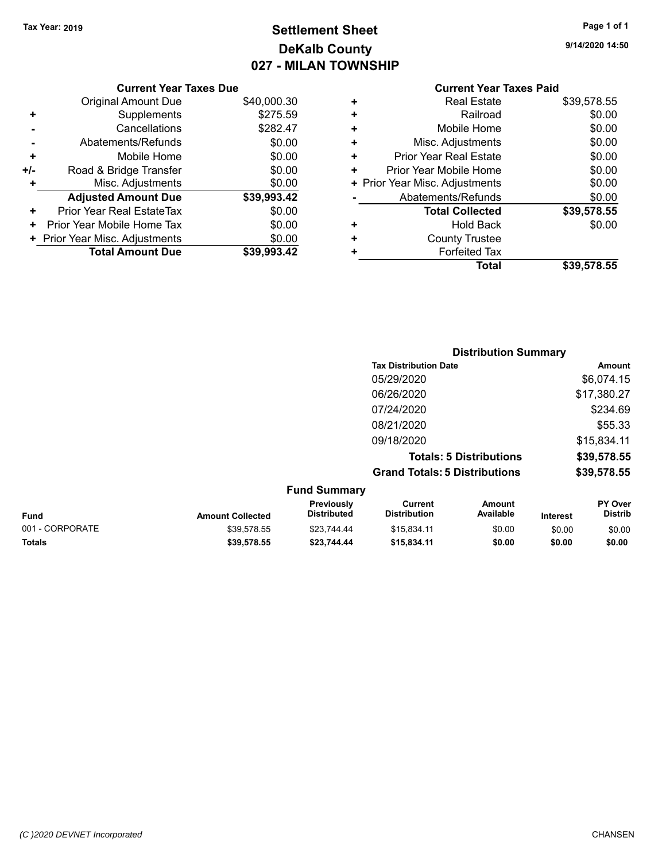# **Settlement Sheet Tax Year: 2019 Page 1 of 1 DeKalb County 027 - MILAN TOWNSHIP**

**9/14/2020 14:50**

|                  |   |             | <b>Current Year Taxes Due</b>  |       |
|------------------|---|-------------|--------------------------------|-------|
|                  |   | \$40,000.30 | Original Amount Due            |       |
|                  | ٠ | \$275.59    | Supplements                    | ٠     |
|                  | ٠ | \$282.47    | Cancellations                  |       |
| Mis              |   | \$0.00      | Abatements/Refunds             |       |
| Prior Ye         | ٠ | \$0.00      | Mobile Home                    |       |
| Prior Yea        |   | \$0.00      | Road & Bridge Transfer         | $+/-$ |
| + Prior Year Mis |   | \$0.00      | Misc. Adjustments              | ٠     |
| Abate            |   | \$39,993.42 | <b>Adjusted Amount Due</b>     |       |
|                  |   | \$0.00      | Prior Year Real EstateTax      | ٠     |
|                  | ٠ | \$0.00      | Prior Year Mobile Home Tax     | ٠     |
|                  |   | \$0.00      | + Prior Year Misc. Adjustments |       |
|                  |   | \$39,993.42 | <b>Total Amount Due</b>        |       |
|                  |   |             |                                |       |

#### **Current Year Taxes Paid +** Real Estate \$39,578.55

|   | Total                          | \$39,578.55 |
|---|--------------------------------|-------------|
|   | <b>Forfeited Tax</b>           |             |
|   | <b>County Trustee</b>          |             |
|   | <b>Hold Back</b>               | \$0.00      |
|   | <b>Total Collected</b>         | \$39,578.55 |
|   | Abatements/Refunds             | \$0.00      |
|   | + Prior Year Misc. Adjustments | \$0.00      |
|   | Prior Year Mobile Home         | \$0.00      |
| ٠ | <b>Prior Year Real Estate</b>  | \$0.00      |
| ٠ | Misc. Adjustments              | \$0.00      |
| ÷ | Mobile Home                    | \$0.00      |
|   | Railroad                       | \$0.00      |
|   | ו זטטו בטוטוט                  | 00.01 U.UU  |

|             |                         |                                  | <b>Distribution Summary</b>          |                                |          |                           |
|-------------|-------------------------|----------------------------------|--------------------------------------|--------------------------------|----------|---------------------------|
|             |                         |                                  | <b>Tax Distribution Date</b>         |                                |          | Amount                    |
|             |                         |                                  | 05/29/2020                           |                                |          | \$6,074.15                |
|             |                         |                                  | 06/26/2020                           |                                |          | \$17,380.27               |
|             |                         |                                  | 07/24/2020                           |                                |          | \$234.69                  |
|             |                         |                                  | 08/21/2020                           |                                |          | \$55.33                   |
|             |                         |                                  | 09/18/2020                           |                                |          | \$15,834.11               |
|             |                         |                                  |                                      | <b>Totals: 5 Distributions</b> |          | \$39,578.55               |
|             |                         |                                  | <b>Grand Totals: 5 Distributions</b> |                                |          | \$39,578.55               |
|             |                         | <b>Fund Summary</b>              |                                      |                                |          |                           |
| <b>Fund</b> | <b>Amount Collected</b> | Previously<br><b>Distributed</b> | Current<br><b>Distribution</b>       | <b>Amount</b><br>Available     | Interest | PY Over<br><b>Distrib</b> |

001 - CORPORATE \$39,578.55 \$23,744.44 \$15,834.11 \$0.00 \$0.00 \$0.00 **Totals \$39,578.55 \$23,744.44 \$15,834.11 \$0.00 \$0.00 \$0.00**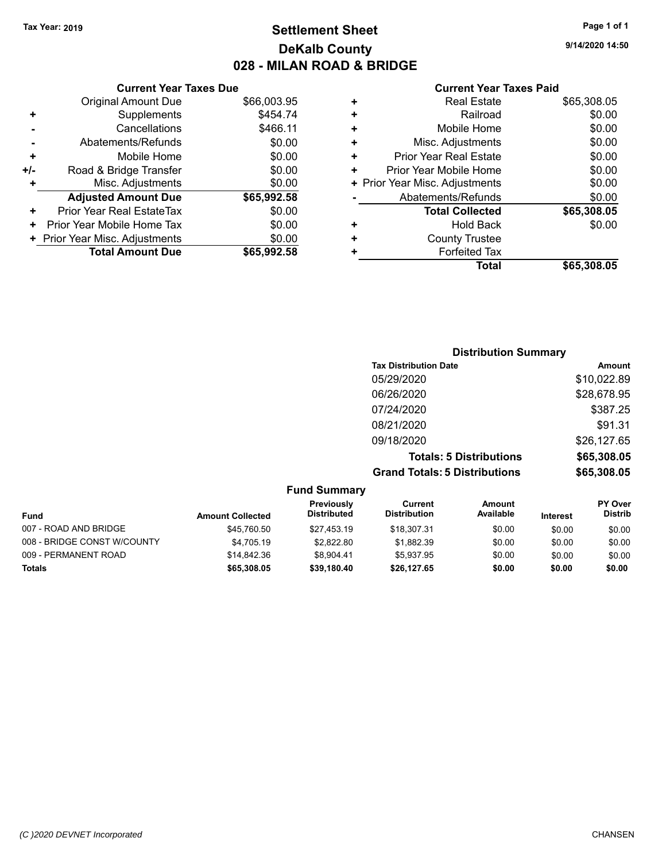## **Settlement Sheet Tax Year: 2019 Page 1 of 1 DeKalb County 028 - MILAN ROAD & BRIDGE**

**9/14/2020 14:50**

|     | <b>Current Year Taxes Due</b>    |             |
|-----|----------------------------------|-------------|
|     | <b>Original Amount Due</b>       | \$66,003.95 |
| ٠   | Supplements                      | \$454.74    |
|     | Cancellations                    | \$466.11    |
|     | Abatements/Refunds               | \$0.00      |
| ٠   | Mobile Home                      | \$0.00      |
| +/- | Road & Bridge Transfer           | \$0.00      |
| ÷   | Misc. Adjustments                | \$0.00      |
|     | <b>Adjusted Amount Due</b>       | \$65,992.58 |
| ٠   | <b>Prior Year Real EstateTax</b> | \$0.00      |
| ٠   | Prior Year Mobile Home Tax       | \$0.00      |
|     | + Prior Year Misc. Adjustments   | \$0.00      |
|     | <b>Total Amount Due</b>          | \$65,992.58 |
|     |                                  |             |

| ٠ | <b>Real Estate</b>             | \$65,308.05 |
|---|--------------------------------|-------------|
| ÷ | Railroad                       | \$0.00      |
| ٠ | Mobile Home                    | \$0.00      |
| ٠ | Misc. Adjustments              | \$0.00      |
| ٠ | Prior Year Real Estate         | \$0.00      |
| ٠ | Prior Year Mobile Home         | \$0.00      |
|   | + Prior Year Misc. Adjustments | \$0.00      |
|   | Abatements/Refunds             | \$0.00      |
|   | <b>Total Collected</b>         | \$65,308.05 |
| ٠ | Hold Back                      | \$0.00      |
| ٠ | <b>County Trustee</b>          |             |
| ٠ | <b>Forfeited Tax</b>           |             |
|   | Total                          | \$65,308.05 |
|   |                                |             |

| <b>Distribution Summary</b>          |             |
|--------------------------------------|-------------|
| <b>Tax Distribution Date</b>         | Amount      |
| 05/29/2020                           | \$10,022.89 |
| 06/26/2020                           | \$28,678.95 |
| 07/24/2020                           | \$387.25    |
| 08/21/2020                           | \$91.31     |
| 09/18/2020                           | \$26,127.65 |
| <b>Totals: 5 Distributions</b>       | \$65,308.05 |
| <b>Grand Totals: 5 Distributions</b> | \$65,308.05 |

|                             |                         | <b>Fund Summary</b>              |                                |                     |                 |                                  |
|-----------------------------|-------------------------|----------------------------------|--------------------------------|---------------------|-----------------|----------------------------------|
| Fund                        | <b>Amount Collected</b> | Previously<br><b>Distributed</b> | Current<br><b>Distribution</b> | Amount<br>Available | <b>Interest</b> | <b>PY Over</b><br><b>Distrib</b> |
| 007 - ROAD AND BRIDGE       | \$45.760.50             | \$27.453.19                      | \$18,307.31                    | \$0.00              | \$0.00          | \$0.00                           |
| 008 - BRIDGE CONST W/COUNTY | \$4.705.19              | \$2,822.80                       | \$1.882.39                     | \$0.00              | \$0.00          | \$0.00                           |
| 009 - PERMANENT ROAD        | \$14.842.36             | \$8.904.41                       | \$5.937.95                     | \$0.00              | \$0.00          | \$0.00                           |
| <b>Totals</b>               | \$65,308.05             | \$39.180.40                      | \$26.127.65                    | \$0.00              | \$0.00          | \$0.00                           |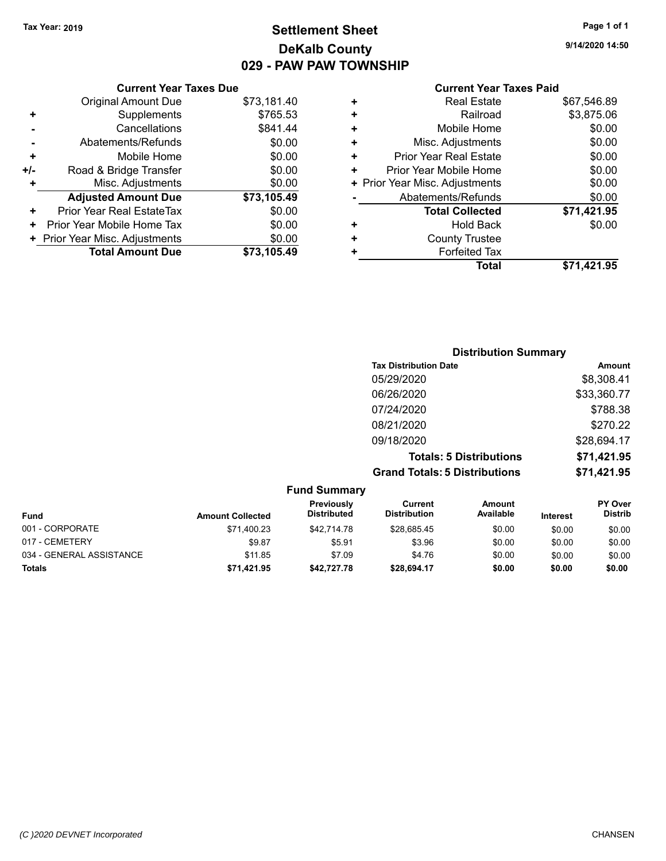## **Settlement Sheet Tax Year: 2019 Page 1 of 1 DeKalb County 029 - PAW PAW TOWNSHIP**

**9/14/2020 14:50**

| <b>Current Year</b>            |   |             | <b>Current Year Taxes Due</b> |
|--------------------------------|---|-------------|-------------------------------|
| <b>Real Estate</b>             | ÷ | \$73,181.40 | Original Amount Due           |
| Railroad                       | ÷ | \$765.53    | Supplements                   |
| Mobile Home                    | ÷ | \$841.44    | Cancellations                 |
| Misc. Adjustments              | ٠ | \$0.00      | Abatements/Refunds            |
| <b>Prior Year Real Estate</b>  | ÷ | \$0.00      | Mobile Home                   |
| Prior Year Mobile Home         | ÷ | \$0.00      | ad & Bridge Transfer          |
| + Prior Year Misc. Adjustments |   | \$0.00      | Misc. Adjustments             |
| Abatements/Refunds             |   | \$73,105.49 | <b>justed Amount Due</b>      |
| <b>Total Collected</b>         |   | \$0.00      | Year Real EstateTax           |
| Hold Back                      | ٠ | \$0.00      | ear Mobile Home Tax           |
| $\bigcap$ The set $\bigcup$ .  |   | ტი იი       |                               |

|     | <b>Total Amount Due</b>          | \$73,105.49 |
|-----|----------------------------------|-------------|
|     | + Prior Year Misc. Adjustments   | \$0.00      |
| ٠   | Prior Year Mobile Home Tax       | \$0.00      |
| ٠   | <b>Prior Year Real EstateTax</b> | \$0.00      |
|     | <b>Adjusted Amount Due</b>       | \$73,105.49 |
| ÷   | Misc. Adjustments                | \$0.00      |
| +/- | Road & Bridge Transfer           | \$0.00      |
| ٠   | Mobile Home                      | \$0.00      |
|     | Abatements/Refunds               | \$0.00      |
|     | Cancellations                    | \$841.44    |
|     | Supplements                      | \$765.53    |

## **Taxes Paid**

|   | <b>Real Estate</b>             | \$67,546.89 |
|---|--------------------------------|-------------|
| ÷ | Railroad                       | \$3,875.06  |
| ÷ | Mobile Home                    | \$0.00      |
| ÷ | Misc. Adjustments              | \$0.00      |
| ÷ | <b>Prior Year Real Estate</b>  | \$0.00      |
|   | Prior Year Mobile Home         | \$0.00      |
|   | + Prior Year Misc. Adjustments | \$0.00      |
|   | Abatements/Refunds             | \$0.00      |
|   | <b>Total Collected</b>         | \$71,421.95 |
|   | <b>Hold Back</b>               | \$0.00      |
| ÷ | <b>County Trustee</b>          |             |
|   | <b>Forfeited Tax</b>           |             |
|   | Total                          | \$71,421.95 |
|   |                                |             |

| <b>Distribution Summary</b>          |             |
|--------------------------------------|-------------|
| <b>Tax Distribution Date</b>         | Amount      |
| 05/29/2020                           | \$8,308.41  |
| 06/26/2020                           | \$33,360.77 |
| 07/24/2020                           | \$788.38    |
| 08/21/2020                           | \$270.22    |
| 09/18/2020                           | \$28,694.17 |
| <b>Totals: 5 Distributions</b>       | \$71,421.95 |
| <b>Grand Totals: 5 Distributions</b> | \$71,421.95 |

| <b>Fund Summary</b>      |                         |                                  |                                |                            |                 |                                  |
|--------------------------|-------------------------|----------------------------------|--------------------------------|----------------------------|-----------------|----------------------------------|
| <b>Fund</b>              | <b>Amount Collected</b> | Previously<br><b>Distributed</b> | Current<br><b>Distribution</b> | <b>Amount</b><br>Available | <b>Interest</b> | <b>PY Over</b><br><b>Distrib</b> |
| 001 - CORPORATE          | \$71,400.23             | \$42,714.78                      | \$28.685.45                    | \$0.00                     | \$0.00          | \$0.00                           |
| 017 - CEMETERY           | \$9.87                  | \$5.91                           | \$3.96                         | \$0.00                     | \$0.00          | \$0.00                           |
| 034 - GENERAL ASSISTANCE | \$11.85                 | \$7.09                           | \$4.76                         | \$0.00                     | \$0.00          | \$0.00                           |
| <b>Totals</b>            | \$71,421.95             | \$42,727.78                      | \$28.694.17                    | \$0.00                     | \$0.00          | \$0.00                           |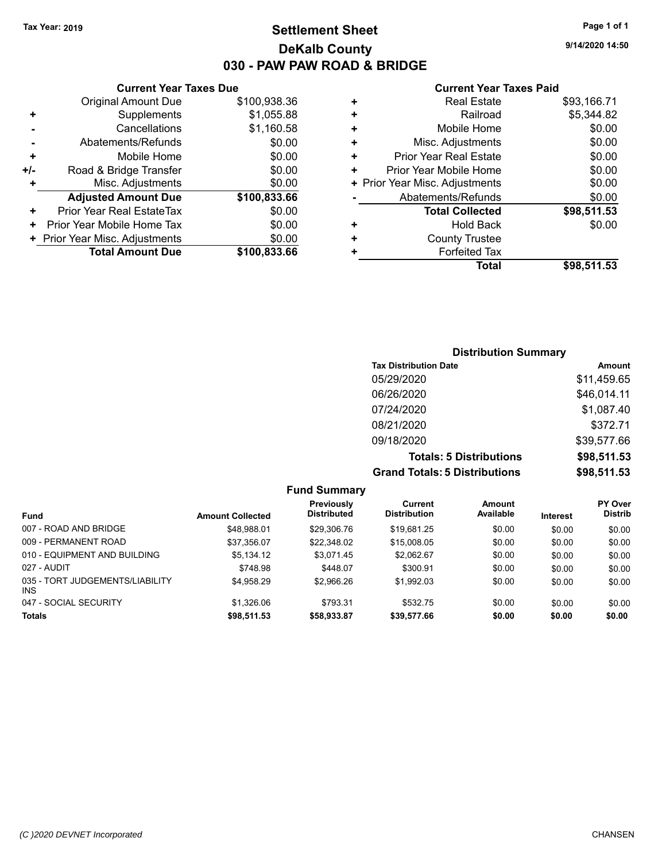## **Settlement Sheet Tax Year: 2019 Page 1 of 1 DeKalb County 030 - PAW PAW ROAD & BRIDGE**

**9/14/2020 14:50**

|     | <b>Current Year Taxes Due</b>  |              |  |  |  |  |
|-----|--------------------------------|--------------|--|--|--|--|
|     | <b>Original Amount Due</b>     | \$100,938.36 |  |  |  |  |
| ٠   | Supplements                    | \$1,055.88   |  |  |  |  |
|     | Cancellations                  | \$1,160.58   |  |  |  |  |
|     | Abatements/Refunds             | \$0.00       |  |  |  |  |
| ٠   | Mobile Home                    | \$0.00       |  |  |  |  |
| +/- | Road & Bridge Transfer         | \$0.00       |  |  |  |  |
| ٠   | Misc. Adjustments              | \$0.00       |  |  |  |  |
|     | <b>Adjusted Amount Due</b>     | \$100,833.66 |  |  |  |  |
| +   | Prior Year Real EstateTax      | \$0.00       |  |  |  |  |
| ٠   | Prior Year Mobile Home Tax     | \$0.00       |  |  |  |  |
|     | + Prior Year Misc. Adjustments | \$0.00       |  |  |  |  |
|     | <b>Total Amount Due</b>        | \$100,833.66 |  |  |  |  |
|     |                                |              |  |  |  |  |

|   | <b>Real Estate</b>             | \$93,166.71 |
|---|--------------------------------|-------------|
| ÷ | Railroad                       | \$5,344.82  |
| ٠ | Mobile Home                    | \$0.00      |
| ÷ | Misc. Adjustments              | \$0.00      |
| ٠ | Prior Year Real Estate         | \$0.00      |
| ٠ | Prior Year Mobile Home         | \$0.00      |
|   | + Prior Year Misc. Adjustments | \$0.00      |
|   | Abatements/Refunds             | \$0.00      |
|   | <b>Total Collected</b>         | \$98,511.53 |
| ٠ | Hold Back                      | \$0.00      |
| ٠ | <b>County Trustee</b>          |             |
| ٠ | <b>Forfeited Tax</b>           |             |
|   | Total                          | \$98,511.53 |
|   |                                |             |

| <b>Distribution Summary</b>          |             |
|--------------------------------------|-------------|
| <b>Tax Distribution Date</b>         | Amount      |
| 05/29/2020                           | \$11,459.65 |
| 06/26/2020                           | \$46,014.11 |
| 07/24/2020                           | \$1,087.40  |
| 08/21/2020                           | \$372.71    |
| 09/18/2020                           | \$39,577.66 |
| <b>Totals: 5 Distributions</b>       | \$98,511.53 |
| <b>Grand Totals: 5 Distributions</b> | \$98,511.53 |

|                                         |                         | <b>Fund Summary</b>              |                                |                     |                 |                                  |
|-----------------------------------------|-------------------------|----------------------------------|--------------------------------|---------------------|-----------------|----------------------------------|
| <b>Fund</b>                             | <b>Amount Collected</b> | Previously<br><b>Distributed</b> | Current<br><b>Distribution</b> | Amount<br>Available | <b>Interest</b> | <b>PY Over</b><br><b>Distrib</b> |
| 007 - ROAD AND BRIDGE                   | \$48.988.01             | \$29,306.76                      | \$19,681.25                    | \$0.00              | \$0.00          | \$0.00                           |
| 009 - PERMANENT ROAD                    | \$37,356.07             | \$22,348.02                      | \$15,008.05                    | \$0.00              | \$0.00          | \$0.00                           |
| 010 - EQUIPMENT AND BUILDING            | \$5.134.12              | \$3.071.45                       | \$2.062.67                     | \$0.00              | \$0.00          | \$0.00                           |
| 027 - AUDIT                             | \$748.98                | \$448.07                         | \$300.91                       | \$0.00              | \$0.00          | \$0.00                           |
| 035 - TORT JUDGEMENTS/LIABILITY<br>INS. | \$4,958.29              | \$2,966.26                       | \$1,992.03                     | \$0.00              | \$0.00          | \$0.00                           |
| 047 - SOCIAL SECURITY                   | \$1,326.06              | \$793.31                         | \$532.75                       | \$0.00              | \$0.00          | \$0.00                           |
| <b>Totals</b>                           | \$98,511.53             | \$58,933.87                      | \$39,577.66                    | \$0.00              | \$0.00          | \$0.00                           |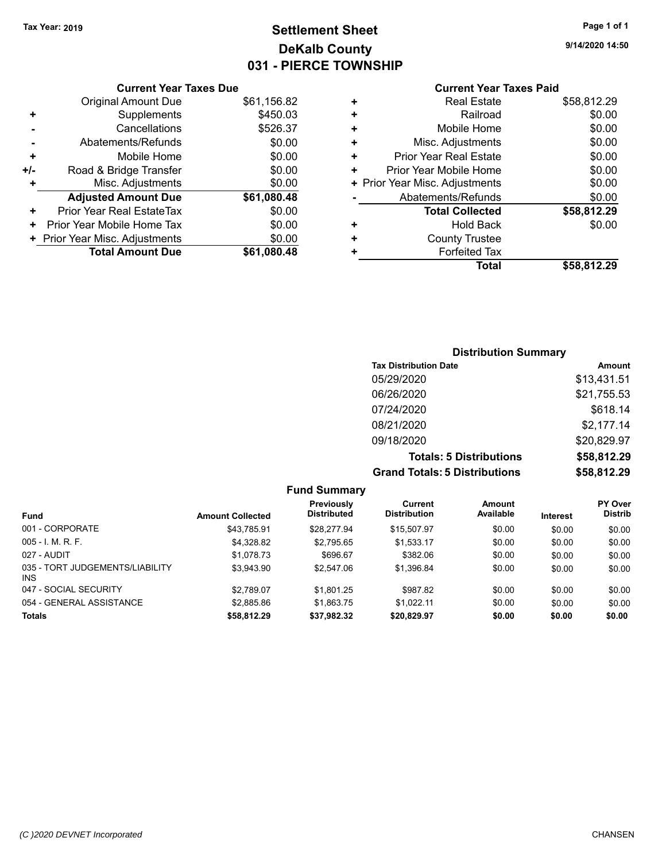# **Settlement Sheet Tax Year: 2019 Page 1 of 1 DeKalb County 031 - PIERCE TOWNSHIP**

**9/14/2020 14:50**

## **Current Year Taxes Paid**

|     | <b>Current Year Taxes Due</b>  |             |
|-----|--------------------------------|-------------|
|     | <b>Original Amount Due</b>     | \$61,156.82 |
| ÷   | Supplements                    | \$450.03    |
|     | Cancellations                  | \$526.37    |
|     | Abatements/Refunds             | \$0.00      |
| ٠   | Mobile Home                    | \$0.00      |
| +/- | Road & Bridge Transfer         | \$0.00      |
|     | Misc. Adjustments              | \$0.00      |
|     | <b>Adjusted Amount Due</b>     | \$61,080.48 |
| ٠   | Prior Year Real EstateTax      | \$0.00      |
| ٠   | Prior Year Mobile Home Tax     | \$0.00      |
|     | + Prior Year Misc. Adjustments | \$0.00      |
|     | <b>Total Amount Due</b>        | \$61,080.48 |
|     |                                |             |

|   | <b>Real Estate</b>             | \$58,812.29 |
|---|--------------------------------|-------------|
| ٠ | Railroad                       | \$0.00      |
| ÷ | Mobile Home                    | \$0.00      |
| ٠ | Misc. Adjustments              | \$0.00      |
| ٠ | Prior Year Real Estate         | \$0.00      |
| ٠ | Prior Year Mobile Home         | \$0.00      |
|   | + Prior Year Misc. Adjustments | \$0.00      |
|   | Abatements/Refunds             | \$0.00      |
|   | <b>Total Collected</b>         | \$58,812.29 |
| ٠ | <b>Hold Back</b>               | \$0.00      |
|   | <b>County Trustee</b>          |             |
| ٠ | <b>Forfeited Tax</b>           |             |
|   | <b>Total</b>                   | \$58.812.29 |
|   |                                |             |

## **Distribution Summary Tax Distribution Date Amount** 05/29/2020 \$13,431.51 06/26/2020 \$21,755.53 07/24/2020 \$618.14 08/21/2020 \$2,177.14 09/18/2020 \$20,829.97 **Totals: 5 Distributions \$58,812.29 Grand Totals: 5 Distributions \$58,812.29**

| <b>Fund Summary</b>                     |                         |                                  |                                |                     |                 |                                  |
|-----------------------------------------|-------------------------|----------------------------------|--------------------------------|---------------------|-----------------|----------------------------------|
| <b>Fund</b>                             | <b>Amount Collected</b> | Previously<br><b>Distributed</b> | Current<br><b>Distribution</b> | Amount<br>Available | <b>Interest</b> | <b>PY Over</b><br><b>Distrib</b> |
| 001 - CORPORATE                         | \$43.785.91             | \$28.277.94                      | \$15,507.97                    | \$0.00              | \$0.00          | \$0.00                           |
| $005 - I. M. R. F.$                     | \$4,328.82              | \$2,795.65                       | \$1,533.17                     | \$0.00              | \$0.00          | \$0.00                           |
| 027 - AUDIT                             | \$1,078.73              | \$696.67                         | \$382.06                       | \$0.00              | \$0.00          | \$0.00                           |
| 035 - TORT JUDGEMENTS/LIABILITY<br>INS. | \$3.943.90              | \$2,547.06                       | \$1,396.84                     | \$0.00              | \$0.00          | \$0.00                           |
| 047 - SOCIAL SECURITY                   | \$2.789.07              | \$1,801.25                       | \$987.82                       | \$0.00              | \$0.00          | \$0.00                           |
| 054 - GENERAL ASSISTANCE                | \$2,885.86              | \$1,863.75                       | \$1.022.11                     | \$0.00              | \$0.00          | \$0.00                           |
| <b>Totals</b>                           | \$58,812.29             | \$37,982.32                      | \$20,829.97                    | \$0.00              | \$0.00          | \$0.00                           |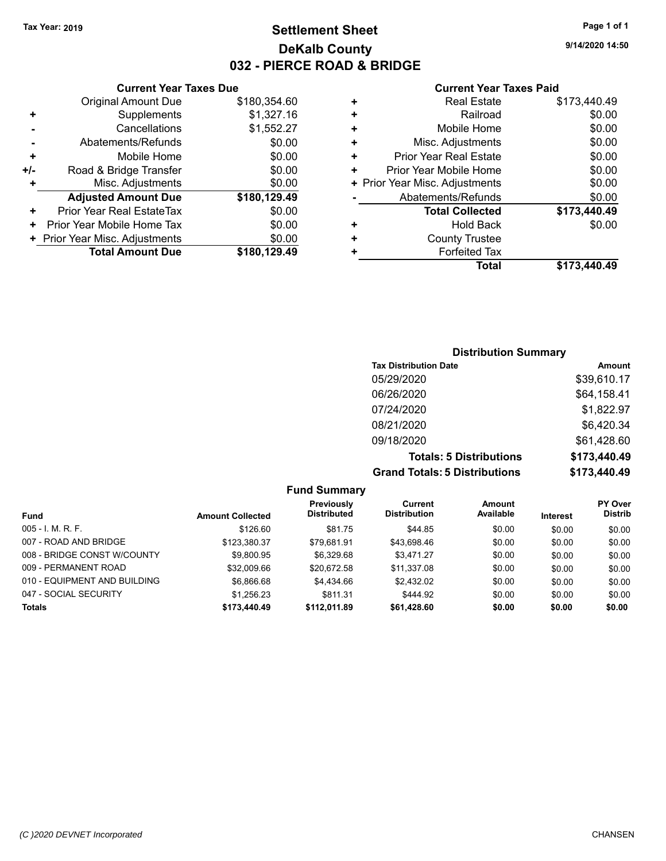## **Settlement Sheet Tax Year: 2019 Page 1 of 1 DeKalb County 032 - PIERCE ROAD & BRIDGE**

**9/14/2020 14:50**

#### **Current Year Taxes Paid**

|     | <b>Current Year Taxes Due</b>  |              |  |
|-----|--------------------------------|--------------|--|
|     | <b>Original Amount Due</b>     | \$180,354.60 |  |
| ٠   | Supplements                    | \$1,327.16   |  |
|     | Cancellations                  | \$1,552.27   |  |
|     | Abatements/Refunds             | \$0.00       |  |
| ٠   | Mobile Home                    | \$0.00       |  |
| +/- | Road & Bridge Transfer         | \$0.00       |  |
| ٠   | Misc. Adjustments              | \$0.00       |  |
|     | <b>Adjusted Amount Due</b>     | \$180,129.49 |  |
| ٠   | Prior Year Real EstateTax      | \$0.00       |  |
| ٠   | Prior Year Mobile Home Tax     | \$0.00       |  |
|     | + Prior Year Misc. Adjustments | \$0.00       |  |
|     | <b>Total Amount Due</b>        | \$180,129.49 |  |
|     |                                |              |  |

|   | <b>Real Estate</b>             | \$173,440.49 |
|---|--------------------------------|--------------|
| ÷ | Railroad                       | \$0.00       |
| ÷ | Mobile Home                    | \$0.00       |
| ٠ | Misc. Adjustments              | \$0.00       |
| ٠ | Prior Year Real Estate         | \$0.00       |
| ٠ | Prior Year Mobile Home         | \$0.00       |
|   | + Prior Year Misc. Adjustments | \$0.00       |
|   | Abatements/Refunds             | \$0.00       |
|   | <b>Total Collected</b>         | \$173,440.49 |
| ٠ | <b>Hold Back</b>               | \$0.00       |
| ٠ | <b>County Trustee</b>          |              |
| ٠ | <b>Forfeited Tax</b>           |              |
|   | Total                          | \$173,440.49 |
|   |                                |              |

## **Distribution Summary Tax Distribution Date Amount** 05/29/2020 \$39,610.17 06/26/2020 \$64,158.41 07/24/2020 \$1,822.97 08/21/2020 \$6,420.34 09/18/2020 \$61,428.60 **Totals: 5 Distributions \$173,440.49 Grand Totals: 5 Distributions \$173,440.49**

| <b>Fund Summary</b>          |                         |                                  |                                |                     |          |                                  |
|------------------------------|-------------------------|----------------------------------|--------------------------------|---------------------|----------|----------------------------------|
| Fund                         | <b>Amount Collected</b> | Previously<br><b>Distributed</b> | Current<br><b>Distribution</b> | Amount<br>Available | Interest | <b>PY Over</b><br><b>Distrib</b> |
| $005 - I. M. R. F.$          | \$126.60                | \$81.75                          | \$44.85                        | \$0.00              | \$0.00   | \$0.00                           |
| 007 - ROAD AND BRIDGE        | \$123.380.37            | \$79.681.91                      | \$43,698.46                    | \$0.00              | \$0.00   | \$0.00                           |
| 008 - BRIDGE CONST W/COUNTY  | \$9.800.95              | \$6.329.68                       | \$3.471.27                     | \$0.00              | \$0.00   | \$0.00                           |
| 009 - PERMANENT ROAD         | \$32,009.66             | \$20.672.58                      | \$11,337.08                    | \$0.00              | \$0.00   | \$0.00                           |
| 010 - EQUIPMENT AND BUILDING | \$6.866.68              | \$4.434.66                       | \$2.432.02                     | \$0.00              | \$0.00   | \$0.00                           |
| 047 - SOCIAL SECURITY        | \$1,256.23              | \$811.31                         | \$444.92                       | \$0.00              | \$0.00   | \$0.00                           |
| <b>Totals</b>                | \$173,440.49            | \$112,011.89                     | \$61,428.60                    | \$0.00              | \$0.00   | \$0.00                           |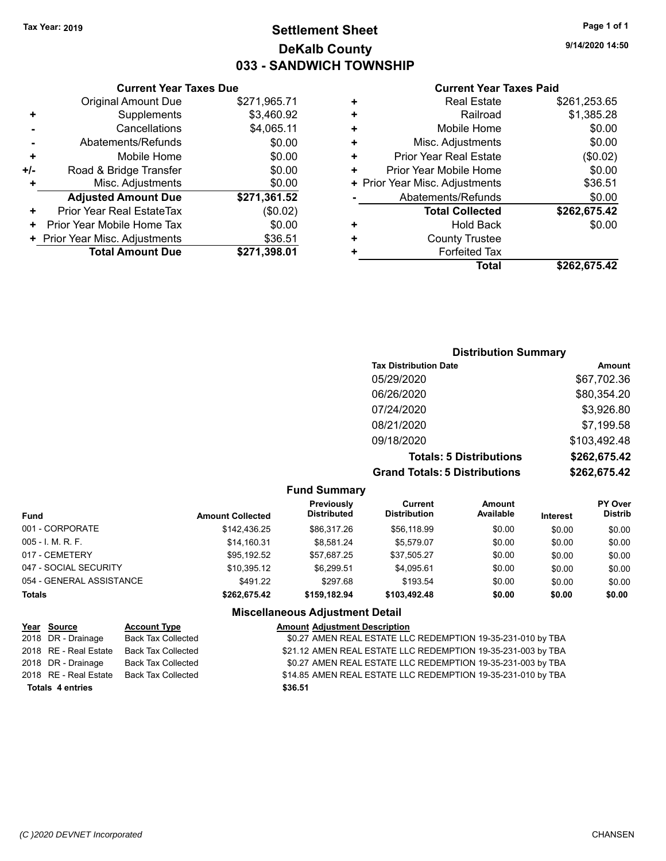## **Settlement Sheet Tax Year: 2019 Page 1 of 1 DeKalb County 033 - SANDWICH TOWNSHIP**

**9/14/2020 14:50**

#### **Current Year Taxes Paid**

|       | <b>Original Amount Due</b>     | \$271,965.71 |
|-------|--------------------------------|--------------|
|       | Supplements                    | \$3,460.92   |
|       | Cancellations                  | \$4,065.11   |
|       | Abatements/Refunds             | \$0.00       |
| ٠     | Mobile Home                    | \$0.00       |
| $+/-$ | Road & Bridge Transfer         | \$0.00       |
| ٠     | Misc. Adjustments              | \$0.00       |
|       | <b>Adjusted Amount Due</b>     | \$271,361.52 |
| ٠     | Prior Year Real EstateTax      | (\$0.02)     |
|       | Prior Year Mobile Home Tax     | \$0.00       |
|       | + Prior Year Misc. Adjustments | \$36.51      |
|       | <b>Total Amount Due</b>        | \$271,398.01 |
|       |                                |              |

**Current Year Taxes Due**

| ٠ | <b>Real Estate</b>             | \$261,253.65 |
|---|--------------------------------|--------------|
| ÷ | Railroad                       | \$1,385.28   |
| ٠ | Mobile Home                    | \$0.00       |
| ٠ | Misc. Adjustments              | \$0.00       |
| ٠ | <b>Prior Year Real Estate</b>  | (\$0.02)     |
| ٠ | Prior Year Mobile Home         | \$0.00       |
|   | + Prior Year Misc. Adjustments | \$36.51      |
|   | Abatements/Refunds             | \$0.00       |
|   | <b>Total Collected</b>         | \$262,675.42 |
| ٠ | <b>Hold Back</b>               | \$0.00       |
| + | <b>County Trustee</b>          |              |
| ٠ | <b>Forfeited Tax</b>           |              |
|   | Total                          | \$262,675.42 |

## **Distribution Summary Tax Distribution Date Amount** 05/29/2020 \$67,702.36 06/26/2020 \$80,354.20 07/24/2020 \$3,926.80 08/21/2020 \$7,199.58 09/18/2020 \$103,492.48 **Totals: 5 Distributions \$262,675.42 Grand Totals: 5 Distributions \$262,675.42**

| <b>Fund Summary</b>      |                         |                                         |                                |                            |                 |                                  |
|--------------------------|-------------------------|-----------------------------------------|--------------------------------|----------------------------|-----------------|----------------------------------|
| <b>Fund</b>              | <b>Amount Collected</b> | <b>Previously</b><br><b>Distributed</b> | Current<br><b>Distribution</b> | <b>Amount</b><br>Available | <b>Interest</b> | <b>PY Over</b><br><b>Distrib</b> |
| 001 - CORPORATE          | \$142,436.25            | \$86,317.26                             | \$56,118.99                    | \$0.00                     | \$0.00          | \$0.00                           |
| $005 - I. M. R. F.$      | \$14.160.31             | \$8.581.24                              | \$5.579.07                     | \$0.00                     | \$0.00          | \$0.00                           |
| 017 - CEMETERY           | \$95,192.52             | \$57,687.25                             | \$37,505.27                    | \$0.00                     | \$0.00          | \$0.00                           |
| 047 - SOCIAL SECURITY    | \$10,395.12             | \$6.299.51                              | \$4,095.61                     | \$0.00                     | \$0.00          | \$0.00                           |
| 054 - GENERAL ASSISTANCE | \$491.22                | \$297.68                                | \$193.54                       | \$0.00                     | \$0.00          | \$0.00                           |
| Totals                   | \$262.675.42            | \$159.182.94                            | \$103.492.48                   | \$0.00                     | \$0.00          | \$0.00                           |
|                          |                         | Missellanessen, Adjustment Batall       |                                |                            |                 |                                  |

| Year Source             | <b>Account Type</b>       | <b>Amount Adjustment Description</b>                         |
|-------------------------|---------------------------|--------------------------------------------------------------|
| 2018 DR - Drainage      | <b>Back Tax Collected</b> | \$0.27 AMEN REAL ESTATE LLC REDEMPTION 19-35-231-010 by TBA  |
| 2018 RE - Real Estate   | Back Tax Collected        | \$21.12 AMEN REAL ESTATE LLC REDEMPTION 19-35-231-003 by TBA |
| 2018 DR - Drainage      | Back Tax Collected        | \$0.27 AMEN REAL ESTATE LLC REDEMPTION 19-35-231-003 by TBA  |
| 2018 RE - Real Estate   | Back Tax Collected        | \$14.85 AMEN REAL ESTATE LLC REDEMPTION 19-35-231-010 by TBA |
| <b>Totals 4 entries</b> |                           | \$36.51                                                      |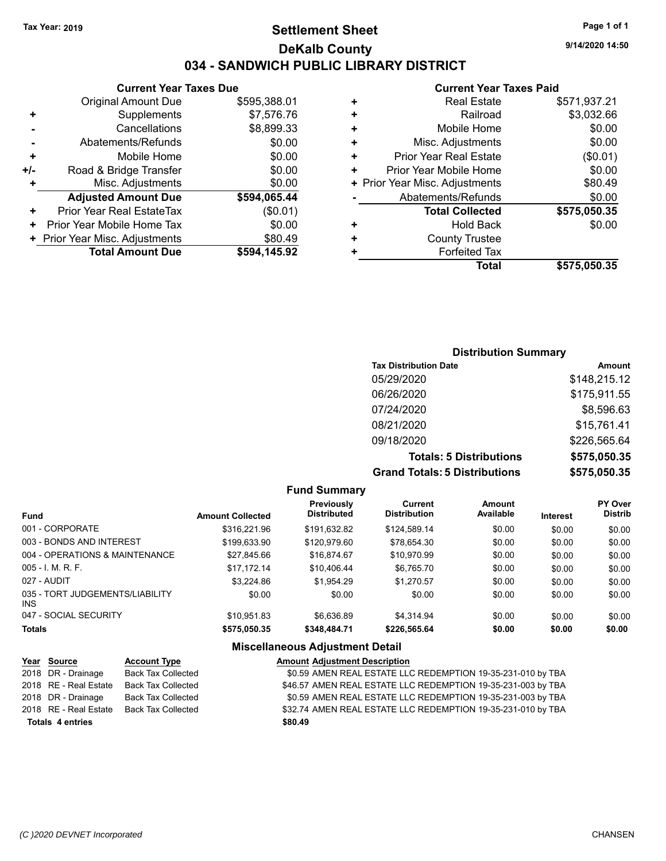## **Settlement Sheet Tax Year: 2019 Page 1 of 1 DeKalb County 034 - SANDWICH PUBLIC LIBRARY DISTRICT**

**9/14/2020 14:50**

#### **Current Year Taxes Paid**

| Total                          | \$575.050.35 |
|--------------------------------|--------------|
| <b>Forfeited Tax</b>           |              |
| <b>County Trustee</b>          |              |
| <b>Hold Back</b>               | \$0.00       |
| <b>Total Collected</b>         | \$575,050.35 |
| Abatements/Refunds             | \$0.00       |
| + Prior Year Misc. Adjustments | \$80.49      |
| Prior Year Mobile Home         | \$0.00       |
| <b>Prior Year Real Estate</b>  | (\$0.01)     |
| Misc. Adjustments              | \$0.00       |
| Mobile Home                    | \$0.00       |
| Railroad                       | \$3,032.66   |
| <b>Real Estate</b>             | \$571,937.21 |
|                                |              |

|     | <b>Current Year Taxes Due</b>    |              |  |
|-----|----------------------------------|--------------|--|
|     | <b>Original Amount Due</b>       | \$595,388.01 |  |
| ٠   | Supplements                      | \$7,576.76   |  |
|     | Cancellations                    | \$8,899.33   |  |
|     | Abatements/Refunds               | \$0.00       |  |
| ٠   | Mobile Home                      | \$0.00       |  |
| +/- | Road & Bridge Transfer           | \$0.00       |  |
| ٠   | Misc. Adjustments                | \$0.00       |  |
|     | <b>Adjusted Amount Due</b>       | \$594,065.44 |  |
| +   | <b>Prior Year Real EstateTax</b> | (\$0.01)     |  |
| ٠   | Prior Year Mobile Home Tax       | \$0.00       |  |
|     | + Prior Year Misc. Adjustments   | \$80.49      |  |
|     | <b>Total Amount Due</b>          | \$594,145.92 |  |

## **Distribution Summary**

| <b>Tax Distribution Date</b>         | Amount       |
|--------------------------------------|--------------|
| 05/29/2020                           | \$148,215.12 |
| 06/26/2020                           | \$175,911.55 |
| 07/24/2020                           | \$8,596.63   |
| 08/21/2020                           | \$15,761.41  |
| 09/18/2020                           | \$226,565.64 |
| <b>Totals: 5 Distributions</b>       | \$575,050.35 |
| <b>Grand Totals: 5 Distributions</b> | \$575,050.35 |

#### **Fund Summary Fund Interest Amount Collected Distributed PY Over Distrib Amount Available Current Distribution Previously** 001 - CORPORATE \$316,221.96 \$191,632.82 \$124,589.14 \$0.00 \$0.00 \$0.00 003 - BONDS AND INTEREST \$199,633.90 \$120,979.60 \$78,654.30 \$0.00 \$0.00 \$0.00 \$0.00 004 - OPERATIONS & MAINTENANCE \$27,845.66 \$16,874.67 \$10,970.99 \$0.00 \$0.00 \$0.00 005 - I. M. R. F. \$17,172.14 \$10,406.44 \$6,765.70 \$0.00 \$0.00 \$0.00 027 - AUDIT \$3,224.86 \$1,954.29 \$1,270.57 \$0.00 \$0.00 \$0.00 035 - TORT JUDGEMENTS/LIABILITY INS \$0.00 \$0.00 \$0.00 \$0.00 \$0.00 \$0.00 047 - SOCIAL SECURITY \$10,951.83 \$6,636.89 \$4,314.94 \$0.00 \$0.00 \$0.00 **Totals \$575,050.35 \$348,484.71 \$226,565.64 \$0.00 \$0.00 \$0.00 Miscellaneous Adjustment Detail**

#### **Year** Source **Account Type A** Annunt Adjustment Description 2018 DR - Drainage Back Tax Collected **\$0.59 AMEN REAL ESTATE LLC REDEMPTION 19-35-231-010 by TBA** 2018 RE - Real Estate Back Tax Collected **\$46.57 AMEN REAL ESTATE LLC REDEMPTION 19-35-231-003 by TBA** 2018 DR - Drainage Back Tax Collected **\$0.59 AMEN REAL ESTATE LLC REDEMPTION 19-35-231-003 by TBA** 2018 RE - Real Estate Back Tax Collected \$32.74 AMEN REAL ESTATE LLC REDEMPTION 19-35-231-010 by TBA **Totals \$80.49 4 entries**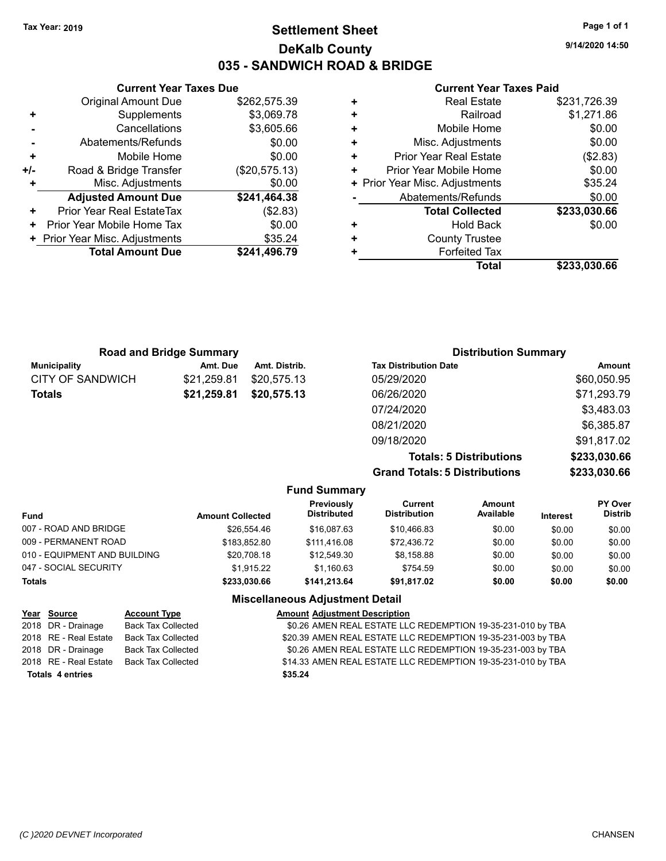## **Settlement Sheet Tax Year: 2019 Page 1 of 1 DeKalb County 035 - SANDWICH ROAD & BRIDGE**

**9/14/2020 14:50**

#### **Current Year Taxes Paid**

|     | <b>Current Year Taxes Due</b>  |               |
|-----|--------------------------------|---------------|
|     | <b>Original Amount Due</b>     | \$262,575.39  |
| ٠   | Supplements                    | \$3,069.78    |
|     | Cancellations                  | \$3,605.66    |
|     | Abatements/Refunds             | \$0.00        |
| ٠   | Mobile Home                    | \$0.00        |
| +/- | Road & Bridge Transfer         | (\$20,575.13) |
|     | Misc. Adjustments              | \$0.00        |
|     | <b>Adjusted Amount Due</b>     | \$241,464.38  |
| ٠   | Prior Year Real EstateTax      | (\$2.83)      |
| ٠   | Prior Year Mobile Home Tax     | \$0.00        |
|     | + Prior Year Misc. Adjustments | \$35.24       |
|     | <b>Total Amount Due</b>        | \$241,496.79  |
|     |                                |               |

| <b>Real Estate</b>             | \$231,726.39 |
|--------------------------------|--------------|
| Railroad                       | \$1,271.86   |
| Mobile Home                    | \$0.00       |
| Misc. Adjustments              | \$0.00       |
| <b>Prior Year Real Estate</b>  | (\$2.83)     |
| Prior Year Mobile Home         | \$0.00       |
| + Prior Year Misc. Adjustments | \$35.24      |
| Abatements/Refunds             | \$0.00       |
| <b>Total Collected</b>         | \$233,030.66 |
| <b>Hold Back</b>               | \$0.00       |
| <b>County Trustee</b>          |              |
| <b>Forfeited Tax</b>           |              |
| Total                          | \$233,030.66 |
|                                |              |

| <b>Road and Bridge Summary</b> |             |               | <b>Distribution Summary</b>  |             |  |
|--------------------------------|-------------|---------------|------------------------------|-------------|--|
| <b>Municipality</b>            | Amt. Due    | Amt. Distrib. | <b>Tax Distribution Date</b> | Amount      |  |
| CITY OF SANDWICH               | \$21.259.81 | \$20,575.13   | 05/29/2020                   | \$60,050.95 |  |
| <b>Totals</b>                  | \$21,259.81 | \$20,575.13   | 06/26/2020                   | \$71,293.79 |  |
|                                |             |               | 07/24/2020                   | \$3,483.03  |  |
|                                |             |               | 08/21/2020                   | \$6,385.87  |  |
|                                |             |               | 09/18/2020                   | \$91,817.02 |  |

**Totals: 5 Distributions \$233,030.66 Grand Totals: 5 Distributions \$233,030.66**

|                              |                         | <b>Fund Summary</b>                    |                                |                     |                 |                                  |
|------------------------------|-------------------------|----------------------------------------|--------------------------------|---------------------|-----------------|----------------------------------|
| <b>Fund</b>                  | <b>Amount Collected</b> | Previously<br>Distributed              | Current<br><b>Distribution</b> | Amount<br>Available | <b>Interest</b> | <b>PY Over</b><br><b>Distrib</b> |
| 007 - ROAD AND BRIDGE        | \$26.554.46             | \$16,087.63                            | \$10.466.83                    | \$0.00              | \$0.00          | \$0.00                           |
| 009 - PERMANENT ROAD         | \$183.852.80            | \$111.416.08                           | \$72.436.72                    | \$0.00              | \$0.00          | \$0.00                           |
| 010 - EQUIPMENT AND BUILDING | \$20,708.18             | \$12.549.30                            | \$8,158.88                     | \$0.00              | \$0.00          | \$0.00                           |
| 047 - SOCIAL SECURITY        | \$1.915.22              | \$1.160.63                             | \$754.59                       | \$0.00              | \$0.00          | \$0.00                           |
| <b>Totals</b>                | \$233.030.66            | \$141.213.64                           | \$91.817.02                    | \$0.00              | \$0.00          | \$0.00                           |
|                              |                         | <b>Miscellaneous Adiustment Detail</b> |                                |                     |                 |                                  |

|                         | Year Source           | <b>Account Type</b>       | <b>Amount Adjustment Description</b>                         |
|-------------------------|-----------------------|---------------------------|--------------------------------------------------------------|
|                         | 2018 DR - Drainage    | <b>Back Tax Collected</b> | \$0.26 AMEN REAL ESTATE LLC REDEMPTION 19-35-231-010 by TBA  |
|                         | 2018 RE - Real Estate | <b>Back Tax Collected</b> | \$20.39 AMEN REAL ESTATE LLC REDEMPTION 19-35-231-003 by TBA |
|                         | 2018 DR - Drainage    | Back Tax Collected        | \$0.26 AMEN REAL ESTATE LLC REDEMPTION 19-35-231-003 by TBA  |
|                         | 2018 RE - Real Estate | <b>Back Tax Collected</b> | \$14.33 AMEN REAL ESTATE LLC REDEMPTION 19-35-231-010 by TBA |
| <b>Totals 4 entries</b> |                       |                           | \$35.24                                                      |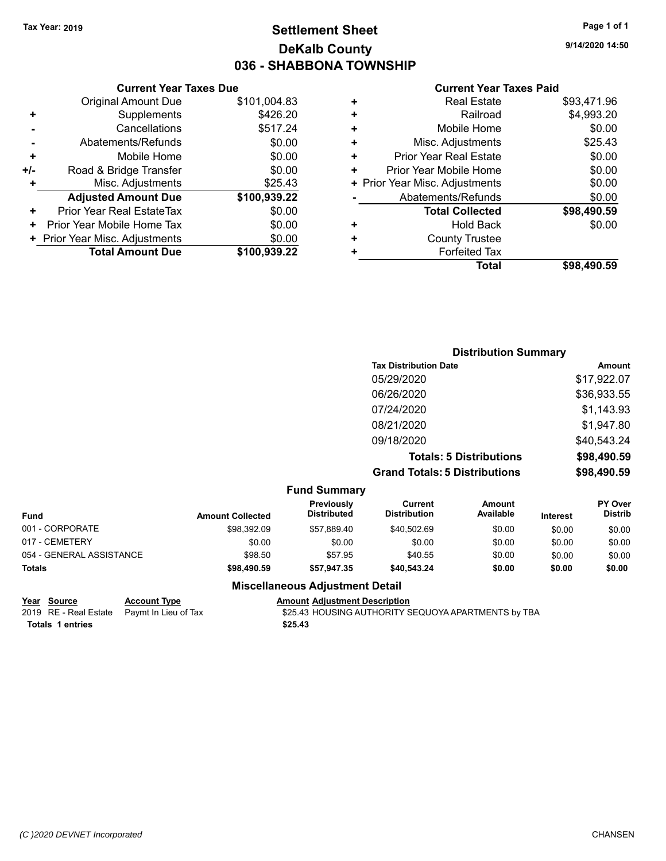## **Settlement Sheet Tax Year: 2019 Page 1 of 1 DeKalb County 036 - SHABBONA TOWNSHIP**

**9/14/2020 14:50**

#### **Current Year Taxes Paid**

|     | <b>Original Amount Due</b>     | \$101,004.83 |
|-----|--------------------------------|--------------|
| ٠   | Supplements                    | \$426.20     |
|     | Cancellations                  | \$517.24     |
|     | Abatements/Refunds             | \$0.00       |
| ٠   | Mobile Home                    | \$0.00       |
| +/- | Road & Bridge Transfer         | \$0.00       |
|     | Misc. Adjustments              | \$25.43      |
|     | <b>Adjusted Amount Due</b>     | \$100,939.22 |
| ÷   | Prior Year Real EstateTax      | \$0.00       |
| ٠   | Prior Year Mobile Home Tax     | \$0.00       |
|     | + Prior Year Misc. Adjustments | \$0.00       |
|     | <b>Total Amount Due</b>        | \$100,939.22 |
|     |                                |              |

**Current Year Taxes Due**

| \$4,993.20  |
|-------------|
| \$0.00      |
| \$25.43     |
| \$0.00      |
| \$0.00      |
| \$0.00      |
| \$0.00      |
| \$98,490.59 |
| \$0.00      |
|             |
|             |
| \$98,490.59 |
|             |

## **Distribution Summary Tax Distribution Date Amount** 05/29/2020 \$17,922.07 06/26/2020 \$36,933.55 07/24/2020 \$1,143.93 08/21/2020 \$1,947.80 09/18/2020 \$40,543.24 **Totals: 5 Distributions \$98,490.59 Grand Totals: 5 Distributions \$98,490.59**

|                          |                         | <b>Fund Summary</b>              |                                |                            |                 |                                  |
|--------------------------|-------------------------|----------------------------------|--------------------------------|----------------------------|-----------------|----------------------------------|
| <b>Fund</b>              | <b>Amount Collected</b> | Previously<br><b>Distributed</b> | Current<br><b>Distribution</b> | <b>Amount</b><br>Available | <b>Interest</b> | <b>PY Over</b><br><b>Distrib</b> |
| 001 - CORPORATE          | \$98.392.09             | \$57.889.40                      | \$40,502.69                    | \$0.00                     | \$0.00          | \$0.00                           |
| 017 - CEMETERY           | \$0.00                  | \$0.00                           | \$0.00                         | \$0.00                     | \$0.00          | \$0.00                           |
| 054 - GENERAL ASSISTANCE | \$98.50                 | \$57.95                          | \$40.55                        | \$0.00                     | \$0.00          | \$0.00                           |
| <b>Totals</b>            | \$98,490.59             | \$57.947.35                      | \$40.543.24                    | \$0.00                     | \$0.00          | \$0.00                           |

| Year Source      | <b>Account Type</b>                        | <b>Amount Adiustment Description</b>                |
|------------------|--------------------------------------------|-----------------------------------------------------|
|                  | 2019 RE - Real Estate Paymt In Lieu of Tax | \$25.43 HOUSING AUTHORITY SEQUOYA APARTMENTS by TBA |
| Totals 1 entries |                                            | \$25.43                                             |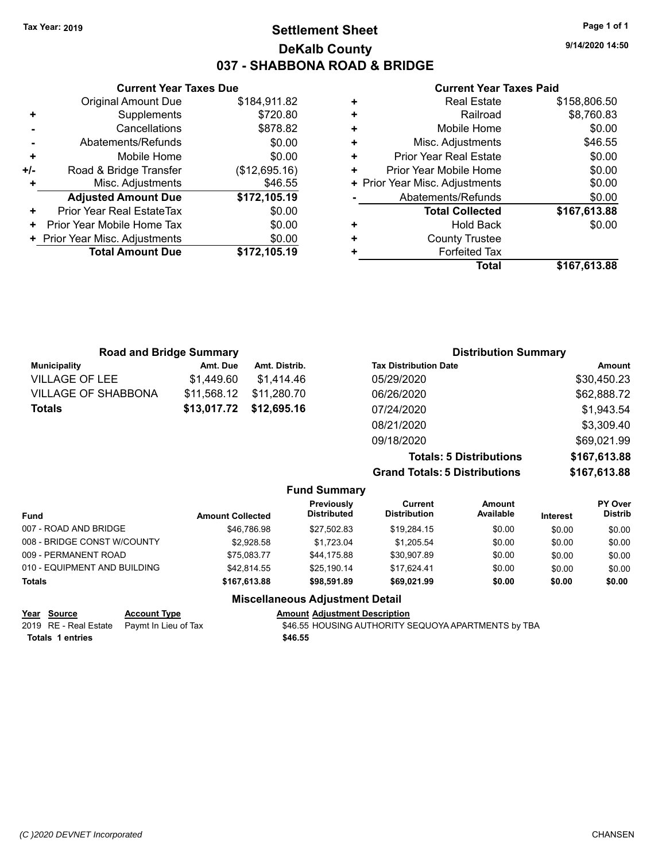## **Settlement Sheet Tax Year: 2019 Page 1 of 1 DeKalb County 037 - SHABBONA ROAD & BRIDGE**

**9/14/2020 14:50**

#### **Current Year Taxes Paid**

|     | <b>Current Year Taxes Due</b>  |               |  |
|-----|--------------------------------|---------------|--|
|     | <b>Original Amount Due</b>     | \$184,911.82  |  |
| ٠   | Supplements                    | \$720.80      |  |
|     | Cancellations                  | \$878.82      |  |
|     | Abatements/Refunds             | \$0.00        |  |
| ٠   | Mobile Home                    | \$0.00        |  |
| +/- | Road & Bridge Transfer         | (\$12,695.16) |  |
| ٠   | Misc. Adjustments              | \$46.55       |  |
|     | <b>Adjusted Amount Due</b>     | \$172,105.19  |  |
| ٠   | Prior Year Real EstateTax      | \$0.00        |  |
| ٠   | Prior Year Mobile Home Tax     | \$0.00        |  |
|     | + Prior Year Misc. Adjustments | \$0.00        |  |
|     | <b>Total Amount Due</b>        | \$172,105.19  |  |
|     |                                |               |  |

|   | <b>Real Estate</b>             | \$158,806.50 |
|---|--------------------------------|--------------|
| ٠ | Railroad                       | \$8,760.83   |
| ٠ | Mobile Home                    | \$0.00       |
| ٠ | Misc. Adjustments              | \$46.55      |
| ٠ | <b>Prior Year Real Estate</b>  | \$0.00       |
| ٠ | Prior Year Mobile Home         | \$0.00       |
|   | + Prior Year Misc. Adjustments | \$0.00       |
|   | Abatements/Refunds             | \$0.00       |
|   | <b>Total Collected</b>         | \$167,613.88 |
| ٠ | <b>Hold Back</b>               | \$0.00       |
| ٠ | <b>County Trustee</b>          |              |
| ٠ | <b>Forfeited Tax</b>           |              |
|   | Total                          | \$167,613.88 |
|   |                                |              |

| <b>Road and Bridge Summary</b> |                         |               | <b>Distribution Summary</b>  |             |
|--------------------------------|-------------------------|---------------|------------------------------|-------------|
| <b>Municipality</b>            | Amt. Due                | Amt. Distrib. | <b>Tax Distribution Date</b> | Amount      |
| <b>VILLAGE OF LEE</b>          | \$1,449.60              | \$1,414.46    | 05/29/2020                   | \$30,450.23 |
| <b>VILLAGE OF SHABBONA</b>     | \$11.568.12             | \$11,280.70   | 06/26/2020                   | \$62,888.72 |
| <b>Totals</b>                  | \$13,017.72 \$12,695.16 |               | 07/24/2020                   | \$1,943.54  |
|                                |                         |               | 08/21/2020                   | \$3,309.40  |
|                                |                         |               | 09/18/2020                   | \$69,021.99 |

**Totals: 5 Distributions \$167,613.88 Grand Totals: 5 Distributions \$167,613.88**

|                                        |                         | <b>Fund Summary</b>              |                                |                     |                 |                           |
|----------------------------------------|-------------------------|----------------------------------|--------------------------------|---------------------|-----------------|---------------------------|
| <b>Fund</b>                            | <b>Amount Collected</b> | Previously<br><b>Distributed</b> | Current<br><b>Distribution</b> | Amount<br>Available | <b>Interest</b> | PY Over<br><b>Distrib</b> |
| 007 - ROAD AND BRIDGE                  | \$46,786.98             | \$27.502.83                      | \$19.284.15                    | \$0.00              | \$0.00          | \$0.00                    |
| 008 - BRIDGE CONST W/COUNTY            | \$2.928.58              | \$1.723.04                       | \$1.205.54                     | \$0.00              | \$0.00          | \$0.00                    |
| 009 - PERMANENT ROAD                   | \$75.083.77             | \$44.175.88                      | \$30,907.89                    | \$0.00              | \$0.00          | \$0.00                    |
| 010 - EQUIPMENT AND BUILDING           | \$42.814.55             | \$25.190.14                      | \$17.624.41                    | \$0.00              | \$0.00          | \$0.00                    |
| <b>Totals</b>                          | \$167,613.88            | \$98.591.89                      | \$69,021.99                    | \$0.00              | \$0.00          | \$0.00                    |
| <b>Miscellaneous Adjustment Detail</b> |                         |                                  |                                |                     |                 |                           |

|                  | Year Source | <b>Account Type</b>                        | <b>Amount Adjustment Description</b>                |
|------------------|-------------|--------------------------------------------|-----------------------------------------------------|
|                  |             | 2019 RE - Real Estate Paymt In Lieu of Tax | \$46.55 HOUSING AUTHORITY SEQUOYA APARTMENTS by TBA |
| Totals 1 entries |             |                                            | \$46.55                                             |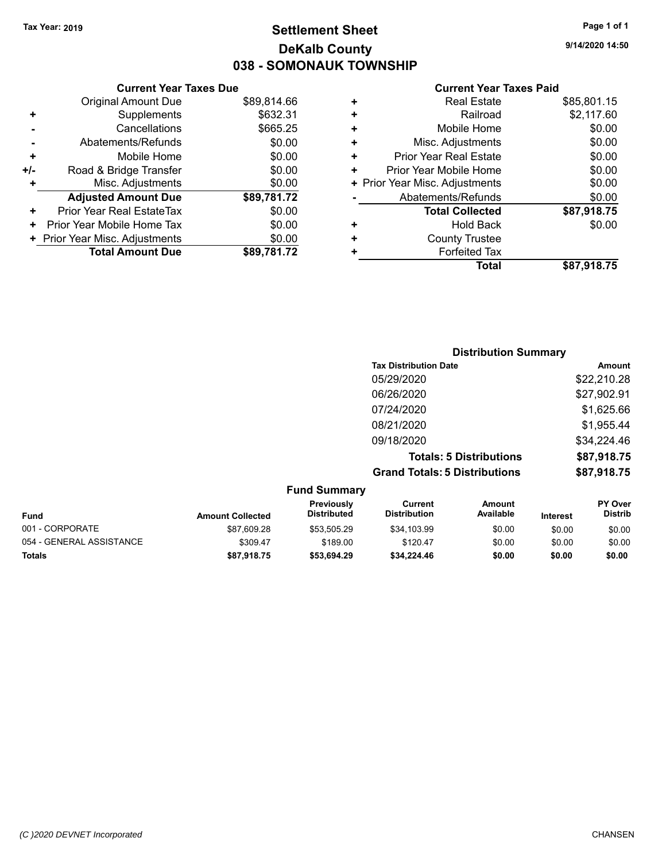## **Settlement Sheet Tax Year: 2019 Page 1 of 1 DeKalb County 038 - SOMONAUK TOWNSHIP**

**9/14/2020 14:50**

#### **Current Year Taxes Paid**

|     | <b>Current Year Taxes Due</b>  |             |
|-----|--------------------------------|-------------|
|     | <b>Original Amount Due</b>     | \$89,814.66 |
| ÷   | Supplements                    | \$632.31    |
|     | Cancellations                  | \$665.25    |
|     | Abatements/Refunds             | \$0.00      |
| ٠   | Mobile Home                    | \$0.00      |
| +/- | Road & Bridge Transfer         | \$0.00      |
| ÷   | Misc. Adjustments              | \$0.00      |
|     | <b>Adjusted Amount Due</b>     | \$89,781.72 |
| ÷   | Prior Year Real EstateTax      | \$0.00      |
| ٠   | Prior Year Mobile Home Tax     | \$0.00      |
|     | + Prior Year Misc. Adjustments | \$0.00      |
|     | <b>Total Amount Due</b>        | \$89,781.72 |
|     |                                |             |

| ٠ | <b>Real Estate</b>             | \$85,801.15 |
|---|--------------------------------|-------------|
| ٠ | Railroad                       | \$2,117.60  |
| ٠ | Mobile Home                    | \$0.00      |
| ٠ | Misc. Adjustments              | \$0.00      |
| ٠ | <b>Prior Year Real Estate</b>  | \$0.00      |
| ٠ | Prior Year Mobile Home         | \$0.00      |
|   | + Prior Year Misc. Adjustments | \$0.00      |
|   | Abatements/Refunds             | \$0.00      |
|   | <b>Total Collected</b>         | \$87,918.75 |
| ٠ | <b>Hold Back</b>               | \$0.00      |
| ٠ | <b>County Trustee</b>          |             |
| ٠ | <b>Forfeited Tax</b>           |             |
|   | Total                          | \$87,918.75 |
|   |                                |             |

|                     | <b>Distribution Summary</b>          |             |
|---------------------|--------------------------------------|-------------|
|                     | <b>Tax Distribution Date</b>         | Amount      |
|                     | 05/29/2020                           | \$22,210.28 |
|                     | 06/26/2020                           | \$27,902.91 |
|                     | 07/24/2020                           | \$1,625.66  |
|                     | 08/21/2020                           | \$1,955.44  |
|                     | 09/18/2020                           | \$34,224.46 |
|                     | <b>Totals: 5 Distributions</b>       | \$87,918.75 |
|                     | <b>Grand Totals: 5 Distributions</b> | \$87,918.75 |
| <b>Fund Summary</b> |                                      |             |

| <b>Fund</b>              | <b>Amount Collected</b> | <b>Previously</b><br><b>Distributed</b> | Current<br><b>Distribution</b> | Amount<br>Available | <b>Interest</b> | <b>PY Over</b><br><b>Distrib</b> |
|--------------------------|-------------------------|-----------------------------------------|--------------------------------|---------------------|-----------------|----------------------------------|
| 001 - CORPORATE          | \$87.609.28             | \$53.505.29                             | \$34,103.99                    | \$0.00              | \$0.00          | \$0.00                           |
| 054 - GENERAL ASSISTANCE | \$309.47                | \$189.00                                | \$120.47                       | \$0.00              | \$0.00          | \$0.00                           |
| <b>Totals</b>            | \$87,918.75             | \$53.694.29                             | \$34.224.46                    | \$0.00              | \$0.00          | \$0.00                           |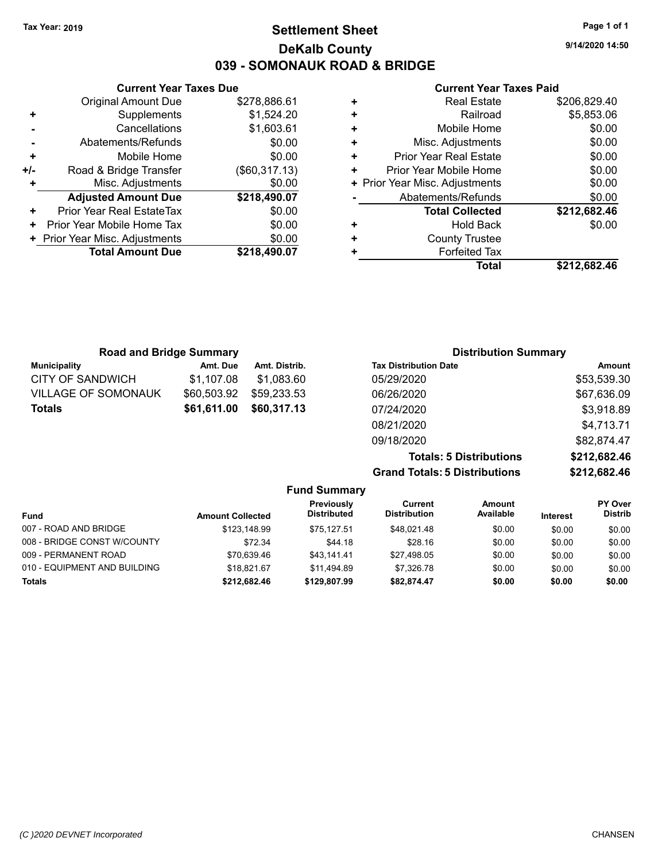## **Settlement Sheet Tax Year: 2019 Page 1 of 1 DeKalb County 039 - SOMONAUK ROAD & BRIDGE**

**9/14/2020 14:50**

#### **Current Year Taxes Paid**

|     | <b>Current Year Taxes Due</b>  |               |
|-----|--------------------------------|---------------|
|     | <b>Original Amount Due</b>     | \$278,886.61  |
|     | Supplements                    | \$1,524.20    |
|     | Cancellations                  | \$1,603.61    |
|     | Abatements/Refunds             | \$0.00        |
| ٠   | Mobile Home                    | \$0.00        |
| +/- | Road & Bridge Transfer         | (\$60,317.13) |
|     | Misc. Adjustments              | \$0.00        |
|     | <b>Adjusted Amount Due</b>     | \$218,490.07  |
| ٠   | Prior Year Real EstateTax      | \$0.00        |
|     | Prior Year Mobile Home Tax     | \$0.00        |
|     | + Prior Year Misc. Adjustments | \$0.00        |
|     | <b>Total Amount Due</b>        | \$218,490.07  |
|     |                                |               |

|   | <b>Real Estate</b>             | \$206,829.40 |
|---|--------------------------------|--------------|
| ٠ | Railroad                       | \$5,853.06   |
| ٠ | Mobile Home                    | \$0.00       |
| ٠ | Misc. Adjustments              | \$0.00       |
| ٠ | <b>Prior Year Real Estate</b>  | \$0.00       |
| ٠ | Prior Year Mobile Home         | \$0.00       |
|   | + Prior Year Misc. Adjustments | \$0.00       |
|   | Abatements/Refunds             | \$0.00       |
|   | <b>Total Collected</b>         | \$212,682.46 |
| ٠ | <b>Hold Back</b>               | \$0.00       |
| ٠ | <b>County Trustee</b>          |              |
| ٠ | <b>Forfeited Tax</b>           |              |
|   | Total                          | \$212,682.46 |

| <b>Road and Bridge Summary</b> |             |               | <b>Distribution Summary</b>  |             |
|--------------------------------|-------------|---------------|------------------------------|-------------|
| <b>Municipality</b>            | Amt. Due    | Amt. Distrib. | <b>Tax Distribution Date</b> | Amount      |
| <b>CITY OF SANDWICH</b>        | \$1.107.08  | \$1.083.60    | 05/29/2020                   | \$53,539.30 |
| <b>VILLAGE OF SOMONAUK</b>     | \$60,503.92 | \$59,233.53   | 06/26/2020                   | \$67,636.09 |
| Totals                         | \$61,611.00 | \$60,317.13   | 07/24/2020                   | \$3,918.89  |
|                                |             |               | 08/21/2020                   | \$4,713.71  |

**Grand Totals: 5 Distributions** 

09/18/2020 \$82,874.47

| <b>Totals: 5 Distributions</b> | \$212,682.46 |
|--------------------------------|--------------|
| <b>Totals: 5 Distributions</b> | \$212,682.46 |
|                                |              |

| <b>Fund Summary</b>          |                         |                           |                                |                     |                 |                                  |
|------------------------------|-------------------------|---------------------------|--------------------------------|---------------------|-----------------|----------------------------------|
| <b>Fund</b>                  | <b>Amount Collected</b> | Previously<br>Distributed | Current<br><b>Distribution</b> | Amount<br>Available | <b>Interest</b> | <b>PY Over</b><br><b>Distrib</b> |
| 007 - ROAD AND BRIDGE        | \$123.148.99            | \$75.127.51               | \$48.021.48                    | \$0.00              | \$0.00          | \$0.00                           |
| 008 - BRIDGE CONST W/COUNTY  | \$72.34                 | \$44.18                   | \$28.16                        | \$0.00              | \$0.00          | \$0.00                           |
| 009 - PERMANENT ROAD         | \$70.639.46             | \$43.141.41               | \$27.498.05                    | \$0.00              | \$0.00          | \$0.00                           |
| 010 - EQUIPMENT AND BUILDING | \$18.821.67             | \$11.494.89               | \$7.326.78                     | \$0.00              | \$0.00          | \$0.00                           |
| <b>Totals</b>                | \$212,682.46            | \$129,807.99              | \$82.874.47                    | \$0.00              | \$0.00          | \$0.00                           |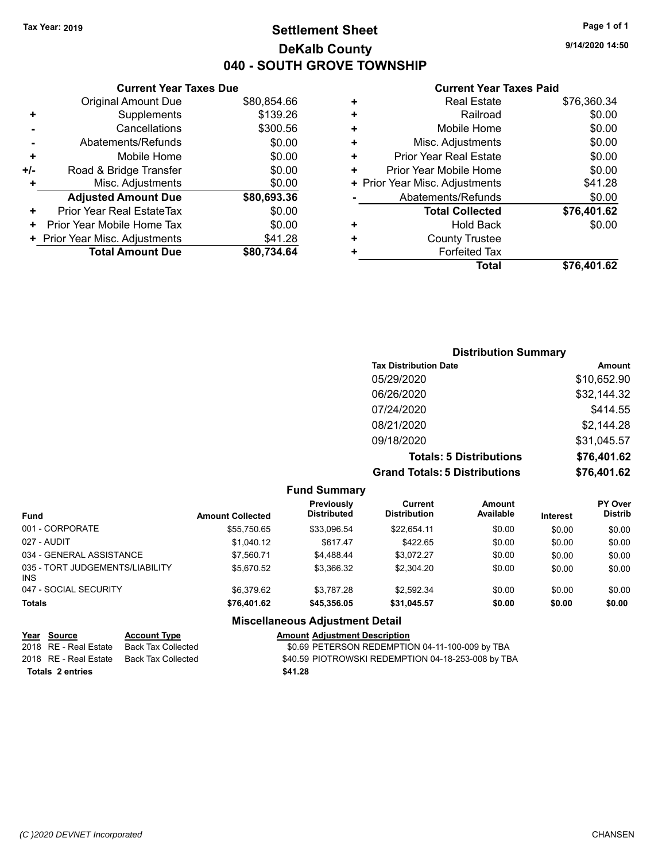**Current Year Taxes Due** Original Amount Due \$80,854.66

**Adjusted Amount Due \$80,693.36**

**Total Amount Due \$80,734.64**

**+** Supplements \$139.26 **-** Cancellations \$300.56 **-** Abatements/Refunds \$0.00 **+** Mobile Home \$0.00 **+/-** Road & Bridge Transfer \$0.00 **+** Misc. Adjustments \$0.00

**+** Prior Year Real EstateTax \$0.00 **+** Prior Year Mobile Home Tax  $$0.00$ **+** Prior Year Misc. Adjustments \$41.28

## **Settlement Sheet Tax Year: 2019 Page 1 of 1 DeKalb County 040 - SOUTH GROVE TOWNSHIP**

**9/14/2020 14:50**

#### **Current Year Taxes Paid**

|   | Total                          | \$76,401.62 |
|---|--------------------------------|-------------|
| ٠ | <b>Forfeited Tax</b>           |             |
| ٠ | <b>County Trustee</b>          |             |
| ٠ | <b>Hold Back</b>               | \$0.00      |
|   | <b>Total Collected</b>         | \$76,401.62 |
|   | Abatements/Refunds             | \$0.00      |
|   | + Prior Year Misc. Adjustments | \$41.28     |
| ٠ | Prior Year Mobile Home         | \$0.00      |
| ٠ | <b>Prior Year Real Estate</b>  | \$0.00      |
| ÷ | Misc. Adjustments              | \$0.00      |
| ÷ | Mobile Home                    | \$0.00      |
| ٠ | Railroad                       | \$0.00      |
| ٠ | <b>Real Estate</b>             | \$76,360.34 |
|   |                                |             |

## **Distribution Summary Tax Distribution Date Amount** 05/29/2020 \$10,652.90 06/26/2020 \$32,144.32 07/24/2020 \$414.55 08/21/2020 \$2,144.28 09/18/2020 \$31,045.57 **Totals: 5 Distributions \$76,401.62 Grand Totals: 5 Distributions \$76,401.62**

**Fund Summary Fund Interest Amount Collected Distributed PY Over Distrib Amount Available Current Distribution Previously** 001 - CORPORATE \$55,750.65 \$33,096.54 \$22,654.11 \$0.00 \$0.00 \$0.00 027 - AUDIT \$1,040.12 \$617.47 \$422.65 \$0.00 \$0.00 \$0.00 034 - GENERAL ASSISTANCE  $$7,560.71$   $$4,488.44$   $$3,072.27$   $$0.00$   $$0.00$   $$0.00$ 035 - TORT JUDGEMENTS/LIABILITY INS \$5,670.52 \$3,366.32 \$2,304.20 \$0.00 \$0.00 \$0.00 047 - SOCIAL SECURITY \$6,379.62 \$3,787.28 \$2,592.34 \$0.00 \$0.00 \$0.00 **Totals \$76,401.62 \$45,356.05 \$31,045.57 \$0.00 \$0.00 \$0.00 Miscellaneous Adjustment Detail**

| Year Source           | <b>Account Type</b> | <b>Amount Adjustment Description</b>               |
|-----------------------|---------------------|----------------------------------------------------|
| 2018 RE - Real Estate | Back Tax Collected  | \$0.69 PETERSON REDEMPTION 04-11-100-009 by TBA    |
| 2018 RE - Real Estate | Back Tax Collected  | \$40.59 PIOTROWSKI REDEMPTION 04-18-253-008 by TBA |
| Totals 2 entries      |                     | \$41.28                                            |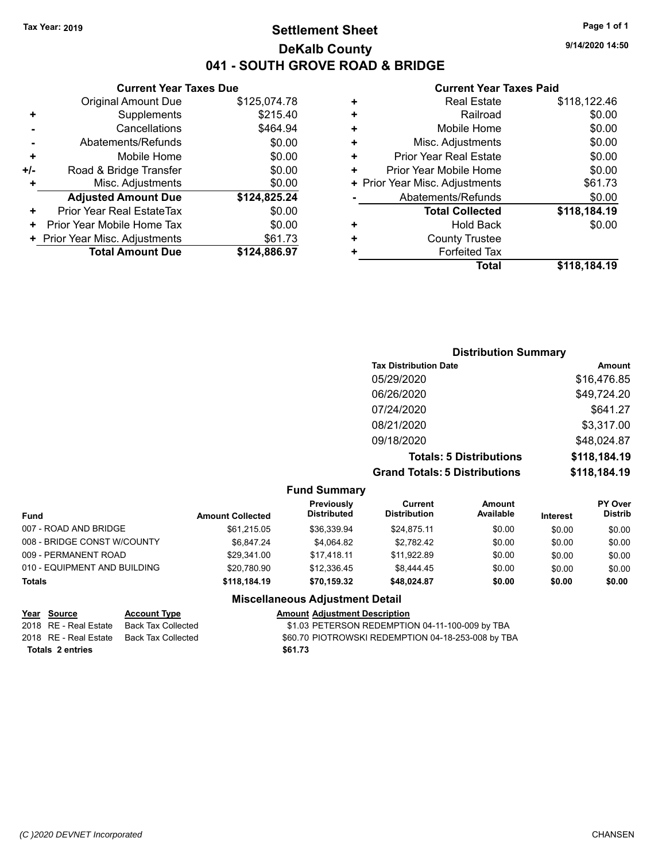## **Settlement Sheet Tax Year: 2019 Page 1 of 1 DeKalb County 041 - SOUTH GROVE ROAD & BRIDGE**

## **Current Year Taxes Due**

|       | <b>Original Amount Due</b>     | \$125,074.78 |
|-------|--------------------------------|--------------|
| ٠     | Supplements                    | \$215.40     |
|       | Cancellations                  | \$464.94     |
|       | Abatements/Refunds             | \$0.00       |
| ٠     | Mobile Home                    | \$0.00       |
| $+/-$ | Road & Bridge Transfer         | \$0.00       |
|       | Misc. Adjustments              | \$0.00       |
|       | <b>Adjusted Amount Due</b>     | \$124,825.24 |
| ÷     | Prior Year Real EstateTax      | \$0.00       |
| ٠     | Prior Year Mobile Home Tax     | \$0.00       |
|       | + Prior Year Misc. Adjustments | \$61.73      |
|       | <b>Total Amount Due</b>        | \$124,886.97 |
|       |                                |              |

#### **Current Year Taxes Paid**

| <b>Real Estate</b>             | \$118,122.46 |
|--------------------------------|--------------|
| Railroad                       | \$0.00       |
| Mobile Home                    | \$0.00       |
| Misc. Adjustments              | \$0.00       |
| <b>Prior Year Real Estate</b>  | \$0.00       |
| Prior Year Mobile Home         | \$0.00       |
| + Prior Year Misc. Adjustments | \$61.73      |
| Abatements/Refunds             | \$0.00       |
| <b>Total Collected</b>         | \$118,184.19 |
| Hold Back                      | \$0.00       |
| <b>County Trustee</b>          |              |
| <b>Forfeited Tax</b>           |              |
| Total                          | \$118,184.19 |
|                                |              |

## **Distribution Summary Tax Distribution Date Amount** 05/29/2020 \$16,476.85 06/26/2020 \$49,724.20 07/24/2020 \$641.27 08/21/2020 \$3,317.00 09/18/2020 \$48,024.87 **Totals: 5 Distributions \$118,184.19 Grand Totals: 5 Distributions \$118,184.19**

#### **Fund Summary**

| Previously<br><b>Distributed</b> | Current<br><b>Distribution</b> | Amount<br>Available | <b>Interest</b> | <b>PY Over</b><br><b>Distrib</b> |
|----------------------------------|--------------------------------|---------------------|-----------------|----------------------------------|
| \$36.339.94                      | \$24.875.11                    | \$0.00              | \$0.00          | \$0.00                           |
| \$4.064.82                       | \$2.782.42                     | \$0.00              | \$0.00          | \$0.00                           |
| \$17.418.11                      | \$11.922.89                    | \$0.00              | \$0.00          | \$0.00                           |
| \$12.336.45                      | \$8,444.45                     | \$0.00              | \$0.00          | \$0.00                           |
| \$70,159.32                      | \$48.024.87                    | \$0.00              | \$0.00          | \$0.00                           |
|                                  |                                |                     |                 |                                  |

## **Miscellaneous Adjustment Detail**

| Year Source           | <b>Account Type</b> | <b>Amount Adjustment Description</b>               |
|-----------------------|---------------------|----------------------------------------------------|
| 2018 RE - Real Estate | Back Tax Collected  | \$1.03 PETERSON REDEMPTION 04-11-100-009 by TBA    |
| 2018 RE - Real Estate | Back Tax Collected  | \$60.70 PIOTROWSKI REDEMPTION 04-18-253-008 by TBA |
| Totals 2 entries      |                     | \$61.73                                            |

**9/14/2020 14:50**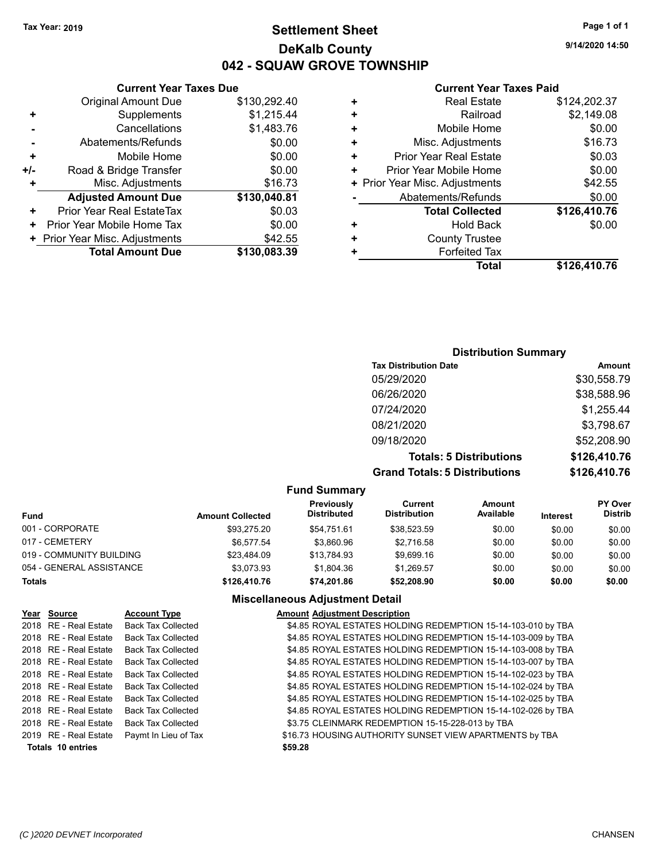## **Settlement Sheet Tax Year: 2019 Page 1 of 1 DeKalb County 042 - SQUAW GROVE TOWNSHIP**

**9/14/2020 14:50**

## **Current Year Taxes Paid**

|       | <b>Current Year Taxes Due</b>    |              |    | <b>Current Year Taxes Paid</b> |                    |
|-------|----------------------------------|--------------|----|--------------------------------|--------------------|
|       | <b>Original Amount Due</b>       | \$130,292.40 |    | <b>Real Estate</b>             | \$124,202.37       |
| ٠     | Supplements                      | \$1,215.44   |    | Railroad                       | \$2,149.08         |
|       | Cancellations                    | \$1,483.76   |    | Mobile Home                    | \$0.00             |
|       | Abatements/Refunds               | \$0.00       | ٠  | Misc. Adjustments              | \$16.73            |
| ٠     | Mobile Home                      | \$0.00       | ٠  | <b>Prior Year Real Estate</b>  | \$0.03             |
| $+/-$ | Road & Bridge Transfer           | \$0.00       | ÷. | Prior Year Mobile Home         | \$0.00             |
|       | Misc. Adjustments                | \$16.73      |    | + Prior Year Misc. Adjustments | \$42.55            |
|       | <b>Adjusted Amount Due</b>       | \$130,040.81 |    | Abatements/Refunds             | \$0.00             |
| ÷.    | <b>Prior Year Real EstateTax</b> | \$0.03       |    | <b>Total Collected</b>         | \$126,410.76       |
| $+$   | Prior Year Mobile Home Tax       | \$0.00       | ٠  | <b>Hold Back</b>               | \$0.00             |
|       | + Prior Year Misc. Adjustments   | \$42.55      | ٠  | <b>County Trustee</b>          |                    |
|       | <b>Total Amount Due</b>          | \$130,083.39 |    | <b>Forfeited Tax</b>           |                    |
|       |                                  |              |    | <b>Total</b>                   | <b>CADE AAN 76</b> |

| Total | \$126,410.76 |
|-------|--------------|
| d Tax |              |
| ustee |              |

## **Distribution Summary Tax Distribution Date Amount** 05/29/2020 \$30,558.79 06/26/2020 \$38,588.96 07/24/2020 \$1,255.44 08/21/2020 \$3,798.67 09/18/2020 \$52,208.90 **Totals: 5 Distributions \$126,410.76 Grand Totals: 5 Distributions \$126,410.76**

#### **Fund Summary Fund Interest Amount Collected Distributed PY Over Distrib Amount Available Current Distribution Previously** 001 - CORPORATE \$93,275.20 \$54,751.61 \$38,523.59 \$0.00 \$0.00 \$0.00 017 - CEMETERY \$6,577.54 \$3,860.96 \$2,716.58 \$0.00 \$0.00 \$0.00 019 - COMMUNITY BUILDING  $$23,484.09$   $$13,784.93$   $$9,699.16$   $$0.00$   $$0.00$   $$0.00$ 054 - GENERAL ASSISTANCE  $$3,073.93$   $$1,804.36$   $$1,269.57$   $$0.00$   $$0.00$   $$0.00$ **Totals \$126,410.76 \$74,201.86 \$52,208.90 \$0.00 \$0.00 \$0.00**

| Year Source              | <b>Account Type</b>       | <b>Amount Adjustment Description</b>                         |
|--------------------------|---------------------------|--------------------------------------------------------------|
| 2018 RE - Real Estate    | <b>Back Tax Collected</b> | \$4.85 ROYAL ESTATES HOLDING REDEMPTION 15-14-103-010 by TBA |
| 2018 RE - Real Estate    | <b>Back Tax Collected</b> | \$4.85 ROYAL ESTATES HOLDING REDEMPTION 15-14-103-009 by TBA |
| 2018 RE - Real Estate    | <b>Back Tax Collected</b> | \$4.85 ROYAL ESTATES HOLDING REDEMPTION 15-14-103-008 by TBA |
| 2018 RE - Real Estate    | <b>Back Tax Collected</b> | \$4.85 ROYAL ESTATES HOLDING REDEMPTION 15-14-103-007 by TBA |
| 2018 RE - Real Estate    | <b>Back Tax Collected</b> | \$4.85 ROYAL ESTATES HOLDING REDEMPTION 15-14-102-023 by TBA |
| 2018 RE - Real Estate    | <b>Back Tax Collected</b> | \$4.85 ROYAL ESTATES HOLDING REDEMPTION 15-14-102-024 by TBA |
| 2018 RE - Real Estate    | <b>Back Tax Collected</b> | \$4.85 ROYAL ESTATES HOLDING REDEMPTION 15-14-102-025 by TBA |
| 2018 RE - Real Estate    | <b>Back Tax Collected</b> | \$4.85 ROYAL ESTATES HOLDING REDEMPTION 15-14-102-026 by TBA |
| 2018 RE - Real Estate    | <b>Back Tax Collected</b> | \$3.75 CLEINMARK REDEMPTION 15-15-228-013 by TBA             |
| 2019 RE - Real Estate    | Paymt In Lieu of Tax      | \$16.73 HOUSING AUTHORITY SUNSET VIEW APARTMENTS by TBA      |
| <b>Totals 10 entries</b> |                           | \$59.28                                                      |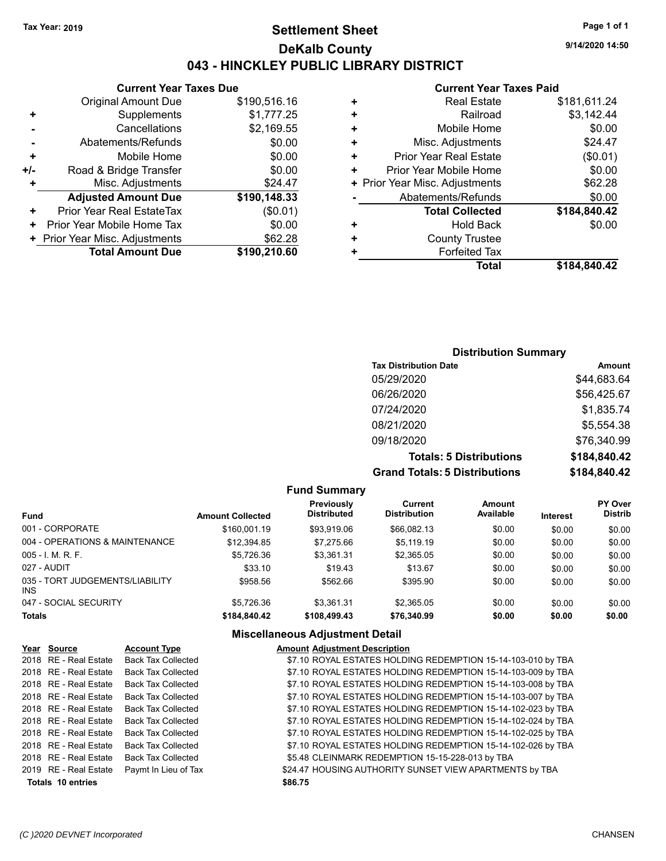## **Settlement Sheet Tax Year: 2019 Page 1 of 1 DeKalb County 043 - HINCKLEY PUBLIC LIBRARY DISTRICT**

**9/14/2020 14:50**

#### **Current Year Taxes Paid**

|   | Total                          | \$184,840.42 |
|---|--------------------------------|--------------|
|   | <b>Forfeited Tax</b>           |              |
| ٠ | <b>County Trustee</b>          |              |
| ٠ | <b>Hold Back</b>               | \$0.00       |
|   | <b>Total Collected</b>         | \$184,840.42 |
|   | Abatements/Refunds             | \$0.00       |
|   | + Prior Year Misc. Adjustments | \$62.28      |
| ٠ | Prior Year Mobile Home         | \$0.00       |
| ٠ | <b>Prior Year Real Estate</b>  | (\$0.01)     |
| ٠ | Misc. Adjustments              | \$24.47      |
| ٠ | Mobile Home                    | \$0.00       |
| ٠ | Railroad                       | \$3,142.44   |
| ٠ | <b>Real Estate</b>             | \$181,611.24 |
|   |                                |              |

|     | <b>Current Year Taxes Due</b>  |              |  |  |
|-----|--------------------------------|--------------|--|--|
|     | <b>Original Amount Due</b>     | \$190,516.16 |  |  |
| ٠   | Supplements                    | \$1,777.25   |  |  |
|     | Cancellations                  | \$2,169.55   |  |  |
|     | Abatements/Refunds             | \$0.00       |  |  |
| ٠   | Mobile Home                    | \$0.00       |  |  |
| +/- | Road & Bridge Transfer         | \$0.00       |  |  |
| ٠   | Misc. Adjustments              | \$24.47      |  |  |
|     | <b>Adjusted Amount Due</b>     | \$190,148.33 |  |  |
| +   | Prior Year Real EstateTax      | (\$0.01)     |  |  |
| ٠   | Prior Year Mobile Home Tax     | \$0.00       |  |  |
|     | + Prior Year Misc. Adjustments | \$62.28      |  |  |
|     | <b>Total Amount Due</b>        | \$190,210.60 |  |  |

## **Distribution Summary**

| <b>Tax Distribution Date</b>         | <b>Amount</b> |
|--------------------------------------|---------------|
| 05/29/2020                           | \$44,683.64   |
| 06/26/2020                           | \$56,425.67   |
| 07/24/2020                           | \$1,835.74    |
| 08/21/2020                           | \$5,554.38    |
| 09/18/2020                           | \$76,340.99   |
| <b>Totals: 5 Distributions</b>       | \$184,840.42  |
| <b>Grand Totals: 5 Distributions</b> | \$184,840.42  |

**Fund Summary Fund Interest Amount Collected Distributed PY Over Distrib Amount Available Current Distribution Previously** 001 - CORPORATE \$160,001.19 \$93,919.06 \$66,082.13 \$0.00 \$0.00 \$0.00 004 - OPERATIONS & MAINTENANCE \$12,394.85 \$7,275.66 \$5,119.19 \$0.00 \$0.00 \$0.00 005 - I. M. R. F. \$5,726.36 \$3,361.31 \$2,365.05 \$0.00 \$0.00 \$0.00 027 - AUDIT \$33.10 \$19.43 \$13.67 \$0.00 \$0.00 \$0.00 035 - TORT JUDGEMENTS/LIABILITY INS  $$958.56$   $$562.66$   $$395.90$   $$0.00$   $$0.00$   $$0.00$ 047 - SOCIAL SECURITY \$5,726.36 \$3,361.31 \$2,365.05 \$0.00 \$0.00 \$0.00 **Totals \$184,840.42 \$108,499.43 \$76,340.99 \$0.00 \$0.00 \$0.00**

| Year Source              | <b>Account Type</b>       | <b>Amount Adjustment Description</b>                         |
|--------------------------|---------------------------|--------------------------------------------------------------|
| 2018 RE - Real Estate    | <b>Back Tax Collected</b> | \$7.10 ROYAL ESTATES HOLDING REDEMPTION 15-14-103-010 by TBA |
| 2018 RE - Real Estate    | <b>Back Tax Collected</b> | \$7.10 ROYAL ESTATES HOLDING REDEMPTION 15-14-103-009 by TBA |
| 2018 RE - Real Estate    | <b>Back Tax Collected</b> | \$7.10 ROYAL ESTATES HOLDING REDEMPTION 15-14-103-008 by TBA |
| 2018 RE - Real Estate    | <b>Back Tax Collected</b> | \$7.10 ROYAL ESTATES HOLDING REDEMPTION 15-14-103-007 by TBA |
| 2018 RE - Real Estate    | <b>Back Tax Collected</b> | \$7.10 ROYAL ESTATES HOLDING REDEMPTION 15-14-102-023 by TBA |
| 2018 RE - Real Estate    | <b>Back Tax Collected</b> | \$7.10 ROYAL ESTATES HOLDING REDEMPTION 15-14-102-024 by TBA |
| 2018 RE - Real Estate    | <b>Back Tax Collected</b> | \$7.10 ROYAL ESTATES HOLDING REDEMPTION 15-14-102-025 by TBA |
| 2018 RE - Real Estate    | <b>Back Tax Collected</b> | \$7.10 ROYAL ESTATES HOLDING REDEMPTION 15-14-102-026 by TBA |
| 2018 RE - Real Estate    | <b>Back Tax Collected</b> | \$5.48 CLEINMARK REDEMPTION 15-15-228-013 by TBA             |
| 2019 RE - Real Estate    | Paymt In Lieu of Tax      | \$24.47 HOUSING AUTHORITY SUNSET VIEW APARTMENTS by TBA      |
| <b>Totals 10 entries</b> |                           | \$86.75                                                      |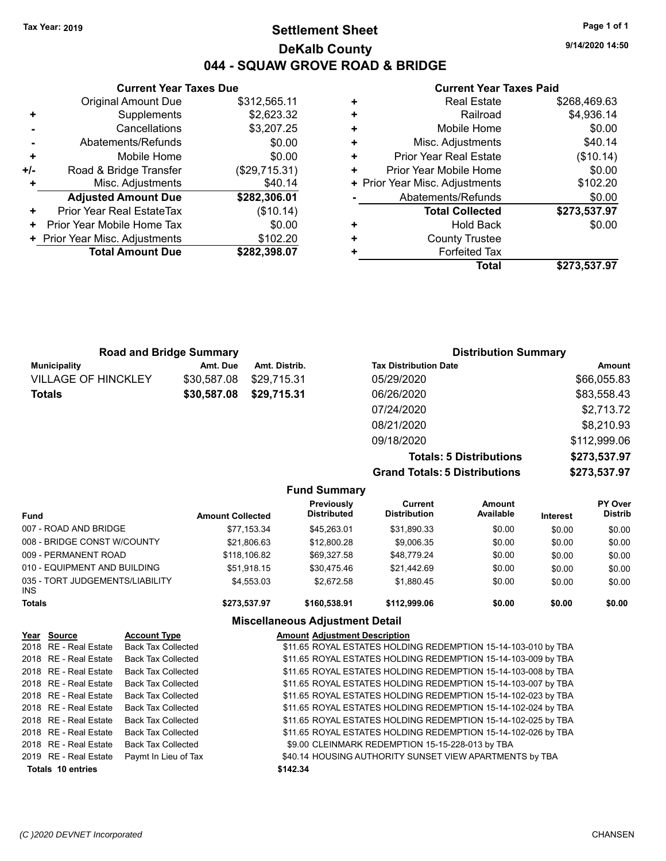## **Settlement Sheet Tax Year: 2019 Page 1 of 1 DeKalb County 044 - SQUAW GROVE ROAD & BRIDGE**

**9/14/2020 14:50**

## **Current Year Taxes Paid**

|     | <b>Current Year Taxes Due</b>  |               |  |  |  |
|-----|--------------------------------|---------------|--|--|--|
|     | <b>Original Amount Due</b>     | \$312,565.11  |  |  |  |
|     | Supplements                    | \$2,623.32    |  |  |  |
|     | Cancellations                  | \$3,207.25    |  |  |  |
|     | Abatements/Refunds             | \$0.00        |  |  |  |
| ٠   | \$0.00<br>Mobile Home          |               |  |  |  |
| +/- | Road & Bridge Transfer         | (\$29,715.31) |  |  |  |
|     | Misc. Adjustments              | \$40.14       |  |  |  |
|     | <b>Adjusted Amount Due</b>     | \$282,306.01  |  |  |  |
| ٠   | Prior Year Real EstateTax      | (\$10.14)     |  |  |  |
| ٠   | Prior Year Mobile Home Tax     | \$0.00        |  |  |  |
|     | + Prior Year Misc. Adjustments | \$102.20      |  |  |  |
|     | <b>Total Amount Due</b>        | \$282,398.07  |  |  |  |
|     |                                |               |  |  |  |

| <b>Real Estate</b>             | \$268,469.63 |
|--------------------------------|--------------|
| Railroad                       | \$4,936.14   |
| Mobile Home                    | \$0.00       |
| Misc. Adjustments              | \$40.14      |
| <b>Prior Year Real Estate</b>  | (\$10.14)    |
| Prior Year Mobile Home         | \$0.00       |
| + Prior Year Misc. Adjustments | \$102.20     |
| Abatements/Refunds             | \$0.00       |
| <b>Total Collected</b>         | \$273,537.97 |
| <b>Hold Back</b>               | \$0.00       |
| <b>County Trustee</b>          |              |
| <b>Forfeited Tax</b>           |              |
| Total                          | \$273,537.97 |
|                                |              |

| <b>Road and Bridge Summary</b> |             |               | <b>Distribution Summary</b>  |             |  |
|--------------------------------|-------------|---------------|------------------------------|-------------|--|
| <b>Municipality</b>            | Amt. Due    | Amt. Distrib. | <b>Tax Distribution Date</b> | Amount      |  |
| <b>VILLAGE OF HINCKLEY</b>     | \$30.587.08 | \$29.715.31   | 05/29/2020                   | \$66,055.83 |  |
| <b>Totals</b>                  | \$30,587.08 | \$29,715.31   | 06/26/2020                   | \$83,558.43 |  |
|                                |             |               | 07/24/2020                   | \$2,713.72  |  |
|                                |             |               | 08/21/2020                   | \$8,210.93  |  |

**Grand Totals: 5 Distributions** 

09/18/2020 \$112,999.06

| <b>Totals: 5 Distributions</b> | \$273,537.97 |
|--------------------------------|--------------|
| <b>Totals: 5 Distributions</b> | \$273,537.97 |
|                                |              |

|                                         |                         | <b>Fund Summary</b>              |                                |                     |                 |                           |
|-----------------------------------------|-------------------------|----------------------------------|--------------------------------|---------------------|-----------------|---------------------------|
| <b>Fund</b>                             | <b>Amount Collected</b> | Previously<br><b>Distributed</b> | Current<br><b>Distribution</b> | Amount<br>Available | <b>Interest</b> | PY Over<br><b>Distrib</b> |
| 007 - ROAD AND BRIDGE                   | \$77.153.34             | \$45,263.01                      | \$31,890.33                    | \$0.00              | \$0.00          | \$0.00                    |
| 008 - BRIDGE CONST W/COUNTY             | \$21,806.63             | \$12,800.28                      | \$9,006.35                     | \$0.00              | \$0.00          | \$0.00                    |
| 009 - PERMANENT ROAD                    | \$118,106.82            | \$69.327.58                      | \$48.779.24                    | \$0.00              | \$0.00          | \$0.00                    |
| 010 - EQUIPMENT AND BUILDING            | \$51.918.15             | \$30.475.46                      | \$21,442.69                    | \$0.00              | \$0.00          | \$0.00                    |
| 035 - TORT JUDGEMENTS/LIABILITY<br>INS. | \$4,553.03              | \$2.672.58                       | \$1,880.45                     | \$0.00              | \$0.00          | \$0.00                    |
| <b>Totals</b>                           | \$273,537.97            | \$160,538.91                     | \$112,999.06                   | \$0.00              | \$0.00          | \$0.00                    |

| Year Source              | <b>Account Type</b>       | <b>Amount Adjustment Description</b>                          |
|--------------------------|---------------------------|---------------------------------------------------------------|
| 2018 RE - Real Estate    | <b>Back Tax Collected</b> | \$11.65 ROYAL ESTATES HOLDING REDEMPTION 15-14-103-010 by TBA |
| 2018 RE - Real Estate    | <b>Back Tax Collected</b> | \$11.65 ROYAL ESTATES HOLDING REDEMPTION 15-14-103-009 by TBA |
| 2018 RE - Real Estate    | <b>Back Tax Collected</b> | \$11.65 ROYAL ESTATES HOLDING REDEMPTION 15-14-103-008 by TBA |
| 2018 RE - Real Estate    | <b>Back Tax Collected</b> | \$11.65 ROYAL ESTATES HOLDING REDEMPTION 15-14-103-007 by TBA |
| 2018 RE - Real Estate    | <b>Back Tax Collected</b> | \$11.65 ROYAL ESTATES HOLDING REDEMPTION 15-14-102-023 by TBA |
| 2018 RE - Real Estate    | <b>Back Tax Collected</b> | \$11.65 ROYAL ESTATES HOLDING REDEMPTION 15-14-102-024 by TBA |
| 2018 RE - Real Estate    | <b>Back Tax Collected</b> | \$11.65 ROYAL ESTATES HOLDING REDEMPTION 15-14-102-025 by TBA |
| 2018 RE - Real Estate    | <b>Back Tax Collected</b> | \$11.65 ROYAL ESTATES HOLDING REDEMPTION 15-14-102-026 by TBA |
| 2018 RE - Real Estate    | <b>Back Tax Collected</b> | \$9.00 CLEINMARK REDEMPTION 15-15-228-013 by TBA              |
| 2019 RE - Real Estate    | Paymt In Lieu of Tax      | \$40.14 HOUSING AUTHORITY SUNSET VIEW APARTMENTS by TBA       |
| <b>Totals 10 entries</b> |                           | \$142.34                                                      |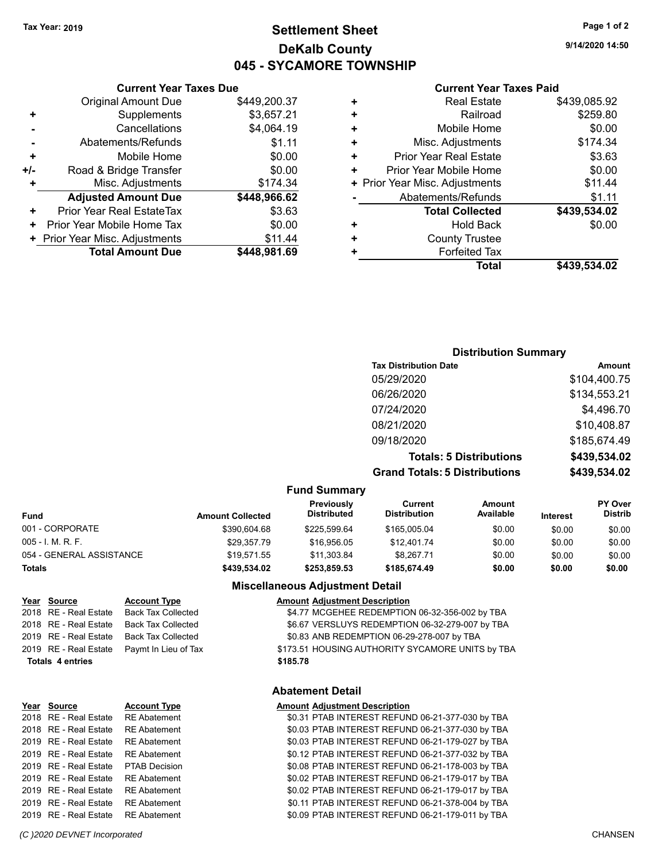## **Settlement Sheet Tax Year: 2019 Page 1 of 2 DeKalb County 045 - SYCAMORE TOWNSHIP**

**9/14/2020 14:50**

#### **Current Year Taxes Paid**

|       | <b>Current Year Taxes Due</b>  |              |
|-------|--------------------------------|--------------|
|       | <b>Original Amount Due</b>     | \$449,200.37 |
| ٠     | Supplements                    | \$3,657.21   |
|       | Cancellations                  | \$4,064.19   |
|       | Abatements/Refunds             | \$1.11       |
| ٠     | Mobile Home                    | \$0.00       |
| $+/-$ | Road & Bridge Transfer         | \$0.00       |
|       | Misc. Adjustments              | \$174.34     |
|       | <b>Adjusted Amount Due</b>     | \$448,966.62 |
| ٠     | Prior Year Real EstateTax      | \$3.63       |
| ٠     | Prior Year Mobile Home Tax     | \$0.00       |
|       | + Prior Year Misc. Adjustments | \$11.44      |
|       | <b>Total Amount Due</b>        | \$448.981.69 |
|       |                                |              |

| ٠ | <b>Real Estate</b>             | \$439,085.92 |
|---|--------------------------------|--------------|
| ٠ | Railroad                       | \$259.80     |
| ٠ | Mobile Home                    | \$0.00       |
| ٠ | Misc. Adjustments              | \$174.34     |
| ٠ | <b>Prior Year Real Estate</b>  | \$3.63       |
| ٠ | Prior Year Mobile Home         | \$0.00       |
|   | + Prior Year Misc. Adjustments | \$11.44      |
|   | Abatements/Refunds             | \$1.11       |
|   | <b>Total Collected</b>         | \$439,534.02 |
| ٠ | <b>Hold Back</b>               | \$0.00       |
| ٠ | <b>County Trustee</b>          |              |
| ٠ | <b>Forfeited Tax</b>           |              |
|   | Total                          | \$439,534.02 |
|   |                                |              |

## **Distribution Summary**

| <b>Tax Distribution Date</b>         | Amount       |
|--------------------------------------|--------------|
| 05/29/2020                           | \$104,400.75 |
| 06/26/2020                           | \$134,553.21 |
| 07/24/2020                           | \$4,496.70   |
| 08/21/2020                           | \$10,408.87  |
| 09/18/2020                           | \$185,674.49 |
| <b>Totals: 5 Distributions</b>       | \$439,534.02 |
| <b>Grand Totals: 5 Distributions</b> | \$439,534.02 |

#### **Fund Summary**

| <b>Fund</b>              | <b>Amount Collected</b> | Previously<br><b>Distributed</b> | Current<br><b>Distribution</b> | Amount<br>Available | <b>Interest</b> | <b>PY Over</b><br><b>Distrib</b> |  |
|--------------------------|-------------------------|----------------------------------|--------------------------------|---------------------|-----------------|----------------------------------|--|
| 001 - CORPORATE          | \$390,604.68            | \$225.599.64                     | \$165,005.04                   | \$0.00              | \$0.00          | \$0.00                           |  |
| $005 - I. M. R. F.$      | \$29.357.79             | \$16,956.05                      | \$12,401.74                    | \$0.00              | \$0.00          | \$0.00                           |  |
| 054 - GENERAL ASSISTANCE | \$19.571.55             | \$11.303.84                      | \$8.267.71                     | \$0.00              | \$0.00          | \$0.00                           |  |
| <b>Totals</b>            | \$439.534.02            | \$253.859.53                     | \$185,674.49                   | \$0.00              | \$0.00          | \$0.00                           |  |

#### **Miscellaneous Adjustment Detail**

| Year Source             | <b>Account Type</b>                        | <b>Amount Adjustment Description</b>             |
|-------------------------|--------------------------------------------|--------------------------------------------------|
| 2018 RE - Real Estate   | Back Tax Collected                         | \$4.77 MCGEHEE REDEMPTION 06-32-356-002 by TBA   |
| 2018 RE - Real Estate   | Back Tax Collected                         | \$6.67 VERSLUYS REDEMPTION 06-32-279-007 by TBA  |
|                         | 2019 RE - Real Estate Back Tax Collected   | \$0.83 ANB REDEMPTION 06-29-278-007 by TBA       |
|                         | 2019 RE - Real Estate Paymt In Lieu of Tax | \$173.51 HOUSING AUTHORITY SYCAMORE UNITS by TBA |
| <b>Totals 4 entries</b> |                                            | \$185.78                                         |

#### **Abatement Detail**

#### **Year Source Account Type Account Adjustment Description**

| 2018 RE - Real Estate RE Abatement |               |  | \$0.31 PTAB INTEREST REFUND 06-21-377-030 by TBA |  |  |  |
|------------------------------------|---------------|--|--------------------------------------------------|--|--|--|
| 2018 RE - Real Estate RE Abatement |               |  | \$0.03 PTAB INTEREST REFUND 06-21-377-030 by TBA |  |  |  |
| 2019 RE - Real Estate              | RE Abatement  |  | \$0.03 PTAB INTEREST REFUND 06-21-179-027 by TBA |  |  |  |
| 2019 RE - Real Estate              | RE Abatement  |  | \$0.12 PTAB INTEREST REFUND 06-21-377-032 by TBA |  |  |  |
| 2019 RE - Real Estate              | PTAB Decision |  | \$0.08 PTAB INTEREST REFUND 06-21-178-003 by TBA |  |  |  |
| 2019 RE - Real Estate RE Abatement |               |  | \$0.02 PTAB INTEREST REFUND 06-21-179-017 by TBA |  |  |  |
| 2019 RE - Real Estate RE Abatement |               |  | \$0.02 PTAB INTEREST REFUND 06-21-179-017 by TBA |  |  |  |
| 2019 RE - Real Estate RE Abatement |               |  | \$0.11 PTAB INTEREST REFUND 06-21-378-004 by TBA |  |  |  |
| 2019 RE - Real Estate RE Abatement |               |  | \$0.09 PTAB INTEREST REFUND 06-21-179-011 by TBA |  |  |  |
|                                    |               |  |                                                  |  |  |  |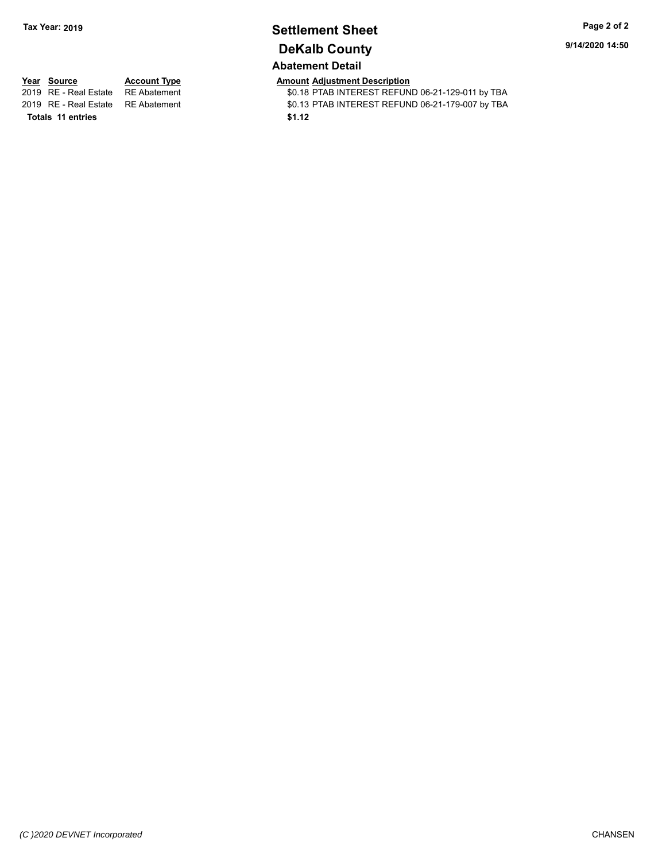# **Settlement Sheet Tax Year: 2019 Page 2 of 2 DeKalb County**

**9/14/2020 14:50**

## **Abatement Detail**

**Totals \$1.12 11 entries**

**Year Source Account Type Amount Adjustment Description**<br>2019 RE - Real Estate RE Abatement **Amount Adjustment Adjustment** AD. 18 PTAB INTEREST REFUN \$0.18 PTAB INTEREST REFUND 06-21-129-011 by TBA 2019 RE - Real Estate RE Abatement \$0.13 PTAB INTEREST REFUND 06-21-179-007 by TBA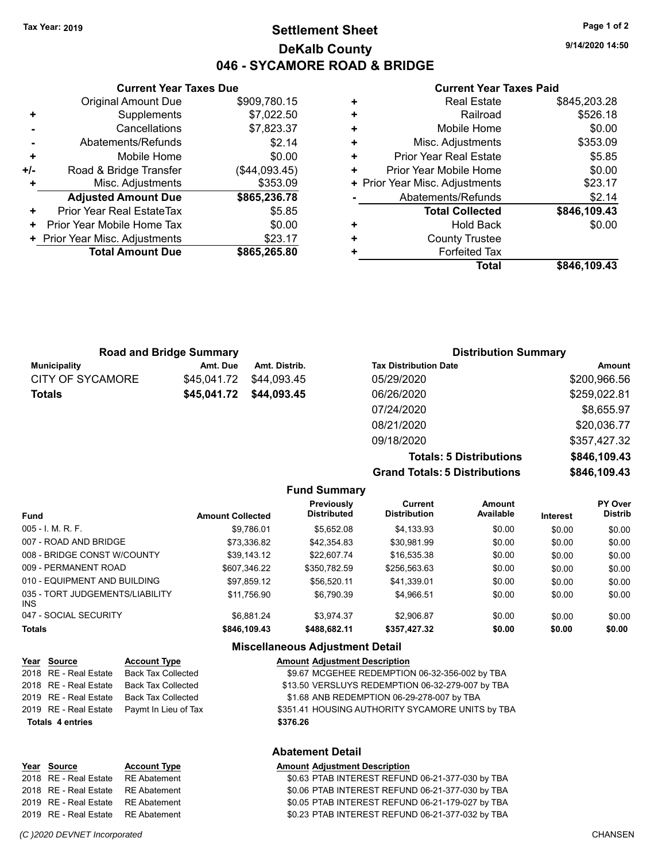## **Settlement Sheet Tax Year: 2019 Page 1 of 2 DeKalb County 046 - SYCAMORE ROAD & BRIDGE**

**9/14/2020 14:50**

#### **Current Year Taxes Paid**

|     | <b>Original Amount Due</b>       | \$909,780.15  |
|-----|----------------------------------|---------------|
| ٠   | Supplements                      | \$7,022.50    |
|     | Cancellations                    | \$7,823.37    |
|     | Abatements/Refunds               | \$2.14        |
| ٠   | Mobile Home                      | \$0.00        |
| +/- | Road & Bridge Transfer           | (\$44,093.45) |
| ÷   | Misc. Adjustments                | \$353.09      |
|     | <b>Adjusted Amount Due</b>       | \$865,236.78  |
| ٠   | <b>Prior Year Real EstateTax</b> | \$5.85        |
| ÷   | Prior Year Mobile Home Tax       | \$0.00        |
|     | + Prior Year Misc. Adjustments   | \$23.17       |
|     | <b>Total Amount Due</b>          | \$865,265.80  |
|     |                                  |               |

**Current Year Taxes Due**

|   | <b>Real Estate</b>             | \$845,203.28 |
|---|--------------------------------|--------------|
| ÷ | Railroad                       | \$526.18     |
| ÷ | Mobile Home                    | \$0.00       |
| ٠ | Misc. Adjustments              | \$353.09     |
| ٠ | <b>Prior Year Real Estate</b>  | \$5.85       |
| ٠ | Prior Year Mobile Home         | \$0.00       |
|   | + Prior Year Misc. Adjustments | \$23.17      |
|   | Abatements/Refunds             | \$2.14       |
|   | <b>Total Collected</b>         | \$846,109.43 |
| ٠ | <b>Hold Back</b>               | \$0.00       |
| ٠ | <b>County Trustee</b>          |              |
| ٠ | <b>Forfeited Tax</b>           |              |
|   | <b>Total</b>                   | \$846,109.43 |

| <b>Road and Bridge Summary</b> |             |                         | <b>Distribution Summary</b>  |               |
|--------------------------------|-------------|-------------------------|------------------------------|---------------|
| Municipality                   | Amt. Due    | Amt. Distrib.           | <b>Tax Distribution Date</b> | <b>Amount</b> |
| CITY OF SYCAMORE               | \$45,041.72 | \$44,093.45             | 05/29/2020                   | \$200,966.56  |
| <b>Totals</b>                  |             | \$45,041.72 \$44,093.45 | 06/26/2020                   | \$259,022.81  |
|                                |             |                         | 07/24/2020                   | \$8,655.97    |
|                                |             |                         | 08/21/2020                   | \$20,036.77   |

**Grand Totals: 5 Distributions** 

09/18/2020 \$357,427.32

**Totals: 5 Distributions \$846,109.43**

| .            |
|--------------|
|              |
| \$846,109.43 |
|              |
|              |
|              |

| <b>Fund Summary</b>                     |                         |                                         |                                |                     |                 |                           |  |
|-----------------------------------------|-------------------------|-----------------------------------------|--------------------------------|---------------------|-----------------|---------------------------|--|
| Fund                                    | <b>Amount Collected</b> | <b>Previously</b><br><b>Distributed</b> | Current<br><b>Distribution</b> | Amount<br>Available | <b>Interest</b> | PY Over<br><b>Distrib</b> |  |
| $005 - I$ , M, R, F,                    | \$9.786.01              | \$5.652.08                              | \$4,133.93                     | \$0.00              | \$0.00          | \$0.00                    |  |
| 007 - ROAD AND BRIDGE                   | \$73.336.82             | \$42,354.83                             | \$30.981.99                    | \$0.00              | \$0.00          | \$0.00                    |  |
| 008 - BRIDGE CONST W/COUNTY             | \$39.143.12             | \$22,607.74                             | \$16,535.38                    | \$0.00              | \$0.00          | \$0.00                    |  |
| 009 - PERMANENT ROAD                    | \$607.346.22            | \$350.782.59                            | \$256.563.63                   | \$0.00              | \$0.00          | \$0.00                    |  |
| 010 - EQUIPMENT AND BUILDING            | \$97.859.12             | \$56.520.11                             | \$41.339.01                    | \$0.00              | \$0.00          | \$0.00                    |  |
| 035 - TORT JUDGEMENTS/LIABILITY<br>INS. | \$11.756.90             | \$6.790.39                              | \$4.966.51                     | \$0.00              | \$0.00          | \$0.00                    |  |
| 047 - SOCIAL SECURITY                   | \$6.881.24              | \$3.974.37                              | \$2.906.87                     | \$0.00              | \$0.00          | \$0.00                    |  |
| <b>Totals</b>                           | \$846,109.43            | \$488.682.11                            | \$357,427.32                   | \$0.00              | \$0.00          | \$0.00                    |  |

## **Miscellaneous Adjustment Detail**

|                         | Year Source           | <b>Account Type</b>                        | <b>Amount Adjustment Description</b>             |
|-------------------------|-----------------------|--------------------------------------------|--------------------------------------------------|
|                         | 2018 RE - Real Estate | Back Tax Collected                         | \$9.67 MCGEHEE REDEMPTION 06-32-356-002 by TBA   |
|                         | 2018 RE - Real Estate | Back Tax Collected                         | \$13.50 VERSLUYS REDEMPTION 06-32-279-007 by TBA |
|                         |                       | 2019 RE - Real Estate Back Tax Collected   | \$1.68 ANB REDEMPTION 06-29-278-007 by TBA       |
|                         |                       | 2019 RE - Real Estate Paymt In Lieu of Tax | \$351.41 HOUSING AUTHORITY SYCAMORE UNITS by TBA |
| <b>Totals 4 entries</b> |                       |                                            | \$376.26                                         |

| Year Source                        | <b>Account Type</b> | <b>Amount Adiustment Description</b> |
|------------------------------------|---------------------|--------------------------------------|
| 2018 RE - Real Estate RE Abatement |                     | \$0.63 PTAB INTEREST REFUN           |

## **Abatement Detail**

2018 RE - Real Estate RE Abatement \$0.63 PTAB INTEREST REFUND 06-21-377-030 by TBA 2018 RE - Real Estate RE Abatement \$0.06 PTAB INTEREST REFUND 06-21-377-030 by TBA 2019 RE - Real Estate RE Abatement \$0.05 PTAB INTEREST REFUND 06-21-179-027 by TBA 2019 RE - Real Estate RE Abatement \$0.23 PTAB INTEREST REFUND 06-21-377-032 by TBA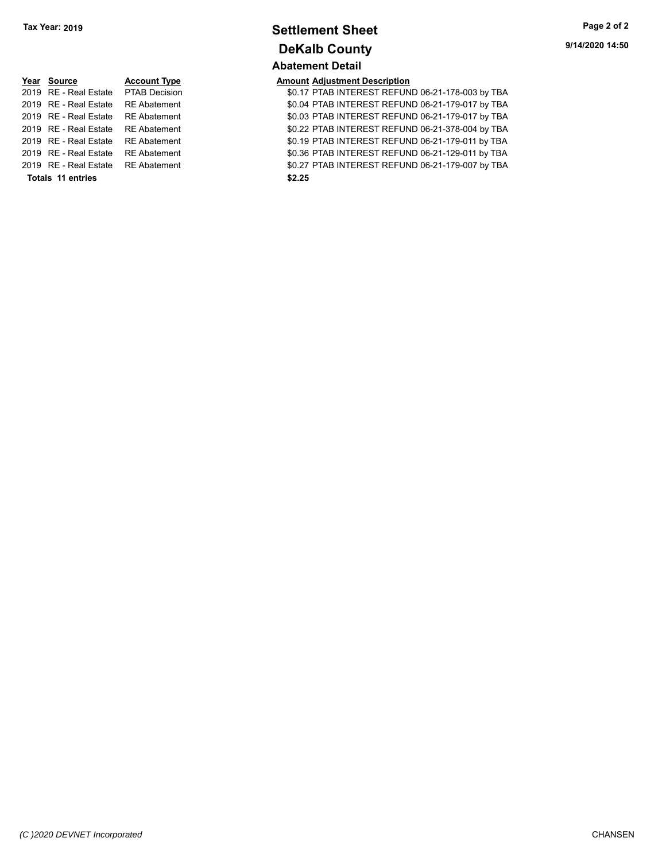## **Settlement Sheet Tax Year: 2019 Page 2 of 2 DeKalb County Abatement Detail**

# **Year Source Account Type Amount Adjustment Description Totals \$2.25 11 entries**

2019 RE - Real Estate PTAB Decision **19.18 SOLET 120.17 PTAB INTEREST REFUND 06-21-178-003 by TBA**<br>2019 RE - Real Estate RE Abatement 1999 SOLET AB INTEREST REFUND 06-21-179-017 by TBA \$0.04 PTAB INTEREST REFUND 06-21-179-017 by TBA 2019 RE - Real Estate RE Abatement \$0.03 PTAB INTEREST REFUND 06-21-179-017 by TBA 2019 RE - Real Estate RE Abatement \$0.22 PTAB INTEREST REFUND 06-21-378-004 by TBA 2019 RE - Real Estate RE Abatement \$0.19 PTAB INTEREST REFUND 06-21-179-011 by TBA 2019 RE - Real Estate RE Abatement \$0.36 PTAB INTEREST REFUND 06-21-129-011 by TBA 2019 RE - Real Estate RE Abatement \$0.27 PTAB INTEREST REFUND 06-21-179-007 by TBA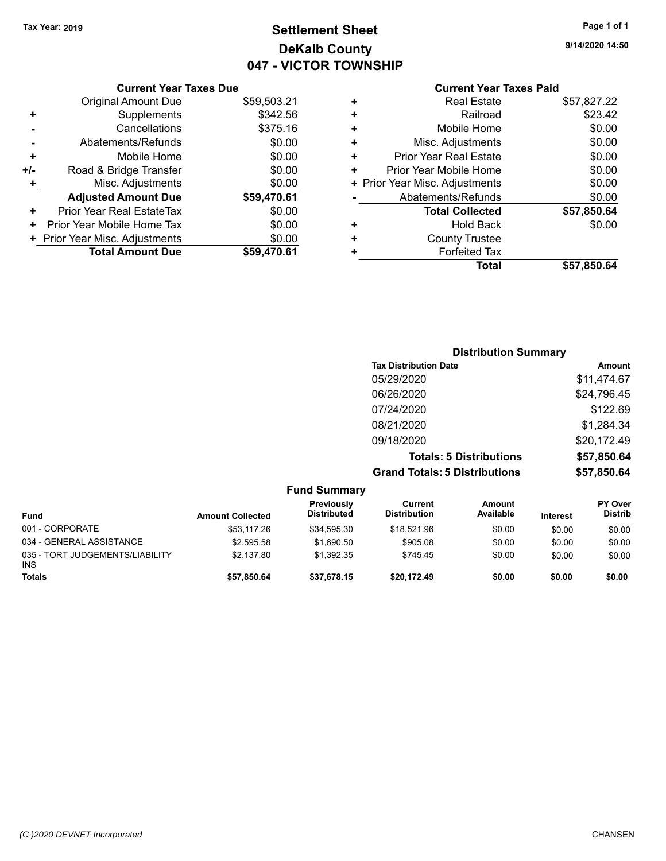## **Settlement Sheet Tax Year: 2019 Page 1 of 1 DeKalb County 047 - VICTOR TOWNSHIP**

**9/14/2020 14:50**

## **Current Year Taxes Paid**

|     | <b>Current Year Taxes Due</b>  |             |
|-----|--------------------------------|-------------|
|     | <b>Original Amount Due</b>     | \$59,503.21 |
| ٠   | Supplements                    | \$342.56    |
|     | Cancellations                  | \$375.16    |
|     | Abatements/Refunds             | \$0.00      |
| ٠   | Mobile Home                    | \$0.00      |
| +/- | Road & Bridge Transfer         | \$0.00      |
| ٠   | Misc. Adjustments              | \$0.00      |
|     | <b>Adjusted Amount Due</b>     | \$59,470.61 |
| ÷   | Prior Year Real EstateTax      | \$0.00      |
| ٠   | Prior Year Mobile Home Tax     | \$0.00      |
|     | + Prior Year Misc. Adjustments | \$0.00      |
|     | <b>Total Amount Due</b>        | \$59,470.61 |
|     |                                |             |

| ٠ |                                |             |
|---|--------------------------------|-------------|
|   | Mobile Home                    | \$0.00      |
| ٠ | Misc. Adjustments              | \$0.00      |
| ÷ | Prior Year Real Estate         | \$0.00      |
| ٠ | Prior Year Mobile Home         | \$0.00      |
|   | + Prior Year Misc. Adjustments | \$0.00      |
|   | Abatements/Refunds             | \$0.00      |
|   | <b>Total Collected</b>         | \$57,850.64 |
| ٠ | Hold Back                      | \$0.00      |
| ٠ | <b>County Trustee</b>          |             |
| ٠ | <b>Forfeited Tax</b>           |             |
|   | Total                          | \$57,850.64 |
|   |                                |             |

| <b>Distribution Summary</b>          |             |
|--------------------------------------|-------------|
| <b>Tax Distribution Date</b>         | Amount      |
| 05/29/2020                           | \$11,474.67 |
| 06/26/2020                           | \$24,796.45 |
| 07/24/2020                           | \$122.69    |
| 08/21/2020                           | \$1,284.34  |
| 09/18/2020                           | \$20,172.49 |
| <b>Totals: 5 Distributions</b>       | \$57,850.64 |
| <b>Grand Totals: 5 Distributions</b> | \$57,850.64 |

| <b>Fund Summary</b>                           |                         |                                  |                                |                     |                 |                                  |
|-----------------------------------------------|-------------------------|----------------------------------|--------------------------------|---------------------|-----------------|----------------------------------|
| <b>Fund</b>                                   | <b>Amount Collected</b> | Previously<br><b>Distributed</b> | Current<br><b>Distribution</b> | Amount<br>Available | <b>Interest</b> | <b>PY Over</b><br><b>Distrib</b> |
| 001 - CORPORATE                               | \$53,117.26             | \$34.595.30                      | \$18.521.96                    | \$0.00              | \$0.00          | \$0.00                           |
| 034 - GENERAL ASSISTANCE                      | \$2,595.58              | \$1.690.50                       | \$905.08                       | \$0.00              | \$0.00          | \$0.00                           |
| 035 - TORT JUDGEMENTS/LIABILITY<br><b>INS</b> | \$2.137.80              | \$1.392.35                       | \$745.45                       | \$0.00              | \$0.00          | \$0.00                           |
| <b>Totals</b>                                 | \$57,850.64             | \$37.678.15                      | \$20.172.49                    | \$0.00              | \$0.00          | \$0.00                           |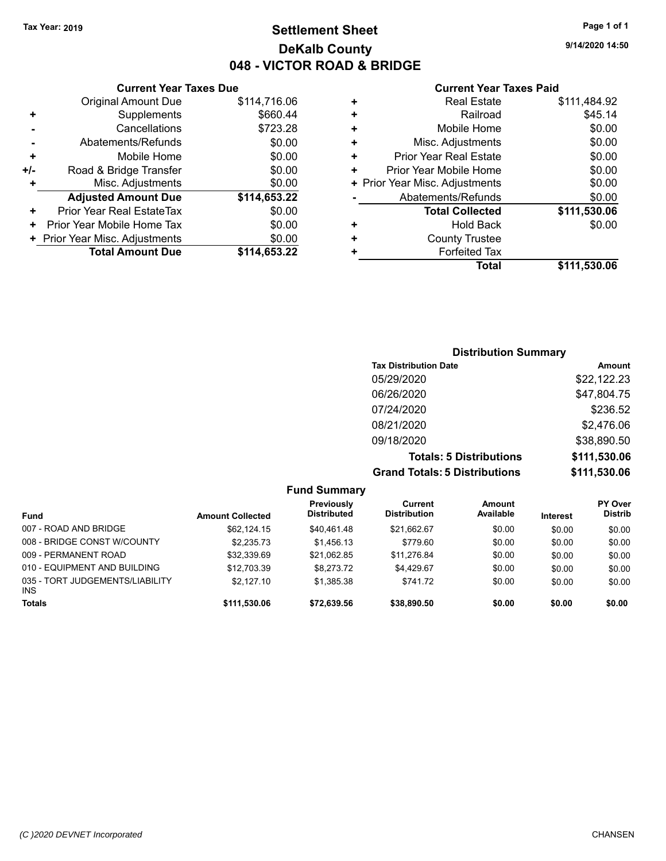## **Settlement Sheet Tax Year: 2019 Page 1 of 1 DeKalb County 048 - VICTOR ROAD & BRIDGE**

**9/14/2020 14:50**

#### **Current Year Taxes Paid**

|     | <b>Original Amount Due</b>     | \$114,716.06 |
|-----|--------------------------------|--------------|
| ٠   | Supplements                    | \$660.44     |
|     | Cancellations                  | \$723.28     |
|     | Abatements/Refunds             | \$0.00       |
| ٠   | Mobile Home                    | \$0.00       |
| +/- | Road & Bridge Transfer         | \$0.00       |
| ÷   | Misc. Adjustments              | \$0.00       |
|     | <b>Adjusted Amount Due</b>     | \$114,653.22 |
| ٠   | Prior Year Real EstateTax      | \$0.00       |
| ٠   | Prior Year Mobile Home Tax     | \$0.00       |
|     | + Prior Year Misc. Adjustments | \$0.00       |
|     | <b>Total Amount Due</b>        | \$114,653.22 |
|     |                                |              |

**Current Year Taxes Due**

| ٠ | <b>Real Estate</b>             | \$111,484.92 |
|---|--------------------------------|--------------|
| ÷ | Railroad                       | \$45.14      |
| ٠ | Mobile Home                    | \$0.00       |
| ٠ | Misc. Adjustments              | \$0.00       |
| ٠ | Prior Year Real Estate         | \$0.00       |
| ٠ | Prior Year Mobile Home         | \$0.00       |
|   | + Prior Year Misc. Adjustments | \$0.00       |
|   | Abatements/Refunds             | \$0.00       |
|   | <b>Total Collected</b>         | \$111,530.06 |
| ٠ | Hold Back                      | \$0.00       |
| ٠ | <b>County Trustee</b>          |              |
| ٠ | <b>Forfeited Tax</b>           |              |
|   | <b>Total</b>                   | \$111,530.06 |

## **Distribution Summary Tax Distribution Date Amount** 05/29/2020 \$22,122.23 06/26/2020 \$47,804.75 07/24/2020 \$236.52 08/21/2020 \$2,476.06 09/18/2020 \$38,890.50 **Totals: 5 Distributions \$111,530.06 Grand Totals: 5 Distributions \$111,530.06**

| <b>Fund Summary</b>                     |                         |                           |                                |                     |          |                                  |
|-----------------------------------------|-------------------------|---------------------------|--------------------------------|---------------------|----------|----------------------------------|
| <b>Fund</b>                             | <b>Amount Collected</b> | Previously<br>Distributed | Current<br><b>Distribution</b> | Amount<br>Available | Interest | <b>PY Over</b><br><b>Distrib</b> |
| 007 - ROAD AND BRIDGE                   | \$62.124.15             | \$40.461.48               | \$21,662.67                    | \$0.00              | \$0.00   | \$0.00                           |
| 008 - BRIDGE CONST W/COUNTY             | \$2.235.73              | \$1.456.13                | \$779.60                       | \$0.00              | \$0.00   | \$0.00                           |
| 009 - PERMANENT ROAD                    | \$32,339.69             | \$21.062.85               | \$11.276.84                    | \$0.00              | \$0.00   | \$0.00                           |
| 010 - EQUIPMENT AND BUILDING            | \$12,703.39             | \$8.273.72                | \$4.429.67                     | \$0.00              | \$0.00   | \$0.00                           |
| 035 - TORT JUDGEMENTS/LIABILITY<br>INS. | \$2.127.10              | \$1,385.38                | \$741.72                       | \$0.00              | \$0.00   | \$0.00                           |
| <b>Totals</b>                           | \$111,530.06            | \$72,639.56               | \$38,890.50                    | \$0.00              | \$0.00   | \$0.00                           |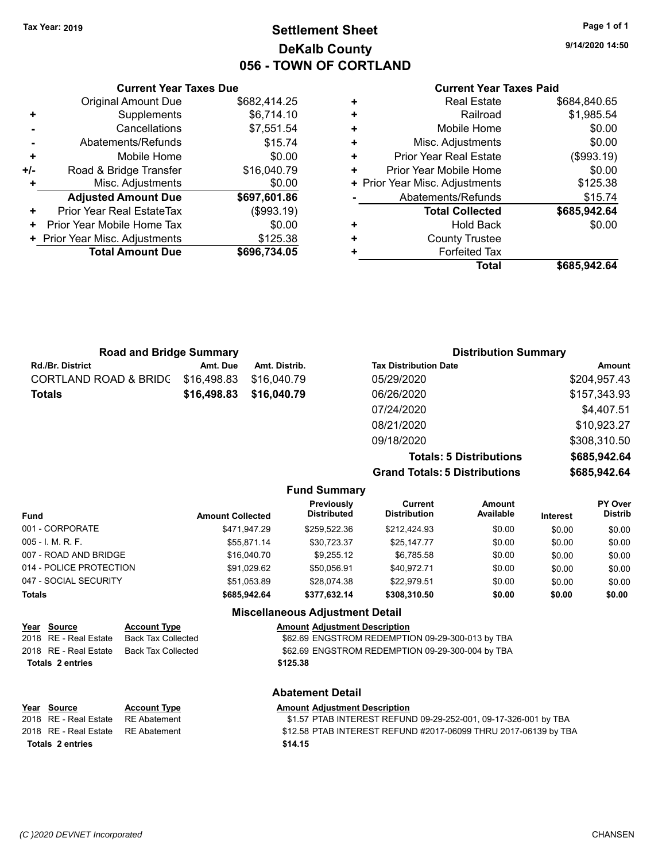## **Settlement Sheet Tax Year: 2019 Page 1 of 1 DeKalb County 056 - TOWN OF CORTLAND**

**9/14/2020 14:50**

#### **Current Year Taxes Paid**

|   | Total                          | \$685.942.64 |
|---|--------------------------------|--------------|
|   | <b>Forfeited Tax</b>           |              |
| ٠ | <b>County Trustee</b>          |              |
| ٠ | <b>Hold Back</b>               | \$0.00       |
|   | <b>Total Collected</b>         | \$685,942.64 |
|   | Abatements/Refunds             | \$15.74      |
|   | + Prior Year Misc. Adjustments | \$125.38     |
| ٠ | Prior Year Mobile Home         | \$0.00       |
| ٠ | <b>Prior Year Real Estate</b>  | (\$993.19)   |
| ٠ | Misc. Adjustments              | \$0.00       |
| ٠ | Mobile Home                    | \$0.00       |
| ٠ | Railroad                       | \$1,985.54   |
| ٠ | <b>Real Estate</b>             | \$684,840.65 |
|   |                                |              |

|     | <b>Current Year Taxes Due</b>  |              |
|-----|--------------------------------|--------------|
|     | <b>Original Amount Due</b>     | \$682,414.25 |
| ٠   | Supplements                    | \$6,714.10   |
|     | Cancellations                  | \$7,551.54   |
|     | Abatements/Refunds             | \$15.74      |
| ٠   | Mobile Home                    | \$0.00       |
| +/- | Road & Bridge Transfer         | \$16,040.79  |
|     | Misc. Adjustments              | \$0.00       |
|     | <b>Adjusted Amount Due</b>     | \$697,601.86 |
| ÷   | Prior Year Real EstateTax      | (\$993.19)   |
|     | Prior Year Mobile Home Tax     | \$0.00       |
|     | + Prior Year Misc. Adjustments | \$125.38     |
|     | <b>Total Amount Due</b>        | \$696,734.05 |
|     |                                |              |

| <b>Road and Bridge Summary</b> |             |               | <b>Distribution Summary</b>  |              |  |
|--------------------------------|-------------|---------------|------------------------------|--------------|--|
| Rd./Br. District               | Amt. Due    | Amt. Distrib. | <b>Tax Distribution Date</b> | Amount       |  |
| CORTLAND ROAD & BRIDC          | \$16,498.83 | \$16,040.79   | 05/29/2020                   | \$204,957.43 |  |
| Totals                         | \$16,498.83 | \$16,040.79   | 06/26/2020                   | \$157,343.93 |  |
|                                |             |               | 07/24/2020                   | \$4,407.51   |  |
|                                |             |               | 08/21/2020                   | \$10,923.27  |  |
|                                |             |               | 09/18/2020                   | \$308,310.50 |  |

**Totals: 5 Distributions \$685,942.64 Grand Totals: 5 Distributions \$685,942.64**

| <b>Fund Summary</b>                    |                         |                                  |                                |                     |                 |                           |  |
|----------------------------------------|-------------------------|----------------------------------|--------------------------------|---------------------|-----------------|---------------------------|--|
| <b>Fund</b>                            | <b>Amount Collected</b> | Previously<br><b>Distributed</b> | Current<br><b>Distribution</b> | Amount<br>Available | <b>Interest</b> | PY Over<br><b>Distrib</b> |  |
| 001 - CORPORATE                        | \$471,947.29            | \$259,522.36                     | \$212,424.93                   | \$0.00              | \$0.00          | \$0.00                    |  |
| $005 - I. M. R. F.$                    | \$55,871.14             | \$30,723.37                      | \$25,147.77                    | \$0.00              | \$0.00          | \$0.00                    |  |
| 007 - ROAD AND BRIDGE                  | \$16,040.70             | \$9,255.12                       | \$6,785.58                     | \$0.00              | \$0.00          | \$0.00                    |  |
| 014 - POLICE PROTECTION                | \$91,029.62             | \$50.056.91                      | \$40.972.71                    | \$0.00              | \$0.00          | \$0.00                    |  |
| 047 - SOCIAL SECURITY                  | \$51,053.89             | \$28,074.38                      | \$22.979.51                    | \$0.00              | \$0.00          | \$0.00                    |  |
| <b>Totals</b>                          | \$685,942.64            | \$377,632.14                     | \$308,310.50                   | \$0.00              | \$0.00          | \$0.00                    |  |
| <b>Miscellaneous Adjustment Detail</b> |                         |                                  |                                |                     |                 |                           |  |

## **Year** Source **Account Type Amount Adjustment Description**

**Totals \$125.38 2 entries**

**Abatement Detail**

2018 RE - Real Estate Back Tax Collected **62.69 ENGSTROM REDEMPTION 09-29-300-013** by TBA 2018 RE - Real Estate Back Tax Collected \$62.69 ENGSTROM REDEMPTION 09-29-300-004 by TBA

| Year Source                        | <b>Account Type</b> | <b>Amount Adiustment Description</b>                            |
|------------------------------------|---------------------|-----------------------------------------------------------------|
| 2018 RE - Real Estate              | RE Abatement        | \$1.57 PTAB INTEREST REFUND 09-29-252-001, 09-17-326-001 by TBA |
| 2018 RE - Real Estate RE Abatement |                     | \$12.58 PTAB INTEREST REFUND #2017-06099 THRU 2017-06139 by TBA |
| Totals 2 entries                   |                     | \$14.15                                                         |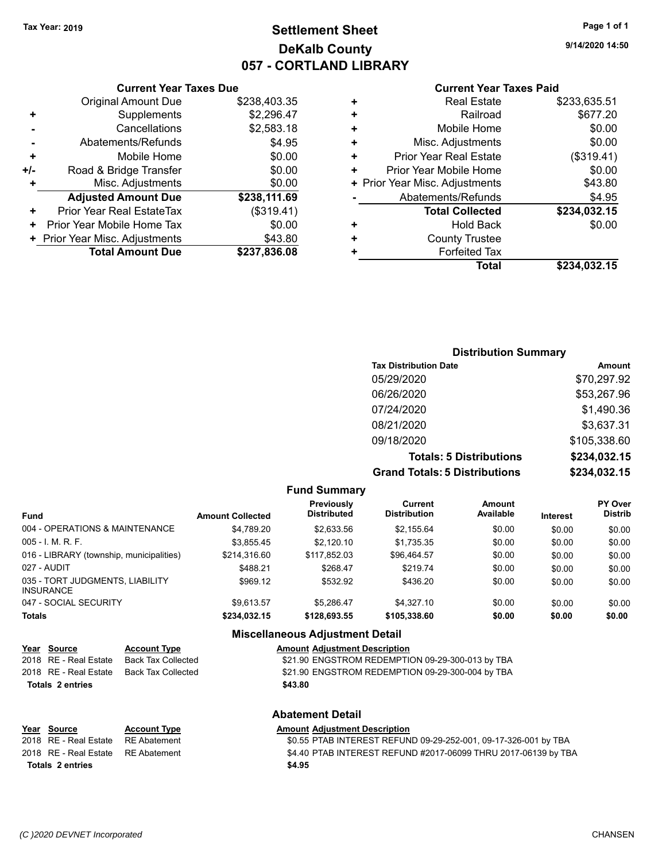## **Settlement Sheet Tax Year: 2019 Page 1 of 1 DeKalb County 057 - CORTLAND LIBRARY**

**9/14/2020 14:50**

#### **Current Year Taxes Paid**

|     | <b>Current Year Taxes Due</b>  |              |  |  |  |  |
|-----|--------------------------------|--------------|--|--|--|--|
|     | <b>Original Amount Due</b>     | \$238,403.35 |  |  |  |  |
| ٠   | Supplements                    | \$2,296.47   |  |  |  |  |
|     | \$2,583.18<br>Cancellations    |              |  |  |  |  |
|     | Abatements/Refunds             | \$4.95       |  |  |  |  |
| ٠   | Mobile Home                    | \$0.00       |  |  |  |  |
| +/- | Road & Bridge Transfer         | \$0.00       |  |  |  |  |
| ۰   | Misc. Adjustments              | \$0.00       |  |  |  |  |
|     | <b>Adjusted Amount Due</b>     | \$238,111.69 |  |  |  |  |
| ٠   | Prior Year Real EstateTax      | (\$319.41)   |  |  |  |  |
| ٠   | Prior Year Mobile Home Tax     | \$0.00       |  |  |  |  |
|     | + Prior Year Misc. Adjustments | \$43.80      |  |  |  |  |
|     | <b>Total Amount Due</b>        | \$237,836.08 |  |  |  |  |
|     |                                |              |  |  |  |  |

|   | <b>Real Estate</b>             | \$233,635.51 |
|---|--------------------------------|--------------|
| ٠ | Railroad                       | \$677.20     |
| ٠ | Mobile Home                    | \$0.00       |
| ٠ | Misc. Adjustments              | \$0.00       |
| ٠ | <b>Prior Year Real Estate</b>  | (\$319.41)   |
| ٠ | Prior Year Mobile Home         | \$0.00       |
|   | + Prior Year Misc. Adjustments | \$43.80      |
|   | Abatements/Refunds             | \$4.95       |
|   | <b>Total Collected</b>         | \$234,032.15 |
| ٠ | <b>Hold Back</b>               | \$0.00       |
| ٠ | <b>County Trustee</b>          |              |
| ٠ | <b>Forfeited Tax</b>           |              |
|   | Total                          | \$234,032.15 |
|   |                                |              |

## **Distribution Summary Tax Distribution Date Amount** 05/29/2020 \$70,297.92 06/26/2020 \$53,267.96 07/24/2020 \$1,490.36 08/21/2020 \$3,637.31 09/18/2020 \$105,338.60 **Totals: 5 Distributions \$234,032.15 Grand Totals: 5 Distributions \$234,032.15**

| <b>Fund Summary</b> |  |
|---------------------|--|
|                     |  |

| <b>Fund</b>                                         | <b>Amount Collected</b> | Previously<br>Distributed | Current<br><b>Distribution</b> | <b>Amount</b><br>Available | Interest | <b>PY Over</b><br><b>Distrib</b> |
|-----------------------------------------------------|-------------------------|---------------------------|--------------------------------|----------------------------|----------|----------------------------------|
| 004 - OPERATIONS & MAINTENANCE                      | \$4.789.20              | \$2,633.56                | \$2,155.64                     | \$0.00                     | \$0.00   | \$0.00                           |
| $005 - I. M. R. F.$                                 | \$3.855.45              | \$2.120.10                | \$1,735.35                     | \$0.00                     | \$0.00   | \$0.00                           |
| 016 - LIBRARY (township, municipalities)            | \$214.316.60            | \$117.852.03              | \$96.464.57                    | \$0.00                     | \$0.00   | \$0.00                           |
| 027 - AUDIT                                         | \$488.21                | \$268.47                  | \$219.74                       | \$0.00                     | \$0.00   | \$0.00                           |
| 035 - TORT JUDGMENTS, LIABILITY<br><b>INSURANCE</b> | \$969.12                | \$532.92                  | \$436.20                       | \$0.00                     | \$0.00   | \$0.00                           |
| 047 - SOCIAL SECURITY                               | \$9.613.57              | \$5.286.47                | \$4,327.10                     | \$0.00                     | \$0.00   | \$0.00                           |
| <b>Totals</b>                                       | \$234,032.15            | \$128,693.55              | \$105,338.60                   | \$0.00                     | \$0.00   | \$0.00                           |

## **Miscellaneous Adjustment Detail**

| Year Source           | <b>Account Type</b> | <b>Amount Adjustment Description</b>             |
|-----------------------|---------------------|--------------------------------------------------|
| 2018 RE - Real Estate | Back Tax Collected  | \$21.90 ENGSTROM REDEMPTION 09-29-300-013 by TBA |
| 2018 RE - Real Estate | Back Tax Collected  | \$21.90 ENGSTROM REDEMPTION 09-29-300-004 by TBA |
| Totals 2 entries      |                     | \$43.80                                          |
|                       |                     |                                                  |

#### **Abatement Detail**

| Year Source                        | <b>Account Type</b> | <b>Amount Adiustment Description</b>                            |
|------------------------------------|---------------------|-----------------------------------------------------------------|
| 2018 RE - Real Estate              | RE Abatement        | \$0.55 PTAB INTEREST REFUND 09-29-252-001, 09-17-326-001 by TBA |
| 2018 RE - Real Estate RE Abatement |                     | \$4.40 PTAB INTEREST REFUND #2017-06099 THRU 2017-06139 by TBA  |
| Totals 2 entries                   |                     | \$4.95                                                          |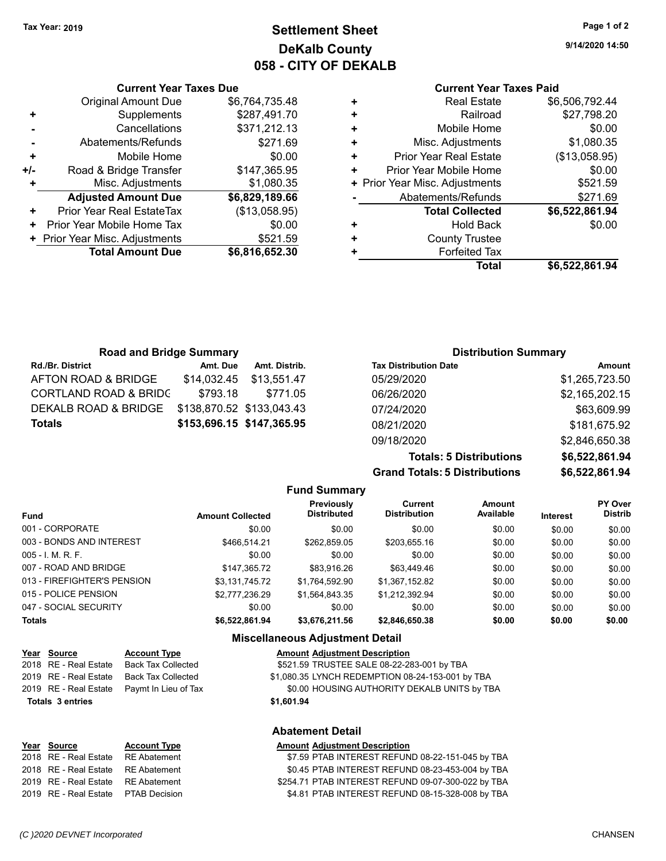**Current Year Taxes Due** Original Amount Due \$6,764,735.48

**Adjusted Amount Due \$6,829,189.66**

**Total Amount Due \$6,816,652.30**

**+** Supplements \$287,491.70 **-** Cancellations \$371,212.13 **-** Abatements/Refunds \$271.69 **+** Mobile Home \$0.00 **+/-** Road & Bridge Transfer \$147,365.95 **+** Misc. Adjustments \$1,080.35

**+** Prior Year Real EstateTax (\$13,058.95) **+** Prior Year Mobile Home Tax  $$0.00$ **+ Prior Year Misc. Adjustments \$521.59** 

## **Settlement Sheet Tax Year: 2019 Page 1 of 2 DeKalb County 058 - CITY OF DEKALB**

**9/14/2020 14:50**

## **Current Year Taxes Paid**

| ٠ | <b>Real Estate</b>             | \$6,506,792.44 |
|---|--------------------------------|----------------|
| ٠ | Railroad                       | \$27,798.20    |
| ٠ | Mobile Home                    | \$0.00         |
| ٠ | Misc. Adjustments              | \$1,080.35     |
| ٠ | <b>Prior Year Real Estate</b>  | (\$13,058.95)  |
| ٠ | Prior Year Mobile Home         | \$0.00         |
|   | + Prior Year Misc. Adjustments | \$521.59       |
|   | Abatements/Refunds             | \$271.69       |
|   | <b>Total Collected</b>         | \$6,522,861.94 |
| ٠ | <b>Hold Back</b>               | \$0.00         |
| ٠ | <b>County Trustee</b>          |                |
| ٠ | <b>Forfeited Tax</b>           |                |
|   | Total                          | \$6,522,861.94 |

| <b>Road and Bridge Summary</b>   |          |                           | <b>Distribution Summary</b>  |                |  |
|----------------------------------|----------|---------------------------|------------------------------|----------------|--|
| <b>Rd./Br. District</b>          | Amt. Due | Amt. Distrib.             | <b>Tax Distribution Date</b> | Amount         |  |
| AFTON ROAD & BRIDGE              |          | \$14,032.45 \$13,551.47   | 05/29/2020                   | \$1,265,723.50 |  |
| <b>CORTLAND ROAD &amp; BRIDC</b> | \$793.18 | \$771.05                  | 06/26/2020                   | \$2,165,202.15 |  |
| DEKALB ROAD & BRIDGE             |          | \$138,870.52 \$133,043.43 | 07/24/2020                   | \$63,609.99    |  |
| <b>Totals</b>                    |          | \$153,696.15 \$147,365.95 | 08/21/2020                   | \$181,675.92   |  |
|                                  |          |                           |                              |                |  |

| <b>Grand Totals: 5 Distributions</b> | \$6,522,861.94 |
|--------------------------------------|----------------|
| <b>Totals: 5 Distributions</b>       | \$6,522,861.94 |
| 09/18/2020                           | \$2,846,650.38 |
| 08/21/2020                           | \$181,675.92   |
| 07/24/2020                           | \$63,609.99    |
| 06/26/2020                           | \$2,165,202.15 |
| 05/29/2020                           | \$1,265,723.50 |

| <b>Fund Summary</b>         |                         |                                  |                                |                     |                 |                                  |  |
|-----------------------------|-------------------------|----------------------------------|--------------------------------|---------------------|-----------------|----------------------------------|--|
| <b>Fund</b>                 | <b>Amount Collected</b> | Previously<br><b>Distributed</b> | Current<br><b>Distribution</b> | Amount<br>Available | <b>Interest</b> | <b>PY Over</b><br><b>Distrib</b> |  |
| 001 - CORPORATE             | \$0.00                  | \$0.00                           | \$0.00                         | \$0.00              | \$0.00          | \$0.00                           |  |
| 003 - BONDS AND INTEREST    | \$466.514.21            | \$262,859.05                     | \$203,655.16                   | \$0.00              | \$0.00          | \$0.00                           |  |
| $005 - I$ , M, R, F,        | \$0.00                  | \$0.00                           | \$0.00                         | \$0.00              | \$0.00          | \$0.00                           |  |
| 007 - ROAD AND BRIDGE       | \$147,365.72            | \$83,916.26                      | \$63,449.46                    | \$0.00              | \$0.00          | \$0.00                           |  |
| 013 - FIREFIGHTER'S PENSION | \$3,131,745.72          | \$1,764,592.90                   | \$1.367.152.82                 | \$0.00              | \$0.00          | \$0.00                           |  |
| 015 - POLICE PENSION        | \$2,777,236.29          | \$1,564,843.35                   | \$1,212,392.94                 | \$0.00              | \$0.00          | \$0.00                           |  |
| 047 - SOCIAL SECURITY       | \$0.00                  | \$0.00                           | \$0.00                         | \$0.00              | \$0.00          | \$0.00                           |  |
| <b>Totals</b>               | \$6,522,861.94          | \$3,676,211.56                   | \$2,846,650.38                 | \$0.00              | \$0.00          | \$0.00                           |  |

#### **Miscellaneous Adjustment Detail**

| Year Source             | <b>Account Type</b>       | <b>Amount Adjustment Description</b>             |
|-------------------------|---------------------------|--------------------------------------------------|
| 2018 RE - Real Estate   | <b>Back Tax Collected</b> | \$521.59 TRUSTEE SALE 08-22-283-001 by TBA       |
| 2019 RE - Real Estate   | <b>Back Tax Collected</b> | \$1,080.35 LYNCH REDEMPTION 08-24-153-001 by TBA |
| 2019 RE - Real Estate   | Paymt In Lieu of Tax      | \$0.00 HOUSING AUTHORITY DEKALB UNITS by TBA     |
| <b>Totals 3 entries</b> |                           | \$1,601.94                                       |
|                         |                           | <b>Abatement Detail</b>                          |

#### **Year Source Account Type Amount Adjustment Description**

| 2018 RE - Real Estate RE Abatement        | \$7.59 PTAB INTEREST REFUND 08-22-151-045 by TBA   |
|-------------------------------------------|----------------------------------------------------|
|                                           | \$0.45 PTAB INTEREST REFUND 08-23-453-004 by TBA   |
| 2019 RE - Real Estate RE Abatement        | \$254.71 PTAB INTEREST REFUND 09-07-300-022 by TBA |
| 2019   RE - Real Estate     PTAB Decision | \$4.81 PTAB INTEREST REFUND 08-15-328-008 by TBA   |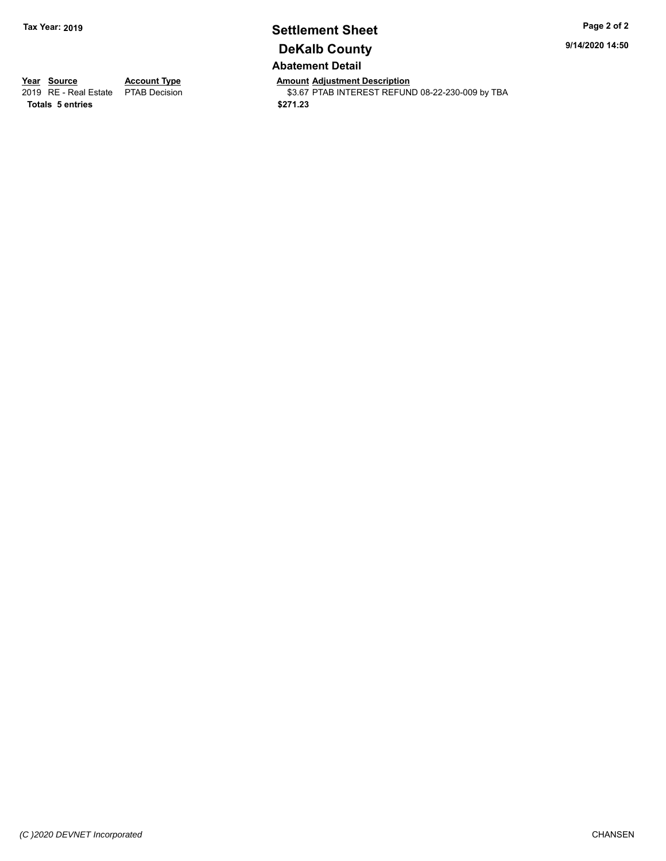## **Settlement Sheet Tax Year: 2019 Page 2 of 2 DeKalb County Abatement Detail**

**9/14/2020 14:50**

**Totals \$271.23 5 entries**

**Year Source Account Type Anneurs Amount Adjustment Description**<br>
2019 RE - Real Estate PTAB Decision **Amount Adjustment Description** \$3.67 PTAB INTEREST REFUND 08-22-230-009 by TBA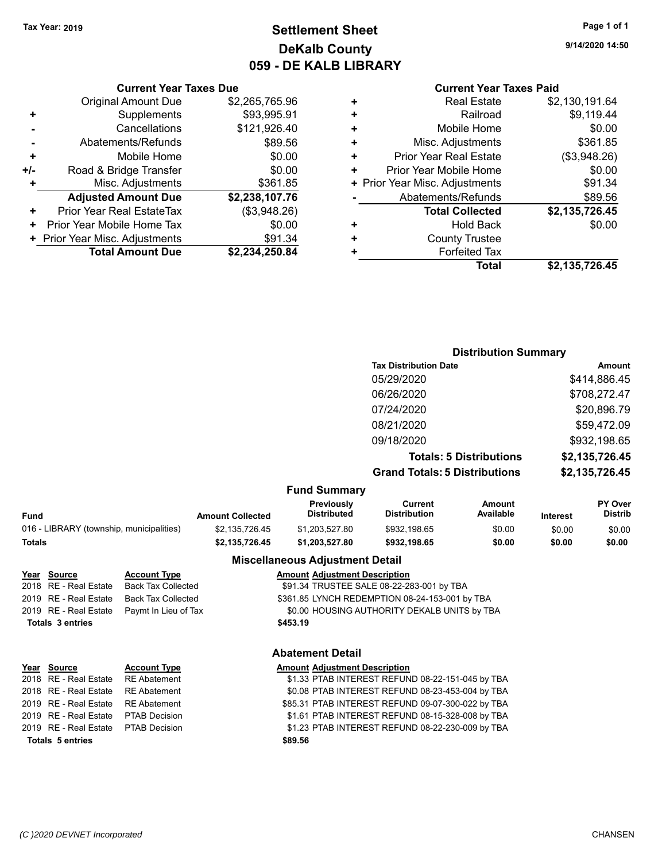## **Settlement Sheet Tax Year: 2019 Page 1 of 1 DeKalb County 059 - DE KALB LIBRARY**

**9/14/2020 14:50**

## **Current Year Taxes Paid**

|     | <b>Current Year Taxes Due</b>    |                |  |  |  |  |
|-----|----------------------------------|----------------|--|--|--|--|
|     | <b>Original Amount Due</b>       | \$2,265,765.96 |  |  |  |  |
| ٠   | Supplements                      | \$93,995.91    |  |  |  |  |
|     | Cancellations                    | \$121,926.40   |  |  |  |  |
|     | Abatements/Refunds               | \$89.56        |  |  |  |  |
| ٠   | Mobile Home                      | \$0.00         |  |  |  |  |
| +/- | Road & Bridge Transfer           | \$0.00         |  |  |  |  |
| ٠   | Misc. Adjustments                | \$361.85       |  |  |  |  |
|     | <b>Adjusted Amount Due</b>       | \$2,238,107.76 |  |  |  |  |
| ٠   | <b>Prior Year Real EstateTax</b> | (\$3,948.26)   |  |  |  |  |
| ÷   | Prior Year Mobile Home Tax       | \$0.00         |  |  |  |  |
|     | + Prior Year Misc. Adjustments   | \$91.34        |  |  |  |  |
|     | <b>Total Amount Due</b>          | \$2.234.250.84 |  |  |  |  |

| ٠ | <b>Real Estate</b>             | \$2,130,191.64 |
|---|--------------------------------|----------------|
| ٠ | Railroad                       | \$9,119.44     |
| ٠ | Mobile Home                    | \$0.00         |
| ٠ | Misc. Adjustments              | \$361.85       |
| ٠ | <b>Prior Year Real Estate</b>  | (\$3,948.26)   |
| ٠ | Prior Year Mobile Home         | \$0.00         |
|   | + Prior Year Misc. Adjustments | \$91.34        |
|   | Abatements/Refunds             | \$89.56        |
|   | <b>Total Collected</b>         | \$2,135,726.45 |
| ٠ | <b>Hold Back</b>               | \$0.00         |
| ÷ | <b>County Trustee</b>          |                |
| ٠ | <b>Forfeited Tax</b>           |                |
|   | Total                          | \$2,135,726.45 |
|   |                                |                |

## **Distribution Summary**

| <b>Tax Distribution Date</b>         | Amount         |
|--------------------------------------|----------------|
| 05/29/2020                           | \$414,886.45   |
| 06/26/2020                           | \$708,272.47   |
| 07/24/2020                           | \$20,896.79    |
| 08/21/2020                           | \$59,472.09    |
| 09/18/2020                           | \$932,198.65   |
| <b>Totals: 5 Distributions</b>       | \$2,135,726.45 |
| <b>Grand Totals: 5 Distributions</b> | \$2,135,726.45 |
|                                      |                |

## **Fund Summary**

| Fund                                     | <b>Amount Collected</b> | <b>Previously</b><br>Distributed | Current<br><b>Distribution</b> | Amount<br>Available | <b>Interest</b> | PY Over<br><b>Distrib</b> |
|------------------------------------------|-------------------------|----------------------------------|--------------------------------|---------------------|-----------------|---------------------------|
| 016 - LIBRARY (township, municipalities) | \$2.135.726.45          | \$1.203.527.80                   | \$932,198.65                   | \$0.00              | \$0.00          | \$0.00                    |
| Totals                                   | \$2.135.726.45          | \$1.203.527.80                   | \$932.198.65                   | \$0.00              | \$0.00          | \$0.00                    |

#### **Miscellaneous Adjustment Detail**

#### **Year** Source **Account Type Account Adjustment Description** 2018 RE - Real Estate Back Tax Collected \$91.34 TRUSTEE SALE 08-22-283-001 by TBA 2019 RE - Real Estate Back Tax Collected \$361.85 LYNCH REDEMPTION 08-24-153-001 by TBA 2019 RE - Real Estate Paymt In Lieu of Tax S0.00 HOUSING AUTHORITY DEKALB UNITS by TBA **Totals \$453.19 3 entries**

#### **Abatement Detail**

| Year Source                         | <b>Account Type</b> | <b>Amount Adjustment Description</b>              |
|-------------------------------------|---------------------|---------------------------------------------------|
| 2018 RE - Real Estate RE Abatement  |                     | \$1.33 PTAB INTEREST REFUND 08-22-151-045 by TBA  |
| 2018 RE - Real Estate RE Abatement  |                     | \$0.08 PTAB INTEREST REFUND 08-23-453-004 by TBA  |
| 2019 RE - Real Estate RE Abatement  |                     | \$85.31 PTAB INTEREST REFUND 09-07-300-022 by TBA |
| 2019 RE - Real Estate PTAB Decision |                     | \$1.61 PTAB INTEREST REFUND 08-15-328-008 by TBA  |
| 2019 RE - Real Estate PTAB Decision |                     | \$1.23 PTAB INTEREST REFUND 08-22-230-009 by TBA  |
| <b>Totals 5 entries</b>             |                     | \$89.56                                           |
|                                     |                     |                                                   |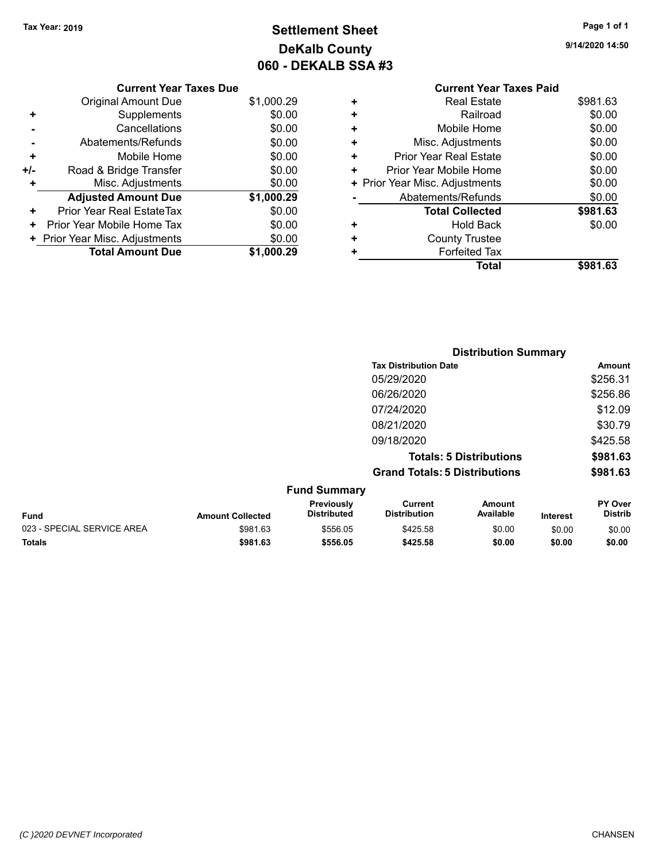## **Settlement Sheet Tax Year: 2019 Page 1 of 1 DeKalb County 060 - DEKALB SSA #3**

**9/14/2020 14:50**

|   | <b>Current Year Taxes Paid</b> |          |
|---|--------------------------------|----------|
| ٠ | <b>Real Estate</b>             | \$981.63 |
| ٠ | Railroad                       | \$0.00   |
| ٠ | Mobile Home                    | \$0.00   |
| ٠ | Misc. Adjustments              | \$0.00   |
| ٠ | <b>Prior Year Real Estate</b>  | \$0.00   |
| ٠ | Prior Year Mobile Home         | \$0.00   |
|   | + Prior Year Misc. Adjustments | \$0.00   |
|   | Abatements/Refunds             | \$0.00   |
|   | <b>Total Collected</b>         | \$981.63 |
|   | <b>Hold Back</b>               | \$0.00   |
|   | <b>County Trustee</b>          |          |
|   | <b>Forfeited Tax</b>           |          |
|   | Total                          | \$981    |

|     | <b>Current Year Taxes Due</b>  |            |
|-----|--------------------------------|------------|
|     | Original Amount Due            | \$1,000.29 |
| ٠   | Supplements                    | \$0.00     |
|     | Cancellations                  | \$0.00     |
|     | Abatements/Refunds             | \$0.00     |
| ٠   | Mobile Home                    | \$0.00     |
| +/- | Road & Bridge Transfer         | \$0.00     |
| ٠   | Misc. Adjustments              | \$0.00     |
|     | <b>Adjusted Amount Due</b>     | \$1,000.29 |
| ÷   | Prior Year Real EstateTax      | \$0.00     |
| ٠   | Prior Year Mobile Home Tax     | \$0.00     |
|     | + Prior Year Misc. Adjustments | \$0.00     |
|     | <b>Total Amount Due</b>        | \$1,000.29 |
|     |                                |            |

|                            |                         |                                  |                                       | <b>Distribution Summary</b>    |                 |                    |
|----------------------------|-------------------------|----------------------------------|---------------------------------------|--------------------------------|-----------------|--------------------|
|                            |                         |                                  | <b>Tax Distribution Date</b>          |                                |                 | Amount             |
|                            |                         |                                  | 05/29/2020                            |                                |                 | \$256.31           |
|                            |                         |                                  | 06/26/2020                            |                                |                 | \$256.86           |
|                            |                         |                                  | 07/24/2020                            |                                |                 | \$12.09            |
|                            |                         |                                  | 08/21/2020                            |                                |                 | \$30.79            |
|                            |                         |                                  | 09/18/2020                            |                                |                 | \$425.58           |
|                            |                         |                                  |                                       | <b>Totals: 5 Distributions</b> |                 | \$981.63           |
|                            |                         |                                  | <b>Grand Totals: 5 Distributions</b>  |                                |                 | \$981.63           |
|                            |                         | <b>Fund Summary</b>              |                                       |                                |                 |                    |
| <b>Fund</b>                | <b>Amount Collected</b> | Previously<br><b>Distributed</b> | <b>Current</b><br><b>Distribution</b> | <b>Amount</b><br>Available     | <b>Interest</b> | PY Over<br>Distrib |
| 023 - SPECIAL SERVICE AREA | \$981.63                | \$556.05                         | \$425.58                              | \$0.00                         | \$0.00          | \$0.00             |

**Totals \$981.63 \$556.05 \$425.58 \$0.00 \$0.00 \$0.00**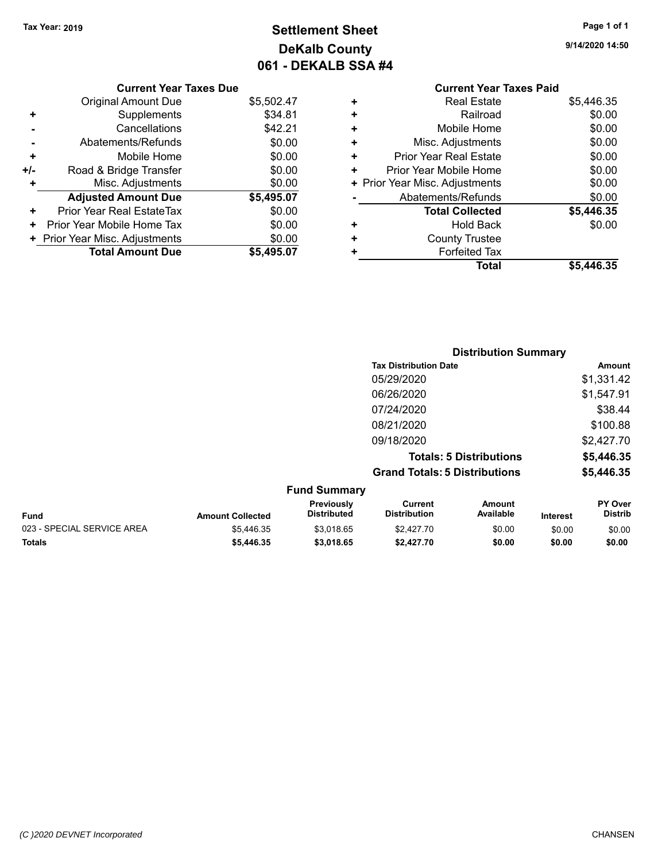**Current Year Taxes Due** Original Amount Due \$5,502.47

**Adjusted Amount Due \$5,495.07**

**Total Amount Due \$5,495.07**

**+** Supplements \$34.81 **-** Cancellations **\$42.21 -** Abatements/Refunds \$0.00 **+** Mobile Home \$0.00 **+/-** Road & Bridge Transfer \$0.00 **+** Misc. Adjustments \$0.00

**+** Prior Year Real EstateTax \$0.00 **+** Prior Year Mobile Home Tax  $$0.00$ **+ Prior Year Misc. Adjustments**  $$0.00$ 

## **Settlement Sheet Tax Year: 2019 Page 1 of 1 DeKalb County 061 - DEKALB SSA #4**

**9/14/2020 14:50**

## **Current Year Taxes Paid +** Real Estate \$5,446.35 **+** Railroad \$0.00 **+** Mobile Home \$0.00 **+** Misc. Adjustments \$0.00 **+** Prior Year Real Estate \$0.00 **+** Prior Year Mobile Home \$0.00 **+ Prior Year Misc. Adjustments**  $$0.00$ **-** Abatements/Refunds \$0.00 **Total Collected \$5,446.35 +** Hold Back \$0.00 **+** County Trustee **+** Forfeited Tax **Total \$5,446.35**

|                         |                                  |                                       |                            |                                                                                                        | <b>Amount</b>               |
|-------------------------|----------------------------------|---------------------------------------|----------------------------|--------------------------------------------------------------------------------------------------------|-----------------------------|
|                         |                                  | 05/29/2020                            |                            |                                                                                                        | \$1,331.42                  |
|                         |                                  | 06/26/2020                            |                            |                                                                                                        | \$1,547.91                  |
|                         |                                  | 07/24/2020                            |                            |                                                                                                        | \$38.44                     |
|                         |                                  | 08/21/2020                            |                            |                                                                                                        | \$100.88                    |
|                         |                                  | 09/18/2020                            |                            |                                                                                                        | \$2,427.70                  |
|                         |                                  |                                       |                            |                                                                                                        | \$5,446.35                  |
|                         |                                  |                                       |                            |                                                                                                        | \$5,446.35                  |
|                         | <b>Fund Summary</b>              |                                       |                            |                                                                                                        |                             |
| <b>Amount Collected</b> | Previously<br><b>Distributed</b> | <b>Current</b><br><b>Distribution</b> | <b>Amount</b><br>Available | <b>Interest</b>                                                                                        | PY Over<br><b>Distrib</b>   |
| \$5.446.35              | \$3.018.65                       | \$2.427.70                            | \$0.00                     | \$0.00                                                                                                 | \$0.00                      |
|                         |                                  |                                       |                            | <b>Tax Distribution Date</b><br><b>Totals: 5 Distributions</b><br><b>Grand Totals: 5 Distributions</b> | <b>Distribution Summary</b> |

**Totals \$5,446.35 \$3,018.65 \$2,427.70 \$0.00 \$0.00 \$0.00**

## *(C )2020 DEVNET Incorporated* CHANSEN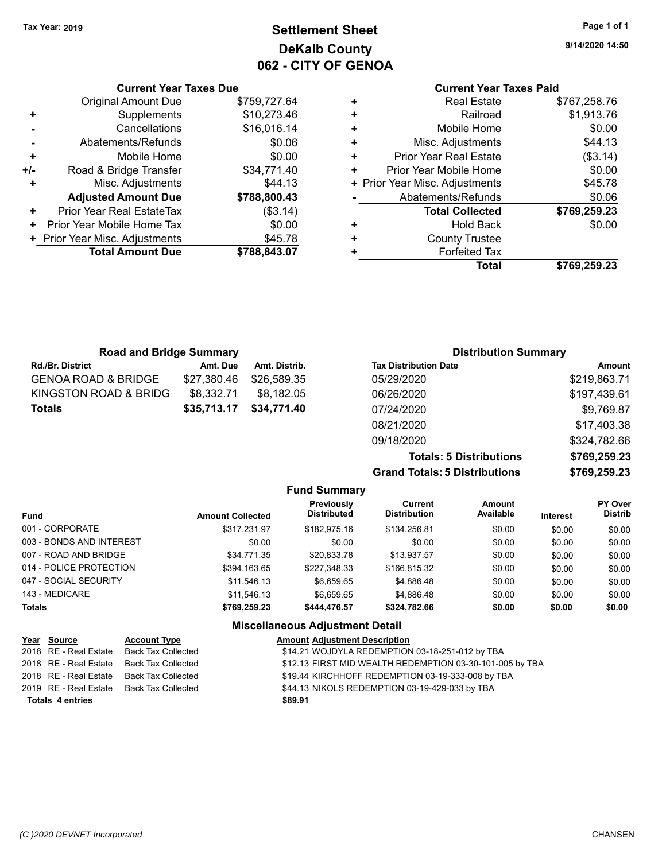## **Settlement Sheet Tax Year: 2019 Page 1 of 1 DeKalb County 062 - CITY OF GENOA**

**9/14/2020 14:50**

## **Current Year Taxes Paid**

|     | <b>Current Year Taxes Due</b>  |              |
|-----|--------------------------------|--------------|
|     | <b>Original Amount Due</b>     | \$759,727.64 |
| ٠   | Supplements                    | \$10,273.46  |
|     | Cancellations                  | \$16,016.14  |
|     | Abatements/Refunds             | \$0.06       |
| ٠   | Mobile Home                    | \$0.00       |
| +/- | Road & Bridge Transfer         | \$34,771.40  |
|     | Misc. Adjustments              | \$44.13      |
|     | <b>Adjusted Amount Due</b>     | \$788,800.43 |
| ٠   | Prior Year Real EstateTax      | (\$3.14)     |
|     | Prior Year Mobile Home Tax     | \$0.00       |
|     | + Prior Year Misc. Adjustments | \$45.78      |
|     | <b>Total Amount Due</b>        | \$788,843.07 |
|     |                                |              |

| ٠ | <b>Real Estate</b>             | \$767,258.76 |
|---|--------------------------------|--------------|
| ٠ | Railroad                       | \$1,913.76   |
| ٠ | Mobile Home                    | \$0.00       |
| ٠ | Misc. Adjustments              | \$44.13      |
| ٠ | <b>Prior Year Real Estate</b>  | (\$3.14)     |
| ٠ | Prior Year Mobile Home         | \$0.00       |
|   | + Prior Year Misc. Adjustments | \$45.78      |
|   | Abatements/Refunds             | \$0.06       |
|   | <b>Total Collected</b>         | \$769,259.23 |
| ٠ | <b>Hold Back</b>               | \$0.00       |
| ٠ | <b>County Trustee</b>          |              |
| ٠ | <b>Forfeited Tax</b>           |              |
|   | Total                          | \$769,259.23 |
|   |                                |              |

| <b>Road and Bridge Summary</b> |             |               | <b>Distribution Summary</b>  |              |  |
|--------------------------------|-------------|---------------|------------------------------|--------------|--|
| <b>Rd./Br. District</b>        | Amt. Due    | Amt. Distrib. | <b>Tax Distribution Date</b> | Amount       |  |
| <b>GENOA ROAD &amp; BRIDGE</b> | \$27,380.46 | \$26.589.35   | 05/29/2020                   | \$219,863.71 |  |
| KINGSTON ROAD & BRIDG          | \$8,332.71  | \$8.182.05    | 06/26/2020                   | \$197,439.61 |  |
| <b>Totals</b>                  | \$35,713.17 | \$34,771.40   | 07/24/2020                   | \$9,769.87   |  |
|                                |             |               | 08/21/2020                   | \$17,403.38  |  |

**Grand Totals: 5 Distributions** 

09/18/2020 \$324,782.66

| <b>Totals: 5 Distributions</b> | \$769,259.23 |
|--------------------------------|--------------|
| <b>Totals: 5 Distributions</b> | \$769,259.23 |
|                                |              |

|                          |                         | <b>Fund Summary</b>                    |                                       |                     |                 |                           |
|--------------------------|-------------------------|----------------------------------------|---------------------------------------|---------------------|-----------------|---------------------------|
| <b>Fund</b>              | <b>Amount Collected</b> | Previously<br><b>Distributed</b>       | <b>Current</b><br><b>Distribution</b> | Amount<br>Available | <b>Interest</b> | PY Over<br><b>Distrib</b> |
| 001 - CORPORATE          | \$317.231.97            | \$182,975.16                           | \$134,256.81                          | \$0.00              | \$0.00          | \$0.00                    |
| 003 - BONDS AND INTEREST | \$0.00                  | \$0.00                                 | \$0.00                                | \$0.00              | \$0.00          | \$0.00                    |
| 007 - ROAD AND BRIDGE    | \$34,771.35             | \$20,833.78                            | \$13,937.57                           | \$0.00              | \$0.00          | \$0.00                    |
| 014 - POLICE PROTECTION  | \$394,163.65            | \$227,348.33                           | \$166,815.32                          | \$0.00              | \$0.00          | \$0.00                    |
| 047 - SOCIAL SECURITY    | \$11,546.13             | \$6,659.65                             | \$4.886.48                            | \$0.00              | \$0.00          | \$0.00                    |
| 143 - MEDICARE           | \$11.546.13             | \$6,659.65                             | \$4,886.48                            | \$0.00              | \$0.00          | \$0.00                    |
| <b>Totals</b>            | \$769,259.23            | \$444,476.57                           | \$324,782.66                          | \$0.00              | \$0.00          | \$0.00                    |
|                          |                         | <b>Miscellaneous Adjustment Detail</b> |                                       |                     |                 |                           |

| Year Source             | <b>Account Type</b>       | <b>Amount Adjustment Description</b>                     |
|-------------------------|---------------------------|----------------------------------------------------------|
| 2018 RE - Real Estate   | <b>Back Tax Collected</b> | \$14.21 WOJDYLA REDEMPTION 03-18-251-012 by TBA          |
| 2018 RE - Real Estate   | Back Tax Collected        | \$12.13 FIRST MID WEALTH REDEMPTION 03-30-101-005 by TBA |
| 2018 RE - Real Estate   | Back Tax Collected        | \$19.44 KIRCHHOFF REDEMPTION 03-19-333-008 by TBA        |
| 2019 RE - Real Estate   | Back Tax Collected        | \$44.13 NIKOLS REDEMPTION 03-19-429-033 by TBA           |
| <b>Totals 4 entries</b> |                           | \$89.91                                                  |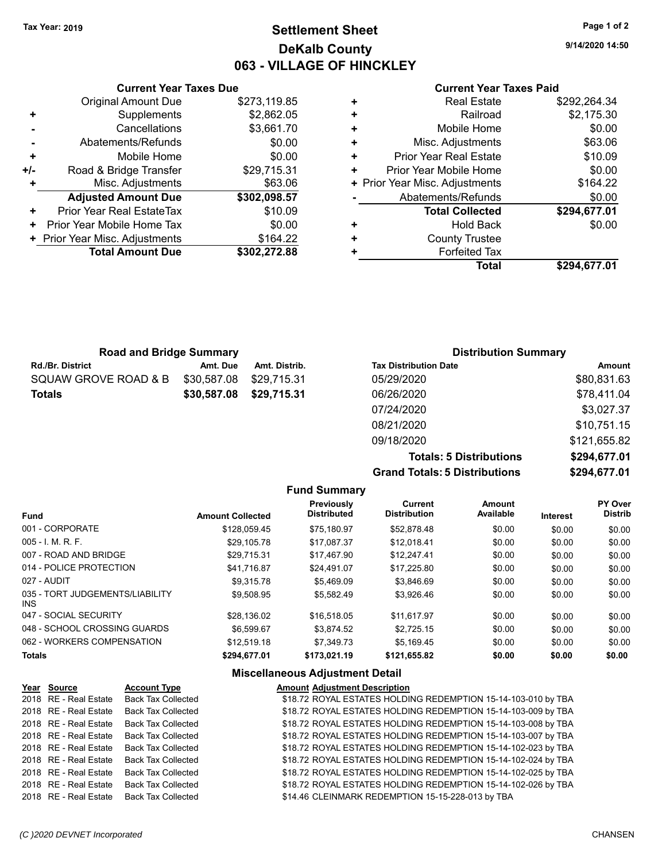## **Settlement Sheet Tax Year: 2019 Page 1 of 2 DeKalb County 063 - VILLAGE OF HINCKLEY**

**9/14/2020 14:50**

#### **Current Year Taxes Paid**

| \$292,264.34 | <b>Real Estate</b>             | 9.85         |
|--------------|--------------------------------|--------------|
| \$2,175.30   | Railroad                       | 32.05        |
| \$0.00       | Mobile Home                    | 51.70        |
| \$63.06      | Misc. Adjustments              | 0.005        |
| \$10.09      | <b>Prior Year Real Estate</b>  | 0.005        |
| \$0.00       | Prior Year Mobile Home         | 5.31         |
| \$164.22     | + Prior Year Misc. Adjustments | 3.06         |
| \$0.00       | Abatements/Refunds             | 8.57         |
| \$294,677.01 | <b>Total Collected</b>         | 0.09         |
| \$0.00       | <b>Hold Back</b>               | 0.005        |
|              | <b>County Trustee</b>          | <b>34.22</b> |
|              | <b>Forfeited Tax</b>           | 2.88         |
| \$294,677.01 | Total                          |              |

|     | <b>Original Amount Due</b>     | \$273,119.85 |
|-----|--------------------------------|--------------|
| ٠   | Supplements                    | \$2,862.05   |
|     | Cancellations                  | \$3,661.70   |
|     | Abatements/Refunds             | \$0.00       |
| ٠   | Mobile Home                    | \$0.00       |
| +/- | Road & Bridge Transfer         | \$29,715.31  |
| ٠   | Misc. Adjustments              | \$63.06      |
|     | <b>Adjusted Amount Due</b>     | \$302,098.57 |
| ٠   | Prior Year Real EstateTax      | \$10.09      |
| ٠   | Prior Year Mobile Home Tax     | \$0.00       |
|     | + Prior Year Misc. Adjustments | \$164.22     |
|     | <b>Total Amount Due</b>        | \$302,272.88 |

**Current Year Taxes Due**

| <b>Road and Bridge Summary</b> |             |               | <b>Distribution Summary</b>  |              |  |
|--------------------------------|-------------|---------------|------------------------------|--------------|--|
| Rd./Br. District               | Amt. Due    | Amt. Distrib. | <b>Tax Distribution Date</b> | Amount       |  |
| SQUAW GROVE ROAD & B           | \$30,587.08 | \$29.715.31   | 05/29/2020                   | \$80,831.63  |  |
| Totals                         | \$30,587.08 | \$29,715.31   | 06/26/2020                   | \$78,411.04  |  |
|                                |             |               | 07/24/2020                   | \$3,027.37   |  |
|                                |             |               | 08/21/2020                   | \$10,751.15  |  |
|                                |             |               | 09/18/2020                   | \$121,655.82 |  |

**Totals: 5 Distributions \$294,677.01 Grand Totals: 5 Distributions \$294,677.01**

|                                         |                         |                                    |                                |                            |                 | .                         |
|-----------------------------------------|-------------------------|------------------------------------|--------------------------------|----------------------------|-----------------|---------------------------|
|                                         |                         | <b>Fund Summary</b>                |                                |                            |                 |                           |
| <b>Fund</b>                             | <b>Amount Collected</b> | Previously<br><b>Distributed</b>   | Current<br><b>Distribution</b> | <b>Amount</b><br>Available | <b>Interest</b> | PY Over<br><b>Distrib</b> |
| 001 - CORPORATE                         | \$128,059.45            | \$75,180.97                        | \$52,878.48                    | \$0.00                     | \$0.00          | \$0.00                    |
| $005 - 1$ , M, R, F,                    | \$29,105.78             | \$17,087.37                        | \$12,018.41                    | \$0.00                     | \$0.00          | \$0.00                    |
| 007 - ROAD AND BRIDGE                   | \$29.715.31             | \$17.467.90                        | \$12.247.41                    | \$0.00                     | \$0.00          | \$0.00                    |
| 014 - POLICE PROTECTION                 | \$41,716.87             | \$24,491.07                        | \$17,225.80                    | \$0.00                     | \$0.00          | \$0.00                    |
| 027 - AUDIT                             | \$9.315.78              | \$5.469.09                         | \$3.846.69                     | \$0.00                     | \$0.00          | \$0.00                    |
| 035 - TORT JUDGEMENTS/LIABILITY<br>INS. | \$9,508.95              | \$5,582.49                         | \$3,926.46                     | \$0.00                     | \$0.00          | \$0.00                    |
| 047 - SOCIAL SECURITY                   | \$28,136.02             | \$16,518.05                        | \$11,617.97                    | \$0.00                     | \$0.00          | \$0.00                    |
| 048 - SCHOOL CROSSING GUARDS            | \$6.599.67              | \$3,874.52                         | \$2,725.15                     | \$0.00                     | \$0.00          | \$0.00                    |
| 062 - WORKERS COMPENSATION              | \$12.519.18             | \$7.349.73                         | \$5.169.45                     | \$0.00                     | \$0.00          | \$0.00                    |
| <b>Totals</b>                           | \$294,677.01            | \$173,021.19                       | \$121,655.82                   | \$0.00                     | \$0.00          | \$0.00                    |
|                                         |                         | Missellensenie, Adiustussut Deteil |                                |                            |                 |                           |

| Year Source           | <b>Account Type</b>       | <b>Amount Adjustment Description</b>                          |
|-----------------------|---------------------------|---------------------------------------------------------------|
| 2018 RE - Real Estate | <b>Back Tax Collected</b> | \$18.72 ROYAL ESTATES HOLDING REDEMPTION 15-14-103-010 by TBA |
| 2018 RE - Real Estate | <b>Back Tax Collected</b> | \$18.72 ROYAL ESTATES HOLDING REDEMPTION 15-14-103-009 by TBA |
| 2018 RE - Real Estate | <b>Back Tax Collected</b> | \$18.72 ROYAL ESTATES HOLDING REDEMPTION 15-14-103-008 by TBA |
| 2018 RE - Real Estate | <b>Back Tax Collected</b> | \$18.72 ROYAL ESTATES HOLDING REDEMPTION 15-14-103-007 by TBA |
| 2018 RE - Real Estate | <b>Back Tax Collected</b> | \$18.72 ROYAL ESTATES HOLDING REDEMPTION 15-14-102-023 by TBA |
| 2018 RE - Real Estate | <b>Back Tax Collected</b> | \$18.72 ROYAL ESTATES HOLDING REDEMPTION 15-14-102-024 by TBA |
| 2018 RE - Real Estate | <b>Back Tax Collected</b> | \$18.72 ROYAL ESTATES HOLDING REDEMPTION 15-14-102-025 by TBA |
| 2018 RE - Real Estate | <b>Back Tax Collected</b> | \$18.72 ROYAL ESTATES HOLDING REDEMPTION 15-14-102-026 by TBA |
| 2018 RE - Real Estate | <b>Back Tax Collected</b> | \$14.46 CLEINMARK REDEMPTION 15-15-228-013 by TBA             |
|                       |                           |                                                               |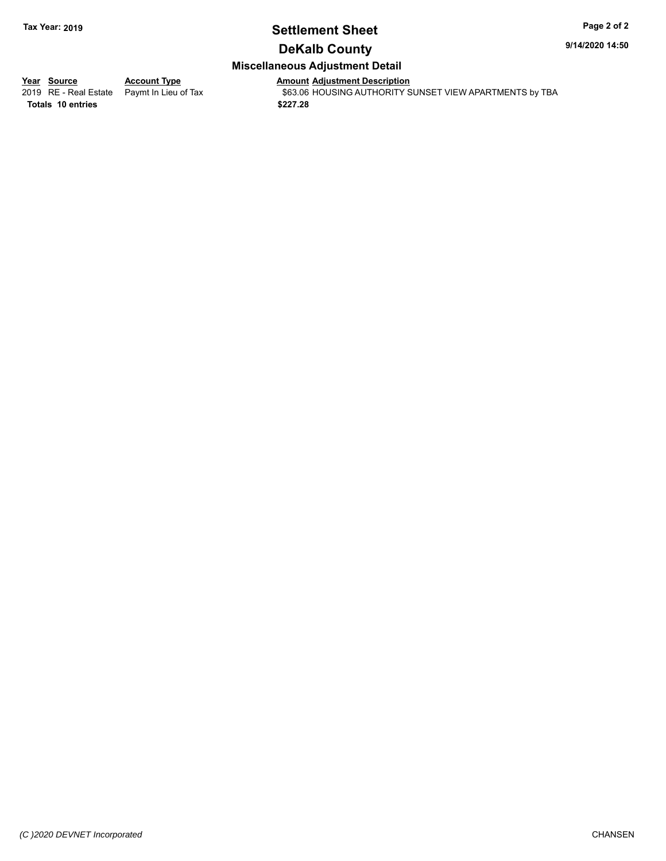## **Settlement Sheet Tax Year: 2019 Page 2 of 2**

**9/14/2020 14:50**

## **DeKalb County**

## **Miscellaneous Adjustment Detail**

**Totals \$227.28 10 entries**

**Year Source Account Type Anneunt Adjustment Description**<br>
2019 RE - Real Estate Paymt In Lieu of Tax \$63.06 HOUSING AUTHORITY S \$63.06 HOUSING AUTHORITY SUNSET VIEW APARTMENTS by TBA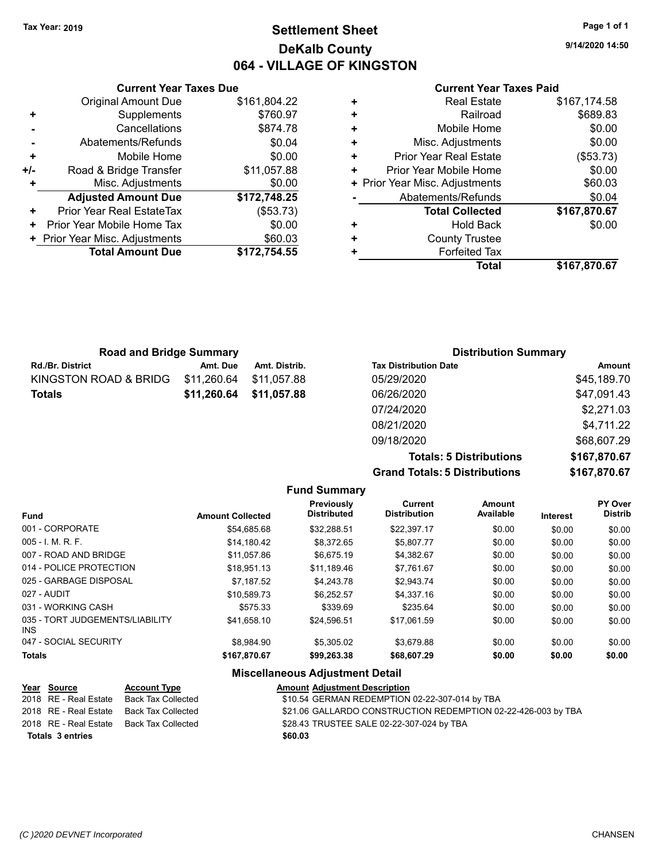## **Settlement Sheet Tax Year: 2019 Page 1 of 1 DeKalb County 064 - VILLAGE OF KINGSTON**

**9/14/2020 14:50**

|       | <b>Current Year Taxes Due</b>  |              |   | Cu                   |
|-------|--------------------------------|--------------|---|----------------------|
|       | Original Amount Due            | \$161,804.22 | ٠ | г                    |
|       | Supplements                    | \$760.97     | ٠ |                      |
|       | Cancellations                  | \$874.78     | ٠ | M                    |
|       | Abatements/Refunds             | \$0.04       | ٠ | Misc. A              |
|       | Mobile Home                    | \$0.00       | ٠ | Prior Year F         |
| $+/-$ | Road & Bridge Transfer         | \$11,057.88  | ٠ | Prior Year Mo        |
| ٠     | Misc. Adjustments              | \$0.00       |   | + Prior Year Misc. A |
|       | <b>Adjusted Amount Due</b>     | \$172,748.25 |   | Abatemen             |
| ٠     | Prior Year Real EstateTax      | (\$53.73)    |   | Total                |
| ٠     | Prior Year Mobile Home Tax     | \$0.00       | ٠ |                      |
|       | + Prior Year Misc. Adjustments | \$60.03      | ٠ | Cou                  |
|       | <b>Total Amount Due</b>        | \$172,754.55 |   | Fο                   |
|       |                                |              |   |                      |

#### **Current Year Taxes Paid**

|   | <b>Real Estate</b>             | \$167,174.58 |
|---|--------------------------------|--------------|
| ÷ | Railroad                       | \$689.83     |
| ٠ | Mobile Home                    | \$0.00       |
| ÷ | Misc. Adjustments              | \$0.00       |
| ٠ | <b>Prior Year Real Estate</b>  | (\$53.73)    |
| ٠ | Prior Year Mobile Home         | \$0.00       |
|   | + Prior Year Misc. Adjustments | \$60.03      |
|   | Abatements/Refunds             | \$0.04       |
|   | <b>Total Collected</b>         | \$167,870.67 |
| ٠ | <b>Hold Back</b>               | \$0.00       |
| ٠ | <b>County Trustee</b>          |              |
| ٠ | <b>Forfeited Tax</b>           |              |
|   |                                |              |

| <b>Road and Bridge Summary</b> |             |                         | <b>Distribution Summary</b>  |             |  |
|--------------------------------|-------------|-------------------------|------------------------------|-------------|--|
| <b>Rd./Br. District</b>        | Amt. Due    | Amt. Distrib.           | <b>Tax Distribution Date</b> | Amount      |  |
| KINGSTON ROAD & BRIDG          | \$11,260.64 | \$11.057.88             | 05/29/2020                   | \$45,189.70 |  |
| <b>Totals</b>                  |             | \$11,260.64 \$11,057.88 | 06/26/2020                   | \$47,091.43 |  |
|                                |             |                         | 07/24/2020                   | \$2,271.03  |  |
|                                |             |                         | 08/21/2020                   | \$4,711.22  |  |

**Grand Totals: 5 Distributions** 

09/18/2020 \$68,607.29

| <b>Totals: 5 Distributions</b> | \$167,870.67 |
|--------------------------------|--------------|
| <b>Totals: 5 Distributions</b> | \$167,870.67 |
|                                |              |

|                                               |                         | <b>Fund Summary</b>              |                                       |                     |          |                                  |
|-----------------------------------------------|-------------------------|----------------------------------|---------------------------------------|---------------------|----------|----------------------------------|
| <b>Fund</b>                                   | <b>Amount Collected</b> | Previously<br><b>Distributed</b> | <b>Current</b><br><b>Distribution</b> | Amount<br>Available | Interest | <b>PY Over</b><br><b>Distrib</b> |
| 001 - CORPORATE                               | \$54.685.68             | \$32,288.51                      | \$22.397.17                           | \$0.00              | \$0.00   | \$0.00                           |
| $005 - I$ , M, R, F,                          | \$14.180.42             | \$8,372.65                       | \$5.807.77                            | \$0.00              | \$0.00   | \$0.00                           |
| 007 - ROAD AND BRIDGE                         | \$11.057.86             | \$6.675.19                       | \$4,382.67                            | \$0.00              | \$0.00   | \$0.00                           |
| 014 - POLICE PROTECTION                       | \$18.951.13             | \$11.189.46                      | \$7.761.67                            | \$0.00              | \$0.00   | \$0.00                           |
| 025 - GARBAGE DISPOSAL                        | \$7.187.52              | \$4,243.78                       | \$2,943.74                            | \$0.00              | \$0.00   | \$0.00                           |
| 027 - AUDIT                                   | \$10.589.73             | \$6.252.57                       | \$4,337.16                            | \$0.00              | \$0.00   | \$0.00                           |
| 031 - WORKING CASH                            | \$575.33                | \$339.69                         | \$235.64                              | \$0.00              | \$0.00   | \$0.00                           |
| 035 - TORT JUDGEMENTS/LIABILITY<br><b>INS</b> | \$41.658.10             | \$24.596.51                      | \$17.061.59                           | \$0.00              | \$0.00   | \$0.00                           |
| 047 - SOCIAL SECURITY                         | \$8.984.90              | \$5.305.02                       | \$3.679.88                            | \$0.00              | \$0.00   | \$0.00                           |
| <b>Totals</b>                                 | \$167,870.67            | \$99,263.38                      | \$68,607.29                           | \$0.00              | \$0.00   | \$0.00                           |

|                                                                                                                   | <b>Amount Adjustment Description</b>                                                  |
|-------------------------------------------------------------------------------------------------------------------|---------------------------------------------------------------------------------------|
|                                                                                                                   | \$10.54 GERMAN REDEMPTION 02-22-307-014 by TBA                                        |
|                                                                                                                   | \$21.06 GALLARDO CONSTRUCTION REDEMPTION 02-22-426-003 by TBA                         |
|                                                                                                                   | \$28.43 TRUSTEE SALE 02-22-307-024 by TBA                                             |
|                                                                                                                   | \$60.03                                                                               |
| <u>Year Source</u><br>2018 RE - Real Estate<br>2018 RE - Real Estate<br>2018 RE - Real Estate<br>Totals 3 entries | <b>Account Type</b><br>Back Tax Collected<br>Back Tax Collected<br>Back Tax Collected |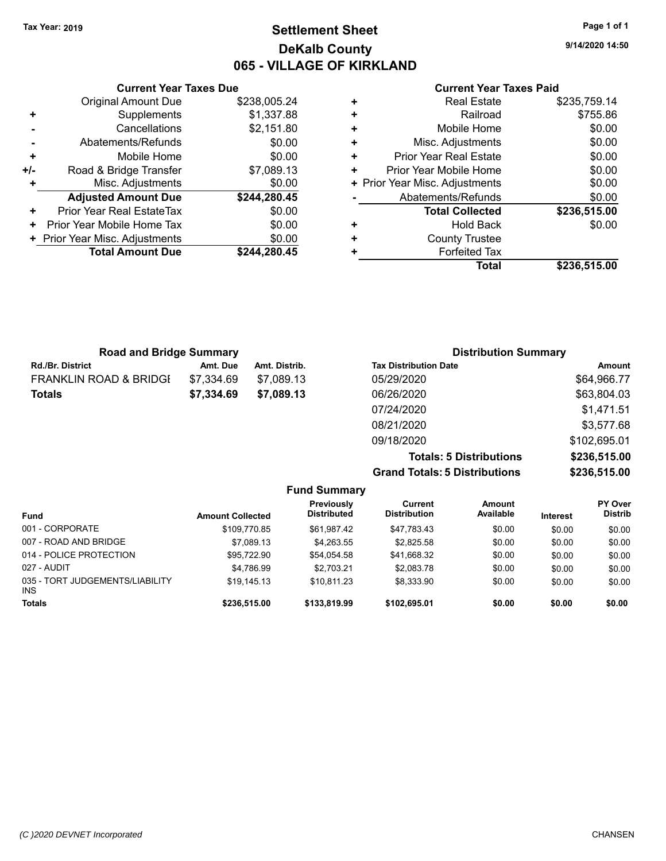## **Settlement Sheet Tax Year: 2019 Page 1 of 1 DeKalb County 065 - VILLAGE OF KIRKLAND**

**9/14/2020 14:50**

#### **Current Year Taxes Paid**

|     | <b>Current Year Taxes Due</b>  |              |
|-----|--------------------------------|--------------|
|     | Original Amount Due            | \$238,005.24 |
| ٠   | Supplements                    | \$1,337.88   |
|     | Cancellations                  | \$2,151.80   |
|     | Abatements/Refunds             | \$0.00       |
| ٠   | Mobile Home                    | \$0.00       |
| +/- | Road & Bridge Transfer         | \$7,089.13   |
|     | Misc. Adjustments              | \$0.00       |
|     | <b>Adjusted Amount Due</b>     | \$244,280.45 |
| ÷   | Prior Year Real EstateTax      | \$0.00       |
| ÷   | Prior Year Mobile Home Tax     | \$0.00       |
|     | + Prior Year Misc. Adjustments | \$0.00       |
|     | <b>Total Amount Due</b>        | \$244.280.45 |
|     |                                |              |

| <b>Real Estate</b>             | \$235,759.14 |
|--------------------------------|--------------|
| Railroad                       | \$755.86     |
| Mobile Home                    | \$0.00       |
| Misc. Adjustments              | \$0.00       |
| <b>Prior Year Real Estate</b>  | \$0.00       |
| Prior Year Mobile Home         | \$0.00       |
| + Prior Year Misc. Adjustments | \$0.00       |
| Abatements/Refunds             | \$0.00       |
| <b>Total Collected</b>         | \$236,515.00 |
| Hold Back                      | \$0.00       |
| <b>County Trustee</b>          |              |
| <b>Forfeited Tax</b>           |              |
| <b>Total</b>                   | \$236,515.00 |
|                                |              |

| <b>Road and Bridge Summary</b>    |            |               | <b>Distribution Summary</b>  |              |
|-----------------------------------|------------|---------------|------------------------------|--------------|
| <b>Rd./Br. District</b>           | Amt. Due   | Amt. Distrib. | <b>Tax Distribution Date</b> | Amount       |
| <b>FRANKLIN ROAD &amp; BRIDGI</b> | \$7,334.69 | \$7.089.13    | 05/29/2020                   | \$64,966.77  |
| <b>Totals</b>                     | \$7,334.69 | \$7,089.13    | 06/26/2020                   | \$63,804.03  |
|                                   |            |               | 07/24/2020                   | \$1,471.51   |
|                                   |            |               | 08/21/2020                   | \$3,577.68   |
|                                   |            |               | 09/18/2020                   | \$102,695.01 |

**Grand Totals: 5 Distributions \$236,515.00**

| <b>Totals: 5 Distributions</b> | \$236,515.00 |
|--------------------------------|--------------|
| <b>Totals: 5 Distributions</b> | \$236,515.00 |
|                                |              |

| <b>Fund Summary</b>                           |                         |                                         |                                |                     |                 |                           |
|-----------------------------------------------|-------------------------|-----------------------------------------|--------------------------------|---------------------|-----------------|---------------------------|
| <b>Fund</b>                                   | <b>Amount Collected</b> | <b>Previously</b><br><b>Distributed</b> | Current<br><b>Distribution</b> | Amount<br>Available | <b>Interest</b> | PY Over<br><b>Distrib</b> |
| 001 - CORPORATE                               | \$109,770.85            | \$61.987.42                             | \$47,783.43                    | \$0.00              | \$0.00          | \$0.00                    |
| 007 - ROAD AND BRIDGE                         | \$7,089.13              | \$4,263.55                              | \$2,825.58                     | \$0.00              | \$0.00          | \$0.00                    |
| 014 - POLICE PROTECTION                       | \$95.722.90             | \$54,054.58                             | \$41,668.32                    | \$0.00              | \$0.00          | \$0.00                    |
| 027 - AUDIT                                   | \$4.786.99              | \$2.703.21                              | \$2,083.78                     | \$0.00              | \$0.00          | \$0.00                    |
| 035 - TORT JUDGEMENTS/LIABILITY<br><b>INS</b> | \$19.145.13             | \$10.811.23                             | \$8,333.90                     | \$0.00              | \$0.00          | \$0.00                    |
| <b>Totals</b>                                 | \$236,515.00            | \$133,819.99                            | \$102,695.01                   | \$0.00              | \$0.00          | \$0.00                    |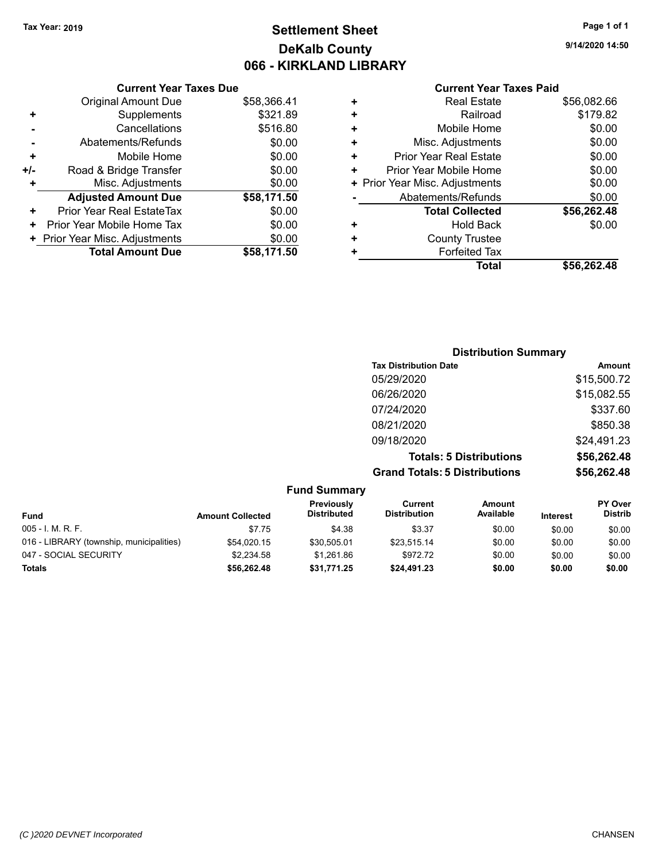## **Settlement Sheet Tax Year: 2019 Page 1 of 1 DeKalb County 066 - KIRKLAND LIBRARY**

**9/14/2020 14:50**

## **Current Year Taxes Paid**

| <b>Current Year Taxes Due</b> |                                |             |  |  |
|-------------------------------|--------------------------------|-------------|--|--|
|                               | <b>Original Amount Due</b>     | \$58,366.41 |  |  |
| ٠                             | Supplements                    | \$321.89    |  |  |
|                               | Cancellations                  | \$516.80    |  |  |
|                               | Abatements/Refunds             | \$0.00      |  |  |
| ٠                             | Mobile Home                    | \$0.00      |  |  |
| +/-                           | Road & Bridge Transfer         | \$0.00      |  |  |
| ٠                             | Misc. Adjustments              | \$0.00      |  |  |
|                               | <b>Adjusted Amount Due</b>     | \$58,171.50 |  |  |
| ٠                             | Prior Year Real EstateTax      | \$0.00      |  |  |
| ٠                             | Prior Year Mobile Home Tax     | \$0.00      |  |  |
|                               | + Prior Year Misc. Adjustments | \$0.00      |  |  |
|                               | <b>Total Amount Due</b>        | \$58,171.50 |  |  |
|                               |                                |             |  |  |

|   | Total                          | \$56.262.48 |
|---|--------------------------------|-------------|
| ٠ | <b>Forfeited Tax</b>           |             |
| ٠ | <b>County Trustee</b>          |             |
| ٠ | Hold Back                      | \$0.00      |
|   | <b>Total Collected</b>         | \$56,262.48 |
|   | Abatements/Refunds             | \$0.00      |
|   | + Prior Year Misc. Adjustments | \$0.00      |
| ٠ | Prior Year Mobile Home         | \$0.00      |
| ٠ | Prior Year Real Estate         | \$0.00      |
| ٠ | Misc. Adjustments              | \$0.00      |
| ÷ | Mobile Home                    | \$0.00      |
| ÷ | Railroad                       | \$179.82    |
|   | <b>Real Estate</b>             | \$56,082.66 |
|   |                                |             |

| <b>Distribution Summary</b>          |             |
|--------------------------------------|-------------|
| <b>Tax Distribution Date</b>         | Amount      |
| 05/29/2020                           | \$15,500.72 |
| 06/26/2020                           | \$15,082.55 |
| 07/24/2020                           | \$337.60    |
| 08/21/2020                           | \$850.38    |
| 09/18/2020                           | \$24,491.23 |
| <b>Totals: 5 Distributions</b>       | \$56,262.48 |
| <b>Grand Totals: 5 Distributions</b> | \$56,262.48 |

|                                          |                         | <b>Fund Summary</b>              |                                |                     |                 |                                  |
|------------------------------------------|-------------------------|----------------------------------|--------------------------------|---------------------|-----------------|----------------------------------|
| Fund                                     | <b>Amount Collected</b> | Previously<br><b>Distributed</b> | Current<br><b>Distribution</b> | Amount<br>Available | <b>Interest</b> | <b>PY Over</b><br><b>Distrib</b> |
| $005 - I. M. R. F.$                      | \$7.75                  | \$4.38                           | \$3.37                         | \$0.00              | \$0.00          | \$0.00                           |
| 016 - LIBRARY (township, municipalities) | \$54.020.15             | \$30.505.01                      | \$23.515.14                    | \$0.00              | \$0.00          | \$0.00                           |
| 047 - SOCIAL SECURITY                    | \$2.234.58              | \$1.261.86                       | \$972.72                       | \$0.00              | \$0.00          | \$0.00                           |
| <b>Totals</b>                            | \$56,262.48             | \$31,771.25                      | \$24,491.23                    | \$0.00              | \$0.00          | \$0.00                           |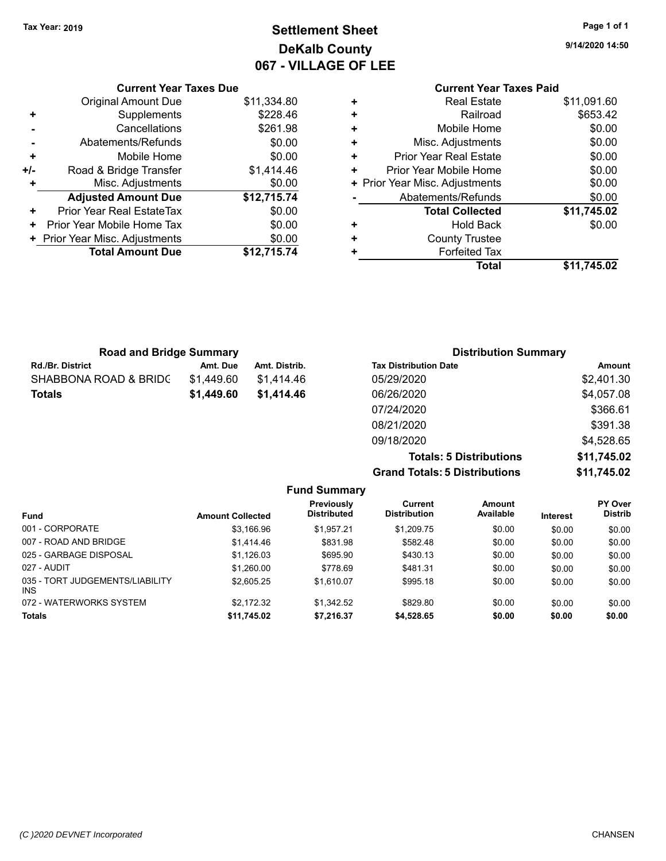## **Settlement Sheet Tax Year: 2019 Page 1 of 1 DeKalb County 067 - VILLAGE OF LEE**

**9/14/2020 14:50**

## **Current Year Taxes Paid +** Real Estate \$11,091.60 **+** Railroad \$653.42 **+** Mobile Home \$0.00 **+** Misc. Adjustments \$0.00 **+** Prior Year Real Estate \$0.00 **+** Prior Year Mobile Home \$0.00 **+ Prior Year Misc. Adjustments**  $$0.00$ **-** Abatements/Refunds \$0.00 **Total Collected \$11,745.02 +** Hold Back \$0.00 **+** County Trustee **+** Forfeited Tax **Total \$11,745.02**

|     | <b>Current Year Taxes Due</b>            |             |  |  |  |  |
|-----|------------------------------------------|-------------|--|--|--|--|
|     | <b>Original Amount Due</b>               | \$11,334.80 |  |  |  |  |
| ٠   | Supplements                              | \$228.46    |  |  |  |  |
|     | Cancellations                            | \$261.98    |  |  |  |  |
|     | Abatements/Refunds                       | \$0.00      |  |  |  |  |
| ٠   | Mobile Home                              | \$0.00      |  |  |  |  |
| +/- | Road & Bridge Transfer                   | \$1,414.46  |  |  |  |  |
| ٠   | Misc. Adjustments                        | \$0.00      |  |  |  |  |
|     | <b>Adjusted Amount Due</b>               | \$12,715.74 |  |  |  |  |
| +   | Prior Year Real EstateTax                | \$0.00      |  |  |  |  |
| ٠   | Prior Year Mobile Home Tax               | \$0.00      |  |  |  |  |
|     | \$0.00<br>+ Prior Year Misc. Adjustments |             |  |  |  |  |
|     | <b>Total Amount Due</b>                  | \$12,715.74 |  |  |  |  |

| <b>Road and Bridge Summary</b> |            |               | <b>Distribution Summary</b>  |            |  |
|--------------------------------|------------|---------------|------------------------------|------------|--|
| Rd./Br. District               | Amt. Due   | Amt. Distrib. | <b>Tax Distribution Date</b> | Amount     |  |
| SHABBONA ROAD & BRIDC          | \$1,449.60 | \$1.414.46    | 05/29/2020                   | \$2,401.30 |  |
| Totals                         | \$1,449.60 | \$1,414.46    | 06/26/2020                   | \$4,057.08 |  |
|                                |            |               | 07/24/2020                   | \$366.61   |  |
|                                |            |               | 08/21/2020                   | \$391.38   |  |
|                                |            |               | 09/18/2020                   | \$4,528.65 |  |
|                                |            |               |                              |            |  |

**Totals: 5 Distributions \$11,745.02 Grand Totals: 5 Distributions \$11,745.02 Fund Summary**

| Fund                                    | <b>Amount Collected</b> | <b>Previously</b><br><b>Distributed</b> | Current<br><b>Distribution</b> | Amount<br>Available | <b>Interest</b> | <b>PY Over</b><br><b>Distrib</b> |
|-----------------------------------------|-------------------------|-----------------------------------------|--------------------------------|---------------------|-----------------|----------------------------------|
| 001 - CORPORATE                         | \$3,166.96              | \$1.957.21                              | \$1,209.75                     | \$0.00              | \$0.00          | \$0.00                           |
| 007 - ROAD AND BRIDGE                   | \$1,414.46              | \$831.98                                | \$582.48                       | \$0.00              | \$0.00          | \$0.00                           |
| 025 - GARBAGE DISPOSAL                  | \$1,126.03              | \$695.90                                | \$430.13                       | \$0.00              | \$0.00          | \$0.00                           |
| 027 - AUDIT                             | \$1,260.00              | \$778.69                                | \$481.31                       | \$0.00              | \$0.00          | \$0.00                           |
| 035 - TORT JUDGEMENTS/LIABILITY<br>INS. | \$2,605.25              | \$1.610.07                              | \$995.18                       | \$0.00              | \$0.00          | \$0.00                           |
| 072 - WATERWORKS SYSTEM                 | \$2.172.32              | \$1.342.52                              | \$829.80                       | \$0.00              | \$0.00          | \$0.00                           |
| <b>Totals</b>                           | \$11,745.02             | \$7,216.37                              | \$4,528.65                     | \$0.00              | \$0.00          | \$0.00                           |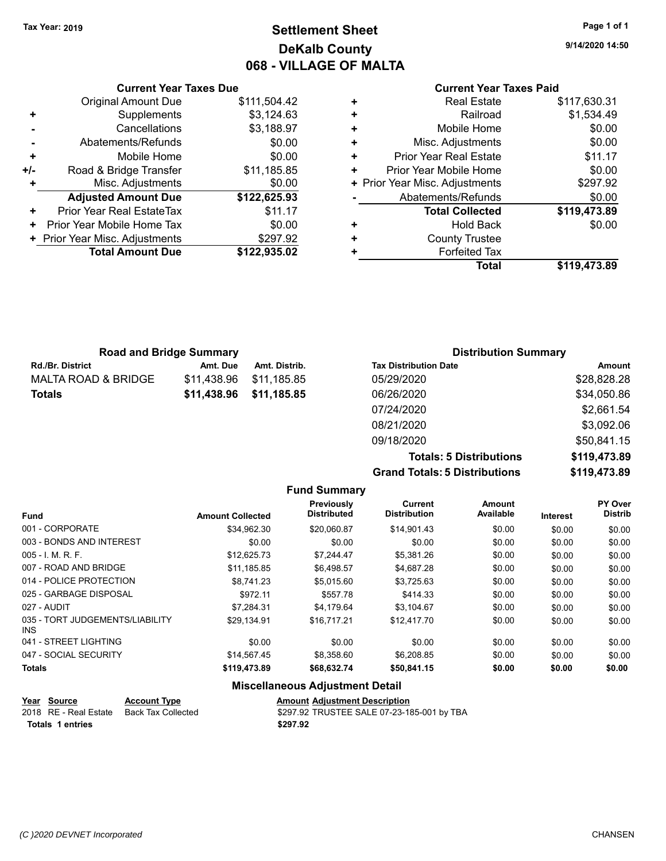## **Settlement Sheet Tax Year: 2019 Page 1 of 1 DeKalb County 068 - VILLAGE OF MALTA**

**9/14/2020 14:50**

#### **Current Year Taxes Paid**

|     | <b>Current Year Taxes Due</b>  |              |
|-----|--------------------------------|--------------|
|     | <b>Original Amount Due</b>     | \$111,504.42 |
| ٠   | Supplements                    | \$3,124.63   |
|     | Cancellations                  | \$3,188.97   |
|     | Abatements/Refunds             | \$0.00       |
| ٠   | Mobile Home                    | \$0.00       |
| +/- | Road & Bridge Transfer         | \$11,185.85  |
|     | Misc. Adjustments              | \$0.00       |
|     | <b>Adjusted Amount Due</b>     | \$122,625.93 |
| ÷   | Prior Year Real EstateTax      | \$11.17      |
| ÷   | Prior Year Mobile Home Tax     | \$0.00       |
|     | + Prior Year Misc. Adjustments | \$297.92     |
|     | <b>Total Amount Due</b>        | \$122,935.02 |
|     |                                |              |

|   | <b>Real Estate</b>             | \$117,630.31 |
|---|--------------------------------|--------------|
| ٠ | Railroad                       | \$1,534.49   |
| ٠ | Mobile Home                    | \$0.00       |
| ٠ | Misc. Adjustments              | \$0.00       |
| ٠ | <b>Prior Year Real Estate</b>  | \$11.17      |
| ٠ | Prior Year Mobile Home         | \$0.00       |
|   | + Prior Year Misc. Adjustments | \$297.92     |
|   | Abatements/Refunds             | \$0.00       |
|   | <b>Total Collected</b>         | \$119,473.89 |
| ٠ | <b>Hold Back</b>               | \$0.00       |
| ٠ | <b>County Trustee</b>          |              |
| ÷ | <b>Forfeited Tax</b>           |              |
|   | Total                          | \$119,473.89 |

| <b>Road and Bridge Summary</b> |             |               | <b>Distribution Summary</b>  |             |  |
|--------------------------------|-------------|---------------|------------------------------|-------------|--|
| <b>Rd./Br. District</b>        | Amt. Due    | Amt. Distrib. | <b>Tax Distribution Date</b> | Amount      |  |
| <b>MALTA ROAD &amp; BRIDGE</b> | \$11.438.96 | \$11,185.85   | 05/29/2020                   | \$28,828.28 |  |
| <b>Totals</b>                  | \$11,438.96 | \$11,185.85   | 06/26/2020                   | \$34,050.86 |  |
|                                |             |               | 07/24/2020                   | \$2,661.54  |  |
|                                |             |               | 08/21/2020                   | \$3,092.06  |  |

**Grand Totals: 5 Distributions** 

09/18/2020 \$50,841.15

| <b>Totals: 5 Distributions</b> | \$119,473.89 |
|--------------------------------|--------------|
| <b>Totals: 5 Distributions</b> | \$119,473.89 |
|                                |              |

|                                         |                         | <b>Fund Summary</b>              |                                       |                     |                 |                           |
|-----------------------------------------|-------------------------|----------------------------------|---------------------------------------|---------------------|-----------------|---------------------------|
| <b>Fund</b>                             | <b>Amount Collected</b> | Previously<br><b>Distributed</b> | <b>Current</b><br><b>Distribution</b> | Amount<br>Available | <b>Interest</b> | PY Over<br><b>Distrib</b> |
| 001 - CORPORATE                         | \$34.962.30             | \$20,060.87                      | \$14,901.43                           | \$0.00              | \$0.00          | \$0.00                    |
| 003 - BONDS AND INTEREST                | \$0.00                  | \$0.00                           | \$0.00                                | \$0.00              | \$0.00          | \$0.00                    |
| $005 - I. M. R. F.$                     | \$12,625.73             | \$7,244.47                       | \$5,381.26                            | \$0.00              | \$0.00          | \$0.00                    |
| 007 - ROAD AND BRIDGE                   | \$11,185.85             | \$6,498.57                       | \$4,687.28                            | \$0.00              | \$0.00          | \$0.00                    |
| 014 - POLICE PROTECTION                 | \$8,741.23              | \$5,015.60                       | \$3,725.63                            | \$0.00              | \$0.00          | \$0.00                    |
| 025 - GARBAGE DISPOSAL                  | \$972.11                | \$557.78                         | \$414.33                              | \$0.00              | \$0.00          | \$0.00                    |
| 027 - AUDIT                             | \$7,284.31              | \$4,179.64                       | \$3,104.67                            | \$0.00              | \$0.00          | \$0.00                    |
| 035 - TORT JUDGEMENTS/LIABILITY<br>INS. | \$29,134.91             | \$16.717.21                      | \$12.417.70                           | \$0.00              | \$0.00          | \$0.00                    |
| 041 - STREET LIGHTING                   | \$0.00                  | \$0.00                           | \$0.00                                | \$0.00              | \$0.00          | \$0.00                    |
| 047 - SOCIAL SECURITY                   | \$14,567.45             | \$8,358.60                       | \$6,208.85                            | \$0.00              | \$0.00          | \$0.00                    |
| <b>Totals</b>                           | \$119,473.89            | \$68,632.74                      | \$50,841.15                           | \$0.00              | \$0.00          | \$0.00                    |

## **Miscellaneous Adjustment Detail**

| Year Source      | <b>Account Type</b> | <b>Amount Adjustment Description</b>     |
|------------------|---------------------|------------------------------------------|
|                  |                     | \$297.92 TRUSTEE SALE 07-23-18           |
| Totals 1 entries |                     | \$297.92                                 |
|                  |                     | 2018 RE - Real Estate Back Tax Collected |

\$297.92 TRUSTEE SALE 07-23-185-001 by TBA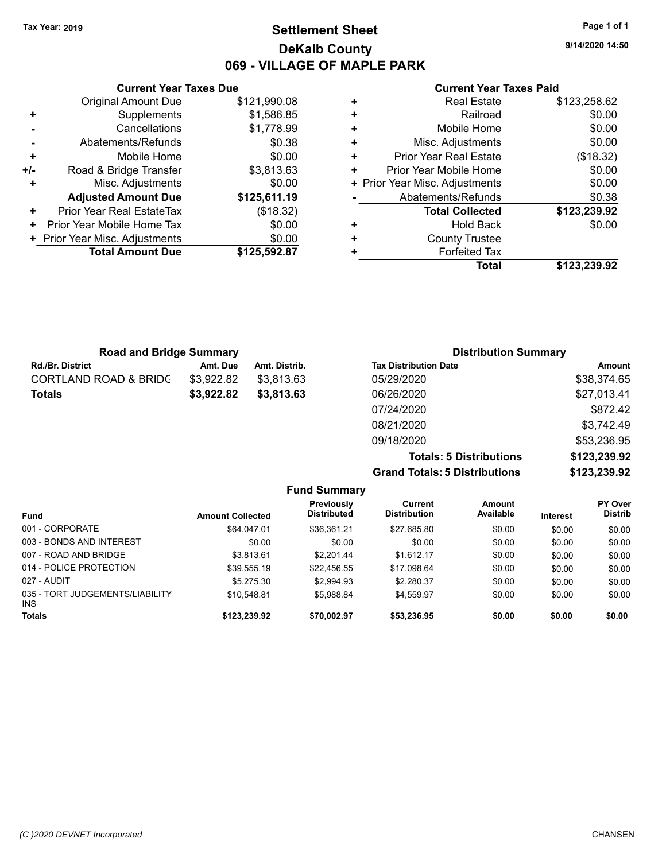## **Settlement Sheet Tax Year: 2019 Page 1 of 1 DeKalb County 069 - VILLAGE OF MAPLE PARK**

**9/14/2020 14:50**

#### **Current Year Taxes Paid**

|     | <b>Current Year Taxes Due</b>  |              |
|-----|--------------------------------|--------------|
|     | <b>Original Amount Due</b>     | \$121,990.08 |
| ٠   | Supplements                    | \$1,586.85   |
|     | Cancellations                  | \$1,778.99   |
|     | Abatements/Refunds             | \$0.38       |
| ٠   | Mobile Home                    | \$0.00       |
| +/- | Road & Bridge Transfer         | \$3,813.63   |
|     | Misc. Adjustments              | \$0.00       |
|     | <b>Adjusted Amount Due</b>     | \$125,611.19 |
| ٠   | Prior Year Real EstateTax      | (\$18.32)    |
| ٠   | Prior Year Mobile Home Tax     | \$0.00       |
|     | + Prior Year Misc. Adjustments | \$0.00       |
|     | <b>Total Amount Due</b>        | \$125.592.87 |
|     |                                |              |

|   | <b>Real Estate</b>             | \$123,258.62 |
|---|--------------------------------|--------------|
| ٠ | Railroad                       | \$0.00       |
| ٠ | Mobile Home                    | \$0.00       |
| ٠ | Misc. Adjustments              | \$0.00       |
| ٠ | <b>Prior Year Real Estate</b>  | (\$18.32)    |
| ٠ | Prior Year Mobile Home         | \$0.00       |
|   | + Prior Year Misc. Adjustments | \$0.00       |
|   | Abatements/Refunds             | \$0.38       |
|   | <b>Total Collected</b>         | \$123,239.92 |
| ٠ | <b>Hold Back</b>               | \$0.00       |
| ٠ | <b>County Trustee</b>          |              |
| ٠ | <b>Forfeited Tax</b>           |              |
|   | Total                          | \$123,239.92 |

| <b>Road and Bridge Summary</b>   |            |               | <b>Distribution Summary</b>  |             |
|----------------------------------|------------|---------------|------------------------------|-------------|
| <b>Rd./Br. District</b>          | Amt. Due   | Amt. Distrib. | <b>Tax Distribution Date</b> | Amount      |
| <b>CORTLAND ROAD &amp; BRIDC</b> | \$3,922.82 | \$3.813.63    | 05/29/2020                   | \$38,374.65 |
| <b>Totals</b>                    | \$3,922.82 | \$3,813.63    | 06/26/2020                   | \$27,013.41 |
|                                  |            |               | 07/24/2020                   | \$872.42    |
|                                  |            |               | 08/21/2020                   | \$3,742.49  |
|                                  |            |               | 09/18/2020                   | \$53,236.95 |

**Totals: 5 Distributions \$123,239.92 Grand Totals: 5 Distributions \$123,239.92**

| <b>Fund Summary</b>                           |                         |                                  |                                |                     |                 |                           |  |
|-----------------------------------------------|-------------------------|----------------------------------|--------------------------------|---------------------|-----------------|---------------------------|--|
| <b>Fund</b>                                   | <b>Amount Collected</b> | Previously<br><b>Distributed</b> | Current<br><b>Distribution</b> | Amount<br>Available | <b>Interest</b> | PY Over<br><b>Distrib</b> |  |
| 001 - CORPORATE                               | \$64.047.01             | \$36.361.21                      | \$27,685.80                    | \$0.00              | \$0.00          | \$0.00                    |  |
| 003 - BONDS AND INTEREST                      | \$0.00                  | \$0.00                           | \$0.00                         | \$0.00              | \$0.00          | \$0.00                    |  |
| 007 - ROAD AND BRIDGE                         | \$3.813.61              | \$2.201.44                       | \$1.612.17                     | \$0.00              | \$0.00          | \$0.00                    |  |
| 014 - POLICE PROTECTION                       | \$39,555.19             | \$22,456.55                      | \$17.098.64                    | \$0.00              | \$0.00          | \$0.00                    |  |
| 027 - AUDIT                                   | \$5.275.30              | \$2.994.93                       | \$2.280.37                     | \$0.00              | \$0.00          | \$0.00                    |  |
| 035 - TORT JUDGEMENTS/LIABILITY<br><b>INS</b> | \$10.548.81             | \$5.988.84                       | \$4.559.97                     | \$0.00              | \$0.00          | \$0.00                    |  |
| Totals                                        | \$123,239.92            | \$70.002.97                      | \$53,236.95                    | \$0.00              | \$0.00          | \$0.00                    |  |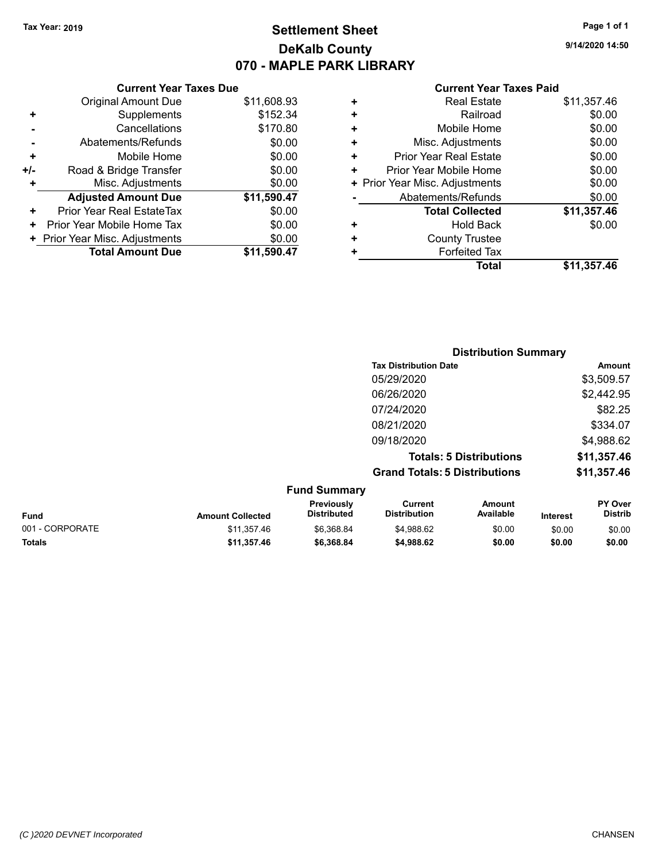## **Settlement Sheet Tax Year: 2019 Page 1 of 1 DeKalb County 070 - MAPLE PARK LIBRARY**

**9/14/2020 14:50**

| <b>Current Year Taxes Paid</b> |  |  |  |
|--------------------------------|--|--|--|
|--------------------------------|--|--|--|

|     | <b>Current Year Taxes Due</b>  |             |
|-----|--------------------------------|-------------|
|     | <b>Original Amount Due</b>     | \$11,608.93 |
| ٠   | Supplements                    | \$152.34    |
|     | Cancellations                  | \$170.80    |
|     | Abatements/Refunds             | \$0.00      |
| ٠   | Mobile Home                    | \$0.00      |
| +/- | Road & Bridge Transfer         | \$0.00      |
| ٠   | Misc. Adjustments              | \$0.00      |
|     | <b>Adjusted Amount Due</b>     | \$11,590.47 |
| ٠   | Prior Year Real EstateTax      | \$0.00      |
| ÷   | Prior Year Mobile Home Tax     | \$0.00      |
|     | + Prior Year Misc. Adjustments | \$0.00      |
|     | <b>Total Amount Due</b>        | \$11,590.47 |
|     |                                |             |

|   | Total                          | \$11,357.46 |
|---|--------------------------------|-------------|
| ÷ | <b>Forfeited Tax</b>           |             |
| ÷ | <b>County Trustee</b>          |             |
| ٠ | <b>Hold Back</b>               | \$0.00      |
|   | <b>Total Collected</b>         | \$11,357.46 |
|   | Abatements/Refunds             | \$0.00      |
|   | + Prior Year Misc. Adjustments | \$0.00      |
| ÷ | Prior Year Mobile Home         | \$0.00      |
| ٠ | <b>Prior Year Real Estate</b>  | \$0.00      |
| ٠ | Misc. Adjustments              | \$0.00      |
| ٠ | Mobile Home                    | \$0.00      |
| ٠ | Railroad                       | \$0.00      |
| ٠ | <b>Real Estate</b>             | \$11,357.46 |
|   |                                |             |

|   |                           |                                      | <b>Distribution Summary</b>    |                                  |
|---|---------------------------|--------------------------------------|--------------------------------|----------------------------------|
|   |                           | <b>Tax Distribution Date</b>         |                                | Amount                           |
|   |                           | 05/29/2020                           |                                | \$3,509.57                       |
|   |                           | 06/26/2020                           |                                | \$2,442.95                       |
|   |                           | 07/24/2020                           |                                | \$82.25                          |
|   |                           | 08/21/2020                           |                                | \$334.07                         |
|   |                           | 09/18/2020                           |                                | \$4,988.62                       |
|   |                           |                                      | <b>Totals: 5 Distributions</b> | \$11,357.46                      |
|   |                           | <b>Grand Totals: 5 Distributions</b> |                                | \$11,357.46                      |
|   | <b>Fund Summary</b>       |                                      |                                |                                  |
| . | Previously<br>Diotributed | Current<br>Diotribution              | Amount<br><b>Available</b>     | <b>PY Over</b><br><b>Diatrib</b> |

| Fund            | <b>Amount Collected</b> | <b>Previously</b><br><b>Distributed</b> | Current<br><b>Distribution</b> | Amount<br>Available | <b>Interest</b> | <b>PY Over</b><br>Distrib |
|-----------------|-------------------------|-----------------------------------------|--------------------------------|---------------------|-----------------|---------------------------|
| 001 - CORPORATE | \$11.357.46             | \$6.368.84                              | \$4.988.62                     | \$0.00              | \$0.00          | \$0.00                    |
| <b>Totals</b>   | \$11.357.46             | \$6,368.84                              | \$4.988.62                     | \$0.00              | \$0.00          | \$0.00                    |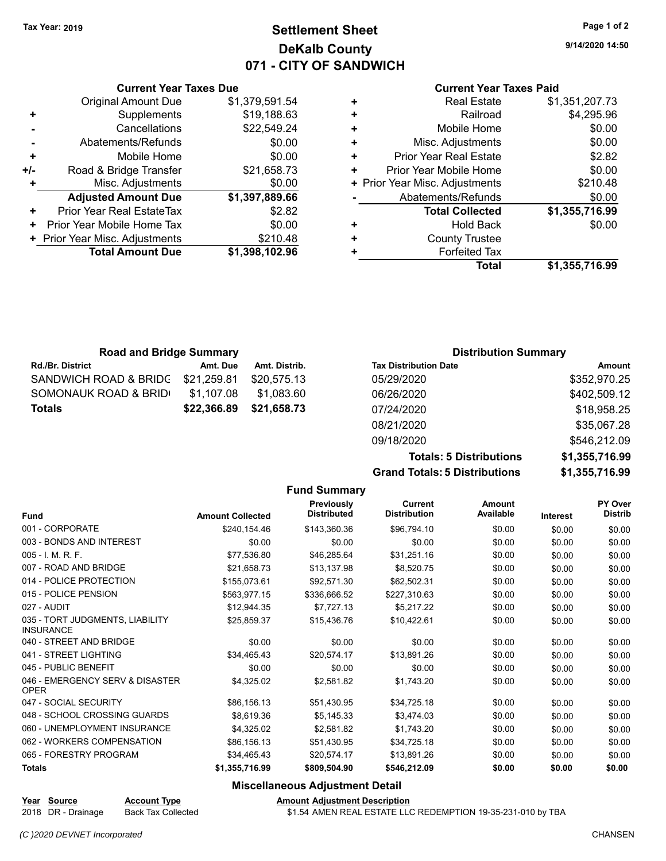## **Settlement Sheet Tax Year: 2019 Page 1 of 2 DeKalb County 071 - CITY OF SANDWICH**

**9/14/2020 14:50**

#### **Current Year Taxes Paid**

|     | <b>Original Amount Due</b>     | \$1,379,591.54 |
|-----|--------------------------------|----------------|
| ٠   | Supplements                    | \$19,188.63    |
|     | Cancellations                  | \$22,549.24    |
|     | Abatements/Refunds             | \$0.00         |
| ÷   | Mobile Home                    | \$0.00         |
| +/- | Road & Bridge Transfer         | \$21,658.73    |
|     | Misc. Adjustments              | \$0.00         |
|     | <b>Adjusted Amount Due</b>     | \$1,397,889.66 |
| ÷   | Prior Year Real EstateTax      | \$2.82         |
| ٠   | Prior Year Mobile Home Tax     | \$0.00         |
|     | + Prior Year Misc. Adjustments | \$210.48       |
|     | <b>Total Amount Due</b>        | \$1,398,102.96 |
|     |                                |                |

**Current Year Taxes Due**

| <b>Real Estate</b>            | \$1,351,207.73                 |
|-------------------------------|--------------------------------|
| Railroad                      | \$4,295.96                     |
| Mobile Home                   | \$0.00                         |
| Misc. Adjustments             | \$0.00                         |
| <b>Prior Year Real Estate</b> | \$2.82                         |
| Prior Year Mobile Home        | \$0.00                         |
|                               | \$210.48                       |
| Abatements/Refunds            | \$0.00                         |
| <b>Total Collected</b>        | \$1,355,716.99                 |
| <b>Hold Back</b>              | \$0.00                         |
| <b>County Trustee</b>         |                                |
| <b>Forfeited Tax</b>          |                                |
| Total                         | \$1,355,716.99                 |
|                               | + Prior Year Misc. Adjustments |

| <b>Road and Bridge Summary</b> |             |               | <b>Distribution Summary</b>  |              |
|--------------------------------|-------------|---------------|------------------------------|--------------|
| <b>Rd./Br. District</b>        | Amt. Due    | Amt. Distrib. | <b>Tax Distribution Date</b> | Amount       |
| SANDWICH ROAD & BRIDG          | \$21,259.81 | \$20.575.13   | 05/29/2020                   | \$352,970.25 |
| SOMONAUK ROAD & BRID           | \$1,107.08  | \$1.083.60    | 06/26/2020                   | \$402,509.12 |
| <b>Totals</b>                  | \$22,366.89 | \$21,658.73   | 07/24/2020                   | \$18,958.25  |
|                                |             |               | 08/21/2020                   | \$35,067.28  |

**Grand Totals: 5 Distributions \$1,355,716.99**

09/18/2020 \$546,212.09

**Totals: 5 Distributions \$1,355,716.99**

|                                                     |                         | <b>Fund Summary</b>              |                                       |                            |                 |                           |
|-----------------------------------------------------|-------------------------|----------------------------------|---------------------------------------|----------------------------|-----------------|---------------------------|
| <b>Fund</b>                                         | <b>Amount Collected</b> | Previously<br><b>Distributed</b> | <b>Current</b><br><b>Distribution</b> | <b>Amount</b><br>Available | <b>Interest</b> | PY Over<br><b>Distrib</b> |
| 001 - CORPORATE                                     | \$240,154.46            | \$143,360.36                     | \$96,794.10                           | \$0.00                     | \$0.00          | \$0.00                    |
| 003 - BONDS AND INTEREST                            | \$0.00                  | \$0.00                           | \$0.00                                | \$0.00                     | \$0.00          | \$0.00                    |
| 005 - I. M. R. F.                                   | \$77,536.80             | \$46,285.64                      | \$31,251.16                           | \$0.00                     | \$0.00          | \$0.00                    |
| 007 - ROAD AND BRIDGE                               | \$21.658.73             | \$13,137.98                      | \$8,520.75                            | \$0.00                     | \$0.00          | \$0.00                    |
| 014 - POLICE PROTECTION                             | \$155,073.61            | \$92,571.30                      | \$62,502.31                           | \$0.00                     | \$0.00          | \$0.00                    |
| 015 - POLICE PENSION                                | \$563,977.15            | \$336,666.52                     | \$227,310.63                          | \$0.00                     | \$0.00          | \$0.00                    |
| 027 - AUDIT                                         | \$12,944.35             | \$7,727.13                       | \$5,217.22                            | \$0.00                     | \$0.00          | \$0.00                    |
| 035 - TORT JUDGMENTS, LIABILITY<br><b>INSURANCE</b> | \$25.859.37             | \$15.436.76                      | \$10.422.61                           | \$0.00                     | \$0.00          | \$0.00                    |
| 040 - STREET AND BRIDGE                             | \$0.00                  | \$0.00                           | \$0.00                                | \$0.00                     | \$0.00          | \$0.00                    |
| 041 - STREET LIGHTING                               | \$34,465.43             | \$20,574.17                      | \$13,891.26                           | \$0.00                     | \$0.00          | \$0.00                    |
| 045 - PUBLIC BENEFIT                                | \$0.00                  | \$0.00                           | \$0.00                                | \$0.00                     | \$0.00          | \$0.00                    |
| 046 - EMERGENCY SERV & DISASTER<br><b>OPER</b>      | \$4,325.02              | \$2,581.82                       | \$1,743.20                            | \$0.00                     | \$0.00          | \$0.00                    |
| 047 - SOCIAL SECURITY                               | \$86,156.13             | \$51,430.95                      | \$34,725.18                           | \$0.00                     | \$0.00          | \$0.00                    |
| 048 - SCHOOL CROSSING GUARDS                        | \$8,619.36              | \$5,145.33                       | \$3,474.03                            | \$0.00                     | \$0.00          | \$0.00                    |
| 060 - UNEMPLOYMENT INSURANCE                        | \$4.325.02              | \$2.581.82                       | \$1.743.20                            | \$0.00                     | \$0.00          | \$0.00                    |
| 062 - WORKERS COMPENSATION                          | \$86,156.13             | \$51,430.95                      | \$34,725.18                           | \$0.00                     | \$0.00          | \$0.00                    |
| 065 - FORESTRY PROGRAM                              | \$34.465.43             | \$20.574.17                      | \$13.891.26                           | \$0.00                     | \$0.00          | \$0.00                    |
| <b>Totals</b>                                       | \$1,355,716.99          | \$809,504.90                     | \$546,212.09                          | \$0.00                     | \$0.00          | \$0.00                    |
|                                                     |                         | Miccollanoous Adiustmont Dotail  |                                       |                            |                 |                           |

**Miscellaneous Adjustment Detail**

**Year** Source **Account Type Account Adjustment Description** 

2018 DR - Drainage Back Tax Collected **\$1.54 AMEN REAL ESTATE LLC REDEMPTION 19-35-231-010 by TBA**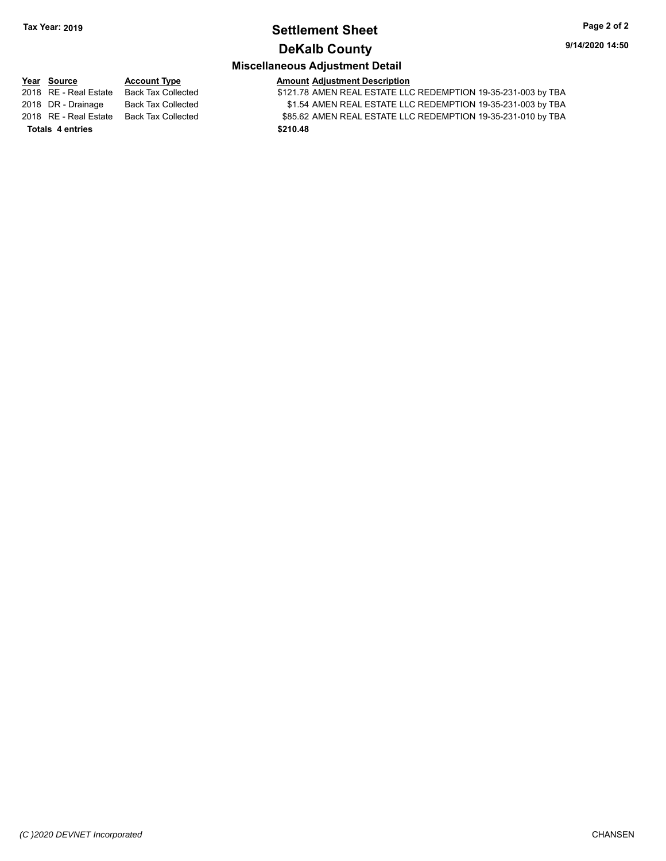### **Settlement Sheet Tax Year: 2019 Page 2 of 2 DeKalb County**

### **Miscellaneous Adjustment Detail**

**Year** Source **Account Type And Amount Adjustment Description** 2018 RE - Real Estate Back Tax Collected \$121.78 AMEN REAL ESTATE LLC REDEMPTION 19-35-231-003 by TBA 2018 DR - Drainage Back Tax Collected **\$1.54 AMEN REAL ESTATE LLC REDEMPTION 19-35-231-003 by TBA** 2018 RE - Real Estate Back Tax Collected \$85.62 AMEN REAL ESTATE LLC REDEMPTION 19-35-231-010 by TBA **Totals \$210.48 4 entries**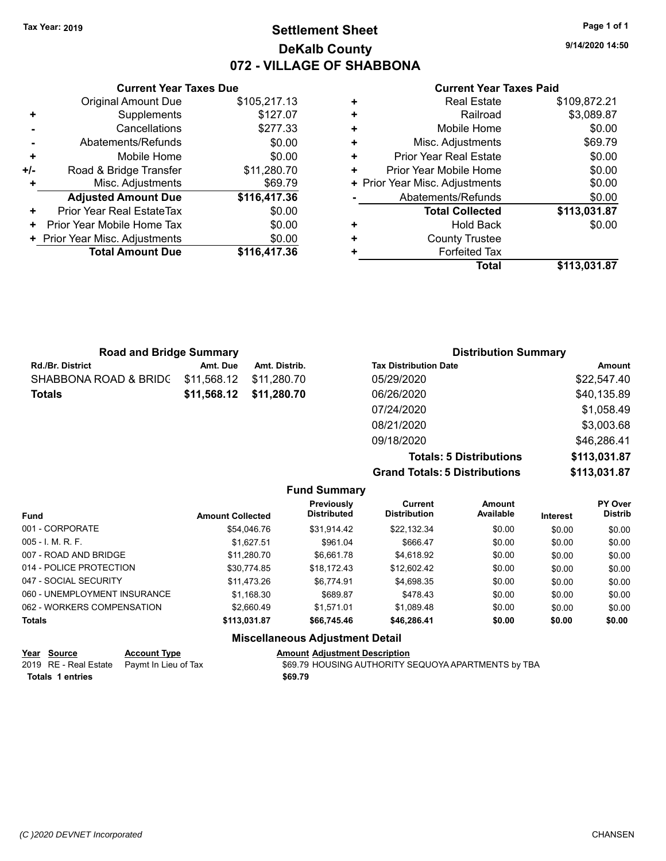### **Settlement Sheet Tax Year: 2019 Page 1 of 1 DeKalb County 072 - VILLAGE OF SHABBONA**

**9/14/2020 14:50**

#### **Current Year Taxes Paid**

|     | <b>Current Year Taxes Due</b>  |              |
|-----|--------------------------------|--------------|
|     | <b>Original Amount Due</b>     | \$105,217.13 |
|     | Supplements                    | \$127.07     |
|     | Cancellations                  | \$277.33     |
|     | Abatements/Refunds             | \$0.00       |
| ٠   | Mobile Home                    | \$0.00       |
| +/- | Road & Bridge Transfer         | \$11,280.70  |
|     | Misc. Adjustments              | \$69.79      |
|     | <b>Adjusted Amount Due</b>     | \$116,417.36 |
| ٠   | Prior Year Real EstateTax      | \$0.00       |
| ÷   | Prior Year Mobile Home Tax     | \$0.00       |
|     | + Prior Year Misc. Adjustments | \$0.00       |
|     | <b>Total Amount Due</b>        | \$116,417.36 |
|     |                                |              |

| ٠ | <b>Real Estate</b>             | \$109,872.21 |
|---|--------------------------------|--------------|
| ÷ | Railroad                       | \$3,089.87   |
| ٠ | Mobile Home                    | \$0.00       |
| ٠ | Misc. Adjustments              | \$69.79      |
| ٠ | <b>Prior Year Real Estate</b>  | \$0.00       |
| ٠ | Prior Year Mobile Home         | \$0.00       |
|   | + Prior Year Misc. Adjustments | \$0.00       |
|   | Abatements/Refunds             | \$0.00       |
|   | <b>Total Collected</b>         | \$113,031.87 |
| ٠ | <b>Hold Back</b>               | \$0.00       |
| ٠ | <b>County Trustee</b>          |              |
| ٠ | <b>Forfeited Tax</b>           |              |
|   | Total                          | \$113,031.87 |

| <b>Road and Bridge Summary</b> |             |               | <b>Distribution Summary</b>  |             |
|--------------------------------|-------------|---------------|------------------------------|-------------|
| <b>Rd./Br. District</b>        | Amt. Due    | Amt. Distrib. | <b>Tax Distribution Date</b> | Amount      |
| SHABBONA ROAD & BRIDC          | \$11,568.12 | \$11.280.70   | 05/29/2020                   | \$22,547.40 |
| <b>Totals</b>                  | \$11,568.12 | \$11,280.70   | 06/26/2020                   | \$40,135.89 |
|                                |             |               | 07/24/2020                   | \$1,058.49  |
|                                |             |               | 08/21/2020                   | \$3,003.68  |
|                                |             |               | 09/18/2020                   | \$46,286.41 |

**Totals: 5 Distributions \$113,031.87 Grand Totals: 5 Distributions \$113,031.87**

| <b>Fund Summary</b>                                                                                                                                                                 |              |             |             |        |        |        |  |  |  |  |
|-------------------------------------------------------------------------------------------------------------------------------------------------------------------------------------|--------------|-------------|-------------|--------|--------|--------|--|--|--|--|
| Previously<br>PY Over<br><b>Current</b><br>Amount<br>Available<br><b>Distrib</b><br><b>Distributed</b><br><b>Distribution</b><br><b>Fund</b><br><b>Amount Collected</b><br>Interest |              |             |             |        |        |        |  |  |  |  |
| 001 - CORPORATE<br>\$22,132.34<br>\$54,046.76<br>\$31,914.42<br>\$0.00<br>\$0.00                                                                                                    |              |             |             |        |        |        |  |  |  |  |
| $005 - 1$ M, R, F.                                                                                                                                                                  | \$1,627.51   | \$961.04    | \$666.47    | \$0.00 | \$0.00 | \$0.00 |  |  |  |  |
| 007 - ROAD AND BRIDGE                                                                                                                                                               | \$11,280.70  | \$6,661.78  | \$4,618.92  | \$0.00 | \$0.00 | \$0.00 |  |  |  |  |
| 014 - POLICE PROTECTION                                                                                                                                                             | \$30,774.85  | \$18,172.43 | \$12,602.42 | \$0.00 | \$0.00 | \$0.00 |  |  |  |  |
| 047 - SOCIAL SECURITY                                                                                                                                                               | \$11.473.26  | \$6.774.91  | \$4,698.35  | \$0.00 | \$0.00 | \$0.00 |  |  |  |  |
| 060 - UNEMPLOYMENT INSURANCE                                                                                                                                                        | \$1,168.30   | \$689.87    | \$478.43    | \$0.00 | \$0.00 | \$0.00 |  |  |  |  |
| 062 - WORKERS COMPENSATION                                                                                                                                                          | \$2.660.49   | \$1.571.01  | \$1,089.48  | \$0.00 | \$0.00 | \$0.00 |  |  |  |  |
| <b>Totals</b>                                                                                                                                                                       | \$113,031.87 | \$66,745.46 | \$46,286.41 | \$0.00 | \$0.00 | \$0.00 |  |  |  |  |
| <b>Miscellaneous Adjustment Detail</b>                                                                                                                                              |              |             |             |        |        |        |  |  |  |  |

| Year Source      | <b>Account Type</b>                        | <b>Amount Adiustment Description</b>                |
|------------------|--------------------------------------------|-----------------------------------------------------|
|                  | 2019 RE - Real Estate Paymt In Lieu of Tax | \$69.79 HOUSING AUTHORITY SEQUOYA APARTMENTS by TBA |
| Totals 1 entries |                                            | \$69.79                                             |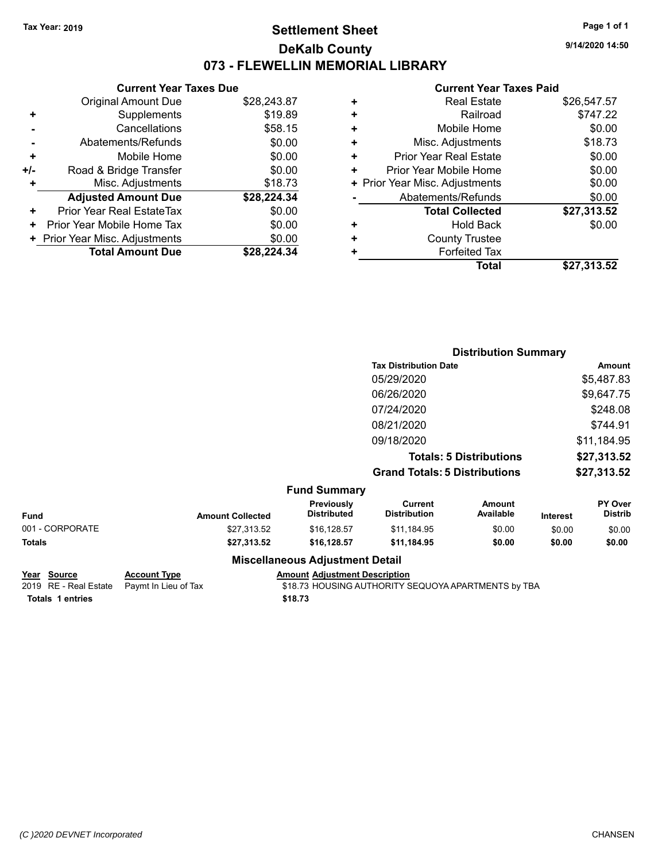### **Settlement Sheet Tax Year: 2019 Page 1 of 1 DeKalb County 073 - FLEWELLIN MEMORIAL LIBRARY**

**9/14/2020 14:50**

#### **Current Year Taxes Paid**

|     | <b>Current Year Taxes Due</b>  |             |
|-----|--------------------------------|-------------|
|     | <b>Original Amount Due</b>     | \$28,243.87 |
| ٠   | Supplements                    | \$19.89     |
|     | Cancellations                  | \$58.15     |
|     | Abatements/Refunds             | \$0.00      |
| ٠   | Mobile Home                    | \$0.00      |
| +/- | Road & Bridge Transfer         | \$0.00      |
| ٠   | Misc. Adjustments              | \$18.73     |
|     | <b>Adjusted Amount Due</b>     | \$28,224.34 |
| ٠   | Prior Year Real EstateTax      | \$0.00      |
| ٠   | Prior Year Mobile Home Tax     | \$0.00      |
|     | + Prior Year Misc. Adjustments | \$0.00      |
|     | <b>Total Amount Due</b>        | \$28,224,34 |

| \$747.22<br>Railroad<br>٠<br>\$0.00<br>Mobile Home<br>÷<br>\$18.73<br>Misc. Adjustments<br>٠<br>\$0.00<br><b>Prior Year Real Estate</b><br>٠<br>\$0.00<br>Prior Year Mobile Home<br>٠<br>\$0.00<br>+ Prior Year Misc. Adjustments<br>\$0.00<br>Abatements/Refunds<br>\$27,313.52<br><b>Total Collected</b><br>\$0.00<br>Hold Back<br>٠<br><b>County Trustee</b><br>٠ |   | <b>Real Estate</b>   | \$26,547.57 |
|----------------------------------------------------------------------------------------------------------------------------------------------------------------------------------------------------------------------------------------------------------------------------------------------------------------------------------------------------------------------|---|----------------------|-------------|
|                                                                                                                                                                                                                                                                                                                                                                      |   |                      |             |
|                                                                                                                                                                                                                                                                                                                                                                      |   |                      |             |
|                                                                                                                                                                                                                                                                                                                                                                      |   |                      |             |
|                                                                                                                                                                                                                                                                                                                                                                      |   |                      |             |
|                                                                                                                                                                                                                                                                                                                                                                      |   |                      |             |
|                                                                                                                                                                                                                                                                                                                                                                      |   |                      |             |
|                                                                                                                                                                                                                                                                                                                                                                      |   |                      |             |
|                                                                                                                                                                                                                                                                                                                                                                      |   |                      |             |
|                                                                                                                                                                                                                                                                                                                                                                      |   |                      |             |
|                                                                                                                                                                                                                                                                                                                                                                      |   |                      |             |
|                                                                                                                                                                                                                                                                                                                                                                      | ٠ | <b>Forfeited Tax</b> |             |
| Total<br>\$27,313.52                                                                                                                                                                                                                                                                                                                                                 |   |                      |             |

|                 |                         |                                        |                                       | <b>Distribution Summary</b>    |                 |                           |
|-----------------|-------------------------|----------------------------------------|---------------------------------------|--------------------------------|-----------------|---------------------------|
|                 |                         |                                        | <b>Tax Distribution Date</b>          |                                |                 | <b>Amount</b>             |
|                 |                         |                                        | 05/29/2020                            |                                |                 | \$5,487.83                |
|                 |                         |                                        | 06/26/2020                            |                                |                 | \$9,647.75                |
|                 |                         |                                        | 07/24/2020                            |                                |                 | \$248.08                  |
|                 |                         |                                        | 08/21/2020                            |                                |                 | \$744.91                  |
|                 |                         |                                        | 09/18/2020                            |                                |                 | \$11,184.95               |
|                 |                         |                                        |                                       | <b>Totals: 5 Distributions</b> |                 | \$27,313.52               |
|                 |                         |                                        | <b>Grand Totals: 5 Distributions</b>  |                                |                 | \$27,313.52               |
|                 |                         | <b>Fund Summary</b>                    |                                       |                                |                 |                           |
| Fund            | <b>Amount Collected</b> | Previously<br><b>Distributed</b>       | <b>Current</b><br><b>Distribution</b> | <b>Amount</b><br>Available     | <b>Interest</b> | PY Over<br><b>Distrib</b> |
| 001 - CORPORATE | \$27,313.52             | \$16,128.57                            | \$11,184.95                           | \$0.00                         | \$0.00          | \$0.00                    |
| <b>Totals</b>   | \$27,313.52             | \$16,128.57                            | \$11,184.95                           | \$0.00                         | \$0.00          | \$0.00                    |
|                 |                         | <b>Miscellaneous Adjustment Detail</b> |                                       |                                |                 |                           |

**Year** Source **Account Type And Amount Adjustment Description** 

2019 RE - Real Estate Paymt In Lieu of Tax \$18.73 HOUSING AUTHORITY SEQUOYA APARTMENTS by TBA **Totals \$18.73 1 entries**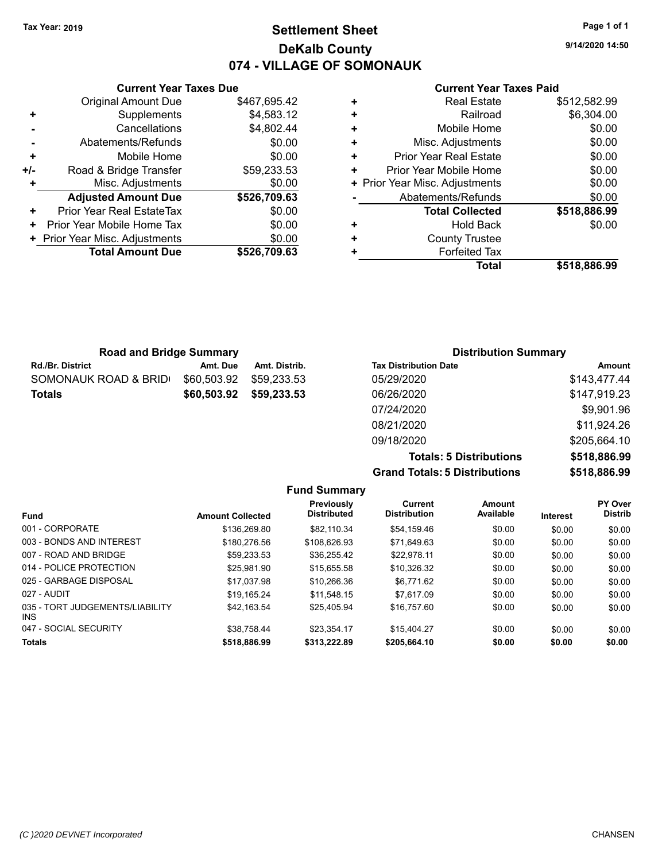**+** Supplements

### **Settlement Sheet Tax Year: 2019 Page 1 of 1 DeKalb County 074 - VILLAGE OF SOMONAUK**

**Current Year Taxes Due** Original Amount Due \$467,695.42<br>Supplements \$4,583.12 **-** Cancellations \$4,802.44

|       | Abatements/Refunds             | \$0.00       |
|-------|--------------------------------|--------------|
| ÷     | Mobile Home                    | \$0.00       |
| $+/-$ | Road & Bridge Transfer         | \$59,233.53  |
| ÷     | Misc. Adjustments              | \$0.00       |
|       | <b>Adjusted Amount Due</b>     | \$526,709.63 |
| ٠     | Prior Year Real EstateTax      | \$0.00       |
|       | Prior Year Mobile Home Tax     | \$0.00       |
|       | + Prior Year Misc. Adjustments | \$0.00       |
|       | <b>Total Amount Due</b>        | \$526,709.63 |

#### **Current Year Taxes Paid**

|   | <b>Real Estate</b>             | \$512,582.99 |
|---|--------------------------------|--------------|
| ٠ | Railroad                       | \$6,304.00   |
| ٠ | Mobile Home                    | \$0.00       |
| ٠ | Misc. Adjustments              | \$0.00       |
| ٠ | <b>Prior Year Real Estate</b>  | \$0.00       |
| ٠ | Prior Year Mobile Home         | \$0.00       |
|   | + Prior Year Misc. Adjustments | \$0.00       |
|   | Abatements/Refunds             | \$0.00       |
|   | <b>Total Collected</b>         | \$518,886.99 |
| ٠ | <b>Hold Back</b>               | \$0.00       |
| ٠ | <b>County Trustee</b>          |              |
| ٠ | <b>Forfeited Tax</b>           |              |
|   | Total                          | \$518,886.99 |
|   |                                |              |

| <b>Road and Bridge Summary</b> |             |               | <b>Distribution Summary</b>  |              |
|--------------------------------|-------------|---------------|------------------------------|--------------|
| <b>Rd./Br. District</b>        | Amt. Due    | Amt. Distrib. | <b>Tax Distribution Date</b> | Amount       |
| SOMONAUK ROAD & BRID(          | \$60,503.92 | \$59.233.53   | 05/29/2020                   | \$143,477.44 |
| Totals                         | \$60,503.92 | \$59,233.53   | 06/26/2020                   | \$147,919.23 |
|                                |             |               | 07/24/2020                   | \$9,901.96   |
|                                |             |               | 08/21/2020                   | \$11,924.26  |

**Totals: 5 Distributions \$518,886.99 Grand Totals: 5 Distributions \$518,886.99**

| <b>Amount Collected</b> | Previously<br><b>Distributed</b> | Current<br><b>Distribution</b> | Amount<br>Available | Interest | PY Over<br><b>Distrib</b> |
|-------------------------|----------------------------------|--------------------------------|---------------------|----------|---------------------------|
| \$136,269.80            | \$82.110.34                      | \$54,159.46                    | \$0.00              | \$0.00   | \$0.00                    |
| \$180,276.56            | \$108.626.93                     | \$71.649.63                    | \$0.00              | \$0.00   | \$0.00                    |
| \$59.233.53             | \$36.255.42                      | \$22.978.11                    | \$0.00              | \$0.00   | \$0.00                    |
| \$25.981.90             | \$15.655.58                      | \$10,326.32                    | \$0.00              | \$0.00   | \$0.00                    |
| \$17.037.98             | \$10,266.36                      | \$6.771.62                     | \$0.00              | \$0.00   | \$0.00                    |
| \$19.165.24             | \$11,548.15                      | \$7.617.09                     | \$0.00              | \$0.00   | \$0.00                    |
| \$42.163.54             | \$25.405.94                      | \$16.757.60                    | \$0.00              | \$0.00   | \$0.00                    |
| \$38.758.44             | \$23.354.17                      | \$15,404.27                    | \$0.00              | \$0.00   | \$0.00                    |
| \$518,886.99            | \$313,222.89                     | \$205,664.10                   | \$0.00              | \$0.00   | \$0.00                    |
|                         |                                  |                                | <b>Fund Summary</b> |          |                           |

09/18/2020 \$205,664.10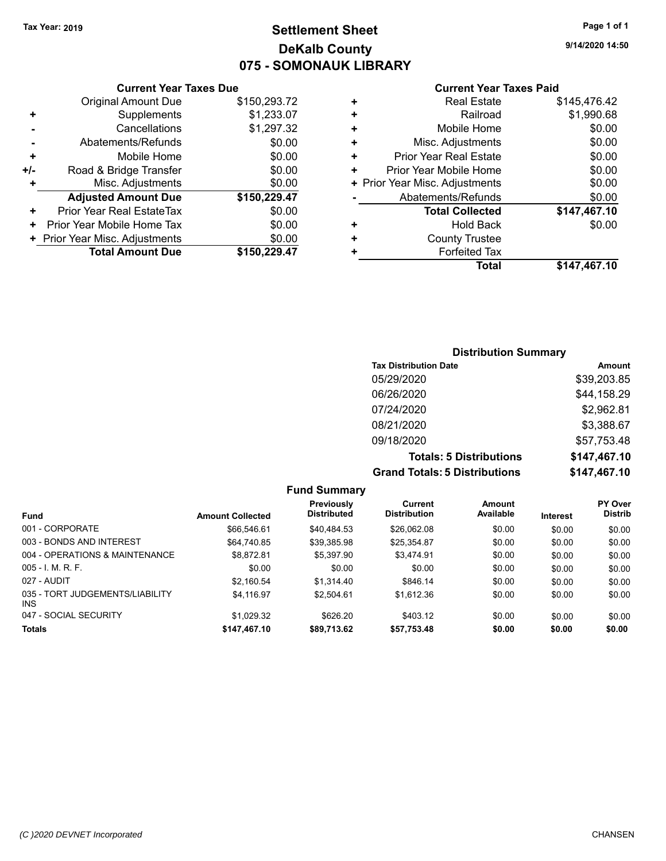### **Settlement Sheet Tax Year: 2019 Page 1 of 1 DeKalb County 075 - SOMONAUK LIBRARY**

**9/14/2020 14:50**

#### **Current Year Taxes Paid**

|       | <b>Current Year Taxes Due</b>              |              |  |  |  |  |  |
|-------|--------------------------------------------|--------------|--|--|--|--|--|
|       | \$150,293.72<br><b>Original Amount Due</b> |              |  |  |  |  |  |
| ٠     | Supplements                                | \$1,233.07   |  |  |  |  |  |
|       | Cancellations                              | \$1,297.32   |  |  |  |  |  |
|       | Abatements/Refunds                         | \$0.00       |  |  |  |  |  |
| ٠     | \$0.00<br>Mobile Home                      |              |  |  |  |  |  |
| $+/-$ | \$0.00<br>Road & Bridge Transfer           |              |  |  |  |  |  |
|       | \$0.00<br>Misc. Adjustments                |              |  |  |  |  |  |
|       | <b>Adjusted Amount Due</b>                 | \$150,229.47 |  |  |  |  |  |
| ÷     | Prior Year Real EstateTax                  | \$0.00       |  |  |  |  |  |
| ٠     | \$0.00<br>Prior Year Mobile Home Tax       |              |  |  |  |  |  |
|       | \$0.00<br>+ Prior Year Misc. Adjustments   |              |  |  |  |  |  |
|       | <b>Total Amount Due</b>                    | \$150,229,47 |  |  |  |  |  |
|       |                                            |              |  |  |  |  |  |

|   | <b>Real Estate</b>             | \$145,476.42 |
|---|--------------------------------|--------------|
| ٠ | Railroad                       | \$1,990.68   |
| ÷ | Mobile Home                    | \$0.00       |
| + | Misc. Adjustments              | \$0.00       |
| ٠ | Prior Year Real Estate         | \$0.00       |
| ٠ | Prior Year Mobile Home         | \$0.00       |
|   | + Prior Year Misc. Adjustments | \$0.00       |
|   | Abatements/Refunds             | \$0.00       |
|   | <b>Total Collected</b>         | \$147,467.10 |
| ٠ | <b>Hold Back</b>               | \$0.00       |
| ٠ | <b>County Trustee</b>          |              |
| ٠ | <b>Forfeited Tax</b>           |              |
|   | Total                          | \$147,467.10 |

### **Distribution Summary Tax Distribution Date Amount** 05/29/2020 \$39,203.85 06/26/2020 \$44,158.29 07/24/2020 \$2,962.81 08/21/2020 \$3,388.67 09/18/2020 \$57,753.48 **Totals: 5 Distributions \$147,467.10 Grand Totals: 5 Distributions \$147,467.10**

| <b>Fund Summary</b>                     |                         |                                  |                                |                     |                 |                           |
|-----------------------------------------|-------------------------|----------------------------------|--------------------------------|---------------------|-----------------|---------------------------|
| <b>Fund</b>                             | <b>Amount Collected</b> | Previously<br><b>Distributed</b> | Current<br><b>Distribution</b> | Amount<br>Available | <b>Interest</b> | PY Over<br><b>Distrib</b> |
| 001 - CORPORATE                         | \$66,546.61             | \$40.484.53                      | \$26,062.08                    | \$0.00              | \$0.00          | \$0.00                    |
| 003 - BONDS AND INTEREST                | \$64.740.85             | \$39.385.98                      | \$25.354.87                    | \$0.00              | \$0.00          | \$0.00                    |
| 004 - OPERATIONS & MAINTENANCE          | \$8.872.81              | \$5.397.90                       | \$3.474.91                     | \$0.00              | \$0.00          | \$0.00                    |
| $005 - 1$ M, R, F.                      | \$0.00                  | \$0.00                           | \$0.00                         | \$0.00              | \$0.00          | \$0.00                    |
| 027 - AUDIT                             | \$2.160.54              | \$1.314.40                       | \$846.14                       | \$0.00              | \$0.00          | \$0.00                    |
| 035 - TORT JUDGEMENTS/LIABILITY<br>INS. | \$4.116.97              | \$2.504.61                       | \$1.612.36                     | \$0.00              | \$0.00          | \$0.00                    |
| 047 - SOCIAL SECURITY                   | \$1.029.32              | \$626.20                         | \$403.12                       | \$0.00              | \$0.00          | \$0.00                    |
| <b>Totals</b>                           | \$147,467.10            | \$89,713.62                      | \$57,753.48                    | \$0.00              | \$0.00          | \$0.00                    |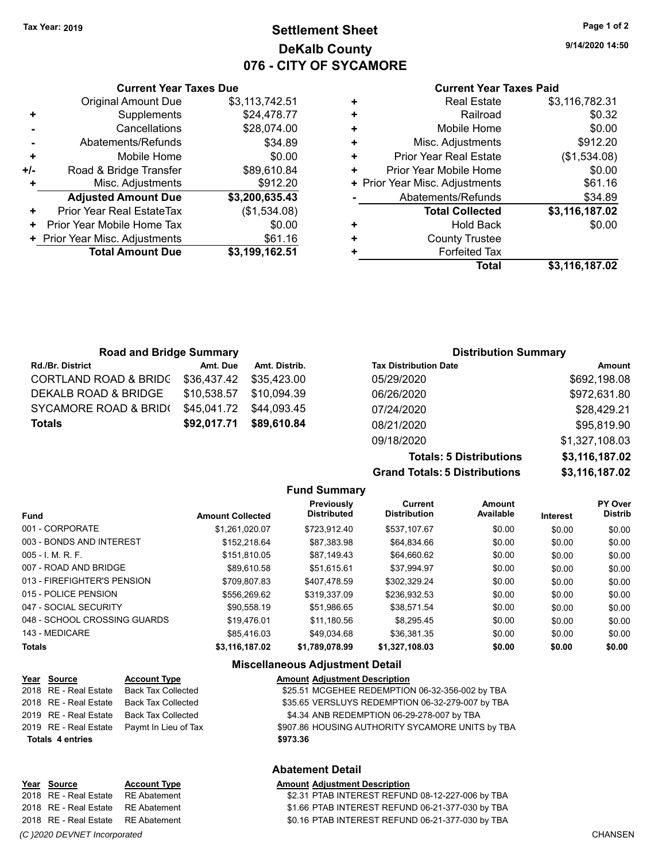### **Settlement Sheet Tax Year: 2019 Page 1 of 2 DeKalb County 076 - CITY OF SYCAMORE**

**9/14/2020 14:50**

#### **Current Year Taxes Paid**

|     | <b>Current Year Taxes Due</b>  |                |  |  |  |  |  |
|-----|--------------------------------|----------------|--|--|--|--|--|
|     | <b>Original Amount Due</b>     | \$3,113,742.51 |  |  |  |  |  |
| ٠   | Supplements                    | \$24,478.77    |  |  |  |  |  |
|     | Cancellations                  | \$28,074.00    |  |  |  |  |  |
|     | Abatements/Refunds             | \$34.89        |  |  |  |  |  |
| ÷   | \$0.00<br>Mobile Home          |                |  |  |  |  |  |
| +/- | Road & Bridge Transfer         | \$89,610.84    |  |  |  |  |  |
|     | \$912.20<br>Misc. Adjustments  |                |  |  |  |  |  |
|     | <b>Adjusted Amount Due</b>     | \$3,200,635.43 |  |  |  |  |  |
| ÷   | Prior Year Real EstateTax      | (\$1,534.08)   |  |  |  |  |  |
|     | Prior Year Mobile Home Tax     | \$0.00         |  |  |  |  |  |
|     | + Prior Year Misc. Adjustments | \$61.16        |  |  |  |  |  |
|     | <b>Total Amount Due</b>        | \$3,199,162.51 |  |  |  |  |  |
|     |                                |                |  |  |  |  |  |

| ٠ | <b>Real Estate</b>             | \$3,116,782.31 |
|---|--------------------------------|----------------|
| ٠ | Railroad                       | \$0.32         |
| ٠ | Mobile Home                    | \$0.00         |
| ٠ | Misc. Adjustments              | \$912.20       |
| ٠ | <b>Prior Year Real Estate</b>  | (\$1,534.08)   |
| ٠ | Prior Year Mobile Home         | \$0.00         |
|   | + Prior Year Misc. Adjustments | \$61.16        |
|   | Abatements/Refunds             | \$34.89        |
|   | <b>Total Collected</b>         | \$3,116,187.02 |
| ٠ | <b>Hold Back</b>               | \$0.00         |
| ٠ | <b>County Trustee</b>          |                |
| ٠ | <b>Forfeited Tax</b>           |                |
|   | <b>Total</b>                   | \$3,116,187.02 |
|   |                                |                |

| <b>Road and Bridge Summary</b>   |             |               | <b>Distribution Summary</b>  |                |
|----------------------------------|-------------|---------------|------------------------------|----------------|
| <b>Rd./Br. District</b>          | Amt. Due    | Amt. Distrib. | <b>Tax Distribution Date</b> | Amount         |
| <b>CORTLAND ROAD &amp; BRIDC</b> | \$36,437.42 | \$35.423.00   | 05/29/2020                   | \$692,198.08   |
| DEKALB ROAD & BRIDGE             | \$10,538.57 | \$10.094.39   | 06/26/2020                   | \$972,631.80   |
| SYCAMORE ROAD & BRID(            | \$45,041.72 | \$44.093.45   | 07/24/2020                   | \$28,429.21    |
| <b>Totals</b>                    | \$92,017.71 | \$89,610.84   | 08/21/2020                   | \$95,819.90    |
|                                  |             |               | 09/18/2020                   | \$1,327,108.03 |

**Grand Totals: 5 Distributions** 

| <b>Totals: 5 Distributions</b> | \$3,116,187.02 |
|--------------------------------|----------------|
| <b>Totals: 5 Distributions</b> | \$3,116,187.02 |
|                                |                |

|                              |                         | <b>Fund Summary</b>              |                                       |                            |                 |                           |
|------------------------------|-------------------------|----------------------------------|---------------------------------------|----------------------------|-----------------|---------------------------|
| <b>Fund</b>                  | <b>Amount Collected</b> | Previously<br><b>Distributed</b> | <b>Current</b><br><b>Distribution</b> | <b>Amount</b><br>Available | <b>Interest</b> | PY Over<br><b>Distrib</b> |
| 001 - CORPORATE              | \$1.261.020.07          | \$723.912.40                     | \$537.107.67                          | \$0.00                     | \$0.00          | \$0.00                    |
| 003 - BONDS AND INTEREST     | \$152.218.64            | \$87,383.98                      | \$64,834.66                           | \$0.00                     | \$0.00          | \$0.00                    |
| 005 - I. M. R. F.            | \$151,810.05            | \$87,149.43                      | \$64,660.62                           | \$0.00                     | \$0.00          | \$0.00                    |
| 007 - ROAD AND BRIDGE        | \$89,610.58             | \$51.615.61                      | \$37,994.97                           | \$0.00                     | \$0.00          | \$0.00                    |
| 013 - FIREFIGHTER'S PENSION  | \$709.807.83            | \$407.478.59                     | \$302.329.24                          | \$0.00                     | \$0.00          | \$0.00                    |
| 015 - POLICE PENSION         | \$556.269.62            | \$319.337.09                     | \$236.932.53                          | \$0.00                     | \$0.00          | \$0.00                    |
| 047 - SOCIAL SECURITY        | \$90.558.19             | \$51.986.65                      | \$38.571.54                           | \$0.00                     | \$0.00          | \$0.00                    |
| 048 - SCHOOL CROSSING GUARDS | \$19.476.01             | \$11.180.56                      | \$8.295.45                            | \$0.00                     | \$0.00          | \$0.00                    |
| 143 - MEDICARE               | \$85.416.03             | \$49.034.68                      | \$36.381.35                           | \$0.00                     | \$0.00          | \$0.00                    |
| <b>Totals</b>                | \$3,116,187.02          | \$1,789,078.99                   | \$1,327,108.03                        | \$0.00                     | \$0.00          | \$0.00                    |

#### **Miscellaneous Adjustment Detail**

| Year Source             | <b>Account Type</b>                        |          | <b>Amount Adjustment Description</b>             |
|-------------------------|--------------------------------------------|----------|--------------------------------------------------|
| 2018 RE - Real Estate   | Back Tax Collected                         |          | \$25.51 MCGEHEE REDEMPTION 06-32-356-002 by TBA  |
| 2018 RE - Real Estate   | Back Tax Collected                         |          | \$35.65 VERSLUYS REDEMPTION 06-32-279-007 by TBA |
| 2019 RE - Real Estate   | Back Tax Collected                         |          | \$4.34 ANB REDEMPTION 06-29-278-007 by TBA       |
|                         | 2019 RE - Real Estate Paymt In Lieu of Tax |          | \$907.86 HOUSING AUTHORITY SYCAMORE UNITS by TBA |
| <b>Totals 4 entries</b> |                                            | \$973.36 |                                                  |
|                         |                                            |          |                                                  |

#### **Abatement Detail**

| Year Source                        | <b>Account Type</b> | <b>Amount Adjustment Description</b>             |
|------------------------------------|---------------------|--------------------------------------------------|
| 2018 RE - Real Estate RE Abatement |                     | \$2.31 PTAB INTEREST REFUND 08-12-227-006 by TBA |
| 2018 RE - Real Estate RE Abatement |                     | \$1.66 PTAB INTEREST REFUND 06-21-377-030 by TBA |
| 2018 RE - Real Estate RE Abatement |                     | \$0.16 PTAB INTEREST REFUND 06-21-377-030 by TBA |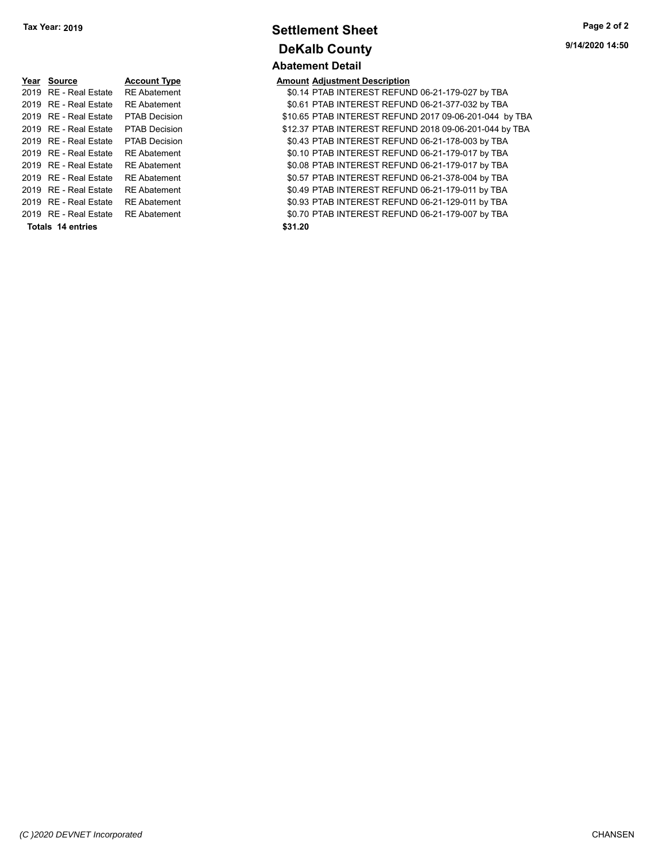|                   | Year Source                        | <b>Account Type</b>  | <b>Amount Adjustment Description</b> |
|-------------------|------------------------------------|----------------------|--------------------------------------|
|                   | 2019 RE - Real Estate              | <b>RE Abatement</b>  | \$0.14 PTAB INTEREST REFUN           |
|                   | 2019 RE - Real Estate              | <b>RE</b> Abatement  | \$0.61 PTAB INTEREST REFUN           |
|                   | 2019 RE - Real Estate              | <b>PTAB Decision</b> | \$10.65 PTAB INTEREST REFUN          |
|                   | 2019 RE - Real Estate              | <b>PTAB Decision</b> | \$12.37 PTAB INTEREST REFUN          |
|                   | 2019 RE - Real Estate              | <b>PTAB Decision</b> | \$0.43 PTAB INTEREST REFUN           |
|                   | 2019 RE - Real Estate              | <b>RE</b> Abatement  | \$0.10 PTAB INTEREST REFUN           |
|                   | 2019 RE - Real Estate              | <b>RE Abatement</b>  | \$0.08 PTAB INTEREST REFUN           |
|                   | 2019 RE - Real Estate              | <b>RE</b> Abatement  | \$0.57 PTAB INTEREST REFUN           |
|                   | 2019 RE - Real Estate              | <b>RE</b> Abatement  | \$0.49 PTAB INTEREST REFUN           |
|                   | 2019 RE - Real Estate              | <b>RE</b> Abatement  | \$0.93 PTAB INTEREST REFUN           |
|                   | 2019 RE - Real Estate RE Abatement |                      | \$0.70 PTAB INTEREST REFUN           |
| Totals 14 entries |                                    |                      | \$31.20                              |

## **Settlement Sheet Tax Year: 2019 Page 2 of 2 DeKalb County Abatement Detail**

**9/14/2020 14:50**

| Year Source                        | <b>Account Type</b>  | <b>Amount Adjustment Description</b>                   |
|------------------------------------|----------------------|--------------------------------------------------------|
| 2019 RE - Real Estate RE Abatement |                      | \$0.14 PTAB INTEREST REFUND 06-21-179-027 by TBA       |
| 2019 RE - Real Estate              | <b>RE</b> Abatement  | \$0.61 PTAB INTEREST REFUND 06-21-377-032 by TBA       |
| 2019 RE - Real Estate              | <b>PTAB Decision</b> | \$10.65 PTAB INTEREST REFUND 2017 09-06-201-044 by TBA |
| 2019 RE - Real Estate              | <b>PTAB Decision</b> | \$12.37 PTAB INTEREST REFUND 2018 09-06-201-044 by TBA |
| 2019   RE - Real Estate            | <b>PTAB Decision</b> | \$0.43 PTAB INTEREST REFUND 06-21-178-003 by TBA       |
| 2019 RE - Real Estate              | <b>RE</b> Abatement  | \$0.10 PTAB INTEREST REFUND 06-21-179-017 by TBA       |
| 2019 RE - Real Estate              | <b>RE</b> Abatement  | \$0.08 PTAB INTEREST REFUND 06-21-179-017 by TBA       |
| 2019 RE - Real Estate              | <b>RE</b> Abatement  | \$0.57 PTAB INTEREST REFUND 06-21-378-004 by TBA       |
| 2019 RE - Real Estate              | <b>RE</b> Abatement  | \$0.49 PTAB INTEREST REFUND 06-21-179-011 by TBA       |
| 2019 RE - Real Estate              | <b>RE</b> Abatement  | \$0.93 PTAB INTEREST REFUND 06-21-129-011 by TBA       |
| 2019   RE - Real Estate            | <b>RE</b> Abatement  | \$0.70 PTAB INTEREST REFUND 06-21-179-007 by TBA       |
| Totals 14 entries                  |                      | \$31.20                                                |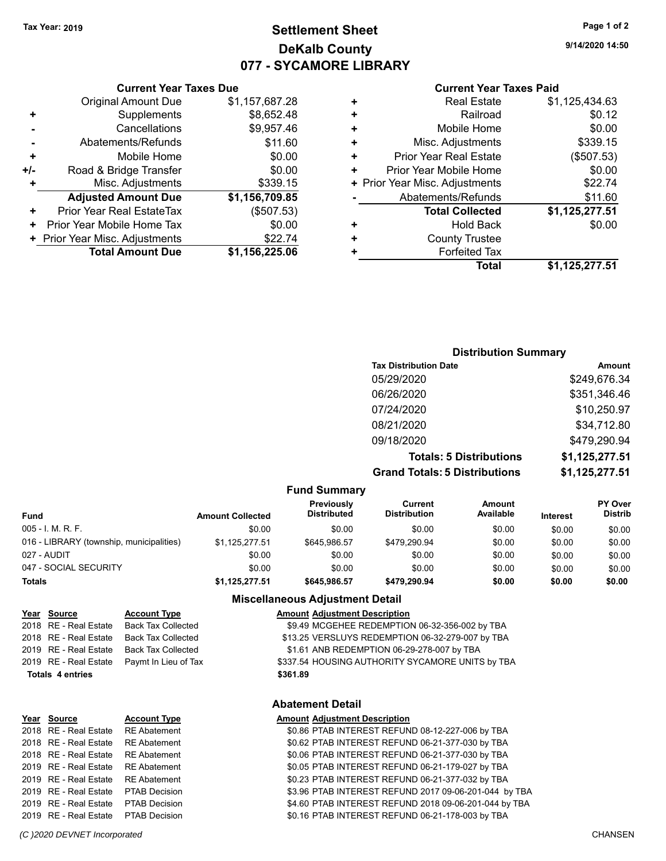### **Settlement Sheet Tax Year: 2019 Page 1 of 2 DeKalb County 077 - SYCAMORE LIBRARY**

**9/14/2020 14:50**

#### **Current Year Taxes Paid**

|     | <b>Original Amount Due</b>       | \$1,157,687.28 |
|-----|----------------------------------|----------------|
| ٠   | Supplements                      | \$8,652.48     |
|     | Cancellations                    | \$9,957.46     |
|     | Abatements/Refunds               | \$11.60        |
| ÷   | Mobile Home                      | \$0.00         |
| +/- | Road & Bridge Transfer           | \$0.00         |
| ÷   | Misc. Adjustments                | \$339.15       |
|     | <b>Adjusted Amount Due</b>       | \$1,156,709.85 |
| ٠   | <b>Prior Year Real EstateTax</b> | (\$507.53)     |
| ÷   | Prior Year Mobile Home Tax       | \$0.00         |
|     | + Prior Year Misc. Adjustments   | \$22.74        |
|     | <b>Total Amount Due</b>          | \$1,156,225.06 |
|     |                                  |                |

**Current Year Taxes Due**

|   | <b>Total</b>                   | \$1,125,277.51 |
|---|--------------------------------|----------------|
| ٠ | <b>Forfeited Tax</b>           |                |
| ٠ | <b>County Trustee</b>          |                |
| ٠ | Hold Back                      | \$0.00         |
|   | <b>Total Collected</b>         | \$1,125,277.51 |
|   | Abatements/Refunds             | \$11.60        |
|   | + Prior Year Misc. Adjustments | \$22.74        |
| ٠ | Prior Year Mobile Home         | \$0.00         |
| ÷ | <b>Prior Year Real Estate</b>  | (\$507.53)     |
| ٠ | Misc. Adjustments              | \$339.15       |
| ÷ | Mobile Home                    | \$0.00         |
| ٠ | Railroad                       | \$0.12         |
| ٠ | <b>Real Estate</b>             | \$1,125,434.63 |
|   |                                |                |

### **Distribution Summary Tax Distribution Date Amount** 05/29/2020 \$249,676.34 06/26/2020 \$351,346.46 07/24/2020 \$10,250.97 08/21/2020 \$34,712.80 09/18/2020 \$479,290.94

**Totals: 5 Distributions \$1,125,277.51 Grand Totals: 5 Distributions \$1,125,277.51**

| <b>Fund Summary</b>                      |                         |                                         |                         |                     |                 |                                  |
|------------------------------------------|-------------------------|-----------------------------------------|-------------------------|---------------------|-----------------|----------------------------------|
| <b>Fund</b>                              | <b>Amount Collected</b> | <b>Previously</b><br><b>Distributed</b> | Current<br>Distribution | Amount<br>Available | <b>Interest</b> | <b>PY Over</b><br><b>Distrib</b> |
| 005 - I. M. R. F.                        | \$0.00                  | \$0.00                                  | \$0.00                  | \$0.00              | \$0.00          | \$0.00                           |
| 016 - LIBRARY (township, municipalities) | \$1,125,277.51          | \$645.986.57                            | \$479.290.94            | \$0.00              | \$0.00          | \$0.00                           |
| 027 - AUDIT                              | \$0.00                  | \$0.00                                  | \$0.00                  | \$0.00              | \$0.00          | \$0.00                           |
| 047 - SOCIAL SECURITY                    | \$0.00                  | \$0.00                                  | \$0.00                  | \$0.00              | \$0.00          | \$0.00                           |
| <b>Totals</b>                            | \$1,125,277.51          | \$645,986.57                            | \$479.290.94            | \$0.00              | \$0.00          | \$0.00                           |

#### **Miscellaneous Adjustment Detail**

| Year Source             | <b>Account Type</b>       | <b>Amount Adjustment Description</b>             |
|-------------------------|---------------------------|--------------------------------------------------|
| 2018 RE - Real Estate   | <b>Back Tax Collected</b> | \$9.49 MCGEHEE REDEMPTION 06-32-356-002 by TBA   |
| 2018 RE - Real Estate   | <b>Back Tax Collected</b> | \$13.25 VERSLUYS REDEMPTION 06-32-279-007 by TBA |
| 2019 RE - Real Estate   | <b>Back Tax Collected</b> | \$1.61 ANB REDEMPTION 06-29-278-007 by TBA       |
| 2019 RE - Real Estate   | Paymt In Lieu of Tax      | \$337.54 HOUSING AUTHORITY SYCAMORE UNITS by TBA |
| <b>Totals 4 entries</b> |                           | \$361.89                                         |
|                         |                           | <b>Abatement Detail</b>                          |

#### **Year Source Account Type Amount Adjustment Description** 2018 RE - Real Estate RE Abatement \$0.86 PTAB INTEREST REFUND 08-12-227-006 by TBA 2018 RE - Real Estate \$0.62 PTAB INTEREST REFUND 06-21-377-030 by RE Abatement TBA 2018 RE - Real Estate RE Abatement \$0.06 PTAB INTEREST REFUND 06-21-377-030 by TBA 2019 RE - Real Estate RE Abatement \$0.05 PTAB INTEREST REFUND 06-21-179-027 by TBA 2019 RE - Real Estate RE Abatement \$0.23 PTAB INTEREST REFUND 06-21-377-032 by TBA 2019 RE - Real Estate PTAB Decision \$3.96 PTAB INTEREST REFUND 2017 09-06-201-044 by TBA 2019 RE - Real Estate \$4.60 PTAB INTEREST REFUND 2018 09-06-201-04 PTAB Decision 4 by TBA 2019 RE - Real Estate \$0.16 PTAB INTEREST REFUND 06-21-178-003 by PTAB Decision TBA

#### *(C )2020 DEVNET Incorporated* CHANSEN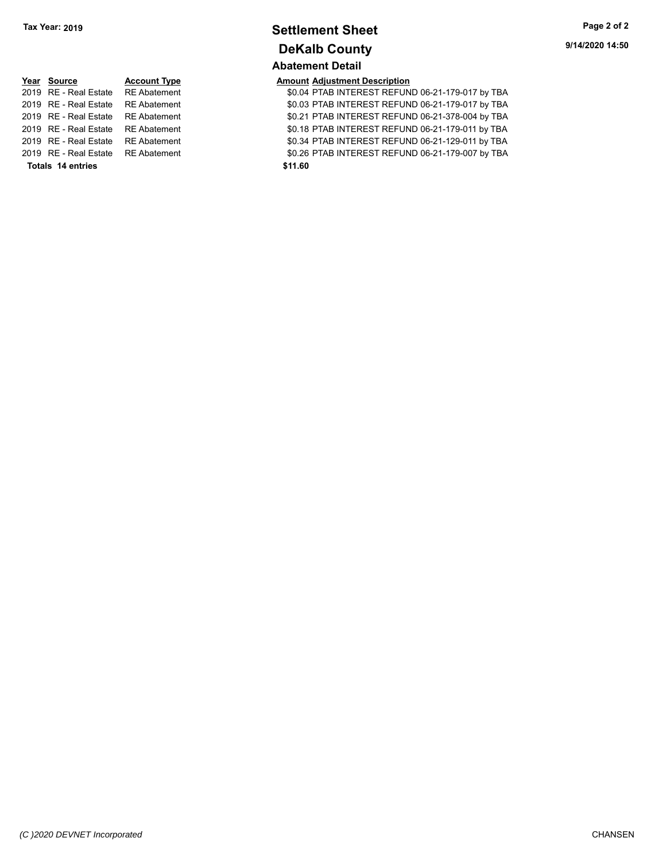### **Settlement Sheet Tax Year: 2019 Page 2 of 2 DeKalb County Abatement Detail**

# **Year Source Account Type Anneurs Amount Adjustment Description**<br>2019 RE - Real Estate RE Abatement **Amount Adjustment Adjustment** AD.04 PTAB INTEREST REFUN **Totals \$11.60 14 entries**

2019 RE - Real Estate \$0.04 PTAB INTEREST REFUND 06-21-179-017 by RE Abatement TBA \$0.03 PTAB INTEREST REFUND 06-21-179-017 by TBA 2019 RE - Real Estate RE Abatement \$0.21 PTAB INTEREST REFUND 06-21-378-004 by TBA 2019 RE - Real Estate RE Abatement \$0.18 PTAB INTEREST REFUND 06-21-179-011 by TBA 2019 RE - Real Estate RE Abatement \$0.34 PTAB INTEREST REFUND 06-21-129-011 by TBA 2019 RE - Real Estate RE Abatement \$0.26 PTAB INTEREST REFUND 06-21-179-007 by TBA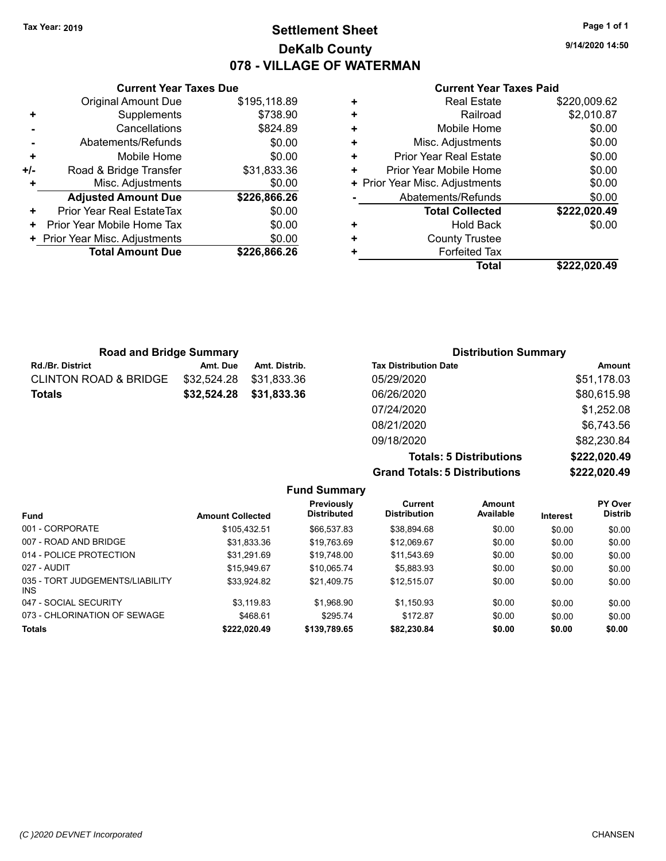### **Settlement Sheet Tax Year: 2019 Page 1 of 1 DeKalb County 078 - VILLAGE OF WATERMAN**

**9/14/2020 14:50**

#### **Current Year Taxes Paid**

|     | <b>Current Year Taxes Due</b>    |              |
|-----|----------------------------------|--------------|
|     | <b>Original Amount Due</b>       | \$195,118.89 |
| ٠   | Supplements                      | \$738.90     |
|     | Cancellations                    | \$824.89     |
|     | Abatements/Refunds               | \$0.00       |
| ٠   | Mobile Home                      | \$0.00       |
| +/- | Road & Bridge Transfer           | \$31,833.36  |
|     | Misc. Adjustments                | \$0.00       |
|     | <b>Adjusted Amount Due</b>       | \$226,866.26 |
| ٠   | <b>Prior Year Real EstateTax</b> | \$0.00       |
| ٠   | Prior Year Mobile Home Tax       | \$0.00       |
|     | Prior Year Misc. Adjustments     | \$0.00       |
|     | <b>Total Amount Due</b>          | \$226,866.26 |
|     |                                  |              |

|   | <b>Total Collected</b>         | \$222,020.49 |
|---|--------------------------------|--------------|
|   | Abatements/Refunds             | \$0.00       |
|   | + Prior Year Misc. Adjustments | \$0.00       |
| ٠ | Prior Year Mobile Home         | \$0.00       |
| ٠ | <b>Prior Year Real Estate</b>  | \$0.00       |
| ٠ | Misc. Adjustments              | \$0.00       |
| ٠ | Mobile Home                    | \$0.00       |
| ٠ | Railroad                       | \$2,010.87   |
|   | <b>Real Estate</b>             | \$220,009.62 |

| <b>Road and Bridge Summary</b>   |             |               | <b>Distribution Summary</b>  |             |
|----------------------------------|-------------|---------------|------------------------------|-------------|
| <b>Rd./Br. District</b>          | Amt. Due    | Amt. Distrib. | <b>Tax Distribution Date</b> | Amount      |
| <b>CLINTON ROAD &amp; BRIDGE</b> | \$32,524.28 | \$31,833.36   | 05/29/2020                   | \$51,178.03 |
| <b>Totals</b>                    | \$32,524.28 | \$31,833.36   | 06/26/2020                   | \$80,615.98 |
|                                  |             |               | 07/24/2020                   | \$1,252.08  |
|                                  |             |               | 08/21/2020                   | \$6,743.56  |
|                                  |             |               | 09/18/2020                   | \$82,230.84 |

**Grand Totals: 5 Distributions** 

| <b>Totals: 5 Distributions</b> | \$222,020.49 |
|--------------------------------|--------------|
| <b>Totals: 5 Distributions</b> | \$222,020.49 |

|                                         |                         | <b>Fund Summary</b>                     |                                |                     |                 |                                  |
|-----------------------------------------|-------------------------|-----------------------------------------|--------------------------------|---------------------|-----------------|----------------------------------|
| <b>Fund</b>                             | <b>Amount Collected</b> | <b>Previously</b><br><b>Distributed</b> | Current<br><b>Distribution</b> | Amount<br>Available | <b>Interest</b> | <b>PY Over</b><br><b>Distrib</b> |
| 001 - CORPORATE                         | \$105.432.51            | \$66,537.83                             | \$38.894.68                    | \$0.00              | \$0.00          | \$0.00                           |
| 007 - ROAD AND BRIDGE                   | \$31.833.36             | \$19,763.69                             | \$12.069.67                    | \$0.00              | \$0.00          | \$0.00                           |
| 014 - POLICE PROTECTION                 | \$31.291.69             | \$19.748.00                             | \$11,543.69                    | \$0.00              | \$0.00          | \$0.00                           |
| 027 - AUDIT                             | \$15.949.67             | \$10.065.74                             | \$5.883.93                     | \$0.00              | \$0.00          | \$0.00                           |
| 035 - TORT JUDGEMENTS/LIABILITY<br>INS. | \$33.924.82             | \$21.409.75                             | \$12.515.07                    | \$0.00              | \$0.00          | \$0.00                           |
| 047 - SOCIAL SECURITY                   | \$3.119.83              | \$1.968.90                              | \$1.150.93                     | \$0.00              | \$0.00          | \$0.00                           |
| 073 - CHLORINATION OF SEWAGE            | \$468.61                | \$295.74                                | \$172.87                       | \$0.00              | \$0.00          | \$0.00                           |
| <b>Totals</b>                           | \$222.020.49            | \$139,789.65                            | \$82,230.84                    | \$0.00              | \$0.00          | \$0.00                           |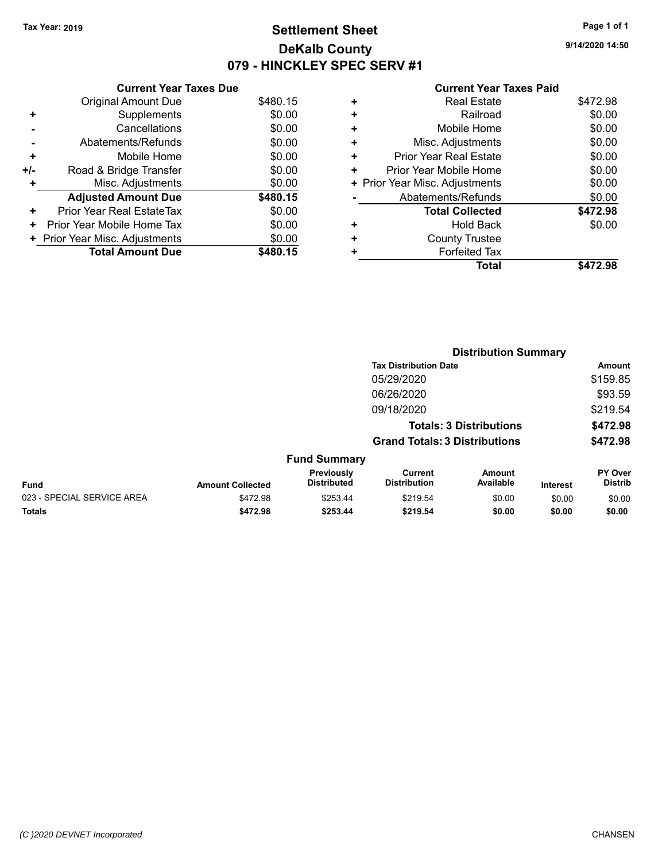### **Settlement Sheet Tax Year: 2019 Page 1 of 1 DeKalb County 079 - HINCKLEY SPEC SERV #1**

**9/14/2020 14:50**

#### **Current Year Taxes Paid**

|       | <b>Current Year Taxes Due</b>  |          |  |  |  |
|-------|--------------------------------|----------|--|--|--|
|       | <b>Original Amount Due</b>     | \$480.15 |  |  |  |
| ٠     | Supplements                    | \$0.00   |  |  |  |
|       | Cancellations                  | \$0.00   |  |  |  |
|       | Abatements/Refunds             | \$0.00   |  |  |  |
| ٠     | Mobile Home                    | \$0.00   |  |  |  |
| $+/-$ | Road & Bridge Transfer         | \$0.00   |  |  |  |
| ٠     | Misc. Adjustments              | \$0.00   |  |  |  |
|       | <b>Adjusted Amount Due</b>     | \$480.15 |  |  |  |
| ٠     | Prior Year Real EstateTax      | \$0.00   |  |  |  |
| ٠     | Prior Year Mobile Home Tax     | \$0.00   |  |  |  |
|       | + Prior Year Misc. Adjustments | \$0.00   |  |  |  |
|       | <b>Total Amount Due</b>        | \$480.15 |  |  |  |

|   | <b>Total</b>                   | \$472.98 |
|---|--------------------------------|----------|
| ٠ | <b>Forfeited Tax</b>           |          |
| ٠ | <b>County Trustee</b>          |          |
| ٠ | Hold Back                      | \$0.00   |
|   | <b>Total Collected</b>         | \$472.98 |
|   | Abatements/Refunds             | \$0.00   |
|   | + Prior Year Misc. Adjustments | \$0.00   |
| ٠ | Prior Year Mobile Home         | \$0.00   |
| ٠ | Prior Year Real Estate         | \$0.00   |
| ٠ | Misc. Adjustments              | \$0.00   |
| ÷ | Mobile Home                    | \$0.00   |
| ÷ | Railroad                       | \$0.00   |
|   | <b>Real Estate</b>             | \$472.98 |
|   |                                |          |

|                            | <b>Distribution Summary</b> |                                  |                                       |                            |                 |                           |  |
|----------------------------|-----------------------------|----------------------------------|---------------------------------------|----------------------------|-----------------|---------------------------|--|
|                            |                             |                                  | <b>Tax Distribution Date</b>          |                            |                 | Amount                    |  |
|                            |                             |                                  | 05/29/2020                            |                            |                 | \$159.85                  |  |
|                            |                             |                                  | 06/26/2020                            |                            |                 | \$93.59                   |  |
|                            |                             |                                  | 09/18/2020                            |                            |                 | \$219.54                  |  |
|                            |                             |                                  | <b>Totals: 3 Distributions</b>        |                            |                 | \$472.98                  |  |
|                            |                             |                                  | <b>Grand Totals: 3 Distributions</b>  |                            |                 | \$472.98                  |  |
|                            |                             | <b>Fund Summary</b>              |                                       |                            |                 |                           |  |
| Fund                       | <b>Amount Collected</b>     | Previously<br><b>Distributed</b> | <b>Current</b><br><b>Distribution</b> | <b>Amount</b><br>Available | <b>Interest</b> | PY Over<br><b>Distrib</b> |  |
| 023 - SPECIAL SERVICE AREA | \$472.98                    | \$253.44                         | \$219.54                              | \$0.00                     | \$0.00          | \$0.00                    |  |
| <b>Totals</b>              | \$472.98                    | \$253.44                         | \$219.54                              | \$0.00                     | \$0.00          | \$0.00                    |  |
|                            |                             |                                  |                                       |                            |                 |                           |  |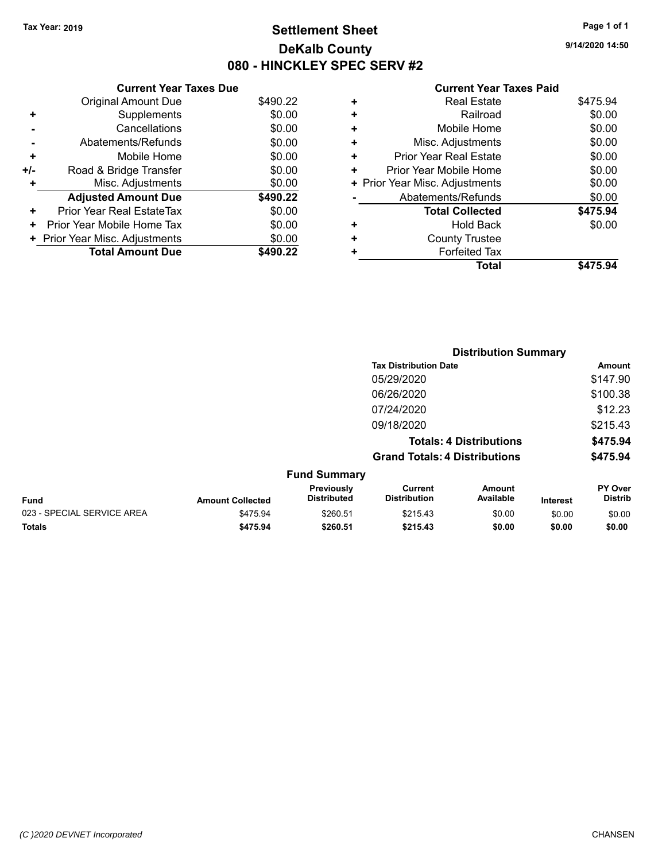### **Settlement Sheet Tax Year: 2019 Page 1 of 1 DeKalb County 080 - HINCKLEY SPEC SERV #2**

**9/14/2020 14:50**

#### **Current Year Taxes Paid**

|       | <b>Current Year Taxes Due</b>  |          |  |  |  |  |
|-------|--------------------------------|----------|--|--|--|--|
|       | <b>Original Amount Due</b>     | \$490.22 |  |  |  |  |
| ٠     | Supplements                    | \$0.00   |  |  |  |  |
|       | Cancellations                  | \$0.00   |  |  |  |  |
|       | Abatements/Refunds             | \$0.00   |  |  |  |  |
| ٠     | Mobile Home                    | \$0.00   |  |  |  |  |
| $+/-$ | Road & Bridge Transfer         | \$0.00   |  |  |  |  |
| ٠     | Misc. Adjustments              | \$0.00   |  |  |  |  |
|       | <b>Adjusted Amount Due</b>     | \$490.22 |  |  |  |  |
| ٠     | Prior Year Real EstateTax      | \$0.00   |  |  |  |  |
| ٠     | Prior Year Mobile Home Tax     | \$0.00   |  |  |  |  |
|       | + Prior Year Misc. Adjustments | \$0.00   |  |  |  |  |
|       | <b>Total Amount Due</b>        | \$490.22 |  |  |  |  |

|   | Total                          | \$475.94 |
|---|--------------------------------|----------|
| ٠ | <b>Forfeited Tax</b>           |          |
| ٠ | <b>County Trustee</b>          |          |
| ٠ | <b>Hold Back</b>               | \$0.00   |
|   | <b>Total Collected</b>         | \$475.94 |
|   | Abatements/Refunds             | \$0.00   |
|   | + Prior Year Misc. Adjustments | \$0.00   |
| ٠ | Prior Year Mobile Home         | \$0.00   |
| ٠ | Prior Year Real Estate         | \$0.00   |
| ٠ | Misc. Adjustments              | \$0.00   |
| ٠ | Mobile Home                    | \$0.00   |
| ٠ | Railroad                       | \$0.00   |
| ٠ | <b>Real Estate</b>             | \$475.94 |
|   |                                |          |

|                            |                         |                                  | <b>Distribution Summary</b>           |                                |                 |                           |
|----------------------------|-------------------------|----------------------------------|---------------------------------------|--------------------------------|-----------------|---------------------------|
|                            |                         |                                  | <b>Tax Distribution Date</b>          |                                |                 | Amount                    |
|                            |                         |                                  | 05/29/2020                            |                                |                 | \$147.90                  |
|                            |                         |                                  | 06/26/2020                            |                                |                 | \$100.38                  |
|                            |                         |                                  | 07/24/2020                            |                                |                 | \$12.23                   |
|                            |                         |                                  | 09/18/2020                            |                                |                 | \$215.43                  |
|                            |                         |                                  |                                       | <b>Totals: 4 Distributions</b> |                 | \$475.94                  |
|                            |                         |                                  | <b>Grand Totals: 4 Distributions</b>  |                                |                 | \$475.94                  |
|                            |                         | <b>Fund Summary</b>              |                                       |                                |                 |                           |
| <b>Fund</b>                | <b>Amount Collected</b> | Previously<br><b>Distributed</b> | <b>Current</b><br><b>Distribution</b> | Amount<br>Available            | <b>Interest</b> | PY Over<br><b>Distrib</b> |
| 023 - SPECIAL SERVICE AREA | \$475.94                | \$260.51                         | \$215.43                              | \$0.00                         | \$0.00          | \$0.00                    |
| <b>Totals</b>              | \$475.94                | \$260.51                         | \$215.43                              | \$0.00                         | \$0.00          | \$0.00                    |
|                            |                         |                                  |                                       |                                |                 |                           |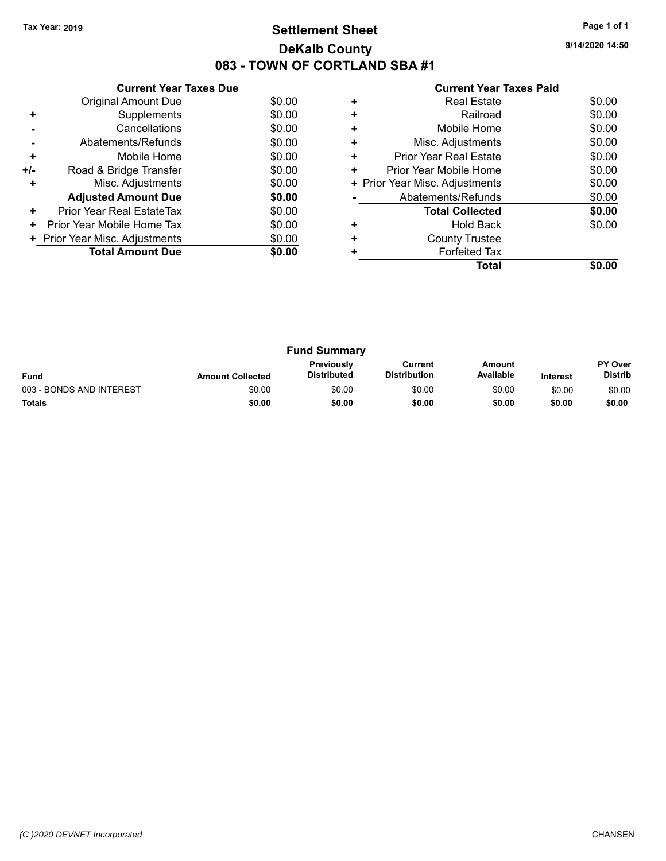### **Settlement Sheet Tax Year: 2019 Page 1 of 1 DeKalb County 083 - TOWN OF CORTLAND SBA #1**

**9/14/2020 14:50**

|     | <b>Current Year Taxes Due</b>  |        |
|-----|--------------------------------|--------|
|     | Original Amount Due            | \$0.00 |
| ٠   | Supplements                    | \$0.00 |
|     | Cancellations                  | \$0.00 |
|     | Abatements/Refunds             | \$0.00 |
| ٠   | Mobile Home                    | \$0.00 |
| +/- | Road & Bridge Transfer         | \$0.00 |
|     | Misc. Adjustments              | \$0.00 |
|     | <b>Adjusted Amount Due</b>     | \$0.00 |
| ÷   | Prior Year Real EstateTax      | \$0.00 |
| ٠   | Prior Year Mobile Home Tax     | \$0.00 |
|     | + Prior Year Misc. Adjustments | \$0.00 |
|     | <b>Total Amount Due</b>        | \$0.00 |
|     |                                |        |

|   | <b>Real Estate</b>             | \$0.00 |
|---|--------------------------------|--------|
| ÷ | Railroad                       | \$0.00 |
| ÷ | Mobile Home                    | \$0.00 |
| ٠ | Misc. Adjustments              | \$0.00 |
| ٠ | <b>Prior Year Real Estate</b>  | \$0.00 |
|   | Prior Year Mobile Home         | \$0.00 |
|   | + Prior Year Misc. Adjustments | \$0.00 |
|   | Abatements/Refunds             | \$0.00 |
|   | <b>Total Collected</b>         | \$0.00 |
| ٠ | <b>Hold Back</b>               | \$0.00 |
|   | <b>County Trustee</b>          |        |
|   | <b>Forfeited Tax</b>           |        |
|   | Total                          |        |

| <b>Fund Summary</b>      |                         |                                         |                                |                     |                 |                           |
|--------------------------|-------------------------|-----------------------------------------|--------------------------------|---------------------|-----------------|---------------------------|
| <b>Fund</b>              | <b>Amount Collected</b> | <b>Previously</b><br><b>Distributed</b> | Current<br><b>Distribution</b> | Amount<br>Available | <b>Interest</b> | PY Over<br><b>Distrib</b> |
| 003 - BONDS AND INTEREST | \$0.00                  | \$0.00                                  | \$0.00                         | \$0.00              | \$0.00          | \$0.00                    |
| <b>Totals</b>            | \$0.00                  | \$0.00                                  | \$0.00                         | \$0.00              | \$0.00          | \$0.00                    |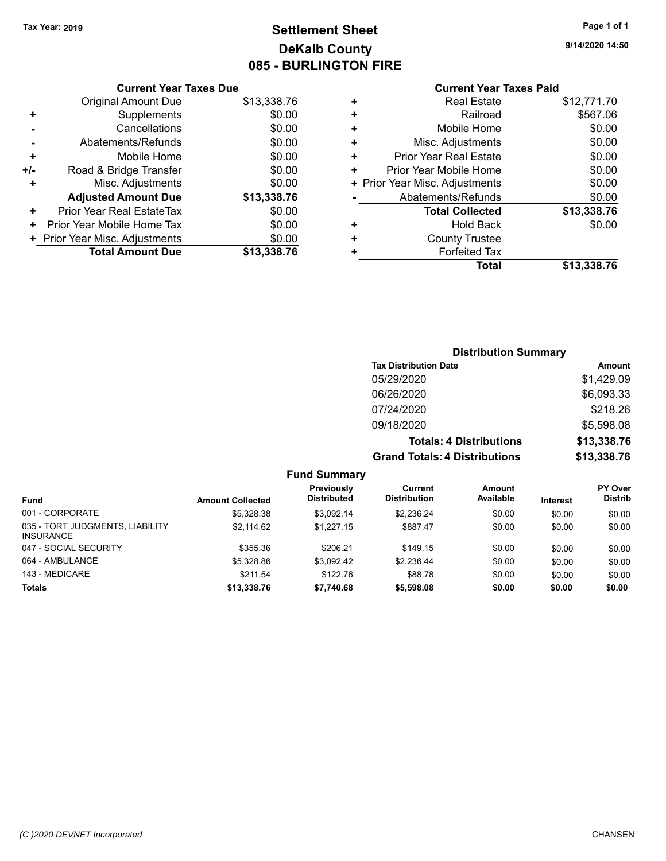## **Settlement Sheet Tax Year: 2019 Page 1 of 1 DeKalb County 085 - BURLINGTON FIRE**

**9/14/2020 14:50**

### **Current Year Taxes Paid**

|     | <b>Current Year Taxes Due</b>  |             |
|-----|--------------------------------|-------------|
|     | <b>Original Amount Due</b>     | \$13,338.76 |
|     | Supplements                    | \$0.00      |
|     | Cancellations                  | \$0.00      |
|     | Abatements/Refunds             | \$0.00      |
| ٠   | Mobile Home                    | \$0.00      |
| +/- | Road & Bridge Transfer         | \$0.00      |
|     | Misc. Adjustments              | \$0.00      |
|     | <b>Adjusted Amount Due</b>     | \$13,338.76 |
| ٠   | Prior Year Real EstateTax      | \$0.00      |
| ٠   | Prior Year Mobile Home Tax     | \$0.00      |
|     | + Prior Year Misc. Adjustments | \$0.00      |
|     | <b>Total Amount Due</b>        | \$13,338.76 |
|     |                                |             |

|   | <b>Real Estate</b>             | \$12,771.70 |
|---|--------------------------------|-------------|
| ٠ | Railroad                       | \$567.06    |
| ٠ | Mobile Home                    | \$0.00      |
| ٠ | Misc. Adjustments              | \$0.00      |
| ٠ | Prior Year Real Estate         | \$0.00      |
| ٠ | Prior Year Mobile Home         | \$0.00      |
|   | + Prior Year Misc. Adjustments | \$0.00      |
|   | Abatements/Refunds             | \$0.00      |
|   | <b>Total Collected</b>         | \$13,338.76 |
| ٠ | Hold Back                      | \$0.00      |
| ٠ | <b>County Trustee</b>          |             |
| ٠ | <b>Forfeited Tax</b>           |             |
|   | Total                          | \$13,338.76 |
|   |                                |             |

### **Distribution Summary Tax Distribution Date Amount** 05/29/2020 \$1,429.09 06/26/2020 \$6,093.33 07/24/2020 \$218.26 09/18/2020 \$5,598.08 **Totals: 4 Distributions \$13,338.76 Grand Totals: 4 Distributions \$13,338.76**

| <b>Fund Summary</b> |  |  |
|---------------------|--|--|
|                     |  |  |

| <b>Fund</b>                                         | <b>Amount Collected</b> | Previously<br><b>Distributed</b> | Current<br><b>Distribution</b> | Amount<br>Available | Interest | <b>PY Over</b><br><b>Distrib</b> |
|-----------------------------------------------------|-------------------------|----------------------------------|--------------------------------|---------------------|----------|----------------------------------|
| 001 - CORPORATE                                     | \$5.328.38              | \$3.092.14                       | \$2.236.24                     | \$0.00              | \$0.00   | \$0.00                           |
| 035 - TORT JUDGMENTS, LIABILITY<br><b>INSURANCE</b> | \$2.114.62              | \$1.227.15                       | \$887.47                       | \$0.00              | \$0.00   | \$0.00                           |
| 047 - SOCIAL SECURITY                               | \$355.36                | \$206.21                         | \$149.15                       | \$0.00              | \$0.00   | \$0.00                           |
| 064 - AMBULANCE                                     | \$5,328.86              | \$3.092.42                       | \$2.236.44                     | \$0.00              | \$0.00   | \$0.00                           |
| 143 - MEDICARE                                      | \$211.54                | \$122.76                         | \$88.78                        | \$0.00              | \$0.00   | \$0.00                           |
| <b>Totals</b>                                       | \$13,338.76             | \$7,740.68                       | \$5,598.08                     | \$0.00              | \$0.00   | \$0.00                           |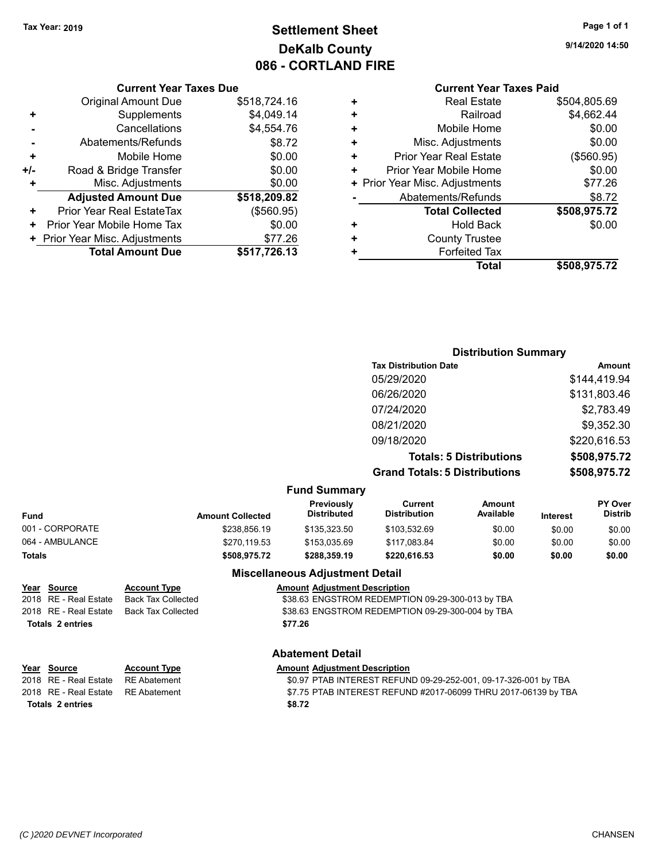### **Settlement Sheet Tax Year: 2019 Page 1 of 1 DeKalb County 086 - CORTLAND FIRE**

**9/14/2020 14:50**

#### **Current Year Taxes Paid**

|     | <b>Current Year Taxes Due</b>    |              |
|-----|----------------------------------|--------------|
|     | <b>Original Amount Due</b>       | \$518,724.16 |
| ٠   | Supplements                      | \$4,049.14   |
|     | Cancellations                    | \$4,554.76   |
|     | Abatements/Refunds               | \$8.72       |
| ٠   | Mobile Home                      | \$0.00       |
| +/- | Road & Bridge Transfer           | \$0.00       |
| ÷   | Misc. Adjustments                | \$0.00       |
|     | <b>Adjusted Amount Due</b>       | \$518,209.82 |
| ٠   | <b>Prior Year Real EstateTax</b> | (\$560.95)   |
| ٠   | Prior Year Mobile Home Tax       | \$0.00       |
|     | + Prior Year Misc. Adjustments   | \$77.26      |
|     | <b>Total Amount Due</b>          | \$517,726.13 |

| <b>Distribution Summary</b>    |              |  |  |
|--------------------------------|--------------|--|--|
| <b>Tax Distribution Date</b>   | Amount       |  |  |
| 05/29/2020                     | \$144,419.94 |  |  |
| 06/26/2020                     | \$131,803.46 |  |  |
| 07/24/2020                     | \$2,783.49   |  |  |
| 08/21/2020                     | \$9,352.30   |  |  |
| 09/18/2020                     | \$220,616.53 |  |  |
| <b>Totals: 5 Distributions</b> | \$508,975.72 |  |  |
| _ _ _                          |              |  |  |

**Grand Totals: 5 Distributions \$508,975.72**

#### **Fund Summary**

| Fund            | <b>Amount Collected</b> | <b>Previously</b><br><b>Distributed</b> | Current<br><b>Distribution</b> | Amount<br>Available | <b>Interest</b> | PY Over<br><b>Distrib</b> |  |
|-----------------|-------------------------|-----------------------------------------|--------------------------------|---------------------|-----------------|---------------------------|--|
| 001 - CORPORATE | \$238,856.19            | \$135,323.50                            | \$103.532.69                   | \$0.00              | \$0.00          | \$0.00                    |  |
| 064 - AMBULANCE | \$270.119.53            | \$153.035.69                            | \$117.083.84                   | \$0.00              | \$0.00          | \$0.00                    |  |
| Totals          | \$508.975.72            | \$288.359.19                            | \$220,616.53                   | \$0.00              | \$0.00          | \$0.00                    |  |

### **Year Source Account Type Amount Adjustment Description**

# **Totals \$77.26 2 entries**

#### **Miscellaneous Adjustment Detail**

2018 RE - Real Estate Back Tax Collected \$38.63 ENGSTROM REDEMPTION 09-29-300-013 by TBA 2018 RE - Real Estate Back Tax Collected \$38.63 ENGSTROM REDEMPTION 09-29-300-004 by TBA

#### **Abatement Detail**

#### **Year Source Account Type Amount Adjustment Description**

| Totals 2 entries                   | \$8.72                                                          |
|------------------------------------|-----------------------------------------------------------------|
| 2018 RE - Real Estate RE Abatement | \$7.75 PTAB INTEREST REFUND #2017-06099 THRU 2017-06139 by TBA  |
| 2018 RE - Real Estate RE Abatement | \$0.97 PTAB INTEREST REFUND 09-29-252-001, 09-17-326-001 by TBA |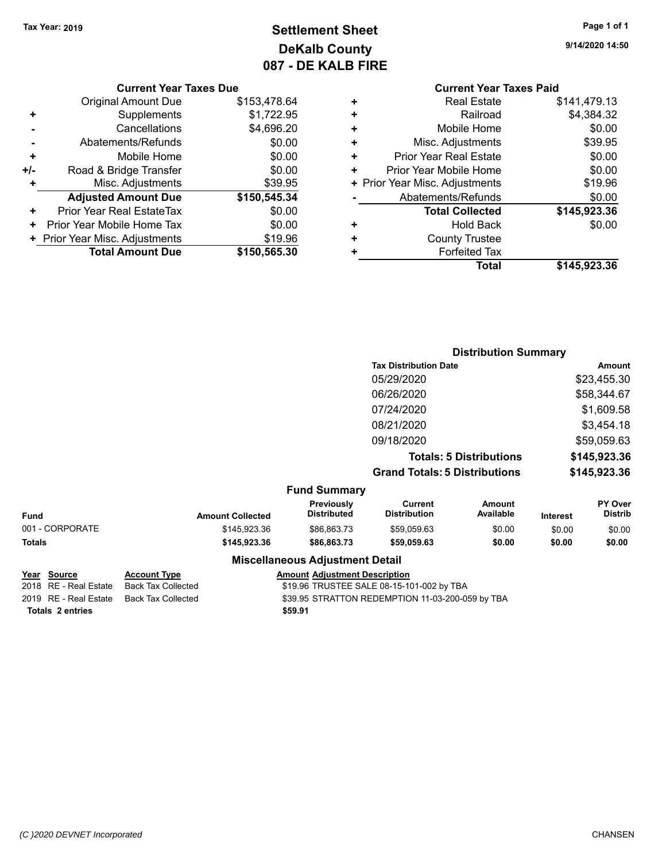## **Settlement Sheet Tax Year: 2019 Page 1 of 1 DeKalb County 087 - DE KALB FIRE**

**9/14/2020 14:50**

#### **Current Year Taxes Due**

|     | <b>Original Amount Due</b>     | \$153,478.64 |
|-----|--------------------------------|--------------|
| ٠   | Supplements                    | \$1,722.95   |
|     | Cancellations                  | \$4,696.20   |
|     | Abatements/Refunds             | \$0.00       |
| ٠   | Mobile Home                    | \$0.00       |
| +/- | Road & Bridge Transfer         | \$0.00       |
| ٠   | Misc. Adjustments              | \$39.95      |
|     | <b>Adjusted Amount Due</b>     | \$150,545.34 |
| ٠   | Prior Year Real EstateTax      | \$0.00       |
| ٠   | Prior Year Mobile Home Tax     | \$0.00       |
|     | + Prior Year Misc. Adjustments | \$19.96      |
|     | <b>Total Amount Due</b>        | \$150,565.30 |

### **Current Year Taxes Paid**

|   | <b>Real Estate</b>             | \$141,479.13 |
|---|--------------------------------|--------------|
| ٠ | Railroad                       | \$4,384.32   |
| ÷ | Mobile Home                    | \$0.00       |
| ٠ | Misc. Adjustments              | \$39.95      |
| ٠ | <b>Prior Year Real Estate</b>  | \$0.00       |
| ٠ | Prior Year Mobile Home         | \$0.00       |
|   | + Prior Year Misc. Adjustments | \$19.96      |
|   | Abatements/Refunds             | \$0.00       |
|   | <b>Total Collected</b>         | \$145,923.36 |
| ٠ | <b>Hold Back</b>               | \$0.00       |
| ٠ | <b>County Trustee</b>          |              |
| ٠ | <b>Forfeited Tax</b>           |              |
|   | Total                          | \$145,923.36 |
|   |                                |              |

### **Distribution Summary Tax Distribution Date Amount** 05/29/2020 \$23,455.30 06/26/2020 \$58,344.67 07/24/2020 \$1,609.58 08/21/2020 \$3,454.18 09/18/2020 \$59,059.63 **Totals: 5 Distributions \$145,923.36 Grand Totals: 5 Distributions \$145,923.36**

#### **Fund Summary**

| Fund            | <b>Amount Collected</b> | <b>Previously</b><br><b>Distributed</b> | Current<br>Distribution | Amount<br>Available | Interest | <b>PY Over</b><br><b>Distrib</b> |
|-----------------|-------------------------|-----------------------------------------|-------------------------|---------------------|----------|----------------------------------|
| 001 - CORPORATE | \$145,923,36            | \$86,863,73                             | \$59,059.63             | \$0.00              | \$0.00   | \$0.00                           |
| Totals          | \$145.923.36            | \$86,863,73                             | \$59,059.63             | \$0.00              | \$0.00   | \$0.00                           |

#### **Miscellaneous Adjustment Detail**

#### **Year** Source **Account Type And Amount Adjustment Description**

2018 RE - Real Estate Back Tax Collected \$19.96 TRUSTEE SALE 08-15-101-002 by TBA 2019 RE - Real Estate Back Tax Collected \$39.95 STRATTON REDEMPTION 11-03-200-059 by TBA

**Totals \$59.91 2 entries**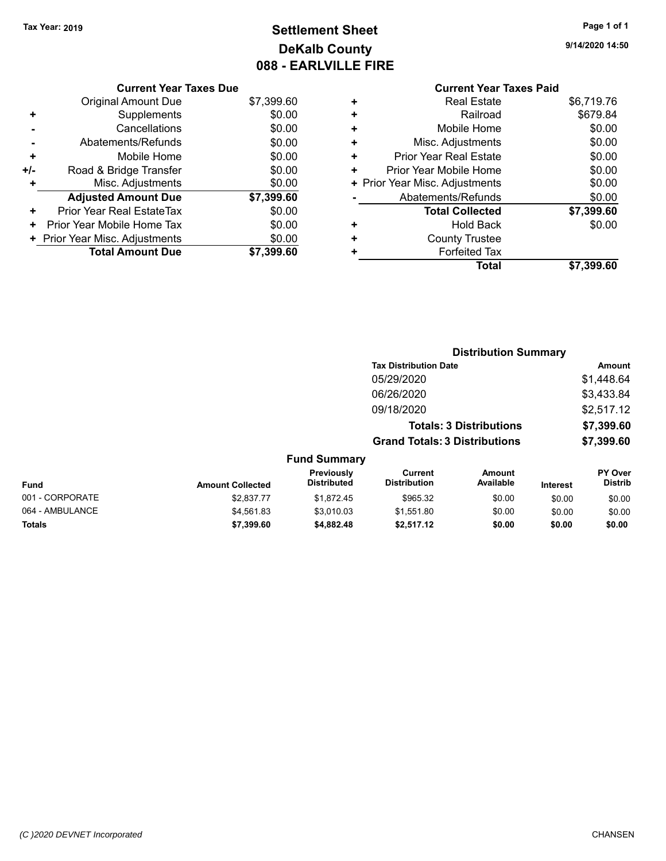## **Settlement Sheet Tax Year: 2019 Page 1 of 1 DeKalb County 088 - EARLVILLE FIRE**

**9/14/2020 14:50**

#### **Current Year Taxes Paid +** Real Estate \$6,719.76 **+** Railroad \$679.84 **+** Mobile Home \$0.00 **+** Misc. Adjustments \$0.00 **+** Prior Year Real Estate \$0.00 **+** Prior Year Mobile Home \$0.00 **+ Prior Year Misc. Adjustments**  $$0.00$ **-** Abatements/Refunds \$0.00 **Total Collected \$7,399.60 +** Hold Back \$0.00 **+** County Trustee **+** Forfeited Tax **Total \$7,399.60**

**Distribution Summary**

|     | <b>Current Year Taxes Due</b>    |            |
|-----|----------------------------------|------------|
|     | Original Amount Due              | \$7,399.60 |
| ٠   | Supplements                      | \$0.00     |
|     | Cancellations                    | \$0.00     |
|     | Abatements/Refunds               | \$0.00     |
| ٠   | Mobile Home                      | \$0.00     |
| +/- | Road & Bridge Transfer           | \$0.00     |
| ٠   | Misc. Adjustments                | \$0.00     |
|     | <b>Adjusted Amount Due</b>       | \$7,399.60 |
| ÷   | <b>Prior Year Real EstateTax</b> | \$0.00     |
| ٠   | Prior Year Mobile Home Tax       | \$0.00     |
|     | + Prior Year Misc. Adjustments   | \$0.00     |
|     | <b>Total Amount Due</b>          | \$7,399,60 |
|     |                                  |            |

|                 |                         |                                  | <b>Tax Distribution Date</b>          |                                |                 | Amount                    |
|-----------------|-------------------------|----------------------------------|---------------------------------------|--------------------------------|-----------------|---------------------------|
|                 |                         |                                  | 05/29/2020                            |                                |                 | \$1,448.64                |
|                 |                         |                                  | 06/26/2020                            |                                |                 | \$3,433.84                |
|                 |                         |                                  | 09/18/2020                            |                                |                 | \$2,517.12                |
|                 |                         |                                  |                                       | <b>Totals: 3 Distributions</b> |                 | \$7,399.60                |
|                 |                         |                                  | <b>Grand Totals: 3 Distributions</b>  |                                |                 | \$7,399.60                |
|                 |                         | <b>Fund Summary</b>              |                                       |                                |                 |                           |
| <b>Fund</b>     | <b>Amount Collected</b> | Previously<br><b>Distributed</b> | <b>Current</b><br><b>Distribution</b> | <b>Amount</b><br>Available     | <b>Interest</b> | PY Over<br><b>Distrib</b> |
| 001 - CORPORATE | \$2.837.77              | \$1,872.45                       | \$965.32                              | \$0.00                         | \$0.00          | \$0.00                    |
| 064 - AMBULANCE | \$4.561.83              | \$3.010.03                       | \$1,551.80                            | \$0.00                         | \$0.00          | \$0.00                    |
| <b>Totals</b>   | \$7,399.60              | \$4,882.48                       | \$2.517.12                            | \$0.00                         | \$0.00          | \$0.00                    |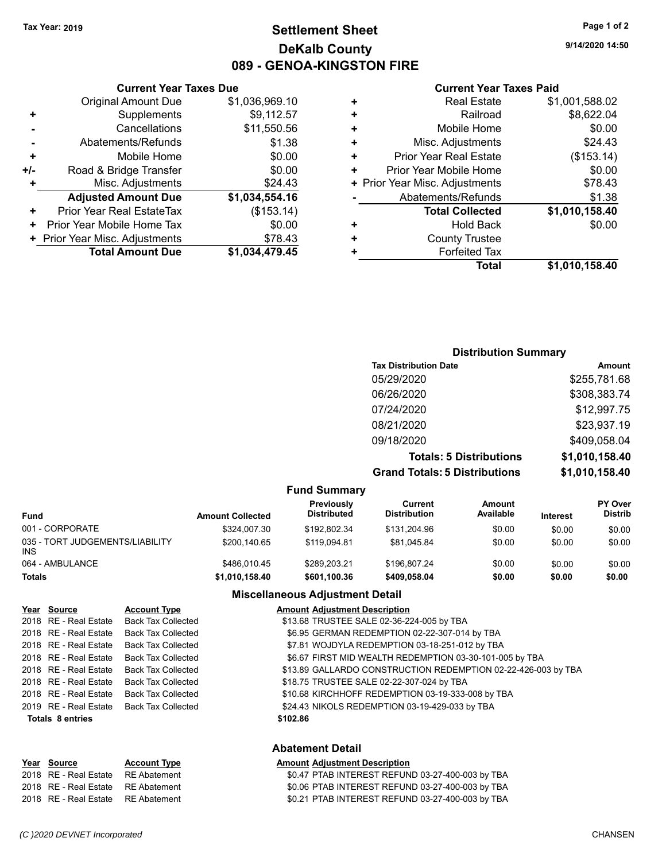### **Settlement Sheet Tax Year: 2019 Page 1 of 2 DeKalb County 089 - GENOA-KINGSTON FIRE**

**9/14/2020 14:50**

#### **Current Year Taxes Paid**

| ٠   | Mobile Home                    | \$0.00         |
|-----|--------------------------------|----------------|
| +/- | Road & Bridge Transfer         | \$0.00         |
| ÷   | Misc. Adjustments              | \$24.43        |
|     | <b>Adjusted Amount Due</b>     | \$1,034,554.16 |
| ٠   | Prior Year Real EstateTax      | (\$153.14)     |
| ٠   | Prior Year Mobile Home Tax     | \$0.00         |
|     | + Prior Year Misc. Adjustments | \$78.43        |
|     |                                |                |
|     | <b>Total Amount Due</b>        | \$1,034,479.45 |

**Current Year Taxes Due**

| ٠ | <b>Real Estate</b>             | \$1,001,588.02 |
|---|--------------------------------|----------------|
| ٠ | Railroad                       | \$8,622.04     |
| ٠ | Mobile Home                    | \$0.00         |
| ٠ | Misc. Adjustments              | \$24.43        |
| ÷ | <b>Prior Year Real Estate</b>  | (\$153.14)     |
| ٠ | Prior Year Mobile Home         | \$0.00         |
|   | + Prior Year Misc. Adjustments | \$78.43        |
|   | Abatements/Refunds             | \$1.38         |
|   | <b>Total Collected</b>         | \$1,010,158.40 |
| ٠ | Hold Back                      | \$0.00         |
| ÷ | <b>County Trustee</b>          |                |
| ٠ | <b>Forfeited Tax</b>           |                |
|   | <b>Total</b>                   | \$1,010,158.40 |
|   |                                |                |

### **Distribution Summary Tax Distribution Date Amount** 05/29/2020 \$255,781.68 06/26/2020 \$308,383.74 07/24/2020 \$12,997.75 08/21/2020 \$23,937.19 09/18/2020 \$409,058.04 **Totals: 5 Distributions \$1,010,158.40 Grand Totals: 5 Distributions \$1,010,158.40**

|                                         |                         | <b>Fund Summary</b>              |                                |                     |                 |                                  |
|-----------------------------------------|-------------------------|----------------------------------|--------------------------------|---------------------|-----------------|----------------------------------|
| <b>Fund</b>                             | <b>Amount Collected</b> | Previously<br><b>Distributed</b> | Current<br><b>Distribution</b> | Amount<br>Available | <b>Interest</b> | <b>PY Over</b><br><b>Distrib</b> |
| 001 - CORPORATE                         | \$324,007.30            | \$192.802.34                     | \$131.204.96                   | \$0.00              | \$0.00          | \$0.00                           |
| 035 - TORT JUDGEMENTS/LIABILITY<br>INS. | \$200.140.65            | \$119.094.81                     | \$81.045.84                    | \$0.00              | \$0.00          | \$0.00                           |
| 064 - AMBULANCE                         | \$486,010.45            | \$289.203.21                     | \$196.807.24                   | \$0.00              | \$0.00          | \$0.00                           |
| <b>Totals</b>                           | \$1,010,158.40          | \$601,100.36                     | \$409.058.04                   | \$0.00              | \$0.00          | \$0.00                           |

#### **Miscellaneous Adjustment Detail**

| Year Source             | <b>Account Type</b>                      | <b>Amount Adjustment Description</b>                          |
|-------------------------|------------------------------------------|---------------------------------------------------------------|
| 2018 RE - Real Estate   | Back Tax Collected                       | \$13.68 TRUSTEE SALE 02-36-224-005 by TBA                     |
| 2018 RE - Real Estate   | <b>Back Tax Collected</b>                | \$6.95 GERMAN REDEMPTION 02-22-307-014 by TBA                 |
| 2018 RE - Real Estate   | Back Tax Collected                       | \$7.81 WOJDYLA REDEMPTION 03-18-251-012 by TBA                |
| 2018 RE - Real Estate   | Back Tax Collected                       | \$6.67 FIRST MID WEALTH REDEMPTION 03-30-101-005 by TBA       |
| 2018 RE - Real Estate   | Back Tax Collected                       | \$13.89 GALLARDO CONSTRUCTION REDEMPTION 02-22-426-003 by TBA |
| 2018 RE - Real Estate   | Back Tax Collected                       | \$18.75 TRUSTEE SALE 02-22-307-024 by TBA                     |
| 2018 RE - Real Estate   | <b>Back Tax Collected</b>                | \$10.68 KIRCHHOFF REDEMPTION 03-19-333-008 by TBA             |
|                         | 2019 RE - Real Estate Back Tax Collected | \$24.43 NIKOLS REDEMPTION 03-19-429-033 by TBA                |
| <b>Totals 8 entries</b> |                                          | \$102.86                                                      |
|                         |                                          |                                                               |
|                         |                                          |                                                               |

#### **Abatement Detail**

#### **Year** Source **Account Type A** Annunt Adjustment Description 2018 RE - Real Estate RE Abatement \$0.47 PTAB INTEREST REFUND 03-27-400-003 by TBA 2018 RE - Real Estate RE Abatement \$0.06 PTAB INTEREST REFUND 03-27-400-003 by TBA 2018 RE - Real Estate RE Abatement \$0.21 PTAB INTEREST REFUND 03-27-400-003 by TBA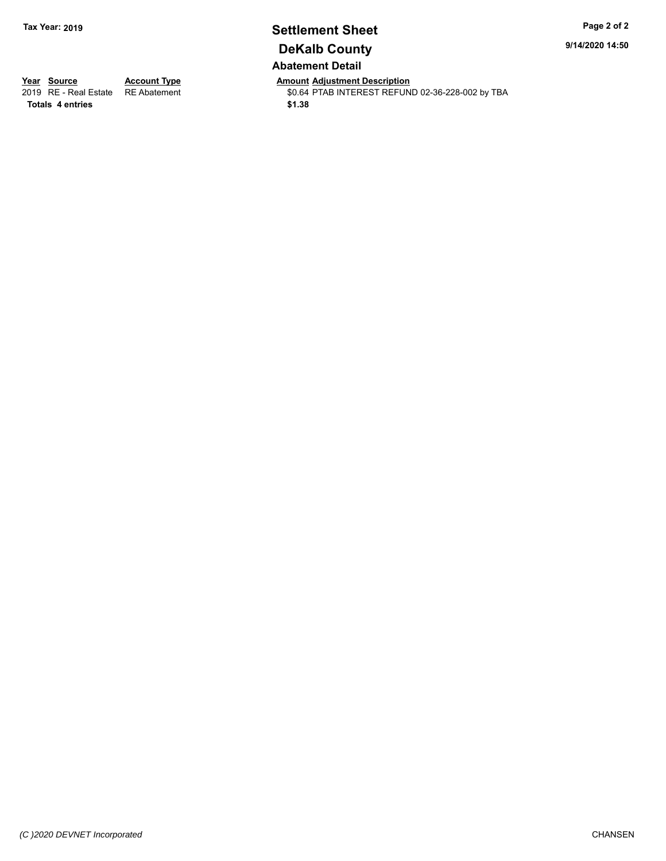### **Settlement Sheet Tax Year: 2019 Page 2 of 2 DeKalb County Abatement Detail**

**9/14/2020 14:50**

**Totals \$1.38 4 entries**

**Year Source Account Type Anneunt Adjustment Description**<br>
2019 RE - Real Estate RE Abatement **Account 1999 Amount Adjustment Description** \$0.64 PTAB INTEREST REFUND 02-36-228-002 by TBA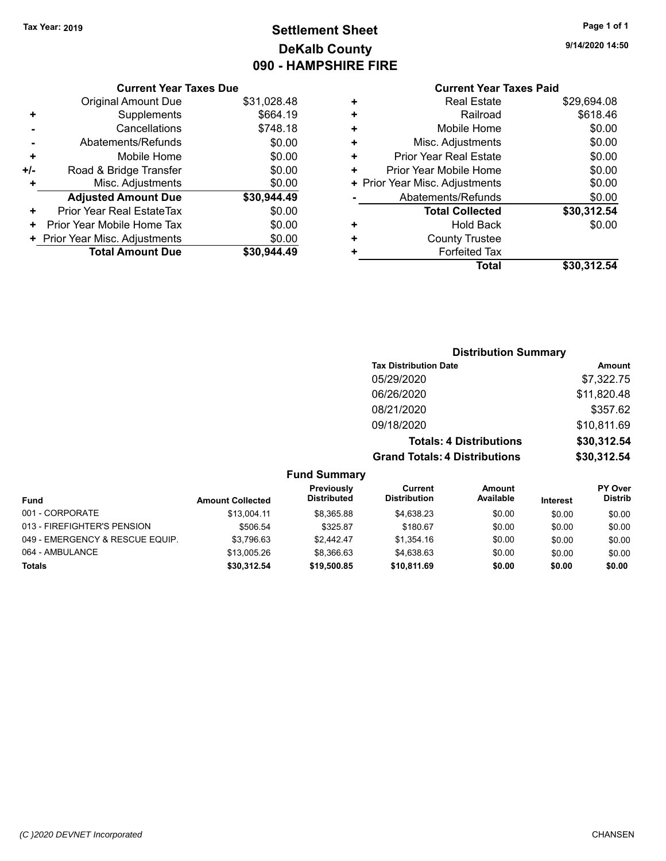### **Settlement Sheet Tax Year: 2019 Page 1 of 1 DeKalb County 090 - HAMPSHIRE FIRE**

**9/14/2020 14:50**

| Current Year Taxes Due |  |  |
|------------------------|--|--|

|     | Original Amount Due              | \$31,028.48 |
|-----|----------------------------------|-------------|
| ٠   | Supplements                      | \$664.19    |
|     | Cancellations                    | \$748.18    |
|     | Abatements/Refunds               | \$0.00      |
| ÷   | Mobile Home                      | \$0.00      |
| +/- | Road & Bridge Transfer           | \$0.00      |
| ٠   | Misc. Adjustments                | \$0.00      |
|     | <b>Adjusted Amount Due</b>       | \$30,944.49 |
| ٠   | <b>Prior Year Real EstateTax</b> | \$0.00      |
| ٠   | Prior Year Mobile Home Tax       | \$0.00      |
|     | + Prior Year Misc. Adjustments   | \$0.00      |
|     | <b>Total Amount Due</b>          | \$30,944.49 |
|     |                                  |             |

|                                    | <b>Current Year Taxes Paid</b> |
|------------------------------------|--------------------------------|
| Real Estate<br>٠                   | \$29,694.08                    |
| Railroad<br>٠                      | \$618.46                       |
| Mobile Home<br>٠                   | \$0.00                         |
| Misc. Adjustments<br>٠             | \$0.00                         |
| <b>Prior Year Real Estate</b><br>٠ | \$0.00                         |
| Prior Year Mobile Home<br>٠        | \$0.00                         |
| Prior Year Misc. Adjustments<br>٠  | \$0.00                         |
| Abatements/Refunds                 | \$0.00                         |
| <b>Total Collected</b>             | \$30,312.54                    |
| Hold Back<br>٠                     | \$0.00                         |
| <b>County Trustee</b><br>٠         |                                |
| <b>Forfeited Tax</b>               |                                |
| Total                              | \$30,312.54                    |

| <b>Distribution Summary</b>          |             |  |
|--------------------------------------|-------------|--|
| <b>Tax Distribution Date</b>         | Amount      |  |
| 05/29/2020                           | \$7,322.75  |  |
| 06/26/2020                           | \$11,820.48 |  |
| 08/21/2020                           | \$357.62    |  |
| 09/18/2020                           | \$10,811.69 |  |
| <b>Totals: 4 Distributions</b>       | \$30,312.54 |  |
| <b>Grand Totals: 4 Distributions</b> | \$30,312.54 |  |

**Fund Summary**

| <b>Fund</b>                     | <b>Amount Collected</b> | Previously<br><b>Distributed</b> | Current<br><b>Distribution</b> | Amount<br>Available | <b>Interest</b> | <b>PY Over</b><br><b>Distrib</b> |
|---------------------------------|-------------------------|----------------------------------|--------------------------------|---------------------|-----------------|----------------------------------|
| 001 - CORPORATE                 | \$13.004.11             | \$8.365.88                       | \$4.638.23                     | \$0.00              | \$0.00          | \$0.00                           |
| 013 - FIREFIGHTER'S PENSION     | \$506.54                | \$325.87                         | \$180.67                       | \$0.00              | \$0.00          | \$0.00                           |
| 049 - EMERGENCY & RESCUE EQUIP. | \$3,796.63              | \$2.442.47                       | \$1.354.16                     | \$0.00              | \$0.00          | \$0.00                           |
| 064 - AMBULANCE                 | \$13,005.26             | \$8.366.63                       | \$4.638.63                     | \$0.00              | \$0.00          | \$0.00                           |
| <b>Totals</b>                   | \$30.312.54             | \$19,500.85                      | \$10,811.69                    | \$0.00              | \$0.00          | \$0.00                           |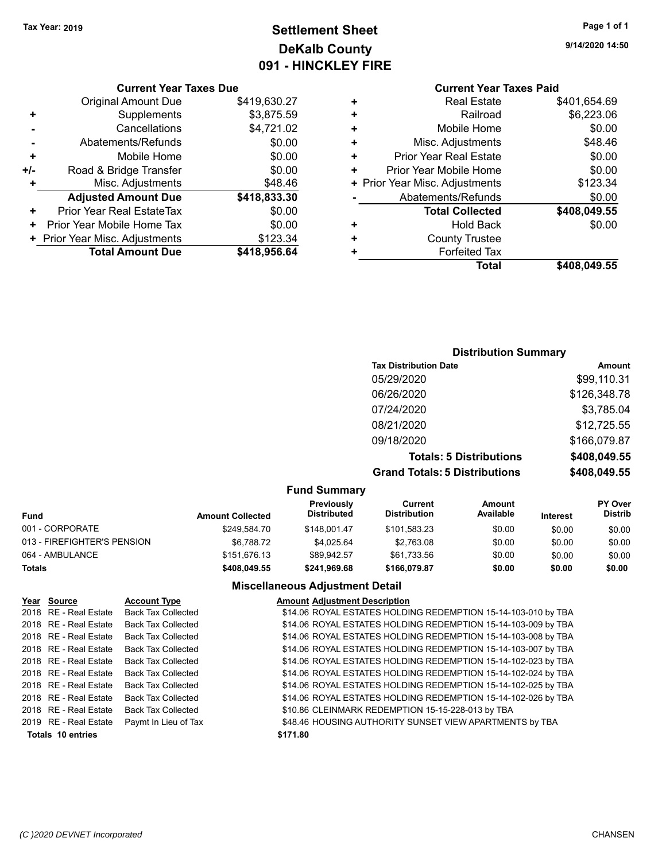## **Settlement Sheet Tax Year: 2019 Page 1 of 1 DeKalb County 091 - HINCKLEY FIRE**

**9/14/2020 14:50**

### **Current Year Taxes Paid**

|     | <b>Current Year Taxes Due</b>  |              |  |
|-----|--------------------------------|--------------|--|
|     | <b>Original Amount Due</b>     | \$419,630.27 |  |
| ÷   | Supplements                    | \$3,875.59   |  |
|     | Cancellations                  | \$4,721.02   |  |
|     | Abatements/Refunds             | \$0.00       |  |
| ٠   | Mobile Home                    | \$0.00       |  |
| +/- | Road & Bridge Transfer         | \$0.00       |  |
| ÷   | Misc. Adjustments              | \$48.46      |  |
|     | <b>Adjusted Amount Due</b>     | \$418,833.30 |  |
| ٠   | Prior Year Real EstateTax      | \$0.00       |  |
| ٠   | Prior Year Mobile Home Tax     | \$0.00       |  |
|     | + Prior Year Misc. Adjustments | \$123.34     |  |
|     | <b>Total Amount Due</b>        | \$418,956.64 |  |
|     |                                |              |  |

| ٠ | <b>Real Estate</b>             | \$401,654.69 |
|---|--------------------------------|--------------|
| ٠ | Railroad                       | \$6,223.06   |
| ٠ | Mobile Home                    | \$0.00       |
| ٠ | Misc. Adjustments              | \$48.46      |
| ٠ | <b>Prior Year Real Estate</b>  | \$0.00       |
| ٠ | Prior Year Mobile Home         | \$0.00       |
|   | + Prior Year Misc. Adjustments | \$123.34     |
|   | Abatements/Refunds             | \$0.00       |
|   | <b>Total Collected</b>         | \$408,049.55 |
| ٠ | <b>Hold Back</b>               | \$0.00       |
| ٠ | <b>County Trustee</b>          |              |
| ٠ | <b>Forfeited Tax</b>           |              |
|   | <b>Total</b>                   | \$408,049.55 |
|   |                                |              |

### **Distribution Summary Tax Distribution Date Amount** 05/29/2020 \$99,110.31 06/26/2020 \$126,348.78 07/24/2020 \$3,785.04 08/21/2020 \$12,725.55 09/18/2020 \$166,079.87 **Totals: 5 Distributions \$408,049.55 Grand Totals: 5 Distributions \$408,049.55**

#### **Fund Summary**

|                             |                         | י שווש טעווווועו ו                      |                                |                     |                 |                                  |
|-----------------------------|-------------------------|-----------------------------------------|--------------------------------|---------------------|-----------------|----------------------------------|
| Fund                        | <b>Amount Collected</b> | <b>Previously</b><br><b>Distributed</b> | Current<br><b>Distribution</b> | Amount<br>Available | <b>Interest</b> | <b>PY Over</b><br><b>Distrib</b> |
| 001 - CORPORATE             | \$249,584.70            | \$148.001.47                            | \$101.583.23                   | \$0.00              | \$0.00          | \$0.00                           |
| 013 - FIREFIGHTER'S PENSION | \$6,788.72              | \$4.025.64                              | \$2.763.08                     | \$0.00              | \$0.00          | \$0.00                           |
| 064 - AMBULANCE             | \$151,676.13            | \$89.942.57                             | \$61.733.56                    | \$0.00              | \$0.00          | \$0.00                           |
| <b>Totals</b>               | \$408,049.55            | \$241,969.68                            | \$166,079.87                   | \$0.00              | \$0.00          | \$0.00                           |

#### **Miscellaneous Adjustment Detail**

| Year Source              | <b>Account Type</b>       | <b>Amount Adjustment Description</b>                          |
|--------------------------|---------------------------|---------------------------------------------------------------|
| 2018 RE - Real Estate    | <b>Back Tax Collected</b> | \$14.06 ROYAL ESTATES HOLDING REDEMPTION 15-14-103-010 by TBA |
| 2018 RE - Real Estate    | <b>Back Tax Collected</b> | \$14.06 ROYAL ESTATES HOLDING REDEMPTION 15-14-103-009 by TBA |
| 2018 RE - Real Estate    | <b>Back Tax Collected</b> | \$14.06 ROYAL ESTATES HOLDING REDEMPTION 15-14-103-008 by TBA |
| 2018 RE - Real Estate    | <b>Back Tax Collected</b> | \$14.06 ROYAL ESTATES HOLDING REDEMPTION 15-14-103-007 by TBA |
| 2018 RE - Real Estate    | <b>Back Tax Collected</b> | \$14.06 ROYAL ESTATES HOLDING REDEMPTION 15-14-102-023 by TBA |
| 2018 RE - Real Estate    | <b>Back Tax Collected</b> | \$14.06 ROYAL ESTATES HOLDING REDEMPTION 15-14-102-024 by TBA |
| 2018 RE - Real Estate    | <b>Back Tax Collected</b> | \$14.06 ROYAL ESTATES HOLDING REDEMPTION 15-14-102-025 by TBA |
| 2018 RE - Real Estate    | <b>Back Tax Collected</b> | \$14.06 ROYAL ESTATES HOLDING REDEMPTION 15-14-102-026 by TBA |
| 2018 RE - Real Estate    | <b>Back Tax Collected</b> | \$10.86 CLEINMARK REDEMPTION 15-15-228-013 by TBA             |
| 2019 RE - Real Estate    | Paymt In Lieu of Tax      | \$48.46 HOUSING AUTHORITY SUNSET VIEW APARTMENTS by TBA       |
| <b>Totals 10 entries</b> |                           | \$171.80                                                      |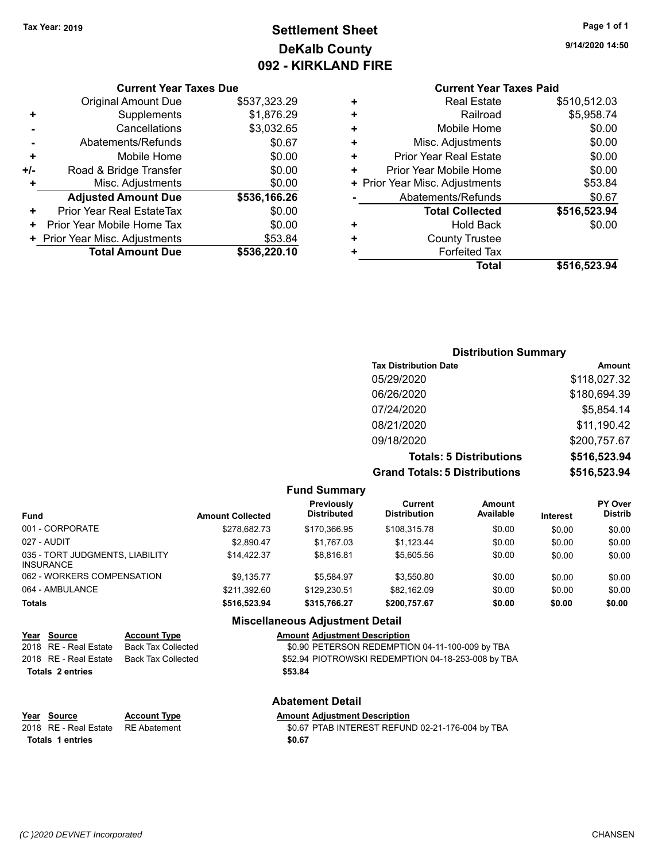## **Settlement Sheet Tax Year: 2019 Page 1 of 1 DeKalb County 092 - KIRKLAND FIRE**

**9/14/2020 14:50**

#### **Current Year Taxes Due**

|     | <b>Total Amount Due</b>          | \$536,220.10 |
|-----|----------------------------------|--------------|
|     | + Prior Year Misc. Adjustments   | \$53.84      |
| ٠   | Prior Year Mobile Home Tax       | \$0.00       |
| ÷   | <b>Prior Year Real EstateTax</b> | \$0.00       |
|     | <b>Adjusted Amount Due</b>       | \$536,166.26 |
| ٠   | Misc. Adjustments                | \$0.00       |
| +/- | Road & Bridge Transfer           | \$0.00       |
| ٠   | Mobile Home                      | \$0.00       |
|     | Abatements/Refunds               | \$0.67       |
|     | Cancellations                    | \$3,032.65   |
| ٠   | Supplements                      | \$1,876.29   |
|     | <b>Original Amount Due</b>       | \$537,323.29 |
|     |                                  |              |

### **Current Year Taxes Paid**

| ٠<br>٠ | <b>County Trustee</b><br><b>Forfeited Tax</b> |                        |
|--------|-----------------------------------------------|------------------------|
| ٠      | <b>Total Collected</b><br><b>Hold Back</b>    | \$516,523.94<br>\$0.00 |
|        | Abatements/Refunds                            | \$0.67                 |
|        | + Prior Year Misc. Adjustments                | \$53.84                |
| ٠      | Prior Year Mobile Home                        | \$0.00                 |
| ÷      | Prior Year Real Estate                        | \$0.00                 |
| ٠      | Misc. Adjustments                             | \$0.00                 |
| ٠      | Mobile Home                                   | \$0.00                 |
| ٠      | Railroad                                      | \$5,958.74             |
|        | <b>Real Estate</b>                            | \$510,512.03           |

#### **Distribution Summary Tax Distribution Date Amount** 05/29/2020 \$118,027.32 06/26/2020 \$180,694.39 07/24/2020 \$5,854.14 08/21/2020 \$11,190.42 09/18/2020 \$200,757.67 **Totals: 5 Distributions \$516,523.94 Grand Totals: 5 Distributions \$516,523.94**

**Fund Summary Fund Interest Amount Collected Distributed PY Over Distrib Amount Available Current Distribution Previously** 001 - CORPORATE \$278,682.73 \$170,366.95 \$108,315.78 \$0.00 \$0.00 \$0.00 027 - AUDIT \$2,890.47 \$1,767.03 \$1,123.44 \$0.00 \$0.00 \$0.00 035 - TORT JUDGMENTS, LIABILITY INSURANCE  $$14,422.37$   $$8,816.81$   $$5,605.56$   $$0.00$   $$0.00$   $$0.00$ 062 - WORKERS COMPENSATION \$9,135.77 \$5,584.97 \$3,550.80 \$0.00 \$0.00 \$0.00 064 - AMBULANCE \$211,392.60 \$129,230.51 \$82,162.09 \$0.00 \$0.00 \$0.00 **Totals \$516,523.94 \$315,766.27 \$200,757.67 \$0.00 \$0.00 \$0.00 Miscellaneous Adjustment Detail**

|                  | Year Source           | <b>Account Type</b> | <b>Amount Adjustment Description</b>               |
|------------------|-----------------------|---------------------|----------------------------------------------------|
|                  | 2018 RE - Real Estate | Back Tax Collected  | \$0.90 PETERSON REDEMPTION 04-11-100-009 by TBA    |
|                  | 2018 RE - Real Estate | Back Tax Collected  | \$52.94 PIOTROWSKI REDEMPTION 04-18-253-008 by TBA |
| Totals 2 entries |                       |                     | \$53.84                                            |
|                  |                       |                     |                                                    |
|                  |                       |                     |                                                    |

# **Totals \$0.67 1 entries**

### **Abatement Detail**

**Year Source Account Type Amount Adjustment Description**

2018 RE - Real Estate RE Abatement \$0.67 PTAB INTEREST REFUND 02-21-176-004 by TBA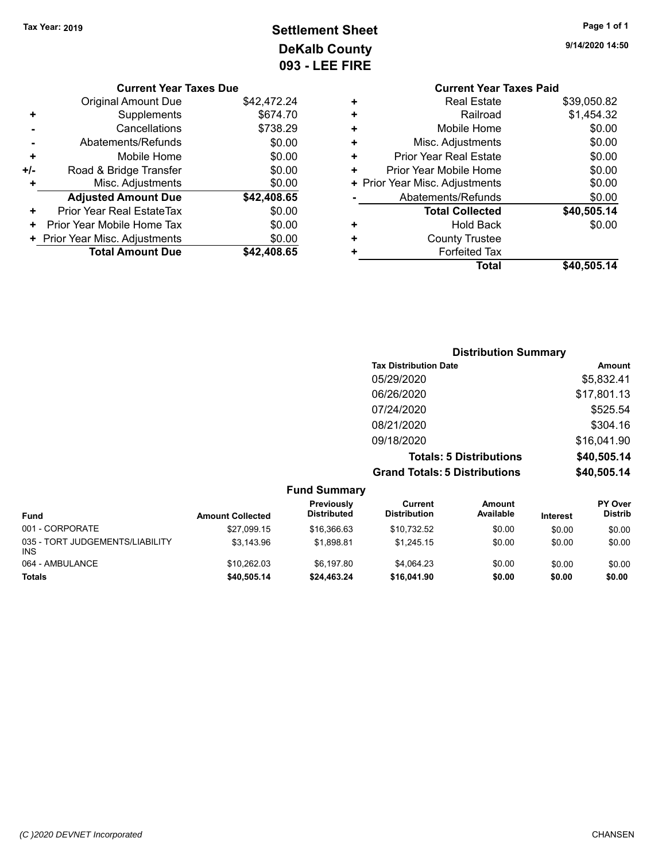**9/14/2020 14:50**

**Settlement Sheet Tax Year: 2019 Page 1 of 1 DeKalb County 093 - LEE FIRE**

|     | <b>Current Year Taxes Due</b>  |             |
|-----|--------------------------------|-------------|
|     | <b>Original Amount Due</b>     | \$42,472.24 |
| ٠   | Supplements                    | \$674.70    |
|     | Cancellations                  | \$738.29    |
|     | Abatements/Refunds             | \$0.00      |
| ٠   | Mobile Home                    | \$0.00      |
| +/- | Road & Bridge Transfer         | \$0.00      |
| ٠   | Misc. Adjustments              | \$0.00      |
|     | <b>Adjusted Amount Due</b>     | \$42,408.65 |
|     | Prior Year Real EstateTax      | \$0.00      |
| ٠   | Prior Year Mobile Home Tax     | \$0.00      |
|     | + Prior Year Misc. Adjustments | \$0.00      |
|     | <b>Total Amount Due</b>        | \$42,408,65 |
|     |                                |             |

|   | <b>Current Year Taxes Paid</b> |             |
|---|--------------------------------|-------------|
| ٠ | <b>Real Estate</b>             | \$39,050.82 |
| ÷ | Railroad                       | \$1,454.32  |
| ٠ | Mobile Home                    | \$0.00      |
| ٠ | Misc. Adjustments              | \$0.00      |
| ٠ | Prior Year Real Estate         | \$0.00      |
| ٠ | Prior Year Mobile Home         | \$0.00      |
|   | + Prior Year Misc. Adjustments | \$0.00      |
|   | Abatements/Refunds             | \$0.00      |
|   | <b>Total Collected</b>         | \$40,505.14 |
| ٠ | <b>Hold Back</b>               | \$0.00      |
| ٠ | <b>County Trustee</b>          |             |
|   | <b>Forfeited Tax</b>           |             |
|   | Total                          | \$40,505.14 |
|   |                                |             |

| <b>Distribution Summary</b>          |             |
|--------------------------------------|-------------|
| <b>Tax Distribution Date</b>         | Amount      |
| 05/29/2020                           | \$5,832.41  |
| 06/26/2020                           | \$17,801.13 |
| 07/24/2020                           | \$525.54    |
| 08/21/2020                           | \$304.16    |
| 09/18/2020                           | \$16,041.90 |
| <b>Totals: 5 Distributions</b>       | \$40,505.14 |
| <b>Grand Totals: 5 Distributions</b> | \$40,505.14 |

| <b>Fund Summary</b>                     |                         |                                  |                                |                     |                 |                                  |
|-----------------------------------------|-------------------------|----------------------------------|--------------------------------|---------------------|-----------------|----------------------------------|
| Fund                                    | <b>Amount Collected</b> | Previously<br><b>Distributed</b> | Current<br><b>Distribution</b> | Amount<br>Available | <b>Interest</b> | <b>PY Over</b><br><b>Distrib</b> |
| 001 - CORPORATE                         | \$27.099.15             | \$16,366.63                      | \$10.732.52                    | \$0.00              | \$0.00          | \$0.00                           |
| 035 - TORT JUDGEMENTS/LIABILITY<br>INS. | \$3.143.96              | \$1.898.81                       | \$1.245.15                     | \$0.00              | \$0.00          | \$0.00                           |
| 064 - AMBULANCE                         | \$10.262.03             | \$6.197.80                       | \$4.064.23                     | \$0.00              | \$0.00          | \$0.00                           |
| <b>Totals</b>                           | \$40,505.14             | \$24,463.24                      | \$16,041.90                    | \$0.00              | \$0.00          | \$0.00                           |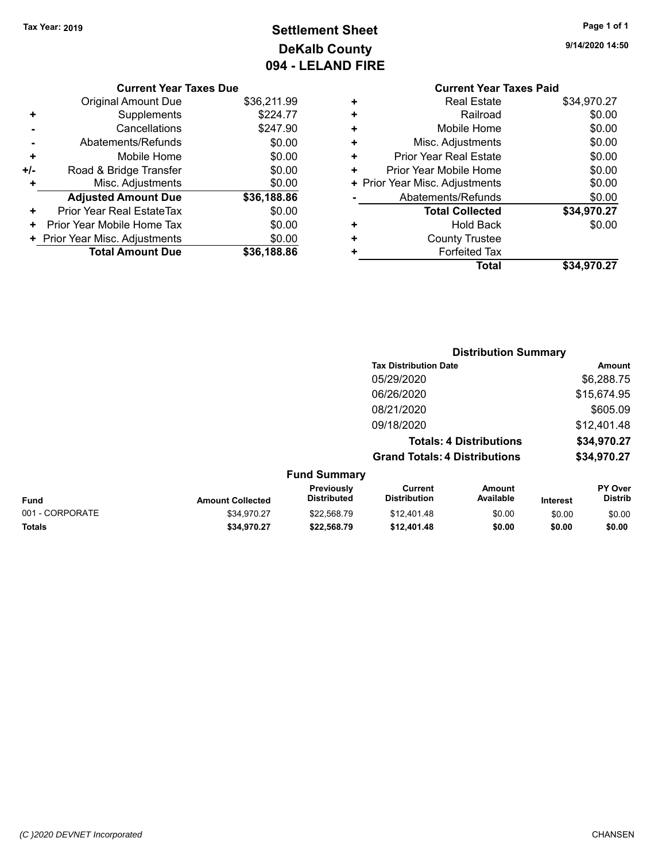## **Settlement Sheet Tax Year: 2019 Page 1 of 1 DeKalb County 094 - LELAND FIRE**

**9/14/2020 14:50**

| <b>Current Year Taxes Due</b> |  |  |
|-------------------------------|--|--|

|       | <b>Original Amount Due</b>     | \$36,211.99 |
|-------|--------------------------------|-------------|
| ٠     | Supplements                    | \$224.77    |
|       | Cancellations                  | \$247.90    |
|       | Abatements/Refunds             | \$0.00      |
| ٠     | Mobile Home                    | \$0.00      |
| $+/-$ | Road & Bridge Transfer         | \$0.00      |
| ٠     | Misc. Adjustments              | \$0.00      |
|       | <b>Adjusted Amount Due</b>     | \$36,188.86 |
| ٠     | Prior Year Real EstateTax      | \$0.00      |
| ٠     | Prior Year Mobile Home Tax     | \$0.00      |
|       | + Prior Year Misc. Adjustments | \$0.00      |
|       | <b>Total Amount Due</b>        | \$36,188.86 |

|   | <b>Current Year Taxes Paid</b> |             |
|---|--------------------------------|-------------|
| ٠ | <b>Real Estate</b>             | \$34,970.27 |
| ٠ | Railroad                       | \$0.00      |
| ٠ | Mobile Home                    | \$0.00      |
| ٠ | Misc. Adjustments              | \$0.00      |
| ٠ | <b>Prior Year Real Estate</b>  | \$0.00      |
| ٠ | Prior Year Mobile Home         | \$0.00      |
|   | + Prior Year Misc. Adjustments | \$0.00      |
|   | Abatements/Refunds             | \$0.00      |
|   | <b>Total Collected</b>         | \$34,970.27 |
| ٠ | Hold Back                      | \$0.00      |
| ٠ | <b>County Trustee</b>          |             |
|   | <b>Forfeited Tax</b>           |             |
|   | Total                          | \$34,970.27 |
|   |                                |             |

|                 |                         |                                  |                                       | <b>Distribution Summary</b> |                 |                           |
|-----------------|-------------------------|----------------------------------|---------------------------------------|-----------------------------|-----------------|---------------------------|
|                 |                         |                                  | <b>Tax Distribution Date</b>          |                             |                 | Amount                    |
|                 |                         |                                  | 05/29/2020                            |                             |                 | \$6,288.75                |
|                 |                         |                                  | 06/26/2020                            |                             |                 | \$15,674.95               |
|                 |                         |                                  | 08/21/2020                            |                             |                 | \$605.09                  |
|                 |                         |                                  | 09/18/2020                            |                             |                 | \$12,401.48               |
|                 |                         | <b>Totals: 4 Distributions</b>   |                                       | \$34,970.27                 |                 |                           |
|                 |                         |                                  | <b>Grand Totals: 4 Distributions</b>  |                             | \$34,970.27     |                           |
|                 |                         | <b>Fund Summary</b>              |                                       |                             |                 |                           |
| <b>Fund</b>     | <b>Amount Collected</b> | Previously<br><b>Distributed</b> | <b>Current</b><br><b>Distribution</b> | Amount<br>Available         | <b>Interest</b> | PY Over<br><b>Distrib</b> |
| 001 - CORPORATE | \$34.970.27             | \$22.568.79                      | \$12,401.48                           | \$0.00                      | \$0.00          | \$0.00                    |
| <b>Totals</b>   | \$34,970.27             | \$22,568.79                      | \$12,401.48                           | \$0.00                      | \$0.00          | \$0.00                    |
|                 |                         |                                  |                                       |                             |                 |                           |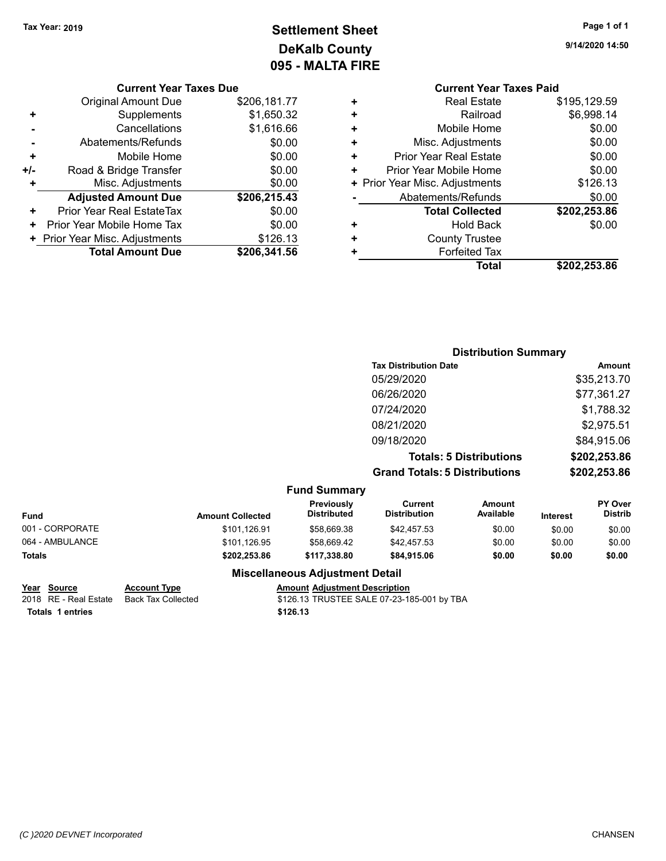## **Settlement Sheet Tax Year: 2019 Page 1 of 1 DeKalb County 095 - MALTA FIRE**

|     | <b>Current Year Taxes Due</b>              |              |  |  |  |  |
|-----|--------------------------------------------|--------------|--|--|--|--|
|     | <b>Original Amount Due</b>                 | \$206,181.77 |  |  |  |  |
| ٠   | Supplements                                | \$1,650.32   |  |  |  |  |
|     | Cancellations                              | \$1,616.66   |  |  |  |  |
|     | Abatements/Refunds                         | \$0.00       |  |  |  |  |
| ٠   | Mobile Home                                | \$0.00       |  |  |  |  |
| +/- | Road & Bridge Transfer                     | \$0.00       |  |  |  |  |
| ÷   | Misc. Adjustments                          | \$0.00       |  |  |  |  |
|     | <b>Adjusted Amount Due</b>                 | \$206,215.43 |  |  |  |  |
| +   | Prior Year Real EstateTax                  | \$0.00       |  |  |  |  |
| ٠   | Prior Year Mobile Home Tax                 | \$0.00       |  |  |  |  |
|     | \$126.13<br>+ Prior Year Misc. Adjustments |              |  |  |  |  |
|     | <b>Total Amount Due</b>                    | \$206,341.56 |  |  |  |  |

**9/14/2020 14:50**

#### **Current Year Taxes Paid +** Real Estate \$195,129.59 **+** Railroad \$6,998.14 **+** Mobile Home \$0.00 **+** Misc. Adjustments \$0.00 **+** Prior Year Real Estate \$0.00 **+** Prior Year Mobile Home \$0.00 **+ Prior Year Misc. Adjustments \$126.13 -** Abatements/Refunds \$0.00 **Total Collected \$202,253.86 +** Hold Back \$0.00 **+** County Trustee **+** Forfeited Tax **Total \$202,253.86**

|                 |                         |                                  | <b>Distribution Summary</b>           |                                |                 |                           |
|-----------------|-------------------------|----------------------------------|---------------------------------------|--------------------------------|-----------------|---------------------------|
|                 |                         |                                  | <b>Tax Distribution Date</b>          |                                |                 | <b>Amount</b>             |
|                 |                         |                                  | 05/29/2020                            |                                |                 | \$35,213.70               |
|                 |                         |                                  | 06/26/2020                            |                                |                 | \$77,361.27               |
|                 |                         |                                  | 07/24/2020                            |                                |                 | \$1,788.32                |
|                 |                         |                                  | 08/21/2020                            |                                |                 | \$2,975.51                |
|                 |                         |                                  | 09/18/2020                            |                                |                 | \$84,915.06               |
|                 |                         |                                  |                                       | <b>Totals: 5 Distributions</b> |                 | \$202,253.86              |
|                 |                         |                                  | <b>Grand Totals: 5 Distributions</b>  |                                |                 | \$202,253.86              |
|                 |                         | <b>Fund Summary</b>              |                                       |                                |                 |                           |
| Fund            | <b>Amount Collected</b> | Previously<br><b>Distributed</b> | <b>Current</b><br><b>Distribution</b> | Amount<br>Available            | <b>Interest</b> | PY Over<br><b>Distrib</b> |
| 001 - CORPORATE | \$101,126.91            | \$58,669.38                      | \$42,457.53                           | \$0.00                         | \$0.00          | \$0.00                    |
| 064 - AMBULANCE | \$101,126.95            | \$58,669.42                      | \$42,457.53                           | \$0.00                         | \$0.00          | \$0.00                    |
| Totals          | \$202,253.86            | \$117,338.80                     | \$84,915.06                           | \$0.00                         | \$0.00          | \$0.00                    |

### **Miscellaneous Adjustment Detail**

|                  | Year Source           | <b>Account Type</b> | <b>Amount Adiustment Description</b>       |
|------------------|-----------------------|---------------------|--------------------------------------------|
|                  | 2018 RE - Real Estate | Back Tax Collected  | \$126.13 TRUSTEE SALE 07-23-185-001 by TBA |
| Totals 1 entries |                       |                     | \$126.13                                   |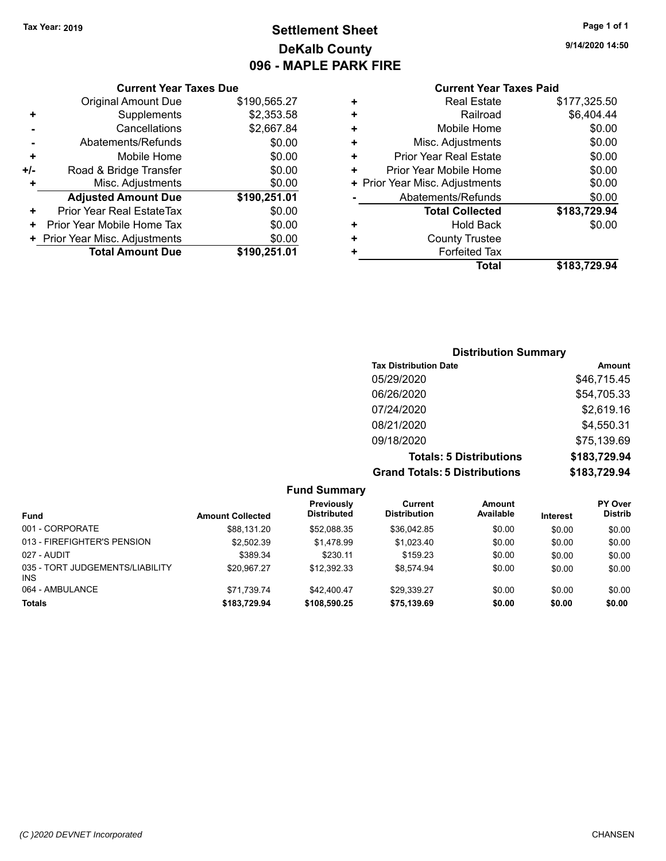### **Settlement Sheet Tax Year: 2019 Page 1 of 1 DeKalb County 096 - MAPLE PARK FIRE**

**9/14/2020 14:50**

#### **Current Year Taxes Paid**

|     | <b>Current Year Taxes Due</b>    |              |  |  |  |
|-----|----------------------------------|--------------|--|--|--|
|     | <b>Original Amount Due</b>       | \$190,565.27 |  |  |  |
| ÷   | Supplements                      | \$2,353.58   |  |  |  |
|     | Cancellations                    | \$2,667.84   |  |  |  |
|     | Abatements/Refunds               | \$0.00       |  |  |  |
| ÷   | Mobile Home                      | \$0.00       |  |  |  |
| +/- | Road & Bridge Transfer           | \$0.00       |  |  |  |
|     | Misc. Adjustments                | \$0.00       |  |  |  |
|     | <b>Adjusted Amount Due</b>       | \$190,251.01 |  |  |  |
| ÷   | <b>Prior Year Real EstateTax</b> | \$0.00       |  |  |  |
|     | Prior Year Mobile Home Tax       | \$0.00       |  |  |  |
|     | + Prior Year Misc. Adjustments   | \$0.00       |  |  |  |
|     | <b>Total Amount Due</b>          | \$190,251.01 |  |  |  |
|     |                                  |              |  |  |  |

| ٠ | <b>Real Estate</b>             | \$177,325.50 |
|---|--------------------------------|--------------|
| ٠ | Railroad                       | \$6,404.44   |
| ٠ | Mobile Home                    | \$0.00       |
| ٠ | Misc. Adjustments              | \$0.00       |
| ٠ | <b>Prior Year Real Estate</b>  | \$0.00       |
| ٠ | Prior Year Mobile Home         | \$0.00       |
|   | + Prior Year Misc. Adjustments | \$0.00       |
|   | Abatements/Refunds             | \$0.00       |
|   | <b>Total Collected</b>         | \$183,729.94 |
| ٠ | <b>Hold Back</b>               | \$0.00       |
| ٠ | <b>County Trustee</b>          |              |
| ٠ | <b>Forfeited Tax</b>           |              |
|   | Total                          | \$183,729.94 |
|   |                                |              |

### **Distribution Summary Tax Distribution Date Amount** 05/29/2020 \$46,715.45 06/26/2020 \$54,705.33 07/24/2020 \$2,619.16 08/21/2020 \$4,550.31 09/18/2020 \$75,139.69 **Totals: 5 Distributions \$183,729.94 Grand Totals: 5 Distributions \$183,729.94**

| <b>Fund Summary</b>                     |                         |                                         |                                |                     |                 |                                  |
|-----------------------------------------|-------------------------|-----------------------------------------|--------------------------------|---------------------|-----------------|----------------------------------|
| <b>Fund</b>                             | <b>Amount Collected</b> | <b>Previously</b><br><b>Distributed</b> | Current<br><b>Distribution</b> | Amount<br>Available | <b>Interest</b> | <b>PY Over</b><br><b>Distrib</b> |
| 001 - CORPORATE                         | \$88.131.20             | \$52,088.35                             | \$36,042.85                    | \$0.00              | \$0.00          | \$0.00                           |
| 013 - FIREFIGHTER'S PENSION             | \$2.502.39              | \$1.478.99                              | \$1.023.40                     | \$0.00              | \$0.00          | \$0.00                           |
| 027 - AUDIT                             | \$389.34                | \$230.11                                | \$159.23                       | \$0.00              | \$0.00          | \$0.00                           |
| 035 - TORT JUDGEMENTS/LIABILITY<br>INS. | \$20.967.27             | \$12.392.33                             | \$8.574.94                     | \$0.00              | \$0.00          | \$0.00                           |
| 064 - AMBULANCE                         | \$71.739.74             | \$42,400.47                             | \$29,339.27                    | \$0.00              | \$0.00          | \$0.00                           |
| <b>Totals</b>                           | \$183,729.94            | \$108,590.25                            | \$75,139.69                    | \$0.00              | \$0.00          | \$0.00                           |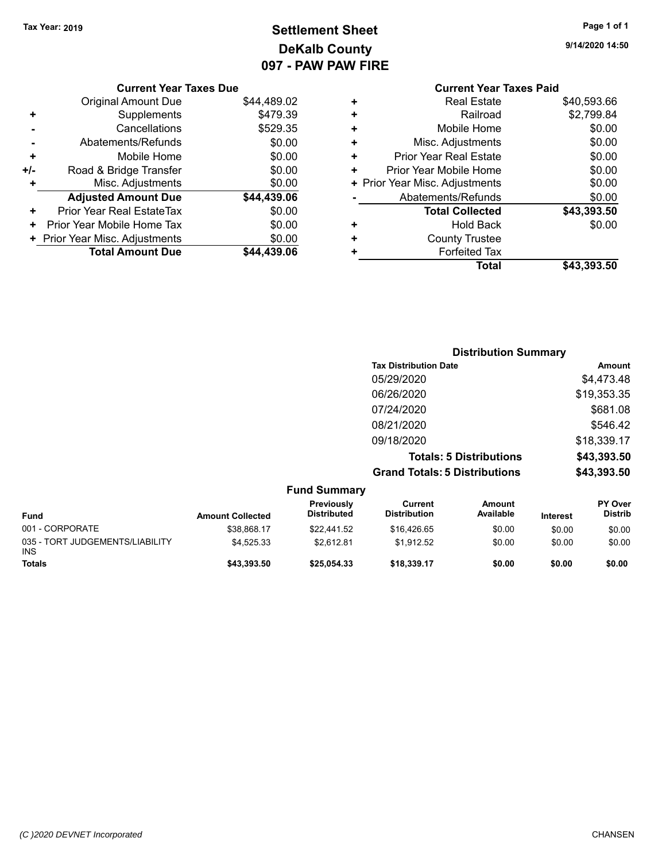## **Settlement Sheet Tax Year: 2019 Page 1 of 1 DeKalb County 097 - PAW PAW FIRE**

**9/14/2020 14:50**

|     | <b>Current Year Taxes Due</b>    |             |  |  |  |
|-----|----------------------------------|-------------|--|--|--|
|     | <b>Original Amount Due</b>       | \$44,489.02 |  |  |  |
| ٠   | Supplements                      | \$479.39    |  |  |  |
|     | Cancellations                    | \$529.35    |  |  |  |
|     | Abatements/Refunds               | \$0.00      |  |  |  |
| ٠   | Mobile Home                      | \$0.00      |  |  |  |
| +/- | Road & Bridge Transfer           | \$0.00      |  |  |  |
| ٠   | Misc. Adjustments                | \$0.00      |  |  |  |
|     | <b>Adjusted Amount Due</b>       | \$44,439.06 |  |  |  |
| +   | <b>Prior Year Real EstateTax</b> | \$0.00      |  |  |  |
| ٠   | Prior Year Mobile Home Tax       | \$0.00      |  |  |  |
|     | + Prior Year Misc. Adjustments   | \$0.00      |  |  |  |
|     | <b>Total Amount Due</b>          | \$44,439.06 |  |  |  |
|     |                                  |             |  |  |  |

### **Current Year Taxes Paid +** Real Estate \$40,593.66 **+** Railroad \$2,799.84 **+** Mobile Home \$0.00 **+** Misc. Adjustments \$0.00 **+** Prior Year Real Estate \$0.00 **+** Prior Year Mobile Home \$0.00 **+ Prior Year Misc. Adjustments**  $$0.00$ **-** Abatements/Refunds \$0.00 **Total Collected \$43,393.50 +** Hold Back \$0.00 **+** County Trustee **+** Forfeited Tax **Total \$43,393.50**

|                                 |                         |                                  |                                       | <b>Distribution Summary</b>    |                 |                                  |
|---------------------------------|-------------------------|----------------------------------|---------------------------------------|--------------------------------|-----------------|----------------------------------|
|                                 |                         |                                  | <b>Tax Distribution Date</b>          |                                |                 | Amount                           |
|                                 |                         |                                  | 05/29/2020                            |                                |                 | \$4,473.48                       |
|                                 |                         |                                  | 06/26/2020                            |                                |                 | \$19,353.35                      |
|                                 |                         |                                  | 07/24/2020                            |                                |                 | \$681.08                         |
|                                 |                         |                                  | 08/21/2020                            |                                |                 | \$546.42                         |
|                                 |                         |                                  | 09/18/2020                            |                                |                 | \$18,339.17                      |
|                                 |                         |                                  |                                       | <b>Totals: 5 Distributions</b> |                 | \$43,393.50                      |
|                                 |                         |                                  | <b>Grand Totals: 5 Distributions</b>  |                                |                 | \$43,393.50                      |
|                                 |                         | <b>Fund Summary</b>              |                                       |                                |                 |                                  |
| <b>Fund</b>                     | <b>Amount Collected</b> | Previously<br><b>Distributed</b> | <b>Current</b><br><b>Distribution</b> | Amount<br>Available            | <b>Interest</b> | <b>PY Over</b><br><b>Distrib</b> |
| 001 - CORPORATE                 | \$38,868.17             | \$22,441.52                      | \$16,426.65                           | \$0.00                         | \$0.00          | \$0.00                           |
| 035 - TORT JUDGEMENTS/LIABILITY | \$4,525.33              | \$2.612.81                       | \$1.912.52                            | \$0.00                         | \$0.00          | \$0.00                           |

**Totals \$43,393.50 \$25,054.33 \$18,339.17 \$0.00 \$0.00 \$0.00**

\$4,525.33 \$2,612.81 \$1,912.52 \$0.00 \$0.00 \$0.00

INS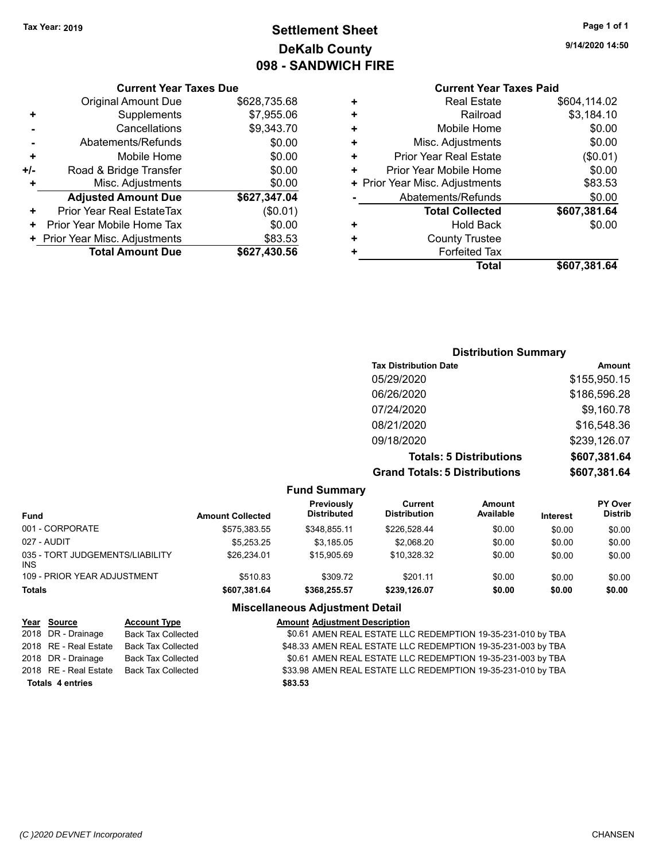## **Settlement Sheet Tax Year: 2019 Page 1 of 1 DeKalb County 098 - SANDWICH FIRE**

**9/14/2020 14:50**

## **Current Year Taxes Paid**

|   |                                | TUUL TUAUJ LUIU |
|---|--------------------------------|-----------------|
| ٠ | <b>Real Estate</b>             | \$604,114.02    |
| ٠ | Railroad                       | \$3,184.10      |
| ٠ | Mobile Home                    | \$0.00          |
| ٠ | Misc. Adjustments              | \$0.00          |
| ٠ | Prior Year Real Estate         | (\$0.01)        |
| ٠ | Prior Year Mobile Home         | \$0.00          |
|   | + Prior Year Misc. Adjustments | \$83.53         |
|   | Abatements/Refunds             | \$0.00          |
|   | <b>Total Collected</b>         | \$607,381.64    |
| ٠ | <b>Hold Back</b>               | \$0.00          |
| ٠ | <b>County Trustee</b>          |                 |
|   | <b>Forfeited Tax</b>           |                 |
|   | Total                          | \$607,381.64    |
|   |                                |                 |

|     | <b>Current Year Taxes Due</b>  |              |  |  |  |
|-----|--------------------------------|--------------|--|--|--|
|     | <b>Original Amount Due</b>     | \$628,735.68 |  |  |  |
| ٠   | Supplements                    | \$7,955.06   |  |  |  |
|     | Cancellations                  | \$9,343.70   |  |  |  |
|     | Abatements/Refunds             | \$0.00       |  |  |  |
| ٠   | Mobile Home                    | \$0.00       |  |  |  |
| +/- | Road & Bridge Transfer         | \$0.00       |  |  |  |
| ٠   | Misc. Adjustments              | \$0.00       |  |  |  |
|     | <b>Adjusted Amount Due</b>     | \$627,347.04 |  |  |  |
| +   | Prior Year Real EstateTax      | (\$0.01)     |  |  |  |
| ٠   | Prior Year Mobile Home Tax     | \$0.00       |  |  |  |
|     | + Prior Year Misc. Adjustments | \$83.53      |  |  |  |
|     | <b>Total Amount Due</b>        | \$627,430.56 |  |  |  |

| <b>Distribution Summary</b>          |              |  |  |  |
|--------------------------------------|--------------|--|--|--|
| <b>Tax Distribution Date</b>         | Amount       |  |  |  |
| 05/29/2020                           | \$155,950.15 |  |  |  |
| 06/26/2020                           | \$186,596.28 |  |  |  |
| 07/24/2020                           | \$9,160.78   |  |  |  |
| 08/21/2020                           | \$16,548.36  |  |  |  |
| 09/18/2020                           | \$239,126.07 |  |  |  |
| <b>Totals: 5 Distributions</b>       | \$607,381.64 |  |  |  |
| <b>Grand Totals: 5 Distributions</b> | \$607,381.64 |  |  |  |

|                                               |                         | <b>Fund Summary</b>              |                                |                     |                 |                           |
|-----------------------------------------------|-------------------------|----------------------------------|--------------------------------|---------------------|-----------------|---------------------------|
| <b>Fund</b>                                   | <b>Amount Collected</b> | <b>Previously</b><br>Distributed | Current<br><b>Distribution</b> | Amount<br>Available | <b>Interest</b> | PY Over<br><b>Distrib</b> |
| 001 - CORPORATE                               | \$575,383.55            | \$348.855.11                     | \$226.528.44                   | \$0.00              | \$0.00          | \$0.00                    |
| 027 - AUDIT                                   | \$5.253.25              | \$3.185.05                       | \$2.068.20                     | \$0.00              | \$0.00          | \$0.00                    |
| 035 - TORT JUDGEMENTS/LIABILITY<br><b>INS</b> | \$26.234.01             | \$15,905.69                      | \$10.328.32                    | \$0.00              | \$0.00          | \$0.00                    |
| 109 - PRIOR YEAR ADJUSTMENT                   | \$510.83                | \$309.72                         | \$201.11                       | \$0.00              | \$0.00          | \$0.00                    |
| <b>Totals</b>                                 | \$607.381.64            | \$368,255.57                     | \$239,126.07                   | \$0.00              | \$0.00          | \$0.00                    |
|                                               |                         | Miccollanoous Adiustmont Dotail  |                                |                     |                 |                           |

#### **Miscellaneous Adjustment Detail**

| Year Source             | <b>Account Type</b>       | <b>Amount Adjustment Description</b>                         |
|-------------------------|---------------------------|--------------------------------------------------------------|
| 2018 DR - Drainage      | <b>Back Tax Collected</b> | \$0.61 AMEN REAL ESTATE LLC REDEMPTION 19-35-231-010 by TBA  |
| 2018 RE - Real Estate   | Back Tax Collected        | \$48.33 AMEN REAL ESTATE LLC REDEMPTION 19-35-231-003 by TBA |
| 2018 DR - Drainage      | <b>Back Tax Collected</b> | \$0.61 AMEN REAL ESTATE LLC REDEMPTION 19-35-231-003 by TBA  |
| 2018 RE - Real Estate   | Back Tax Collected        | \$33.98 AMEN REAL ESTATE LLC REDEMPTION 19-35-231-010 by TBA |
| <b>Totals 4 entries</b> |                           | \$83.53                                                      |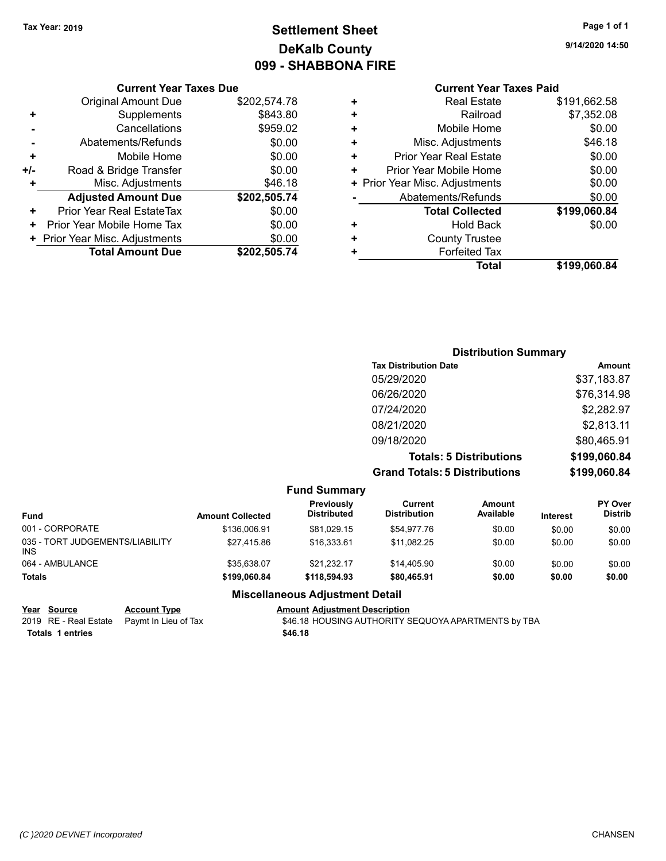## **Settlement Sheet Tax Year: 2019 Page 1 of 1 DeKalb County 099 - SHABBONA FIRE**

#### **Current Year Taxes Due**

|     | <b>Original Amount Due</b>       | \$202,574.78 |
|-----|----------------------------------|--------------|
|     | Supplements                      | \$843.80     |
|     | Cancellations                    | \$959.02     |
|     | Abatements/Refunds               | \$0.00       |
| ٠   | Mobile Home                      | \$0.00       |
| +/- | Road & Bridge Transfer           | \$0.00       |
| ٠   | Misc. Adjustments                | \$46.18      |
|     | <b>Adjusted Amount Due</b>       | \$202,505.74 |
| ٠   | <b>Prior Year Real EstateTax</b> | \$0.00       |
|     | Prior Year Mobile Home Tax       | \$0.00       |
|     | + Prior Year Misc. Adjustments   | \$0.00       |
|     | <b>Total Amount Due</b>          | \$202,505.74 |

### **Current Year Taxes Paid**

|   | <b>Real Estate</b>             | \$191,662.58 |
|---|--------------------------------|--------------|
| ٠ | Railroad                       | \$7,352.08   |
| ٠ | Mobile Home                    | \$0.00       |
| ٠ | Misc. Adjustments              | \$46.18      |
| ٠ | <b>Prior Year Real Estate</b>  | \$0.00       |
| ٠ | Prior Year Mobile Home         | \$0.00       |
|   | + Prior Year Misc. Adjustments | \$0.00       |
|   | Abatements/Refunds             | \$0.00       |
|   | <b>Total Collected</b>         | \$199,060.84 |
| ٠ | <b>Hold Back</b>               | \$0.00       |
| ٠ | <b>County Trustee</b>          |              |
| ٠ | <b>Forfeited Tax</b>           |              |
|   | <b>Total</b>                   | \$199,060.84 |
|   |                                |              |

#### **Distribution Summary Tax Distribution Date Amount** 05/29/2020 \$37,183.87 06/26/2020 \$76,314.98 07/24/2020 \$2,282.97 08/21/2020 \$2,813.11 09/18/2020 \$80,465.91 **Totals: 5 Distributions \$199,060.84 Grand Totals: 5 Distributions \$199,060.84**

**Fund Summary Fund Interest Amount Collected Distributed PY Over Distrib Amount Available Current Distribution Previously** 001 - CORPORATE \$136,006.91 \$81,029.15 \$54,977.76 \$0.00 \$0.00 \$0.00 035 - TORT JUDGEMENTS/LIABILITY INS \$27,415.86 \$16,333.61 \$11,082.25 \$0.00 \$0.00 \$0.00 064 - AMBULANCE \$35,638.07 \$21,232.17 \$14,405.90 \$0.00 \$0.00 \$0.00 **Totals \$199,060.84 \$118,594.93 \$80,465.91 \$0.00 \$0.00 \$0.00 Miscellaneous Adjustment Detail Year** Source **Account Type A** Account Adjustment Description

2019 RE - Real Estate Paymt In Lieu of Tax \$46.18 HOUSING AUTHORITY SEQUOYA APARTMENTS by TBA **Totals \$46.18 1 entries**

**9/14/2020 14:50**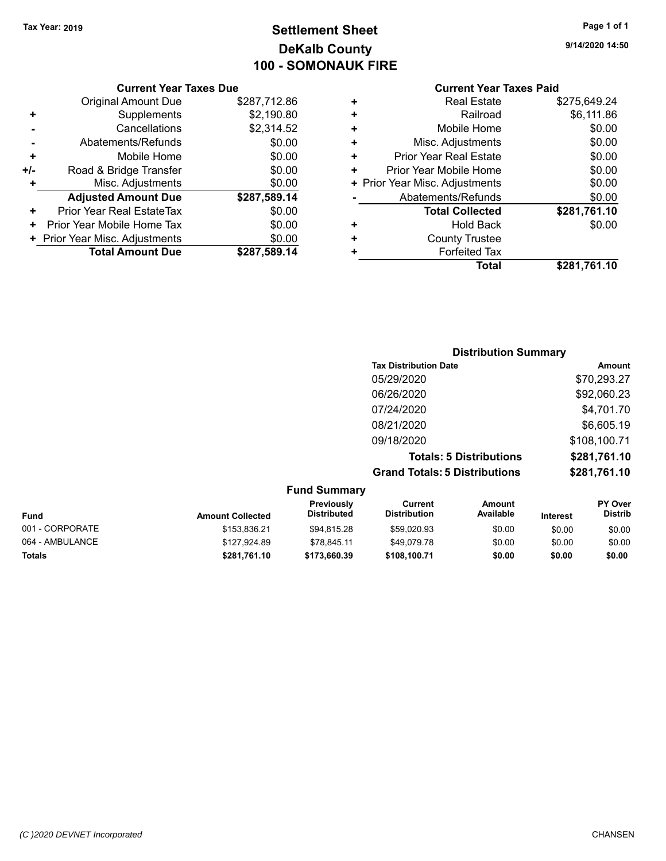## **Settlement Sheet Tax Year: 2019 Page 1 of 1 DeKalb County 100 - SOMONAUK FIRE**

**9/14/2020 14:50**

#### **Current Year Taxes Paid**

| <b>Current Year Taxes Due</b> |                                |  |  |  |
|-------------------------------|--------------------------------|--|--|--|
| <b>Original Amount Due</b>    | \$287,712.86                   |  |  |  |
| Supplements                   | \$2,190.80                     |  |  |  |
| Cancellations                 | \$2,314.52                     |  |  |  |
| Abatements/Refunds            | \$0.00                         |  |  |  |
| Mobile Home                   | \$0.00                         |  |  |  |
| Road & Bridge Transfer        | \$0.00                         |  |  |  |
| Misc. Adjustments             | \$0.00                         |  |  |  |
| <b>Adjusted Amount Due</b>    | \$287,589.14                   |  |  |  |
| Prior Year Real EstateTax     | \$0.00                         |  |  |  |
| Prior Year Mobile Home Tax    | \$0.00                         |  |  |  |
|                               | \$0.00                         |  |  |  |
| <b>Total Amount Due</b>       | \$287,589.14                   |  |  |  |
|                               | + Prior Year Misc. Adjustments |  |  |  |

| ٠ | <b>Real Estate</b>             | \$275,649.24 |
|---|--------------------------------|--------------|
| ٠ | Railroad                       | \$6,111.86   |
| ٠ | Mobile Home                    | \$0.00       |
| ٠ | Misc. Adjustments              | \$0.00       |
| ٠ | <b>Prior Year Real Estate</b>  | \$0.00       |
| ٠ | Prior Year Mobile Home         | \$0.00       |
|   | + Prior Year Misc. Adjustments | \$0.00       |
|   | Abatements/Refunds             | \$0.00       |
|   | <b>Total Collected</b>         | \$281,761.10 |
| ٠ | <b>Hold Back</b>               | \$0.00       |
| ÷ | <b>County Trustee</b>          |              |
| ٠ | <b>Forfeited Tax</b>           |              |
|   | Total                          | \$281,761.10 |
|   |                                |              |

| <b>Distribution Summary</b>          |              |
|--------------------------------------|--------------|
| <b>Tax Distribution Date</b>         | Amount       |
| 05/29/2020                           | \$70,293.27  |
| 06/26/2020                           | \$92,060.23  |
| 07/24/2020                           | \$4,701.70   |
| 08/21/2020                           | \$6,605.19   |
| 09/18/2020                           | \$108,100.71 |
| <b>Totals: 5 Distributions</b>       | \$281,761.10 |
| <b>Grand Totals: 5 Distributions</b> | \$281,761.10 |

| <b>Fund Summary</b> |                         |                           |                                |                            |                 |                                  |
|---------------------|-------------------------|---------------------------|--------------------------------|----------------------------|-----------------|----------------------------------|
| <b>Fund</b>         | <b>Amount Collected</b> | Previously<br>Distributed | Current<br><b>Distribution</b> | <b>Amount</b><br>Available | <b>Interest</b> | <b>PY Over</b><br><b>Distrib</b> |
| 001 - CORPORATE     | \$153.836.21            | \$94.815.28               | \$59.020.93                    | \$0.00                     | \$0.00          | \$0.00                           |
| 064 - AMBULANCE     | \$127,924.89            | \$78.845.11               | \$49.079.78                    | \$0.00                     | \$0.00          | \$0.00                           |
| <b>Totals</b>       | \$281,761.10            | \$173,660.39              | \$108.100.71                   | \$0.00                     | \$0.00          | \$0.00                           |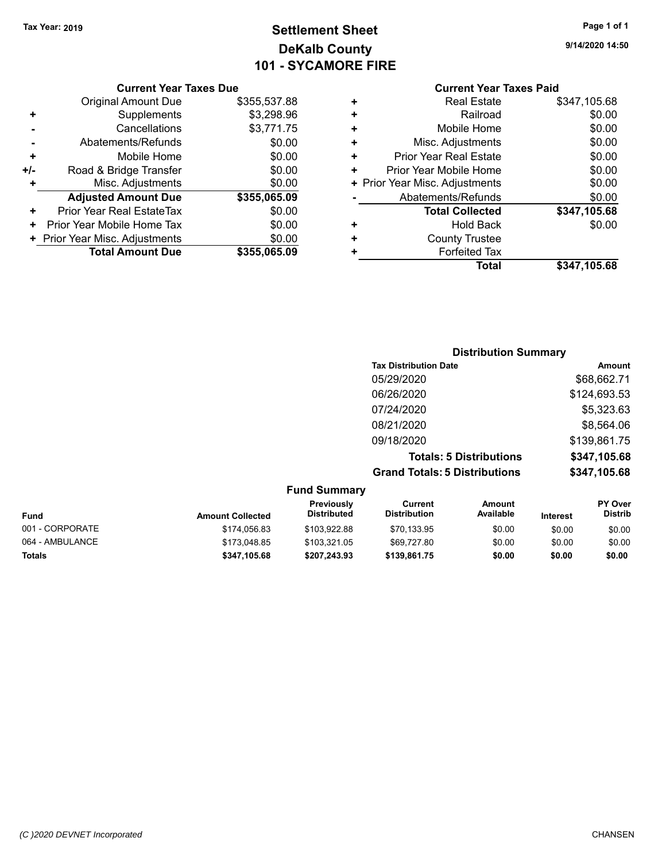## **Settlement Sheet Tax Year: 2019 Page 1 of 1 DeKalb County 101 - SYCAMORE FIRE**

**9/14/2020 14:50**

### **Current Year Taxes Paid**

|     | <b>Current Year Taxes Due</b>  |              |  |  |  |
|-----|--------------------------------|--------------|--|--|--|
|     | <b>Original Amount Due</b>     | \$355,537.88 |  |  |  |
| ٠   | Supplements                    | \$3,298.96   |  |  |  |
|     | Cancellations                  | \$3,771.75   |  |  |  |
|     | Abatements/Refunds             | \$0.00       |  |  |  |
| ٠   | Mobile Home                    | \$0.00       |  |  |  |
| +/- | Road & Bridge Transfer         | \$0.00       |  |  |  |
| ٠   | Misc. Adjustments              | \$0.00       |  |  |  |
|     | <b>Adjusted Amount Due</b>     | \$355,065.09 |  |  |  |
| +   | Prior Year Real EstateTax      | \$0.00       |  |  |  |
| ٠   | Prior Year Mobile Home Tax     | \$0.00       |  |  |  |
|     | + Prior Year Misc. Adjustments | \$0.00       |  |  |  |
|     | <b>Total Amount Due</b>        | \$355,065,09 |  |  |  |
|     |                                |              |  |  |  |

|   | <b>Real Estate</b>             | \$347,105.68 |
|---|--------------------------------|--------------|
| ٠ | Railroad                       | \$0.00       |
| ٠ | Mobile Home                    | \$0.00       |
| ٠ | Misc. Adjustments              | \$0.00       |
| ٠ | <b>Prior Year Real Estate</b>  | \$0.00       |
| ٠ | Prior Year Mobile Home         | \$0.00       |
|   | + Prior Year Misc. Adjustments | \$0.00       |
|   | Abatements/Refunds             | \$0.00       |
|   | <b>Total Collected</b>         | \$347,105.68 |
| ٠ | Hold Back                      | \$0.00       |
| ٠ | <b>County Trustee</b>          |              |
| ٠ | <b>Forfeited Tax</b>           |              |
|   | Total                          | \$347,105.68 |
|   |                                |              |

| <b>Distribution Summary</b>          |              |
|--------------------------------------|--------------|
| <b>Tax Distribution Date</b>         | Amount       |
| 05/29/2020                           | \$68,662.71  |
| 06/26/2020                           | \$124,693.53 |
| 07/24/2020                           | \$5,323.63   |
| 08/21/2020                           | \$8,564.06   |
| 09/18/2020                           | \$139,861.75 |
| <b>Totals: 5 Distributions</b>       | \$347,105.68 |
| <b>Grand Totals: 5 Distributions</b> | \$347,105.68 |

| <b>Fund Summary</b> |                         |                                         |                                |                     |                 |                                  |
|---------------------|-------------------------|-----------------------------------------|--------------------------------|---------------------|-----------------|----------------------------------|
| <b>Fund</b>         | <b>Amount Collected</b> | <b>Previously</b><br><b>Distributed</b> | Current<br><b>Distribution</b> | Amount<br>Available | <b>Interest</b> | <b>PY Over</b><br><b>Distrib</b> |
| 001 - CORPORATE     | \$174,056.83            | \$103.922.88                            | \$70,133.95                    | \$0.00              | \$0.00          | \$0.00                           |
| 064 - AMBULANCE     | \$173,048.85            | \$103.321.05                            | \$69,727.80                    | \$0.00              | \$0.00          | \$0.00                           |
| <b>Totals</b>       | \$347,105.68            | \$207,243.93                            | \$139,861.75                   | \$0.00              | \$0.00          | \$0.00                           |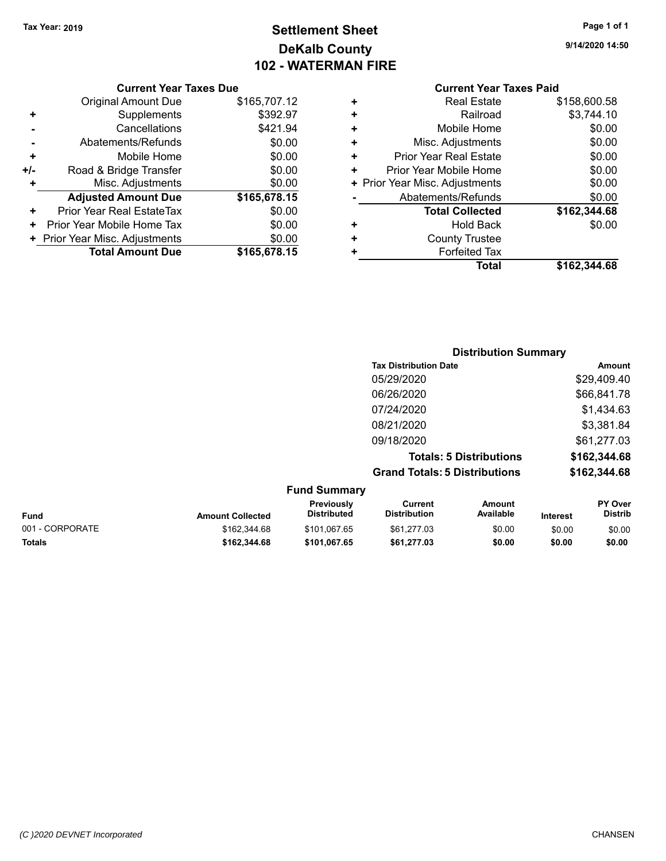**Current Year Taxes Due**

### **Settlement Sheet Tax Year: 2019 Page 1 of 1 DeKalb County 102 - WATERMAN FIRE**

|                      | <b>Current Year Taxes Due</b>  |              |    | <b>Current Year Taxes Paid</b> |              |
|----------------------|--------------------------------|--------------|----|--------------------------------|--------------|
|                      | Original Amount Due            | \$165,707.12 | ÷  | <b>Real Estate</b>             | \$158,600.58 |
| $\ddot{}$            | Supplements                    | \$392.97     | ÷  | Railroad                       | \$3,744.10   |
|                      | Cancellations                  | \$421.94     | ٠  | Mobile Home                    | \$0.00       |
|                      | Abatements/Refunds             | \$0.00       | ÷  | Misc. Adjustments              | \$0.00       |
| ÷                    | Mobile Home                    | \$0.00       | ÷. | <b>Prior Year Real Estate</b>  | \$0.00       |
| I-                   | Road & Bridge Transfer         | \$0.00       | ÷. | Prior Year Mobile Home         | \$0.00       |
| ÷                    | Misc. Adjustments              | \$0.00       |    | + Prior Year Misc. Adjustments | \$0.00       |
|                      | <b>Adjusted Amount Due</b>     | \$165,678.15 |    | Abatements/Refunds             | \$0.00       |
| $\ddot{\phantom{1}}$ | Prior Year Real EstateTax      | \$0.00       |    | <b>Total Collected</b>         | \$162,344.68 |
|                      | + Prior Year Mobile Home Tax   | \$0.00       | ÷  | <b>Hold Back</b>               | \$0.00       |
|                      | + Prior Year Misc. Adjustments | \$0.00       | ÷  | <b>County Trustee</b>          |              |
|                      | <b>Total Amount Due</b>        | \$165,678.15 |    | <b>Forfeited Tax</b>           |              |
|                      |                                |              |    | Total                          | \$162,344.68 |

|                 |                         |                                  |                                      | <b>Distribution Summary</b>    |                 |                           |
|-----------------|-------------------------|----------------------------------|--------------------------------------|--------------------------------|-----------------|---------------------------|
|                 |                         |                                  | <b>Tax Distribution Date</b>         |                                |                 | Amount                    |
|                 |                         |                                  | 05/29/2020                           |                                |                 | \$29,409.40               |
|                 |                         |                                  | 06/26/2020                           |                                |                 | \$66,841.78               |
|                 |                         |                                  | 07/24/2020                           |                                |                 | \$1,434.63                |
|                 |                         |                                  | 08/21/2020                           |                                |                 | \$3,381.84                |
|                 |                         |                                  | 09/18/2020                           |                                |                 | \$61,277.03               |
|                 |                         |                                  |                                      | <b>Totals: 5 Distributions</b> |                 | \$162,344.68              |
|                 |                         |                                  | <b>Grand Totals: 5 Distributions</b> |                                |                 | \$162,344.68              |
|                 |                         | <b>Fund Summary</b>              |                                      |                                |                 |                           |
| <b>Fund</b>     | <b>Amount Collected</b> | Previously<br><b>Distributed</b> | Current<br><b>Distribution</b>       | <b>Amount</b><br>Available     | <b>Interest</b> | PY Over<br><b>Distrib</b> |
| 001 - CORPORATE | \$162.344.68            | \$101,067.65                     | \$61,277.03                          | \$0.00                         | \$0.00          | \$0.00                    |

**Totals \$162,344.68 \$101,067.65 \$61,277.03 \$0.00 \$0.00 \$0.00**

**9/14/2020 14:50**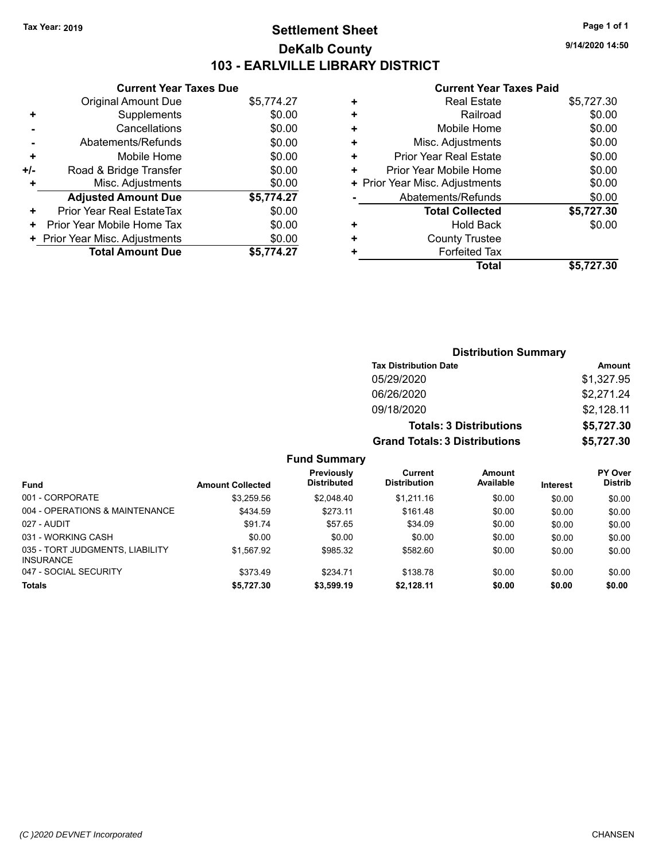### **Settlement Sheet Tax Year: 2019 Page 1 of 1 DeKalb County 103 - EARLVILLE LIBRARY DISTRICT**

**9/14/2020 14:50**

#### **Current Year Taxes Paid**

|     | <b>Current Year Taxes Due</b>  |            |
|-----|--------------------------------|------------|
|     | Original Amount Due            | \$5,774.27 |
| ٠   | Supplements                    | \$0.00     |
|     | Cancellations                  | \$0.00     |
| -   | Abatements/Refunds             | \$0.00     |
| ٠   | Mobile Home                    | \$0.00     |
| +/- | Road & Bridge Transfer         | \$0.00     |
|     | Misc. Adjustments              | \$0.00     |
|     | <b>Adjusted Amount Due</b>     | \$5,774.27 |
| ٠   | Prior Year Real EstateTax      | \$0.00     |
| ٠   | Prior Year Mobile Home Tax     | \$0.00     |
|     | + Prior Year Misc. Adjustments | \$0.00     |
|     | <b>Total Amount Due</b>        | \$5,774.27 |
|     |                                |            |

| <b>Real Estate</b>     | \$5,727.30                     |
|------------------------|--------------------------------|
| Railroad               | \$0.00                         |
| Mobile Home            | \$0.00                         |
| Misc. Adjustments      | \$0.00                         |
| Prior Year Real Estate | \$0.00                         |
| Prior Year Mobile Home | \$0.00                         |
|                        | \$0.00                         |
| Abatements/Refunds     | \$0.00                         |
| <b>Total Collected</b> | \$5,727.30                     |
| Hold Back              | \$0.00                         |
| <b>County Trustee</b>  |                                |
| <b>Forfeited Tax</b>   |                                |
| <b>Total</b>           | \$5,727.30                     |
|                        | + Prior Year Misc. Adjustments |

| <b>Distribution Summary</b>          |            |
|--------------------------------------|------------|
| <b>Tax Distribution Date</b>         | Amount     |
| 05/29/2020                           | \$1,327.95 |
| 06/26/2020                           | \$2,271.24 |
| 09/18/2020                           | \$2,128.11 |
| <b>Totals: 3 Distributions</b>       | \$5,727.30 |
| <b>Grand Totals: 3 Distributions</b> | \$5,727.30 |

**Fund Summary**

|                                                     |                         | Previously         | Current             | Amount    |                 | <b>PY Over</b> |
|-----------------------------------------------------|-------------------------|--------------------|---------------------|-----------|-----------------|----------------|
| <b>Fund</b>                                         | <b>Amount Collected</b> | <b>Distributed</b> | <b>Distribution</b> | Available | <b>Interest</b> | <b>Distrib</b> |
| 001 - CORPORATE                                     | \$3.259.56              | \$2,048.40         | \$1.211.16          | \$0.00    | \$0.00          | \$0.00         |
| 004 - OPERATIONS & MAINTENANCE                      | \$434.59                | \$273.11           | \$161.48            | \$0.00    | \$0.00          | \$0.00         |
| 027 - AUDIT                                         | \$91.74                 | \$57.65            | \$34.09             | \$0.00    | \$0.00          | \$0.00         |
| 031 - WORKING CASH                                  | \$0.00                  | \$0.00             | \$0.00              | \$0.00    | \$0.00          | \$0.00         |
| 035 - TORT JUDGMENTS, LIABILITY<br><b>INSURANCE</b> | \$1,567.92              | \$985.32           | \$582.60            | \$0.00    | \$0.00          | \$0.00         |
| 047 - SOCIAL SECURITY                               | \$373.49                | \$234.71           | \$138.78            | \$0.00    | \$0.00          | \$0.00         |
| Totals                                              | \$5,727.30              | \$3,599.19         | \$2,128.11          | \$0.00    | \$0.00          | \$0.00         |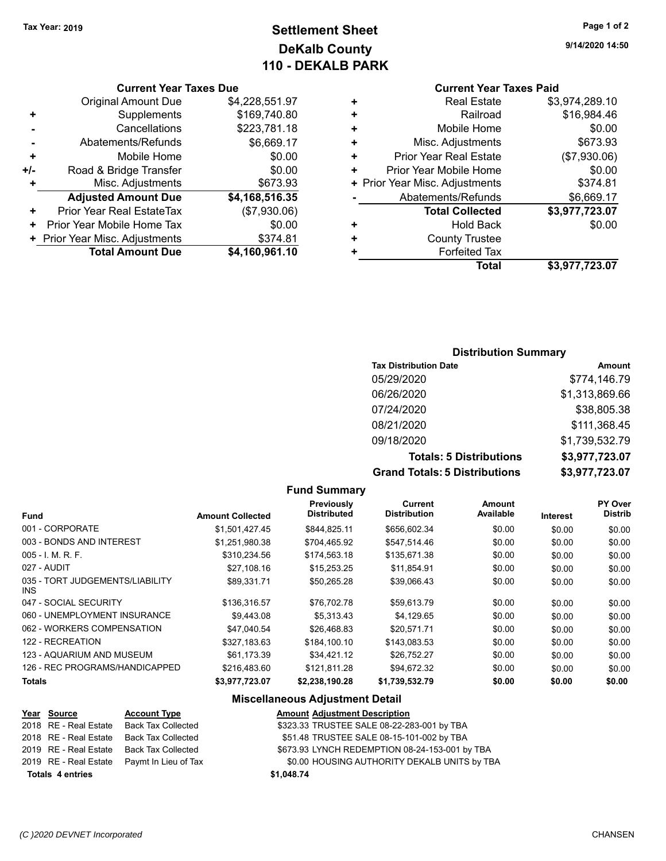## **Settlement Sheet Tax Year: 2019 Page 1 of 2 DeKalb County 110 - DEKALB PARK**

**Current Year Taxes Due**

|       | <b>Total Amount Due</b>          | \$4,160,961.10 |
|-------|----------------------------------|----------------|
|       | + Prior Year Misc. Adjustments   | \$374.81       |
|       | Prior Year Mobile Home Tax       | \$0.00         |
| ÷     | <b>Prior Year Real EstateTax</b> | (\$7,930.06)   |
|       | <b>Adjusted Amount Due</b>       | \$4,168,516.35 |
| ٠     | Misc. Adjustments                | \$673.93       |
| $+/-$ | Road & Bridge Transfer           | \$0.00         |
| ٠     | Mobile Home                      | \$0.00         |
|       | Abatements/Refunds               | \$6,669.17     |
|       | Cancellations                    | \$223,781.18   |
| ٠     | Supplements                      | \$169,740.80   |
|       | <b>Original Amount Due</b>       | \$4,228,551.97 |
|       |                                  |                |

| \$3,974,289.10 |
|----------------|
| \$16,984.46    |
| \$0.00         |
| \$673.93       |
| (\$7,930.06)   |
| \$0.00         |
| \$374.81       |
| \$6,669.17     |
| \$3,977,723.07 |
| \$0.00         |
|                |
|                |
| \$3,977,723.07 |
|                |

#### **Distribution Summary**

| <b>Tax Distribution Date</b>         | <b>Amount</b>  |
|--------------------------------------|----------------|
| 05/29/2020                           | \$774,146.79   |
| 06/26/2020                           | \$1,313,869.66 |
| 07/24/2020                           | \$38,805.38    |
| 08/21/2020                           | \$111,368.45   |
| 09/18/2020                           | \$1,739,532.79 |
| <b>Totals: 5 Distributions</b>       | \$3,977,723.07 |
| <b>Grand Totals: 5 Distributions</b> | \$3,977,723.07 |

**Fund Summary**

| <b>Fund</b>                             | <b>Amount Collected</b> | Previously<br><b>Distributed</b> | Current<br><b>Distribution</b> | <b>Amount</b><br>Available | Interest | PY Over<br><b>Distrib</b> |
|-----------------------------------------|-------------------------|----------------------------------|--------------------------------|----------------------------|----------|---------------------------|
| 001 - CORPORATE                         | \$1.501.427.45          | \$844.825.11                     | \$656,602.34                   | \$0.00                     | \$0.00   | \$0.00                    |
| 003 - BONDS AND INTEREST                | \$1,251,980.38          | \$704.465.92                     | \$547.514.46                   | \$0.00                     | \$0.00   | \$0.00                    |
| $005 - I. M. R. F.$                     | \$310.234.56            | \$174.563.18                     | \$135,671.38                   | \$0.00                     | \$0.00   | \$0.00                    |
| 027 - AUDIT                             | \$27.108.16             | \$15,253.25                      | \$11.854.91                    | \$0.00                     | \$0.00   | \$0.00                    |
| 035 - TORT JUDGEMENTS/LIABILITY<br>INS. | \$89.331.71             | \$50.265.28                      | \$39.066.43                    | \$0.00                     | \$0.00   | \$0.00                    |
| 047 - SOCIAL SECURITY                   | \$136,316.57            | \$76,702.78                      | \$59,613.79                    | \$0.00                     | \$0.00   | \$0.00                    |
| 060 - UNEMPLOYMENT INSURANCE            | \$9,443.08              | \$5.313.43                       | \$4,129.65                     | \$0.00                     | \$0.00   | \$0.00                    |
| 062 - WORKERS COMPENSATION              | \$47,040.54             | \$26,468.83                      | \$20,571.71                    | \$0.00                     | \$0.00   | \$0.00                    |
| 122 - RECREATION                        | \$327,183.63            | \$184,100.10                     | \$143,083.53                   | \$0.00                     | \$0.00   | \$0.00                    |
| 123 - AQUARIUM AND MUSEUM               | \$61,173.39             | \$34,421.12                      | \$26,752.27                    | \$0.00                     | \$0.00   | \$0.00                    |
| 126 - REC PROGRAMS/HANDICAPPED          | \$216,483.60            | \$121.811.28                     | \$94,672.32                    | \$0.00                     | \$0.00   | \$0.00                    |
| <b>Totals</b>                           | \$3,977,723.07          | \$2,238,190.28                   | \$1,739,532.79                 | \$0.00                     | \$0.00   | \$0.00                    |

#### **Miscellaneous Adjustment Detail**

|                         | <u>Year Source</u>    | <b>Account Type</b>                        | <b>Amount Adjustment Description</b>           |
|-------------------------|-----------------------|--------------------------------------------|------------------------------------------------|
|                         | 2018 RE - Real Estate | Back Tax Collected                         | \$323.33 TRUSTEE SALE 08-22-283-001 by TBA     |
|                         |                       | 2018 RE - Real Estate Back Tax Collected   | \$51.48 TRUSTEE SALE 08-15-101-002 by TBA      |
|                         |                       | 2019 RE - Real Estate Back Tax Collected   | \$673.93 LYNCH REDEMPTION 08-24-153-001 by TBA |
|                         |                       | 2019 RE - Real Estate Paymt In Lieu of Tax | \$0.00 HOUSING AUTHORITY DEKALB UNITS by TBA   |
| <b>Totals 4 entries</b> |                       |                                            | \$1,048.74                                     |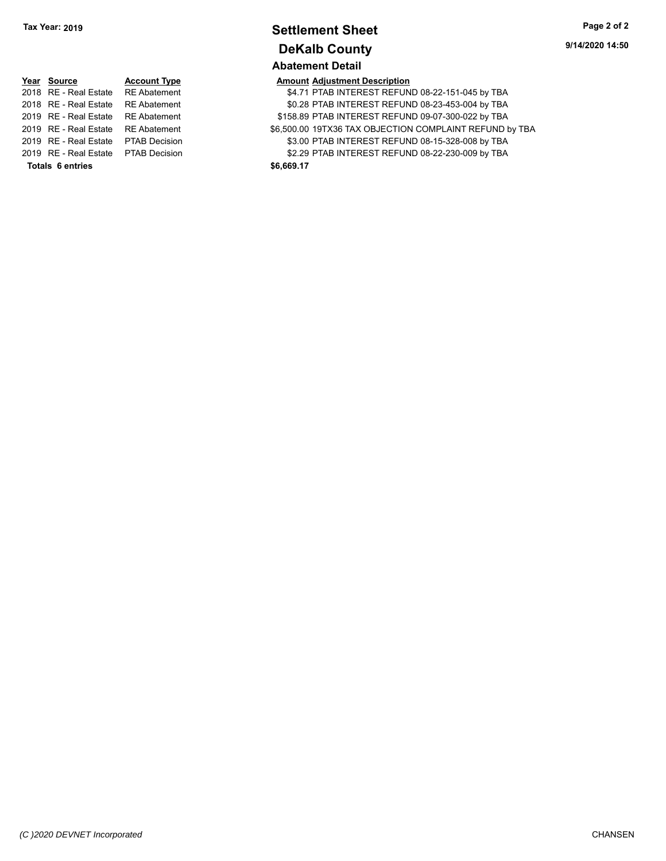### **Settlement Sheet Tax Year: 2019 Page 2 of 2 DeKalb County Abatement Detail**

**9/14/2020 14:50**

| Year Source                         | <b>Account Type</b>  |            | <b>Amount Adjustment Description</b> |
|-------------------------------------|----------------------|------------|--------------------------------------|
| 2018 RE - Real Estate               | <b>RE</b> Abatement  |            | \$4.71 PTAB INTEREST REFUN           |
| 2018 RE - Real Estate               | <b>RE</b> Abatement  |            | \$0.28 PTAB INTEREST REFUN           |
| 2019 RE - Real Estate               | <b>RE</b> Abatement  |            | \$158.89 PTAB INTEREST REFUN         |
| 2019 RE - Real Estate               | <b>RE</b> Abatement  |            | \$6,500.00 19TX36 TAX OBJECTION      |
| 2019 RE - Real Estate               | <b>PTAB Decision</b> |            | \$3.00 PTAB INTEREST REFUN           |
| 2019 RE - Real Estate PTAB Decision |                      |            | \$2.29 PTAB INTEREST REFUN           |
| <b>Totals 6 entries</b>             |                      | \$6,669.17 |                                      |

| 2018 RE - Real Estate RE Abatement  |                     |            | \$4.71 PTAB INTEREST REFUND 08-22-151-045 by TBA        |
|-------------------------------------|---------------------|------------|---------------------------------------------------------|
| 2018   RE - Real Estate             | <b>RE</b> Abatement |            | \$0.28 PTAB INTEREST REFUND 08-23-453-004 by TBA        |
| 2019   RE - Real Estate             | <b>RE Abatement</b> |            | \$158.89 PTAB INTEREST REFUND 09-07-300-022 by TBA      |
| 2019 RE - Real Estate RE Abatement  |                     |            | \$6,500.00 19TX36 TAX OBJECTION COMPLAINT REFUND by TBA |
| 2019   RE - Real Estate             | PTAB Decision       |            | \$3.00 PTAB INTEREST REFUND 08-15-328-008 by TBA        |
| 2019 RE - Real Estate PTAB Decision |                     |            | \$2.29 PTAB INTEREST REFUND 08-22-230-009 by TBA        |
| <b>Totals 6 entries</b>             |                     | \$6,669.17 |                                                         |
|                                     |                     |            |                                                         |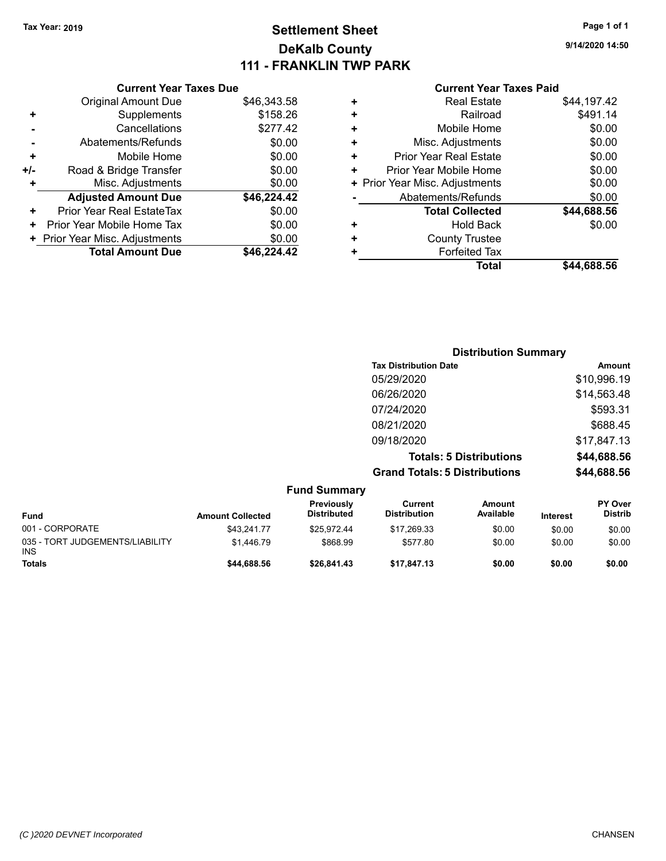### **Settlement Sheet Tax Year: 2019 Page 1 of 1 DeKalb County 111 - FRANKLIN TWP PARK**

**9/14/2020 14:50**

#### **Current Year Taxes Paid**

|     | <b>Current Year Taxes Due</b>  |             |
|-----|--------------------------------|-------------|
|     | Original Amount Due            | \$46,343.58 |
| ٠   | Supplements                    | \$158.26    |
|     | Cancellations                  | \$277.42    |
|     | Abatements/Refunds             | \$0.00      |
| ٠   | Mobile Home                    | \$0.00      |
| +/- | Road & Bridge Transfer         | \$0.00      |
| ٠   | Misc. Adjustments              | \$0.00      |
|     | <b>Adjusted Amount Due</b>     | \$46,224.42 |
| ٠   | Prior Year Real EstateTax      | \$0.00      |
| ٠   | Prior Year Mobile Home Tax     | \$0.00      |
|     | + Prior Year Misc. Adjustments | \$0.00      |
|     | <b>Total Amount Due</b>        | \$46,224.42 |
|     |                                |             |

| ٠ | <b>Real Estate</b>             | \$44,197.42 |
|---|--------------------------------|-------------|
| ÷ | Railroad                       | \$491.14    |
| ٠ | Mobile Home                    | \$0.00      |
| ٠ | Misc. Adjustments              | \$0.00      |
| ÷ | <b>Prior Year Real Estate</b>  | \$0.00      |
| ÷ | Prior Year Mobile Home         | \$0.00      |
|   | + Prior Year Misc. Adjustments | \$0.00      |
|   | Abatements/Refunds             | \$0.00      |
|   | <b>Total Collected</b>         | \$44,688.56 |
| ٠ | <b>Hold Back</b>               | \$0.00      |
| ÷ | <b>County Trustee</b>          |             |
| ٠ | <b>Forfeited Tax</b>           |             |
|   | Total                          | \$44,688.56 |
|   |                                |             |

|                     | <b>Distribution Summary</b>          |             |  |
|---------------------|--------------------------------------|-------------|--|
|                     | <b>Tax Distribution Date</b>         | Amount      |  |
|                     | 05/29/2020                           | \$10,996.19 |  |
|                     | 06/26/2020                           | \$14,563.48 |  |
|                     | 07/24/2020                           | \$593.31    |  |
|                     | 08/21/2020                           | \$688.45    |  |
|                     | 09/18/2020                           | \$17,847.13 |  |
|                     | <b>Totals: 5 Distributions</b>       | \$44,688.56 |  |
|                     | <b>Grand Totals: 5 Distributions</b> | \$44,688.56 |  |
| East of Association |                                      |             |  |

| <b>Fund Summary</b>                           |                         |                                  |                                |                            |                 |                                  |
|-----------------------------------------------|-------------------------|----------------------------------|--------------------------------|----------------------------|-----------------|----------------------------------|
| Fund                                          | <b>Amount Collected</b> | Previously<br><b>Distributed</b> | Current<br><b>Distribution</b> | <b>Amount</b><br>Available | <b>Interest</b> | <b>PY Over</b><br><b>Distrib</b> |
| 001 - CORPORATE                               | \$43.241.77             | \$25.972.44                      | \$17,269.33                    | \$0.00                     | \$0.00          | \$0.00                           |
| 035 - TORT JUDGEMENTS/LIABILITY<br><b>INS</b> | \$1.446.79              | \$868.99                         | \$577.80                       | \$0.00                     | \$0.00          | \$0.00                           |
| <b>Totals</b>                                 | \$44,688,56             | \$26,841.43                      | \$17.847.13                    | \$0.00                     | \$0.00          | \$0.00                           |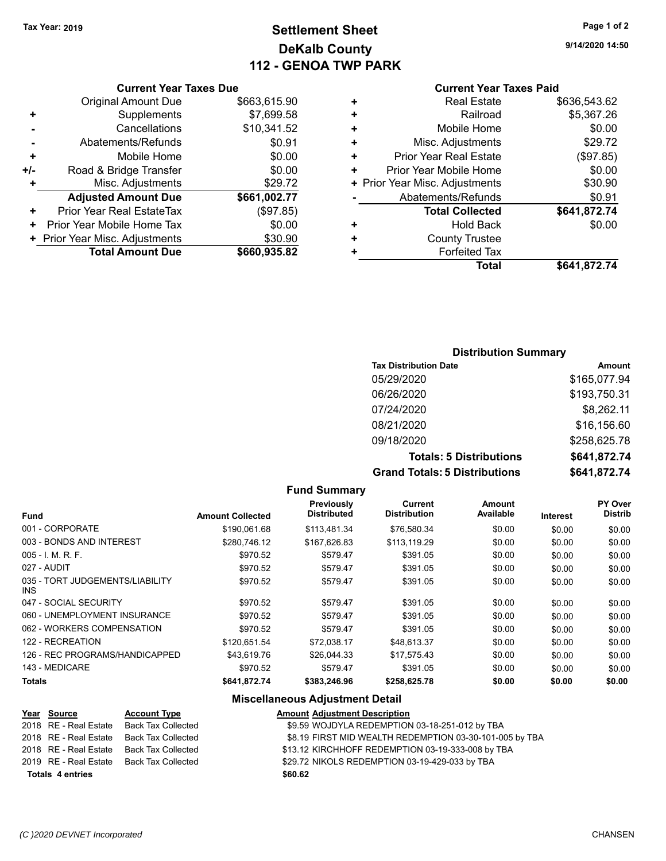# **Settlement Sheet Tax Year: 2019 Page 1 of 2 DeKalb County 112 - GENOA TWP PARK**

**9/14/2020 14:50**

## **Current Year Taxes Paid**

|   | Total                          | \$641.872.74 |
|---|--------------------------------|--------------|
| ٠ | <b>Forfeited Tax</b>           |              |
| ÷ | <b>County Trustee</b>          |              |
| ٠ | <b>Hold Back</b>               | \$0.00       |
|   | <b>Total Collected</b>         | \$641,872.74 |
|   | Abatements/Refunds             | \$0.91       |
|   | + Prior Year Misc. Adjustments | \$30.90      |
| ٠ | Prior Year Mobile Home         | \$0.00       |
| ٠ | <b>Prior Year Real Estate</b>  | (\$97.85)    |
| ٠ | Misc. Adjustments              | \$29.72      |
| ٠ | Mobile Home                    | \$0.00       |
| ٠ | Railroad                       | \$5,367.26   |
| ٠ | <b>Real Estate</b>             | \$636,543.62 |
|   |                                |              |

## **Current Year Taxes Due** Original Amount Due \$663,615.90 **+** Supplements \$7,699.58 **-** Cancellations \$10,341.52 **-** Abatements/Refunds **\$0.91 +** Mobile Home \$0.00 **+/-** Road & Bridge Transfer \$0.00 **+** Misc. Adjustments \$29.72 **Adjusted Amount Due \$661,002.77 +** Prior Year Real EstateTax (\$97.85)

| <b>Total Amount Due</b>        | \$660,935.82 |
|--------------------------------|--------------|
| + Prior Year Misc. Adjustments | \$30.90      |
| + Prior Year Mobile Home Tax   | \$0.00       |

## **Distribution Summary**

| <b>Tax Distribution Date</b>         | Amount       |
|--------------------------------------|--------------|
| 05/29/2020                           | \$165,077.94 |
| 06/26/2020                           | \$193,750.31 |
| 07/24/2020                           | \$8,262.11   |
| 08/21/2020                           | \$16,156.60  |
| 09/18/2020                           | \$258,625.78 |
| <b>Totals: 5 Distributions</b>       | \$641,872.74 |
| <b>Grand Totals: 5 Distributions</b> | \$641,872.74 |

#### **Fund Summary Fund Interest Amount Collected Distributed PY Over Distrib Amount Available Current Distribution Previously** 001 - CORPORATE \$190,061.68 \$113,481.34 \$76,580.34 \$0.00 \$0.00 \$0.00 003 - BONDS AND INTEREST  $$280,746.12$   $$167,626.83$   $$113,119.29$   $$0.00$   $$0.00$   $$0.00$ 005 - I. M. R. F. \$970.52 \$579.47 \$391.05 \$0.00 \$0.00 \$0.00 027 - AUDIT \$970.52 \$579.47 \$391.05 \$0.00 \$0.00 \$0.00 035 - TORT JUDGEMENTS/LIABILITY INS \$970.52 \$579.47 \$391.05 \$0.00 \$0.00 \$0.00 047 - SOCIAL SECURITY \$970.52 \$579.47 \$391.05 \$0.00 \$0.00 \$0.00 \$0.00 060 - UNEMPLOYMENT INSURANCE \$970.52 \$579.47 \$391.05 \$0.00 \$0.00 \$0.00 062 - WORKERS COMPENSATION \$970.52 \$579.47 \$391.05 \$0.00 \$0.00 \$0.00 \$0.00 122 - RECREATION \$120,651.54 \$72,038.17 \$48,613.37 \$0.00 \$0.00 \$0.00 126 - REC PROGRAMS/HANDICAPPED \$43,619.76 \$26,044.33 \$17,575.43 \$0.00 \$0.00 \$0.00 143 - MEDICARE \$970.52 \$579.47 \$391.05 \$0.00 \$0.00 \$0.00 **Totals \$641,872.74 \$383,246.96 \$258,625.78 \$0.00 \$0.00 \$0.00**

### **Miscellaneous Adjustment Detail**

|                         | Year Source           | <b>Account Type</b>       | <b>Amount Adjustment Description</b>                    |
|-------------------------|-----------------------|---------------------------|---------------------------------------------------------|
|                         | 2018 RE - Real Estate | Back Tax Collected        | \$9.59 WOJDYLA REDEMPTION 03-18-251-012 by TBA          |
|                         | 2018 RE - Real Estate | <b>Back Tax Collected</b> | \$8.19 FIRST MID WEALTH REDEMPTION 03-30-101-005 by TBA |
|                         | 2018 RE - Real Estate | Back Tax Collected        | \$13.12 KIRCHHOFF REDEMPTION 03-19-333-008 by TBA       |
|                         | 2019 RE - Real Estate | Back Tax Collected        | \$29.72 NIKOLS REDEMPTION 03-19-429-033 by TBA          |
| <b>Totals 4 entries</b> |                       |                           | \$60.62                                                 |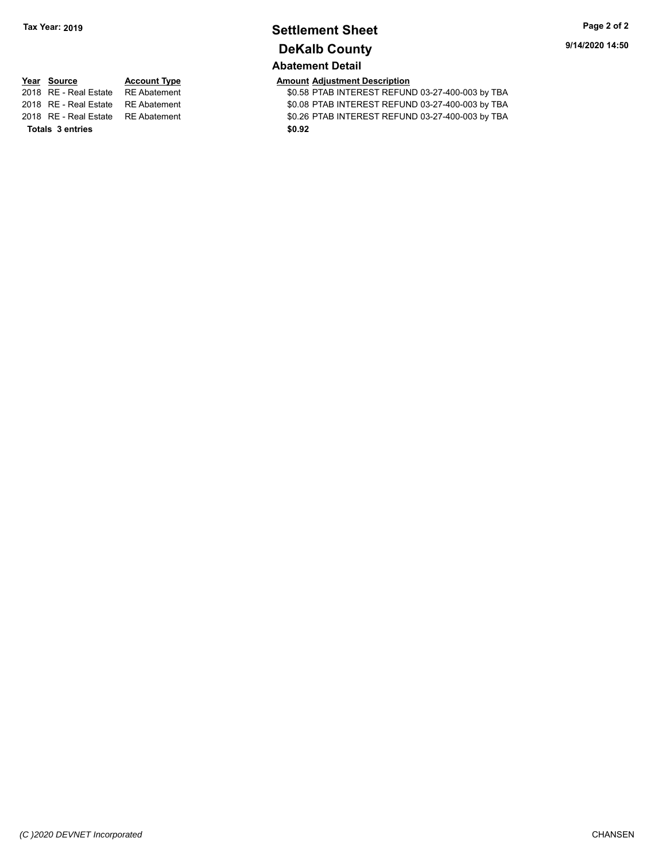# **Settlement Sheet Tax Year: 2019 Page 2 of 2 DeKalb County**

# **Abatement Detail**

11 **2018 REAL ESTATE ST ABATE ASSESS** PTAB INTEREST REFUND 03-27-400-003 by TBA 2018 RE - Real Estate RE Abatement S0.08 PTAB INTEREST REFUND 03-27-400-003 by TBA 2018 RE - Real Estate RE Abatement \$0.26 PTAB INTEREST REFUND 03-27-400-003 by TBA

|                                    |                     | ADALEMENT DELAN                      |
|------------------------------------|---------------------|--------------------------------------|
| Year Source                        | <b>Account Type</b> | <b>Amount Adjustment Description</b> |
| 2018 RE - Real Estate RE Abatement |                     | \$0.58 PTAB INTEREST REFUN           |
| 2018 RE - Real Estate RE Abatement |                     | \$0.08 PTAB INTEREST REFUN           |

**Totals \$0.92 3 entries**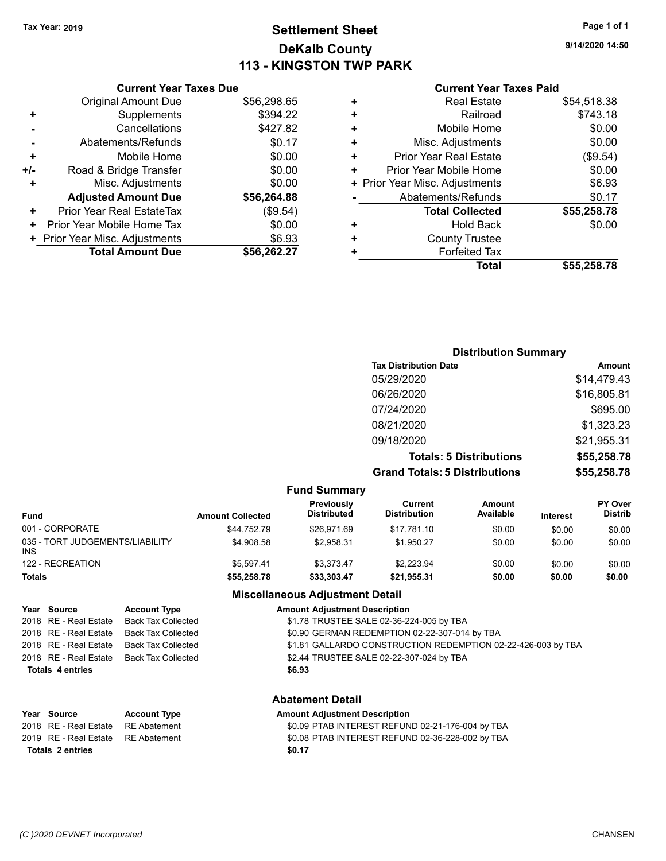# **Settlement Sheet Tax Year: 2019 Page 1 of 1 DeKalb County 113 - KINGSTON TWP PARK**

## **9/14/2020 14:50**

| <b>Current Year Taxes Paid</b> |  |  |  |
|--------------------------------|--|--|--|
|--------------------------------|--|--|--|

| <b>Current Year Taxes Due</b>   |             |
|---------------------------------|-------------|
| <b>Original Amount Due</b>      | \$56,298.65 |
| Supplements<br>٠                | \$394.22    |
| Cancellations                   | \$427.82    |
| Abatements/Refunds              | \$0.17      |
| Mobile Home<br>٠                | \$0.00      |
| Road & Bridge Transfer<br>+/-   | \$0.00      |
| Misc. Adjustments<br>٠          | \$0.00      |
| <b>Adjusted Amount Due</b>      | \$56,264.88 |
| Prior Year Real EstateTax<br>٠  | (\$9.54)    |
| Prior Year Mobile Home Tax<br>٠ | \$0.00      |
| + Prior Year Misc. Adjustments  | \$6.93      |
| <b>Total Amount Due</b>         | \$56,262.27 |

| ٠ | <b>Real Estate</b>             | \$54,518.38 |
|---|--------------------------------|-------------|
| ٠ | Railroad                       | \$743.18    |
| ÷ | Mobile Home                    | \$0.00      |
| ٠ | Misc. Adjustments              | \$0.00      |
| ٠ | <b>Prior Year Real Estate</b>  | (\$9.54)    |
| ÷ | Prior Year Mobile Home         | \$0.00      |
|   | + Prior Year Misc. Adjustments | \$6.93      |
|   | Abatements/Refunds             | \$0.17      |
|   | <b>Total Collected</b>         | \$55,258.78 |
| + | Hold Back                      | \$0.00      |
| ÷ | <b>County Trustee</b>          |             |
| ٠ | <b>Forfeited Tax</b>           |             |
|   | Total                          | \$55,258.78 |
|   |                                |             |

|                                 |                         |                                  | <b>Distribution Summary</b>           |                                |          |                           |
|---------------------------------|-------------------------|----------------------------------|---------------------------------------|--------------------------------|----------|---------------------------|
|                                 |                         |                                  | <b>Tax Distribution Date</b>          |                                |          | <b>Amount</b>             |
|                                 |                         |                                  | 05/29/2020                            |                                |          | \$14,479.43               |
|                                 |                         |                                  | 06/26/2020                            |                                |          | \$16,805.81               |
|                                 |                         |                                  | 07/24/2020                            |                                |          | \$695.00                  |
|                                 |                         |                                  | 08/21/2020                            |                                |          | \$1,323.23                |
|                                 |                         |                                  | 09/18/2020                            |                                |          | \$21,955.31               |
|                                 |                         |                                  |                                       | <b>Totals: 5 Distributions</b> |          | \$55,258.78               |
|                                 |                         |                                  | <b>Grand Totals: 5 Distributions</b>  |                                |          | \$55,258.78               |
|                                 |                         | <b>Fund Summary</b>              |                                       |                                |          |                           |
| <b>Fund</b>                     | <b>Amount Collected</b> | Previously<br><b>Distributed</b> | <b>Current</b><br><b>Distribution</b> | <b>Amount</b><br>Available     | Interest | PY Over<br><b>Distrib</b> |
| 001 - CORPORATE                 | \$44,752.79             | \$26,971.69                      | \$17,781.10                           | \$0.00                         | \$0.00   | \$0.00                    |
| 035 - TORT JUDGEMENTS/LIABILITY | \$4,908.58              | \$2,958.31                       | \$1,950.27                            | \$0.00                         | \$0.00   | \$0.00                    |

| 122 - RECREATION        |                                                                         | \$5,597.41                                       | \$3,373.47                                                   | \$2,223.94                                    | \$0.00 | \$0.00 | \$0.00 |
|-------------------------|-------------------------------------------------------------------------|--------------------------------------------------|--------------------------------------------------------------|-----------------------------------------------|--------|--------|--------|
| <b>Totals</b>           |                                                                         | \$55,258.78                                      | \$33,303.47                                                  | \$21,955.31                                   | \$0.00 | \$0.00 | \$0.00 |
|                         |                                                                         |                                                  | <b>Miscellaneous Adjustment Detail</b>                       |                                               |        |        |        |
| Year Source             | <b>Account Type</b>                                                     |                                                  | <b>Amount Adiustment Description</b>                         |                                               |        |        |        |
| 2018 RE - Real Estate   | <b>Back Tax Collected</b>                                               |                                                  |                                                              | \$1.78 TRUSTEE SALE 02-36-224-005 by TBA      |        |        |        |
| 2018 RE - Real Estate   | <b>Back Tax Collected</b>                                               |                                                  |                                                              | \$0.90 GERMAN REDEMPTION 02-22-307-014 by TBA |        |        |        |
| 2018 RE - Real Estate   | <b>Back Tax Collected</b>                                               |                                                  | \$1.81 GALLARDO CONSTRUCTION REDEMPTION 02-22-426-003 by TBA |                                               |        |        |        |
| 2018 RE - Real Estate   | \$2.44 TRUSTEE SALE 02-22-307-024 by TBA<br><b>Back Tax Collected</b>   |                                                  |                                                              |                                               |        |        |        |
| <b>Totals 4 entries</b> |                                                                         |                                                  | \$6.93                                                       |                                               |        |        |        |
|                         |                                                                         |                                                  | <b>Abatement Detail</b>                                      |                                               |        |        |        |
| Year Source             | <b>Account Type</b>                                                     |                                                  | <b>Amount Adiustment Description</b>                         |                                               |        |        |        |
| 2018 RE - Real Estate   | <b>RE</b> Abatement                                                     | \$0.09 PTAB INTEREST REFUND 02-21-176-004 by TBA |                                                              |                                               |        |        |        |
| 2019 RE - Real Estate   | \$0.08 PTAB INTEREST REFUND 02-36-228-002 by TBA<br><b>RE</b> Abatement |                                                  |                                                              |                                               |        |        |        |
| <b>Totals 2 entries</b> |                                                                         |                                                  | \$0.17                                                       |                                               |        |        |        |

INS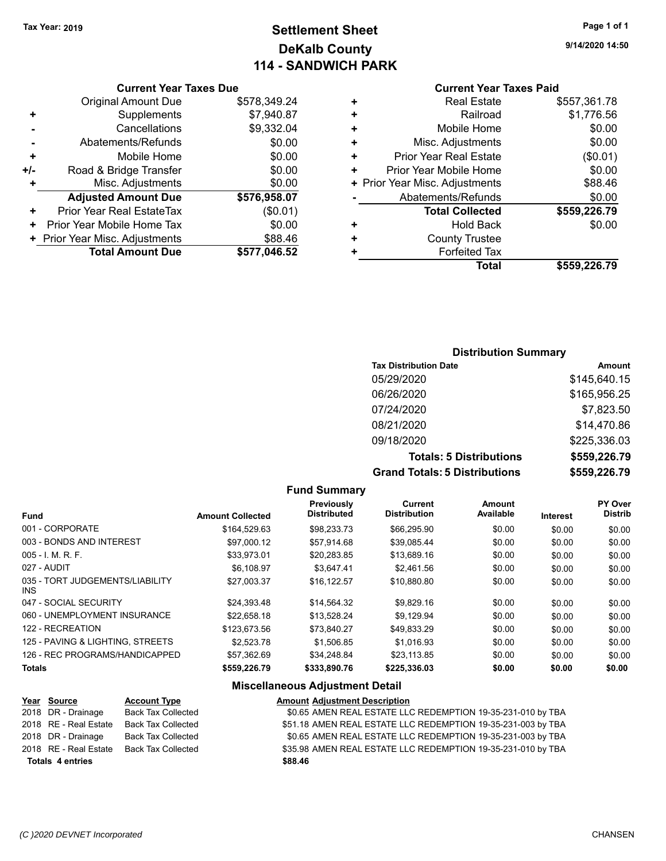# **Settlement Sheet Tax Year: 2019 Page 1 of 1 DeKalb County 114 - SANDWICH PARK**

**9/14/2020 14:50**

## **Current Year Taxes Paid**

|     | <b>Current Year Taxes Due</b>  |              |
|-----|--------------------------------|--------------|
|     | <b>Original Amount Due</b>     | \$578,349.24 |
| ٠   | Supplements                    | \$7,940.87   |
|     | Cancellations                  | \$9,332.04   |
|     | Abatements/Refunds             | \$0.00       |
| ٠   | Mobile Home                    | \$0.00       |
| +/- | Road & Bridge Transfer         | \$0.00       |
| ٠   | Misc. Adjustments              | \$0.00       |
|     | <b>Adjusted Amount Due</b>     | \$576,958.07 |
| ٠   | Prior Year Real EstateTax      | (\$0.01)     |
| ٠   | Prior Year Mobile Home Tax     | \$0.00       |
|     | + Prior Year Misc. Adjustments | \$88.46      |
|     | <b>Total Amount Due</b>        | \$577,046.52 |
|     |                                |              |

|   | <b>Real Estate</b>             | \$557,361.78 |
|---|--------------------------------|--------------|
| ٠ | Railroad                       | \$1,776.56   |
| ٠ | Mobile Home                    | \$0.00       |
| ٠ | Misc. Adjustments              | \$0.00       |
| + | <b>Prior Year Real Estate</b>  | (\$0.01)     |
| ٠ | Prior Year Mobile Home         | \$0.00       |
|   | + Prior Year Misc. Adjustments | \$88.46      |
|   | Abatements/Refunds             | \$0.00       |
|   | <b>Total Collected</b>         | \$559,226.79 |
| ٠ | Hold Back                      | \$0.00       |
| ٠ | <b>County Trustee</b>          |              |
| ٠ | <b>Forfeited Tax</b>           |              |
|   | <b>Total</b>                   | \$559,226.79 |
|   |                                |              |

### **Distribution Summary**

| <b>Tax Distribution Date</b>         | Amount       |
|--------------------------------------|--------------|
| 05/29/2020                           | \$145,640.15 |
| 06/26/2020                           | \$165,956.25 |
| 07/24/2020                           | \$7,823.50   |
| 08/21/2020                           | \$14,470.86  |
| 09/18/2020                           | \$225,336.03 |
| <b>Totals: 5 Distributions</b>       | \$559,226.79 |
| <b>Grand Totals: 5 Distributions</b> | \$559,226.79 |

**Fund Summary Fund Interest Amount Collected Distributed PY Over Distrib Amount Available Current Distribution Previously** 001 - CORPORATE \$164,529.63 \$98,233.73 \$66,295.90 \$0.00 \$0.00 \$0.00 003 - BONDS AND INTEREST 60.00 \$97,000.12 \$57,914.68 \$39,085.44 \$0.00 \$0.00 \$0.00 005 - I. M. R. F. \$33,973.01 \$20,283.85 \$13,689.16 \$0.00 \$0.00 \$0.00 027 - AUDIT \$6,108.97 \$3,647.41 \$2,461.56 \$0.00 \$0.00 \$0.00 035 - TORT JUDGEMENTS/LIABILITY INS \$27,003.37 \$16,122.57 \$10,880.80 \$0.00 \$0.00 \$0.00 047 - SOCIAL SECURITY \$24,393.48 \$14,564.32 \$9,829.16 \$0.00 \$0.00 \$0.00 060 - UNEMPLOYMENT INSURANCE  $$22,658.18$   $$13,528.24$   $$9,129.94$   $$0.00$   $$0.00$   $$0.00$ 122 - RECREATION \$123,673.56 \$123,673.56 \$73,840.27 \$49,833.29 \$0.00 \$0.00 \$0.00 125 - PAVING & LIGHTING, STREETS  $$2,523.78$   $$1,506.85$   $$1,016.93$   $$0.00$   $$0.00$   $$0.00$ 126 - REC PROGRAMS/HANDICAPPED \$57,362.69 \$34,248.84 \$23,113.85 \$0.00 \$0.00 \$0.00 \$0.00

**Totals \$559,226.79 \$333,890.76 \$225,336.03 \$0.00 \$0.00 \$0.00**

#### **Miscellaneous Adjustment Detail**

| Year Source             | <b>Account Type</b>       | <b>Amount Adjustment Description</b>                         |
|-------------------------|---------------------------|--------------------------------------------------------------|
| 2018 DR - Drainage      | <b>Back Tax Collected</b> | \$0.65 AMEN REAL ESTATE LLC REDEMPTION 19-35-231-010 by TBA  |
| 2018 RE - Real Estate   | <b>Back Tax Collected</b> | \$51.18 AMEN REAL ESTATE LLC REDEMPTION 19-35-231-003 by TBA |
| 2018 DR - Drainage      | <b>Back Tax Collected</b> | \$0.65 AMEN REAL ESTATE LLC REDEMPTION 19-35-231-003 by TBA  |
| 2018 RE - Real Estate   | Back Tax Collected        | \$35.98 AMEN REAL ESTATE LLC REDEMPTION 19-35-231-010 by TBA |
| <b>Totals 4 entries</b> |                           | \$88.46                                                      |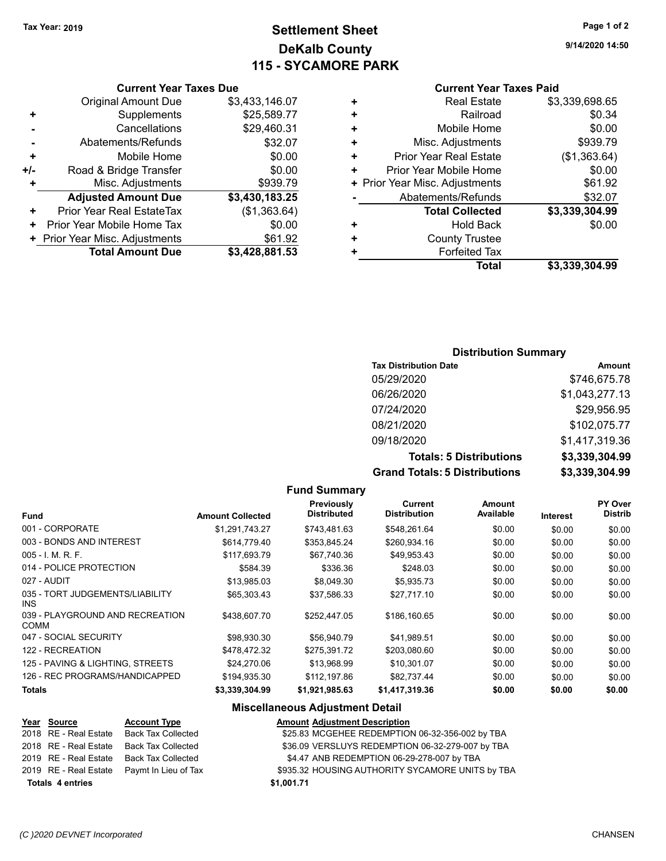# **Settlement Sheet Tax Year: 2019 Page 1 of 2 DeKalb County 115 - SYCAMORE PARK**

**9/14/2020 14:50**

## **Current Year Taxes Paid**

|   | <b>Real Estate</b>             | \$3,339,698.65 |
|---|--------------------------------|----------------|
| ٠ | Railroad                       | \$0.34         |
| ٠ | Mobile Home                    | \$0.00         |
| ٠ | Misc. Adjustments              | \$939.79       |
| ٠ | <b>Prior Year Real Estate</b>  | (\$1,363.64)   |
| ٠ | Prior Year Mobile Home         | \$0.00         |
|   | + Prior Year Misc. Adjustments | \$61.92        |
|   | Abatements/Refunds             | \$32.07        |
|   | <b>Total Collected</b>         | \$3,339,304.99 |
| ٠ | Hold Back                      | \$0.00         |
| ٠ | <b>County Trustee</b>          |                |
|   | <b>Forfeited Tax</b>           |                |
|   | <b>Total</b>                   | \$3,339,304.99 |
|   |                                |                |

## **Current Year Taxes Due** Original Amount Due \$3,433,146.07 **+** Supplements \$25,589.77 **-** Cancellations \$29,460.31 Abatements/Refunds \$32.07 **+** Mobile Home \$0.00 **+/-** Road & Bridge Transfer \$0.00 **+** Misc. Adjustments \$939.79 **Adjusted Amount Due \$3,430,183.25 +** Prior Year Real EstateTax (\$1,363.64) **+** Prior Year Mobile Home Tax  $$0.00$ **+ Prior Year Misc. Adjustments**  $$61.92$ **Total Amount Due \$3,428,881.53**

#### **Distribution Summary**

| <b>Tax Distribution Date</b>         | Amount         |
|--------------------------------------|----------------|
| 05/29/2020                           | \$746,675.78   |
| 06/26/2020                           | \$1,043,277.13 |
| 07/24/2020                           | \$29,956.95    |
| 08/21/2020                           | \$102,075.77   |
| 09/18/2020                           | \$1,417,319.36 |
| <b>Totals: 5 Distributions</b>       | \$3,339,304.99 |
| <b>Grand Totals: 5 Distributions</b> | \$3,339,304.99 |

#### **Fund Summary Fund Interest Amount Collected Distributed PY Over Distrib Amount Available Current Distribution Previously** 001 - CORPORATE \$1,291,743.27 \$743,481.63 \$548,261.64 \$0.00 \$0.00 \$0.00 003 - BONDS AND INTEREST \$614,779.40 \$353,845.24 \$260,934.16 \$0.00 \$0.00 \$0.00 005 - I. M. R. F. \$117,693.79 \$67,740.36 \$49,953.43 \$0.00 \$0.00 \$0.00 014 - POLICE PROTECTION \$584.39 \$336.36 \$248.03 \$0.00 \$0.00 \$0.00 027 - AUDIT \$13,985.03 \$8,049.30 \$5,935.73 \$0.00 \$0.00 \$0.00 035 - TORT JUDGEMENTS/LIABILITY INS \$65,303.43 \$37,586.33 \$27,717.10 \$0.00 \$0.00 \$0.00 039 - PLAYGROUND AND RECREATION COMM \$438,607.70 \$252,447.05 \$186,160.65 \$0.00 \$0.00 \$0.00 047 - SOCIAL SECURITY \$98,930.30 \$56,940.79 \$41,989.51 \$0.00 \$0.00 \$0.00 \$0.00 122 - RECREATION \$478,472.32 \$275,391.72 \$203,080.60 \$0.00 \$0.00 \$0.00 125 - PAVING & LIGHTING, STREETS  $$24,270.06$   $$13,968.99$   $$10,301.07$   $$0.00$   $$0.00$   $$0.00$ 126 - REC PROGRAMS/HANDICAPPED \$194,935.30 \$112,197.86 \$82,737.44 \$0.00 \$0.00 \$0.00 **Totals \$3,339,304.99 \$1,921,985.63 \$1,417,319.36 \$0.00 \$0.00 \$0.00**

### **Miscellaneous Adjustment Detail**

#### **Year Source Account Type Amount Adjustment Description** 2018 RE - Real Estate Back Tax Collected \$25.83 MCGEHEE REDEMPTION 06-32-356-002 by TBA 2018 RE - Real Estate Back Tax Collected \$36.09 VERSLUYS REDEMPTION 06-32-279-007 by TBA 2019 RE - Real Estate Back Tax Collected \$4.47 ANB REDEMPTION 06-29-278-007 by TBA 2019 RE - Real Estate Paymt In Lieu of Tax \$935.32 HOUSING AUTHORITY SYCAMORE UNITS by TBA **Totals \$1,001.71 4 entries**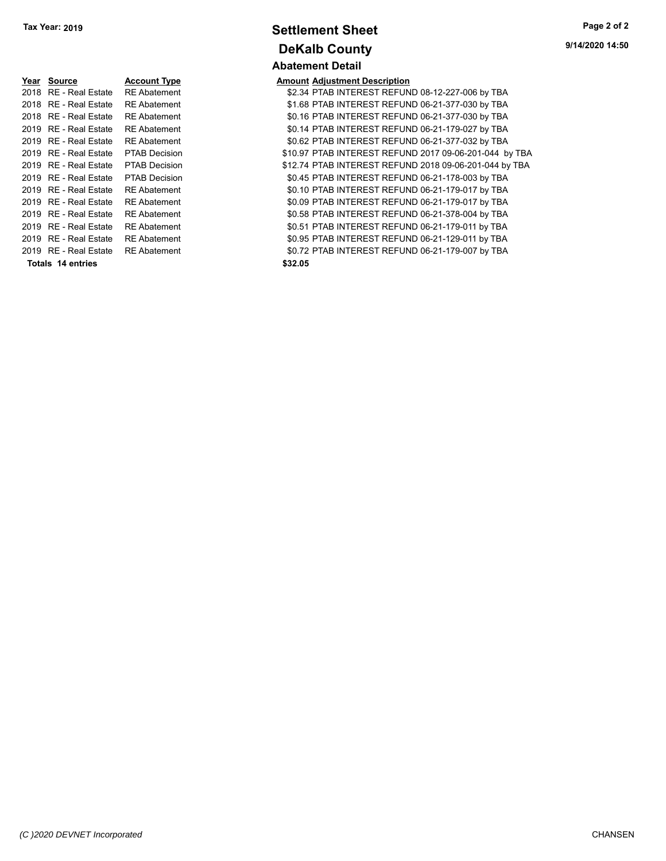| Year | <b>Source</b>           | <b>Account Type</b>  | Amount  |
|------|-------------------------|----------------------|---------|
| 2018 | <b>RE</b> - Real Estate | <b>RE Abatement</b>  | \$2.34  |
| 2018 | RE - Real Estate        | <b>RE</b> Abatement  | \$1.68  |
| 2018 | RE - Real Estate        | <b>RE</b> Abatement  | \$0.16  |
| 2019 | <b>RE</b> - Real Estate | <b>RE</b> Abatement  | \$0.14  |
| 2019 | RE - Real Estate        | <b>RE</b> Abatement  | \$0.62  |
| 2019 | RE - Real Estate        | <b>PTAB Decision</b> | \$10.97 |
| 2019 | <b>RE</b> - Real Estate | <b>PTAB Decision</b> | \$12.74 |
| 2019 | RE - Real Estate        | <b>PTAB Decision</b> | \$0.45  |
| 2019 | RE - Real Estate        | <b>RE</b> Abatement  | \$0.10  |
| 2019 | <b>RE</b> - Real Estate | <b>RE</b> Abatement  | \$0.09  |
| 2019 | RE - Real Estate        | <b>RE</b> Abatement  | \$0.58  |
| 2019 | RE - Real Estate        | <b>RE</b> Abatement  | \$0.51  |
|      | 2019 RE - Real Estate   | <b>RE</b> Abatement  | \$0.95  |
| 2019 | RE - Real Estate        | <b>RE</b> Abatement  | \$0.72  |
|      | Totals 14 entries       |                      | \$32.05 |

# **Settlement Sheet Tax Year: 2019 Page 2 of 2 DeKalb County Abatement Detail**

**9/14/2020 14:50**

**Amount Adjustment Description** \$2.34 PTAB INTEREST REFUND 08-12-227-006 by TBA \$1.68 PTAB INTEREST REFUND 06-21-377-030 by TBA \$0.16 PTAB INTEREST REFUND 06-21-377-030 by TBA \$0.14 PTAB INTEREST REFUND 06-21-179-027 by TBA \$0.62 PTAB INTEREST REFUND 06-21-377-032 by TBA \$10.97 PTAB INTEREST REFUND 2017 09-06-201-044 by TBA \$12.74 PTAB INTEREST REFUND 2018 09-06-201-044 by TBA \$0.45 PTAB INTEREST REFUND 06-21-178-003 by TBA \$0.10 PTAB INTEREST REFUND 06-21-179-017 by TBA \$0.09 PTAB INTEREST REFUND 06-21-179-017 by TBA \$0.58 PTAB INTEREST REFUND 06-21-378-004 by TBA \$0.51 PTAB INTEREST REFUND 06-21-179-011 by TBA \$0.95 PTAB INTEREST REFUND 06-21-129-011 by TBA \$0.72 PTAB INTEREST REFUND 06-21-179-007 by TBA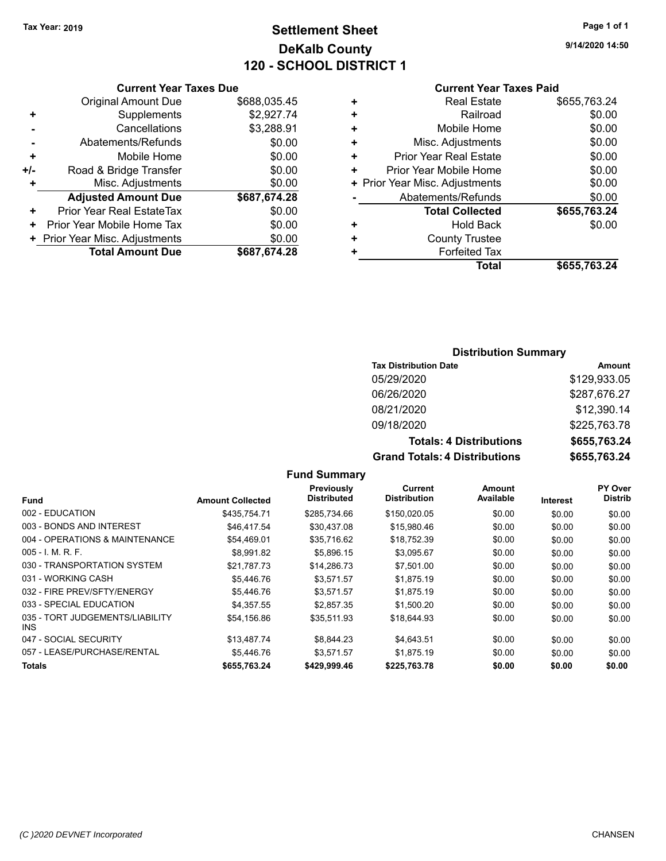# **Settlement Sheet Tax Year: 2019 Page 1 of 1 DeKalb County 120 - SCHOOL DISTRICT 1**

**9/14/2020 14:50**

## **Current Year Taxes Paid**

|     | <b>Current Year Taxes Due</b>    |              |
|-----|----------------------------------|--------------|
|     | <b>Original Amount Due</b>       | \$688,035.45 |
| ٠   | Supplements                      | \$2,927.74   |
|     | Cancellations                    | \$3,288.91   |
|     | Abatements/Refunds               | \$0.00       |
| ٠   | Mobile Home                      | \$0.00       |
| +/- | Road & Bridge Transfer           | \$0.00       |
| ٠   | Misc. Adjustments                | \$0.00       |
|     | <b>Adjusted Amount Due</b>       | \$687,674.28 |
| ٠   | <b>Prior Year Real EstateTax</b> | \$0.00       |
| ٠   | Prior Year Mobile Home Tax       | \$0.00       |
|     | + Prior Year Misc. Adjustments   | \$0.00       |
|     | <b>Total Amount Due</b>          | \$687,674.28 |
|     |                                  |              |

| ٠ | <b>Real Estate</b>             | \$655,763.24 |
|---|--------------------------------|--------------|
| ٠ | Railroad                       | \$0.00       |
| ٠ | Mobile Home                    | \$0.00       |
| ٠ | Misc. Adjustments              | \$0.00       |
| ٠ | Prior Year Real Estate         | \$0.00       |
| ٠ | Prior Year Mobile Home         | \$0.00       |
|   | + Prior Year Misc. Adjustments | \$0.00       |
|   | Abatements/Refunds             | \$0.00       |
|   | <b>Total Collected</b>         | \$655,763.24 |
| ٠ | <b>Hold Back</b>               | \$0.00       |
| ٠ | <b>County Trustee</b>          |              |
| ٠ | <b>Forfeited Tax</b>           |              |
|   | Total                          | \$655,763.24 |

## **Distribution Summary**

| <b>Tax Distribution Date</b>   | Amount       |
|--------------------------------|--------------|
| 05/29/2020                     | \$129,933.05 |
| 06/26/2020                     | \$287,676.27 |
| 08/21/2020                     | \$12,390.14  |
| 09/18/2020                     | \$225,763.78 |
| <b>Totals: 4 Distributions</b> | \$655,763.24 |
| Crond Totale: A Diotributions  | RCEE 700 01  |

| <b>Totals: 4 Distributions</b>       | \$655,763.24 |
|--------------------------------------|--------------|
| <b>Grand Totals: 4 Distributions</b> | \$655,763.24 |

|                                         |                         | Previously         | Current             | Amount    |                 | PY Over        |
|-----------------------------------------|-------------------------|--------------------|---------------------|-----------|-----------------|----------------|
| <b>Fund</b>                             | <b>Amount Collected</b> | <b>Distributed</b> | <b>Distribution</b> | Available | <b>Interest</b> | <b>Distrib</b> |
| 002 - EDUCATION                         | \$435.754.71            | \$285.734.66       | \$150,020.05        | \$0.00    | \$0.00          | \$0.00         |
| 003 - BONDS AND INTEREST                | \$46,417.54             | \$30,437.08        | \$15,980.46         | \$0.00    | \$0.00          | \$0.00         |
| 004 - OPERATIONS & MAINTENANCE          | \$54,469.01             | \$35.716.62        | \$18,752.39         | \$0.00    | \$0.00          | \$0.00         |
| $005 - I$ , M, R, F.                    | \$8.991.82              | \$5.896.15         | \$3,095.67          | \$0.00    | \$0.00          | \$0.00         |
| 030 - TRANSPORTATION SYSTEM             | \$21.787.73             | \$14,286.73        | \$7,501.00          | \$0.00    | \$0.00          | \$0.00         |
| 031 - WORKING CASH                      | \$5,446.76              | \$3,571.57         | \$1,875.19          | \$0.00    | \$0.00          | \$0.00         |
| 032 - FIRE PREV/SFTY/ENERGY             | \$5,446.76              | \$3.571.57         | \$1,875.19          | \$0.00    | \$0.00          | \$0.00         |
| 033 - SPECIAL EDUCATION                 | \$4.357.55              | \$2.857.35         | \$1,500.20          | \$0.00    | \$0.00          | \$0.00         |
| 035 - TORT JUDGEMENTS/LIABILITY<br>INS. | \$54.156.86             | \$35.511.93        | \$18,644.93         | \$0.00    | \$0.00          | \$0.00         |
| 047 - SOCIAL SECURITY                   | \$13,487.74             | \$8,844.23         | \$4,643.51          | \$0.00    | \$0.00          | \$0.00         |
| 057 - LEASE/PURCHASE/RENTAL             | \$5.446.76              | \$3.571.57         | \$1.875.19          | \$0.00    | \$0.00          | \$0.00         |
| Totals                                  | \$655,763.24            | \$429,999.46       | \$225,763.78        | \$0.00    | \$0.00          | \$0.00         |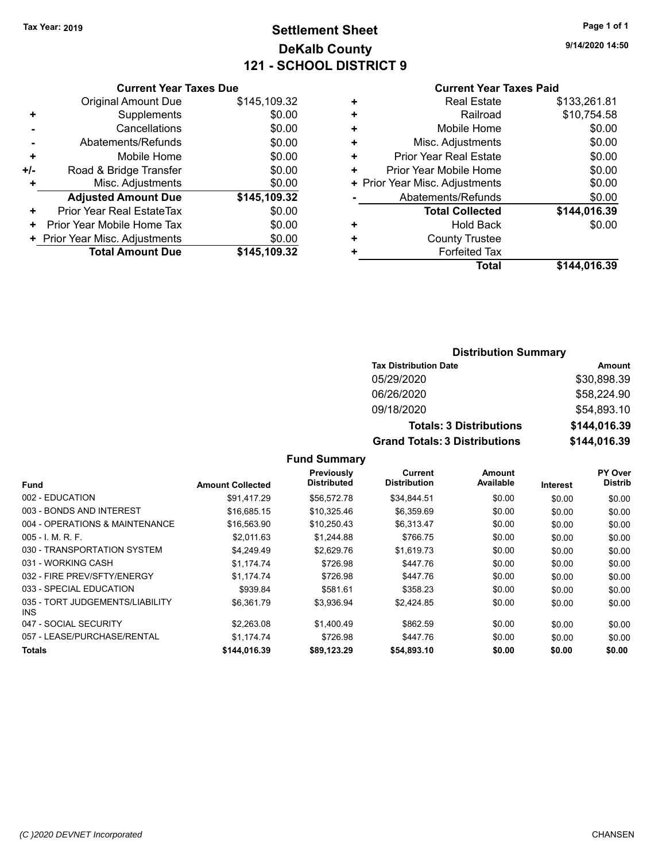# **Settlement Sheet Tax Year: 2019 Page 1 of 1 DeKalb County 121 - SCHOOL DISTRICT 9**

**9/14/2020 14:50**

#### **Current Year Taxes Paid**

|     | <b>Current Year Taxes Due</b>  |              |  |  |
|-----|--------------------------------|--------------|--|--|
|     | <b>Original Amount Due</b>     | \$145,109.32 |  |  |
| ٠   | Supplements                    | \$0.00       |  |  |
|     | \$0.00<br>Cancellations        |              |  |  |
|     | \$0.00<br>Abatements/Refunds   |              |  |  |
| ٠   | Mobile Home                    | \$0.00       |  |  |
| +/- | Road & Bridge Transfer         | \$0.00       |  |  |
| ٠   | Misc. Adjustments<br>\$0.00    |              |  |  |
|     | <b>Adjusted Amount Due</b>     | \$145,109.32 |  |  |
| ÷   | Prior Year Real EstateTax      | \$0.00       |  |  |
| ٠   | Prior Year Mobile Home Tax     | \$0.00       |  |  |
|     | + Prior Year Misc. Adjustments | \$0.00       |  |  |
|     | <b>Total Amount Due</b>        | \$145,109.32 |  |  |
|     |                                |              |  |  |

| ٠ | <b>Real Estate</b>             | \$133,261.81 |
|---|--------------------------------|--------------|
| ٠ | Railroad                       | \$10,754.58  |
| ٠ | Mobile Home                    | \$0.00       |
| ٠ | Misc. Adjustments              | \$0.00       |
| ٠ | <b>Prior Year Real Estate</b>  | \$0.00       |
| ٠ | Prior Year Mobile Home         | \$0.00       |
|   | + Prior Year Misc. Adjustments | \$0.00       |
|   | Abatements/Refunds             | \$0.00       |
|   | <b>Total Collected</b>         | \$144,016.39 |
| ٠ | <b>Hold Back</b>               | \$0.00       |
| ٠ | <b>County Trustee</b>          |              |
| ٠ | <b>Forfeited Tax</b>           |              |
|   | <b>Total</b>                   | \$144.016.39 |
|   |                                |              |

## **Distribution Summary Tax Distribution Date Amount** 05/29/2020 \$30,898.39 06/26/2020 \$58,224.90 09/18/2020 \$54,893.10 **Totals: 3 Distributions \$144,016.39 Grand Totals: 3 Distributions \$144,016.39**

|                                         |                         | Previously         | Current             | Amount    |                 | PY Over        |
|-----------------------------------------|-------------------------|--------------------|---------------------|-----------|-----------------|----------------|
| <b>Fund</b>                             | <b>Amount Collected</b> | <b>Distributed</b> | <b>Distribution</b> | Available | <b>Interest</b> | <b>Distrib</b> |
| 002 - EDUCATION                         | \$91.417.29             | \$56,572.78        | \$34,844.51         | \$0.00    | \$0.00          | \$0.00         |
| 003 - BONDS AND INTEREST                | \$16,685.15             | \$10,325.46        | \$6,359.69          | \$0.00    | \$0.00          | \$0.00         |
| 004 - OPERATIONS & MAINTENANCE          | \$16,563.90             | \$10.250.43        | \$6.313.47          | \$0.00    | \$0.00          | \$0.00         |
| $005 - I$ M.R.F.                        | \$2.011.63              | \$1,244.88         | \$766.75            | \$0.00    | \$0.00          | \$0.00         |
| 030 - TRANSPORTATION SYSTEM             | \$4.249.49              | \$2,629.76         | \$1.619.73          | \$0.00    | \$0.00          | \$0.00         |
| 031 - WORKING CASH                      | \$1.174.74              | \$726.98           | \$447.76            | \$0.00    | \$0.00          | \$0.00         |
| 032 - FIRE PREV/SFTY/ENERGY             | \$1,174.74              | \$726.98           | \$447.76            | \$0.00    | \$0.00          | \$0.00         |
| 033 - SPECIAL EDUCATION                 | \$939.84                | \$581.61           | \$358.23            | \$0.00    | \$0.00          | \$0.00         |
| 035 - TORT JUDGEMENTS/LIABILITY<br>INS. | \$6.361.79              | \$3,936.94         | \$2,424.85          | \$0.00    | \$0.00          | \$0.00         |
| 047 - SOCIAL SECURITY                   | \$2,263.08              | \$1,400.49         | \$862.59            | \$0.00    | \$0.00          | \$0.00         |
| 057 - LEASE/PURCHASE/RENTAL             | \$1,174.74              | \$726.98           | \$447.76            | \$0.00    | \$0.00          | \$0.00         |
| Totals                                  | \$144,016.39            | \$89,123.29        | \$54,893.10         | \$0.00    | \$0.00          | \$0.00         |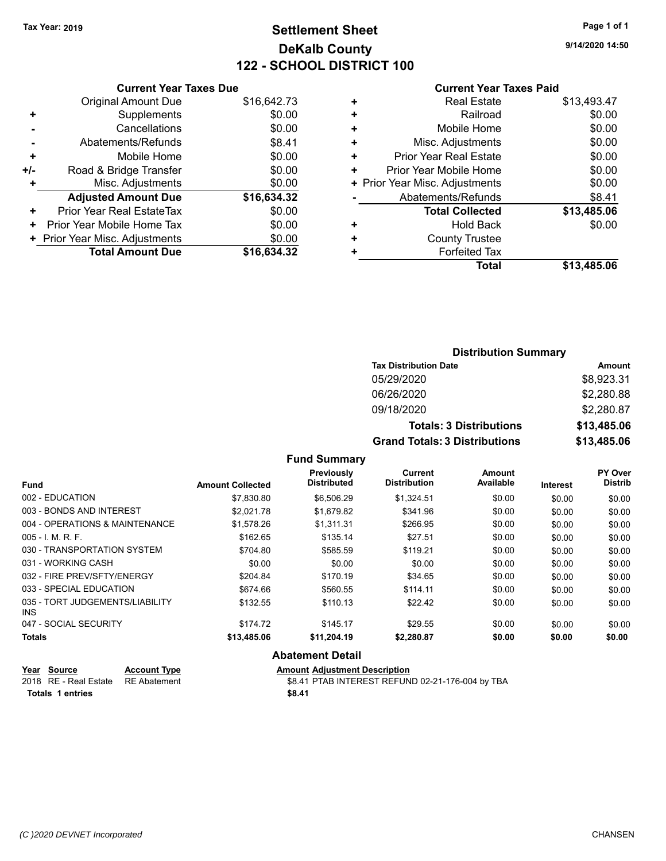# **Settlement Sheet Tax Year: 2019 Page 1 of 1 DeKalb County 122 - SCHOOL DISTRICT 100**

**9/14/2020 14:50**

|     | <b>Current Year Taxes Due</b>  |             |
|-----|--------------------------------|-------------|
|     | <b>Original Amount Due</b>     | \$16,642.73 |
| ٠   | Supplements                    | \$0.00      |
|     | Cancellations                  | \$0.00      |
|     | Abatements/Refunds             | \$8.41      |
| ٠   | Mobile Home                    | \$0.00      |
| +/- | Road & Bridge Transfer         | \$0.00      |
| ٠   | Misc. Adjustments              | \$0.00      |
|     | <b>Adjusted Amount Due</b>     | \$16,634.32 |
| ٠   | Prior Year Real EstateTax      | \$0.00      |
| ٠   | Prior Year Mobile Home Tax     | \$0.00      |
|     | + Prior Year Misc. Adjustments | \$0.00      |
|     | <b>Total Amount Due</b>        | \$16.634.32 |

### **Current Year Taxes Paid**

| + | <b>Real Estate</b>             | \$13,493.47 |
|---|--------------------------------|-------------|
| ٠ | Railroad                       | \$0.00      |
| ٠ | Mobile Home                    | \$0.00      |
| ٠ | Misc. Adjustments              | \$0.00      |
| ٠ | <b>Prior Year Real Estate</b>  | \$0.00      |
| ÷ | Prior Year Mobile Home         | \$0.00      |
|   | + Prior Year Misc. Adjustments | \$0.00      |
|   | Abatements/Refunds             | \$8.41      |
|   | <b>Total Collected</b>         | \$13,485.06 |
| ٠ | <b>Hold Back</b>               | \$0.00      |
| ٠ | <b>County Trustee</b>          |             |
| ٠ | <b>Forfeited Tax</b>           |             |
|   | Total                          | \$13,485.06 |
|   |                                |             |

## **Distribution Summary Tax Distribution Date Amount** 05/29/2020 \$8,923.31 06/26/2020 \$2,280.88 09/18/2020 \$2,280.87 **Totals: 3 Distributions \$13,485.06 Grand Totals: 3 Distributions \$13,485.06**

## **Fund Summary**

| <b>Fund</b>                             | <b>Amount Collected</b> | Previously<br><b>Distributed</b> | <b>Current</b><br><b>Distribution</b> | Amount<br>Available | Interest | <b>PY Over</b><br><b>Distrib</b> |
|-----------------------------------------|-------------------------|----------------------------------|---------------------------------------|---------------------|----------|----------------------------------|
| 002 - EDUCATION                         | \$7,830.80              | \$6,506.29                       | \$1,324.51                            | \$0.00              | \$0.00   | \$0.00                           |
| 003 - BONDS AND INTEREST                | \$2.021.78              | \$1.679.82                       | \$341.96                              | \$0.00              | \$0.00   | \$0.00                           |
| 004 - OPERATIONS & MAINTENANCE          | \$1,578.26              | \$1,311.31                       | \$266.95                              | \$0.00              | \$0.00   | \$0.00                           |
| $005 - 1$ . M. R. F.                    | \$162.65                | \$135.14                         | \$27.51                               | \$0.00              | \$0.00   | \$0.00                           |
| 030 - TRANSPORTATION SYSTEM             | \$704.80                | \$585.59                         | \$119.21                              | \$0.00              | \$0.00   | \$0.00                           |
| 031 - WORKING CASH                      | \$0.00                  | \$0.00                           | \$0.00                                | \$0.00              | \$0.00   | \$0.00                           |
| 032 - FIRE PREV/SFTY/ENERGY             | \$204.84                | \$170.19                         | \$34.65                               | \$0.00              | \$0.00   | \$0.00                           |
| 033 - SPECIAL EDUCATION                 | \$674.66                | \$560.55                         | \$114.11                              | \$0.00              | \$0.00   | \$0.00                           |
| 035 - TORT JUDGEMENTS/LIABILITY<br>INS. | \$132.55                | \$110.13                         | \$22.42                               | \$0.00              | \$0.00   | \$0.00                           |
| 047 - SOCIAL SECURITY                   | \$174.72                | \$145.17                         | \$29.55                               | \$0.00              | \$0.00   | \$0.00                           |
| <b>Totals</b>                           | \$13,485.06             | \$11,204.19                      | \$2,280.87                            | \$0.00              | \$0.00   | \$0.00                           |
|                                         |                         |                                  |                                       |                     |          |                                  |

## **Abatement Detail**

| <u>Year Source</u>                 | <b>Account Type</b> | <b>Amount Adiustment Description</b>             |
|------------------------------------|---------------------|--------------------------------------------------|
| 2018 RE - Real Estate RE Abatement |                     | \$8.41 PTAB INTEREST REFUND 02-21-176-004 by TBA |
| <b>Totals 1 entries</b>            |                     | \$8.41                                           |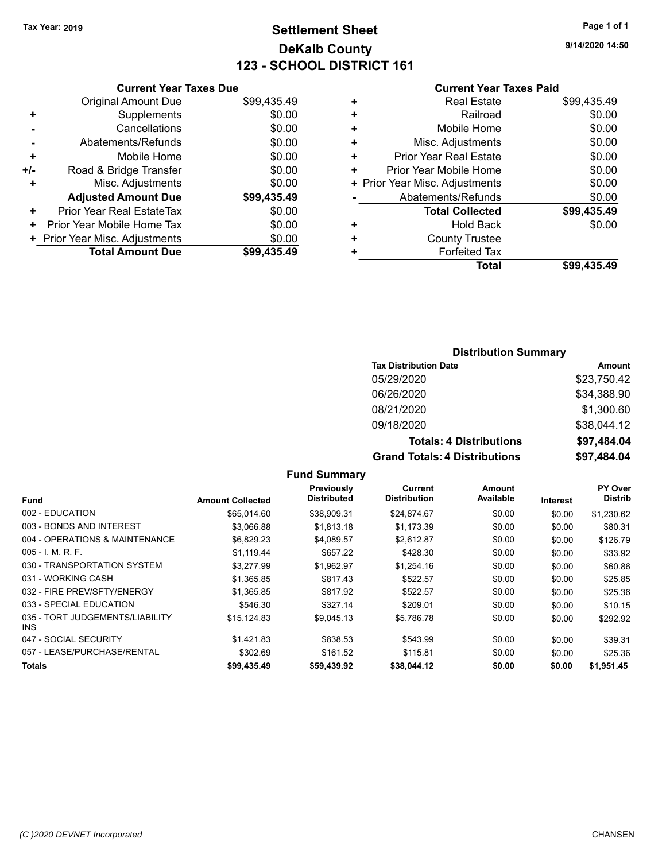# **Settlement Sheet Tax Year: 2019 Page 1 of 1 DeKalb County 123 - SCHOOL DISTRICT 161**

**9/14/2020 14:50**

## **Current Year Taxes Paid**

|     | <b>Current Year Taxes Due</b>  |             |
|-----|--------------------------------|-------------|
|     | <b>Original Amount Due</b>     | \$99,435.49 |
| ٠   | Supplements                    | \$0.00      |
|     | Cancellations                  | \$0.00      |
|     | Abatements/Refunds             | \$0.00      |
| ٠   | Mobile Home                    | \$0.00      |
| +/- | Road & Bridge Transfer         | \$0.00      |
| ٠   | Misc. Adjustments              | \$0.00      |
|     | <b>Adjusted Amount Due</b>     | \$99,435.49 |
| ٠   | Prior Year Real EstateTax      | \$0.00      |
| ٠   | Prior Year Mobile Home Tax     | \$0.00      |
|     | + Prior Year Misc. Adjustments | \$0.00      |
|     | <b>Total Amount Due</b>        | \$99.435.49 |
|     |                                |             |

| ٠ | <b>Real Estate</b>             | \$99,435.49 |
|---|--------------------------------|-------------|
| ٠ | Railroad                       | \$0.00      |
| ٠ | Mobile Home                    | \$0.00      |
| ٠ | Misc. Adjustments              | \$0.00      |
| ÷ | <b>Prior Year Real Estate</b>  | \$0.00      |
| ٠ | Prior Year Mobile Home         | \$0.00      |
|   | + Prior Year Misc. Adjustments | \$0.00      |
|   | Abatements/Refunds             | \$0.00      |
|   | <b>Total Collected</b>         | \$99,435.49 |
| ٠ | <b>Hold Back</b>               | \$0.00      |
| ٠ | <b>County Trustee</b>          |             |
| ٠ | <b>Forfeited Tax</b>           |             |
|   | Total                          | \$99,435.49 |
|   |                                |             |

## **Distribution Summary**

| <b>Tax Distribution Date</b>         | Amount      |
|--------------------------------------|-------------|
| 05/29/2020                           | \$23,750.42 |
| 06/26/2020                           | \$34,388.90 |
| 08/21/2020                           | \$1,300.60  |
| 09/18/2020                           | \$38,044.12 |
| <b>Totals: 4 Distributions</b>       | \$97,484.04 |
| <b>Grand Totals: 4 Distributions</b> | \$97,484.04 |

|                                         | <b>Amount Collected</b> | Previously<br><b>Distributed</b> | Current<br><b>Distribution</b> | Amount<br>Available |          | PY Over<br><b>Distrib</b> |
|-----------------------------------------|-------------------------|----------------------------------|--------------------------------|---------------------|----------|---------------------------|
| <b>Fund</b>                             |                         |                                  |                                |                     | Interest |                           |
| 002 - EDUCATION                         | \$65,014.60             | \$38,909.31                      | \$24,874.67                    | \$0.00              | \$0.00   | \$1,230.62                |
| 003 - BONDS AND INTEREST                | \$3,066.88              | \$1,813.18                       | \$1.173.39                     | \$0.00              | \$0.00   | \$80.31                   |
| 004 - OPERATIONS & MAINTENANCE          | \$6,829.23              | \$4.089.57                       | \$2,612.87                     | \$0.00              | \$0.00   | \$126.79                  |
| $005 - I$ , M, R, F,                    | \$1,119.44              | \$657.22                         | \$428.30                       | \$0.00              | \$0.00   | \$33.92                   |
| 030 - TRANSPORTATION SYSTEM             | \$3.277.99              | \$1.962.97                       | \$1,254.16                     | \$0.00              | \$0.00   | \$60.86                   |
| 031 - WORKING CASH                      | \$1,365.85              | \$817.43                         | \$522.57                       | \$0.00              | \$0.00   | \$25.85                   |
| 032 - FIRE PREV/SFTY/ENERGY             | \$1,365.85              | \$817.92                         | \$522.57                       | \$0.00              | \$0.00   | \$25.36                   |
| 033 - SPECIAL EDUCATION                 | \$546.30                | \$327.14                         | \$209.01                       | \$0.00              | \$0.00   | \$10.15                   |
| 035 - TORT JUDGEMENTS/LIABILITY<br>INS. | \$15,124.83             | \$9,045.13                       | \$5,786.78                     | \$0.00              | \$0.00   | \$292.92                  |
| 047 - SOCIAL SECURITY                   | \$1.421.83              | \$838.53                         | \$543.99                       | \$0.00              | \$0.00   | \$39.31                   |
| 057 - LEASE/PURCHASE/RENTAL             | \$302.69                | \$161.52                         | \$115.81                       | \$0.00              | \$0.00   | \$25.36                   |
| Totals                                  | \$99,435.49             | \$59,439.92                      | \$38.044.12                    | \$0.00              | \$0.00   | \$1.951.45                |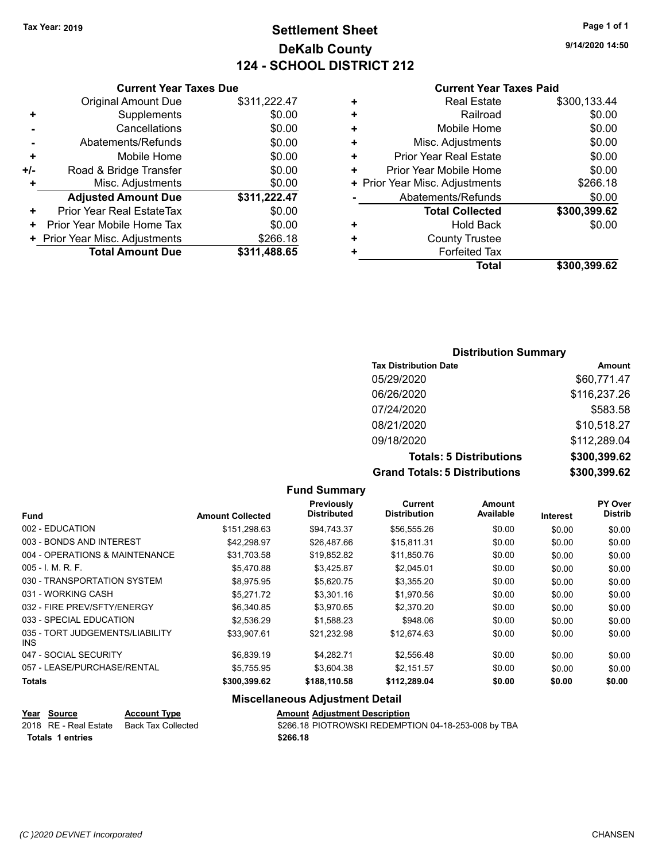# **Settlement Sheet Tax Year: 2019 Page 1 of 1 DeKalb County 124 - SCHOOL DISTRICT 212**

**9/14/2020 14:50**

#### **Current Year Taxes Paid**

|     | <b>Current Year Taxes Due</b>  |              |  |
|-----|--------------------------------|--------------|--|
|     | <b>Original Amount Due</b>     | \$311,222.47 |  |
| ٠   | Supplements                    | \$0.00       |  |
|     | Cancellations                  | \$0.00       |  |
|     | Abatements/Refunds             | \$0.00       |  |
| ٠   | Mobile Home                    | \$0.00       |  |
| +/- | Road & Bridge Transfer         | \$0.00       |  |
| ٠   | Misc. Adjustments              | \$0.00       |  |
|     | <b>Adjusted Amount Due</b>     | \$311,222.47 |  |
| ٠   | Prior Year Real EstateTax      | \$0.00       |  |
| ٠   | Prior Year Mobile Home Tax     | \$0.00       |  |
|     | + Prior Year Misc. Adjustments | \$266.18     |  |
|     | <b>Total Amount Due</b>        | \$311,488.65 |  |
|     |                                |              |  |

| ٠ | <b>Real Estate</b>             | \$300,133.44 |
|---|--------------------------------|--------------|
| ٠ | Railroad                       | \$0.00       |
| ٠ | Mobile Home                    | \$0.00       |
| ٠ | Misc. Adjustments              | \$0.00       |
| ÷ | <b>Prior Year Real Estate</b>  | \$0.00       |
| ٠ | Prior Year Mobile Home         | \$0.00       |
|   | + Prior Year Misc. Adjustments | \$266.18     |
|   | Abatements/Refunds             | \$0.00       |
|   | <b>Total Collected</b>         | \$300,399.62 |
| ٠ | Hold Back                      | \$0.00       |
| ÷ | <b>County Trustee</b>          |              |
| ٠ | <b>Forfeited Tax</b>           |              |
|   | <b>Total</b>                   | \$300,399.62 |
|   |                                |              |

## **Distribution Summary Tax Distribution Date Amount** 05/29/2020 \$60,771.47 06/26/2020 \$116,237.26 07/24/2020 \$583.58 08/21/2020 \$10,518.27 09/18/2020 \$112,289.04 **Totals: 5 Distributions \$300,399.62 Grand Totals: 5 Distributions \$300,399.62**

|                                               |                         | <b>Fund Summary</b>                    |                                |                     |          |                           |
|-----------------------------------------------|-------------------------|----------------------------------------|--------------------------------|---------------------|----------|---------------------------|
| <b>Fund</b>                                   | <b>Amount Collected</b> | Previously<br><b>Distributed</b>       | Current<br><b>Distribution</b> | Amount<br>Available | Interest | PY Over<br><b>Distrib</b> |
| 002 - EDUCATION                               | \$151,298.63            | \$94,743.37                            | \$56,555.26                    | \$0.00              | \$0.00   | \$0.00                    |
| 003 - BONDS AND INTEREST                      | \$42,298.97             | \$26,487.66                            | \$15,811.31                    | \$0.00              | \$0.00   | \$0.00                    |
| 004 - OPERATIONS & MAINTENANCE                | \$31,703.58             | \$19,852.82                            | \$11,850.76                    | \$0.00              | \$0.00   | \$0.00                    |
| $005 - I. M. R. F.$                           | \$5,470.88              | \$3,425.87                             | \$2,045.01                     | \$0.00              | \$0.00   | \$0.00                    |
| 030 - TRANSPORTATION SYSTEM                   | \$8,975.95              | \$5,620.75                             | \$3,355.20                     | \$0.00              | \$0.00   | \$0.00                    |
| 031 - WORKING CASH                            | \$5,271.72              | \$3,301.16                             | \$1,970.56                     | \$0.00              | \$0.00   | \$0.00                    |
| 032 - FIRE PREV/SFTY/ENERGY                   | \$6,340.85              | \$3,970.65                             | \$2,370.20                     | \$0.00              | \$0.00   | \$0.00                    |
| 033 - SPECIAL EDUCATION                       | \$2,536.29              | \$1,588.23                             | \$948.06                       | \$0.00              | \$0.00   | \$0.00                    |
| 035 - TORT JUDGEMENTS/LIABILITY<br><b>INS</b> | \$33,907.61             | \$21,232.98                            | \$12,674.63                    | \$0.00              | \$0.00   | \$0.00                    |
| 047 - SOCIAL SECURITY                         | \$6,839.19              | \$4,282.71                             | \$2,556.48                     | \$0.00              | \$0.00   | \$0.00                    |
| 057 - LEASE/PURCHASE/RENTAL                   | \$5,755.95              | \$3,604.38                             | \$2,151.57                     | \$0.00              | \$0.00   | \$0.00                    |
| <b>Totals</b>                                 | \$300,399.62            | \$188,110.58                           | \$112,289.04                   | \$0.00              | \$0.00   | \$0.00                    |
|                                               |                         | <b>Miscellaneous Adjustment Detail</b> |                                |                     |          |                           |

**Year Source Account Type Amount Adjustment Description** \$266.18 PIOTROWSKI REDEMPTION 04-18-253-008 by TBA

**Totals \$266.18 1 entries**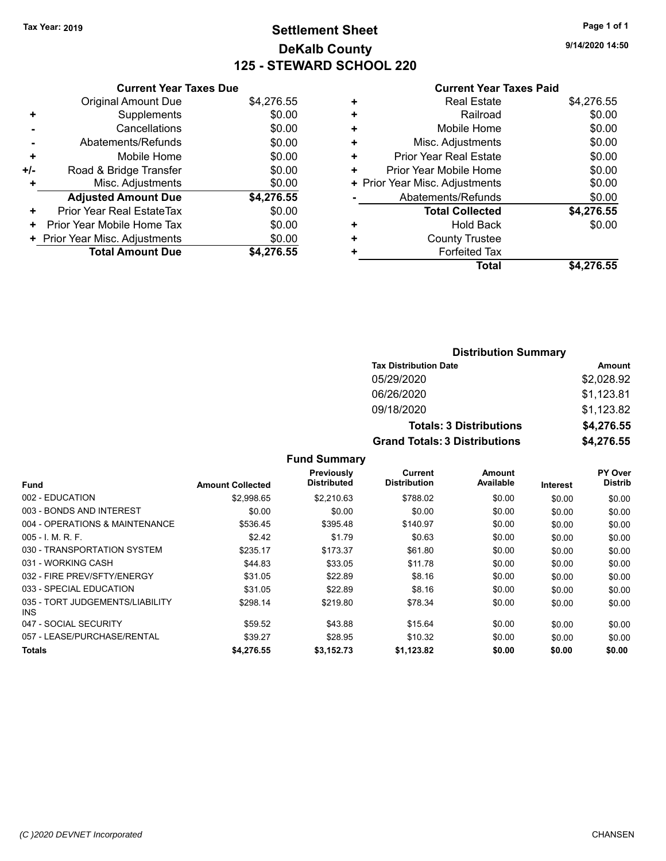# **Settlement Sheet Tax Year: 2019 Page 1 of 1 DeKalb County 125 - STEWARD SCHOOL 220**

**9/14/2020 14:50**

### **Current Year Taxes Paid**

|       | <b>Current Year Taxes Due</b>  |            |
|-------|--------------------------------|------------|
|       | <b>Original Amount Due</b>     | \$4,276.55 |
| ٠     | Supplements                    | \$0.00     |
|       | Cancellations                  | \$0.00     |
|       | Abatements/Refunds             | \$0.00     |
| ٠     | Mobile Home                    | \$0.00     |
| $+/-$ | Road & Bridge Transfer         | \$0.00     |
| ٠     | Misc. Adjustments              | \$0.00     |
|       | <b>Adjusted Amount Due</b>     | \$4,276.55 |
| ÷     | Prior Year Real EstateTax      | \$0.00     |
| ٠     | Prior Year Mobile Home Tax     | \$0.00     |
|       | + Prior Year Misc. Adjustments | \$0.00     |
|       | <b>Total Amount Due</b>        | \$4.276.55 |
|       |                                |            |

|   | Total                          | \$4,276.55 |
|---|--------------------------------|------------|
| ٠ | <b>Forfeited Tax</b>           |            |
| ÷ | <b>County Trustee</b>          |            |
| ٠ | <b>Hold Back</b>               | \$0.00     |
|   | <b>Total Collected</b>         | \$4,276.55 |
|   | Abatements/Refunds             | \$0.00     |
|   | + Prior Year Misc. Adjustments | \$0.00     |
| ٠ | Prior Year Mobile Home         | \$0.00     |
| ٠ | Prior Year Real Estate         | \$0.00     |
| ٠ | Misc. Adjustments              | \$0.00     |
| ٠ | Mobile Home                    | \$0.00     |
| ٠ | Railroad                       | \$0.00     |
| ٠ | <b>Real Estate</b>             | \$4,276.55 |
|   |                                |            |

## **Distribution Summary Tax Distribution Date Amount** 05/29/2020 \$2,028.92 06/26/2020 \$1,123.81 09/18/2020 \$1,123.82 **Totals: 3 Distributions \$4,276.55 Grand Totals: 3 Distributions \$4,276.55**

|                                         |                         | Previously         | Current             | Amount    |          | PY Over        |
|-----------------------------------------|-------------------------|--------------------|---------------------|-----------|----------|----------------|
| <b>Fund</b>                             | <b>Amount Collected</b> | <b>Distributed</b> | <b>Distribution</b> | Available | Interest | <b>Distrib</b> |
| 002 - EDUCATION                         | \$2.998.65              | \$2,210.63         | \$788.02            | \$0.00    | \$0.00   | \$0.00         |
| 003 - BONDS AND INTEREST                | \$0.00                  | \$0.00             | \$0.00              | \$0.00    | \$0.00   | \$0.00         |
| 004 - OPERATIONS & MAINTENANCE          | \$536.45                | \$395.48           | \$140.97            | \$0.00    | \$0.00   | \$0.00         |
| $005 - 1$ M, R, F.                      | \$2.42                  | \$1.79             | \$0.63              | \$0.00    | \$0.00   | \$0.00         |
| 030 - TRANSPORTATION SYSTEM             | \$235.17                | \$173.37           | \$61.80             | \$0.00    | \$0.00   | \$0.00         |
| 031 - WORKING CASH                      | \$44.83                 | \$33.05            | \$11.78             | \$0.00    | \$0.00   | \$0.00         |
| 032 - FIRE PREV/SFTY/ENERGY             | \$31.05                 | \$22.89            | \$8.16              | \$0.00    | \$0.00   | \$0.00         |
| 033 - SPECIAL EDUCATION                 | \$31.05                 | \$22.89            | \$8.16              | \$0.00    | \$0.00   | \$0.00         |
| 035 - TORT JUDGEMENTS/LIABILITY<br>INS. | \$298.14                | \$219.80           | \$78.34             | \$0.00    | \$0.00   | \$0.00         |
| 047 - SOCIAL SECURITY                   | \$59.52                 | \$43.88            | \$15.64             | \$0.00    | \$0.00   | \$0.00         |
| 057 - LEASE/PURCHASE/RENTAL             | \$39.27                 | \$28.95            | \$10.32             | \$0.00    | \$0.00   | \$0.00         |
| Totals                                  | \$4,276.55              | \$3,152.73         | \$1,123.82          | \$0.00    | \$0.00   | \$0.00         |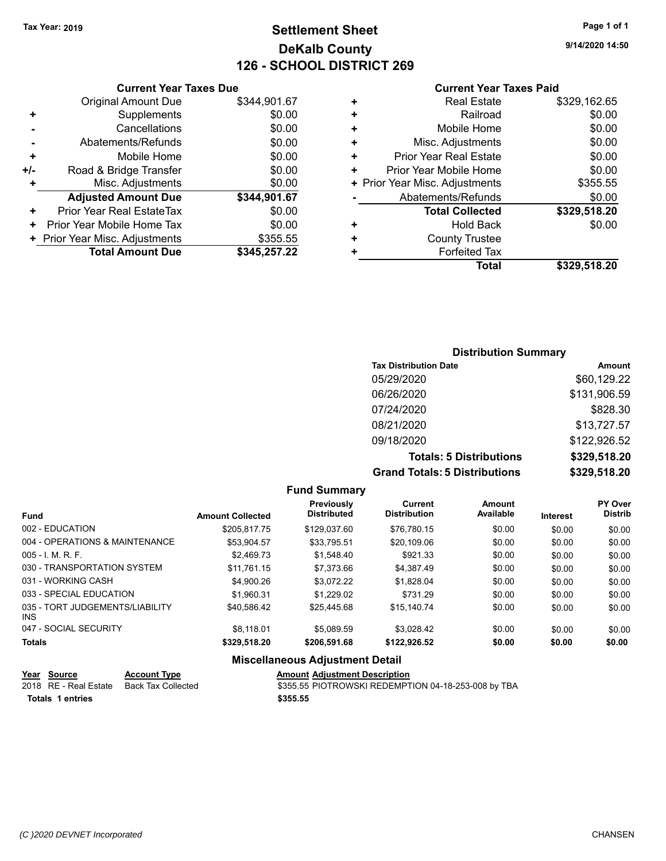# **Settlement Sheet Tax Year: 2019 Page 1 of 1 DeKalb County 126 - SCHOOL DISTRICT 269**

**9/14/2020 14:50**

#### **Current Year Taxes Paid**

|     | <b>Original Amount Due</b>     | \$344,901.67 |
|-----|--------------------------------|--------------|
| ٠   | Supplements                    | \$0.00       |
|     | Cancellations                  | \$0.00       |
|     | Abatements/Refunds             | \$0.00       |
| ٠   | Mobile Home                    | \$0.00       |
| +/- | Road & Bridge Transfer         | \$0.00       |
| ٠   | Misc. Adjustments              | \$0.00       |
|     | <b>Adjusted Amount Due</b>     | \$344,901.67 |
| ٠   | Prior Year Real EstateTax      | \$0.00       |
| ٠   | Prior Year Mobile Home Tax     | \$0.00       |
|     | + Prior Year Misc. Adjustments | \$355.55     |
|     | <b>Total Amount Due</b>        | \$345,257.22 |
|     |                                |              |

**Current Year Taxes Due**

|   | <b>Real Estate</b>             | \$329,162.65 |
|---|--------------------------------|--------------|
| ٠ | Railroad                       | \$0.00       |
| ٠ | Mobile Home                    | \$0.00       |
| ٠ | Misc. Adjustments              | \$0.00       |
| ٠ | <b>Prior Year Real Estate</b>  | \$0.00       |
| ٠ | Prior Year Mobile Home         | \$0.00       |
|   | + Prior Year Misc. Adjustments | \$355.55     |
|   | Abatements/Refunds             | \$0.00       |
|   | <b>Total Collected</b>         | \$329,518.20 |
| ٠ | Hold Back                      | \$0.00       |
| ٠ | <b>County Trustee</b>          |              |
| ٠ | <b>Forfeited Tax</b>           |              |
|   | Total                          | \$329,518.20 |

## **Distribution Summary Tax Distribution Date Amount** 05/29/2020 \$60,129.22 06/26/2020 \$131,906.59 07/24/2020 \$828.30 08/21/2020 \$13,727.57 09/18/2020 \$122,926.52 **Totals: 5 Distributions \$329,518.20 Grand Totals: 5 Distributions \$329,518.20**

|                                                           |                         | <b>Fund Summary</b>                    |                                |                     |                 |                           |
|-----------------------------------------------------------|-------------------------|----------------------------------------|--------------------------------|---------------------|-----------------|---------------------------|
| <b>Fund</b>                                               | <b>Amount Collected</b> | Previously<br><b>Distributed</b>       | Current<br><b>Distribution</b> | Amount<br>Available | <b>Interest</b> | PY Over<br><b>Distrib</b> |
| 002 - EDUCATION                                           | \$205.817.75            | \$129,037.60                           | \$76.780.15                    | \$0.00              | \$0.00          | \$0.00                    |
| 004 - OPERATIONS & MAINTENANCE                            | \$53,904.57             | \$33,795.51                            | \$20,109.06                    | \$0.00              | \$0.00          | \$0.00                    |
| $005 - I$ , M, R, F.                                      | \$2.469.73              | \$1,548.40                             | \$921.33                       | \$0.00              | \$0.00          | \$0.00                    |
| 030 - TRANSPORTATION SYSTEM                               | \$11.761.15             | \$7.373.66                             | \$4,387.49                     | \$0.00              | \$0.00          | \$0.00                    |
| 031 - WORKING CASH                                        | \$4,900.26              | \$3.072.22                             | \$1,828.04                     | \$0.00              | \$0.00          | \$0.00                    |
| 033 - SPECIAL EDUCATION                                   | \$1.960.31              | \$1,229.02                             | \$731.29                       | \$0.00              | \$0.00          | \$0.00                    |
| 035 - TORT JUDGEMENTS/LIABILITY<br>INS.                   | \$40.586.42             | \$25.445.68                            | \$15.140.74                    | \$0.00              | \$0.00          | \$0.00                    |
| 047 - SOCIAL SECURITY                                     | \$8.118.01              | \$5.089.59                             | \$3,028.42                     | \$0.00              | \$0.00          | \$0.00                    |
| <b>Totals</b>                                             | \$329,518.20            | \$206,591.68                           | \$122,926.52                   | \$0.00              | \$0.00          | \$0.00                    |
|                                                           |                         | <b>Miscellaneous Adjustment Detail</b> |                                |                     |                 |                           |
| $V_{\text{max}}$ $\theta_{\text{min}}$<br>Annatical Trens |                         | Amarint Adirectment Departmeter        |                                |                     |                 |                           |

| Year Source           | <b>Account Type</b> | <b>Amount Adjustment Description</b>                |
|-----------------------|---------------------|-----------------------------------------------------|
| 2018 RE - Real Estate | Back Tax Collected  | \$355.55 PIOTROWSKI REDEMPTION 04-18-253-008 by TBA |
| Totals 1 entries      |                     | \$355.55                                            |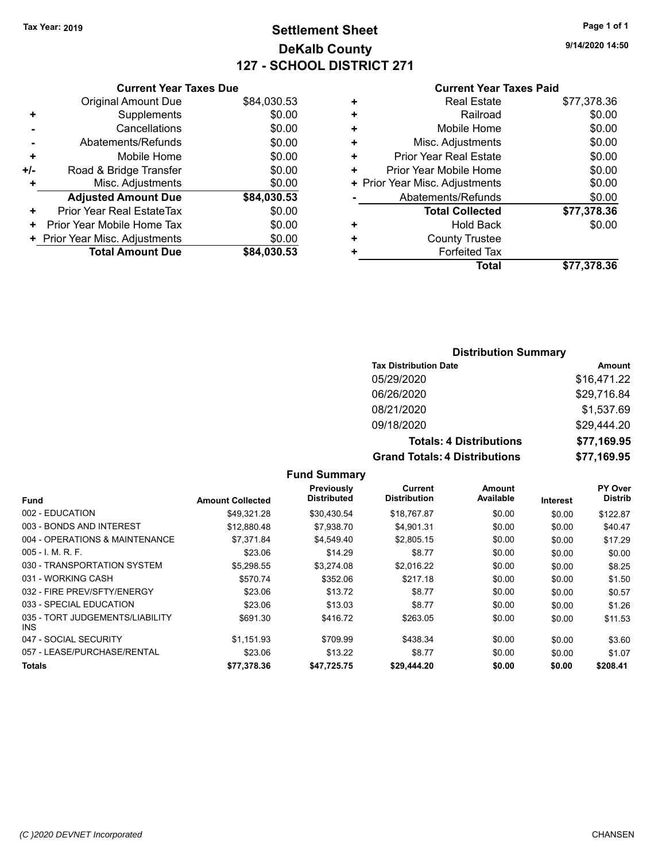# **Settlement Sheet Tax Year: 2019 Page 1 of 1 DeKalb County 127 - SCHOOL DISTRICT 271**

**9/14/2020 14:50**

#### **Current Year Taxes Paid**

|     | <b>Current Year Taxes Due</b>  |             |
|-----|--------------------------------|-------------|
|     | <b>Original Amount Due</b>     | \$84,030.53 |
| ٠   | Supplements                    | \$0.00      |
|     | Cancellations                  | \$0.00      |
|     | Abatements/Refunds             | \$0.00      |
| ٠   | Mobile Home                    | \$0.00      |
| +/- | Road & Bridge Transfer         | \$0.00      |
|     | Misc. Adjustments              | \$0.00      |
|     | <b>Adjusted Amount Due</b>     | \$84,030.53 |
| ٠   | Prior Year Real EstateTax      | \$0.00      |
| ٠   | Prior Year Mobile Home Tax     | \$0.00      |
|     | + Prior Year Misc. Adjustments | \$0.00      |
|     | <b>Total Amount Due</b>        | \$84,030.53 |
|     |                                |             |

|   | <b>Real Estate</b>             | \$77,378.36 |
|---|--------------------------------|-------------|
| ٠ | Railroad                       | \$0.00      |
| ٠ | Mobile Home                    | \$0.00      |
| ٠ | Misc. Adjustments              | \$0.00      |
| ٠ | <b>Prior Year Real Estate</b>  | \$0.00      |
| ٠ | Prior Year Mobile Home         | \$0.00      |
|   | + Prior Year Misc. Adjustments | \$0.00      |
|   | Abatements/Refunds             | \$0.00      |
|   | <b>Total Collected</b>         | \$77,378.36 |
| ٠ | Hold Back                      | \$0.00      |
| ٠ | <b>County Trustee</b>          |             |
|   | <b>Forfeited Tax</b>           |             |
|   | Total                          | \$77,378.36 |
|   |                                |             |

## **Distribution Summary**

| <b>Tax Distribution Date</b>         | <b>Amount</b> |
|--------------------------------------|---------------|
| 05/29/2020                           | \$16,471.22   |
| 06/26/2020                           | \$29,716.84   |
| 08/21/2020                           | \$1,537.69    |
| 09/18/2020                           | \$29,444.20   |
| <b>Totals: 4 Distributions</b>       | \$77,169.95   |
| <b>Grand Totals: 4 Distributions</b> | \$77,169.95   |

|                                         |                         | Previously<br><b>Distributed</b> | Current<br><b>Distribution</b> | Amount<br>Available |          | PY Over<br><b>Distrib</b> |
|-----------------------------------------|-------------------------|----------------------------------|--------------------------------|---------------------|----------|---------------------------|
| <b>Fund</b>                             | <b>Amount Collected</b> |                                  |                                |                     | Interest |                           |
| 002 - EDUCATION                         | \$49.321.28             | \$30.430.54                      | \$18,767.87                    | \$0.00              | \$0.00   | \$122.87                  |
| 003 - BONDS AND INTEREST                | \$12,880.48             | \$7,938.70                       | \$4,901.31                     | \$0.00              | \$0.00   | \$40.47                   |
| 004 - OPERATIONS & MAINTENANCE          | \$7.371.84              | \$4.549.40                       | \$2,805.15                     | \$0.00              | \$0.00   | \$17.29                   |
| $005 - 1$ M, R, F.                      | \$23.06                 | \$14.29                          | \$8.77                         | \$0.00              | \$0.00   | \$0.00                    |
| 030 - TRANSPORTATION SYSTEM             | \$5,298.55              | \$3,274.08                       | \$2,016.22                     | \$0.00              | \$0.00   | \$8.25                    |
| 031 - WORKING CASH                      | \$570.74                | \$352.06                         | \$217.18                       | \$0.00              | \$0.00   | \$1.50                    |
| 032 - FIRE PREV/SFTY/ENERGY             | \$23.06                 | \$13.72                          | \$8.77                         | \$0.00              | \$0.00   | \$0.57                    |
| 033 - SPECIAL EDUCATION                 | \$23.06                 | \$13.03                          | \$8.77                         | \$0.00              | \$0.00   | \$1.26                    |
| 035 - TORT JUDGEMENTS/LIABILITY<br>INS. | \$691.30                | \$416.72                         | \$263.05                       | \$0.00              | \$0.00   | \$11.53                   |
| 047 - SOCIAL SECURITY                   | \$1.151.93              | \$709.99                         | \$438.34                       | \$0.00              | \$0.00   | \$3.60                    |
| 057 - LEASE/PURCHASE/RENTAL             | \$23.06                 | \$13.22                          | \$8.77                         | \$0.00              | \$0.00   | \$1.07                    |
| <b>Totals</b>                           | \$77,378.36             | \$47,725.75                      | \$29,444.20                    | \$0.00              | \$0.00   | \$208.41                  |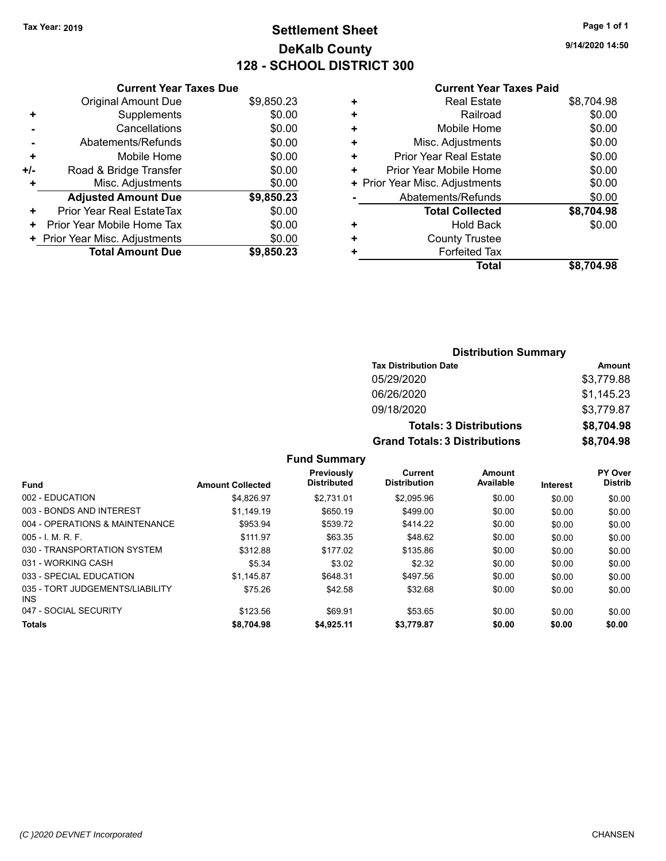# **Settlement Sheet Tax Year: 2019 Page 1 of 1 DeKalb County 128 - SCHOOL DISTRICT 300**

**9/14/2020 14:50**

### **Current Year Taxes Paid**

| <b>Current Year Taxes Due</b>  |            |
|--------------------------------|------------|
| <b>Original Amount Due</b>     | \$9,850.23 |
| Supplements                    | \$0.00     |
| Cancellations                  | \$0.00     |
| Abatements/Refunds             | \$0.00     |
| Mobile Home                    | \$0.00     |
| Road & Bridge Transfer         | \$0.00     |
| Misc. Adjustments              | \$0.00     |
| <b>Adjusted Amount Due</b>     | \$9,850.23 |
| Prior Year Real EstateTax      | \$0.00     |
| Prior Year Mobile Home Tax     | \$0.00     |
| + Prior Year Misc. Adjustments | \$0.00     |
| <b>Total Amount Due</b>        | \$9,850,23 |
|                                |            |

|   | <b>Real Estate</b>             | \$8,704.98 |
|---|--------------------------------|------------|
| ٠ | Railroad                       | \$0.00     |
| ÷ | Mobile Home                    | \$0.00     |
| ٠ | Misc. Adjustments              | \$0.00     |
| ٠ | Prior Year Real Estate         | \$0.00     |
| ٠ | Prior Year Mobile Home         | \$0.00     |
|   | + Prior Year Misc. Adjustments | \$0.00     |
|   | Abatements/Refunds             | \$0.00     |
|   | <b>Total Collected</b>         | \$8,704.98 |
| ٠ | <b>Hold Back</b>               | \$0.00     |
| ٠ | <b>County Trustee</b>          |            |
| ٠ | <b>Forfeited Tax</b>           |            |
|   | <b>Total</b>                   | \$8,704.98 |
|   |                                |            |

| <b>Distribution Summary</b>          |            |
|--------------------------------------|------------|
| <b>Tax Distribution Date</b>         | Amount     |
| 05/29/2020                           | \$3,779.88 |
| 06/26/2020                           | \$1,145.23 |
| 09/18/2020                           | \$3,779.87 |
| <b>Totals: 3 Distributions</b>       | \$8,704.98 |
| <b>Grand Totals: 3 Distributions</b> | \$8,704.98 |

|                                         |                         | Previously         | Current             | Amount    |          | <b>PY Over</b> |
|-----------------------------------------|-------------------------|--------------------|---------------------|-----------|----------|----------------|
| <b>Fund</b>                             | <b>Amount Collected</b> | <b>Distributed</b> | <b>Distribution</b> | Available | Interest | <b>Distrib</b> |
| 002 - EDUCATION                         | \$4.826.97              | \$2.731.01         | \$2,095.96          | \$0.00    | \$0.00   | \$0.00         |
| 003 - BONDS AND INTEREST                | \$1.149.19              | \$650.19           | \$499.00            | \$0.00    | \$0.00   | \$0.00         |
| 004 - OPERATIONS & MAINTENANCE          | \$953.94                | \$539.72           | \$414.22            | \$0.00    | \$0.00   | \$0.00         |
| $005 - 1$ M, R, F.                      | \$111.97                | \$63.35            | \$48.62             | \$0.00    | \$0.00   | \$0.00         |
| 030 - TRANSPORTATION SYSTEM             | \$312.88                | \$177.02           | \$135.86            | \$0.00    | \$0.00   | \$0.00         |
| 031 - WORKING CASH                      | \$5.34                  | \$3.02             | \$2.32              | \$0.00    | \$0.00   | \$0.00         |
| 033 - SPECIAL EDUCATION                 | \$1.145.87              | \$648.31           | \$497.56            | \$0.00    | \$0.00   | \$0.00         |
| 035 - TORT JUDGEMENTS/LIABILITY<br>INS. | \$75.26                 | \$42.58            | \$32.68             | \$0.00    | \$0.00   | \$0.00         |
| 047 - SOCIAL SECURITY                   | \$123.56                | \$69.91            | \$53.65             | \$0.00    | \$0.00   | \$0.00         |
| <b>Totals</b>                           | \$8,704.98              | \$4,925.11         | \$3,779.87          | \$0.00    | \$0.00   | \$0.00         |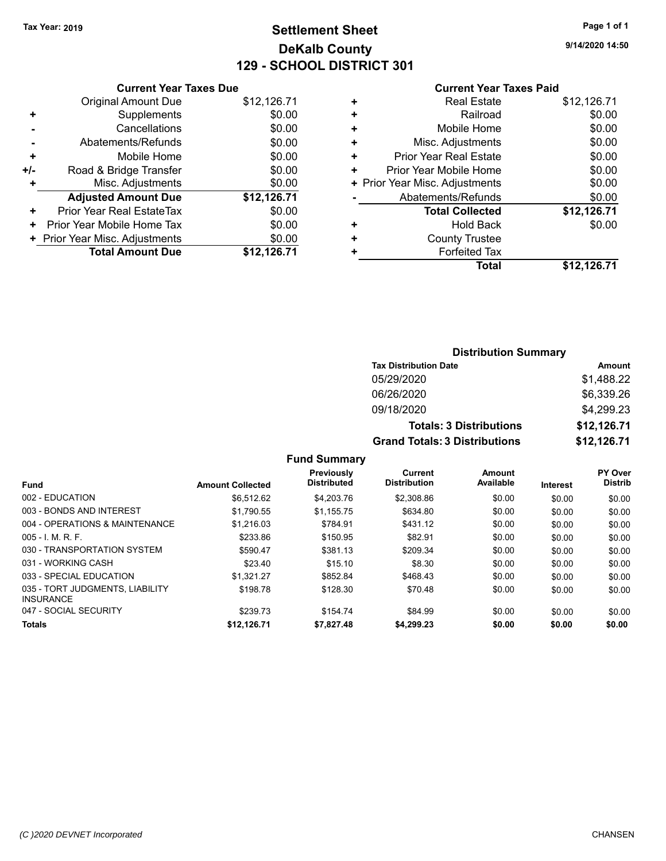# **Settlement Sheet Tax Year: 2019 Page 1 of 1 DeKalb County 129 - SCHOOL DISTRICT 301**

**9/14/2020 14:50**

#### **Current Year Taxes Paid**

|     | <b>Current Year Taxes Due</b>  |             |
|-----|--------------------------------|-------------|
|     | <b>Original Amount Due</b>     | \$12,126.71 |
| ٠   | Supplements                    | \$0.00      |
|     | Cancellations                  | \$0.00      |
|     | Abatements/Refunds             | \$0.00      |
| ٠   | Mobile Home                    | \$0.00      |
| +/- | Road & Bridge Transfer         | \$0.00      |
| ٠   | Misc. Adjustments              | \$0.00      |
|     | <b>Adjusted Amount Due</b>     | \$12,126.71 |
| ٠   | Prior Year Real EstateTax      | \$0.00      |
| ٠   | Prior Year Mobile Home Tax     | \$0.00      |
|     | + Prior Year Misc. Adjustments | \$0.00      |
|     | <b>Total Amount Due</b>        | \$12,126.71 |
|     |                                |             |

| ٠ | <b>Real Estate</b>             | \$12,126.71 |
|---|--------------------------------|-------------|
| ٠ | Railroad                       | \$0.00      |
| ٠ | Mobile Home                    | \$0.00      |
| ٠ | Misc. Adjustments              | \$0.00      |
| ٠ | <b>Prior Year Real Estate</b>  | \$0.00      |
| ٠ | Prior Year Mobile Home         | \$0.00      |
|   | + Prior Year Misc. Adjustments | \$0.00      |
|   | Abatements/Refunds             | \$0.00      |
|   | <b>Total Collected</b>         | \$12,126.71 |
| ٠ | Hold Back                      | \$0.00      |
| ٠ | <b>County Trustee</b>          |             |
| ٠ | <b>Forfeited Tax</b>           |             |
|   | Total                          | \$12,126.71 |

## **Distribution Summary Tax Distribution Date Amount** 05/29/2020 \$1,488.22 06/26/2020 \$6,339.26 09/18/2020 \$4,299.23 **Totals: 3 Distributions \$12,126.71 Grand Totals: 3 Distributions \$12,126.71**

|                                                     |                         | Previously         | Current<br><b>Distribution</b> | Amount<br>Available |                 | <b>PY Over</b><br><b>Distrib</b> |
|-----------------------------------------------------|-------------------------|--------------------|--------------------------------|---------------------|-----------------|----------------------------------|
| <b>Fund</b>                                         | <b>Amount Collected</b> | <b>Distributed</b> |                                |                     | <b>Interest</b> |                                  |
| 002 - EDUCATION                                     | \$6.512.62              | \$4,203.76         | \$2,308.86                     | \$0.00              | \$0.00          | \$0.00                           |
| 003 - BONDS AND INTEREST                            | \$1.790.55              | \$1.155.75         | \$634.80                       | \$0.00              | \$0.00          | \$0.00                           |
| 004 - OPERATIONS & MAINTENANCE                      | \$1.216.03              | \$784.91           | \$431.12                       | \$0.00              | \$0.00          | \$0.00                           |
| $005 - 1$ , M, R, F,                                | \$233.86                | \$150.95           | \$82.91                        | \$0.00              | \$0.00          | \$0.00                           |
| 030 - TRANSPORTATION SYSTEM                         | \$590.47                | \$381.13           | \$209.34                       | \$0.00              | \$0.00          | \$0.00                           |
| 031 - WORKING CASH                                  | \$23.40                 | \$15.10            | \$8.30                         | \$0.00              | \$0.00          | \$0.00                           |
| 033 - SPECIAL EDUCATION                             | \$1.321.27              | \$852.84           | \$468.43                       | \$0.00              | \$0.00          | \$0.00                           |
| 035 - TORT JUDGMENTS, LIABILITY<br><b>INSURANCE</b> | \$198.78                | \$128.30           | \$70.48                        | \$0.00              | \$0.00          | \$0.00                           |
| 047 - SOCIAL SECURITY                               | \$239.73                | \$154.74           | \$84.99                        | \$0.00              | \$0.00          | \$0.00                           |
| <b>Totals</b>                                       | \$12,126.71             | \$7,827.48         | \$4,299.23                     | \$0.00              | \$0.00          | \$0.00                           |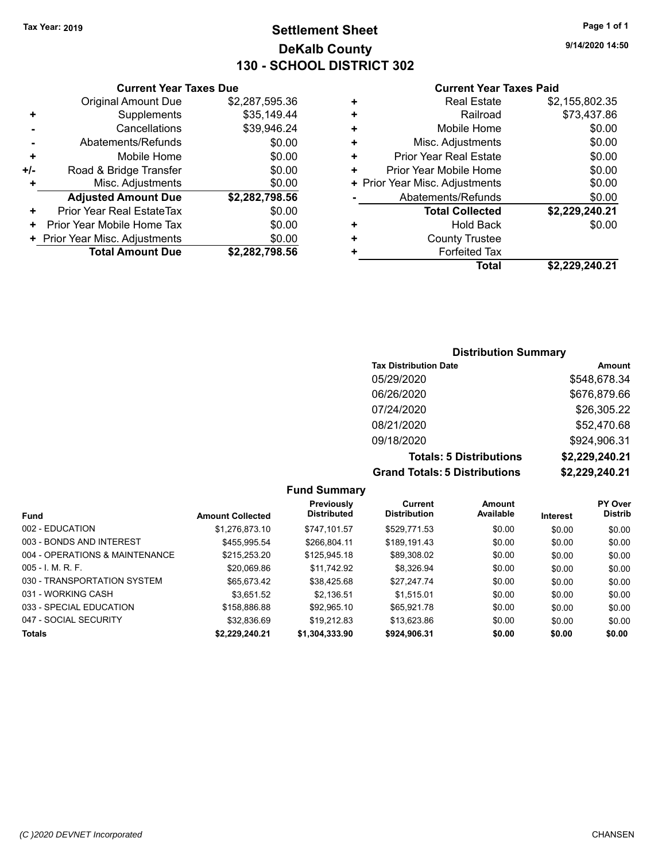# **Settlement Sheet Tax Year: 2019 Page 1 of 1 DeKalb County 130 - SCHOOL DISTRICT 302**

**9/14/2020 14:50**

#### **Current Year Taxes Paid**

|     | <b>Current Year Taxes Due</b>  |                |
|-----|--------------------------------|----------------|
|     | <b>Original Amount Due</b>     | \$2,287,595.36 |
| ٠   | Supplements                    | \$35,149.44    |
|     | Cancellations                  | \$39,946.24    |
|     | Abatements/Refunds             | \$0.00         |
| ٠   | Mobile Home                    | \$0.00         |
| +/- | Road & Bridge Transfer         | \$0.00         |
|     | Misc. Adjustments              | \$0.00         |
|     | <b>Adjusted Amount Due</b>     | \$2,282,798.56 |
| ٠   | Prior Year Real EstateTax      | \$0.00         |
| ٠   | Prior Year Mobile Home Tax     | \$0.00         |
|     | + Prior Year Misc. Adjustments | \$0.00         |
|     | <b>Total Amount Due</b>        | \$2,282,798.56 |
|     |                                |                |

|   | <b>Real Estate</b>             | \$2,155,802.35 |
|---|--------------------------------|----------------|
| ÷ | Railroad                       | \$73,437.86    |
| ٠ | Mobile Home                    | \$0.00         |
| ÷ | Misc. Adjustments              | \$0.00         |
| ٠ | Prior Year Real Estate         | \$0.00         |
| ٠ | Prior Year Mobile Home         | \$0.00         |
|   | + Prior Year Misc. Adjustments | \$0.00         |
|   | Abatements/Refunds             | \$0.00         |
|   | <b>Total Collected</b>         | \$2,229,240.21 |
| ٠ | Hold Back                      | \$0.00         |
| ٠ | <b>County Trustee</b>          |                |
| ٠ | <b>Forfeited Tax</b>           |                |
|   | Total                          | \$2,229,240.21 |

### **Distribution Summary**

| <b>Tax Distribution Date</b>         | <b>Amount</b>  |
|--------------------------------------|----------------|
| 05/29/2020                           | \$548,678.34   |
| 06/26/2020                           | \$676,879.66   |
| 07/24/2020                           | \$26,305.22    |
| 08/21/2020                           | \$52,470.68    |
| 09/18/2020                           | \$924,906.31   |
| <b>Totals: 5 Distributions</b>       | \$2,229,240.21 |
| <b>Grand Totals: 5 Distributions</b> | \$2,229,240.21 |

#### **Fund Summary Fund Interest Amount Collected Distributed PY Over Distrib Amount Available Current Distribution Previously** 002 - EDUCATION \$1,276,873.10 \$747,101.57 \$529,771.53 \$0.00 \$0.00 \$0.00 003 - BONDS AND INTEREST 6455,995.54 \$266,804.11 \$189,191.43 \$0.00 \$0.00 \$0.00 004 - OPERATIONS & MAINTENANCE \$215,253.20 \$125,945.18 \$89,308.02 \$0.00 \$0.00 \$0.00 005 - I. M. R. F. \$20,069.86 \$11,742.92 \$8,326.94 \$0.00 \$0.00 \$0.00 030 - TRANSPORTATION SYSTEM \$65,673.42 \$38,425.68 \$27,247.74 \$0.00 \$0.00 \$0.00 031 - WORKING CASH \$3,651.52 \$2,136.51 \$1,515.01 \$0.00 \$0.00 \$0.00 033 - SPECIAL EDUCATION \$158,886.88 \$92,965.10 \$65,921.78 \$0.00 \$0.00 \$0.00 \$0.00 047 - SOCIAL SECURITY \$32,836.69 \$19,212.83 \$13,623.86 \$0.00 \$0.00 \$0.00 **Totals \$2,229,240.21 \$1,304,333.90 \$924,906.31 \$0.00 \$0.00 \$0.00**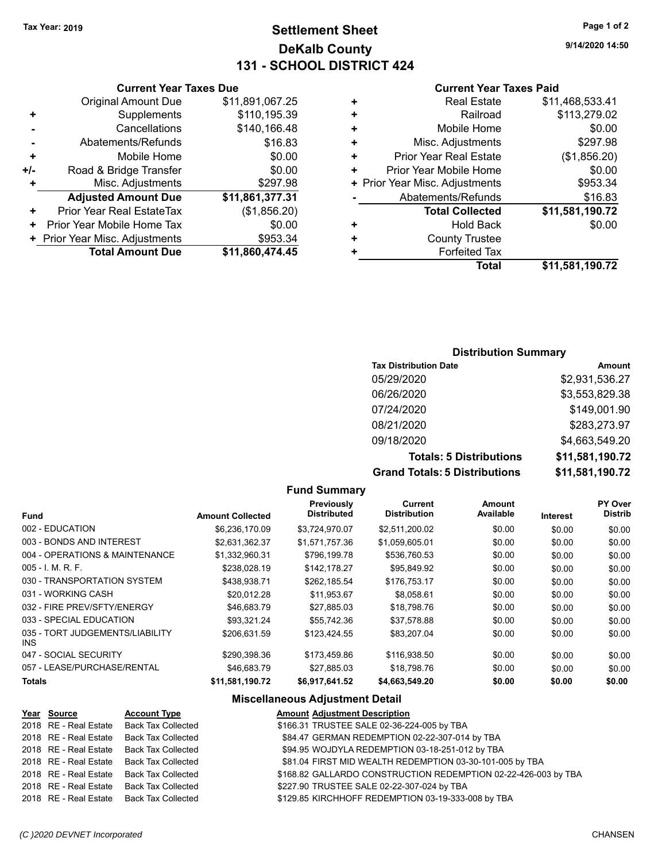# **Settlement Sheet Tax Year: 2019 Page 1 of 2 DeKalb County 131 - SCHOOL DISTRICT 424**

**9/14/2020 14:50**

#### **Current Year Taxes Paid**

|   | <b>Real Estate</b>             | \$11,468,533.41 |
|---|--------------------------------|-----------------|
| ٠ | Railroad                       | \$113,279.02    |
| ٠ | Mobile Home                    | \$0.00          |
| ٠ | Misc. Adjustments              | \$297.98        |
| ٠ | <b>Prior Year Real Estate</b>  | (\$1,856.20)    |
| ٠ | Prior Year Mobile Home         | \$0.00          |
|   | + Prior Year Misc. Adjustments | \$953.34        |
|   | Abatements/Refunds             | \$16.83         |
|   | <b>Total Collected</b>         | \$11,581,190.72 |
| ٠ | <b>Hold Back</b>               | \$0.00          |
| ٠ | <b>County Trustee</b>          |                 |
|   | <b>Forfeited Tax</b>           |                 |
|   | Total                          | \$11,581,190.72 |

## **Current Year Taxes Due** Original Amount Due \$11,891,067.25 **+** Supplements \$110,195.39 **-** Cancellations \$140,166.48 Abatements/Refunds \$16.83 **+** Mobile Home \$0.00 **+/-** Road & Bridge Transfer **\$0.00 Misc. Adjustments** \$297.98 **Adjusted Amount Due \$11,861,377.31**

|       | <b>Total Amount Due</b>        | \$11,860,474.45 |
|-------|--------------------------------|-----------------|
|       | + Prior Year Misc. Adjustments | \$953.34        |
|       | + Prior Year Mobile Home Tax   | \$0.00          |
| $\pm$ | Prior Year Real EstateTax      | (\$1,856.20)    |

## **Distribution Summary**

| <b>Tax Distribution Date</b>         | Amount          |
|--------------------------------------|-----------------|
| 05/29/2020                           | \$2,931,536.27  |
| 06/26/2020                           | \$3,553,829.38  |
| 07/24/2020                           | \$149,001.90    |
| 08/21/2020                           | \$283,273.97    |
| 09/18/2020                           | \$4,663,549.20  |
| <b>Totals: 5 Distributions</b>       | \$11,581,190.72 |
| <b>Grand Totals: 5 Distributions</b> | \$11,581,190.72 |

#### **Fund Interest Amount Collected Distributed PY Over Distrib Amount Available Current Distribution Previously** 002 - EDUCATION \$6,236,170.09 \$3,724,970.07 \$2,511,200.02 \$0.00 \$0.00 \$0.00 003 - BONDS AND INTEREST  $$2,631,362.37$   $$1,571,757.36$   $$1,059,605.01$   $$0.00$   $$0.00$   $$0.00$ 004 - OPERATIONS & MAINTENANCE \$1,332,960.31 \$796,199.78 \$536,760.53 \$0.00 \$0.00 \$0.00 \$0.00 005 - I. M. R. F. \$238,028.19 \$142,178.27 \$95,849.92 \$0.00 \$0.00 \$0.00 030 - TRANSPORTATION SYSTEM \$438,938.71 \$262,185.54 \$176,753.17 \$0.00 \$0.00 \$0.00 031 - WORKING CASH \$20,012.28 \$11,953.67 \$8,058.61 \$0.00 \$0.00 \$0.00 032 - FIRE PREV/SFTY/ENERGY 646,683.79 \$27,885.03 \$18,798.76 \$0.00 \$0.00 \$0.00 033 - SPECIAL EDUCATION \$93,321.24 \$55,742.36 \$37,578.88 \$0.00 \$0.00 \$0.00 \$0.00 035 - TORT JUDGEMENTS/LIABILITY INS \$206,631.59 \$123,424.55 \$83,207.04 \$0.00 \$0.00 \$0.00 047 - SOCIAL SECURITY \$290,398.36 \$173,459.86 \$116,938.50 \$0.00 \$0.00 \$0.00 057 - LEASE/PURCHASE/RENTAL \$46,683.79 \$27,885.03 \$18,798.76 \$0.00 \$0.00 \$0.00 \$0.00 **Totals \$11,581,190.72 \$6,917,641.52 \$4,663,549.20 \$0.00 \$0.00 \$0.00**

**Fund Summary**

## **Miscellaneous Adjustment Detail**

| 2018 RE - Real Estate<br><b>Back Tax Collected</b><br>\$166.31 TRUSTEE SALE 02-36-224-005 by TBA                     |  |
|----------------------------------------------------------------------------------------------------------------------|--|
|                                                                                                                      |  |
| \$84.47 GERMAN REDEMPTION 02-22-307-014 by TBA<br>2018 RE - Real Estate<br><b>Back Tax Collected</b>                 |  |
| \$94.95 WOJDYLA REDEMPTION 03-18-251-012 by TBA<br><b>Back Tax Collected</b><br>2018 RE - Real Estate                |  |
| \$81.04 FIRST MID WEALTH REDEMPTION 03-30-101-005 by TBA<br><b>Back Tax Collected</b><br>2018 RE - Real Estate       |  |
| 2018 RE - Real Estate<br><b>Back Tax Collected</b><br>\$168.82 GALLARDO CONSTRUCTION REDEMPTION 02-22-426-003 by TBA |  |
| 2018 RE - Real Estate<br><b>Back Tax Collected</b><br>\$227.90 TRUSTEE SALE 02-22-307-024 by TBA                     |  |
| \$129.85 KIRCHHOFF REDEMPTION 03-19-333-008 by TBA<br>2018 RE - Real Estate<br><b>Back Tax Collected</b>             |  |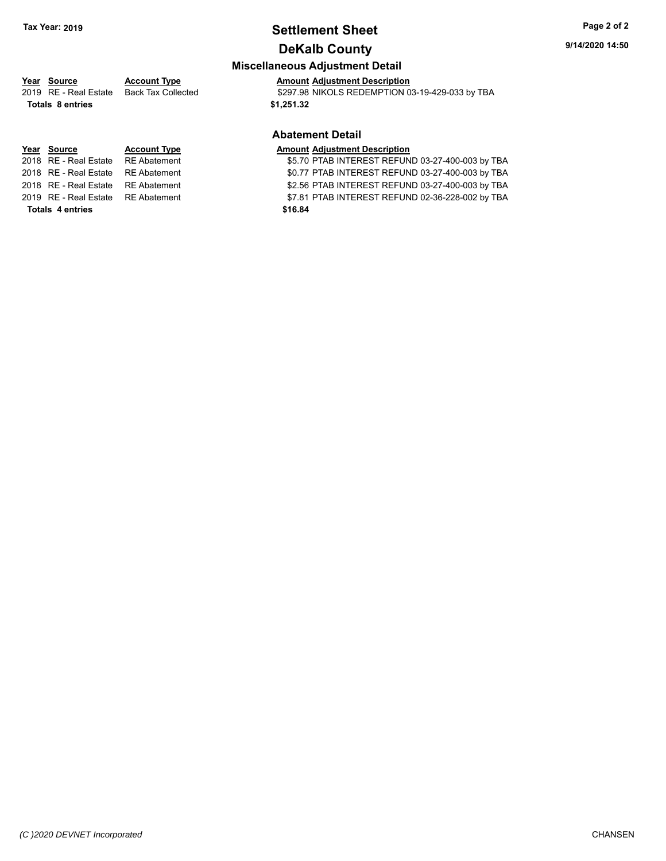# **Settlement Sheet Tax Year: 2019 Page 2 of 2**

# **DeKalb County**

### **Miscellaneous Adjustment Detail**

# **Year** Source **Account Type And Adjustment Description**

2019 RE - Real Estate Back Tax Collected \$297.98 NIKOLS REDEMPTION 03-19-429-033 by TBA

#### **Abatement Detail**

#### **Year Source Account Type AMOU AMOUNT Adjustment Description**

2018 RE - Real Estate RE Abatement \$5.70 PTAB INTEREST REFUND 03-27-400-003 by TBA 2018 RE - Real Estate RE Abatement \$0.77 PTAB INTEREST REFUND 03-27-400-003 by TBA 2018 RE - Real Estate RE Abatement S2.56 PTAB INTEREST REFUND 03-27-400-003 by TBA 2019 RE - Real Estate RE Abatement \$7.81 PTAB INTEREST REFUND 02-36-228-002 by TBA

**Totals \$1,251.32 8 entries**

**Totals \$16.84 4 entries**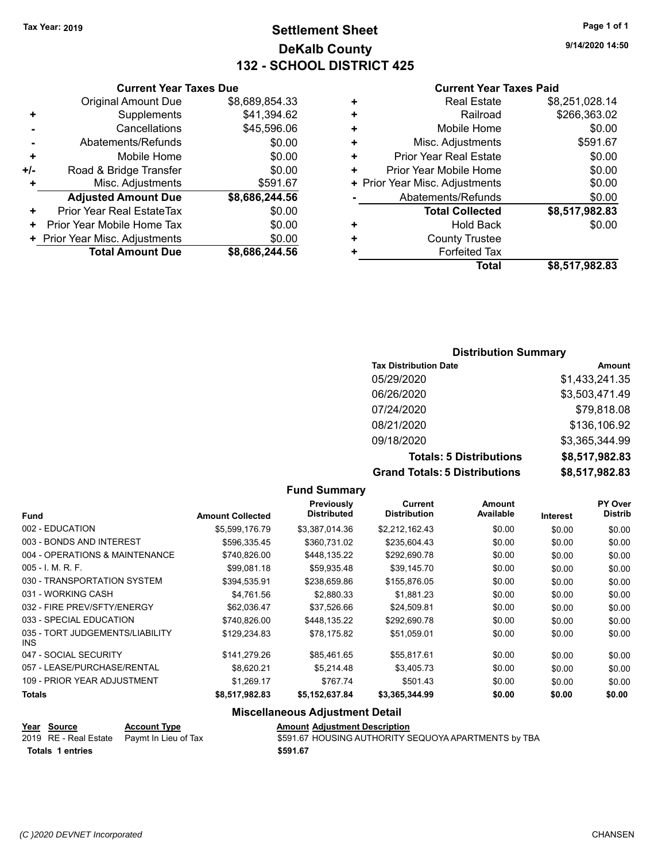# **Settlement Sheet Tax Year: 2019 Page 1 of 1 DeKalb County 132 - SCHOOL DISTRICT 425**

**9/14/2020 14:50**

#### **Current Year Taxes Paid**

|     | <b>Total Amount Due</b>        | \$8,686,244.56 |
|-----|--------------------------------|----------------|
|     | + Prior Year Misc. Adjustments | \$0.00         |
| ٠   | Prior Year Mobile Home Tax     | \$0.00         |
| ٠   | Prior Year Real EstateTax      | \$0.00         |
|     | <b>Adjusted Amount Due</b>     | \$8,686,244.56 |
| ٠   | Misc. Adjustments              | \$591.67       |
| +/- | Road & Bridge Transfer         | \$0.00         |
| ٠   | Mobile Home                    | \$0.00         |
|     | Abatements/Refunds             | \$0.00         |
|     | Cancellations                  | \$45,596.06    |
| ٠   | Supplements                    | \$41,394.62    |
|     | <b>Original Amount Due</b>     | \$8,689,854.33 |
|     |                                |                |

**Current Year Taxes Due**

|   | <b>Real Estate</b>             | \$8,251,028.14 |
|---|--------------------------------|----------------|
| ٠ | Railroad                       | \$266,363.02   |
| ٠ | Mobile Home                    | \$0.00         |
| ٠ | Misc. Adjustments              | \$591.67       |
| ٠ | Prior Year Real Estate         | \$0.00         |
| ٠ | Prior Year Mobile Home         | \$0.00         |
|   | + Prior Year Misc. Adjustments | \$0.00         |
|   | Abatements/Refunds             | \$0.00         |
|   | <b>Total Collected</b>         | \$8,517,982.83 |
| ٠ | <b>Hold Back</b>               | \$0.00         |
| ٠ | <b>County Trustee</b>          |                |
| ٠ | <b>Forfeited Tax</b>           |                |
|   | Total                          | \$8,517,982.83 |
|   |                                |                |

#### **Distribution Summary**

| <b>Tax Distribution Date</b>         | <b>Amount</b>  |
|--------------------------------------|----------------|
| 05/29/2020                           | \$1,433,241.35 |
| 06/26/2020                           | \$3,503,471.49 |
| 07/24/2020                           | \$79,818.08    |
| 08/21/2020                           | \$136,106.92   |
| 09/18/2020                           | \$3,365,344.99 |
| <b>Totals: 5 Distributions</b>       | \$8,517,982.83 |
| <b>Grand Totals: 5 Distributions</b> | \$8,517,982.83 |

#### **Fund Summary Fund Interest Amount Collected Distributed PY Over Distrib Amount Available Current Distribution Previously** 002 - EDUCATION \$5,599,176.79 \$3,387,014.36 \$2,212,162.43 \$0.00 \$0.00 \$0.00 003 - BONDS AND INTEREST  $$596,335.45$   $$360,731.02$   $$235,604.43$   $$0.00$   $$0.00$   $$0.00$ 004 - OPERATIONS & MAINTENANCE \$740,826.00 \$448,135.22 \$292,690.78 \$0.00 \$0.00 \$0.00 \$0.00 005 - I. M. R. F. \$99,081.18 \$59,935.48 \$39,145.70 \$0.00 \$0.00 \$0.00 030 - TRANSPORTATION SYSTEM \$394,535.91 \$238,659.86 \$155,876.05 \$0.00 \$0.00 \$0.00 \$0.00 031 - WORKING CASH \$4.761.56 \$2.880.33 \$1.881.23 \$0.00 \$0.00 \$0.00 \$0.00 032 - FIRE PREV/SFTY/ENERGY **\$62,036.47** \$37,526.66 \$24,509.81 \$0.00 \$0.00 \$0.00 \$0.00 033 - SPECIAL EDUCATION \$ \$740,826.00 \$448,135.22 \$292,690.78 \$0.00 \$0.00 \$0.00 \$0.00 035 - TORT JUDGEMENTS/LIABILITY INS \$129,234.83 \$78,175.82 \$51,059.01 \$0.00 \$0.00 \$0.00 047 - SOCIAL SECURITY 6141,279.26 \$85,461.65 \$55,817.61 \$0.00 \$0.00 \$0.00 \$0.00 057 - LEASE/PURCHASE/RENTAL  $$8,620.21$   $$5,214.48$   $$3,405.73$   $$0.00$   $$0.00$   $$0.00$ 109 - PRIOR YEAR ADJUSTMENT \$1,269.17 \$1,269.17 \$767.74 \$501.43 \$0.00 \$0.00 \$0.00 **Totals \$8,517,982.83 \$5,152,637.84 \$3,365,344.99 \$0.00 \$0.00 \$0.00 Miscellaneous Adjustment Detail**

**Year Source Account Type Amount Adjustment Description**

| סטוועט ווס            |
|-----------------------|
| 2019 RE - Real Estate |
|                       |

**Totals \$591.67 1 entries**

Paymt In Lieu of Tax **5591.67 HOUSING AUTHORITY SEQUOYA APARTMENTS by TBA**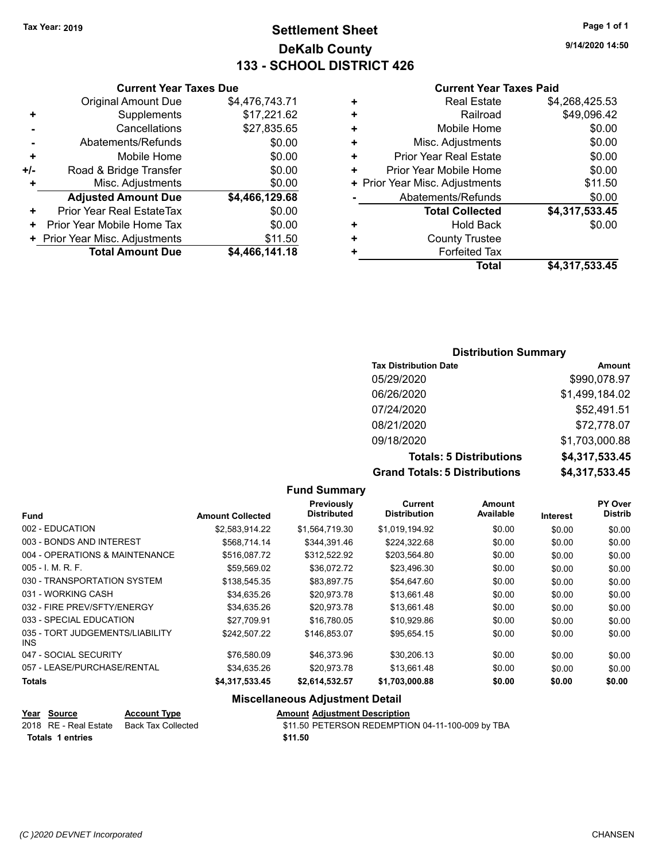# **Settlement Sheet Tax Year: 2019 Page 1 of 1 DeKalb County 133 - SCHOOL DISTRICT 426**

**9/14/2020 14:50**

#### **Current Year Taxes Paid**

| <b>Current Year Taxes Due</b> |                                |                |  |  |  |  |
|-------------------------------|--------------------------------|----------------|--|--|--|--|
|                               | <b>Original Amount Due</b>     | \$4,476,743.71 |  |  |  |  |
| ٠                             | Supplements                    | \$17,221.62    |  |  |  |  |
|                               | Cancellations                  | \$27,835.65    |  |  |  |  |
|                               | Abatements/Refunds             | \$0.00         |  |  |  |  |
| ٠                             | Mobile Home                    | \$0.00         |  |  |  |  |
| +/-                           | Road & Bridge Transfer         | \$0.00         |  |  |  |  |
|                               | Misc. Adjustments              | \$0.00         |  |  |  |  |
|                               | <b>Adjusted Amount Due</b>     | \$4,466,129.68 |  |  |  |  |
| ٠                             | Prior Year Real EstateTax      | \$0.00         |  |  |  |  |
| ٠                             | Prior Year Mobile Home Tax     | \$0.00         |  |  |  |  |
|                               | + Prior Year Misc. Adjustments | \$11.50        |  |  |  |  |
|                               | <b>Total Amount Due</b>        | \$4,466,141.18 |  |  |  |  |
|                               |                                |                |  |  |  |  |

| ٠ | <b>Real Estate</b>             | \$4,268,425.53 |
|---|--------------------------------|----------------|
| ٠ | Railroad                       | \$49,096.42    |
| ÷ | Mobile Home                    | \$0.00         |
| ٠ | Misc. Adjustments              | \$0.00         |
| ٠ | <b>Prior Year Real Estate</b>  | \$0.00         |
| ٠ | Prior Year Mobile Home         | \$0.00         |
|   | + Prior Year Misc. Adjustments | \$11.50        |
|   | Abatements/Refunds             | \$0.00         |
|   | <b>Total Collected</b>         | \$4,317,533.45 |
| + | Hold Back                      | \$0.00         |
| ÷ | <b>County Trustee</b>          |                |
| + | <b>Forfeited Tax</b>           |                |
|   | Total                          | \$4,317,533.45 |

### **Distribution Summary**

| <b>Tax Distribution Date</b>         | Amount         |
|--------------------------------------|----------------|
| 05/29/2020                           | \$990,078.97   |
| 06/26/2020                           | \$1,499,184.02 |
| 07/24/2020                           | \$52,491.51    |
| 08/21/2020                           | \$72,778.07    |
| 09/18/2020                           | \$1,703,000.88 |
| <b>Totals: 5 Distributions</b>       | \$4,317,533.45 |
| <b>Grand Totals: 5 Distributions</b> | \$4,317,533.45 |

#### **Fund Summary Fund Interest Amount Collected Distributed PY Over Distrib Amount Available Current Distribution Previously** 002 - EDUCATION \$2,583,914.22 \$1,564,719.30 \$1,019,194.92 \$0.00 \$0.00 \$0.00 003 - BONDS AND INTEREST \$568,714.14 \$344,391.46 \$224,322.68 \$0.00 \$0.00 \$0.00 004 - OPERATIONS & MAINTENANCE \$516,087.72 \$312,522.92 \$203,564.80 \$0.00 \$0.00 \$0.00 005 - I. M. R. F. \$59,569.02 \$36,072.72 \$23,496.30 \$0.00 \$0.00 \$0.00 030 - TRANSPORTATION SYSTEM \$138,545.35 \$83,897.75 \$54,647.60 \$0.00 \$0.00 \$0.00 031 - WORKING CASH \$34,635.26 \$20,973.78 \$13,661.48 \$0.00 \$0.00 \$0.00 032 - FIRE PREV/SFTY/ENERGY **\$34,635.26** \$20,973.78 \$13,661.48 \$0.00 \$0.00 \$0.00 033 - SPECIAL EDUCATION \$27,709.91 \$16,780.05 \$10,929.86 \$0.00 \$0.00 \$0.00 \$0.00 035 - TORT JUDGEMENTS/LIABILITY INS \$242,507.22 \$146,853.07 \$95,654.15 \$0.00 \$0.00 \$0.00 047 - SOCIAL SECURITY \$76,580.09 \$46,373.96 \$30,206.13 \$0.00 \$0.00 \$0.00 057 - LEASE/PURCHASE/RENTAL  $$34,635.26$   $$20,973.78$   $$13,661.48$  \$0.00  $$0.00$  \$0.00 \$0.00 **Totals \$4,317,533.45 \$2,614,532.57 \$1,703,000.88 \$0.00 \$0.00 \$0.00 Miscellaneous Adjustment Detail**

**Year Source Account Type Amount Adjustment Description** 2018 RE - Real Estate Back Tax Collected \$11.50 PETERSON REDEMPTION 04-11-100-009 by TBA **Totals 1 entries 1.50 1.50**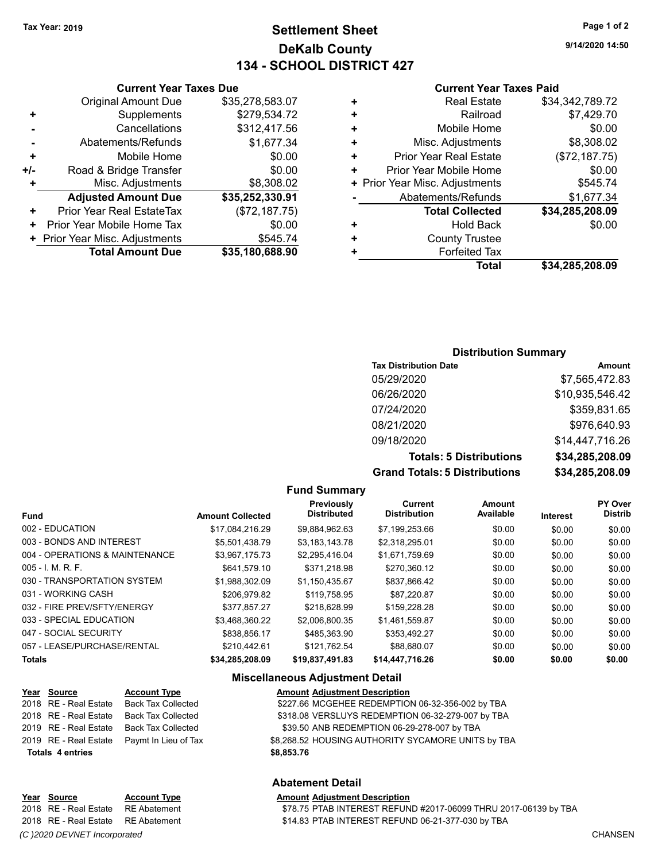**Current Year Taxes Due** Original Amount Due \$35,278,583.07

**Adjusted Amount Due \$35,252,330.91**

**Total Amount Due \$35,180,688.90**

**+** Supplements \$279,534.72 **-** Cancellations \$312,417.56 **-** Abatements/Refunds \$1,677.34 **+** Mobile Home \$0.00 **+/-** Road & Bridge Transfer **\$0.00 +** Misc. Adjustments \$8,308.02

**+** Prior Year Real EstateTax (\$72,187.75) **+** Prior Year Mobile Home Tax  $$0.00$ **+ Prior Year Misc. Adjustments \$545.74** 

# **Settlement Sheet Tax Year: 2019 Page 1 of 2 DeKalb County 134 - SCHOOL DISTRICT 427**

**9/14/2020 14:50**

#### **Current Year Taxes Paid**

|   | Total                          | \$34,285,208.09 |
|---|--------------------------------|-----------------|
|   | <b>Forfeited Tax</b>           |                 |
| ٠ | <b>County Trustee</b>          |                 |
| ٠ | <b>Hold Back</b>               | \$0.00          |
|   | <b>Total Collected</b>         | \$34,285,208.09 |
|   | Abatements/Refunds             | \$1,677.34      |
|   | + Prior Year Misc. Adjustments | \$545.74        |
| ÷ | Prior Year Mobile Home         | \$0.00          |
| ٠ | <b>Prior Year Real Estate</b>  | (\$72,187.75)   |
| ÷ | Misc. Adjustments              | \$8,308.02      |
| ٠ | Mobile Home                    | \$0.00          |
| ٠ | Railroad                       | \$7,429.70      |
| ٠ | <b>Real Estate</b>             | \$34,342,789.72 |
|   |                                |                 |

#### **Distribution Summary**

| <b>Tax Distribution Date</b>         | Amount          |
|--------------------------------------|-----------------|
| 05/29/2020                           | \$7,565,472.83  |
| 06/26/2020                           | \$10,935,546.42 |
| 07/24/2020                           | \$359,831.65    |
| 08/21/2020                           | \$976,640.93    |
| 09/18/2020                           | \$14,447,716.26 |
| <b>Totals: 5 Distributions</b>       | \$34,285,208.09 |
| <b>Grand Totals: 5 Distributions</b> | \$34,285,208.09 |

#### **Fund Summary**

| <b>Fund</b>                    | <b>Amount Collected</b> | Previously<br><b>Distributed</b> | Current<br><b>Distribution</b> | <b>Amount</b><br>Available | Interest | <b>PY Over</b><br><b>Distrib</b> |
|--------------------------------|-------------------------|----------------------------------|--------------------------------|----------------------------|----------|----------------------------------|
| 002 - EDUCATION                | \$17,084,216.29         | \$9,884,962.63                   | \$7,199,253.66                 | \$0.00                     | \$0.00   | \$0.00                           |
| 003 - BONDS AND INTEREST       | \$5.501.438.79          | \$3.183.143.78                   | \$2,318,295.01                 | \$0.00                     | \$0.00   | \$0.00                           |
| 004 - OPERATIONS & MAINTENANCE | \$3.967.175.73          | \$2.295.416.04                   | \$1.671.759.69                 | \$0.00                     | \$0.00   | \$0.00                           |
| $005 - 1$ M, R, F.             | \$641,579.10            | \$371.218.98                     | \$270,360.12                   | \$0.00                     | \$0.00   | \$0.00                           |
| 030 - TRANSPORTATION SYSTEM    | \$1.988.302.09          | \$1,150,435.67                   | \$837,866.42                   | \$0.00                     | \$0.00   | \$0.00                           |
| 031 - WORKING CASH             | \$206.979.82            | \$119,758.95                     | \$87.220.87                    | \$0.00                     | \$0.00   | \$0.00                           |
| 032 - FIRE PREV/SFTY/ENERGY    | \$377.857.27            | \$218.628.99                     | \$159,228.28                   | \$0.00                     | \$0.00   | \$0.00                           |
| 033 - SPECIAL EDUCATION        | \$3,468,360.22          | \$2,006,800.35                   | \$1,461,559.87                 | \$0.00                     | \$0.00   | \$0.00                           |
| 047 - SOCIAL SECURITY          | \$838.856.17            | \$485.363.90                     | \$353.492.27                   | \$0.00                     | \$0.00   | \$0.00                           |
| 057 - LEASE/PURCHASE/RENTAL    | \$210.442.61            | \$121.762.54                     | \$88,680.07                    | \$0.00                     | \$0.00   | \$0.00                           |
| <b>Totals</b>                  | \$34.285.208.09         | \$19,837,491.83                  | \$14,447,716.26                | \$0.00                     | \$0.00   | \$0.00                           |

#### **Miscellaneous Adjustment Detail**

| Year Source             | <b>Account Type</b>                        | <b>Amount Adjustment Description</b>               |  |
|-------------------------|--------------------------------------------|----------------------------------------------------|--|
| 2018 RE - Real Estate   | <b>Back Tax Collected</b>                  | \$227.66 MCGEHEE REDEMPTION 06-32-356-002 by TBA   |  |
| 2018 RE - Real Estate   | <b>Back Tax Collected</b>                  | \$318.08 VERSLUYS REDEMPTION 06-32-279-007 by TBA  |  |
| 2019 RE - Real Estate   | <b>Back Tax Collected</b>                  | \$39.50 ANB REDEMPTION 06-29-278-007 by TBA        |  |
|                         | 2019 RE - Real Estate Paymt In Lieu of Tax | \$8,268.52 HOUSING AUTHORITY SYCAMORE UNITS by TBA |  |
| <b>Totals 4 entries</b> |                                            | \$8,853.76                                         |  |
|                         |                                            |                                                    |  |

#### **Abatement Detail**

## **Year Source Account Type Amount Adjustment Description**

*(C )2020 DEVNET Incorporated* CHANSEN

2018 RE - Real Estate RE Abatement \$78.75 PTAB INTEREST REFUND #2017-06099 THRU 2017-06139 by TBA 2018 RE - Real Estate RE Abatement \$14.83 PTAB INTEREST REFUND 06-21-377-030 by TBA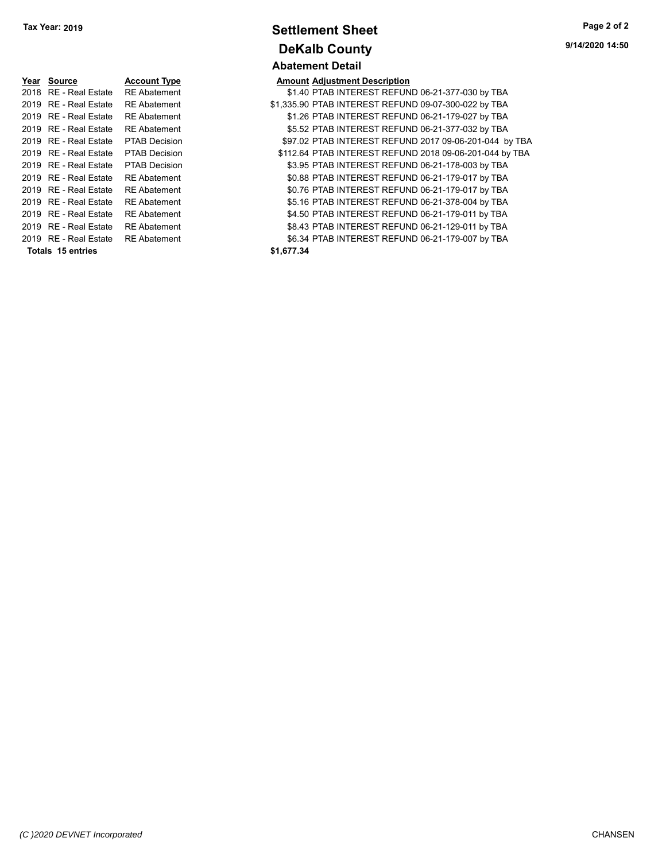| Year Source           | <b>Account Type</b>  |            | <b>Amount Adjustment Description</b> |
|-----------------------|----------------------|------------|--------------------------------------|
| 2018 RE - Real Estate | <b>RE Abatement</b>  |            | \$1.40 PTAB INTEREST REFUN           |
| 2019 RE - Real Estate | <b>RE</b> Abatement  |            | \$1.335.90 PTAB INTEREST REFUN       |
| 2019 RE - Real Estate | <b>RE</b> Abatement  |            | \$1.26 PTAB INTEREST REFUN           |
| 2019 RE - Real Estate | <b>RE</b> Abatement  |            | \$5.52 PTAB INTEREST REFUN           |
| 2019 RE - Real Estate | <b>PTAB Decision</b> |            | \$97.02 PTAB INTEREST REFUN          |
| 2019 RE - Real Estate | <b>PTAB Decision</b> |            | \$112.64 PTAB INTEREST REFUN         |
| 2019 RE - Real Estate | <b>PTAB Decision</b> |            | \$3.95 PTAB INTEREST REFUN           |
| 2019 RE - Real Estate | <b>RE</b> Abatement  |            | \$0.88 PTAB INTEREST REFUN           |
| 2019 RE - Real Estate | <b>RE</b> Abatement  |            | \$0.76 PTAB INTEREST REFUN           |
| 2019 RE - Real Estate | <b>RE</b> Abatement  |            | \$5.16 PTAB INTEREST REFUN           |
| 2019 RE - Real Estate | <b>RE</b> Abatement  |            | \$4.50 PTAB INTEREST REFUN           |
| 2019 RE - Real Estate | <b>RE</b> Abatement  |            | \$8.43 PTAB INTEREST REFUN           |
| 2019 RE - Real Estate | <b>RE</b> Abatement  |            | \$6.34 PTAB INTEREST REFUN           |
| Totals 15 entries     |                      | \$1.677.34 |                                      |
|                       |                      |            |                                      |

**Settlement Sheet Tax Year: 2019 Page 2 of 2 DeKalb County Abatement Detail**

| <b>IGAI OUUICG</b>      | ACCOUNT IVPE         | Allivallit Aujustinent Description                      |
|-------------------------|----------------------|---------------------------------------------------------|
| 2018 RE - Real Estate   | <b>RE</b> Abatement  | \$1.40 PTAB INTEREST REFUND 06-21-377-030 by TBA        |
| 2019 RE - Real Estate   | <b>RE</b> Abatement  | \$1,335.90 PTAB INTEREST REFUND 09-07-300-022 by TBA    |
| 2019 RE - Real Estate   | <b>RE</b> Abatement  | \$1.26 PTAB INTEREST REFUND 06-21-179-027 by TBA        |
| 2019 RE - Real Estate   | <b>RE</b> Abatement  | \$5.52 PTAB INTEREST REFUND 06-21-377-032 by TBA        |
| 2019 RE - Real Estate   | <b>PTAB Decision</b> | \$97.02 PTAB INTEREST REFUND 2017 09-06-201-044 by TBA  |
| 2019 RE - Real Estate   | <b>PTAB Decision</b> | \$112.64 PTAB INTEREST REFUND 2018 09-06-201-044 by TBA |
| 2019 RE - Real Estate   | <b>PTAB Decision</b> | \$3.95 PTAB INTEREST REFUND 06-21-178-003 by TBA        |
| 2019 RE - Real Estate   | <b>RE</b> Abatement  | \$0.88 PTAB INTEREST REFUND 06-21-179-017 by TBA        |
| 2019 RE - Real Estate   | <b>RE</b> Abatement  | \$0.76 PTAB INTEREST REFUND 06-21-179-017 by TBA        |
| 2019 RE - Real Estate   | <b>RE</b> Abatement  | \$5.16 PTAB INTEREST REFUND 06-21-378-004 by TBA        |
| 2019 RE - Real Estate   | <b>RE</b> Abatement  | \$4.50 PTAB INTEREST REFUND 06-21-179-011 by TBA        |
| 2019   RE - Real Estate | RE Abatement         | \$8.43 PTAB INTEREST REFUND 06-21-129-011 by TBA        |
| 2019   RE - Real Estate | <b>RE Abatement</b>  | \$6.34 PTAB INTEREST REFUND 06-21-179-007 by TBA        |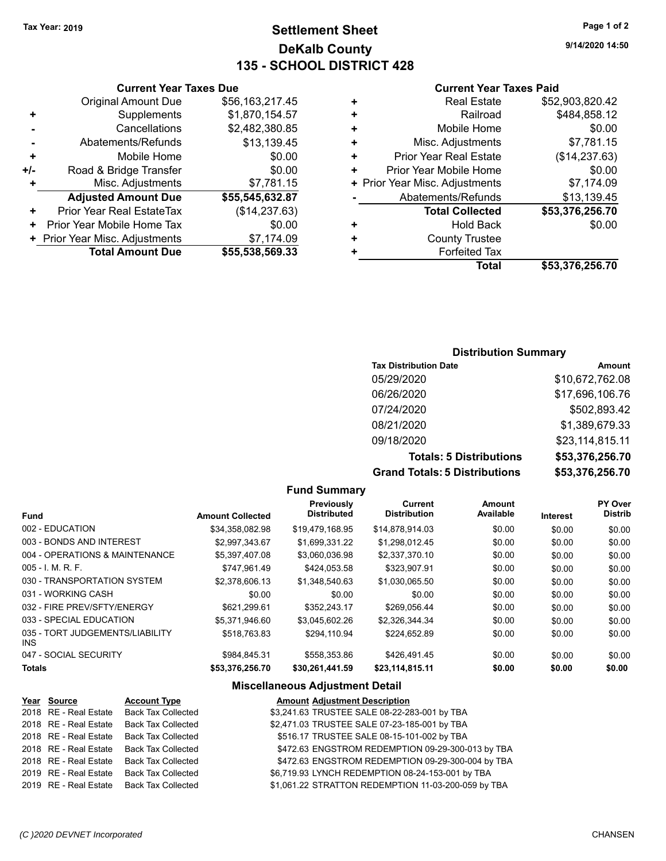**Current Year Taxes Due** Original Amount Due \$56,163,217.45

**Adjusted Amount Due \$55,545,632.87**

**Total Amount Due \$55,538,569.33**

**+** Supplements \$1,870,154.57 **-** Cancellations \$2,482,380.85 **-** Abatements/Refunds \$13,139.45 **+** Mobile Home \$0.00 **+/-** Road & Bridge Transfer \$0.00<br>**+** Misc. Adjustments \$7,781.15

**+** Prior Year Real EstateTax (\$14,237.63) **+** Prior Year Mobile Home Tax  $$0.00$ **+ Prior Year Misc. Adjustments \$7,174.09** 

**+** Misc. Adjustments

# **Settlement Sheet Tax Year: 2019 Page 1 of 2 DeKalb County 135 - SCHOOL DISTRICT 428**

**9/14/2020 14:50**

#### **Current Year Taxes Paid**

| ٠ | <b>Real Estate</b>             | \$52,903,820.42 |
|---|--------------------------------|-----------------|
| ٠ | Railroad                       | \$484,858.12    |
| ٠ | Mobile Home                    | \$0.00          |
| ٠ | Misc. Adjustments              | \$7,781.15      |
| ٠ | <b>Prior Year Real Estate</b>  | (\$14,237.63)   |
| ٠ | Prior Year Mobile Home         | \$0.00          |
|   | + Prior Year Misc. Adjustments | \$7,174.09      |
|   | Abatements/Refunds             | \$13,139.45     |
|   | <b>Total Collected</b>         | \$53,376,256.70 |
| ٠ | <b>Hold Back</b>               | \$0.00          |
| ٠ | <b>County Trustee</b>          |                 |
| ٠ | <b>Forfeited Tax</b>           |                 |
|   | Total                          | \$53,376,256.70 |

## **Distribution Summary**

| <b>Tax Distribution Date</b>         | <b>Amount</b>   |
|--------------------------------------|-----------------|
| 05/29/2020                           | \$10,672,762.08 |
| 06/26/2020                           | \$17,696,106.76 |
| 07/24/2020                           | \$502,893.42    |
| 08/21/2020                           | \$1,389,679.33  |
| 09/18/2020                           | \$23,114,815.11 |
| <b>Totals: 5 Distributions</b>       | \$53,376,256.70 |
| <b>Grand Totals: 5 Distributions</b> | \$53,376,256.70 |

#### **Fund Summary**

|                                         |                         | Previously         | Current             | Amount    |          | PY Over        |
|-----------------------------------------|-------------------------|--------------------|---------------------|-----------|----------|----------------|
| <b>Fund</b>                             | <b>Amount Collected</b> | <b>Distributed</b> | <b>Distribution</b> | Available | Interest | <b>Distrib</b> |
| 002 - EDUCATION                         | \$34.358.082.98         | \$19.479.168.95    | \$14.878.914.03     | \$0.00    | \$0.00   | \$0.00         |
| 003 - BONDS AND INTEREST                | \$2.997.343.67          | \$1.699.331.22     | \$1.298.012.45      | \$0.00    | \$0.00   | \$0.00         |
| 004 - OPERATIONS & MAINTENANCE          | \$5.397.407.08          | \$3.060.036.98     | \$2,337,370.10      | \$0.00    | \$0.00   | \$0.00         |
| $005 - I$ , M, R, F,                    | \$747.961.49            | \$424.053.58       | \$323.907.91        | \$0.00    | \$0.00   | \$0.00         |
| 030 - TRANSPORTATION SYSTEM             | \$2.378.606.13          | \$1.348.540.63     | \$1.030.065.50      | \$0.00    | \$0.00   | \$0.00         |
| 031 - WORKING CASH                      | \$0.00                  | \$0.00             | \$0.00              | \$0.00    | \$0.00   | \$0.00         |
| 032 - FIRE PREV/SFTY/ENERGY             | \$621.299.61            | \$352.243.17       | \$269.056.44        | \$0.00    | \$0.00   | \$0.00         |
| 033 - SPECIAL EDUCATION                 | \$5.371.946.60          | \$3.045.602.26     | \$2.326.344.34      | \$0.00    | \$0.00   | \$0.00         |
| 035 - TORT JUDGEMENTS/LIABILITY<br>INS. | \$518.763.83            | \$294.110.94       | \$224.652.89        | \$0.00    | \$0.00   | \$0.00         |
| 047 - SOCIAL SECURITY                   | \$984.845.31            | \$558.353.86       | \$426.491.45        | \$0.00    | \$0.00   | \$0.00         |
| <b>Totals</b>                           | \$53,376,256.70         | \$30,261,441.59    | \$23,114,815.11     | \$0.00    | \$0.00   | \$0.00         |

#### **Miscellaneous Adjustment Detail**

| Year Source           | <b>Account Type</b>       | <b>Amount Adjustment Description</b>                |
|-----------------------|---------------------------|-----------------------------------------------------|
| 2018 RE - Real Estate | <b>Back Tax Collected</b> | \$3,241.63 TRUSTEE SALE 08-22-283-001 by TBA        |
| 2018 RE - Real Estate | <b>Back Tax Collected</b> | \$2,471.03 TRUSTEE SALE 07-23-185-001 by TBA        |
| 2018 RE - Real Estate | <b>Back Tax Collected</b> | \$516.17 TRUSTEE SALE 08-15-101-002 by TBA          |
| 2018 RE - Real Estate | <b>Back Tax Collected</b> | \$472.63 ENGSTROM REDEMPTION 09-29-300-013 by TBA   |
| 2018 RE - Real Estate | <b>Back Tax Collected</b> | \$472.63 ENGSTROM REDEMPTION 09-29-300-004 by TBA   |
| 2019 RE - Real Estate | <b>Back Tax Collected</b> | \$6,719.93 LYNCH REDEMPTION 08-24-153-001 by TBA    |
| 2019 RE - Real Estate | Back Tax Collected        | \$1,061.22 STRATTON REDEMPTION 11-03-200-059 by TBA |
|                       |                           |                                                     |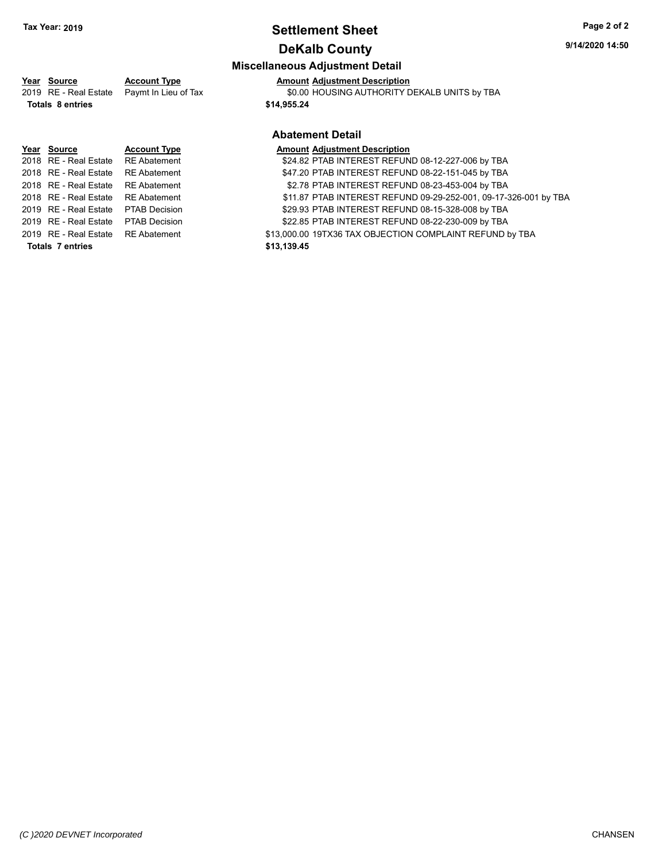# **Settlement Sheet Tax Year: 2019 Page 2 of 2**

# **DeKalb County**

# **Miscellaneous Adjustment Detail**

**Year** Source **Account Type A** Anneunt Adjustment Description

2019 RE - Real Estate Paymt In Lieu of Tax \$0.00 HOUSING AUTHORITY DEKALB UNITS by TBA

**Totals \$14,955.24 8 entries**

# **Year Source Account Type Amount Adjustment Description** 2018 RE - Real Estate RE Abatement \$24.82 PTAB INTEREST REFUND 08-12-227-006 by TBA 2018 RE - Real Estate RE Abatement \$47.20 PTAB INTEREST REFUND 08-22-151-045 by TBA 2018 RE - Real Estate RE Abatement \$2.78 PTAB INTEREST REFUND 08-23-453-004 by TBA 2019 RE - Real Estate \$29.93 PTAB INTEREST REFUND 08-15-328-008 by PTAB Decision TBA 2019 RE - Real Estate \$22.85 PTAB INTEREST REFUND 08-22-230-009 by PTAB Decision TBA **Totals \$13,139.45 7 entries**

## **Abatement Detail**

- 
- 
- 2018 RE Real Estate RE Abatement \$11.87 PTAB INTEREST REFUND 09-29-252-001, 09-17-326-001 by TBA
	-
	-
- 2019 RE Real Estate RE Abatement \$13,000.00 19TX36 TAX OBJECTION COMPLAINT REFUND by TBA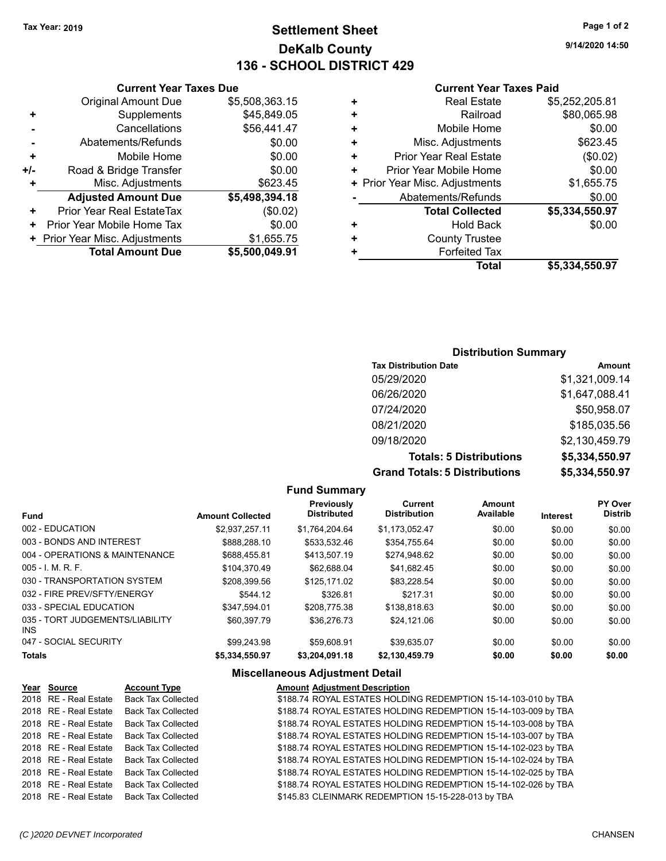# **Settlement Sheet Tax Year: 2019 Page 1 of 2 DeKalb County 136 - SCHOOL DISTRICT 429**

**9/14/2020 14:50**

#### **Current Year Taxes Paid**

| ٠ | <b>Real Estate</b>             | \$5,252,205.81 |
|---|--------------------------------|----------------|
| ٠ | Railroad                       | \$80,065.98    |
| ٠ | Mobile Home                    | \$0.00         |
| ٠ | Misc. Adjustments              | \$623.45       |
| ٠ | <b>Prior Year Real Estate</b>  | (\$0.02)       |
| ٠ | Prior Year Mobile Home         | \$0.00         |
|   | + Prior Year Misc. Adjustments | \$1,655.75     |
|   | Abatements/Refunds             | \$0.00         |
|   | <b>Total Collected</b>         | \$5,334,550.97 |
| ٠ | <b>Hold Back</b>               | \$0.00         |
| ٠ | <b>County Trustee</b>          |                |
|   | <b>Forfeited Tax</b>           |                |
|   | Total                          | \$5,334,550.97 |
|   |                                |                |

## **Current Year Taxes Due** Original Amount Due \$5,508,363.15 **+** Supplements \$45,849.05 **-** Cancellations \$56,441.47 Abatements/Refunds \$0.00 **+** Mobile Home \$0.00 **+/-** Road & Bridge Transfer \$0.00 **Misc. Adjustments** \$623.45 **Adjusted Amount Due \$5,498,394.18 +** Prior Year Real EstateTax (\$0.02) **+** Prior Year Mobile Home Tax  $$0.00$ **+ Prior Year Misc. Adjustments \$1,655.75 Total Amount Due \$5,500,049.91**

#### **Distribution Summary**

| <b>Tax Distribution Date</b>         | Amount         |
|--------------------------------------|----------------|
| 05/29/2020                           | \$1,321,009.14 |
| 06/26/2020                           | \$1,647,088.41 |
| 07/24/2020                           | \$50,958.07    |
| 08/21/2020                           | \$185,035.56   |
| 09/18/2020                           | \$2,130,459.79 |
| <b>Totals: 5 Distributions</b>       | \$5,334,550.97 |
| <b>Grand Totals: 5 Distributions</b> | \$5,334,550.97 |

## **Fund Summary**

| <b>Fund</b>                                   | <b>Amount Collected</b> | Previously<br><b>Distributed</b> | <b>Current</b><br><b>Distribution</b> | <b>Amount</b><br>Available | Interest | PY Over<br><b>Distrib</b> |
|-----------------------------------------------|-------------------------|----------------------------------|---------------------------------------|----------------------------|----------|---------------------------|
| 002 - EDUCATION                               | \$2,937,257.11          | \$1.764.204.64                   | \$1.173.052.47                        | \$0.00                     | \$0.00   | \$0.00                    |
| 003 - BONDS AND INTEREST                      | \$888.288.10            | \$533.532.46                     | \$354.755.64                          | \$0.00                     | \$0.00   | \$0.00                    |
| 004 - OPERATIONS & MAINTENANCE                | \$688.455.81            | \$413.507.19                     | \$274,948.62                          | \$0.00                     | \$0.00   | \$0.00                    |
| $005 - 1$ , M, R, F,                          | \$104.370.49            | \$62.688.04                      | \$41,682.45                           | \$0.00                     | \$0.00   | \$0.00                    |
| 030 - TRANSPORTATION SYSTEM                   | \$208.399.56            | \$125.171.02                     | \$83.228.54                           | \$0.00                     | \$0.00   | \$0.00                    |
| 032 - FIRE PREV/SFTY/ENERGY                   | \$544.12                | \$326.81                         | \$217.31                              | \$0.00                     | \$0.00   | \$0.00                    |
| 033 - SPECIAL EDUCATION                       | \$347.594.01            | \$208.775.38                     | \$138,818,63                          | \$0.00                     | \$0.00   | \$0.00                    |
| 035 - TORT JUDGEMENTS/LIABILITY<br><b>INS</b> | \$60.397.79             | \$36,276.73                      | \$24.121.06                           | \$0.00                     | \$0.00   | \$0.00                    |
| 047 - SOCIAL SECURITY                         | \$99,243.98             | \$59,608.91                      | \$39.635.07                           | \$0.00                     | \$0.00   | \$0.00                    |
| <b>Totals</b>                                 | \$5.334.550.97          | \$3.204.091.18                   | \$2,130,459.79                        | \$0.00                     | \$0.00   | \$0.00                    |

#### **Miscellaneous Adjustment Detail**

#### **Year Source Account Type Amount Adjustment Description** 2018 RE - Real Estate Back Tax Collected \$188.74 ROYAL ESTATES HOLDING REDEMPTION 15-14-103-010 by TBA 2018 RE - Real Estate Back Tax Collected \$188.74 ROYAL ESTATES HOLDING REDEMPTION 15-14-103-009 by TBA 2018 RE - Real Estate Back Tax Collected **\$188.74 ROYAL ESTATES HOLDING REDEMPTION 15-14-103-008 by TBA** 2018 RE - Real Estate Back Tax Collected \$188.74 ROYAL ESTATES HOLDING REDEMPTION 15-14-103-007 by TBA 2018 RE - Real Estate Back Tax Collected \$188.74 ROYAL ESTATES HOLDING REDEMPTION 15-14-102-023 by TBA 2018 RE - Real Estate Back Tax Collected \$188.74 ROYAL ESTATES HOLDING REDEMPTION 15-14-102-024 by TBA 2018 RE - Real Estate Back Tax Collected \$188.74 ROYAL ESTATES HOLDING REDEMPTION 15-14-102-025 by TBA 2018 RE - Real Estate Back Tax Collected \$188.74 ROYAL ESTATES HOLDING REDEMPTION 15-14-102-026 by TBA 2018 RE - Real Estate Back Tax Collected \$145.83 CLEINMARK REDEMPTION 15-15-228-013 by TBA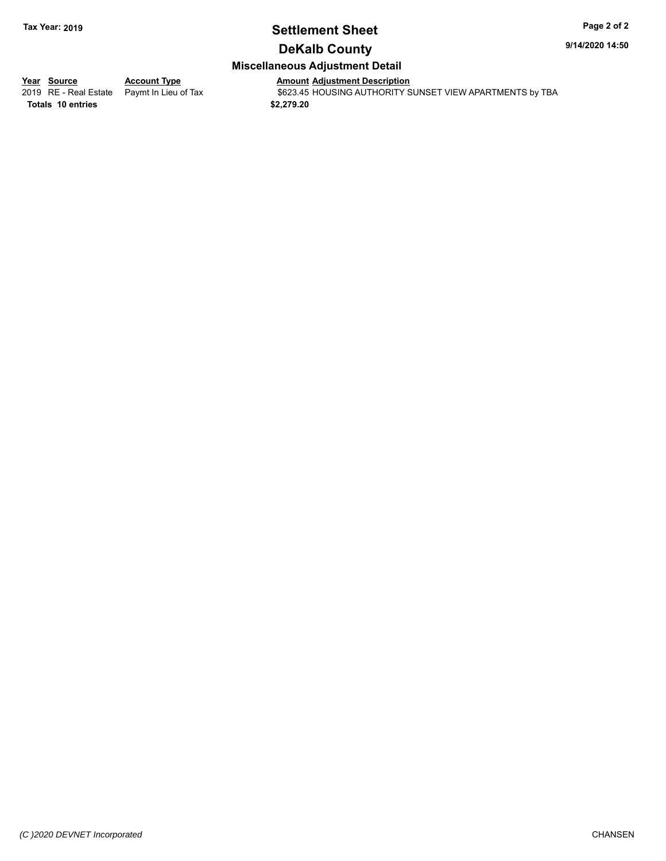# **Settlement Sheet Tax Year: 2019 Page 2 of 2**

**9/14/2020 14:50**

# **DeKalb County**

## **Miscellaneous Adjustment Detail**

**Totals \$2,279.20 10 entries**

**Year Source Account Type Anneunt Adjustment Description**<br>
2019 RE - Real Estate Paymt In Lieu of Tax \$623.45 HOUSING AUTHORITY S  $\overline{2623.45}$  HOUSING AUTHORITY SUNSET VIEW APARTMENTS by TBA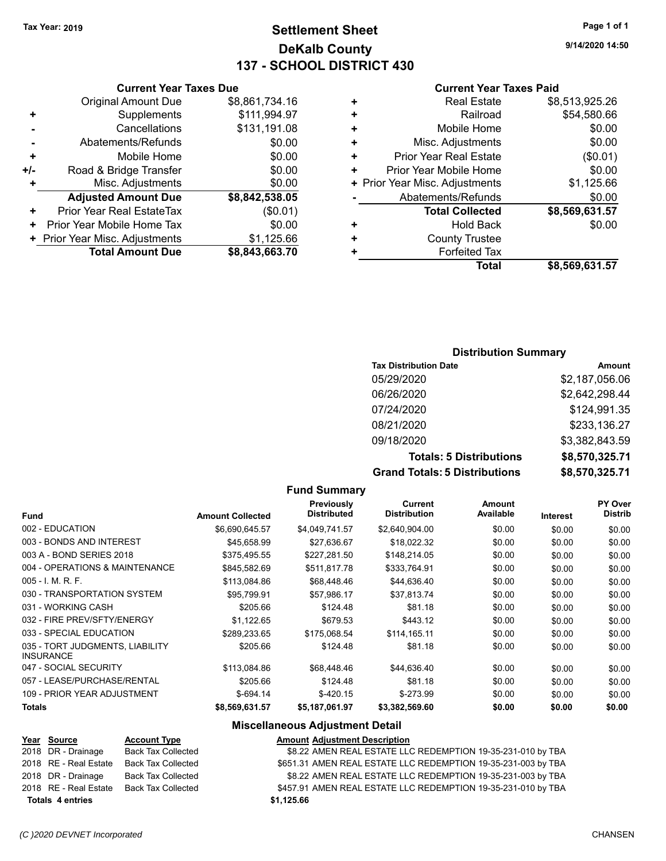**Current Year Taxes Due** Original Amount Due \$8,861,734.16

**Adjusted Amount Due \$8,842,538.05**

**Total Amount Due \$8,843,663.70**

**+** Supplements \$111,994.97 **-** Cancellations \$131,191.08 **-** Abatements/Refunds \$0.00 **+** Mobile Home \$0.00 **+/-** Road & Bridge Transfer **\$0.00 +** Misc. Adjustments \$0.00

**+** Prior Year Real EstateTax (\$0.01) **+** Prior Year Mobile Home Tax  $$0.00$ **+** Prior Year Misc. Adjustments \$1,125.66

# **Settlement Sheet Tax Year: 2019 Page 1 of 1 DeKalb County 137 - SCHOOL DISTRICT 430**

**9/14/2020 14:50**

#### **Current Year Taxes Paid**

|   | Total                          | \$8,569,631.57 |
|---|--------------------------------|----------------|
|   | <b>Forfeited Tax</b>           |                |
| ٠ | <b>County Trustee</b>          |                |
| ٠ | <b>Hold Back</b>               | \$0.00         |
|   | <b>Total Collected</b>         | \$8,569,631.57 |
|   | Abatements/Refunds             | \$0.00         |
|   | + Prior Year Misc. Adjustments | \$1,125.66     |
| ٠ | Prior Year Mobile Home         | \$0.00         |
| ٠ | <b>Prior Year Real Estate</b>  | (\$0.01)       |
| ٠ | Misc. Adjustments              | \$0.00         |
| ÷ | Mobile Home                    | \$0.00         |
| ٠ | Railroad                       | \$54,580.66    |
| ٠ | <b>Real Estate</b>             | \$8,513,925.26 |
|   |                                |                |

#### **Distribution Summary**

| <b>Tax Distribution Date</b>         | Amount         |
|--------------------------------------|----------------|
| 05/29/2020                           | \$2,187,056.06 |
| 06/26/2020                           | \$2,642,298.44 |
| 07/24/2020                           | \$124,991.35   |
| 08/21/2020                           | \$233,136.27   |
| 09/18/2020                           | \$3,382,843.59 |
| <b>Totals: 5 Distributions</b>       | \$8,570,325.71 |
| <b>Grand Totals: 5 Distributions</b> | \$8,570,325.71 |

|                                                     | <b>Amount Collected</b> | <b>Previously</b><br><b>Distributed</b> | Current<br><b>Distribution</b> | Amount<br>Available |                 | PY Over<br><b>Distrib</b> |
|-----------------------------------------------------|-------------------------|-----------------------------------------|--------------------------------|---------------------|-----------------|---------------------------|
| <b>Fund</b>                                         |                         |                                         |                                |                     | <b>Interest</b> |                           |
| 002 - EDUCATION                                     | \$6,690,645.57          | \$4,049,741.57                          | \$2,640,904.00                 | \$0.00              | \$0.00          | \$0.00                    |
| 003 - BONDS AND INTEREST                            | \$45,658.99             | \$27,636.67                             | \$18,022.32                    | \$0.00              | \$0.00          | \$0.00                    |
| 003 A - BOND SERIES 2018                            | \$375,495.55            | \$227,281.50                            | \$148,214.05                   | \$0.00              | \$0.00          | \$0.00                    |
| 004 - OPERATIONS & MAINTENANCE                      | \$845,582.69            | \$511.817.78                            | \$333,764.91                   | \$0.00              | \$0.00          | \$0.00                    |
| $005 - I. M. R. F.$                                 | \$113,084.86            | \$68,448.46                             | \$44,636.40                    | \$0.00              | \$0.00          | \$0.00                    |
| 030 - TRANSPORTATION SYSTEM                         | \$95,799.91             | \$57,986.17                             | \$37,813.74                    | \$0.00              | \$0.00          | \$0.00                    |
| 031 - WORKING CASH                                  | \$205.66                | \$124.48                                | \$81.18                        | \$0.00              | \$0.00          | \$0.00                    |
| 032 - FIRE PREV/SFTY/ENERGY                         | \$1.122.65              | \$679.53                                | \$443.12                       | \$0.00              | \$0.00          | \$0.00                    |
| 033 - SPECIAL EDUCATION                             | \$289,233.65            | \$175.068.54                            | \$114.165.11                   | \$0.00              | \$0.00          | \$0.00                    |
| 035 - TORT JUDGMENTS, LIABILITY<br><b>INSURANCE</b> | \$205.66                | \$124.48                                | \$81.18                        | \$0.00              | \$0.00          | \$0.00                    |
| 047 - SOCIAL SECURITY                               | \$113,084.86            | \$68,448.46                             | \$44,636.40                    | \$0.00              | \$0.00          | \$0.00                    |
| 057 - LEASE/PURCHASE/RENTAL                         | \$205.66                | \$124.48                                | \$81.18                        | \$0.00              | \$0.00          | \$0.00                    |
| 109 - PRIOR YEAR ADJUSTMENT                         | $$-694.14$              | $$-420.15$                              | $$-273.99$                     | \$0.00              | \$0.00          | \$0.00                    |
| Totals                                              | \$8,569,631.57          | \$5,187,061.97                          | \$3,382,569.60                 | \$0.00              | \$0.00          | \$0.00                    |

**Fund Summary**

#### **Miscellaneous Adjustment Detail**

|                         | Year Source           | <b>Account Type</b>       | <b>Amount Adjustment Description</b>                          |
|-------------------------|-----------------------|---------------------------|---------------------------------------------------------------|
|                         | 2018 DR - Drainage    | <b>Back Tax Collected</b> | \$8.22 AMEN REAL ESTATE LLC REDEMPTION 19-35-231-010 by TBA   |
|                         | 2018 RE - Real Estate | <b>Back Tax Collected</b> | \$651.31 AMEN REAL ESTATE LLC REDEMPTION 19-35-231-003 by TBA |
|                         | 2018 DR - Drainage    | <b>Back Tax Collected</b> | \$8.22 AMEN REAL ESTATE LLC REDEMPTION 19-35-231-003 by TBA   |
|                         | 2018 RE - Real Estate | <b>Back Tax Collected</b> | \$457.91 AMEN REAL ESTATE LLC REDEMPTION 19-35-231-010 by TBA |
| <b>Totals 4 entries</b> |                       |                           | \$1,125.66                                                    |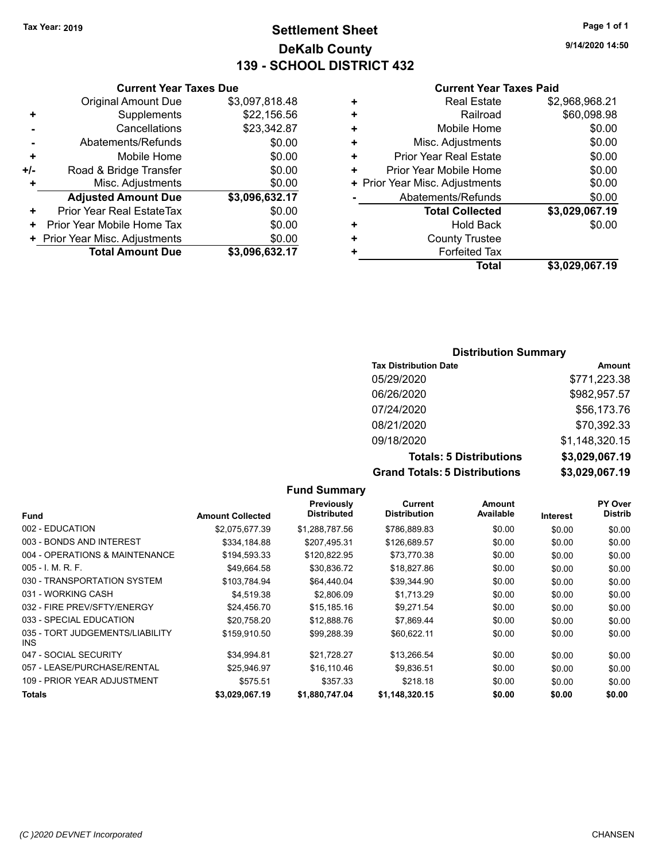# **Settlement Sheet Tax Year: 2019 Page 1 of 1 DeKalb County 139 - SCHOOL DISTRICT 432**

**9/14/2020 14:50**

#### **Current Year Taxes Paid**

|     | <b>Current Year Taxes Due</b>  |                |
|-----|--------------------------------|----------------|
|     | <b>Original Amount Due</b>     | \$3,097,818.48 |
| ٠   | Supplements                    | \$22,156.56    |
|     | Cancellations                  | \$23,342.87    |
|     | Abatements/Refunds             | \$0.00         |
| ÷   | Mobile Home                    | \$0.00         |
| +/- | Road & Bridge Transfer         | \$0.00         |
| ÷   | Misc. Adjustments              | \$0.00         |
|     | <b>Adjusted Amount Due</b>     | \$3,096,632.17 |
| ٠   | Prior Year Real EstateTax      | \$0.00         |
| ٠   | Prior Year Mobile Home Tax     | \$0.00         |
|     | + Prior Year Misc. Adjustments | \$0.00         |
|     | <b>Total Amount Due</b>        | \$3,096,632.17 |
|     |                                |                |

|   | <b>Real Estate</b>             | \$2,968,968.21 |
|---|--------------------------------|----------------|
| ٠ | Railroad                       | \$60,098.98    |
| ٠ | Mobile Home                    | \$0.00         |
| ٠ | Misc. Adjustments              | \$0.00         |
| ٠ | <b>Prior Year Real Estate</b>  | \$0.00         |
| ٠ | Prior Year Mobile Home         | \$0.00         |
|   | + Prior Year Misc. Adjustments | \$0.00         |
|   | Abatements/Refunds             | \$0.00         |
|   | <b>Total Collected</b>         | \$3,029,067.19 |
| ٠ | <b>Hold Back</b>               | \$0.00         |
| ٠ | <b>County Trustee</b>          |                |
| ٠ | <b>Forfeited Tax</b>           |                |
|   | <b>Total</b>                   | \$3,029,067.19 |
|   |                                |                |

## **Distribution Summary**

| <b>Tax Distribution Date</b>         | Amount         |
|--------------------------------------|----------------|
| 05/29/2020                           | \$771,223.38   |
| 06/26/2020                           | \$982,957.57   |
| 07/24/2020                           | \$56,173.76    |
| 08/21/2020                           | \$70,392.33    |
| 09/18/2020                           | \$1,148,320.15 |
| <b>Totals: 5 Distributions</b>       | \$3,029,067.19 |
| <b>Grand Totals: 5 Distributions</b> | \$3,029,067.19 |

|                                         |                         | <b>Fund Summary</b>              |                                |                     |          |                                  |
|-----------------------------------------|-------------------------|----------------------------------|--------------------------------|---------------------|----------|----------------------------------|
| <b>Fund</b>                             | <b>Amount Collected</b> | Previously<br><b>Distributed</b> | Current<br><b>Distribution</b> | Amount<br>Available | Interest | <b>PY Over</b><br><b>Distrib</b> |
| 002 - EDUCATION                         | \$2,075,677.39          | \$1,288,787.56                   | \$786,889.83                   | \$0.00              | \$0.00   | \$0.00                           |
| 003 - BONDS AND INTEREST                | \$334,184.88            | \$207,495.31                     | \$126,689.57                   | \$0.00              | \$0.00   | \$0.00                           |
| 004 - OPERATIONS & MAINTENANCE          | \$194,593.33            | \$120,822.95                     | \$73,770.38                    | \$0.00              | \$0.00   | \$0.00                           |
| $005 - 1$ , M, R, F,                    | \$49,664.58             | \$30,836.72                      | \$18,827.86                    | \$0.00              | \$0.00   | \$0.00                           |
| 030 - TRANSPORTATION SYSTEM             | \$103.784.94            | \$64,440.04                      | \$39,344.90                    | \$0.00              | \$0.00   | \$0.00                           |
| 031 - WORKING CASH                      | \$4.519.38              | \$2,806.09                       | \$1,713.29                     | \$0.00              | \$0.00   | \$0.00                           |
| 032 - FIRE PREV/SFTY/ENERGY             | \$24,456.70             | \$15,185.16                      | \$9,271.54                     | \$0.00              | \$0.00   | \$0.00                           |
| 033 - SPECIAL EDUCATION                 | \$20,758.20             | \$12,888.76                      | \$7,869.44                     | \$0.00              | \$0.00   | \$0.00                           |
| 035 - TORT JUDGEMENTS/LIABILITY<br>INS. | \$159,910.50            | \$99.288.39                      | \$60.622.11                    | \$0.00              | \$0.00   | \$0.00                           |
| 047 - SOCIAL SECURITY                   | \$34,994.81             | \$21,728.27                      | \$13,266.54                    | \$0.00              | \$0.00   | \$0.00                           |
| 057 - LEASE/PURCHASE/RENTAL             | \$25,946.97             | \$16.110.46                      | \$9,836.51                     | \$0.00              | \$0.00   | \$0.00                           |
| 109 - PRIOR YEAR ADJUSTMENT             | \$575.51                | \$357.33                         | \$218.18                       | \$0.00              | \$0.00   | \$0.00                           |
| <b>Totals</b>                           | \$3,029,067.19          | \$1,880,747.04                   | \$1,148,320.15                 | \$0.00              | \$0.00   | \$0.00                           |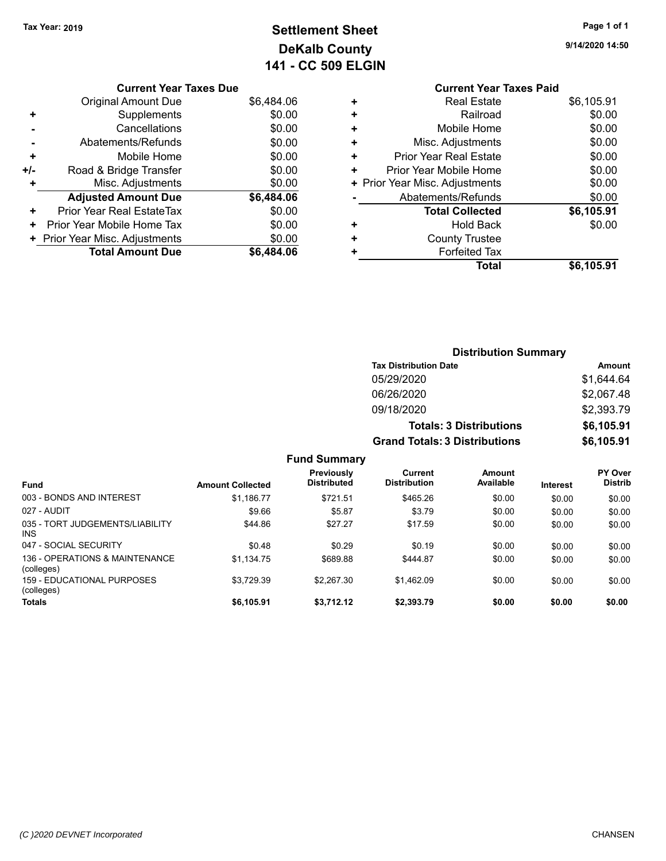**Current Year Taxes Due** Original Amount Due \$6,484.06

Abatements/Refunds **\$0.00** 

**Adjusted Amount Due \$6,484.06**

**Total Amount Due \$6,484.06**

**+** Supplements \$0.00 **-** Cancellations \$0.00

**+** Mobile Home \$0.00 **+/-** Road & Bridge Transfer \$0.00 **+** Misc. Adjustments \$0.00

**+** Prior Year Real EstateTax \$0.00 **+** Prior Year Mobile Home Tax  $$0.00$ **+ Prior Year Misc. Adjustments**  $$0.00$ 

# **Settlement Sheet Tax Year: 2019 Page 1 of 1 DeKalb County 141 - CC 509 ELGIN**

**9/14/2020 14:50**

# **Current Year Taxes Paid +** Real Estate \$6,105.91 **+** Railroad \$0.00 **+** Mobile Home \$0.00 **+** Misc. Adjustments \$0.00 **+** Prior Year Real Estate \$0.00 **+** Prior Year Mobile Home \$0.00 **+ Prior Year Misc. Adjustments**  $\qquad$  **\$0.00** Abatements/Refunds \$0.00 **Total Collected \$6,105.91 +** Hold Back \$0.00 **+** County Trustee **+** Forfeited Tax **Total \$6,105.91**

**Distribution Summary**

**Tax Distribution Date Amount** 05/29/2020 \$1,644.64 06/26/2020 \$2,067.48 09/18/2020 \$2,393.79 **Totals: 3 Distributions \$6,105.91 Grand Totals: 3 Distributions \$6,105.91 Fund Summary Fund Interest Amount Collected Distributed PY Over Distrib Amount Available Current Distribution Previously** 003 - BONDS AND INTEREST \$1,186.77 \$1,186.77 \$721.51 \$465.26 \$0.00 \$0.00 \$0.00 \$0.00 027 - AUDIT \$9.66 \$5.87 \$3.79 \$0.00 \$0.00 \$0.00 035 - TORT JUDGEMENTS/LIABILITY INS \$44.86 \$27.27 \$17.59 \$0.00 \$0.00 \$0.00 047 - SOCIAL SECURITY \$0.48 \$0.29 \$0.00 \$0.00 \$0.00 \$0.00 \$0.00 136 - OPERATIONS & MAINTENANCE (colleges) \$1,134.75 \$689.88 \$444.87 \$0.00 \$0.00 \$0.00 159 - EDUCATIONAL PURPOSES \$3,729.39 \$2,267.30 \$1,462.09 \$0.00 \$0.00 \$0.00

**Totals \$6,105.91 \$3,712.12 \$2,393.79 \$0.00 \$0.00 \$0.00**

(colleges)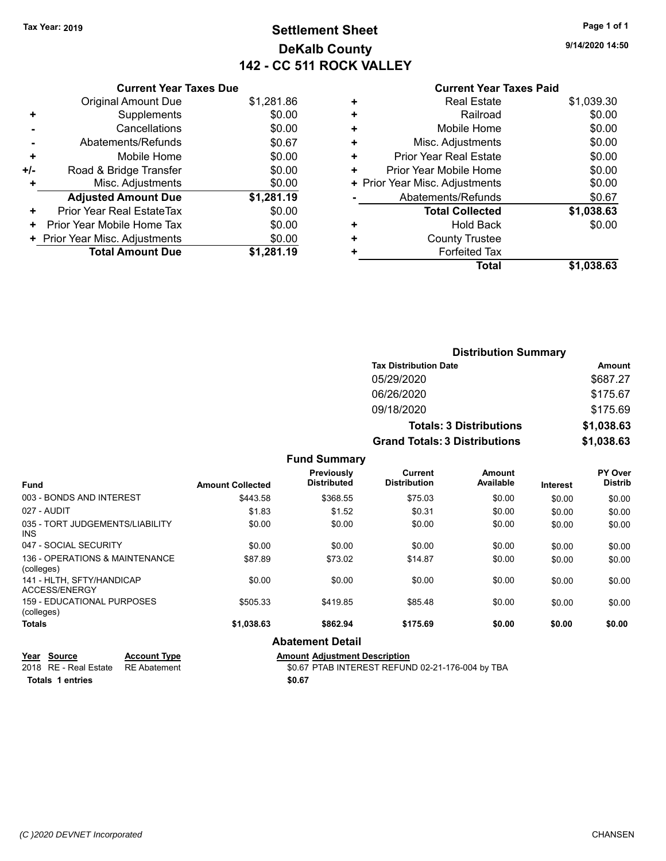# **Settlement Sheet Tax Year: 2019 Page 1 of 1 DeKalb County 142 - CC 511 ROCK VALLEY**

**9/14/2020 14:50**

#### **Current Year Taxes Paid**

|       | <b>Current Year Taxes Due</b>  |            |
|-------|--------------------------------|------------|
|       | <b>Original Amount Due</b>     | \$1,281.86 |
| ٠     | Supplements                    | \$0.00     |
|       | Cancellations                  | \$0.00     |
|       | Abatements/Refunds             | \$0.67     |
| ٠     | Mobile Home                    | \$0.00     |
| $+/-$ | Road & Bridge Transfer         | \$0.00     |
|       | Misc. Adjustments              | \$0.00     |
|       | <b>Adjusted Amount Due</b>     | \$1,281.19 |
| ÷     | Prior Year Real EstateTax      | \$0.00     |
| ٠     | Prior Year Mobile Home Tax     | \$0.00     |
|       | + Prior Year Misc. Adjustments | \$0.00     |
|       | <b>Total Amount Due</b>        | \$1,281.19 |
|       |                                |            |

|   | <b>Real Estate</b>             | \$1,039.30 |
|---|--------------------------------|------------|
| ÷ | Railroad                       | \$0.00     |
| ٠ | Mobile Home                    | \$0.00     |
| ٠ | Misc. Adjustments              | \$0.00     |
| ٠ | Prior Year Real Estate         | \$0.00     |
| ٠ | Prior Year Mobile Home         | \$0.00     |
|   | + Prior Year Misc. Adjustments | \$0.00     |
|   | Abatements/Refunds             | \$0.67     |
|   | <b>Total Collected</b>         | \$1,038.63 |
| ٠ | Hold Back                      | \$0.00     |
| ٠ | <b>County Trustee</b>          |            |
| ٠ | <b>Forfeited Tax</b>           |            |
|   | Total                          | \$1,038.63 |

| <b>Distribution Summary</b>          |            |
|--------------------------------------|------------|
| <b>Tax Distribution Date</b>         | Amount     |
| 05/29/2020                           | \$687.27   |
| 06/26/2020                           | \$175.67   |
| 09/18/2020                           | \$175.69   |
| <b>Totals: 3 Distributions</b>       | \$1,038.63 |
| <b>Grand Totals: 3 Distributions</b> | \$1,038.63 |

|                                              |                         | <b>Fund Summary</b>              |                                |                     |                 |                           |
|----------------------------------------------|-------------------------|----------------------------------|--------------------------------|---------------------|-----------------|---------------------------|
| <b>Fund</b>                                  | <b>Amount Collected</b> | Previously<br><b>Distributed</b> | Current<br><b>Distribution</b> | Amount<br>Available | <b>Interest</b> | PY Over<br><b>Distrib</b> |
| 003 - BONDS AND INTEREST                     | \$443.58                | \$368.55                         | \$75.03                        | \$0.00              | \$0.00          | \$0.00                    |
| 027 - AUDIT                                  | \$1.83                  | \$1.52                           | \$0.31                         | \$0.00              | \$0.00          | \$0.00                    |
| 035 - TORT JUDGEMENTS/LIABILITY<br>INS.      | \$0.00                  | \$0.00                           | \$0.00                         | \$0.00              | \$0.00          | \$0.00                    |
| 047 - SOCIAL SECURITY                        | \$0.00                  | \$0.00                           | \$0.00                         | \$0.00              | \$0.00          | \$0.00                    |
| 136 - OPERATIONS & MAINTENANCE<br>(colleges) | \$87.89                 | \$73.02                          | \$14.87                        | \$0.00              | \$0.00          | \$0.00                    |
| 141 - HLTH. SFTY/HANDICAP<br>ACCESS/ENERGY   | \$0.00                  | \$0.00                           | \$0.00                         | \$0.00              | \$0.00          | \$0.00                    |
| 159 - EDUCATIONAL PURPOSES<br>(colleges)     | \$505.33                | \$419.85                         | \$85.48                        | \$0.00              | \$0.00          | \$0.00                    |
| Totals                                       | \$1,038.63              | \$862.94                         | \$175.69                       | \$0.00              | \$0.00          | \$0.00                    |
|                                              | <b>Abatement Detail</b> |                                  |                                |                     |                 |                           |

#### **Year Source Account Type Amount Adjustment Description** 2018 RE - Real Estate RE Abatement \$0.67 PTAB INTEREST REFUND 02-21-176-004 by TBA **Totals \$0.67 1 entries**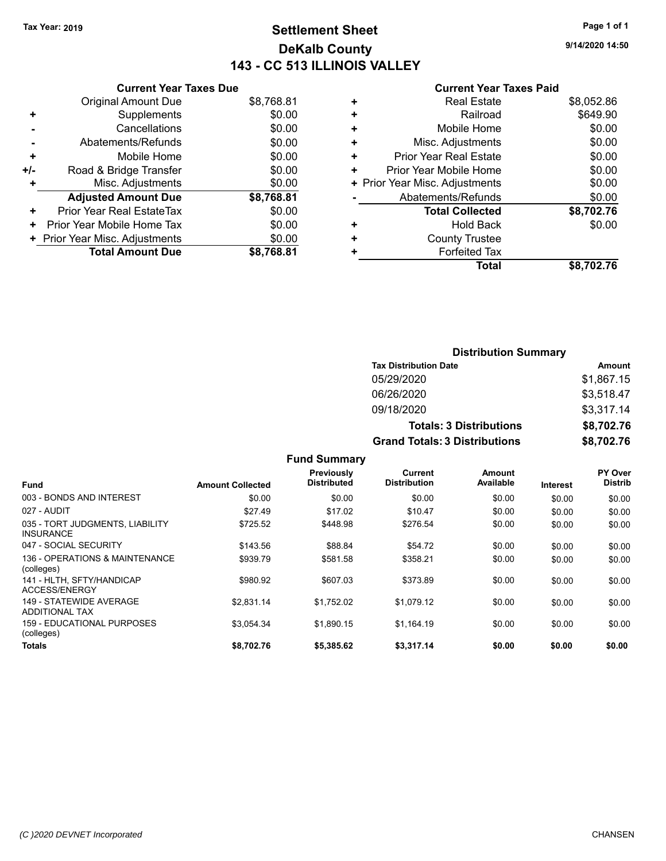# **Settlement Sheet Tax Year: 2019 Page 1 of 1 DeKalb County 143 - CC 513 ILLINOIS VALLEY**

**9/14/2020 14:50**

### **Current Year Taxes Paid**

|     | <b>Current Year Taxes Due</b>  |            |
|-----|--------------------------------|------------|
|     | <b>Original Amount Due</b>     | \$8,768.81 |
| ٠   | Supplements                    | \$0.00     |
|     | Cancellations                  | \$0.00     |
|     | Abatements/Refunds             | \$0.00     |
| ÷   | Mobile Home                    | \$0.00     |
| +/- | Road & Bridge Transfer         | \$0.00     |
|     | Misc. Adjustments              | \$0.00     |
|     | <b>Adjusted Amount Due</b>     | \$8,768.81 |
| ٠   | Prior Year Real EstateTax      | \$0.00     |
| ٠   | Prior Year Mobile Home Tax     | \$0.00     |
|     | + Prior Year Misc. Adjustments | \$0.00     |
|     | <b>Total Amount Due</b>        | \$8,768,81 |
|     |                                |            |

|   | <b>Real Estate</b>             | \$8,052.86 |
|---|--------------------------------|------------|
| ÷ | Railroad                       | \$649.90   |
| ٠ | Mobile Home                    | \$0.00     |
| ٠ | Misc. Adjustments              | \$0.00     |
| ٠ | Prior Year Real Estate         | \$0.00     |
| ٠ | Prior Year Mobile Home         | \$0.00     |
|   | + Prior Year Misc. Adjustments | \$0.00     |
|   | Abatements/Refunds             | \$0.00     |
|   | <b>Total Collected</b>         | \$8,702.76 |
| ٠ | Hold Back                      | \$0.00     |
| ٠ | <b>County Trustee</b>          |            |
| ٠ | <b>Forfeited Tax</b>           |            |
|   | <b>Total</b>                   | \$8,702.76 |
|   |                                |            |

| <b>Distribution Summary</b>          |            |
|--------------------------------------|------------|
| <b>Tax Distribution Date</b>         | Amount     |
| 05/29/2020                           | \$1,867.15 |
| 06/26/2020                           | \$3,518.47 |
| 09/18/2020                           | \$3,317.14 |
| <b>Totals: 3 Distributions</b>       | \$8,702.76 |
| <b>Grand Totals: 3 Distributions</b> | \$8,702.76 |

|                                                     |                         | vullillu v                       |                                |                     |          |                           |
|-----------------------------------------------------|-------------------------|----------------------------------|--------------------------------|---------------------|----------|---------------------------|
| <b>Fund</b>                                         | <b>Amount Collected</b> | Previously<br><b>Distributed</b> | Current<br><b>Distribution</b> | Amount<br>Available | Interest | PY Over<br><b>Distrib</b> |
| 003 - BONDS AND INTEREST                            | \$0.00                  | \$0.00                           | \$0.00                         | \$0.00              | \$0.00   | \$0.00                    |
| 027 - AUDIT                                         | \$27.49                 | \$17.02                          | \$10.47                        | \$0.00              | \$0.00   | \$0.00                    |
| 035 - TORT JUDGMENTS, LIABILITY<br><b>INSURANCE</b> | \$725.52                | \$448.98                         | \$276.54                       | \$0.00              | \$0.00   | \$0.00                    |
| 047 - SOCIAL SECURITY                               | \$143.56                | \$88.84                          | \$54.72                        | \$0.00              | \$0.00   | \$0.00                    |
| 136 - OPERATIONS & MAINTENANCE<br>(colleges)        | \$939.79                | \$581.58                         | \$358.21                       | \$0.00              | \$0.00   | \$0.00                    |
| 141 - HLTH, SFTY/HANDICAP<br>ACCESS/ENERGY          | \$980.92                | \$607.03                         | \$373.89                       | \$0.00              | \$0.00   | \$0.00                    |
| 149 - STATEWIDE AVERAGE<br><b>ADDITIONAL TAX</b>    | \$2.831.14              | \$1,752.02                       | \$1,079.12                     | \$0.00              | \$0.00   | \$0.00                    |
| 159 - EDUCATIONAL PURPOSES<br>(colleges)            | \$3.054.34              | \$1.890.15                       | \$1.164.19                     | \$0.00              | \$0.00   | \$0.00                    |
| Totals                                              | \$8.702.76              | \$5,385.62                       | \$3,317.14                     | \$0.00              | \$0.00   | \$0.00                    |
|                                                     |                         |                                  |                                |                     |          |                           |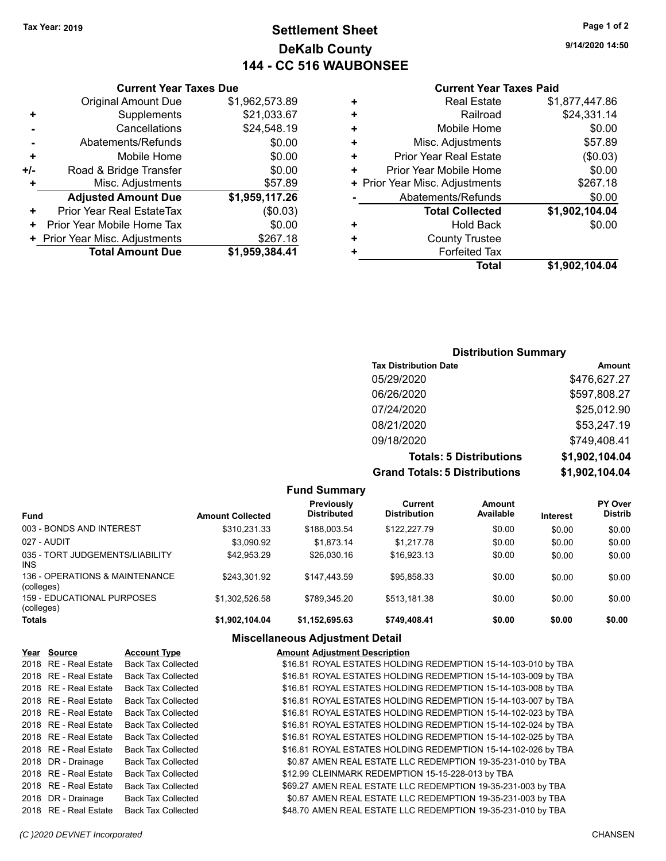# **Settlement Sheet Tax Year: 2019 Page 1 of 2 DeKalb County 144 - CC 516 WAUBONSEE**

**9/14/2020 14:50**

## **Current Year Taxes Paid**

|   | Total                          | \$1,902,104.04 |
|---|--------------------------------|----------------|
|   | <b>Forfeited Tax</b>           |                |
| ٠ | <b>County Trustee</b>          |                |
| ٠ | <b>Hold Back</b>               | \$0.00         |
|   | <b>Total Collected</b>         | \$1,902,104.04 |
|   | Abatements/Refunds             | \$0.00         |
|   | + Prior Year Misc. Adjustments | \$267.18       |
| ٠ | Prior Year Mobile Home         | \$0.00         |
| ÷ | <b>Prior Year Real Estate</b>  | (\$0.03)       |
| ÷ | Misc. Adjustments              | \$57.89        |
| ٠ | Mobile Home                    | \$0.00         |
| ٠ | Railroad                       | \$24,331.14    |
| ٠ | <b>Real Estate</b>             | \$1,877,447.86 |
|   |                                |                |

## **Current Year Taxes Due** Original Amount Due \$1,962,573.89<br>Supplements \$21,033.67 **+** Supplements **-** Cancellations \$24,548.19 **-** Abatements/Refunds \$0.00 **+** Mobile Home \$0.00 **+/-** Road & Bridge Transfer **\$0.00 +** Misc. Adjustments \$57.89 **Adjusted Amount Due \$1,959,117.26 +** Prior Year Real EstateTax (\$0.03) **+** Prior Year Mobile Home Tax  $$0.00$ **+ Prior Year Misc. Adjustments \$267.18 Total Amount Due \$1,959,384.41**

# **Distribution Summary**

| <b>Tax Distribution Date</b>         | Amount         |
|--------------------------------------|----------------|
| 05/29/2020                           | \$476,627.27   |
| 06/26/2020                           | \$597,808.27   |
| 07/24/2020                           | \$25,012.90    |
| 08/21/2020                           | \$53,247.19    |
| 09/18/2020                           | \$749,408.41   |
| <b>Totals: 5 Distributions</b>       | \$1,902,104.04 |
| <b>Grand Totals: 5 Distributions</b> | \$1,902,104.04 |

| <b>Fund Summary</b>                           |                         |                                         |                                |                     |                 |                                  |
|-----------------------------------------------|-------------------------|-----------------------------------------|--------------------------------|---------------------|-----------------|----------------------------------|
| <b>Fund</b>                                   | <b>Amount Collected</b> | <b>Previously</b><br><b>Distributed</b> | Current<br><b>Distribution</b> | Amount<br>Available | <b>Interest</b> | <b>PY Over</b><br><b>Distrib</b> |
| 003 - BONDS AND INTEREST                      | \$310.231.33            | \$188,003.54                            | \$122,227.79                   | \$0.00              | \$0.00          | \$0.00                           |
| 027 - AUDIT                                   | \$3.090.92              | \$1.873.14                              | \$1.217.78                     | \$0.00              | \$0.00          | \$0.00                           |
| 035 - TORT JUDGEMENTS/LIABILITY<br><b>INS</b> | \$42.953.29             | \$26,030.16                             | \$16,923.13                    | \$0.00              | \$0.00          | \$0.00                           |
| 136 - OPERATIONS & MAINTENANCE<br>(colleges)  | \$243.301.92            | \$147.443.59                            | \$95.858.33                    | \$0.00              | \$0.00          | \$0.00                           |
| 159 - EDUCATIONAL PURPOSES<br>(colleges)      | \$1.302.526.58          | \$789.345.20                            | \$513.181.38                   | \$0.00              | \$0.00          | \$0.00                           |
| <b>Totals</b>                                 | \$1,902,104.04          | \$1,152,695.63                          | \$749,408.41                   | \$0.00              | \$0.00          | \$0.00                           |

#### **Miscellaneous Adjustment Detail**

| <b>Account Type</b>                                                                                                                                                                                                                                                                                                                        | <b>Amount Adjustment Description</b>                          |
|--------------------------------------------------------------------------------------------------------------------------------------------------------------------------------------------------------------------------------------------------------------------------------------------------------------------------------------------|---------------------------------------------------------------|
| <b>Back Tax Collected</b>                                                                                                                                                                                                                                                                                                                  | \$16.81 ROYAL ESTATES HOLDING REDEMPTION 15-14-103-010 by TBA |
|                                                                                                                                                                                                                                                                                                                                            | \$16.81 ROYAL ESTATES HOLDING REDEMPTION 15-14-103-009 by TBA |
| <b>Back Tax Collected</b>                                                                                                                                                                                                                                                                                                                  | \$16.81 ROYAL ESTATES HOLDING REDEMPTION 15-14-103-008 by TBA |
| <b>Back Tax Collected</b>                                                                                                                                                                                                                                                                                                                  | \$16.81 ROYAL ESTATES HOLDING REDEMPTION 15-14-103-007 by TBA |
| <b>Back Tax Collected</b>                                                                                                                                                                                                                                                                                                                  | \$16.81 ROYAL ESTATES HOLDING REDEMPTION 15-14-102-023 by TBA |
| <b>Back Tax Collected</b>                                                                                                                                                                                                                                                                                                                  | \$16.81 ROYAL ESTATES HOLDING REDEMPTION 15-14-102-024 by TBA |
| <b>Back Tax Collected</b>                                                                                                                                                                                                                                                                                                                  | \$16.81 ROYAL ESTATES HOLDING REDEMPTION 15-14-102-025 by TBA |
| <b>Back Tax Collected</b>                                                                                                                                                                                                                                                                                                                  | \$16.81 ROYAL ESTATES HOLDING REDEMPTION 15-14-102-026 by TBA |
| <b>Back Tax Collected</b>                                                                                                                                                                                                                                                                                                                  | \$0.87 AMEN REAL ESTATE LLC REDEMPTION 19-35-231-010 by TBA   |
| <b>Back Tax Collected</b>                                                                                                                                                                                                                                                                                                                  | \$12.99 CLEINMARK REDEMPTION 15-15-228-013 by TBA             |
| <b>Back Tax Collected</b>                                                                                                                                                                                                                                                                                                                  | \$69.27 AMEN REAL ESTATE LLC REDEMPTION 19-35-231-003 by TBA  |
| <b>Back Tax Collected</b>                                                                                                                                                                                                                                                                                                                  | \$0.87 AMEN REAL ESTATE LLC REDEMPTION 19-35-231-003 by TBA   |
| <b>Back Tax Collected</b>                                                                                                                                                                                                                                                                                                                  | \$48.70 AMEN REAL ESTATE LLC REDEMPTION 19-35-231-010 by TBA  |
| Year Source<br>2018 RE - Real Estate<br>2018 RE - Real Estate<br>2018 RE - Real Estate<br>2018 RE - Real Estate<br>2018 RE - Real Estate<br>2018 RE - Real Estate<br>2018 RE - Real Estate<br>2018 RE - Real Estate<br>2018 DR - Drainage<br>2018 RE - Real Estate<br>2018 RE - Real Estate<br>2018 DR - Drainage<br>2018 RE - Real Estate | <b>Back Tax Collected</b>                                     |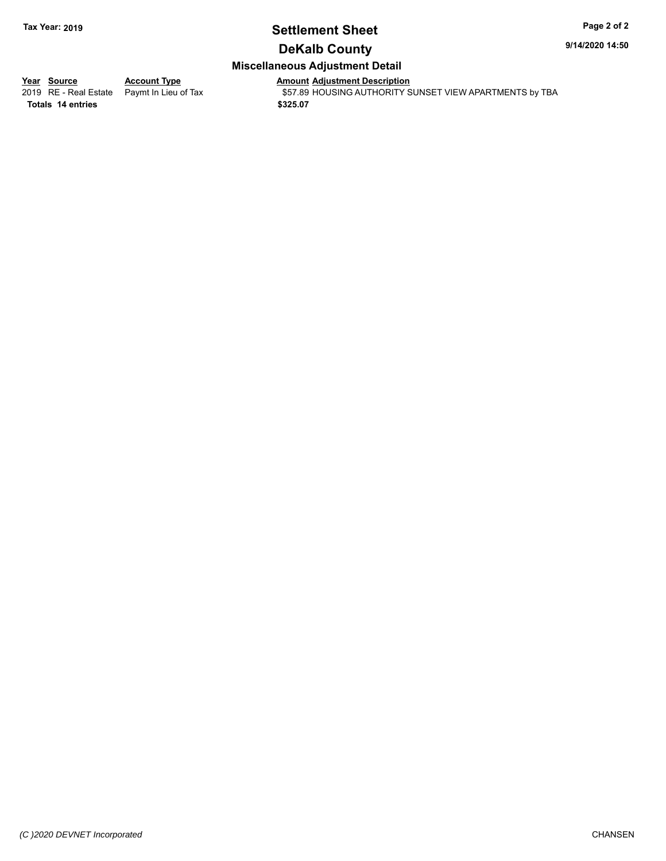# **Settlement Sheet Tax Year: 2019 Page 2 of 2**

**9/14/2020 14:50**

# **DeKalb County**

## **Miscellaneous Adjustment Detail**

**Totals \$325.07 14 entries**

**Year Source Account Type Anneunt Adjustment Description**<br>
2019 RE - Real Estate Paymt In Lieu of Tax \$57.89 HOUSING AUTHORITY S \$57.89 HOUSING AUTHORITY SUNSET VIEW APARTMENTS by TBA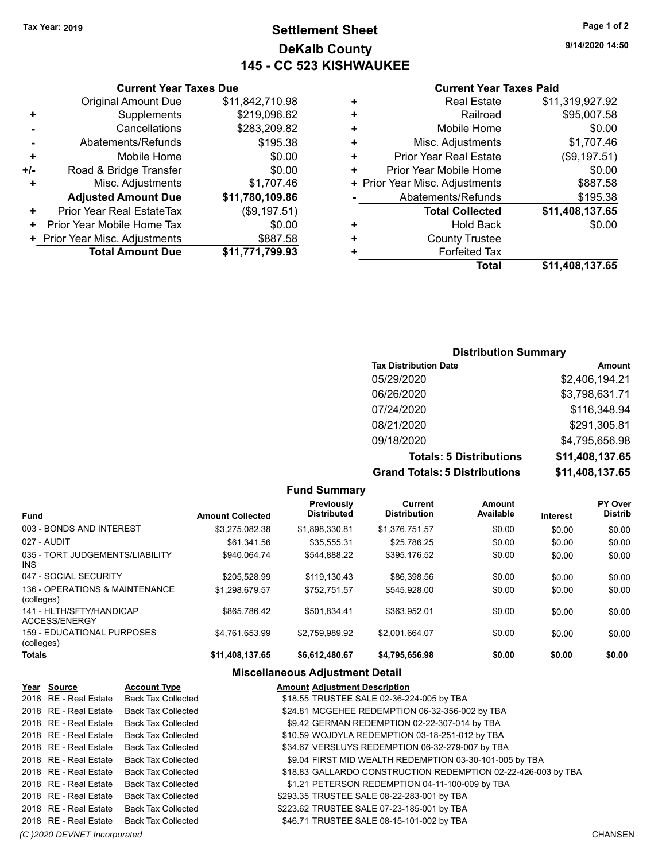# **Settlement Sheet Tax Year: 2019 Page 1 of 2 DeKalb County 145 - CC 523 KISHWAUKEE**

**9/14/2020 14:50**

## **Current Year Taxes Paid**

| ٠ | <b>Real Estate</b>             | \$11,319,927.92 |
|---|--------------------------------|-----------------|
| ٠ | Railroad                       | \$95,007.58     |
| ٠ | Mobile Home                    | \$0.00          |
| ٠ | Misc. Adjustments              | \$1,707.46      |
| ÷ | <b>Prior Year Real Estate</b>  | (\$9,197.51)    |
| ٠ | Prior Year Mobile Home         | \$0.00          |
|   | + Prior Year Misc. Adjustments | \$887.58        |
|   | Abatements/Refunds             | \$195.38        |
|   | <b>Total Collected</b>         | \$11,408,137.65 |
| ٠ | <b>Hold Back</b>               | \$0.00          |
| ٠ | <b>County Trustee</b>          |                 |
| ٠ | <b>Forfeited Tax</b>           |                 |
|   | <b>Total</b>                   | \$11,408,137.65 |

|     | <b>Current Year Taxes Due</b>  |                 |  |  |  |
|-----|--------------------------------|-----------------|--|--|--|
|     | <b>Original Amount Due</b>     | \$11,842,710.98 |  |  |  |
| ٠   | Supplements                    | \$219,096.62    |  |  |  |
|     | Cancellations                  | \$283,209.82    |  |  |  |
|     | Abatements/Refunds             | \$195.38        |  |  |  |
| ٠   | Mobile Home                    | \$0.00          |  |  |  |
| +/- | Road & Bridge Transfer         | \$0.00          |  |  |  |
| +   | Misc. Adjustments              | \$1,707.46      |  |  |  |
|     | <b>Adjusted Amount Due</b>     | \$11,780,109.86 |  |  |  |
| ٠   | Prior Year Real EstateTax      | (\$9,197.51)    |  |  |  |
| ٠   | Prior Year Mobile Home Tax     | \$0.00          |  |  |  |
|     | + Prior Year Misc. Adjustments | \$887.58        |  |  |  |
|     | <b>Total Amount Due</b>        | \$11,771,799.93 |  |  |  |

## **Distribution Summary**

| <b>Tax Distribution Date</b>         | Amount          |
|--------------------------------------|-----------------|
| 05/29/2020                           | \$2,406,194.21  |
| 06/26/2020                           | \$3,798,631.71  |
| 07/24/2020                           | \$116,348.94    |
| 08/21/2020                           | \$291,305.81    |
| 09/18/2020                           | \$4,795,656.98  |
| <b>Totals: 5 Distributions</b>       | \$11,408,137.65 |
| <b>Grand Totals: 5 Distributions</b> | \$11,408,137.65 |

|                                              |                         | <b>Fund Summary</b>              |                                       |                     |                 |                                  |
|----------------------------------------------|-------------------------|----------------------------------|---------------------------------------|---------------------|-----------------|----------------------------------|
| <b>Fund</b>                                  | <b>Amount Collected</b> | Previously<br><b>Distributed</b> | <b>Current</b><br><b>Distribution</b> | Amount<br>Available | <b>Interest</b> | <b>PY Over</b><br><b>Distrib</b> |
| 003 - BONDS AND INTEREST                     | \$3,275,082.38          | \$1,898,330.81                   | \$1,376,751.57                        | \$0.00              | \$0.00          | \$0.00                           |
| 027 - AUDIT                                  | \$61.341.56             | \$35,555.31                      | \$25,786.25                           | \$0.00              | \$0.00          | \$0.00                           |
| 035 - TORT JUDGEMENTS/LIABILITY<br>INS.      | \$940.064.74            | \$544.888.22                     | \$395.176.52                          | \$0.00              | \$0.00          | \$0.00                           |
| 047 - SOCIAL SECURITY                        | \$205.528.99            | \$119.130.43                     | \$86,398.56                           | \$0.00              | \$0.00          | \$0.00                           |
| 136 - OPERATIONS & MAINTENANCE<br>(colleges) | \$1,298,679.57          | \$752.751.57                     | \$545,928.00                          | \$0.00              | \$0.00          | \$0.00                           |
| 141 - HLTH/SFTY/HANDICAP<br>ACCESS/ENERGY    | \$865.786.42            | \$501.834.41                     | \$363,952.01                          | \$0.00              | \$0.00          | \$0.00                           |
| 159 - EDUCATIONAL PURPOSES<br>(colleges)     | \$4.761.653.99          | \$2.759.989.92                   | \$2.001.664.07                        | \$0.00              | \$0.00          | \$0.00                           |
| <b>Totals</b>                                | \$11,408,137.65         | \$6,612,480.67                   | \$4.795.656.98                        | \$0.00              | \$0.00          | \$0.00                           |

## **Miscellaneous Adjustment Detail**

| Year Source           | <b>Account Type</b>                      | <b>Amount Adjustment Description</b>                          |
|-----------------------|------------------------------------------|---------------------------------------------------------------|
| 2018 RE - Real Estate | Back Tax Collected                       | \$18.55 TRUSTEE SALE 02-36-224-005 by TBA                     |
| 2018 RE - Real Estate | Back Tax Collected                       | \$24.81 MCGEHEE REDEMPTION 06-32-356-002 by TBA               |
| 2018 RE - Real Estate | <b>Back Tax Collected</b>                | \$9.42 GERMAN REDEMPTION 02-22-307-014 by TBA                 |
| 2018 RE - Real Estate | Back Tax Collected                       | \$10.59 WOJDYLA REDEMPTION 03-18-251-012 by TBA               |
| 2018 RE - Real Estate | Back Tax Collected                       | \$34.67 VERSLUYS REDEMPTION 06-32-279-007 by TBA              |
| 2018 RE - Real Estate | <b>Back Tax Collected</b>                | \$9.04 FIRST MID WEALTH REDEMPTION 03-30-101-005 by TBA       |
| 2018 RE - Real Estate | <b>Back Tax Collected</b>                | \$18.83 GALLARDO CONSTRUCTION REDEMPTION 02-22-426-003 by TBA |
| 2018 RE - Real Estate | <b>Back Tax Collected</b>                | \$1.21 PETERSON REDEMPTION 04-11-100-009 by TBA               |
| 2018 RE - Real Estate | Back Tax Collected                       | \$293.35 TRUSTEE SALE 08-22-283-001 by TBA                    |
| 2018 RE - Real Estate | Back Tax Collected                       | \$223.62 TRUSTEE SALE 07-23-185-001 by TBA                    |
|                       | 2018 RE - Real Estate Back Tax Collected | \$46.71 TRUSTEE SALE 08-15-101-002 by TBA                     |
|                       |                                          |                                                               |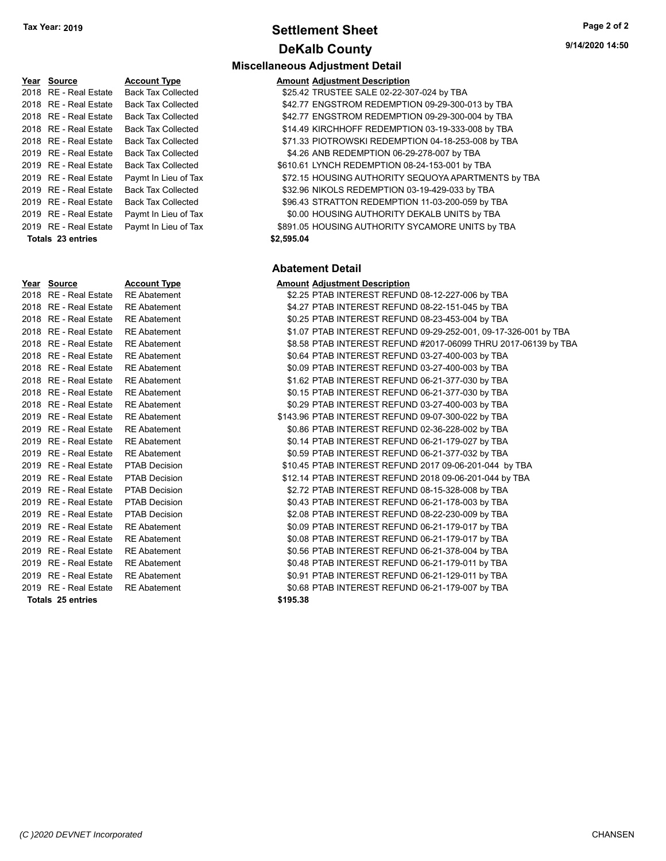# **Settlement Sheet Tax Year: 2019 Page 2 of 2 DeKalb County**

| Year | Source                   | <b>Account</b>  |
|------|--------------------------|-----------------|
| 2018 | RE - Real Estate         | Back Ta         |
| 2018 | RE - Real Estate         | Back Ta         |
| 2018 | RE - Real Estate         | Back Ta         |
| 2018 | RE - Real Estate         | Back Ta         |
| 2018 | <b>RE</b> - Real Estate  | Back Ta         |
| 2019 | <b>RE</b> - Real Estate  | Back Ta         |
| 2019 | <b>RE</b> - Real Estate  | Back Tax        |
| 2019 | RE - Real Estate         | Paymt In        |
| 2019 | RE - Real Estate         | Back Ta         |
| 2019 | <b>RE</b> - Real Estate  | Back Ta         |
| 2019 | <b>RE</b> - Real Estate  | Paymt In        |
| 2019 | RE - Real Estate         | Paymt In        |
|      | <b>Totals 23 entries</b> |                 |
|      |                          |                 |
| Year | Source                   | <b>Account</b>  |
| 2018 | RE - Real Estate         | <b>RE Abate</b> |
| 2018 | RE - Real Estate         | <b>RE Abate</b> |
| 2018 | RE - Real Estate         | <b>RE Abate</b> |
| 2018 | RE - Real Estate         | <b>RE Abate</b> |
| 2018 | RE - Real Estate         | <b>RE Abate</b> |
|      |                          |                 |
| 2018 | RE - Real Estate         | <b>RE Abate</b> |

| <u>/ear</u> | <b>Source</b>            | <b>Account Type</b>  | Amount   |
|-------------|--------------------------|----------------------|----------|
| 2018        | <b>RE</b> - Real Estate  | <b>RE</b> Abatement  | \$2.25   |
| 2018        | <b>RE</b> - Real Estate  | <b>RE</b> Abatement  | \$4.27   |
| 2018        | RE - Real Estate         | <b>RE</b> Abatement  | \$0.25   |
| 2018        | <b>RE</b> - Real Estate  | <b>RE</b> Abatement  | \$1.07   |
| 2018        | <b>RE</b> - Real Estate  | <b>RE</b> Abatement  | \$8.58   |
| 2018        | <b>RE</b> - Real Estate  | <b>RE</b> Abatement  | \$0.64   |
| 2018        | <b>RE</b> - Real Estate  | <b>RE Abatement</b>  | \$0.09   |
| 2018        | <b>RE</b> - Real Estate  | <b>RE</b> Abatement  | \$1.62   |
| 2018        | <b>RE</b> - Real Estate  | <b>RE</b> Abatement  | \$0.15   |
| 2018        | <b>RE</b> - Real Estate  | <b>RE</b> Abatement  | \$0.29   |
| 2019        | <b>RE</b> - Real Estate  | <b>RE</b> Abatement  | \$143.96 |
| 2019        | <b>RE</b> - Real Estate  | <b>RE</b> Abatement  | \$0.86   |
| 2019        | <b>RE</b> - Real Estate  | <b>RE</b> Abatement  | \$0.14   |
| 2019        | <b>RE</b> - Real Estate  | <b>RE</b> Abatement  | \$0.59   |
| 2019        | <b>RE</b> - Real Estate  | <b>PTAB Decision</b> | \$10.45  |
| 2019        | <b>RE</b> - Real Estate  | <b>PTAB Decision</b> | \$12.14  |
| 2019        | <b>RE</b> - Real Estate  | <b>PTAB Decision</b> | \$2.72   |
| 2019        | <b>RE</b> - Real Estate  | <b>PTAB Decision</b> | \$0.43   |
| 2019        | <b>RE</b> - Real Estate  | <b>PTAB Decision</b> | \$2.08   |
| 2019        | <b>RE</b> - Real Estate  | <b>RE</b> Abatement  | \$0.09   |
| 2019        | RE - Real Estate         | <b>RE</b> Abatement  | \$0.08   |
| 2019        | <b>RE</b> - Real Estate  | <b>RE</b> Abatement  | \$0.56   |
| 2019        | <b>RE</b> - Real Estate  | <b>RE</b> Abatement  | \$0.48   |
| 2019        | <b>RE</b> - Real Estate  | <b>RE</b> Abatement  | \$0.91   |
|             | 2019 RE - Real Estate    | <b>RE</b> Abatement  | \$0.68   |
|             | <b>Totals 25 entries</b> |                      | \$195.38 |

## **Miscellaneous Adjustment Detail**

| Year Source           | <b>Account Type</b>       | <b>Amount Adjustment Description</b>                |
|-----------------------|---------------------------|-----------------------------------------------------|
| 2018 RE - Real Estate | <b>Back Tax Collected</b> | \$25.42 TRUSTEE SALE 02-22-307-024 by TBA           |
| 2018 RE - Real Estate | <b>Back Tax Collected</b> | \$42.77 ENGSTROM REDEMPTION 09-29-300-013 by TBA    |
| 2018 RE - Real Estate | <b>Back Tax Collected</b> | \$42.77 ENGSTROM REDEMPTION 09-29-300-004 by TBA    |
| 2018 RE - Real Estate | <b>Back Tax Collected</b> | \$14.49 KIRCHHOFF REDEMPTION 03-19-333-008 by TBA   |
| 2018 RE - Real Estate | <b>Back Tax Collected</b> | \$71.33 PIOTROWSKI REDEMPTION 04-18-253-008 by TBA  |
| 2019 RE - Real Estate | <b>Back Tax Collected</b> | \$4.26 ANB REDEMPTION 06-29-278-007 by TBA          |
| 2019 RE - Real Estate | <b>Back Tax Collected</b> | \$610.61 LYNCH REDEMPTION 08-24-153-001 by TBA      |
| 2019 RE - Real Estate | Paymt In Lieu of Tax      | \$72.15 HOUSING AUTHORITY SEQUOYA APARTMENTS by TBA |
| 2019 RE - Real Estate | <b>Back Tax Collected</b> | \$32.96 NIKOLS REDEMPTION 03-19-429-033 by TBA      |
| 2019 RE - Real Estate | <b>Back Tax Collected</b> | \$96.43 STRATTON REDEMPTION 11-03-200-059 by TBA    |
| 2019 RE - Real Estate | Paymt In Lieu of Tax      | \$0.00 HOUSING AUTHORITY DEKALB UNITS by TBA        |
| 2019 RE - Real Estate | Paymt In Lieu of Tax      | \$891.05 HOUSING AUTHORITY SYCAMORE UNITS by TBA    |
|                       |                           |                                                     |

#### **Totals \$2,595.04 23 entries**

## **Abatement Detail**

## **PEREFIGEE ACCOUNTER ACCOUNTER ADDEN ACCOUNT ADDEN ACCOUNT ACCOUNT** ACCOUNT ACCOUNT ACCOUNT ACCOUNT ACCOUNT ACCOUNT<br>ACCOUNT ACCOUNT ACCOUNT ACCOUNT ACCOUNT ACCOUNT ACCOUNT ACCOUNT ACCOUNT ACCOUNT ACCOUNT ACCOUNT ACCOUNT AC

|                               | 2018 RE - Real Estate RE Abatement |                      | \$2.25 PTAB INTEREST REFUND 08-12-227-006 by TBA                |  |  |
|-------------------------------|------------------------------------|----------------------|-----------------------------------------------------------------|--|--|
|                               | 2018   RE - Real Estate            | <b>RE</b> Abatement  | \$4.27 PTAB INTEREST REFUND 08-22-151-045 by TBA                |  |  |
|                               | 2018   RE - Real Estate            | <b>RE</b> Abatement  | \$0.25 PTAB INTEREST REFUND 08-23-453-004 by TBA                |  |  |
|                               | 2018 RE - Real Estate              | <b>RE</b> Abatement  | \$1.07 PTAB INTEREST REFUND 09-29-252-001, 09-17-326-001 by TBA |  |  |
|                               | 2018 RE - Real Estate              | <b>RE</b> Abatement  | \$8.58 PTAB INTEREST REFUND #2017-06099 THRU 2017-06139 by TBA  |  |  |
|                               | 2018 RE - Real Estate              | <b>RE</b> Abatement  | \$0.64 PTAB INTEREST REFUND 03-27-400-003 by TBA                |  |  |
|                               | 2018 RE - Real Estate              | <b>RE</b> Abatement  | \$0.09 PTAB INTEREST REFUND 03-27-400-003 by TBA                |  |  |
|                               | 2018 RE - Real Estate              | <b>RE</b> Abatement  | \$1.62 PTAB INTEREST REFUND 06-21-377-030 by TBA                |  |  |
|                               | 2018 RE - Real Estate              | <b>RE</b> Abatement  | \$0.15 PTAB INTEREST REFUND 06-21-377-030 by TBA                |  |  |
|                               | 2018 RE - Real Estate              | <b>RE Abatement</b>  | \$0.29 PTAB INTEREST REFUND 03-27-400-003 by TBA                |  |  |
|                               | 2019   RE - Real Estate            | <b>RE</b> Abatement  | \$143.96 PTAB INTEREST REFUND 09-07-300-022 by TBA              |  |  |
|                               | 2019   RE - Real Estate            | <b>RE</b> Abatement  | \$0.86 PTAB INTEREST REFUND 02-36-228-002 by TBA                |  |  |
|                               | 2019 RE - Real Estate              | <b>RE</b> Abatement  | \$0.14 PTAB INTEREST REFUND 06-21-179-027 by TBA                |  |  |
|                               | 2019 RE - Real Estate              | <b>RE Abatement</b>  | \$0.59 PTAB INTEREST REFUND 06-21-377-032 by TBA                |  |  |
|                               | 2019 RE - Real Estate              | <b>PTAB Decision</b> | \$10.45 PTAB INTEREST REFUND 2017 09-06-201-044 by TBA          |  |  |
|                               | 2019 RE - Real Estate              | <b>PTAB Decision</b> | \$12.14 PTAB INTEREST REFUND 2018 09-06-201-044 by TBA          |  |  |
|                               | 2019 RE - Real Estate              | <b>PTAB Decision</b> | \$2.72 PTAB INTEREST REFUND 08-15-328-008 by TBA                |  |  |
|                               | 2019 RE - Real Estate              | <b>PTAB Decision</b> | \$0.43 PTAB INTEREST REFUND 06-21-178-003 by TBA                |  |  |
|                               | 2019 RE - Real Estate              | <b>PTAB Decision</b> | \$2.08 PTAB INTEREST REFUND 08-22-230-009 by TBA                |  |  |
|                               | 2019 RE - Real Estate              | <b>RE</b> Abatement  | \$0.09 PTAB INTEREST REFUND 06-21-179-017 by TBA                |  |  |
|                               | 2019 RE - Real Estate              | <b>RE</b> Abatement  | \$0.08 PTAB INTEREST REFUND 06-21-179-017 by TBA                |  |  |
|                               | 2019   RE - Real Estate            | <b>RE</b> Abatement  | \$0.56 PTAB INTEREST REFUND 06-21-378-004 by TBA                |  |  |
|                               | 2019 RE - Real Estate              | <b>RE</b> Abatement  | \$0.48 PTAB INTEREST REFUND 06-21-179-011 by TBA                |  |  |
|                               | 2019   RE - Real Estate            | <b>RE Abatement</b>  | \$0.91 PTAB INTEREST REFUND 06-21-129-011 by TBA                |  |  |
|                               | 2019   RE - Real Estate            | <b>RE</b> Abatement  | \$0.68 PTAB INTEREST REFUND 06-21-179-007 by TBA                |  |  |
| \$195.38<br>Totale 25 ontrios |                                    |                      |                                                                 |  |  |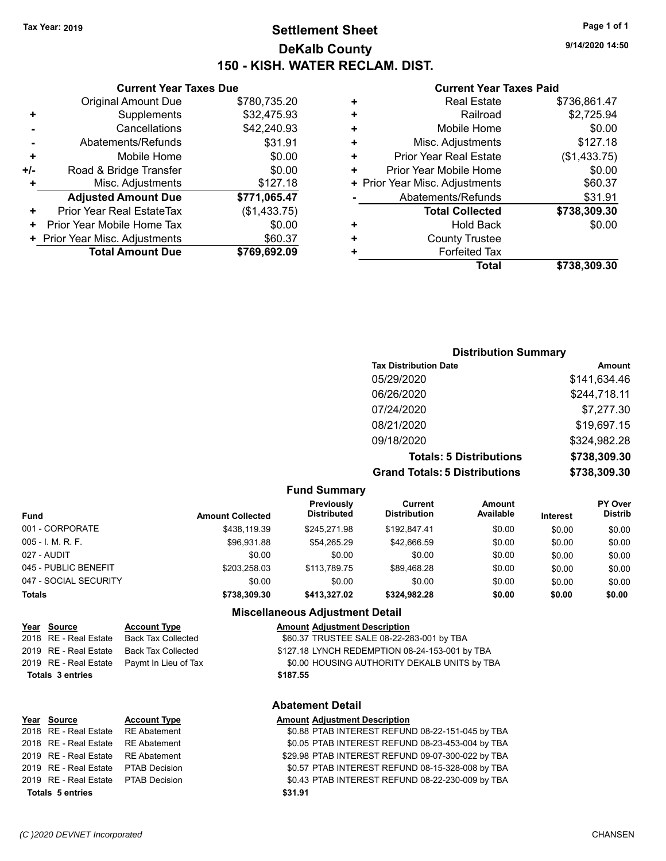#### **Settlement Sheet Tax Year: 2019 Page 1 of 1 DeKalb County 150 - KISH. WATER RECLAM. DIST.**

**9/14/2020 14:50**

#### **Current Year Taxes Paid**

|   | Total                          | \$738,309.30 |
|---|--------------------------------|--------------|
| ٠ | <b>Forfeited Tax</b>           |              |
| ٠ | <b>County Trustee</b>          |              |
| ٠ | <b>Hold Back</b>               | \$0.00       |
|   | <b>Total Collected</b>         | \$738,309.30 |
|   | Abatements/Refunds             | \$31.91      |
|   | + Prior Year Misc. Adjustments | \$60.37      |
| ٠ | Prior Year Mobile Home         | \$0.00       |
| ٠ | <b>Prior Year Real Estate</b>  | (\$1,433.75) |
| ٠ | Misc. Adjustments              | \$127.18     |
| ٠ | Mobile Home                    | \$0.00       |
| ٠ | Railroad                       | \$2,725.94   |
| ٠ | <b>Real Estate</b>             | \$736,861.47 |
|   |                                |              |

#### **Distribution Summary Tax Distribution Date Amount** 05/29/2020 \$141,634.46 06/26/2020 \$244,718.11 07/24/2020 \$7,277.30 08/21/2020 \$19,697.15 09/18/2020 \$324,982.28 **Totals: 5 Distributions \$738,309.30 Grand Totals: 5 Distributions \$738,309.30**

**Fund Summary Fund Interest Amount Collected Distributed PY Over Distrib Amount Available Current Distribution Previously** 001 - CORPORATE \$438,119.39 \$245,271.98 \$192,847.41 \$0.00 \$0.00 \$0.00 005 - I. M. R. F. \$96,931.88 \$54,265.29 \$42,666.59 \$0.00 \$0.00 \$0.00 027 - AUDIT \$0.00 \$0.00 \$0.00 \$0.00 \$0.00 \$0.00 045 - PUBLIC BENEFIT 6 203,258.03 \$113,789.75 \$89,468.28 \$0.00 \$0.00 \$0.00 \$0.00 047 - SOCIAL SECURITY \$0.00 \$0.00 \$0.00 \$0.00 \$0.00 \$0.00 **Totals \$738,309.30 \$413,327.02 \$324,982.28 \$0.00 \$0.00 \$0.00 Miscellaneous Adjustment Detail**

2019 RE - Real Estate Back Tax Collected \$127.18 LYNCH REDEMPTION 08-24-153-001 by TBA 2019 RE - Real Estate Paymt In Lieu of Tax \$0.00 HOUSING AUTHORITY DEKALB UNITS by TBA **Totals \$187.55 3 entries**

## **Year Source Account Type Account Account Adjustment Description** 2018 RE - Real Estate Back Tax Collected \$60.37 TRUSTEE SALE 08-22-283-001 by TBA

**Current Year Taxes Due** Original Amount Due \$780,735.20

Abatements/Refunds \$31.91

**Misc. Adjustments** \$127.18 **Adjusted Amount Due \$771,065.47**

**Total Amount Due \$769,692.09**

**+** Supplements \$32,475.93 **-** Cancellations \$42,240.93

**+** Mobile Home \$0.00 **+/-** Road & Bridge Transfer \$0.00

**+** Prior Year Real EstateTax (\$1,433.75) **+** Prior Year Mobile Home Tax  $$0.00$ **+ Prior Year Misc. Adjustments**  $$60.37$ 

# **Totals \$31.91 5 entries**

#### **Abatement Detail**

#### **Year Source Account Type Amount Adjustment Description**

2018 RE - Real Estate \$0.88 PTAB INTEREST REFUND 08-22-151-045 by RE Abatement TBA 2018 RE - Real Estate \$0.05 PTAB INTEREST REFUND 08-23-453-004 by RE Abatement TBA 2019 RE - Real Estate RE Abatement \$29.98 PTAB INTEREST REFUND 09-07-300-022 by TBA 2019 RE - Real Estate PTAB Decision S0.57 PTAB INTEREST REFUND 08-15-328-008 by TBA 2019 RE - Real Estate \$0.43 PTAB INTEREST REFUND 08-22-230-009 by PTAB Decision TBA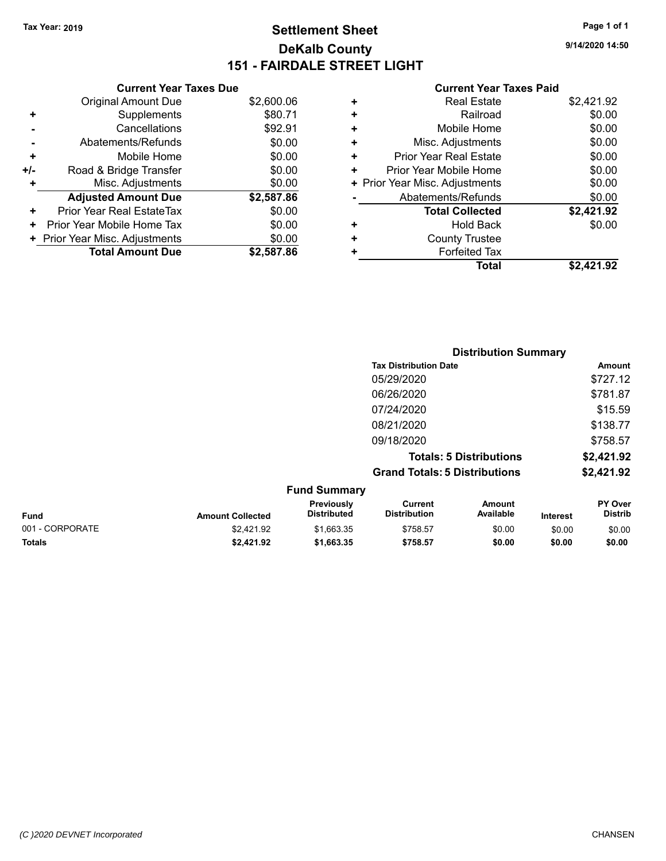#### **Settlement Sheet Tax Year: 2019 Page 1 of 1 DeKalb County 151 - FAIRDALE STREET LIGHT**

**9/14/2020 14:50**

#### **Current Year Taxes Paid**

|     | <b>Current Year Taxes Due</b>  |            |
|-----|--------------------------------|------------|
|     | <b>Original Amount Due</b>     | \$2,600.06 |
| ٠   | Supplements                    | \$80.71    |
|     | Cancellations                  | \$92.91    |
|     | Abatements/Refunds             | \$0.00     |
| ٠   | Mobile Home                    | \$0.00     |
| +/- | Road & Bridge Transfer         | \$0.00     |
| ٠   | Misc. Adjustments              | \$0.00     |
|     | <b>Adjusted Amount Due</b>     | \$2,587.86 |
| ٠   | Prior Year Real EstateTax      | \$0.00     |
| ٠   | Prior Year Mobile Home Tax     | \$0.00     |
|     | + Prior Year Misc. Adjustments | \$0.00     |
|     | <b>Total Amount Due</b>        | \$2.587.86 |

|   | <b>Real Estate</b>             | \$2,421.92 |
|---|--------------------------------|------------|
| ٠ | Railroad                       | \$0.00     |
| ٠ | Mobile Home                    | \$0.00     |
| ٠ | Misc. Adjustments              | \$0.00     |
| ٠ | Prior Year Real Estate         | \$0.00     |
| ٠ | Prior Year Mobile Home         | \$0.00     |
|   | + Prior Year Misc. Adjustments | \$0.00     |
|   | Abatements/Refunds             | \$0.00     |
|   | <b>Total Collected</b>         | \$2,421.92 |
| ٠ | Hold Back                      | \$0.00     |
| ٠ | <b>County Trustee</b>          |            |
| ٠ | <b>Forfeited Tax</b>           |            |
|   | Total                          | \$2,421.92 |
|   |                                |            |

|                  |                                  | <b>Distribution Summary</b>           |                                |          |                                  |
|------------------|----------------------------------|---------------------------------------|--------------------------------|----------|----------------------------------|
|                  |                                  | <b>Tax Distribution Date</b>          |                                |          | Amount                           |
|                  |                                  | 05/29/2020                            |                                |          | \$727.12                         |
|                  |                                  | 06/26/2020                            |                                |          | \$781.87                         |
|                  |                                  | 07/24/2020                            |                                |          | \$15.59                          |
|                  |                                  | 08/21/2020                            |                                |          | \$138.77                         |
|                  |                                  | 09/18/2020                            |                                |          | \$758.57                         |
|                  |                                  |                                       | <b>Totals: 5 Distributions</b> |          | \$2,421.92                       |
|                  |                                  | <b>Grand Totals: 5 Distributions</b>  |                                |          | \$2,421.92                       |
|                  | <b>Fund Summary</b>              |                                       |                                |          |                                  |
| Amount Collected | Previously<br><b>Distributed</b> | <b>Current</b><br><b>Distribution</b> | Amount<br>Available            | Intoract | <b>PY Over</b><br><b>Distrib</b> |

| <b>Fund</b>     | <b>Amount Collected</b> | <b>Previously</b><br><b>Distributed</b> | Current<br><b>Distribution</b> | Amount<br>Available | <b>Interest</b> | <b>PY Over</b><br><b>Distrib</b> |
|-----------------|-------------------------|-----------------------------------------|--------------------------------|---------------------|-----------------|----------------------------------|
| 001 - CORPORATE | \$2.421.92              | \$1.663.35                              | \$758.57                       | \$0.00              | \$0.00          | \$0.00                           |
| <b>Totals</b>   | \$2,421.92              | \$1,663.35                              | \$758.57                       | \$0.00              | \$0.00          | \$0.00                           |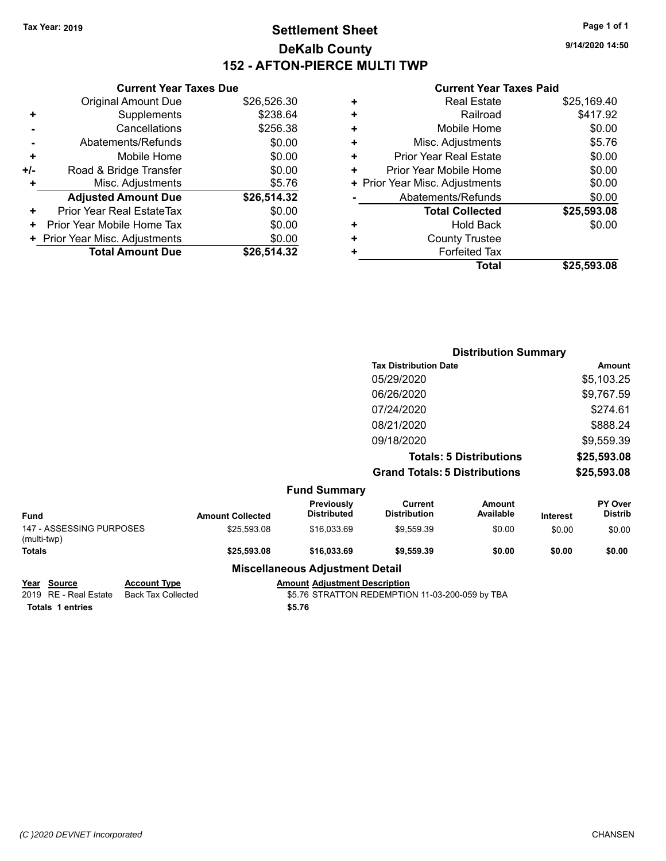#### **Settlement Sheet Tax Year: 2019 Page 1 of 1 DeKalb County 152 - AFTON-PIERCE MULTI TWP**

**9/14/2020 14:50**

#### **Current Year Taxes Paid**

|     | <b>Current Year Taxes Due</b>  |             |      |
|-----|--------------------------------|-------------|------|
|     | <b>Original Amount Due</b>     | \$26,526.30 |      |
|     | Supplements                    | \$238.64    |      |
|     | Cancellations                  | \$256.38    |      |
|     | Abatements/Refunds             | \$0.00      |      |
|     | Mobile Home                    | \$0.00      |      |
| +/- | Road & Bridge Transfer         | \$0.00      |      |
|     | Misc. Adjustments              | \$5.76      | + Pi |
|     | <b>Adjusted Amount Due</b>     | \$26,514.32 |      |
| ٠   | Prior Year Real EstateTax      | \$0.00      |      |
|     | Prior Year Mobile Home Tax     | \$0.00      |      |
|     | + Prior Year Misc. Adjustments | \$0.00      |      |
|     | <b>Total Amount Due</b>        | \$26,514.32 |      |
|     |                                |             |      |

| ٠ | <b>Real Estate</b>             | \$25,169.40 |
|---|--------------------------------|-------------|
| ٠ | Railroad                       | \$417.92    |
| ٠ | Mobile Home                    | \$0.00      |
| ٠ | Misc. Adjustments              | \$5.76      |
| ٠ | <b>Prior Year Real Estate</b>  | \$0.00      |
| ٠ | Prior Year Mobile Home         | \$0.00      |
|   | + Prior Year Misc. Adjustments | \$0.00      |
|   | Abatements/Refunds             | \$0.00      |
|   | <b>Total Collected</b>         | \$25,593.08 |
| ٠ | <b>Hold Back</b>               | \$0.00      |
| ٠ | <b>County Trustee</b>          |             |
| ٠ | <b>Forfeited Tax</b>           |             |
|   | <b>Total</b>                   | \$25,593.08 |
|   |                                |             |

|                                                |                                                  |                                         | <b>Distribution Summary</b>                     |                                |                 |                           |
|------------------------------------------------|--------------------------------------------------|-----------------------------------------|-------------------------------------------------|--------------------------------|-----------------|---------------------------|
|                                                |                                                  |                                         | <b>Tax Distribution Date</b>                    |                                |                 | Amount                    |
|                                                |                                                  |                                         | 05/29/2020                                      |                                |                 | \$5,103.25                |
|                                                |                                                  |                                         | 06/26/2020                                      |                                |                 | \$9,767.59                |
|                                                |                                                  |                                         | 07/24/2020                                      |                                |                 | \$274.61                  |
|                                                |                                                  |                                         | 08/21/2020                                      |                                |                 | \$888.24                  |
|                                                |                                                  |                                         | 09/18/2020                                      |                                |                 | \$9,559.39                |
|                                                |                                                  |                                         |                                                 | <b>Totals: 5 Distributions</b> |                 | \$25,593.08               |
|                                                |                                                  |                                         | <b>Grand Totals: 5 Distributions</b>            |                                |                 | \$25,593.08               |
|                                                |                                                  | <b>Fund Summary</b>                     |                                                 |                                |                 |                           |
| Fund                                           | <b>Amount Collected</b>                          | <b>Previously</b><br><b>Distributed</b> | <b>Current</b><br><b>Distribution</b>           | <b>Amount</b><br>Available     | <b>Interest</b> | PY Over<br><b>Distrib</b> |
| 147 - ASSESSING PURPOSES<br>(multi-twp)        | \$25,593.08                                      | \$16,033.69                             | \$9,559.39                                      | \$0.00                         | \$0.00          | \$0.00                    |
| <b>Totals</b>                                  | \$25,593.08                                      | \$16,033.69                             | \$9,559.39                                      | \$0.00                         | \$0.00          | \$0.00                    |
|                                                |                                                  | <b>Miscellaneous Adjustment Detail</b>  |                                                 |                                |                 |                           |
| <b>Source</b><br>Year<br>2019 RE - Real Estate | <b>Account Type</b><br><b>Back Tax Collected</b> | <b>Amount Adjustment Description</b>    | \$5.76 STRATTON REDEMPTION 11-03-200-059 by TBA |                                |                 |                           |

**Totals \$5.76 1 entries**

\$5.76 STRATTON REDEMPTION 11-03-200-059 by TBA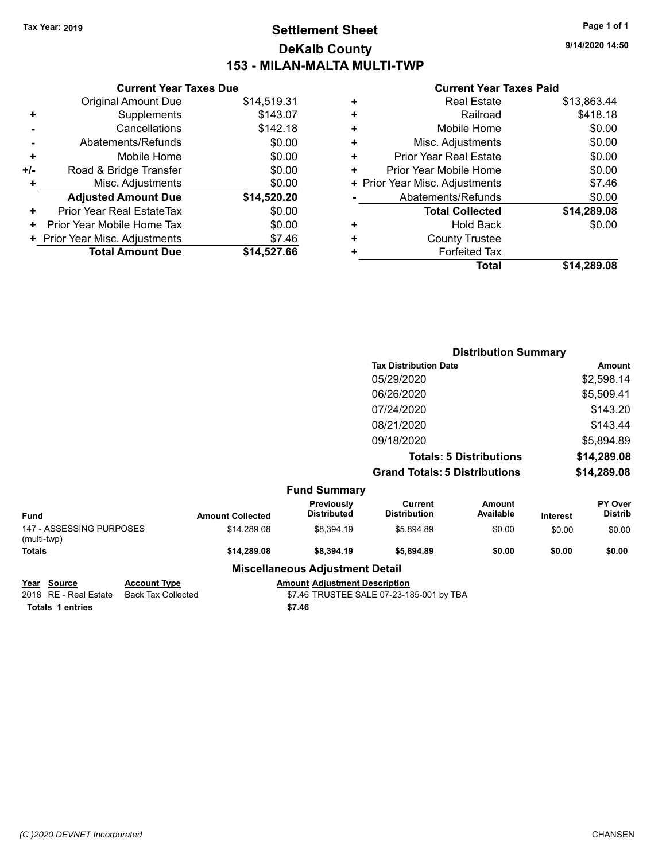#### **Settlement Sheet Tax Year: 2019 Page 1 of 1 DeKalb County 153 - MILAN-MALTA MULTI-TWP**

**9/14/2020 14:50**

#### **Current Year Taxes Paid**

|       | <b>Current Year Taxes Due</b>  |             |
|-------|--------------------------------|-------------|
|       | <b>Original Amount Due</b>     | \$14,519.31 |
| ٠     | Supplements                    | \$143.07    |
|       | Cancellations                  | \$142.18    |
|       | Abatements/Refunds             | \$0.00      |
| ٠     | Mobile Home                    | \$0.00      |
| $+/-$ | Road & Bridge Transfer         | \$0.00      |
|       | Misc. Adjustments              | \$0.00      |
|       | <b>Adjusted Amount Due</b>     | \$14,520.20 |
| ÷     | Prior Year Real EstateTax      | \$0.00      |
| ٠     | Prior Year Mobile Home Tax     | \$0.00      |
|       | + Prior Year Misc. Adjustments | \$7.46      |
|       | <b>Total Amount Due</b>        | \$14,527.66 |
|       |                                |             |

|   | <b>Real Estate</b>             | \$13,863.44 |
|---|--------------------------------|-------------|
| ٠ | Railroad                       | \$418.18    |
| ٠ | Mobile Home                    | \$0.00      |
| ٠ | Misc. Adjustments              | \$0.00      |
| ٠ | <b>Prior Year Real Estate</b>  | \$0.00      |
| ÷ | Prior Year Mobile Home         | \$0.00      |
|   | + Prior Year Misc. Adjustments | \$7.46      |
|   | Abatements/Refunds             | \$0.00      |
|   | <b>Total Collected</b>         | \$14,289.08 |
| ٠ | <b>Hold Back</b>               | \$0.00      |
| ٠ | <b>County Trustee</b>          |             |
| ٠ | <b>Forfeited Tax</b>           |             |
|   | Total                          | \$14.289.08 |
|   |                                |             |

|                                         |                         |                                        | <b>Distribution Summary</b>           |                                |          |                           |
|-----------------------------------------|-------------------------|----------------------------------------|---------------------------------------|--------------------------------|----------|---------------------------|
|                                         |                         |                                        | <b>Tax Distribution Date</b>          |                                |          | Amount                    |
|                                         |                         |                                        | 05/29/2020                            |                                |          | \$2,598.14                |
|                                         |                         |                                        | 06/26/2020                            |                                |          | \$5,509.41                |
|                                         |                         |                                        | 07/24/2020                            |                                |          | \$143.20                  |
|                                         |                         |                                        | 08/21/2020                            |                                |          | \$143.44                  |
|                                         |                         |                                        | 09/18/2020                            |                                |          | \$5,894.89                |
|                                         |                         |                                        |                                       | <b>Totals: 5 Distributions</b> |          | \$14,289.08               |
|                                         |                         |                                        | <b>Grand Totals: 5 Distributions</b>  |                                |          | \$14,289.08               |
|                                         |                         | <b>Fund Summary</b>                    |                                       |                                |          |                           |
| <b>Fund</b>                             | <b>Amount Collected</b> | Previously<br><b>Distributed</b>       | <b>Current</b><br><b>Distribution</b> | <b>Amount</b><br>Available     | Interest | PY Over<br><b>Distrib</b> |
| 147 - ASSESSING PURPOSES<br>(multi-twp) | \$14,289.08             | \$8,394.19                             | \$5,894.89                            | \$0.00                         | \$0.00   | \$0.00                    |
| <b>Totals</b>                           | \$14,289.08             | \$8,394.19                             | \$5,894.89                            | \$0.00                         | \$0.00   | \$0.00                    |
|                                         |                         | <b>Miscellaneous Adjustment Detail</b> |                                       |                                |          |                           |

**Totals \$7.46 1 entries**

**Year Source Account Type Amount Adjustment Description**<br>
2018 RE - Real Estate Back Tax Collected \$7.46 TRUSTEE SALE 07-23-18 \$7.46 TRUSTEE SALE 07-23-185-001 by TBA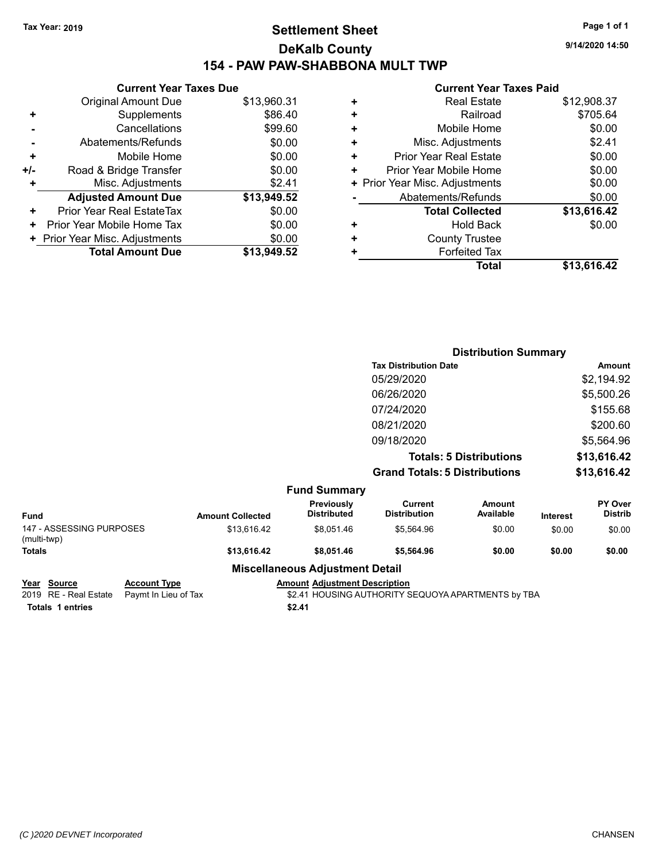#### **Settlement Sheet Tax Year: 2019 Page 1 of 1 DeKalb County 154 - PAW PAW-SHABBONA MULT TWP**

**9/14/2020 14:50**

#### **Current Year Taxes Paid**

| <b>Current Year Taxes Due</b> |                                |
|-------------------------------|--------------------------------|
| <b>Original Amount Due</b>    | \$13,960.31                    |
| Supplements                   | \$86.40                        |
| Cancellations                 | \$99.60                        |
| Abatements/Refunds            | \$0.00                         |
| Mobile Home                   | \$0.00                         |
| Road & Bridge Transfer        | \$0.00                         |
| Misc. Adjustments             | \$2.41                         |
| <b>Adjusted Amount Due</b>    | \$13,949.52                    |
| Prior Year Real EstateTax     | \$0.00                         |
| Prior Year Mobile Home Tax    | \$0.00                         |
|                               | \$0.00                         |
| <b>Total Amount Due</b>       | \$13.949.52                    |
|                               | + Prior Year Misc. Adjustments |

| ٠ | <b>Real Estate</b>             | \$12,908.37 |
|---|--------------------------------|-------------|
| ٠ | Railroad                       | \$705.64    |
| ٠ | Mobile Home                    | \$0.00      |
| ٠ | Misc. Adjustments              | \$2.41      |
| ٠ | <b>Prior Year Real Estate</b>  | \$0.00      |
| ٠ | Prior Year Mobile Home         | \$0.00      |
|   | + Prior Year Misc. Adjustments | \$0.00      |
|   | Abatements/Refunds             | \$0.00      |
|   | <b>Total Collected</b>         | \$13,616.42 |
| ٠ | Hold Back                      | \$0.00      |
| ٠ | <b>County Trustee</b>          |             |
| + | <b>Forfeited Tax</b>           |             |
|   | Total                          | \$13,616.42 |

|                                         |                         |                                        |                                       | <b>Distribution Summary</b>    |                 |                           |
|-----------------------------------------|-------------------------|----------------------------------------|---------------------------------------|--------------------------------|-----------------|---------------------------|
|                                         |                         |                                        | <b>Tax Distribution Date</b>          |                                |                 | <b>Amount</b>             |
|                                         |                         |                                        | 05/29/2020                            |                                |                 | \$2,194.92                |
|                                         |                         |                                        | 06/26/2020                            |                                |                 | \$5,500.26                |
|                                         |                         |                                        | 07/24/2020                            |                                |                 | \$155.68                  |
|                                         |                         |                                        | 08/21/2020                            |                                |                 | \$200.60                  |
|                                         |                         |                                        | 09/18/2020                            |                                |                 | \$5,564.96                |
|                                         |                         |                                        |                                       | <b>Totals: 5 Distributions</b> |                 | \$13,616.42               |
|                                         |                         |                                        | <b>Grand Totals: 5 Distributions</b>  |                                |                 | \$13,616.42               |
|                                         |                         | <b>Fund Summary</b>                    |                                       |                                |                 |                           |
| <b>Fund</b>                             | <b>Amount Collected</b> | Previously<br><b>Distributed</b>       | <b>Current</b><br><b>Distribution</b> | <b>Amount</b><br>Available     | <b>Interest</b> | PY Over<br><b>Distrib</b> |
| 147 - ASSESSING PURPOSES<br>(multi-twp) | \$13,616.42             | \$8,051.46                             | \$5,564.96                            | \$0.00                         | \$0.00          | \$0.00                    |
| <b>Totals</b>                           | \$13,616.42             | \$8,051.46                             | \$5,564.96                            | \$0.00                         | \$0.00          | \$0.00                    |
|                                         |                         | <b>Miscellaneous Adjustment Detail</b> |                                       |                                |                 |                           |

**Totals \$2.41 1 entries**

**Year Source Account Type Amount Adjustment Description**<br>2019 RE - Real Estate Paymt In Lieu of Tax \$2.41 HOUSING AUTHORITY S \$2.41 HOUSING AUTHORITY SEQUOYA APARTMENTS by TBA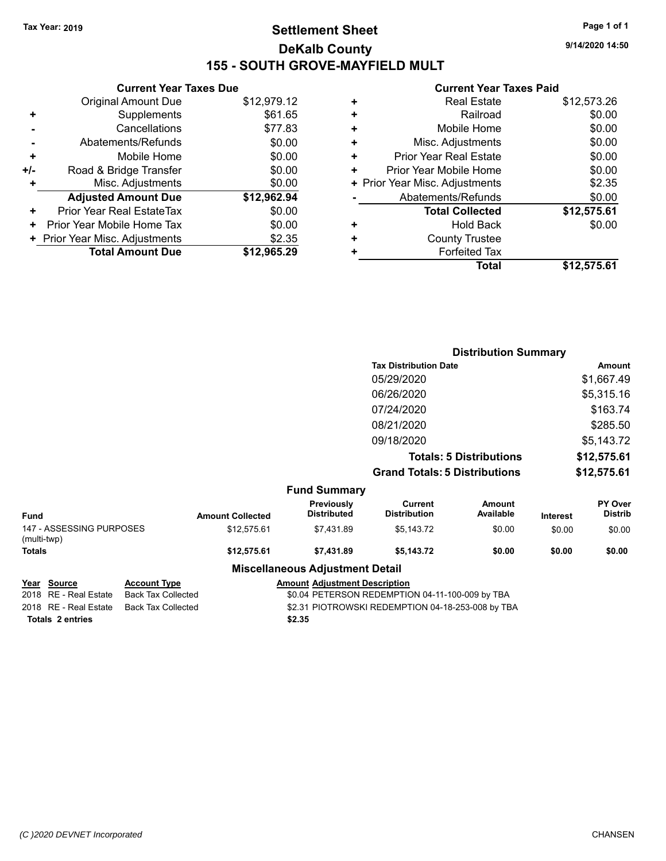#### **Settlement Sheet Tax Year: 2019 Page 1 of 1 DeKalb County 155 - SOUTH GROVE-MAYFIELD MULT**

**9/14/2020 14:50**

#### **Current Year Taxes Paid**

|     | <b>Current Year Taxes Due</b>  |             |
|-----|--------------------------------|-------------|
|     | <b>Original Amount Due</b>     | \$12,979.12 |
| ٠   | Supplements                    | \$61.65     |
|     | Cancellations                  | \$77.83     |
|     | Abatements/Refunds             | \$0.00      |
| ٠   | Mobile Home                    | \$0.00      |
| +/- | Road & Bridge Transfer         | \$0.00      |
|     | Misc. Adjustments              | \$0.00      |
|     | <b>Adjusted Amount Due</b>     | \$12,962.94 |
| ٠   | Prior Year Real EstateTax      | \$0.00      |
| ٠   | Prior Year Mobile Home Tax     | \$0.00      |
|     | + Prior Year Misc. Adjustments | \$2.35      |
|     | <b>Total Amount Due</b>        | \$12,965.29 |
|     |                                |             |

| ٠ | <b>Real Estate</b>             | \$12,573.26 |
|---|--------------------------------|-------------|
| ٠ | Railroad                       | \$0.00      |
| ٠ | Mobile Home                    | \$0.00      |
| ٠ | Misc. Adjustments              | \$0.00      |
| ٠ | <b>Prior Year Real Estate</b>  | \$0.00      |
| ٠ | Prior Year Mobile Home         | \$0.00      |
|   | + Prior Year Misc. Adjustments | \$2.35      |
|   | Abatements/Refunds             | \$0.00      |
|   | <b>Total Collected</b>         | \$12,575.61 |
| ٠ | Hold Back                      | \$0.00      |
| ٠ | <b>County Trustee</b>          |             |
| ٠ | <b>Forfeited Tax</b>           |             |
|   | Total                          | \$12,575.61 |
|   |                                |             |

|                                               |                         |                                  |                                      | <b>Distribution Summary</b>    |                 |                                  |
|-----------------------------------------------|-------------------------|----------------------------------|--------------------------------------|--------------------------------|-----------------|----------------------------------|
|                                               |                         |                                  | <b>Tax Distribution Date</b>         |                                |                 | Amount                           |
|                                               |                         |                                  | 05/29/2020                           |                                |                 | \$1,667.49                       |
|                                               |                         |                                  | 06/26/2020                           |                                |                 | \$5,315.16                       |
|                                               |                         |                                  | 07/24/2020                           |                                |                 | \$163.74                         |
|                                               |                         |                                  | 08/21/2020                           |                                |                 | \$285.50                         |
|                                               |                         |                                  | 09/18/2020                           |                                |                 | \$5,143.72                       |
|                                               |                         |                                  |                                      | <b>Totals: 5 Distributions</b> |                 | \$12,575.61                      |
|                                               |                         |                                  | <b>Grand Totals: 5 Distributions</b> |                                |                 | \$12,575.61                      |
|                                               |                         | <b>Fund Summary</b>              |                                      |                                |                 |                                  |
| Fund                                          | <b>Amount Collected</b> | Previously<br><b>Distributed</b> | Current<br><b>Distribution</b>       | Amount<br>Available            | <b>Interest</b> | <b>PY Over</b><br><b>Distrib</b> |
| 147 - ASSESSING PURPOSES<br>$(mu$ lti_twn $)$ | \$12,575.61             | \$7,431.89                       | \$5,143.72                           | \$0.00                         | \$0.00          | \$0.00                           |

 $147 - AS$ (multi-twp) **Totals \$12,575.61 \$7,431.89 \$5,143.72 \$0.00 \$0.00 \$0.00**

| Source           | Account         |
|------------------|-----------------|
| RE - Real Estate | <b>Back Tax</b> |
| PE - Peal Estate | Rock Tov        |

**Miscellaneous Adjustment Detail Year** Source **Account Type Account Adjustment Description** 

2018 RE - Real Estate Back Tax Collected **19.004 PETERSON REDEMPTION 04-11-100-009 by TBA**<br>2018 RE - Real Estate Back Tax Collected **19.000 S2.31 PIOTROWSKI REDEMPTION 04-18-253-008 by TB** 2018 RE - Real Estate Back Tax Collected \$2.31 PIOTROWSKI REDEMPTION 04-18-253-008 by TBA **Totals \$2.35 2 entries**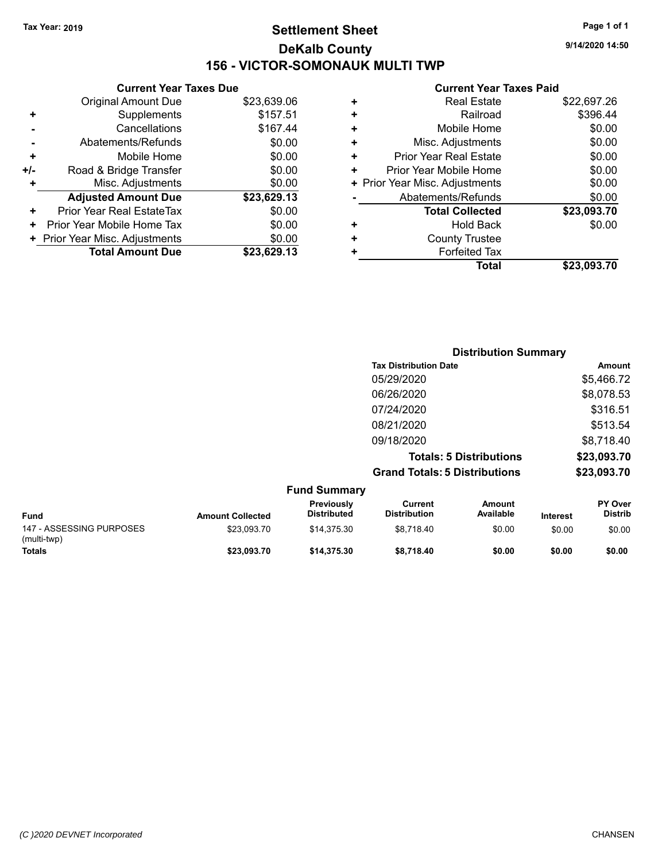#### **Settlement Sheet Tax Year: 2019 Page 1 of 1 DeKalb County 156 - VICTOR-SOMONAUK MULTI TWP**

**9/14/2020 14:50**

#### **Current Year Taxes Paid**

|     | <b>Current Year Taxes Due</b>  |             |
|-----|--------------------------------|-------------|
|     | <b>Original Amount Due</b>     | \$23,639.06 |
| ٠   | Supplements                    | \$157.51    |
|     | Cancellations                  | \$167.44    |
|     | Abatements/Refunds             | \$0.00      |
| ٠   | Mobile Home                    | \$0.00      |
| +/- | Road & Bridge Transfer         | \$0.00      |
| ٠   | Misc. Adjustments              | \$0.00      |
|     | <b>Adjusted Amount Due</b>     | \$23,629.13 |
| ٠   | Prior Year Real EstateTax      | \$0.00      |
| ٠   | Prior Year Mobile Home Tax     | \$0.00      |
|     | + Prior Year Misc. Adjustments | \$0.00      |
|     | <b>Total Amount Due</b>        | \$23.629.13 |
|     |                                |             |

|   | <b>Real Estate</b>             | \$22,697.26 |
|---|--------------------------------|-------------|
| ٠ | Railroad                       | \$396.44    |
| ÷ | Mobile Home                    | \$0.00      |
| ٠ | Misc. Adjustments              | \$0.00      |
| ٠ | <b>Prior Year Real Estate</b>  | \$0.00      |
| ٠ | Prior Year Mobile Home         | \$0.00      |
|   | + Prior Year Misc. Adjustments | \$0.00      |
|   | Abatements/Refunds             | \$0.00      |
|   | <b>Total Collected</b>         | \$23,093.70 |
| ٠ | <b>Hold Back</b>               | \$0.00      |
|   | <b>County Trustee</b>          |             |
| ٠ | <b>Forfeited Tax</b>           |             |
|   | Total                          | \$23,093.70 |
|   |                                |             |

|                     | <b>Distribution Summary</b>          |                                |                |
|---------------------|--------------------------------------|--------------------------------|----------------|
|                     | <b>Tax Distribution Date</b>         |                                | Amount         |
|                     | 05/29/2020                           |                                | \$5,466.72     |
|                     | 06/26/2020                           |                                | \$8,078.53     |
|                     | 07/24/2020                           |                                | \$316.51       |
|                     | 08/21/2020                           |                                | \$513.54       |
|                     | 09/18/2020                           |                                | \$8,718.40     |
|                     |                                      | <b>Totals: 5 Distributions</b> | \$23,093.70    |
|                     | <b>Grand Totals: 5 Distributions</b> |                                | \$23,093.70    |
| <b>Fund Summary</b> |                                      |                                |                |
| Previously          | $C$ urrent                           | <b>Amount</b>                  | <b>PY Over</b> |

| <b>Fund</b>                             | <b>Amount Collected</b> | Previously<br><b>Distributed</b> | Current<br><b>Distribution</b> | Amount<br>Available | <b>Interest</b> | <b>PY Over</b><br><b>Distrib</b> |
|-----------------------------------------|-------------------------|----------------------------------|--------------------------------|---------------------|-----------------|----------------------------------|
| 147 - ASSESSING PURPOSES<br>(multi-twp) | \$23.093.70             | \$14.375.30                      | \$8.718.40                     | \$0.00              | \$0.00          | \$0.00                           |
| Totals                                  | \$23.093.70             | \$14,375.30                      | \$8.718.40                     | \$0.00              | \$0.00          | \$0.00                           |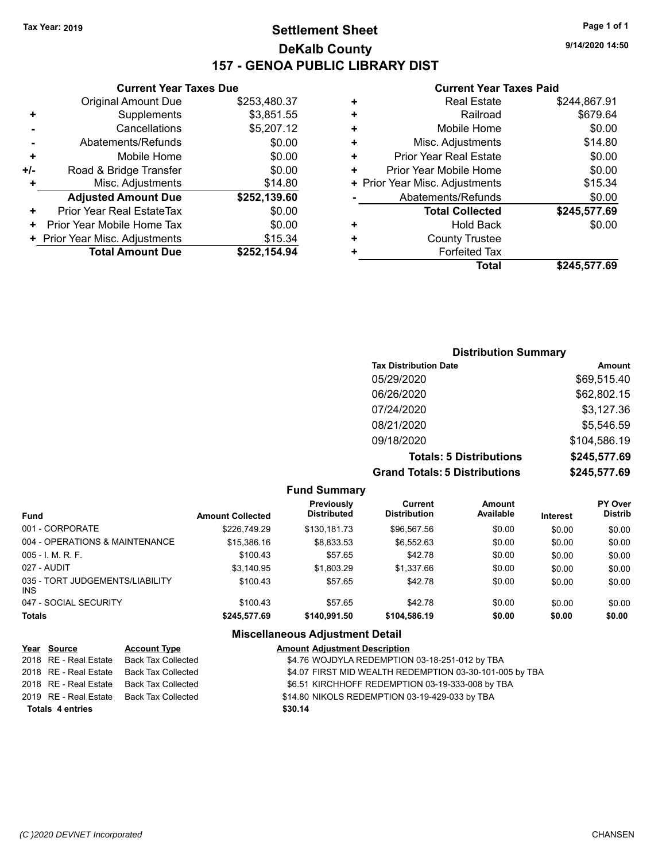#### **Settlement Sheet Tax Year: 2019 Page 1 of 1 DeKalb County 157 - GENOA PUBLIC LIBRARY DIST**

**Current Year Taxes Due**

|       | <b>Total Amount Due</b>          | \$252,154.94 |
|-------|----------------------------------|--------------|
|       | + Prior Year Misc. Adjustments   | \$15.34      |
| ٠     | Prior Year Mobile Home Tax       | \$0.00       |
| ÷     | <b>Prior Year Real EstateTax</b> | \$0.00       |
|       | <b>Adjusted Amount Due</b>       | \$252,139.60 |
| ٠     | Misc. Adjustments                | \$14.80      |
| $+/-$ | Road & Bridge Transfer           | \$0.00       |
| ٠     | Mobile Home                      | \$0.00       |
|       | Abatements/Refunds               | \$0.00       |
|       | Cancellations                    | \$5,207.12   |
| ٠     | Supplements                      | \$3,851.55   |
|       | <b>Original Amount Due</b>       | \$253,480.37 |
|       |                                  |              |

#### **Current Year Taxes Paid**

|   | <b>Real Estate</b>             | \$244,867.91 |
|---|--------------------------------|--------------|
| ٠ | Railroad                       | \$679.64     |
| ٠ | Mobile Home                    | \$0.00       |
| ٠ | Misc. Adjustments              | \$14.80      |
| ٠ | <b>Prior Year Real Estate</b>  | \$0.00       |
| ٠ | Prior Year Mobile Home         | \$0.00       |
|   | + Prior Year Misc. Adjustments | \$15.34      |
|   | Abatements/Refunds             | \$0.00       |
|   | <b>Total Collected</b>         | \$245,577.69 |
| ٠ | Hold Back                      | \$0.00       |
| ٠ | <b>County Trustee</b>          |              |
| ٠ | <b>Forfeited Tax</b>           |              |
|   | Total                          | \$245,577.69 |
|   |                                |              |

#### **Distribution Summary Tax Distribution Date Amount** 05/29/2020 \$69,515.40 06/26/2020 \$62,802.15 07/24/2020 \$3,127.36 08/21/2020 \$5,546.59 09/18/2020 \$104,586.19 **Totals: 5 Distributions \$245,577.69 Grand Totals: 5 Distributions \$245,577.69**

| <b>Fund Summary</b>                     |                         |                                         |                                       |                     |                 |                                  |
|-----------------------------------------|-------------------------|-----------------------------------------|---------------------------------------|---------------------|-----------------|----------------------------------|
| <b>Fund</b>                             | <b>Amount Collected</b> | <b>Previously</b><br><b>Distributed</b> | <b>Current</b><br><b>Distribution</b> | Amount<br>Available | <b>Interest</b> | <b>PY Over</b><br><b>Distrib</b> |
| 001 - CORPORATE                         | \$226,749.29            | \$130.181.73                            | \$96,567.56                           | \$0.00              | \$0.00          | \$0.00                           |
| 004 - OPERATIONS & MAINTENANCE          | \$15,386.16             | \$8,833.53                              | \$6,552.63                            | \$0.00              | \$0.00          | \$0.00                           |
| $005 - 1$ , M, R, F,                    | \$100.43                | \$57.65                                 | \$42.78                               | \$0.00              | \$0.00          | \$0.00                           |
| 027 - AUDIT                             | \$3.140.95              | \$1,803.29                              | \$1,337.66                            | \$0.00              | \$0.00          | \$0.00                           |
| 035 - TORT JUDGEMENTS/LIABILITY<br>INS. | \$100.43                | \$57.65                                 | \$42.78                               | \$0.00              | \$0.00          | \$0.00                           |
| 047 - SOCIAL SECURITY                   | \$100.43                | \$57.65                                 | \$42.78                               | \$0.00              | \$0.00          | \$0.00                           |
| <b>Totals</b>                           | \$245,577.69            | \$140.991.50                            | \$104,586.19                          | \$0.00              | \$0.00          | \$0.00                           |

#### **Miscellaneous Adjustment Detail**

| Year Source             | <b>Account Type</b> | <b>Amount Adjustment Description</b>                    |
|-------------------------|---------------------|---------------------------------------------------------|
| 2018 RE - Real Estate   | Back Tax Collected  | \$4.76 WOJDYLA REDEMPTION 03-18-251-012 by TBA          |
| 2018 RE - Real Estate   | Back Tax Collected  | \$4.07 FIRST MID WEALTH REDEMPTION 03-30-101-005 by TBA |
| 2018 RE - Real Estate   | Back Tax Collected  | \$6.51 KIRCHHOFF REDEMPTION 03-19-333-008 by TBA        |
| 2019 RE - Real Estate   | Back Tax Collected  | \$14.80 NIKOLS REDEMPTION 03-19-429-033 by TBA          |
| <b>Totals 4 entries</b> |                     | \$30.14                                                 |

**9/14/2020 14:50**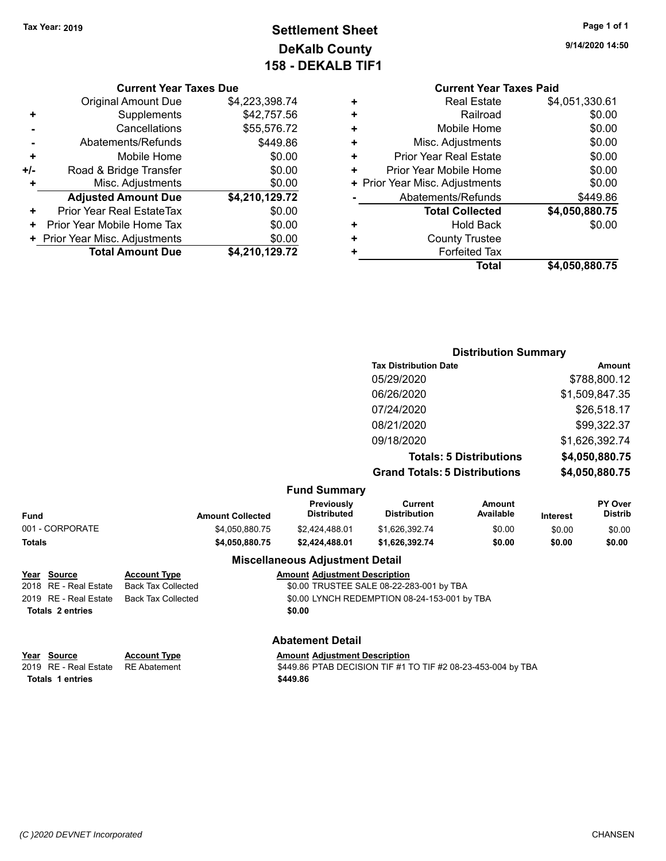**9/14/2020 14:50**

#### **Settlement Sheet Tax Year: 2019 Page 1 of 1 DeKalb County 158 - DEKALB TIF1**

#### **Current Year Taxes Due**

|     | <b>Original Amount Due</b>     | \$4,223,398.74 |
|-----|--------------------------------|----------------|
| ٠   | Supplements                    | \$42,757.56    |
|     | Cancellations                  | \$55,576.72    |
|     | Abatements/Refunds             | \$449.86       |
| ٠   | Mobile Home                    | \$0.00         |
| +/- | Road & Bridge Transfer         | \$0.00         |
| ٠   | Misc. Adjustments              | \$0.00         |
|     | <b>Adjusted Amount Due</b>     | \$4,210,129.72 |
| ÷   | Prior Year Real EstateTax      | \$0.00         |
|     | Prior Year Mobile Home Tax     | \$0.00         |
|     | + Prior Year Misc. Adjustments | \$0.00         |
|     | <b>Total Amount Due</b>        | \$4,210,129.72 |

#### **Current Year Taxes Paid +** Real Estate \$4,051,330.61 **+** Railroad \$0.00 **+** Mobile Home \$0.00 **+** Misc. Adjustments \$0.00 **+** Prior Year Real Estate \$0.00 **+** Prior Year Mobile Home \$0.00 **+ Prior Year Misc. Adjustments**  $$0.00$ **-** Abatements/Refunds \$449.86 **Total Collected \$4,050,880.75 +** Hold Back \$0.00

| <b>Forfeited Tax</b> |
|----------------------|
|                      |

**Distribution Summary Tax Distribution Date Amount** 05/29/2020 \$788,800.12 06/26/2020 \$1,509,847.35 07/24/2020 \$26,518.17 08/21/2020 \$99,322.37

**Total \$4,050,880.75**

**+** County Trustee

|                         |                           |                                         | 09/18/2020<br><b>Totals: 5 Distributions</b>                 |                     |                | \$1,626,392.74                   |
|-------------------------|---------------------------|-----------------------------------------|--------------------------------------------------------------|---------------------|----------------|----------------------------------|
|                         |                           |                                         |                                                              |                     |                | \$4,050,880.75                   |
|                         |                           |                                         | <b>Grand Totals: 5 Distributions</b>                         |                     | \$4,050,880.75 |                                  |
|                         |                           | <b>Fund Summary</b>                     |                                                              |                     |                |                                  |
| <b>Fund</b>             | <b>Amount Collected</b>   | <b>Previously</b><br><b>Distributed</b> | Current<br><b>Distribution</b>                               | Amount<br>Available | Interest       | <b>PY Over</b><br><b>Distrib</b> |
| 001 - CORPORATE         | \$4,050,880.75            | \$2,424,488.01                          | \$1,626,392.74                                               | \$0.00              | \$0.00         | \$0.00                           |
| <b>Totals</b>           | \$4,050,880.75            | \$2,424,488.01                          | \$1,626,392.74                                               | \$0.00              | \$0.00         | \$0.00                           |
|                         |                           | <b>Miscellaneous Adjustment Detail</b>  |                                                              |                     |                |                                  |
| Year Source             | <b>Account Type</b>       | <b>Amount Adjustment Description</b>    |                                                              |                     |                |                                  |
| 2018 RE - Real Estate   | <b>Back Tax Collected</b> |                                         | \$0.00 TRUSTEE SALE 08-22-283-001 by TBA                     |                     |                |                                  |
| 2019 RE - Real Estate   | <b>Back Tax Collected</b> |                                         | \$0.00 LYNCH REDEMPTION 08-24-153-001 by TBA                 |                     |                |                                  |
| <b>Totals 2 entries</b> |                           | \$0.00                                  |                                                              |                     |                |                                  |
|                         |                           | <b>Abatement Detail</b>                 |                                                              |                     |                |                                  |
| Year Source             | <b>Account Type</b>       | <b>Amount Adjustment Description</b>    |                                                              |                     |                |                                  |
| 2019 RE - Real Estate   | <b>RE</b> Abatement       |                                         | \$449.86 PTAB DECISION TIF #1 TO TIF #2 08-23-453-004 by TBA |                     |                |                                  |

*(C )2020 DEVNET Incorporated* CHANSEN

**Totals \$449.86 1 entries**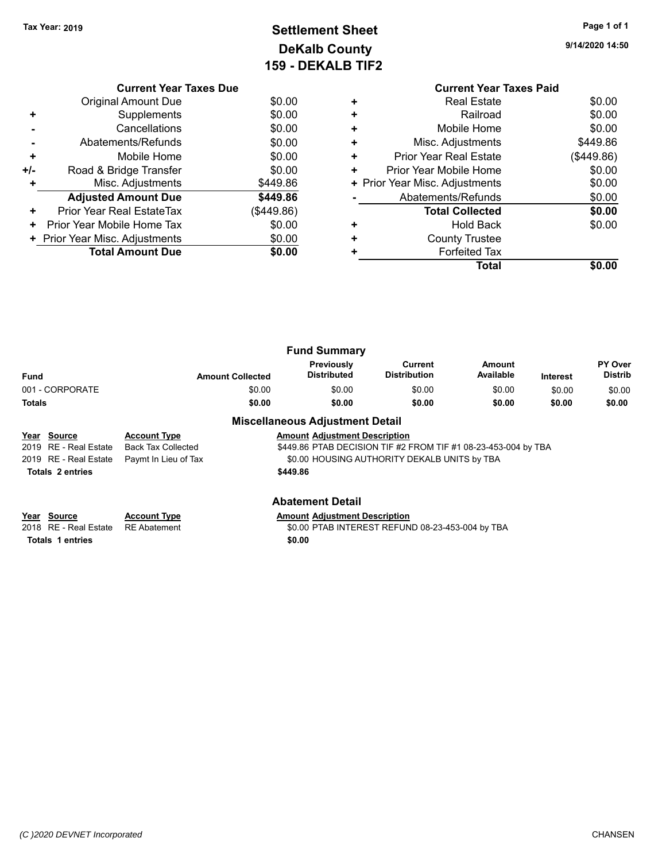#### **Settlement Sheet Tax Year: 2019 Page 1 of 1 DeKalb County 159 - DEKALB TIF2**

**9/14/2020 14:50**

|     | <b>Current Year Taxes Due</b>  |            |
|-----|--------------------------------|------------|
|     | Original Amount Due            | \$0.00     |
| ٠   | Supplements                    | \$0.00     |
|     | Cancellations                  | \$0.00     |
|     | Abatements/Refunds             | \$0.00     |
| ٠   | Mobile Home                    | \$0.00     |
| +/- | Road & Bridge Transfer         | \$0.00     |
|     | Misc. Adjustments              | \$449.86   |
|     | <b>Adjusted Amount Due</b>     | \$449.86   |
| ٠   | Prior Year Real EstateTax      | (\$449.86) |
| ٠   | Prior Year Mobile Home Tax     | \$0.00     |
|     | + Prior Year Misc. Adjustments | \$0.00     |
|     | <b>Total Amount Due</b>        | \$0.00     |
|     |                                |            |

|   | <b>Current Year Taxes Paid</b> |            |
|---|--------------------------------|------------|
| ÷ | <b>Real Estate</b>             | \$0.00     |
|   | Railroad                       | \$0.00     |
| ٠ | Mobile Home                    | \$0.00     |
| ٠ | Misc. Adjustments              | \$449.86   |
| ٠ | Prior Year Real Estate         | (\$449.86) |
| ٠ | Prior Year Mobile Home         | \$0.00     |
|   | + Prior Year Misc. Adjustments | \$0.00     |
|   | Abatements/Refunds             | \$0.00     |
|   | <b>Total Collected</b>         | \$0.00     |
|   | <b>Hold Back</b>               | \$0.00     |
| ÷ | <b>County Trustee</b>          |            |
|   | <b>Forfeited Tax</b>           |            |
|   | Total                          |            |

|                 |                         | <b>Fund Summary</b>                    |                                |                     |                 |                                  |
|-----------------|-------------------------|----------------------------------------|--------------------------------|---------------------|-----------------|----------------------------------|
| Fund            | <b>Amount Collected</b> | Previously<br>Distributed              | Current<br><b>Distribution</b> | Amount<br>Available | <b>Interest</b> | <b>PY Over</b><br><b>Distrib</b> |
| 001 - CORPORATE | \$0.00                  | \$0.00                                 | \$0.00                         | \$0.00              | \$0.00          | \$0.00                           |
| <b>Totals</b>   | \$0.00                  | \$0.00                                 | \$0.00                         | \$0.00              | \$0.00          | \$0.00                           |
|                 |                         | <b>Miscellaneous Adjustment Detail</b> |                                |                     |                 |                                  |

#### **Year Source Account Type Amount Adjustment Description** \$449.86 PTAB DECISION TIF #2 FROM TIF #1 08-23-453-004 by TBA 2019 RE - Real Estate Paymt In Lieu of Tax \$0.00 HOUSING AUTHORITY DEKALB UNITS by TBA **Totals \$449.86 2 entries**

| Year Source |                                    | <b>Account Type</b> |        | <b>Amount Adjustment Description</b> |
|-------------|------------------------------------|---------------------|--------|--------------------------------------|
|             | 2018 RE - Real Estate RE Abatement |                     |        | \$0.00 PTAB INTEREST REFUN           |
|             | Totals 1 entries                   |                     | \$0.00 |                                      |

#### **Abatement Detail**

\$0.00 PTAB INTEREST REFUND 08-23-453-004 by TBA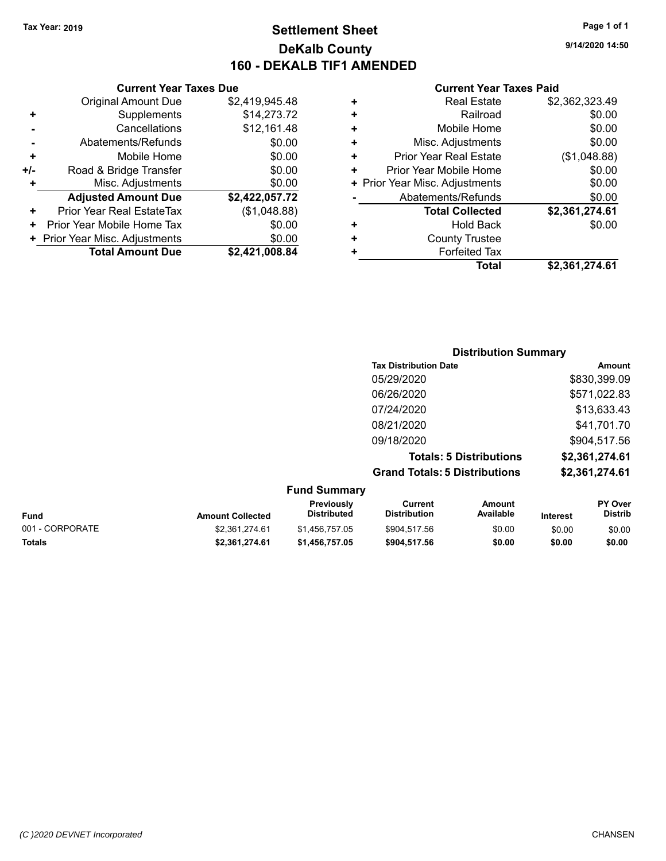#### **Settlement Sheet Tax Year: 2019 Page 1 of 1 DeKalb County 160 - DEKALB TIF1 AMENDED**

**9/14/2020 14:50**

#### **Current Year Taxes Paid**

|     | <b>Current Year Taxes Due</b>  |                |
|-----|--------------------------------|----------------|
|     | <b>Original Amount Due</b>     | \$2,419,945.48 |
| ٠   | Supplements                    | \$14,273.72    |
|     | Cancellations                  | \$12,161.48    |
|     | Abatements/Refunds             | \$0.00         |
| ٠   | Mobile Home                    | \$0.00         |
| +/- | Road & Bridge Transfer         | \$0.00         |
| ٠   | Misc. Adjustments              | \$0.00         |
|     | <b>Adjusted Amount Due</b>     | \$2,422,057.72 |
| +   | Prior Year Real EstateTax      | (\$1,048.88)   |
| ٠   | Prior Year Mobile Home Tax     | \$0.00         |
|     | + Prior Year Misc. Adjustments | \$0.00         |
|     | <b>Total Amount Due</b>        | \$2,421,008.84 |
|     |                                |                |

| ٠ | <b>Real Estate</b>             | \$2,362,323.49 |
|---|--------------------------------|----------------|
| ٠ | Railroad                       | \$0.00         |
| ٠ | Mobile Home                    | \$0.00         |
| ٠ | Misc. Adjustments              | \$0.00         |
| ٠ | Prior Year Real Estate         | (\$1,048.88)   |
| ٠ | Prior Year Mobile Home         | \$0.00         |
|   | + Prior Year Misc. Adjustments | \$0.00         |
|   | Abatements/Refunds             | \$0.00         |
|   | <b>Total Collected</b>         | \$2,361,274.61 |
| ٠ | <b>Hold Back</b>               | \$0.00         |
| ٠ | <b>County Trustee</b>          |                |
| ٠ | <b>Forfeited Tax</b>           |                |
|   | Total                          | \$2,361,274.61 |
|   |                                |                |

|                     | <b>Distribution Summary</b>          |                |
|---------------------|--------------------------------------|----------------|
|                     | <b>Tax Distribution Date</b>         | Amount         |
|                     | 05/29/2020                           | \$830,399.09   |
|                     | 06/26/2020                           | \$571,022.83   |
|                     | 07/24/2020                           | \$13,633.43    |
|                     | 08/21/2020                           | \$41,701.70    |
|                     | 09/18/2020                           | \$904,517.56   |
|                     | <b>Totals: 5 Distributions</b>       | \$2,361,274.61 |
|                     | <b>Grand Totals: 5 Distributions</b> | \$2,361,274.61 |
| <b>Fund Summary</b> |                                      |                |

| unu vunnnar y           |                                         |                                |                     |                 |                                  |
|-------------------------|-----------------------------------------|--------------------------------|---------------------|-----------------|----------------------------------|
| <b>Amount Collected</b> | <b>Previously</b><br><b>Distributed</b> | Current<br><b>Distribution</b> | Amount<br>Available | <b>Interest</b> | <b>PY Over</b><br><b>Distrib</b> |
| \$2.361.274.61          | \$1.456.757.05                          | \$904.517.56                   | \$0.00              | \$0.00          | \$0.00                           |
| \$2.361.274.61          | \$1.456.757.05                          | \$904.517.56                   | \$0.00              | \$0.00          | \$0.00                           |
|                         |                                         |                                |                     |                 |                                  |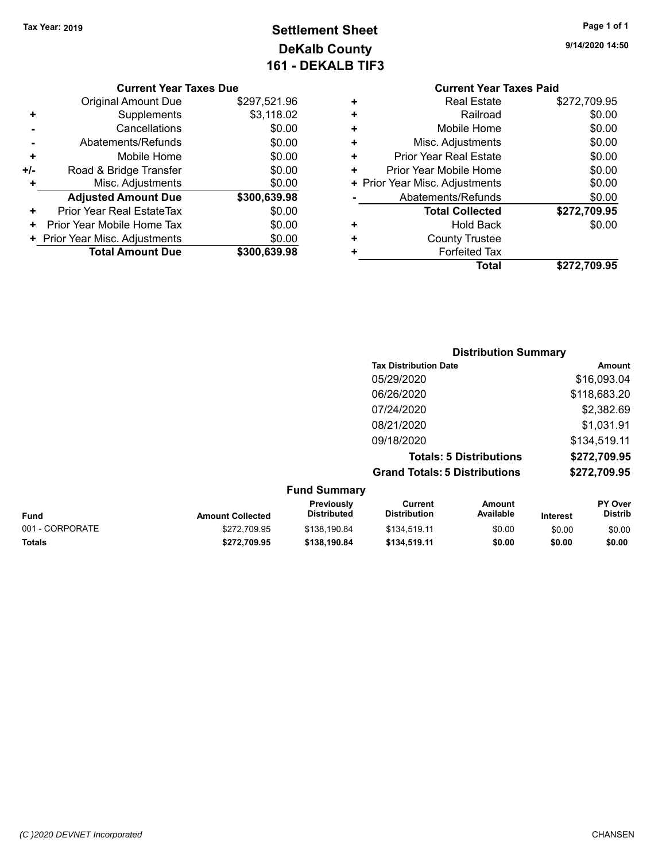## **Settlement Sheet Tax Year: 2019 Page 1 of 1 DeKalb County 161 - DEKALB TIF3**

**9/14/2020 14:50**

#### **Current Year Taxes Due**

|     | <b>Original Amount Due</b>       | \$297,521.96 |
|-----|----------------------------------|--------------|
| ٠   | Supplements                      | \$3,118.02   |
|     | Cancellations                    | \$0.00       |
|     | Abatements/Refunds               | \$0.00       |
| ٠   | Mobile Home                      | \$0.00       |
| +/- | Road & Bridge Transfer           | \$0.00       |
| ٠   | Misc. Adjustments                | \$0.00       |
|     | <b>Adjusted Amount Due</b>       | \$300,639.98 |
| ÷   | <b>Prior Year Real EstateTax</b> | \$0.00       |
|     | Prior Year Mobile Home Tax       | \$0.00       |
|     | + Prior Year Misc. Adjustments   | \$0.00       |
|     | <b>Total Amount Due</b>          | \$300,639,98 |

## **Current Year Taxes Paid**

|   | <b>Real Estate</b>             | \$272,709.95 |
|---|--------------------------------|--------------|
| ٠ | Railroad                       | \$0.00       |
| ÷ | Mobile Home                    | \$0.00       |
| ٠ | Misc. Adjustments              | \$0.00       |
| ٠ | <b>Prior Year Real Estate</b>  | \$0.00       |
| ٠ | Prior Year Mobile Home         | \$0.00       |
|   | + Prior Year Misc. Adjustments | \$0.00       |
|   | Abatements/Refunds             | \$0.00       |
|   | <b>Total Collected</b>         | \$272,709.95 |
| ٠ | <b>Hold Back</b>               | \$0.00       |
| ÷ | <b>County Trustee</b>          |              |
|   | <b>Forfeited Tax</b>           |              |
|   | Total                          | \$272,709.95 |
|   |                                |              |

#### **Distribution Summary Tax Distribution Date Amount** 05/29/2020 \$16,093.04 06/26/2020 \$118,683.20 07/24/2020 \$2,382.69 08/21/2020 \$1,031.91 09/18/2020 \$134,519.11 **Totals: 5 Distributions \$272,709.95 Grand Totals: 5 Distributions \$272,709.95 Fund Summary**

| unu Junnary             |                                  |                                |                     |                 |                                  |
|-------------------------|----------------------------------|--------------------------------|---------------------|-----------------|----------------------------------|
| <b>Amount Collected</b> | Previously<br><b>Distributed</b> | Current<br><b>Distribution</b> | Amount<br>Available | <b>Interest</b> | <b>PY Over</b><br><b>Distrib</b> |
| \$272,709.95            | \$138.190.84                     | \$134.519.11                   | \$0.00              | \$0.00          | \$0.00                           |
| \$272.709.95            | \$138,190.84                     | \$134,519.11                   | \$0.00              | \$0.00          | \$0.00                           |
|                         |                                  |                                |                     |                 |                                  |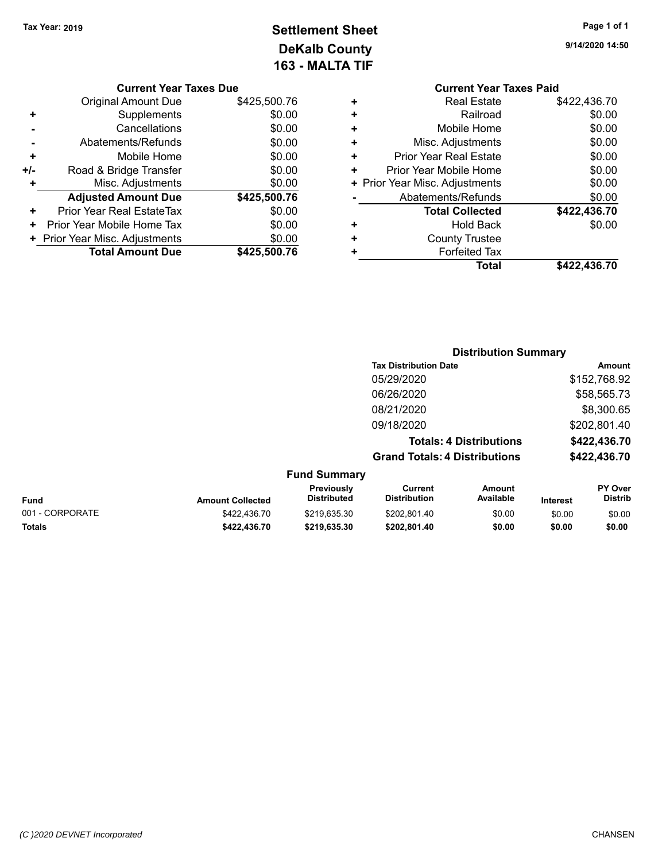## **Settlement Sheet Tax Year: 2019 Page 1 of 1 DeKalb County 163 - MALTA TIF**

|     | <b>Current Year Taxes Due</b>  |              |
|-----|--------------------------------|--------------|
|     | <b>Original Amount Due</b>     | \$425,500.76 |
| ٠   | Supplements                    | \$0.00       |
|     | Cancellations                  | \$0.00       |
|     | Abatements/Refunds             | \$0.00       |
| ٠   | Mobile Home                    | \$0.00       |
| +/- | Road & Bridge Transfer         | \$0.00       |
|     | Misc. Adjustments              | \$0.00       |
|     | <b>Adjusted Amount Due</b>     | \$425,500.76 |
| ٠   | Prior Year Real EstateTax      | \$0.00       |
| ٠   | Prior Year Mobile Home Tax     | \$0.00       |
|     | + Prior Year Misc. Adjustments | \$0.00       |
|     | <b>Total Amount Due</b>        | \$425,500.76 |

**9/14/2020 14:50**

|   | <b>Current Year Taxes Paid</b> |              |
|---|--------------------------------|--------------|
| ٠ | <b>Real Estate</b>             | \$422,436.70 |
| ÷ | Railroad                       | \$0.00       |
|   | Mobile Home                    | \$0.00       |
| ٠ | Misc. Adjustments              | \$0.00       |
| ٠ | Prior Year Real Estate         | \$0.00       |
| ÷ | Prior Year Mobile Home         | \$0.00       |
| ٠ | Prior Year Misc. Adjustments   | \$0.00       |
|   | Abatements/Refunds             | \$0.00       |
|   | <b>Total Collected</b>         | \$422,436.70 |
|   | <b>Hold Back</b>               | \$0.00       |
|   | <b>County Trustee</b>          |              |
|   | <b>Forfeited Tax</b>           |              |
|   | Total                          | \$422.436.70 |
|   |                                |              |

|         | <b>Distribution Summary</b>          |              |
|---------|--------------------------------------|--------------|
|         | <b>Tax Distribution Date</b>         | Amount       |
|         | 05/29/2020                           | \$152,768.92 |
|         | 06/26/2020                           | \$58,565.73  |
|         | 08/21/2020                           | \$8,300.65   |
|         | 09/18/2020                           | \$202,801.40 |
|         | <b>Totals: 4 Distributions</b>       | \$422,436.70 |
|         | <b>Grand Totals: 4 Distributions</b> | \$422,436.70 |
| Summary |                                      |              |

| <b>Fund</b>     | <b>Amount Collected</b> | <b>Previously</b><br><b>Distributed</b> | Current<br><b>Distribution</b> | Amount<br>Available | <b>Interest</b> | <b>PY Over</b><br><b>Distrib</b> |
|-----------------|-------------------------|-----------------------------------------|--------------------------------|---------------------|-----------------|----------------------------------|
| 001 - CORPORATE | \$422,436.70            | \$219.635.30                            | \$202.801.40                   | \$0.00              | \$0.00          | \$0.00                           |
| Totals          | \$422,436.70            | \$219.635.30                            | \$202.801.40                   | \$0.00              | \$0.00          | \$0.00                           |

**Fund**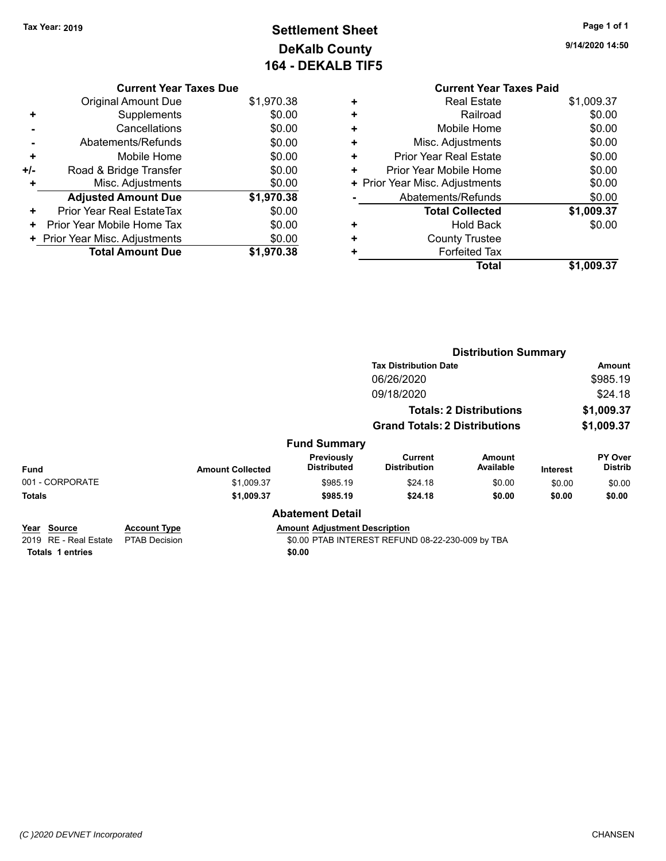**Current Year Taxes Due**

**Adjusted Amount Due \$1,970.38**

**Total Amount Due \$1,970.38**

**+** Mobile Home \$0.00 **+/-** Road & Bridge Transfer **\$0.00 +** Misc. Adjustments \$0.00

**+** Prior Year Real EstateTax \$0.00 **+** Prior Year Mobile Home Tax  $$0.00$ **+ Prior Year Misc. Adjustments**  $$0.00$ 

## **Settlement Sheet Tax Year: 2019 Page 1 of 1 DeKalb County 164 - DEKALB TIF5**

**9/14/2020 14:50**

#### Original Amount Due \$1,970.38 **+** Supplements \$0.00 **-** Cancellations \$0.00 **-** Abatements/Refunds \$0.00 **Current Year Taxes Paid +** Real Estate \$1,009.37

| ٠ | Railroad                       | \$0.00     |
|---|--------------------------------|------------|
| ÷ | Mobile Home                    | \$0.00     |
| ÷ | Misc. Adjustments              | \$0.00     |
| ÷ | <b>Prior Year Real Estate</b>  | \$0.00     |
| ٠ | Prior Year Mobile Home         | \$0.00     |
|   | + Prior Year Misc. Adjustments | \$0.00     |
|   | Abatements/Refunds             | \$0.00     |
|   | <b>Total Collected</b>         | \$1,009.37 |
| ٠ | <b>Hold Back</b>               | \$0.00     |
| ÷ | <b>County Trustee</b>          |            |
| ٠ | <b>Forfeited Tax</b>           |            |
|   | Total                          | \$1,009.37 |

|                                      |                                             |                         |                                      | <b>Distribution Summary</b>                      |                                |                 |                           |
|--------------------------------------|---------------------------------------------|-------------------------|--------------------------------------|--------------------------------------------------|--------------------------------|-----------------|---------------------------|
|                                      |                                             |                         |                                      | <b>Tax Distribution Date</b>                     |                                |                 | Amount                    |
|                                      |                                             |                         |                                      | 06/26/2020                                       |                                |                 | \$985.19                  |
|                                      |                                             |                         |                                      | 09/18/2020                                       |                                |                 | \$24.18                   |
|                                      |                                             |                         |                                      |                                                  | <b>Totals: 2 Distributions</b> |                 | \$1,009.37                |
|                                      |                                             |                         |                                      | <b>Grand Totals: 2 Distributions</b>             |                                |                 | \$1,009.37                |
|                                      |                                             |                         | <b>Fund Summary</b>                  |                                                  |                                |                 |                           |
| <b>Fund</b>                          |                                             | <b>Amount Collected</b> | Previously<br><b>Distributed</b>     | <b>Current</b><br><b>Distribution</b>            | <b>Amount</b><br>Available     | <b>Interest</b> | PY Over<br><b>Distrib</b> |
| 001 - CORPORATE                      |                                             | \$1,009.37              | \$985.19                             | \$24.18                                          | \$0.00                         | \$0.00          | \$0.00                    |
| <b>Totals</b>                        |                                             | \$1,009.37              | \$985.19                             | \$24.18                                          | \$0.00                         | \$0.00          | \$0.00                    |
|                                      |                                             |                         | <b>Abatement Detail</b>              |                                                  |                                |                 |                           |
| Year Source<br>2019 RE - Real Estate | <b>Account Type</b><br><b>PTAB Decision</b> |                         | <b>Amount Adjustment Description</b> | \$0.00 PTAB INTEREST REFUND 08-22-230-009 by TBA |                                |                 |                           |
| <b>Totals 1 entries</b>              |                                             |                         | \$0.00                               |                                                  |                                |                 |                           |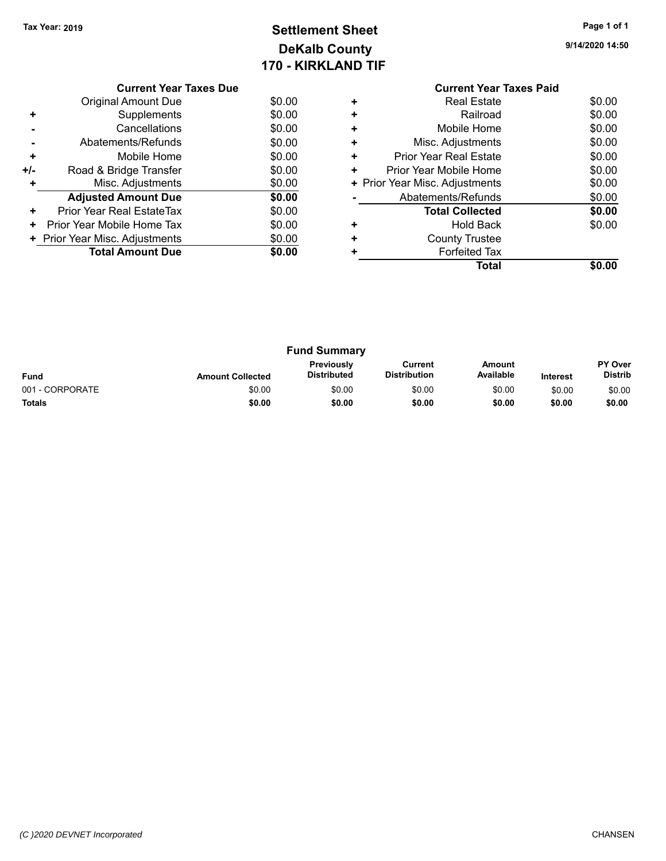## **Settlement Sheet Tax Year: 2019 Page 1 of 1 DeKalb County 170 - KIRKLAND TIF**

|     | <b>Current Year Taxes Due</b>  |        |
|-----|--------------------------------|--------|
|     | <b>Original Amount Due</b>     | \$0.00 |
|     | Supplements                    | \$0.00 |
|     | Cancellations                  | \$0.00 |
|     | Abatements/Refunds             | \$0.00 |
| ٠   | Mobile Home                    | \$0.00 |
| +/- | Road & Bridge Transfer         | \$0.00 |
|     | Misc. Adjustments              | \$0.00 |
|     | <b>Adjusted Amount Due</b>     | \$0.00 |
| ٠   | Prior Year Real EstateTax      | \$0.00 |
| ٠   | Prior Year Mobile Home Tax     | \$0.00 |
|     | + Prior Year Misc. Adjustments | \$0.00 |
|     | <b>Total Amount Due</b>        | \$0.00 |
|     |                                |        |

|                 |                         | <b>Fund Summary</b>                     |                                |                     |                 |                           |
|-----------------|-------------------------|-----------------------------------------|--------------------------------|---------------------|-----------------|---------------------------|
| <b>Fund</b>     | <b>Amount Collected</b> | <b>Previously</b><br><b>Distributed</b> | Current<br><b>Distribution</b> | Amount<br>Available | <b>Interest</b> | PY Over<br><b>Distrib</b> |
| 001 - CORPORATE | \$0.00                  | \$0.00                                  | \$0.00                         | \$0.00              | \$0.00          | \$0.00                    |
| <b>Totals</b>   | \$0.00                  | \$0.00                                  | \$0.00                         | \$0.00              | \$0.00          | \$0.00                    |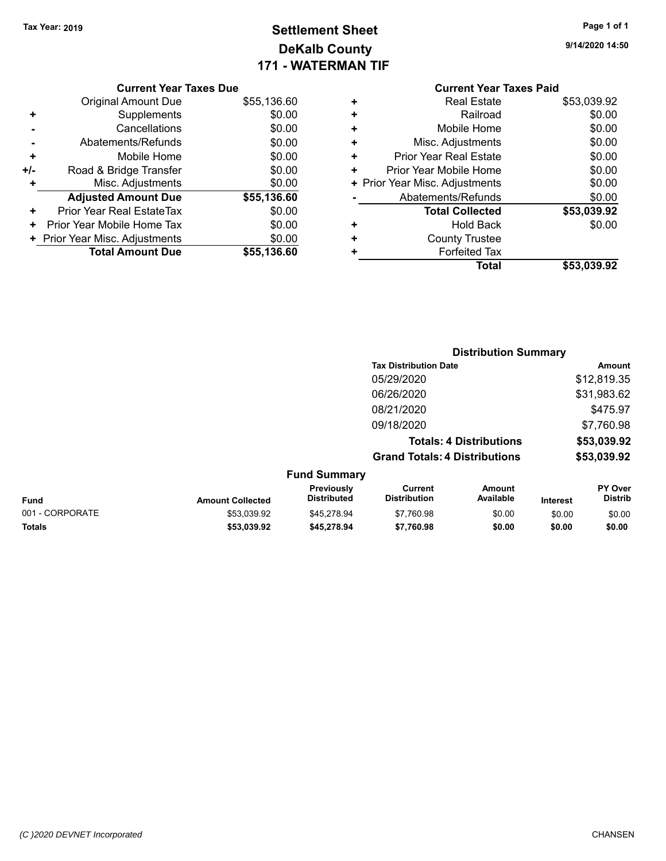## **Settlement Sheet Tax Year: 2019 Page 1 of 1 DeKalb County 171 - WATERMAN TIF**

| Page 1 of 1 |
|-------------|
|             |

**9/14/2020 14:50**

|  | <b>Current Year Taxes Due</b> |  |  |  |
|--|-------------------------------|--|--|--|
|--|-------------------------------|--|--|--|

|     | <b>Original Amount Due</b>     | \$55,136.60 |
|-----|--------------------------------|-------------|
| ٠   | Supplements                    | \$0.00      |
|     | Cancellations                  | \$0.00      |
|     | Abatements/Refunds             | \$0.00      |
| ٠   | Mobile Home                    | \$0.00      |
| +/- | Road & Bridge Transfer         | \$0.00      |
| ٠   | Misc. Adjustments              | \$0.00      |
|     | <b>Adjusted Amount Due</b>     | \$55,136.60 |
| ٠   | Prior Year Real EstateTax      | \$0.00      |
| ٠   | Prior Year Mobile Home Tax     | \$0.00      |
|     | + Prior Year Misc. Adjustments | \$0.00      |
|     | <b>Total Amount Due</b>        | \$55,136.60 |

#### **Current Year Taxes Paid +** Real Estate \$53,039.92 **+** Railroad \$0.00 **+** Mobile Home \$0.00 **+** Misc. Adjustments \$0.00 **+** Prior Year Real Estate \$0.00 **+** Prior Year Mobile Home \$0.00<br> **+** Prior Year Misc. Adjustments \$0.00 **+ Prior Year Misc. Adjustments**

|   | Total                  | \$53,039.92 |
|---|------------------------|-------------|
| ٠ | <b>Forfeited Tax</b>   |             |
| ÷ | <b>County Trustee</b>  |             |
| ÷ | <b>Hold Back</b>       | \$0.00      |
|   | <b>Total Collected</b> | \$53,039.92 |
|   | Abatements/Refunds     | \$0.00      |

|   |                                  |                                      | <b>Distribution Summary</b>    |                 |                                  |
|---|----------------------------------|--------------------------------------|--------------------------------|-----------------|----------------------------------|
|   |                                  | <b>Tax Distribution Date</b>         |                                |                 | <b>Amount</b>                    |
|   |                                  | 05/29/2020                           |                                |                 | \$12,819.35                      |
|   |                                  | 06/26/2020                           |                                |                 | \$31,983.62                      |
|   |                                  | 08/21/2020                           |                                |                 | \$475.97                         |
|   |                                  | 09/18/2020                           |                                |                 | \$7,760.98                       |
|   |                                  |                                      | <b>Totals: 4 Distributions</b> |                 | \$53,039.92                      |
|   |                                  | <b>Grand Totals: 4 Distributions</b> |                                |                 | \$53,039.92                      |
|   | <b>Fund Summary</b>              |                                      |                                |                 |                                  |
| . | Previously<br><b>Dietributod</b> | Current<br><b>Dietribution</b>       | Amount<br>Availahlo            | 1.14.1.11.11.11 | <b>PY Over</b><br><b>Dietrih</b> |

| <b>Fund</b>     | <b>Amount Collected</b> | гістісты<br><b>Distributed</b> | <b>VULLEIL</b><br><b>Distribution</b> | Anvun<br>Available | <b>Interest</b> | <b>⊺ ∪ ∨ ⊂ I</b><br>Distrib |
|-----------------|-------------------------|--------------------------------|---------------------------------------|--------------------|-----------------|-----------------------------|
| 001 - CORPORATE | \$53.039.92             | \$45.278.94                    | \$7.760.98                            | \$0.00             | \$0.00          | \$0.00                      |
| <b>Totals</b>   | \$53.039.92             | \$45.278.94                    | \$7.760.98                            | \$0.00             | \$0.00          | \$0.00                      |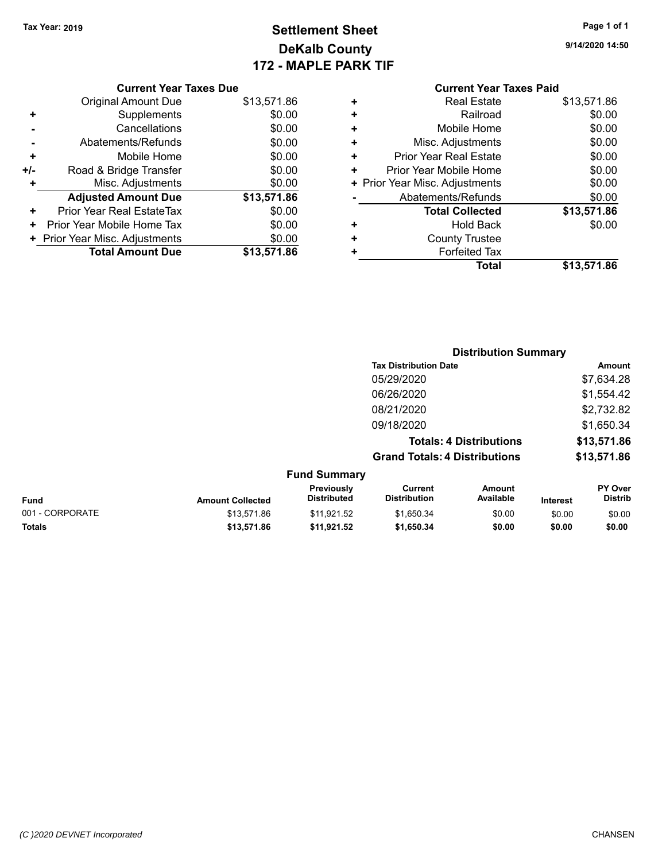### **Settlement Sheet Tax Year: 2019 Page 1 of 1 DeKalb County 172 - MAPLE PARK TIF**

**9/14/2020 14:50**

## **Current Year Taxes Paid**<br>Real Estate 8413 571.86 **+** Real Estate \$13,571.86

|     | <b>Original Amount Due</b>     | \$13,571.86 |
|-----|--------------------------------|-------------|
| ٠   | Supplements                    | \$0.00      |
|     | Cancellations                  | \$0.00      |
|     | Abatements/Refunds             | \$0.00      |
| ÷   | Mobile Home                    | \$0.00      |
| +/- | Road & Bridge Transfer         | \$0.00      |
| ٠   | Misc. Adjustments              | \$0.00      |
|     | <b>Adjusted Amount Due</b>     | \$13,571.86 |
| ÷   | Prior Year Real EstateTax      | \$0.00      |
| ٠   | Prior Year Mobile Home Tax     | \$0.00      |
|     | + Prior Year Misc. Adjustments | \$0.00      |
|     | <b>Total Amount Due</b>        | \$13,571.86 |

**Current Year Taxes Due**

| т | Redi Esidie                    | <b>JUJ.</b> 1.00 |
|---|--------------------------------|------------------|
| ÷ | Railroad                       | \$0.00           |
| ٠ | Mobile Home                    | \$0.00           |
| ٠ | Misc. Adjustments              | \$0.00           |
| ÷ | <b>Prior Year Real Estate</b>  | \$0.00           |
| ٠ | Prior Year Mobile Home         | \$0.00           |
|   | + Prior Year Misc. Adjustments | \$0.00           |
|   | Abatements/Refunds             | \$0.00           |
|   | <b>Total Collected</b>         | \$13,571.86      |
| ٠ | <b>Hold Back</b>               | \$0.00           |
| ٠ | <b>County Trustee</b>          |                  |
| ٠ | <b>Forfeited Tax</b>           |                  |
|   | Total                          | \$13,571.86      |
|   |                                |                  |

|                 |                         |                                  | <b>Distribution Summary</b>           |                                |                 |                                  |
|-----------------|-------------------------|----------------------------------|---------------------------------------|--------------------------------|-----------------|----------------------------------|
|                 |                         |                                  | <b>Tax Distribution Date</b>          |                                |                 | Amount                           |
|                 |                         |                                  | 05/29/2020                            |                                |                 | \$7,634.28                       |
|                 |                         |                                  | 06/26/2020                            |                                |                 | \$1,554.42                       |
|                 |                         |                                  | 08/21/2020                            |                                |                 | \$2,732.82                       |
|                 |                         |                                  | 09/18/2020                            |                                |                 | \$1,650.34                       |
|                 |                         |                                  |                                       | <b>Totals: 4 Distributions</b> |                 | \$13,571.86                      |
|                 |                         |                                  | <b>Grand Totals: 4 Distributions</b>  |                                |                 | \$13,571.86                      |
|                 |                         | <b>Fund Summary</b>              |                                       |                                |                 |                                  |
| <b>Fund</b>     | <b>Amount Collected</b> | Previously<br><b>Distributed</b> | <b>Current</b><br><b>Distribution</b> | <b>Amount</b><br>Available     | <b>Interest</b> | <b>PY Over</b><br><b>Distrib</b> |
| 001 - CORPORATE | \$13.571.86             | \$11,921.52                      | \$1,650.34                            | \$0.00                         | \$0.00          | \$0.00                           |
| <b>Totals</b>   | \$13,571.86             | \$11,921.52                      | \$1,650.34                            | \$0.00                         | \$0.00          | \$0.00                           |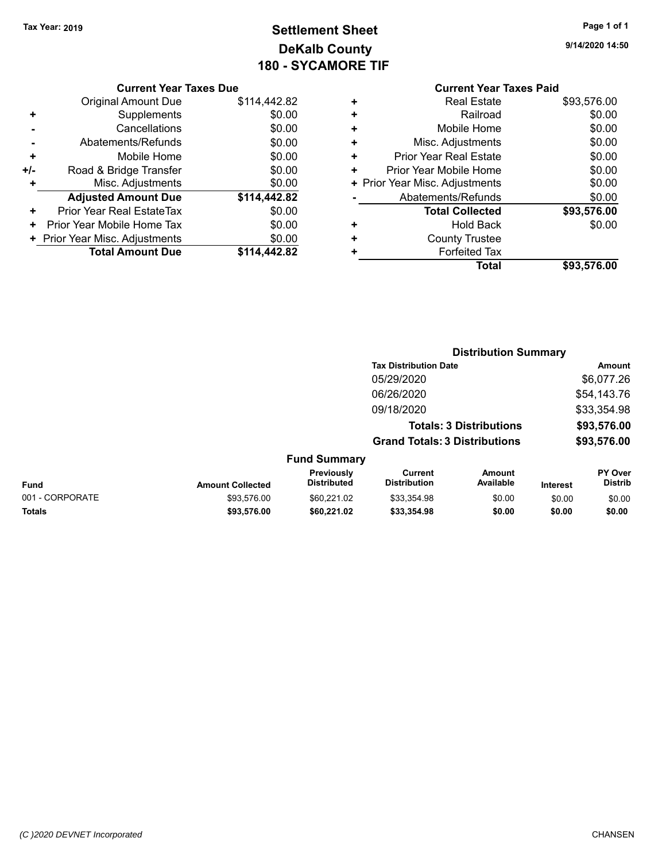## **Settlement Sheet Tax Year: 2019 Page 1 of 1 DeKalb County 180 - SYCAMORE TIF**

| Page 1 of 1 |  |  |  |
|-------------|--|--|--|
|-------------|--|--|--|

**9/14/2020 14:50**

#### **Current Year Taxes Due**

|     | <b>Original Amount Due</b>     | \$114,442.82 |
|-----|--------------------------------|--------------|
| ٠   | Supplements                    | \$0.00       |
|     | Cancellations                  | \$0.00       |
|     | Abatements/Refunds             | \$0.00       |
| ٠   | Mobile Home                    | \$0.00       |
| +/- | Road & Bridge Transfer         | \$0.00       |
| ٠   | Misc. Adjustments              | \$0.00       |
|     | <b>Adjusted Amount Due</b>     | \$114,442.82 |
| ٠   | Prior Year Real EstateTax      | \$0.00       |
| ٠   | Prior Year Mobile Home Tax     | \$0.00       |
|     | + Prior Year Misc. Adjustments | \$0.00       |
|     | <b>Total Amount Due</b>        | \$114.442.82 |

#### **Current Year Taxes Paid +** Real Estate \$93,576.00

|   | Total                          | \$93,576.00 |
|---|--------------------------------|-------------|
|   | <b>Forfeited Tax</b>           |             |
| ÷ | <b>County Trustee</b>          |             |
|   | <b>Hold Back</b>               | \$0.00      |
|   | <b>Total Collected</b>         | \$93,576.00 |
|   | Abatements/Refunds             | \$0.00      |
|   | + Prior Year Misc. Adjustments | \$0.00      |
| ÷ | Prior Year Mobile Home         | \$0.00      |
| ÷ | <b>Prior Year Real Estate</b>  | \$0.00      |
| ٠ | Misc. Adjustments              | \$0.00      |
| ÷ | Mobile Home                    | \$0.00      |
|   | Railroad                       | \$0.00      |
|   | ו זטטו בטוטוט                  | 00.07 U.U   |

#### **Distribution Summary Tax Distribution Date Amount** 05/29/2020 \$6,077.26 06/26/2020 \$54,143.76 09/18/2020 \$33,354.98 **Totals: 3 Distributions \$93,576.00 Grand Totals: 3 Distributions \$93,576.00 Fund Summary Fund Interest Amount Collected Distributed PY Over Distrib Amount Available Current Distribution Previously** 001 - CORPORATE 60.00 \$93,576.00 \$60,221.02 \$33,354.98 \$0.00 \$0.00 \$0.00 \$0.00 **Totals \$93,576.00 \$60,221.02 \$33,354.98 \$0.00 \$0.00 \$0.00**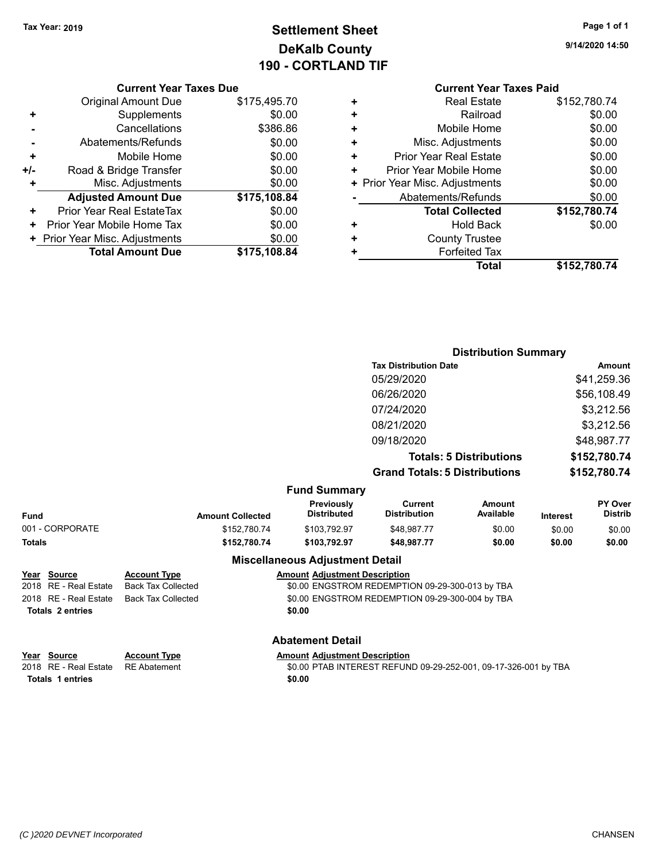## **Settlement Sheet Tax Year: 2019 Page 1 of 1 DeKalb County 190 - CORTLAND TIF**

**9/14/2020 14:50**

#### **Current Year Taxes Due**

|     | <b>Original Amount Due</b>     | \$175,495.70 |
|-----|--------------------------------|--------------|
| ٠   | Supplements                    | \$0.00       |
|     | Cancellations                  | \$386.86     |
|     | Abatements/Refunds             | \$0.00       |
| ٠   | Mobile Home                    | \$0.00       |
| +/- | Road & Bridge Transfer         | \$0.00       |
| ÷   | Misc. Adjustments              | \$0.00       |
|     | <b>Adjusted Amount Due</b>     | \$175,108.84 |
| ٠   | Prior Year Real EstateTax      | \$0.00       |
|     | Prior Year Mobile Home Tax     | \$0.00       |
|     | + Prior Year Misc. Adjustments | \$0.00       |
|     | <b>Total Amount Due</b>        | \$175,108.84 |

#### **Current Year Taxes Paid**

| ٠ | <b>Real Estate</b>             | \$152,780.74 |
|---|--------------------------------|--------------|
| ٠ | Railroad                       | \$0.00       |
| ÷ | Mobile Home                    | \$0.00       |
| ÷ | Misc. Adjustments              | \$0.00       |
| ٠ | Prior Year Real Estate         | \$0.00       |
| ٠ | Prior Year Mobile Home         | \$0.00       |
|   | + Prior Year Misc. Adjustments | \$0.00       |
|   | Abatements/Refunds             | \$0.00       |
|   | <b>Total Collected</b>         | \$152,780.74 |
| ٠ | <b>Hold Back</b>               | \$0.00       |
| ٠ | <b>County Trustee</b>          |              |
| ٠ | <b>Forfeited Tax</b>           |              |
|   | Total                          | \$152,780.74 |
|   |                                |              |

#### **Distribution Summary Tax Distribution Date Amount** 05/29/2020 \$41,259.36 06/26/2020 \$56,108.49 07/24/2020 \$3,212.56 08/21/2020 \$3,212.56 09/18/2020 \$48,987.77 **Totals: 5 Distributions \$152,780.74 Grand Totals: 5 Distributions \$152,780.74 Fund Summary Fund Interest Amount Collected Distributed PY Over Distrib Amount Available Current Distribution Previously** 001 - CORPORATE \$152,780.74 \$103,792.97 \$48,987.77 \$0.00 \$0.00 \$0.00 **Totals \$152,780.74 \$103,792.97 \$48,987.77 \$0.00 \$0.00 \$0.00 Miscellaneous Adjustment Detail Year** Source **Account Type A** Account Adjustment Description 2018 RE - Real Estate Back Tax Collected \$0.00 ENGSTROM REDEMPTION 09-29-300-013 by TBA 2018 RE - Real Estate Back Tax Collected \$0.00 ENGSTROM REDEMPTION 09-29-300-004 by TBA **Totals \$0.00 2 entries Abatement Detail Year Source Account Type Amount Adjustment Description**

**Totals 1 entries** \$0.00

2018 RE - Real Estate RE Abatement - \$0.00 PTAB INTEREST REFUND 09-29-252-001, 09-17-326-001 by TBA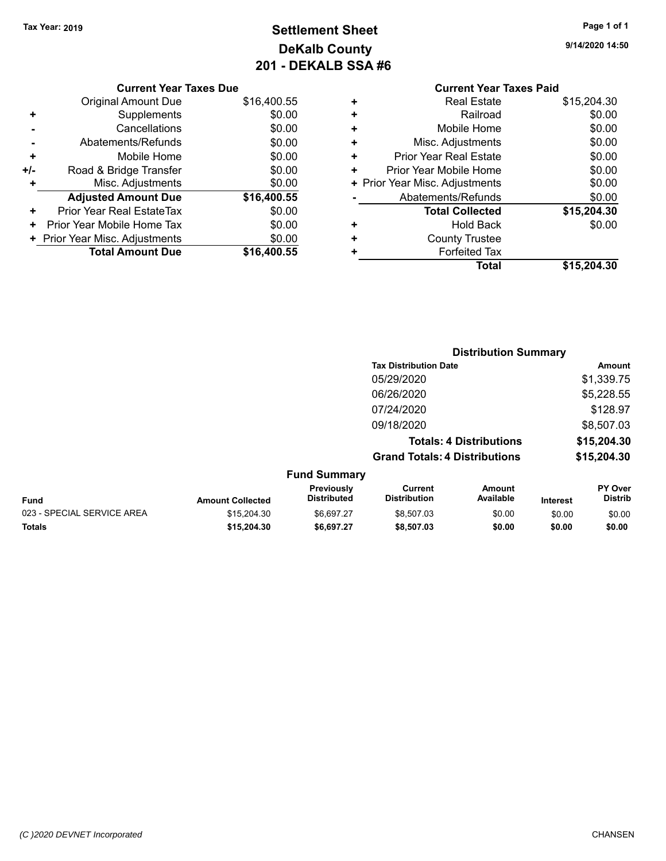## **Settlement Sheet Tax Year: 2019 Page 1 of 1 DeKalb County 201 - DEKALB SSA #6**

**9/14/2020 14:50**

|   | <b>Current Year Taxes Paid</b> |             |
|---|--------------------------------|-------------|
| ٠ | <b>Real Estate</b>             | \$15,204.30 |
| ٠ | Railroad                       | \$0.00      |
| ٠ | Mobile Home                    | \$0.00      |
| ٠ | Misc. Adjustments              | \$0.00      |
| ٠ | <b>Prior Year Real Estate</b>  | \$0.00      |
| ٠ | Prior Year Mobile Home         | \$0.00      |
|   | + Prior Year Misc. Adjustments | \$0.00      |
|   | Abatements/Refunds             | \$0.00      |
|   | <b>Total Collected</b>         | \$15,204.30 |
| ٠ | Hold Back                      | \$0.00      |
| ٠ | <b>County Trustee</b>          |             |
| ٠ | <b>Forfeited Tax</b>           |             |
|   | Total                          | \$15,204.30 |

|     | <b>Current Year Taxes Due</b>  |             |
|-----|--------------------------------|-------------|
|     | <b>Original Amount Due</b>     | \$16,400.55 |
| ٠   | Supplements                    | \$0.00      |
|     | Cancellations                  | \$0.00      |
|     | Abatements/Refunds             | \$0.00      |
| ٠   | Mobile Home                    | \$0.00      |
| +/- | Road & Bridge Transfer         | \$0.00      |
| ٠   | Misc. Adjustments              | \$0.00      |
|     | <b>Adjusted Amount Due</b>     | \$16,400.55 |
| ٠   | Prior Year Real EstateTax      | \$0.00      |
| ٠   | Prior Year Mobile Home Tax     | \$0.00      |
|     | + Prior Year Misc. Adjustments | \$0.00      |
|     | <b>Total Amount Due</b>        | \$16,400.55 |
|     |                                |             |

|                                   |                                      | <b>Distribution Summary</b>    |             |
|-----------------------------------|--------------------------------------|--------------------------------|-------------|
|                                   | <b>Tax Distribution Date</b>         |                                | Amount      |
|                                   | 05/29/2020                           |                                | \$1,339.75  |
|                                   | 06/26/2020                           |                                | \$5,228.55  |
|                                   | 07/24/2020                           |                                | \$128.97    |
|                                   | 09/18/2020                           |                                | \$8,507.03  |
|                                   |                                      | <b>Totals: 4 Distributions</b> | \$15,204.30 |
|                                   | <b>Grand Totals: 4 Distributions</b> |                                | \$15,204.30 |
| <b>Fund Summary</b><br>Basilenski |                                      | $A - 1 - 1 - 1$                | <b>DV 0</b> |

|                            |                         | <b>Previously</b>  | Current             | Amount    |                 | <b>PY Over</b> |
|----------------------------|-------------------------|--------------------|---------------------|-----------|-----------------|----------------|
| Fund                       | <b>Amount Collected</b> | <b>Distributed</b> | <b>Distribution</b> | Available | <b>Interest</b> | Distrib        |
| 023 - SPECIAL SERVICE AREA | \$15,204.30             | \$6.697.27         | \$8.507.03          | \$0.00    | \$0.00          | \$0.00         |
| <b>Totals</b>              | \$15.204.30             | \$6.697.27         | \$8,507.03          | \$0.00    | \$0.00          | \$0.00         |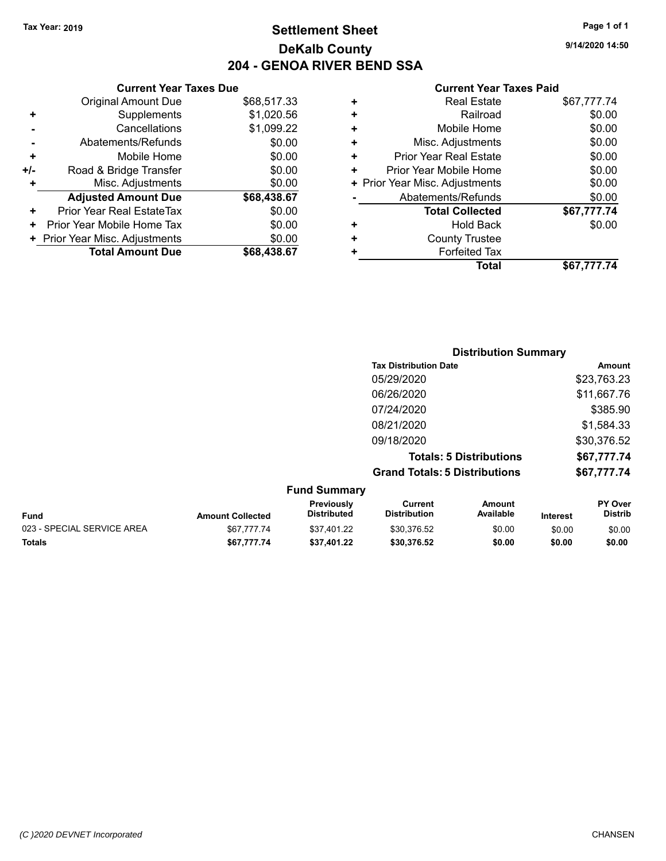#### **Settlement Sheet Tax Year: 2019 Page 1 of 1 DeKalb County 204 - GENOA RIVER BEND SSA**

**9/14/2020 14:50**

#### **Current Year Taxes Paid**

|     | <b>Current Year Taxes Due</b>  |             |
|-----|--------------------------------|-------------|
|     | <b>Original Amount Due</b>     | \$68,517.33 |
| ٠   | Supplements                    | \$1,020.56  |
|     | Cancellations                  | \$1,099.22  |
|     | Abatements/Refunds             | \$0.00      |
| ٠   | Mobile Home                    | \$0.00      |
| +/- | Road & Bridge Transfer         | \$0.00      |
| ٠   | Misc. Adjustments              | \$0.00      |
|     | <b>Adjusted Amount Due</b>     | \$68,438.67 |
| ٠   | Prior Year Real EstateTax      | \$0.00      |
| ٠   | Prior Year Mobile Home Tax     | \$0.00      |
|     | + Prior Year Misc. Adjustments | \$0.00      |
|     | <b>Total Amount Due</b>        | \$68,438,67 |
|     |                                |             |

|   | <b>Real Estate</b>             | \$67,777.74 |
|---|--------------------------------|-------------|
| ٠ | Railroad                       | \$0.00      |
| ÷ | Mobile Home                    | \$0.00      |
| ٠ | Misc. Adjustments              | \$0.00      |
| ٠ | Prior Year Real Estate         | \$0.00      |
| ٠ | Prior Year Mobile Home         | \$0.00      |
|   | + Prior Year Misc. Adjustments | \$0.00      |
|   | Abatements/Refunds             | \$0.00      |
|   | <b>Total Collected</b>         | \$67,777.74 |
| ٠ | <b>Hold Back</b>               | \$0.00      |
|   | <b>County Trustee</b>          |             |
| ٠ | <b>Forfeited Tax</b>           |             |
|   | <b>Total</b>                   | \$67.777.74 |
|   |                                |             |

|                     | <b>Distribution Summary</b>          |             |
|---------------------|--------------------------------------|-------------|
|                     | <b>Tax Distribution Date</b>         | Amount      |
|                     | 05/29/2020                           | \$23,763.23 |
|                     | 06/26/2020                           | \$11,667.76 |
|                     | 07/24/2020                           | \$385.90    |
|                     | 08/21/2020                           | \$1,584.33  |
|                     | 09/18/2020                           | \$30,376.52 |
|                     | <b>Totals: 5 Distributions</b>       | \$67,777.74 |
|                     | <b>Grand Totals: 5 Distributions</b> | \$67,777.74 |
| <b>Fund Summary</b> |                                      |             |

| <b>Fund</b>                | <b>Amount Collected</b> | <b>Previously</b><br><b>Distributed</b> | Current<br><b>Distribution</b> | Amount<br>Available | <b>Interest</b> | <b>PY Over</b><br><b>Distrib</b> |
|----------------------------|-------------------------|-----------------------------------------|--------------------------------|---------------------|-----------------|----------------------------------|
| 023 - SPECIAL SERVICE AREA | \$67.777.74             | \$37.401.22                             | \$30.376.52                    | \$0.00              | \$0.00          | \$0.00                           |
| <b>Totals</b>              | \$67.777.74             | \$37.401.22                             | \$30.376.52                    | \$0.00              | \$0.00          | \$0.00                           |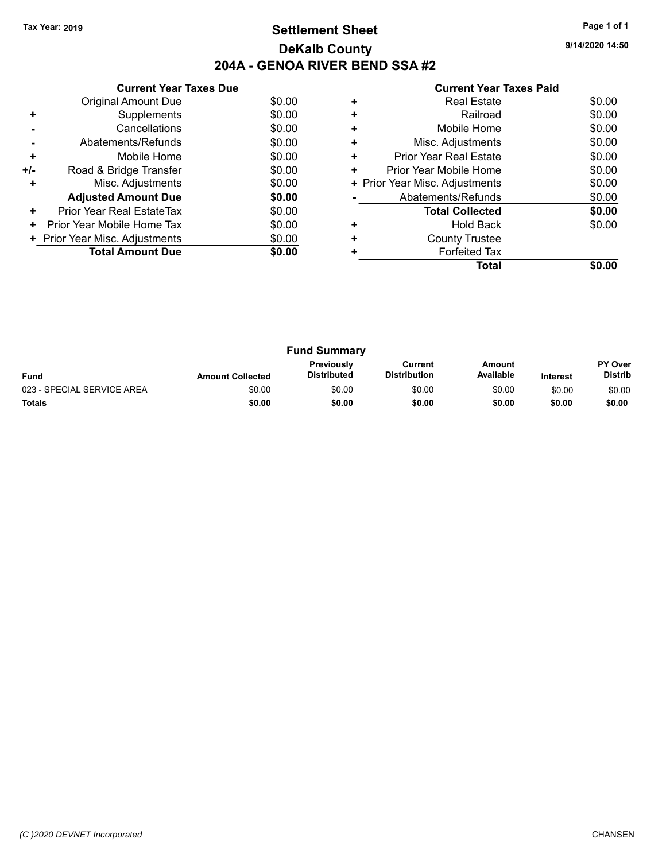#### **Settlement Sheet Tax Year: 2019 Page 1 of 1 DeKalb County 204A - GENOA RIVER BEND SSA #2**

**9/14/2020 14:50**

| <b>Current Year Taxes Paid</b> |
|--------------------------------|
|--------------------------------|

|     | <b>Current Year Taxes Due</b>  |        |
|-----|--------------------------------|--------|
|     | <b>Original Amount Due</b>     | \$0.00 |
| ٠   | Supplements                    | \$0.00 |
|     | Cancellations                  | \$0.00 |
|     | Abatements/Refunds             | \$0.00 |
| ٠   | Mobile Home                    | \$0.00 |
| +/- | Road & Bridge Transfer         | \$0.00 |
| ٠   | Misc. Adjustments              | \$0.00 |
|     | <b>Adjusted Amount Due</b>     | \$0.00 |
| ٠   | Prior Year Real EstateTax      | \$0.00 |
| ٠   | Prior Year Mobile Home Tax     | \$0.00 |
|     | + Prior Year Misc. Adjustments | \$0.00 |
|     | <b>Total Amount Due</b>        | \$0.00 |
|     |                                |        |

|   | <b>Real Estate</b>             | \$0.00 |
|---|--------------------------------|--------|
| ٠ | Railroad                       | \$0.00 |
| ٠ | Mobile Home                    | \$0.00 |
| ٠ | Misc. Adjustments              | \$0.00 |
| ٠ | <b>Prior Year Real Estate</b>  | \$0.00 |
| ٠ | Prior Year Mobile Home         | \$0.00 |
|   | + Prior Year Misc. Adjustments | \$0.00 |
|   | Abatements/Refunds             | \$0.00 |
|   | <b>Total Collected</b>         | \$0.00 |
| ٠ | <b>Hold Back</b>               | \$0.00 |
| ٠ | <b>County Trustee</b>          |        |
|   | <b>Forfeited Tax</b>           |        |
|   | Total                          |        |

| <b>Fund Summary</b>        |                         |                                         |                                |                     |                 |                                  |
|----------------------------|-------------------------|-----------------------------------------|--------------------------------|---------------------|-----------------|----------------------------------|
| <b>Fund</b>                | <b>Amount Collected</b> | <b>Previously</b><br><b>Distributed</b> | Current<br><b>Distribution</b> | Amount<br>Available | <b>Interest</b> | <b>PY Over</b><br><b>Distrib</b> |
| 023 - SPECIAL SERVICE AREA | \$0.00                  | \$0.00                                  | \$0.00                         | \$0.00              | \$0.00          | \$0.00                           |
| <b>Totals</b>              | \$0.00                  | \$0.00                                  | \$0.00                         | \$0.00              | \$0.00          | \$0.00                           |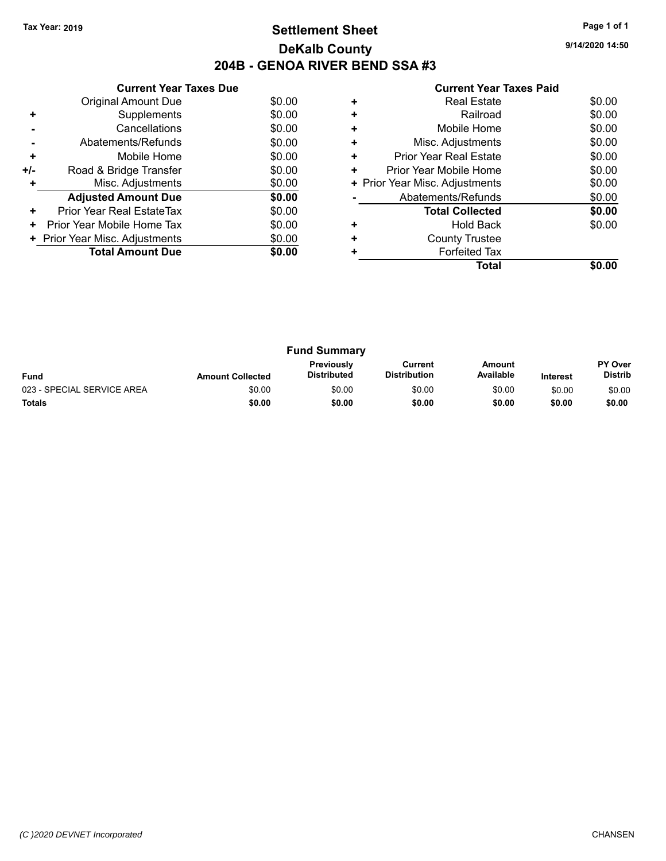#### **Settlement Sheet Tax Year: 2019 Page 1 of 1 DeKalb County 204B - GENOA RIVER BEND SSA #3**

**9/14/2020 14:50**

#### **Current Year Taxes Paid**

|     | <b>Current Year Taxes Due</b>  |        |
|-----|--------------------------------|--------|
|     | Original Amount Due            | \$0.00 |
| ٠   | Supplements                    | \$0.00 |
|     | Cancellations                  | \$0.00 |
|     | Abatements/Refunds             | \$0.00 |
| ٠   | Mobile Home                    | \$0.00 |
| +/- | Road & Bridge Transfer         | \$0.00 |
| ٠   | Misc. Adjustments              | \$0.00 |
|     | <b>Adjusted Amount Due</b>     | \$0.00 |
| ٠   | Prior Year Real EstateTax      | \$0.00 |
| ٠   | Prior Year Mobile Home Tax     | \$0.00 |
|     | + Prior Year Misc. Adjustments | \$0.00 |
|     | <b>Total Amount Due</b>        | \$0.00 |
|     |                                |        |

|   | Real Estate                    | \$0.00 |
|---|--------------------------------|--------|
| ٠ | Railroad                       | \$0.00 |
| ÷ | Mobile Home                    | \$0.00 |
| ٠ | Misc. Adjustments              | \$0.00 |
| ٠ | <b>Prior Year Real Estate</b>  | \$0.00 |
| ٠ | Prior Year Mobile Home         | \$0.00 |
|   | + Prior Year Misc. Adjustments | \$0.00 |
|   | Abatements/Refunds             | \$0.00 |
|   | <b>Total Collected</b>         | \$0.00 |
|   | <b>Hold Back</b>               | \$0.00 |
| ٠ | <b>County Trustee</b>          |        |
|   | <b>Forfeited Tax</b>           |        |
|   | Total                          |        |

| <b>Fund Summary</b>        |                         |                                         |                                |                     |                 |                                  |
|----------------------------|-------------------------|-----------------------------------------|--------------------------------|---------------------|-----------------|----------------------------------|
| <b>Fund</b>                | <b>Amount Collected</b> | <b>Previously</b><br><b>Distributed</b> | Current<br><b>Distribution</b> | Amount<br>Available | <b>Interest</b> | <b>PY Over</b><br><b>Distrib</b> |
| 023 - SPECIAL SERVICE AREA | \$0.00                  | \$0.00                                  | \$0.00                         | \$0.00              | \$0.00          | \$0.00                           |
| <b>Totals</b>              | \$0.00                  | \$0.00                                  | \$0.00                         | \$0.00              | \$0.00          | \$0.00                           |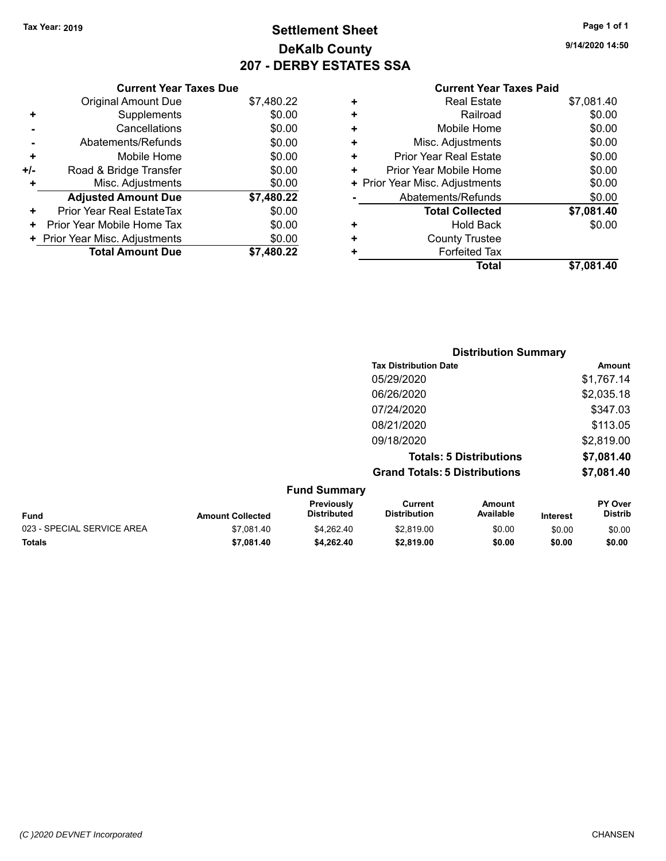#### **Settlement Sheet Tax Year: 2019 Page 1 of 1 DeKalb County 207 - DERBY ESTATES SSA**

**9/14/2020 14:50**

#### **Current Year Taxes Paid**

|     | <b>Current Year Taxes Due</b>  |            |  |
|-----|--------------------------------|------------|--|
|     | <b>Original Amount Due</b>     | \$7,480.22 |  |
| ٠   | Supplements                    | \$0.00     |  |
|     | Cancellations                  | \$0.00     |  |
|     | Abatements/Refunds             | \$0.00     |  |
| ٠   | Mobile Home                    | \$0.00     |  |
| +/- | Road & Bridge Transfer         | \$0.00     |  |
| ٠   | Misc. Adjustments              | \$0.00     |  |
|     | <b>Adjusted Amount Due</b>     | \$7,480.22 |  |
| ٠   | Prior Year Real EstateTax      | \$0.00     |  |
| ٠   | Prior Year Mobile Home Tax     | \$0.00     |  |
|     | + Prior Year Misc. Adjustments | \$0.00     |  |
|     | <b>Total Amount Due</b>        | \$7.480.22 |  |

| ٠ | <b>Real Estate</b>             | \$7,081.40 |
|---|--------------------------------|------------|
| ÷ | Railroad                       | \$0.00     |
| ٠ | Mobile Home                    | \$0.00     |
| ٠ | Misc. Adjustments              | \$0.00     |
| ٠ | <b>Prior Year Real Estate</b>  | \$0.00     |
| ÷ | Prior Year Mobile Home         | \$0.00     |
|   | + Prior Year Misc. Adjustments | \$0.00     |
|   | Abatements/Refunds             | \$0.00     |
|   | <b>Total Collected</b>         | \$7,081.40 |
| ٠ | <b>Hold Back</b>               | \$0.00     |
| + | <b>County Trustee</b>          |            |
| ٠ | <b>Forfeited Tax</b>           |            |
|   | Total                          | \$7,081.40 |
|   |                                |            |

|                            |                         |                                  | <b>Distribution Summary</b>           |                                |          |                           |
|----------------------------|-------------------------|----------------------------------|---------------------------------------|--------------------------------|----------|---------------------------|
|                            |                         |                                  | <b>Tax Distribution Date</b>          |                                |          | <b>Amount</b>             |
|                            |                         |                                  | 05/29/2020                            |                                |          | \$1,767.14                |
|                            |                         |                                  | 06/26/2020                            |                                |          | \$2,035.18                |
|                            |                         |                                  | 07/24/2020                            |                                |          | \$347.03                  |
|                            |                         |                                  | 08/21/2020                            |                                |          | \$113.05                  |
|                            |                         |                                  | 09/18/2020                            |                                |          | \$2,819.00                |
|                            |                         |                                  |                                       | <b>Totals: 5 Distributions</b> |          | \$7,081.40                |
|                            |                         |                                  | <b>Grand Totals: 5 Distributions</b>  |                                |          | \$7,081.40                |
|                            |                         | <b>Fund Summary</b>              |                                       |                                |          |                           |
| <b>Fund</b>                | <b>Amount Collected</b> | Previously<br><b>Distributed</b> | <b>Current</b><br><b>Distribution</b> | Amount<br>Available            | Interest | PY Over<br><b>Distrib</b> |
| 023 - SPECIAL SERVICE AREA | \$7,081.40              | \$4,262.40                       | \$2,819.00                            | \$0.00                         | \$0.00   | \$0.00                    |

**Totals \$7,081.40 \$4,262.40 \$2,819.00 \$0.00 \$0.00 \$0.00**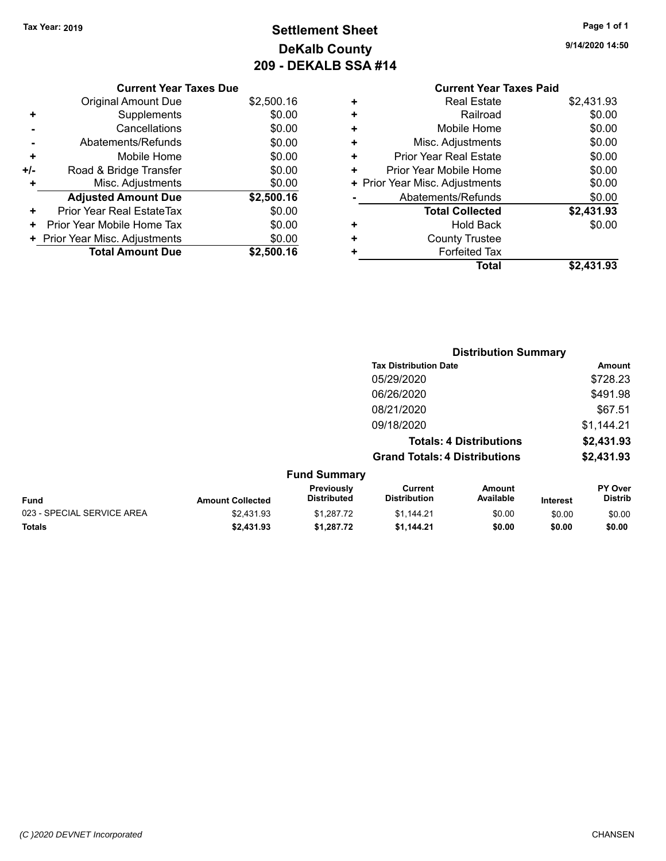## **Settlement Sheet Tax Year: 2019 Page 1 of 1 DeKalb County 209 - DEKALB SSA #14**

**9/14/2020 14:50**

|   | 557777                         |            |
|---|--------------------------------|------------|
|   | <b>Current Year Taxes Paid</b> |            |
| ٠ | <b>Real Estate</b>             | \$2,431.93 |
| ٠ | Railroad                       | \$0.00     |
| ٠ | Mobile Home                    | \$0.00     |
| ٠ | Misc. Adjustments              | \$0.00     |
| ٠ | Prior Year Real Estate         | \$0.00     |
| ٠ | Prior Year Mobile Home         | \$0.00     |
|   | + Prior Year Misc. Adjustments | \$0.00     |
|   | Abatements/Refunds             | \$0.00     |
|   | <b>Total Collected</b>         | \$2,431.93 |
| ٠ | <b>Hold Back</b>               | \$0.00     |
| ٠ | <b>County Trustee</b>          |            |
|   | <b>Forfeited Tax</b>           |            |
|   | Total                          | \$2,431.93 |
|   |                                |            |

| <b>Current Year Taxes Due</b>  |            |
|--------------------------------|------------|
| <b>Original Amount Due</b>     | \$2,500.16 |
| Supplements                    | \$0.00     |
| Cancellations                  | \$0.00     |
| Abatements/Refunds             | \$0.00     |
| Mobile Home                    | \$0.00     |
| Road & Bridge Transfer         | \$0.00     |
| Misc. Adjustments              | \$0.00     |
| <b>Adjusted Amount Due</b>     | \$2,500.16 |
| Prior Year Real EstateTax      | \$0.00     |
| Prior Year Mobile Home Tax     | \$0.00     |
| + Prior Year Misc. Adjustments | \$0.00     |
| <b>Total Amount Due</b>        | \$2,500.16 |
|                                |            |

|                            |                         |                                  | <b>Distribution Summary</b>          |                                |          |                           |
|----------------------------|-------------------------|----------------------------------|--------------------------------------|--------------------------------|----------|---------------------------|
|                            |                         |                                  | <b>Tax Distribution Date</b>         |                                |          | <b>Amount</b>             |
|                            |                         |                                  | 05/29/2020                           |                                |          | \$728.23                  |
|                            |                         |                                  | 06/26/2020                           |                                |          | \$491.98                  |
|                            |                         |                                  | 08/21/2020                           |                                |          | \$67.51                   |
|                            |                         |                                  | 09/18/2020                           |                                |          | \$1,144.21                |
|                            |                         |                                  |                                      | <b>Totals: 4 Distributions</b> |          | \$2,431.93                |
|                            |                         |                                  | <b>Grand Totals: 4 Distributions</b> |                                |          | \$2,431.93                |
|                            |                         | <b>Fund Summary</b>              |                                      |                                |          |                           |
| <b>Fund</b>                | <b>Amount Collected</b> | Previously<br><b>Distributed</b> | Current<br><b>Distribution</b>       | Amount<br>Available            | Interest | PY Over<br><b>Distrib</b> |
| 023 - SPECIAL SERVICE AREA | \$2.431.93              | \$1.287.72                       | \$1,144.21                           | \$0.00                         | \$0.00   | \$0.00                    |

**Totals \$2,431.93 \$1,287.72 \$1,144.21 \$0.00 \$0.00 \$0.00**

#### *(C )2020 DEVNET Incorporated* CHANSEN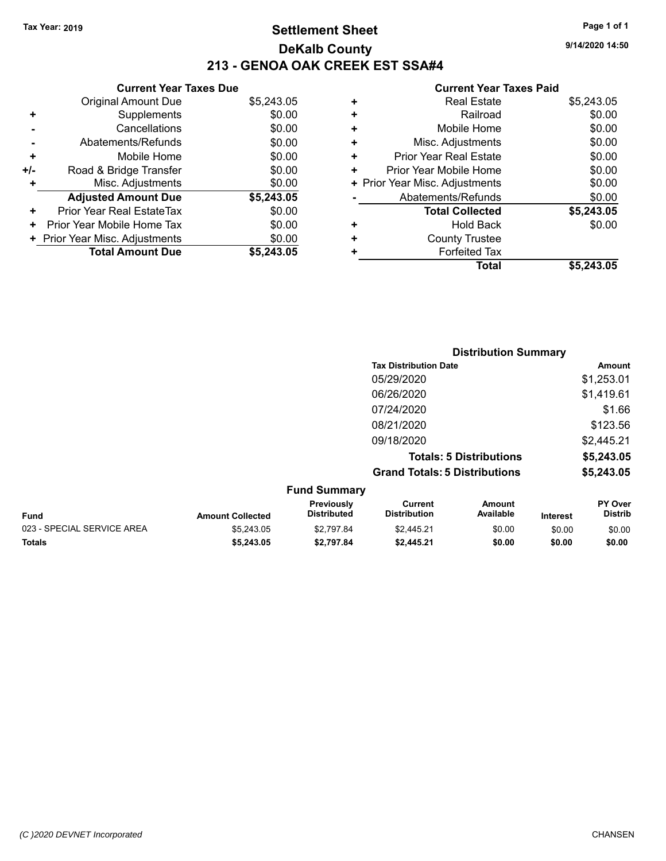#### **Settlement Sheet Tax Year: 2019 Page 1 of 1 DeKalb County 213 - GENOA OAK CREEK EST SSA#4**

|     | <b>Current Year Taxes Due</b>  |            |  |  |  |  |  |
|-----|--------------------------------|------------|--|--|--|--|--|
|     | <b>Original Amount Due</b>     | \$5,243.05 |  |  |  |  |  |
|     | Supplements                    | \$0.00     |  |  |  |  |  |
|     | Cancellations                  | \$0.00     |  |  |  |  |  |
|     | Abatements/Refunds             | \$0.00     |  |  |  |  |  |
| ٠   | Mobile Home                    | \$0.00     |  |  |  |  |  |
| +/- | Road & Bridge Transfer         | \$0.00     |  |  |  |  |  |
|     | Misc. Adjustments              | \$0.00     |  |  |  |  |  |
|     | <b>Adjusted Amount Due</b>     | \$5,243.05 |  |  |  |  |  |
| ٠   | Prior Year Real EstateTax      | \$0.00     |  |  |  |  |  |
|     | Prior Year Mobile Home Tax     | \$0.00     |  |  |  |  |  |
|     | + Prior Year Misc. Adjustments | \$0.00     |  |  |  |  |  |
|     | <b>Total Amount Due</b>        | \$5,243,05 |  |  |  |  |  |

#### **Current Year Taxes Paid**

| <b>Real Estate</b>             | \$5,243.05 |
|--------------------------------|------------|
| Railroad                       | \$0.00     |
| Mobile Home                    | \$0.00     |
| Misc. Adjustments              | \$0.00     |
| <b>Prior Year Real Estate</b>  | \$0.00     |
| Prior Year Mobile Home         | \$0.00     |
| + Prior Year Misc. Adjustments | \$0.00     |
| Abatements/Refunds             | \$0.00     |
| <b>Total Collected</b>         | \$5,243.05 |
| Hold Back                      | \$0.00     |
| <b>County Trustee</b>          |            |
| <b>Forfeited Tax</b>           |            |
| <b>Total</b>                   | \$5,243,05 |
|                                |            |

|                         |                                  |                                       | <b>Distribution Summary</b>    |                 |                                  |
|-------------------------|----------------------------------|---------------------------------------|--------------------------------|-----------------|----------------------------------|
|                         |                                  | <b>Tax Distribution Date</b>          |                                |                 | <b>Amount</b>                    |
|                         |                                  | 05/29/2020                            |                                |                 | \$1,253.01                       |
|                         |                                  | 06/26/2020                            |                                |                 | \$1,419.61                       |
|                         |                                  | 07/24/2020                            |                                |                 | \$1.66                           |
|                         |                                  | 08/21/2020                            |                                |                 | \$123.56                         |
|                         |                                  | 09/18/2020                            |                                |                 | \$2,445.21                       |
|                         |                                  |                                       | <b>Totals: 5 Distributions</b> |                 | \$5,243.05                       |
|                         |                                  | <b>Grand Totals: 5 Distributions</b>  |                                |                 | \$5,243.05                       |
|                         | <b>Fund Summary</b>              |                                       |                                |                 |                                  |
| <b>Amount Collected</b> | Previously<br><b>Distributed</b> | <b>Current</b><br><b>Distribution</b> | <b>Amount</b><br>Available     | <b>Interest</b> | <b>PY Over</b><br><b>Distrib</b> |

| <b>Fund</b>                | <b>Amount Collected</b> | <b>Previously</b><br><b>Distributed</b> | Current<br><b>Distribution</b> | Amount<br>Available | Interest | <b>PY Over</b><br>Distrib |
|----------------------------|-------------------------|-----------------------------------------|--------------------------------|---------------------|----------|---------------------------|
| 023 - SPECIAL SERVICE AREA | \$5.243.05              | \$2.797.84                              | \$2.445.21                     | \$0.00              | \$0.00   | \$0.00                    |
| <b>Totals</b>              | \$5,243.05              | \$2.797.84                              | \$2,445.21                     | \$0.00              | \$0.00   | \$0.00                    |

**9/14/2020 14:50**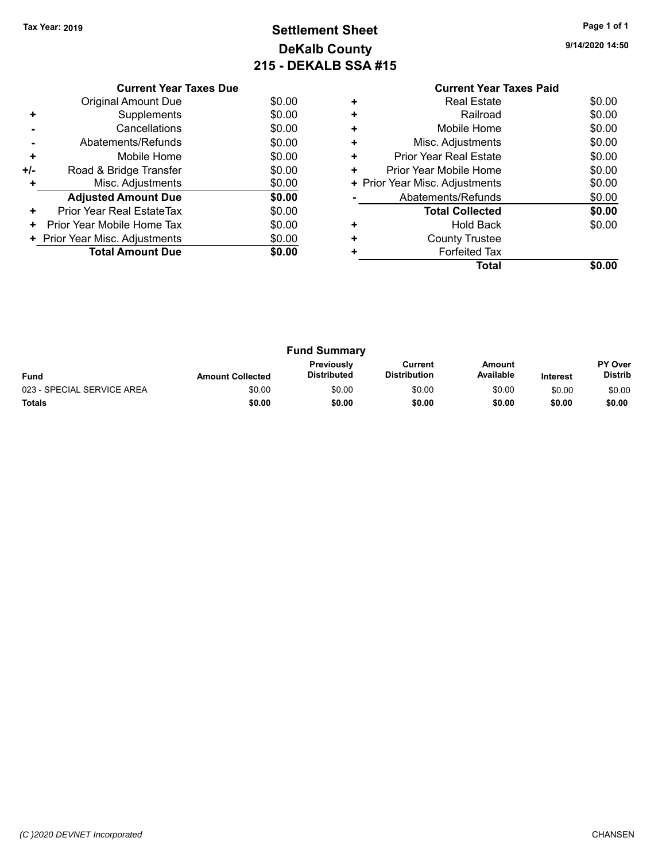#### **Settlement Sheet Tax Year: 2019 Page 1 of 1 DeKalb County 215 - DEKALB SSA #15**

**9/14/2020 14:50**

|     | <b>Current Year Taxes Due</b>  |        |  |  |  |  |  |
|-----|--------------------------------|--------|--|--|--|--|--|
|     | Original Amount Due            | \$0.00 |  |  |  |  |  |
|     | Supplements                    | \$0.00 |  |  |  |  |  |
|     | Cancellations                  | \$0.00 |  |  |  |  |  |
|     | Abatements/Refunds             | \$0.00 |  |  |  |  |  |
| ٠   | Mobile Home                    | \$0.00 |  |  |  |  |  |
| +/- | Road & Bridge Transfer         | \$0.00 |  |  |  |  |  |
|     | Misc. Adjustments              | \$0.00 |  |  |  |  |  |
|     | <b>Adjusted Amount Due</b>     | \$0.00 |  |  |  |  |  |
| ٠   | Prior Year Real EstateTax      | \$0.00 |  |  |  |  |  |
| ٠   | Prior Year Mobile Home Tax     | \$0.00 |  |  |  |  |  |
|     | + Prior Year Misc. Adjustments | \$0.00 |  |  |  |  |  |
|     | <b>Total Amount Due</b>        | \$0.00 |  |  |  |  |  |
|     |                                |        |  |  |  |  |  |

| <b>Fund Summary</b>        |                         |                                  |                                |                     |                 |                           |
|----------------------------|-------------------------|----------------------------------|--------------------------------|---------------------|-----------------|---------------------------|
| <b>Fund</b>                | <b>Amount Collected</b> | Previously<br><b>Distributed</b> | Current<br><b>Distribution</b> | Amount<br>Available | <b>Interest</b> | PY Over<br><b>Distrib</b> |
| 023 - SPECIAL SERVICE AREA | \$0.00                  | \$0.00                           | \$0.00                         | \$0.00              | \$0.00          | \$0.00                    |
| <b>Totals</b>              | \$0.00                  | \$0.00                           | \$0.00                         | \$0.00              | \$0.00          | \$0.00                    |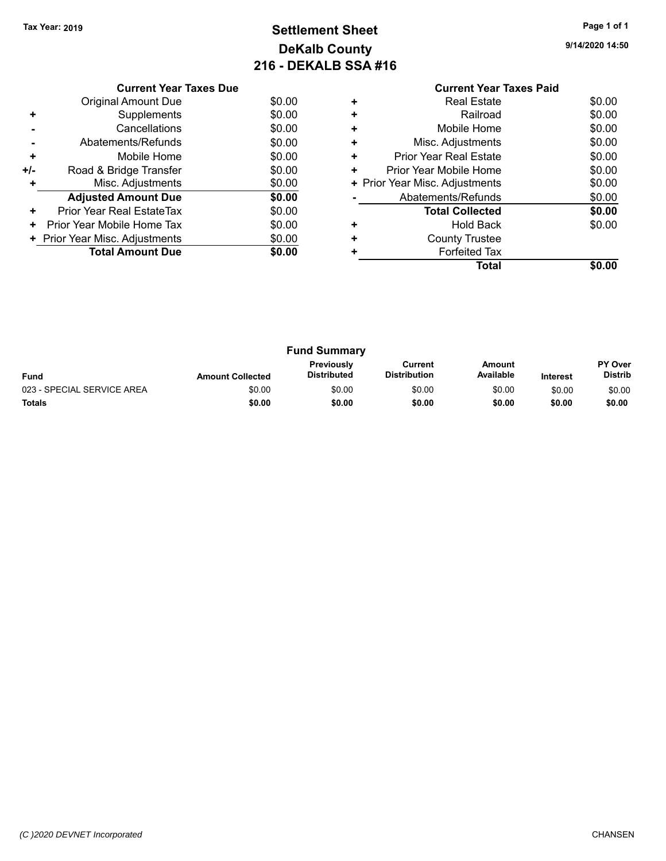#### **Settlement Sheet Tax Year: 2019 Page 1 of 1 DeKalb County 216 - DEKALB SSA #16**

**9/14/2020 14:50**

|     | <b>Current Year Taxes Due</b> |        |
|-----|-------------------------------|--------|
|     | Original Amount Due           | \$0.00 |
| ٠   | Supplements                   | \$0.00 |
|     | Cancellations                 | \$0.00 |
|     | Abatements/Refunds            | \$0.00 |
| ٠   | Mobile Home                   | \$0.00 |
| +/- | Road & Bridge Transfer        | \$0.00 |
| ٠   | Misc. Adjustments             | \$0.00 |
|     | <b>Adjusted Amount Due</b>    | \$0.00 |
| ٠   | Prior Year Real EstateTax     | \$0.00 |
| ٠   | Prior Year Mobile Home Tax    | \$0.00 |
|     | Prior Year Misc. Adjustments  | \$0.00 |
|     | <b>Total Amount Due</b>       | \$0.00 |
|     |                               |        |

#### **Current Year Taxes Paid +** Real Estate \$0.00 **+** Railroad \$0.00 **+** Mobile Home \$0.00 **+** Misc. Adjustments \$0.00

|   | Total                          | \$0.00 |
|---|--------------------------------|--------|
| ٠ | <b>Forfeited Tax</b>           |        |
| ٠ | <b>County Trustee</b>          |        |
|   | <b>Hold Back</b>               | \$0.00 |
|   | <b>Total Collected</b>         | \$0.00 |
|   | Abatements/Refunds             | \$0.00 |
|   | + Prior Year Misc. Adjustments | \$0.00 |
| ÷ | Prior Year Mobile Home         | \$0.00 |
|   | <b>Prior Year Real Estate</b>  | \$0.00 |

| <b>Fund Summary</b>        |                         |                                         |                                |                     |                 |                                  |
|----------------------------|-------------------------|-----------------------------------------|--------------------------------|---------------------|-----------------|----------------------------------|
| <b>Fund</b>                | <b>Amount Collected</b> | <b>Previously</b><br><b>Distributed</b> | Current<br><b>Distribution</b> | Amount<br>Available | <b>Interest</b> | <b>PY Over</b><br><b>Distrib</b> |
| 023 - SPECIAL SERVICE AREA | \$0.00                  | \$0.00                                  | \$0.00                         | \$0.00              | \$0.00          | \$0.00                           |
| <b>Totals</b>              | \$0.00                  | \$0.00                                  | \$0.00                         | \$0.00              | \$0.00          | \$0.00                           |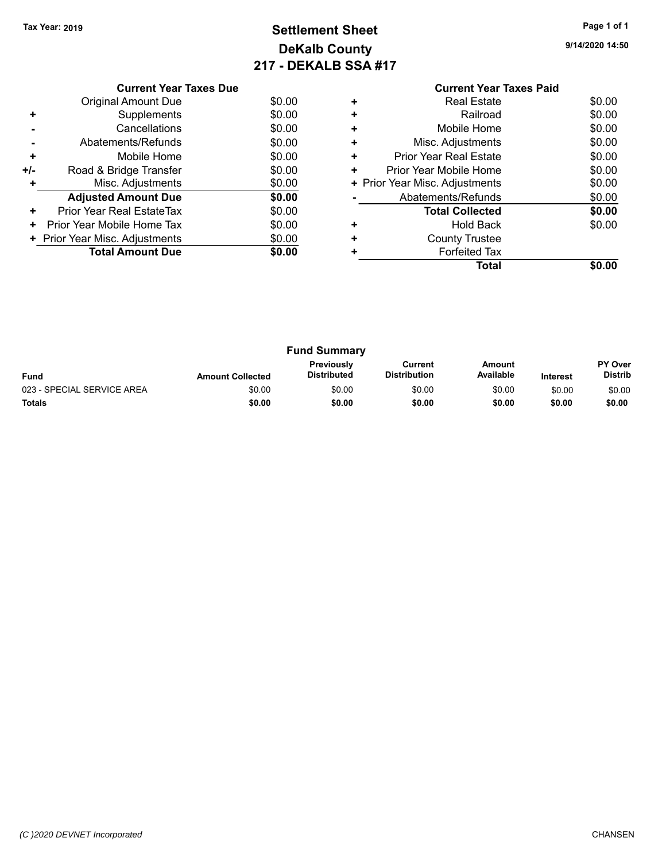#### **Settlement Sheet Tax Year: 2019 Page 1 of 1 DeKalb County 217 - DEKALB SSA #17**

**9/14/2020 14:50**

## **Current Year Taxes Paid**

|     | <b>Original Amount Due</b>     | \$0.00 |
|-----|--------------------------------|--------|
| ÷   | Supplements                    | \$0.00 |
|     | Cancellations                  | \$0.00 |
|     | Abatements/Refunds             | \$0.00 |
| ٠   | Mobile Home                    | \$0.00 |
| +/- | Road & Bridge Transfer         | \$0.00 |
| ٠   | Misc. Adjustments              | \$0.00 |
|     | <b>Adjusted Amount Due</b>     | \$0.00 |
| ٠   | Prior Year Real EstateTax      | \$0.00 |
|     | Prior Year Mobile Home Tax     | \$0.00 |
|     | + Prior Year Misc. Adjustments | \$0.00 |
|     | <b>Total Amount Due</b>        | \$0.00 |
|     |                                |        |

**Current Year Taxes Due**

|   | Real Estate                    | \$0.00 |
|---|--------------------------------|--------|
|   | Railroad                       | \$0.00 |
| ٠ | Mobile Home                    | \$0.00 |
| ٠ | Misc. Adjustments              | \$0.00 |
| ٠ | <b>Prior Year Real Estate</b>  | \$0.00 |
| ٠ | Prior Year Mobile Home         | \$0.00 |
|   | + Prior Year Misc. Adjustments | \$0.00 |
|   | Abatements/Refunds             | \$0.00 |
|   | <b>Total Collected</b>         | \$0.00 |
|   | <b>Hold Back</b>               | \$0.00 |
|   | <b>County Trustee</b>          |        |
|   | <b>Forfeited Tax</b>           |        |
|   | Total                          |        |
|   |                                |        |

| <b>Fund Summary</b>        |                         |                                         |                                |                     |                 |                           |
|----------------------------|-------------------------|-----------------------------------------|--------------------------------|---------------------|-----------------|---------------------------|
| <b>Fund</b>                | <b>Amount Collected</b> | <b>Previously</b><br><b>Distributed</b> | Current<br><b>Distribution</b> | Amount<br>Available | <b>Interest</b> | PY Over<br><b>Distrib</b> |
| 023 - SPECIAL SERVICE AREA | \$0.00                  | \$0.00                                  | \$0.00                         | \$0.00              | \$0.00          | \$0.00                    |
| <b>Totals</b>              | \$0.00                  | \$0.00                                  | \$0.00                         | \$0.00              | \$0.00          | \$0.00                    |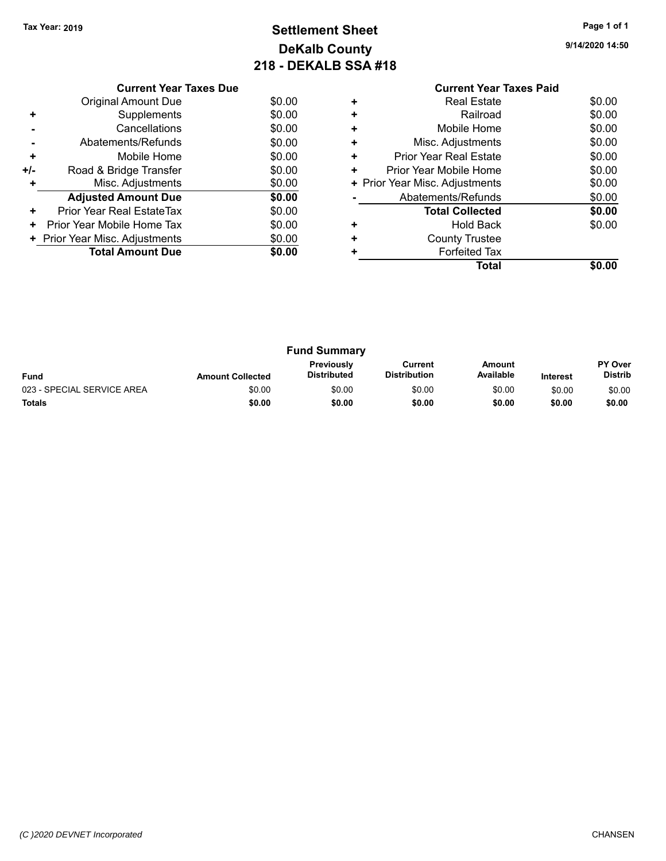#### **Settlement Sheet Tax Year: 2019 Page 1 of 1 DeKalb County 218 - DEKALB SSA #18**

**Total \$0.00**

**9/14/2020 14:50**

|     | <b>Current Year Taxes Due</b>  |        |
|-----|--------------------------------|--------|
|     | Original Amount Due            | \$0.00 |
| ٠   | Supplements                    | \$0.00 |
|     | Cancellations                  | \$0.00 |
|     | Abatements/Refunds             | \$0.00 |
| ÷   | Mobile Home                    | \$0.00 |
| +/- | Road & Bridge Transfer         | \$0.00 |
| ٠   | Misc. Adjustments              | \$0.00 |
|     | <b>Adjusted Amount Due</b>     | \$0.00 |
| ÷   | Prior Year Real EstateTax      | \$0.00 |
| ٠   | Prior Year Mobile Home Tax     | \$0.00 |
|     | + Prior Year Misc. Adjustments | \$0.00 |
|     | <b>Total Amount Due</b>        | \$0.00 |
|     |                                |        |

#### **Current Year Taxes Paid +** Real Estate \$0.00 **+** Railroad \$0.00 **+** Mobile Home \$0.00 **+** Misc. Adjustments \$0.00 **+** Prior Year Real Estate \$0.00 **+** Prior Year Mobile Home \$0.00<br> **+** Prior Year Misc. Adjustments \$0.00 **+ Prior Year Misc. Adjustments**

**-** Abatements/Refunds \$0.00

**+** Hold Back \$0.00

**+** County Trustee **+** Forfeited Tax

**Total Collected \$0.00**

|                            |                         | <b>Fund Summary</b>              |                                |                            |                 |                                  |
|----------------------------|-------------------------|----------------------------------|--------------------------------|----------------------------|-----------------|----------------------------------|
| <b>Fund</b>                | <b>Amount Collected</b> | Previously<br><b>Distributed</b> | Current<br><b>Distribution</b> | <b>Amount</b><br>Available | <b>Interest</b> | <b>PY Over</b><br><b>Distrib</b> |
| 023 - SPECIAL SERVICE AREA | \$0.00                  | \$0.00                           | \$0.00                         | \$0.00                     | \$0.00          | \$0.00                           |
| <b>Totals</b>              | \$0.00                  | \$0.00                           | \$0.00                         | \$0.00                     | \$0.00          | \$0.00                           |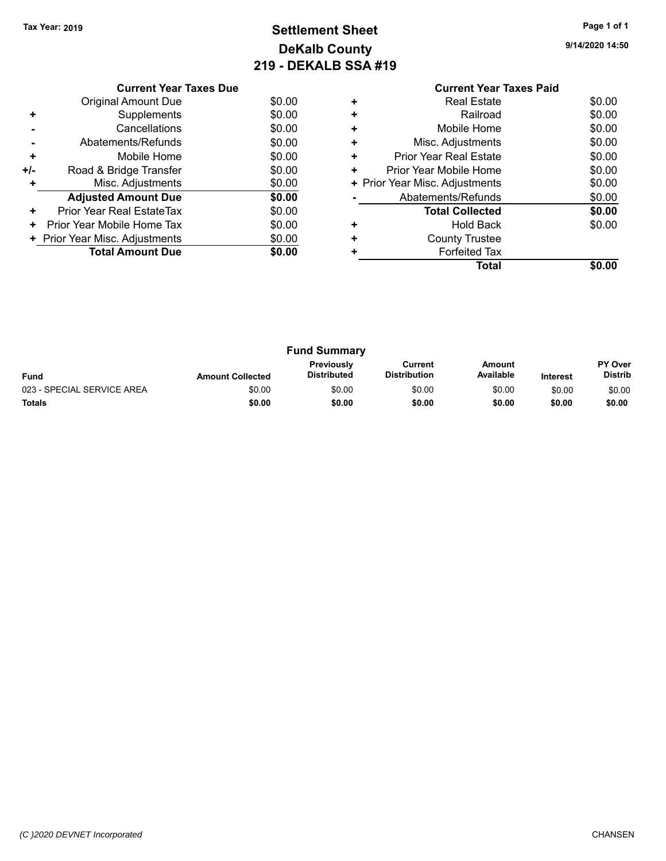#### **Settlement Sheet Tax Year: 2019 Page 1 of 1 DeKalb County 219 - DEKALB SSA #19**

**Total \$0.00**

**9/14/2020 14:50**

|     | <b>Current Year Taxes Due</b>  |        |
|-----|--------------------------------|--------|
|     | Original Amount Due            | \$0.00 |
| ٠   | Supplements                    | \$0.00 |
|     | Cancellations                  | \$0.00 |
|     | Abatements/Refunds             | \$0.00 |
| ÷   | Mobile Home                    | \$0.00 |
| +/- | Road & Bridge Transfer         | \$0.00 |
| ٠   | Misc. Adjustments              | \$0.00 |
|     | <b>Adjusted Amount Due</b>     | \$0.00 |
| ÷   | Prior Year Real EstateTax      | \$0.00 |
| ٠   | Prior Year Mobile Home Tax     | \$0.00 |
|     | + Prior Year Misc. Adjustments | \$0.00 |
|     | <b>Total Amount Due</b>        | \$0.00 |
|     |                                |        |

#### **Current Year Taxes Paid +** Real Estate \$0.00 **+** Railroad \$0.00 **+** Mobile Home \$0.00 **+** Misc. Adjustments \$0.00 **+** Prior Year Real Estate \$0.00 **+** Prior Year Mobile Home \$0.00<br> **+** Prior Year Misc. Adjustments \$0.00

**-** Abatements/Refunds \$0.00

**+** Hold Back \$0.00

**Total Collected \$0.00**

**+ Prior Year Misc. Adjustments** 

**+** County Trustee **+** Forfeited Tax

| <b>Fund Summary</b>        |                         |                                  |                                |                     |                 |                                  |
|----------------------------|-------------------------|----------------------------------|--------------------------------|---------------------|-----------------|----------------------------------|
| <b>Fund</b>                | <b>Amount Collected</b> | <b>Previously</b><br>Distributed | Current<br><b>Distribution</b> | Amount<br>Available | <b>Interest</b> | <b>PY Over</b><br><b>Distrib</b> |
| 023 - SPECIAL SERVICE AREA | \$0.00                  | \$0.00                           | \$0.00                         | \$0.00              | \$0.00          | \$0.00                           |
| <b>Totals</b>              | \$0.00                  | \$0.00                           | \$0.00                         | \$0.00              | \$0.00          | \$0.00                           |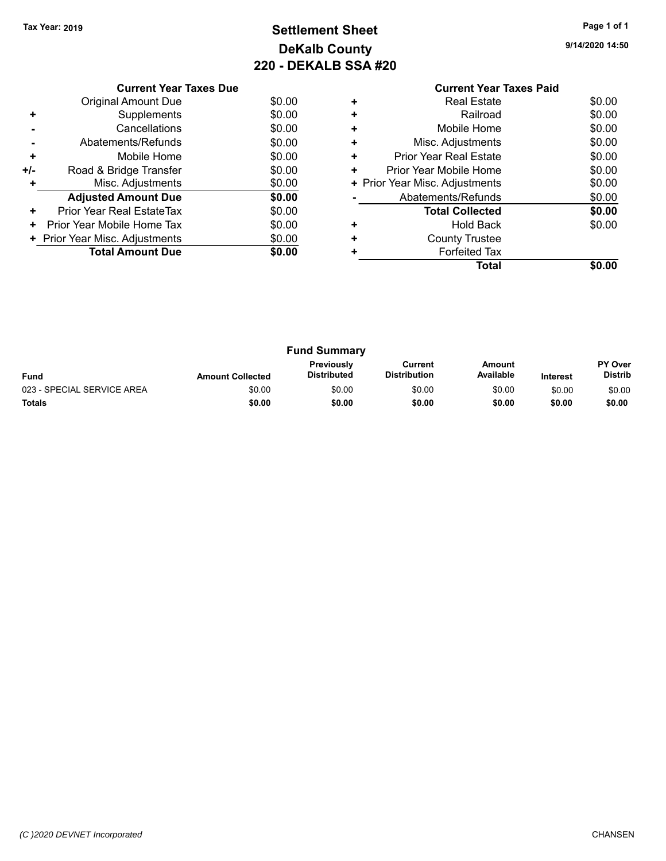#### **Settlement Sheet Tax Year: 2019 Page 1 of 1 DeKalb County 220 - DEKALB SSA #20**

**9/14/2020 14:50**

|     | <b>Current Year Taxes Due</b>  |        |
|-----|--------------------------------|--------|
|     | Original Amount Due            | \$0.00 |
| ٠   | Supplements                    | \$0.00 |
|     | Cancellations                  | \$0.00 |
|     | Abatements/Refunds             | \$0.00 |
| ٠   | Mobile Home                    | \$0.00 |
| +/- | Road & Bridge Transfer         | \$0.00 |
|     | Misc. Adjustments              | \$0.00 |
|     | <b>Adjusted Amount Due</b>     | \$0.00 |
| ÷   | Prior Year Real EstateTax      | \$0.00 |
| ٠   | Prior Year Mobile Home Tax     | \$0.00 |
|     | + Prior Year Misc. Adjustments | \$0.00 |
|     | <b>Total Amount Due</b>        | \$0.00 |
|     |                                |        |

|           | <b>Current Year Taxes Paid</b> |        |
|-----------|--------------------------------|--------|
| ÷         | <b>Real Estate</b>             | \$0.00 |
| $\ddot{}$ | Railroad                       | \$0.00 |
|           | Mobile Home                    | \$0.00 |
| ÷         | Misc. Adjustments              | \$0.00 |
| ÷         | <b>Prior Year Real Estate</b>  | \$0.00 |
| ٠         | Prior Year Mobile Home         | \$0.00 |
|           | + Prior Year Misc. Adjustments | \$0.00 |
|           | Abatements/Refunds             | \$0.00 |
|           | <b>Total Collected</b>         | \$0.00 |
|           | <b>Hold Back</b>               | \$0.00 |
|           | <b>County Trustee</b>          |        |
|           | <b>Forfeited Tax</b>           |        |
|           | Total                          | \$0.00 |
|           |                                |        |

| <b>Fund Summary</b>        |                         |                                         |                         |                     |                 |                           |
|----------------------------|-------------------------|-----------------------------------------|-------------------------|---------------------|-----------------|---------------------------|
| <b>Fund</b>                | <b>Amount Collected</b> | <b>Previously</b><br><b>Distributed</b> | Current<br>Distribution | Amount<br>Available | <b>Interest</b> | <b>PY Over</b><br>Distrib |
| 023 - SPECIAL SERVICE AREA | \$0.00                  | \$0.00                                  | \$0.00                  | \$0.00              | \$0.00          | \$0.00                    |
| <b>Totals</b>              | \$0.00                  | \$0.00                                  | \$0.00                  | \$0.00              | \$0.00          | \$0.00                    |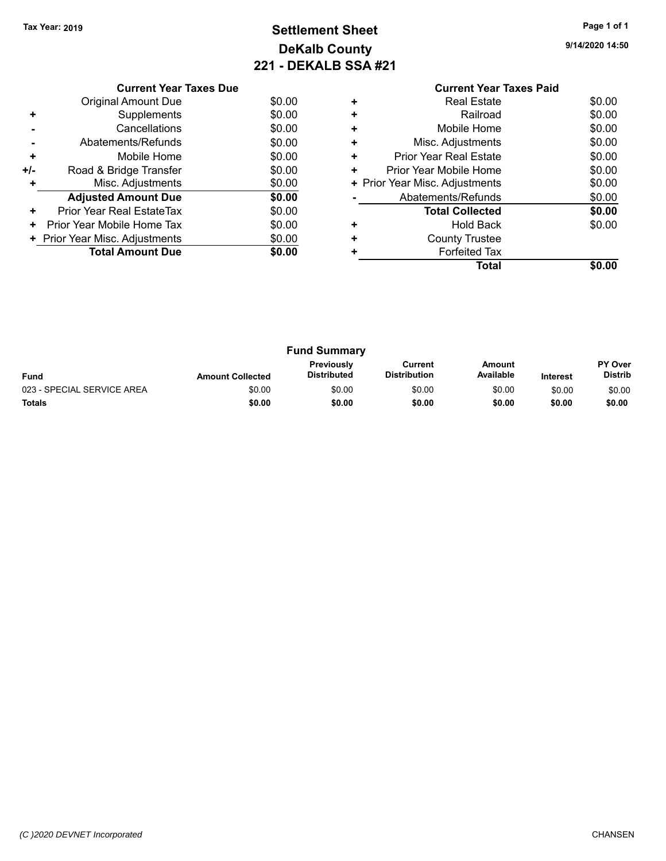### **Settlement Sheet Tax Year: 2019 Page 1 of 1 DeKalb County 221 - DEKALB SSA #21**

**9/14/2020 14:50**

|     | <b>Current Year Taxes Due</b>  |        |
|-----|--------------------------------|--------|
|     | Original Amount Due            | \$0.00 |
| ٠   | Supplements                    | \$0.00 |
|     | Cancellations                  | \$0.00 |
|     | Abatements/Refunds             | \$0.00 |
| ٠   | Mobile Home                    | \$0.00 |
| +/- | Road & Bridge Transfer         | \$0.00 |
|     | Misc. Adjustments              | \$0.00 |
|     | <b>Adjusted Amount Due</b>     | \$0.00 |
| ٠   | Prior Year Real EstateTax      | \$0.00 |
| ٠   | Prior Year Mobile Home Tax     | \$0.00 |
|     | + Prior Year Misc. Adjustments | \$0.00 |
|     | <b>Total Amount Due</b>        | \$0.00 |
|     |                                |        |

| <b>Fund Summary</b>        |                         |                                  |                                |                     |                 |                                  |
|----------------------------|-------------------------|----------------------------------|--------------------------------|---------------------|-----------------|----------------------------------|
| <b>Fund</b>                | <b>Amount Collected</b> | <b>Previously</b><br>Distributed | Current<br><b>Distribution</b> | Amount<br>Available | <b>Interest</b> | <b>PY Over</b><br><b>Distrib</b> |
| 023 - SPECIAL SERVICE AREA | \$0.00                  | \$0.00                           | \$0.00                         | \$0.00              | \$0.00          | \$0.00                           |
| <b>Totals</b>              | \$0.00                  | \$0.00                           | \$0.00                         | \$0.00              | \$0.00          | \$0.00                           |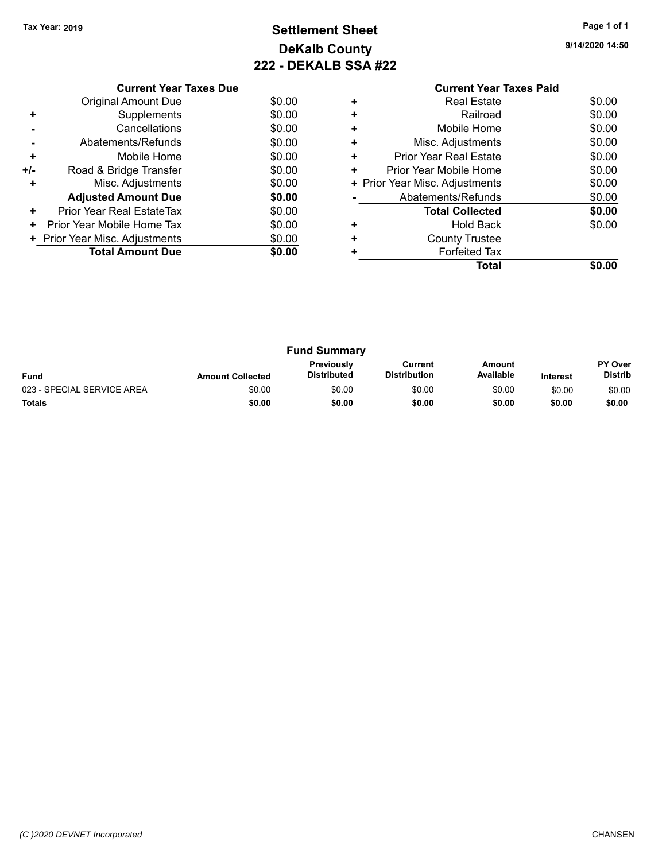#### **Settlement Sheet Tax Year: 2019 Page 1 of 1 DeKalb County 222 - DEKALB SSA #22**

**9/14/2020 14:50**

|       | <b>Current Year Taxes Due</b>  |        |
|-------|--------------------------------|--------|
|       | <b>Original Amount Due</b>     | \$0.00 |
| ٠     | Supplements                    | \$0.00 |
|       | Cancellations                  | \$0.00 |
|       | Abatements/Refunds             | \$0.00 |
| ٠     | Mobile Home                    | \$0.00 |
| $+/-$ | Road & Bridge Transfer         | \$0.00 |
| ٠     | Misc. Adjustments              | \$0.00 |
|       | <b>Adjusted Amount Due</b>     | \$0.00 |
| ٠     | Prior Year Real EstateTax      | \$0.00 |
| ٠     | Prior Year Mobile Home Tax     | \$0.00 |
|       | + Prior Year Misc. Adjustments | \$0.00 |
|       | <b>Total Amount Due</b>        | \$0.00 |
|       |                                |        |

| <b>Fund Summary</b><br><b>Previously</b><br>Amount<br>Current<br>Available<br><b>Distribution</b><br><b>Distributed</b><br><b>Fund</b><br><b>Amount Collected</b><br><b>Interest</b> |        |        |        |        |                                  |        |
|--------------------------------------------------------------------------------------------------------------------------------------------------------------------------------------|--------|--------|--------|--------|----------------------------------|--------|
|                                                                                                                                                                                      |        |        |        |        | <b>PY Over</b><br><b>Distrib</b> |        |
| 023 - SPECIAL SERVICE AREA                                                                                                                                                           | \$0.00 | \$0.00 | \$0.00 | \$0.00 | \$0.00                           | \$0.00 |
| <b>Totals</b>                                                                                                                                                                        | \$0.00 | \$0.00 | \$0.00 | \$0.00 | \$0.00                           | \$0.00 |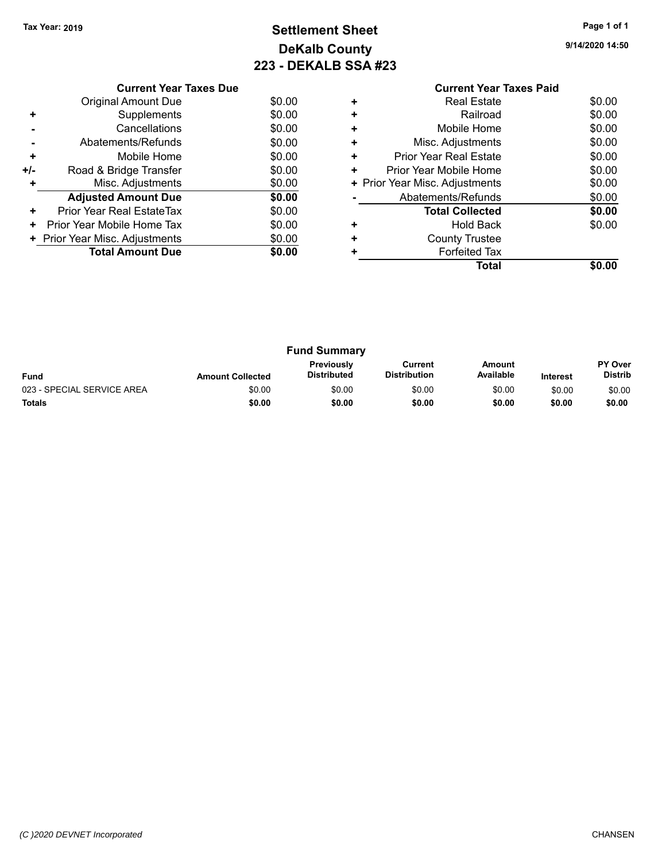#### **Settlement Sheet Tax Year: 2019 Page 1 of 1 DeKalb County 223 - DEKALB SSA #23**

**9/14/2020 14:50**

|       | <b>Current Year Taxes Due</b>  |        |
|-------|--------------------------------|--------|
|       | <b>Original Amount Due</b>     | \$0.00 |
| ٠     | Supplements                    | \$0.00 |
|       | Cancellations                  | \$0.00 |
|       | Abatements/Refunds             | \$0.00 |
| ٠     | Mobile Home                    | \$0.00 |
| $+/-$ | Road & Bridge Transfer         | \$0.00 |
| ٠     | Misc. Adjustments              | \$0.00 |
|       | <b>Adjusted Amount Due</b>     | \$0.00 |
| ٠     | Prior Year Real EstateTax      | \$0.00 |
| ٠     | Prior Year Mobile Home Tax     | \$0.00 |
|       | + Prior Year Misc. Adjustments | \$0.00 |
|       | <b>Total Amount Due</b>        | \$0.00 |
|       |                                |        |

| <b>Fund Summary</b>        |                         |                                         |                                |                            |                 |                           |  |  |  |
|----------------------------|-------------------------|-----------------------------------------|--------------------------------|----------------------------|-----------------|---------------------------|--|--|--|
| <b>Fund</b>                | <b>Amount Collected</b> | <b>Previously</b><br><b>Distributed</b> | Current<br><b>Distribution</b> | <b>Amount</b><br>Available | <b>Interest</b> | PY Over<br><b>Distrib</b> |  |  |  |
| 023 - SPECIAL SERVICE AREA | \$0.00                  | \$0.00                                  | \$0.00                         | \$0.00                     | \$0.00          | \$0.00                    |  |  |  |
| <b>Totals</b>              | \$0.00                  | \$0.00                                  | \$0.00                         | \$0.00                     | \$0.00          | \$0.00                    |  |  |  |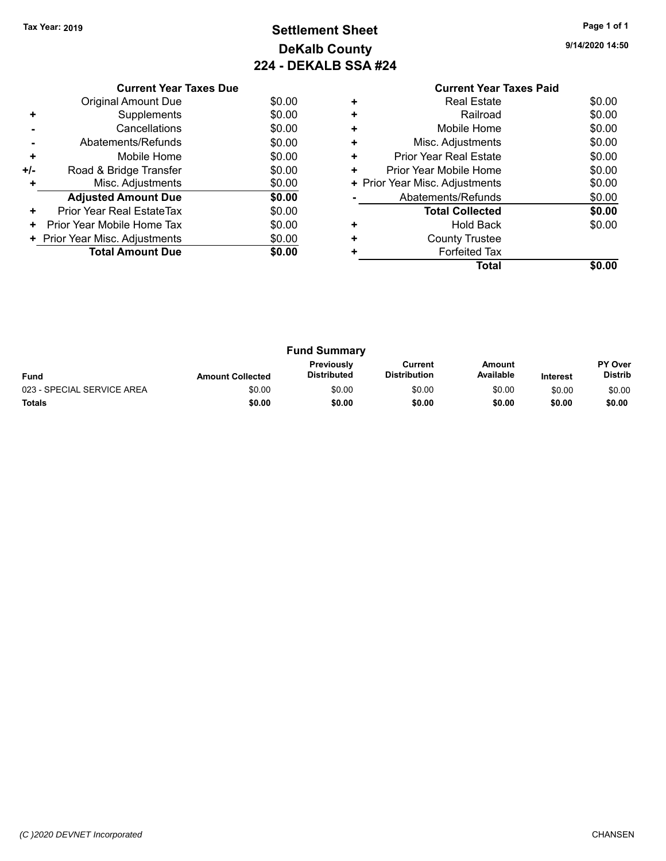#### **Settlement Sheet Tax Year: 2019 Page 1 of 1 DeKalb County 224 - DEKALB SSA #24**

**Total \$0.00**

**9/14/2020 14:50**

|     | <b>Current Year Taxes Due</b>  |        |  |  |  |
|-----|--------------------------------|--------|--|--|--|
|     | <b>Original Amount Due</b>     | \$0.00 |  |  |  |
|     | Supplements                    | \$0.00 |  |  |  |
|     | \$0.00<br>Cancellations        |        |  |  |  |
|     | Abatements/Refunds             | \$0.00 |  |  |  |
| ٠   | Mobile Home                    | \$0.00 |  |  |  |
| +/- | Road & Bridge Transfer         | \$0.00 |  |  |  |
|     | Misc. Adjustments              | \$0.00 |  |  |  |
|     | <b>Adjusted Amount Due</b>     | \$0.00 |  |  |  |
| ÷   | Prior Year Real EstateTax      | \$0.00 |  |  |  |
| ٠   | Prior Year Mobile Home Tax     | \$0.00 |  |  |  |
|     | + Prior Year Misc. Adjustments | \$0.00 |  |  |  |
|     | <b>Total Amount Due</b>        | \$0.00 |  |  |  |
|     |                                |        |  |  |  |

| <b>Fund Summary</b>        |                         |                                  |                                |                     |                 |                                  |  |  |  |
|----------------------------|-------------------------|----------------------------------|--------------------------------|---------------------|-----------------|----------------------------------|--|--|--|
| <b>Fund</b>                | <b>Amount Collected</b> | Previously<br><b>Distributed</b> | Current<br><b>Distribution</b> | Amount<br>Available | <b>Interest</b> | <b>PY Over</b><br><b>Distrib</b> |  |  |  |
| 023 - SPECIAL SERVICE AREA | \$0.00                  | \$0.00                           | \$0.00                         | \$0.00              | \$0.00          | \$0.00                           |  |  |  |
| <b>Totals</b>              | \$0.00                  | \$0.00                           | \$0.00                         | \$0.00              | \$0.00          | \$0.00                           |  |  |  |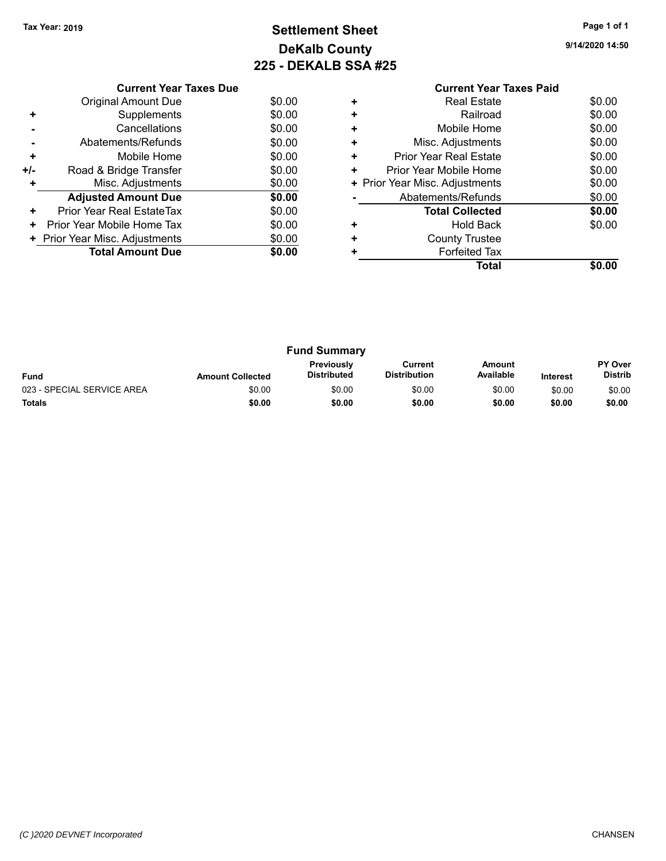# **Settlement Sheet Tax Year: 2019 Page 1 of 1 DeKalb County 225 - DEKALB SSA #25**

**9/14/2020 14:50**

|     | <b>Current Year Taxes Due</b>  |        |  |  |  |  |
|-----|--------------------------------|--------|--|--|--|--|
|     | Original Amount Due            | \$0.00 |  |  |  |  |
| ٠   | Supplements                    | \$0.00 |  |  |  |  |
|     | Cancellations                  | \$0.00 |  |  |  |  |
|     | Abatements/Refunds             | \$0.00 |  |  |  |  |
| ٠   | Mobile Home                    | \$0.00 |  |  |  |  |
| +/- | Road & Bridge Transfer         | \$0.00 |  |  |  |  |
|     | Misc. Adjustments              | \$0.00 |  |  |  |  |
|     | <b>Adjusted Amount Due</b>     | \$0.00 |  |  |  |  |
| ٠   | Prior Year Real EstateTax      | \$0.00 |  |  |  |  |
| ٠   | Prior Year Mobile Home Tax     | \$0.00 |  |  |  |  |
|     | + Prior Year Misc. Adjustments | \$0.00 |  |  |  |  |
|     | <b>Total Amount Due</b>        | \$0.00 |  |  |  |  |
|     |                                |        |  |  |  |  |

#### **Current Year Taxes Paid +** Real Estate \$0.00 **+** Railroad **+** Mobile Home \$0.00 **+** Misc. Adjustments \$0.00 **+** Prior Year Real Estate \$0.00 **+** Prior Year Mobile Home \$0.00<br> **+** Prior Year Misc. Adjustments \$0.00 **+ Prior Year Misc. Adjustments -** Abatements/Refunds \$0.00 **Total Collected \$0.00 +** Hold Back \$0.00 **+** County Trustee **+** Forfeited Tax **Total \$0.00**

| <b>Fund Summary</b>        |                         |                                         |                                |                     |                 |                           |
|----------------------------|-------------------------|-----------------------------------------|--------------------------------|---------------------|-----------------|---------------------------|
| <b>Fund</b>                | <b>Amount Collected</b> | <b>Previously</b><br><b>Distributed</b> | Current<br><b>Distribution</b> | Amount<br>Available | <b>Interest</b> | PY Over<br><b>Distrib</b> |
| 023 - SPECIAL SERVICE AREA | \$0.00                  | \$0.00                                  | \$0.00                         | \$0.00              | \$0.00          | \$0.00                    |
| <b>Totals</b>              | \$0.00                  | \$0.00                                  | \$0.00                         | \$0.00              | \$0.00          | \$0.00                    |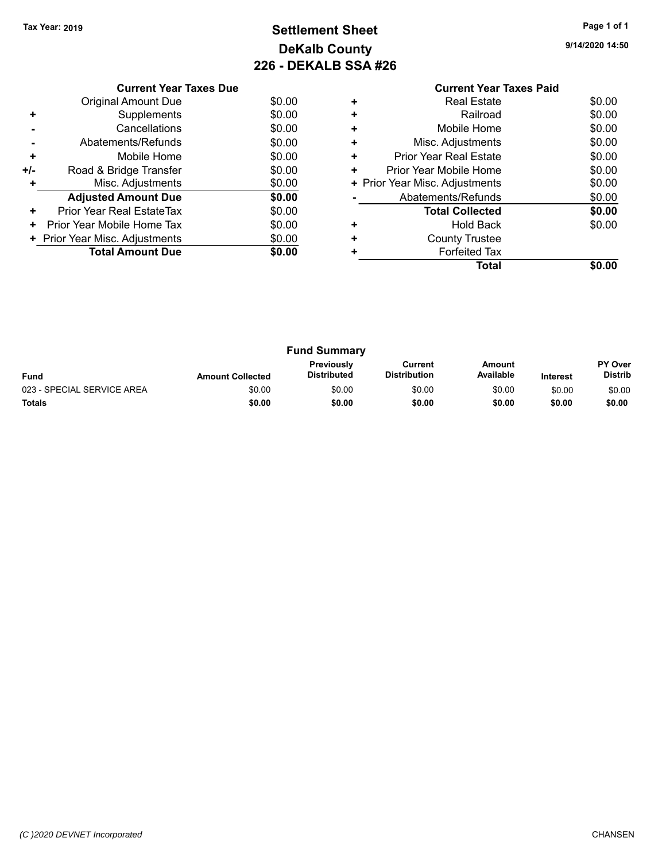# **Settlement Sheet Tax Year: 2019 Page 1 of 1 DeKalb County 226 - DEKALB SSA #26**

**9/14/2020 14:50**

|     | <b>Current Year Taxes Due</b>  |        |  |  |  |  |
|-----|--------------------------------|--------|--|--|--|--|
|     | Original Amount Due            | \$0.00 |  |  |  |  |
| ٠   | Supplements                    | \$0.00 |  |  |  |  |
|     | Cancellations                  | \$0.00 |  |  |  |  |
|     | Abatements/Refunds             | \$0.00 |  |  |  |  |
| ٠   | Mobile Home                    | \$0.00 |  |  |  |  |
| +/- | Road & Bridge Transfer         | \$0.00 |  |  |  |  |
|     | Misc. Adjustments              | \$0.00 |  |  |  |  |
|     | <b>Adjusted Amount Due</b>     | \$0.00 |  |  |  |  |
| ٠   | Prior Year Real EstateTax      | \$0.00 |  |  |  |  |
| ٠   | Prior Year Mobile Home Tax     | \$0.00 |  |  |  |  |
|     | + Prior Year Misc. Adjustments | \$0.00 |  |  |  |  |
|     | <b>Total Amount Due</b>        | \$0.00 |  |  |  |  |
|     |                                |        |  |  |  |  |

#### **Current Year Taxes Paid +** Real Estate \$0.00 **+** Railroad **+** Mobile Home \$0.00 **+** Misc. Adjustments \$0.00 **+** Prior Year Real Estate \$0.00 **+** Prior Year Mobile Home \$0.00<br> **+** Prior Year Misc. Adjustments \$0.00 **+ Prior Year Misc. Adjustments -** Abatements/Refunds \$0.00 **Total Collected \$0.00 +** Hold Back \$0.00 **+** County Trustee **+** Forfeited Tax **Total \$0.00**

| <b>Fund Summary</b>        |                         |                                  |                                |                     |                 |                           |
|----------------------------|-------------------------|----------------------------------|--------------------------------|---------------------|-----------------|---------------------------|
| <b>Fund</b>                | <b>Amount Collected</b> | <b>Previously</b><br>Distributed | Current<br><b>Distribution</b> | Amount<br>Available | <b>Interest</b> | PY Over<br><b>Distrib</b> |
| 023 - SPECIAL SERVICE AREA | \$0.00                  | \$0.00                           | \$0.00                         | \$0.00              | \$0.00          | \$0.00                    |
| <b>Totals</b>              | \$0.00                  | \$0.00                           | \$0.00                         | \$0.00              | \$0.00          | \$0.00                    |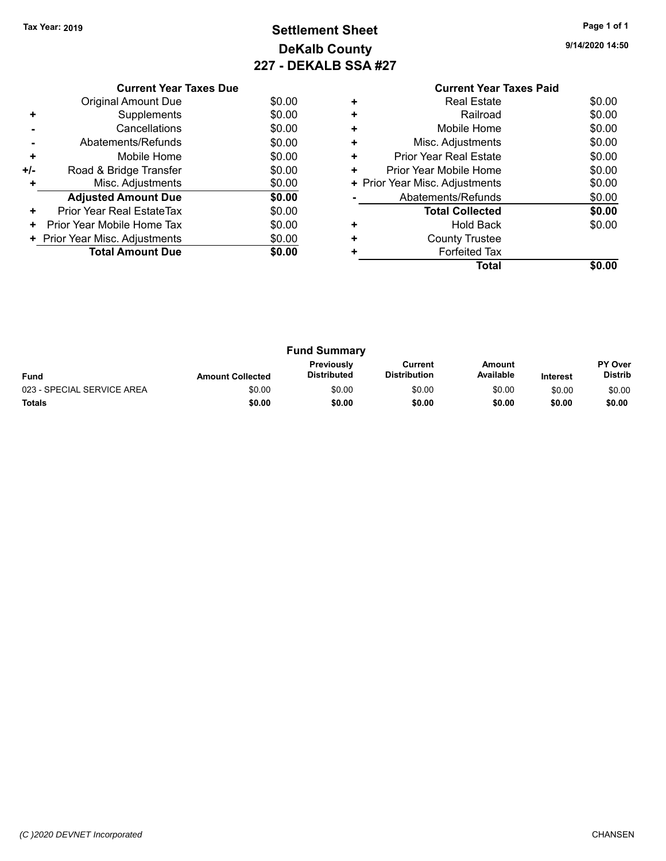# **Settlement Sheet Tax Year: 2019 Page 1 of 1 DeKalb County 227 - DEKALB SSA #27**

**9/14/2020 14:50**

|     | <b>Current Year Taxes Due</b> |        |
|-----|-------------------------------|--------|
|     | Original Amount Due           | \$0.00 |
| ٠   | Supplements                   | \$0.00 |
|     | Cancellations                 | \$0.00 |
|     | Abatements/Refunds            | \$0.00 |
| ٠   | Mobile Home                   | \$0.00 |
| +/- | Road & Bridge Transfer        | \$0.00 |
| ٠   | Misc. Adjustments             | \$0.00 |
|     | <b>Adjusted Amount Due</b>    | \$0.00 |
| ٠   | Prior Year Real EstateTax     | \$0.00 |
| ٠   | Prior Year Mobile Home Tax    | \$0.00 |
|     | Prior Year Misc. Adjustments  | \$0.00 |
|     | <b>Total Amount Due</b>       | \$0.00 |
|     |                               |        |

#### **Current Year Taxes Paid +** Real Estate \$0.00 **+** Railroad \$0.00 **+** Mobile Home \$0.00 **+** Misc. Adjustments \$0.00 **+** Prior Year Real Estate \$0.00 **+** Prior Year Mobile Home \$0.00<br> **+** Prior Year Misc. Adjustments \$0.00 **+ Prior Year Misc. Adjustments -** Abatements/Refunds \$0.00 **Total Collected \$0.00 +** Hold Back \$0.00 **+** County Trustee **+** Forfeited Tax **Total \$0.00**

| <b>Fund Summary</b>        |                         |                                         |                                |                     |                 |                           |
|----------------------------|-------------------------|-----------------------------------------|--------------------------------|---------------------|-----------------|---------------------------|
| <b>Fund</b>                | <b>Amount Collected</b> | <b>Previously</b><br><b>Distributed</b> | Current<br><b>Distribution</b> | Amount<br>Available | <b>Interest</b> | PY Over<br><b>Distrib</b> |
| 023 - SPECIAL SERVICE AREA | \$0.00                  | \$0.00                                  | \$0.00                         | \$0.00              | \$0.00          | \$0.00                    |
| <b>Totals</b>              | \$0.00                  | \$0.00                                  | \$0.00                         | \$0.00              | \$0.00          | \$0.00                    |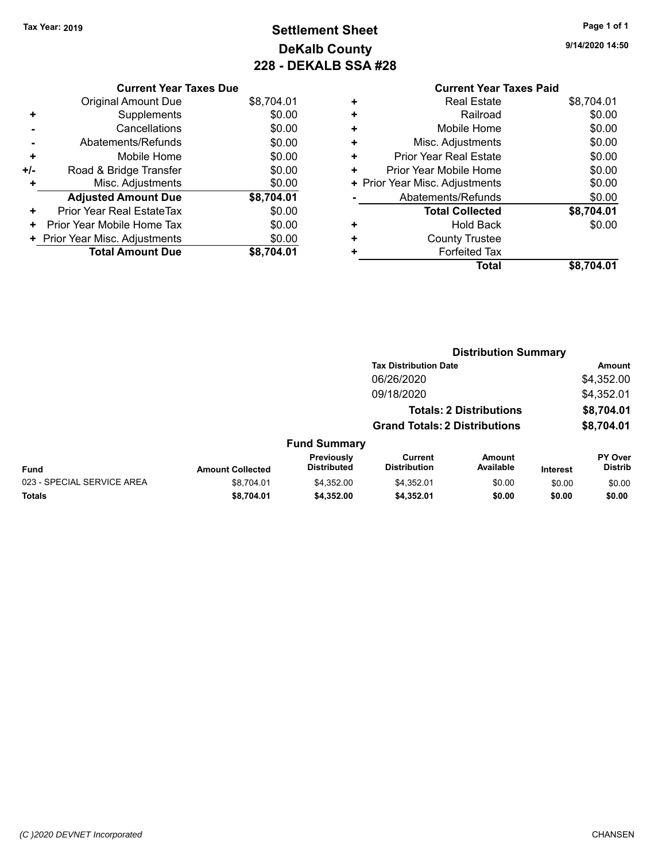# **Settlement Sheet Tax Year: 2019 Page 1 of 1 DeKalb County 228 - DEKALB SSA #28**

**9/14/2020 14:50**

| - - - - - |                                |            |
|-----------|--------------------------------|------------|
|           | <b>Current Year Taxes Paid</b> |            |
| ٠         | Real Estate                    | \$8,704.01 |
| ٠         | Railroad                       | \$0.00     |
| ٠         | Mobile Home                    | \$0.00     |
| ٠         | Misc. Adjustments              | \$0.00     |
|           | <b>Prior Year Real Estate</b>  | \$0.00     |

|     | <b>Original Amount Due</b>     | \$8,704.01 |
|-----|--------------------------------|------------|
| ٠   | Supplements                    | \$0.00     |
|     | Cancellations                  | \$0.00     |
|     | Abatements/Refunds             | \$0.00     |
| ٠   | Mobile Home                    | \$0.00     |
| +/- | Road & Bridge Transfer         | \$0.00     |
| ٠   | Misc. Adjustments              | \$0.00     |
|     | <b>Adjusted Amount Due</b>     | \$8,704.01 |
| ٠   | Prior Year Real EstateTax      | \$0.00     |
| ٠   | Prior Year Mobile Home Tax     | \$0.00     |
|     | + Prior Year Misc. Adjustments | \$0.00     |
|     | <b>Total Amount Due</b>        | \$8,704.01 |

**Current Year Taxes Due**

| ÷ | Prior Year Mobile Home         | \$0.00     |
|---|--------------------------------|------------|
|   | + Prior Year Misc. Adjustments | \$0.00     |
|   | Abatements/Refunds             | \$0.00     |
|   | <b>Total Collected</b>         | \$8,704.01 |
| ÷ | <b>Hold Back</b>               | \$0.00     |
| ÷ | <b>County Trustee</b>          |            |
| ÷ | <b>Forfeited Tax</b>           |            |
|   | <b>Total</b>                   | \$8,704.01 |
|   |                                |            |
|   |                                |            |
|   |                                |            |

|                            |                         |                                  |                                      | <b>Distribution Summary</b>    |                 |                           |
|----------------------------|-------------------------|----------------------------------|--------------------------------------|--------------------------------|-----------------|---------------------------|
|                            |                         |                                  | <b>Tax Distribution Date</b>         |                                |                 | Amount                    |
|                            |                         |                                  | 06/26/2020                           |                                |                 | \$4,352.00                |
|                            |                         |                                  | 09/18/2020                           |                                |                 | \$4,352.01                |
|                            |                         |                                  |                                      | <b>Totals: 2 Distributions</b> |                 | \$8,704.01                |
|                            |                         |                                  | <b>Grand Totals: 2 Distributions</b> |                                |                 | \$8,704.01                |
|                            |                         | <b>Fund Summary</b>              |                                      |                                |                 |                           |
| <b>Fund</b>                | <b>Amount Collected</b> | Previously<br><b>Distributed</b> | Current<br><b>Distribution</b>       | <b>Amount</b><br>Available     | <b>Interest</b> | PY Over<br><b>Distrib</b> |
| 023 - SPECIAL SERVICE AREA | \$8.704.01              | \$4.352.00                       | \$4,352.01                           | \$0.00                         | \$0.00          | \$0.00                    |
| <b>Totals</b>              | \$8.704.01              | \$4,352.00                       | \$4,352.01                           | \$0.00                         | \$0.00          | \$0.00                    |
|                            |                         |                                  |                                      |                                |                 |                           |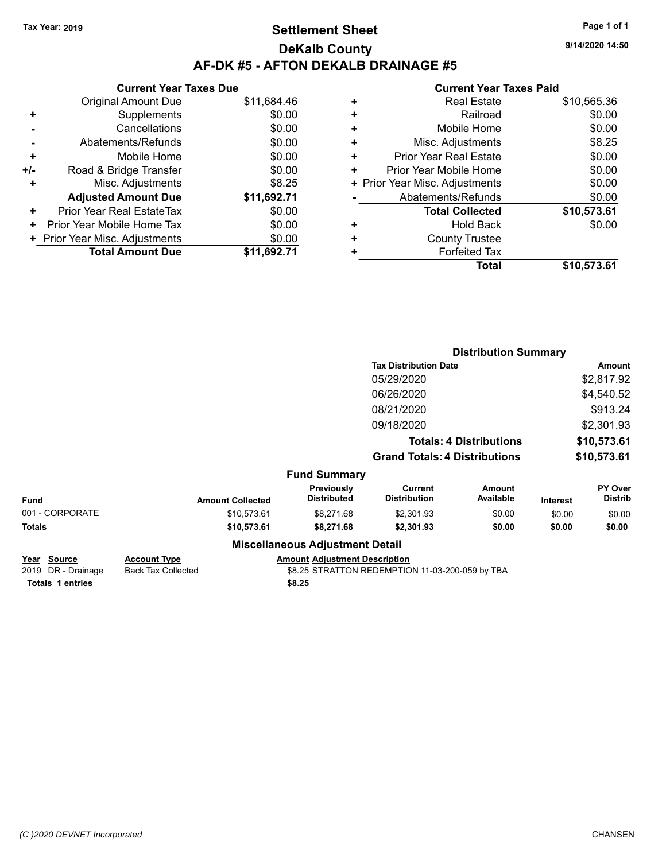# **Settlement Sheet Tax Year: 2019 Page 1 of 1 DeKalb County AF-DK #5 - AFTON DEKALB DRAINAGE #5**

**Current Year Taxes Due** Original Amount Due \$11,684.46 **+** Supplements \$0.00 **-** Cancellations \$0.00 **-** Abatements/Refunds \$0.00 **+** Mobile Home \$0.00 **+/-** Road & Bridge Transfer **\$0.00 +** Misc. Adjustments \$8.25 **Adjusted Amount Due \$11,692.71 +** Prior Year Real EstateTax \$0.00 **+** Prior Year Mobile Home Tax  $$0.00$ **+ Prior Year Misc. Adjustments**  $$0.00$ **Total Amount Due \$11,692.71**

#### **Current Year Taxes Paid**

|   | <b>Real Estate</b>             | \$10,565.36 |
|---|--------------------------------|-------------|
| ÷ | Railroad                       | \$0.00      |
| ٠ | Mobile Home                    | \$0.00      |
| ٠ | Misc. Adjustments              | \$8.25      |
| ٠ | <b>Prior Year Real Estate</b>  | \$0.00      |
| ٠ | Prior Year Mobile Home         | \$0.00      |
|   | + Prior Year Misc. Adjustments | \$0.00      |
|   | Abatements/Refunds             | \$0.00      |
|   | <b>Total Collected</b>         | \$10,573.61 |
| ٠ | Hold Back                      | \$0.00      |
| ٠ | <b>County Trustee</b>          |             |
|   | <b>Forfeited Tax</b>           |             |
|   | Total                          | \$10,573.61 |
|   |                                |             |

|                 |                         |                                        | <b>Distribution Summary</b>           |                                |          |                                  |
|-----------------|-------------------------|----------------------------------------|---------------------------------------|--------------------------------|----------|----------------------------------|
|                 |                         |                                        | <b>Tax Distribution Date</b>          |                                |          | Amount                           |
|                 |                         |                                        | 05/29/2020                            |                                |          | \$2,817.92                       |
|                 |                         |                                        | 06/26/2020                            |                                |          | \$4,540.52                       |
|                 |                         |                                        | 08/21/2020                            |                                |          | \$913.24                         |
|                 |                         |                                        | 09/18/2020                            |                                |          | \$2,301.93                       |
|                 |                         |                                        |                                       | <b>Totals: 4 Distributions</b> |          | \$10,573.61                      |
|                 |                         |                                        | <b>Grand Totals: 4 Distributions</b>  |                                |          | \$10,573.61                      |
|                 |                         | <b>Fund Summary</b>                    |                                       |                                |          |                                  |
| <b>Fund</b>     | <b>Amount Collected</b> | Previously<br><b>Distributed</b>       | <b>Current</b><br><b>Distribution</b> | <b>Amount</b><br>Available     | Interest | <b>PY Over</b><br><b>Distrib</b> |
| 001 - CORPORATE | \$10,573.61             | \$8,271.68                             | \$2,301.93                            | \$0.00                         | \$0.00   | \$0.00                           |
| Totals          | \$10,573.61             | \$8,271.68                             | \$2,301.93                            | \$0.00                         | \$0.00   | \$0.00                           |
|                 |                         | <b>Miscellaneous Adjustment Detail</b> |                                       |                                |          |                                  |

| Year Source        | <b>Account Type</b> | <b>Amount Adjustment Description</b>            |
|--------------------|---------------------|-------------------------------------------------|
| 2019 DR - Drainage | Back Tax Collected  | \$8.25 STRATTON REDEMPTION 11-03-200-059 by TBA |

**Totals \$8.25 1 entries**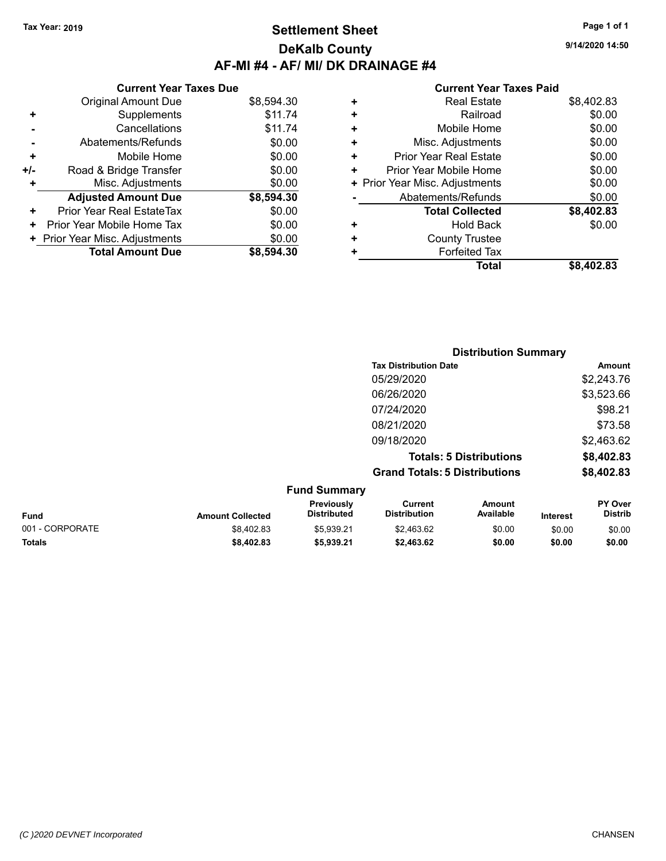# **Settlement Sheet Tax Year: 2019 Page 1 of 1 DeKalb County AF-MI #4 - AF/ MI/ DK DRAINAGE #4**

**9/14/2020 14:50**

#### **Current Year Taxes Paid**

|     | <b>Current Year Taxes Due</b>  |            |
|-----|--------------------------------|------------|
|     | <b>Original Amount Due</b>     | \$8,594.30 |
| ÷   | Supplements                    | \$11.74    |
|     | Cancellations                  | \$11.74    |
|     | Abatements/Refunds             | \$0.00     |
| ٠   | Mobile Home                    | \$0.00     |
| +/- | Road & Bridge Transfer         | \$0.00     |
|     | Misc. Adjustments              | \$0.00     |
|     | <b>Adjusted Amount Due</b>     | \$8,594.30 |
| ٠   | Prior Year Real EstateTax      | \$0.00     |
| ٠   | Prior Year Mobile Home Tax     | \$0.00     |
|     | + Prior Year Misc. Adjustments | \$0.00     |
|     | <b>Total Amount Due</b>        | \$8,594.30 |

| ٠ | <b>Real Estate</b>             | \$8,402.83 |
|---|--------------------------------|------------|
| ٠ | Railroad                       | \$0.00     |
| ٠ | Mobile Home                    | \$0.00     |
| ٠ | Misc. Adjustments              | \$0.00     |
| ٠ | <b>Prior Year Real Estate</b>  | \$0.00     |
| ٠ | Prior Year Mobile Home         | \$0.00     |
|   | + Prior Year Misc. Adjustments | \$0.00     |
|   | Abatements/Refunds             | \$0.00     |
|   | <b>Total Collected</b>         | \$8,402.83 |
| ٠ | Hold Back                      | \$0.00     |
| ٠ | <b>County Trustee</b>          |            |
| ٠ | <b>Forfeited Tax</b>           |            |
|   | Total                          | \$8,402.83 |
|   |                                |            |

|                 |                         |                                  |                                       | <b>Distribution Summary</b>    |                 |                           |
|-----------------|-------------------------|----------------------------------|---------------------------------------|--------------------------------|-----------------|---------------------------|
|                 |                         |                                  | <b>Tax Distribution Date</b>          |                                |                 | Amount                    |
|                 |                         |                                  | 05/29/2020                            |                                |                 | \$2,243.76                |
|                 |                         |                                  | 06/26/2020                            |                                |                 | \$3,523.66                |
|                 |                         |                                  | 07/24/2020                            |                                |                 | \$98.21                   |
|                 |                         |                                  | 08/21/2020                            |                                |                 | \$73.58                   |
|                 |                         |                                  | 09/18/2020                            |                                |                 | \$2,463.62                |
|                 |                         |                                  |                                       | <b>Totals: 5 Distributions</b> |                 | \$8,402.83                |
|                 |                         |                                  | <b>Grand Totals: 5 Distributions</b>  |                                |                 | \$8,402.83                |
|                 |                         | <b>Fund Summary</b>              |                                       |                                |                 |                           |
| Fund            | <b>Amount Collected</b> | Previously<br><b>Distributed</b> | <b>Current</b><br><b>Distribution</b> | <b>Amount</b><br>Available     | <b>Interest</b> | PY Over<br><b>Distrib</b> |
| 001 - CORPORATE | \$8,402.83              | \$5,939.21                       | \$2,463.62                            | \$0.00                         | \$0.00          | \$0.00                    |

**Totals \$8,402.83 \$5,939.21 \$2,463.62 \$0.00 \$0.00 \$0.00**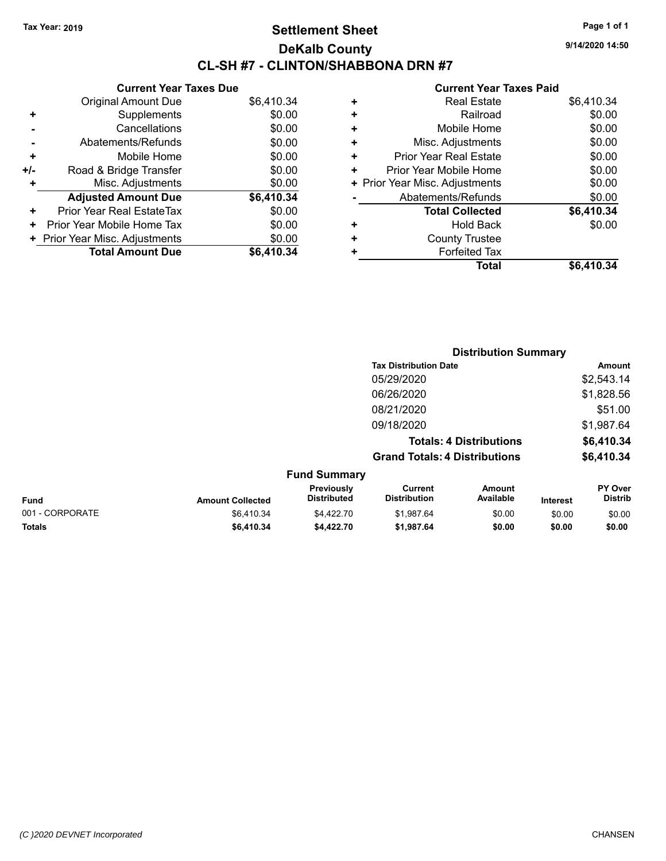# **Settlement Sheet Tax Year: 2019 Page 1 of 1 DeKalb County CL-SH #7 - CLINTON/SHABBONA DRN #7**

**9/14/2020 14:50**

|     | <b>Current Year Taxes Due</b>  |            |
|-----|--------------------------------|------------|
|     | <b>Original Amount Due</b>     | \$6,410.34 |
| ٠   | Supplements                    | \$0.00     |
|     | Cancellations                  | \$0.00     |
|     | Abatements/Refunds             | \$0.00     |
| ÷   | Mobile Home                    | \$0.00     |
| +/- | Road & Bridge Transfer         | \$0.00     |
| ٠   | Misc. Adjustments              | \$0.00     |
|     | <b>Adjusted Amount Due</b>     | \$6,410.34 |
| ٠   | Prior Year Real EstateTax      | \$0.00     |
| ٠   | Prior Year Mobile Home Tax     | \$0.00     |
|     | + Prior Year Misc. Adjustments | \$0.00     |
|     | <b>Total Amount Due</b>        | \$6,410,34 |

| ٠ | <b>Real Estate</b>             | \$6,410.34 |
|---|--------------------------------|------------|
| ٠ | Railroad                       | \$0.00     |
| ÷ | Mobile Home                    | \$0.00     |
| ٠ | Misc. Adjustments              | \$0.00     |
| ٠ | <b>Prior Year Real Estate</b>  | \$0.00     |
| ٠ | Prior Year Mobile Home         | \$0.00     |
|   | + Prior Year Misc. Adjustments | \$0.00     |
|   | Abatements/Refunds             | \$0.00     |
|   | <b>Total Collected</b>         | \$6,410.34 |
| ٠ | <b>Hold Back</b>               | \$0.00     |
| ٠ | <b>County Trustee</b>          |            |
| ٠ | <b>Forfeited Tax</b>           |            |
|   | Total                          | \$6,410.34 |
|   |                                |            |

|                 |                         |                                  |                                       | <b>Distribution Summary</b>    |                 |                           |
|-----------------|-------------------------|----------------------------------|---------------------------------------|--------------------------------|-----------------|---------------------------|
|                 |                         |                                  | <b>Tax Distribution Date</b>          |                                |                 | <b>Amount</b>             |
|                 |                         |                                  | 05/29/2020                            |                                |                 | \$2,543.14                |
|                 |                         |                                  | 06/26/2020                            |                                |                 | \$1,828.56                |
|                 |                         |                                  | 08/21/2020                            |                                |                 | \$51.00                   |
|                 |                         |                                  | 09/18/2020                            |                                |                 | \$1,987.64                |
|                 |                         |                                  |                                       | <b>Totals: 4 Distributions</b> |                 | \$6,410.34                |
|                 |                         |                                  | <b>Grand Totals: 4 Distributions</b>  |                                |                 | \$6,410.34                |
|                 |                         | <b>Fund Summary</b>              |                                       |                                |                 |                           |
| <b>Fund</b>     | <b>Amount Collected</b> | Previously<br><b>Distributed</b> | <b>Current</b><br><b>Distribution</b> | <b>Amount</b><br>Available     | <b>Interest</b> | PY Over<br><b>Distrib</b> |
| 001 - CORPORATE | \$6,410.34              | \$4,422.70                       | \$1,987.64                            | \$0.00                         | \$0.00          | \$0.00                    |
| <b>Totals</b>   | \$6,410.34              | \$4,422.70                       | \$1,987.64                            | \$0.00                         | \$0.00          | \$0.00                    |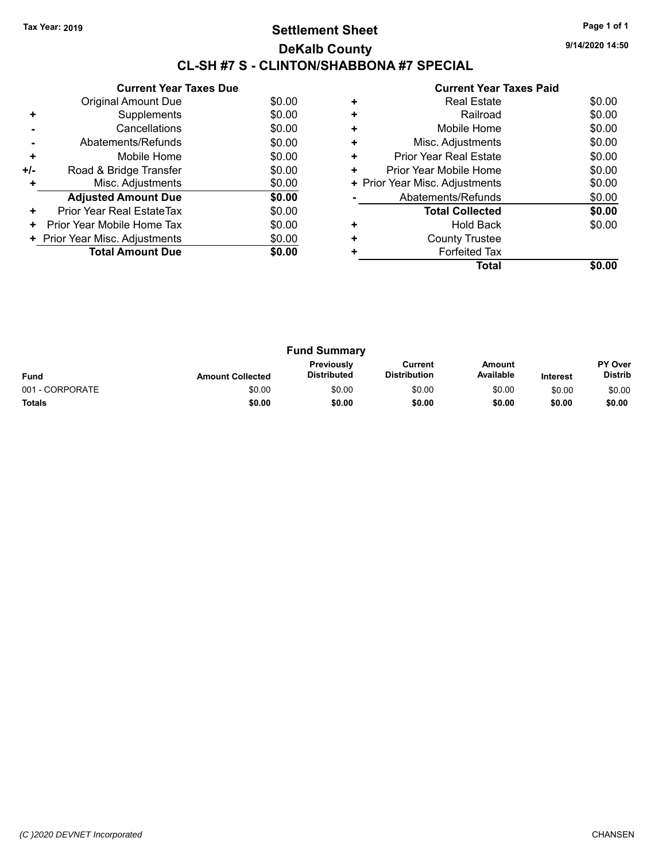# **Settlement Sheet Tax Year: 2019 Page 1 of 1 DeKalb County CL-SH #7 S - CLINTON/SHABBONA #7 SPECIAL**

**9/14/2020 14:50**

|     | <b>Current Year Taxes Due</b>  |        |
|-----|--------------------------------|--------|
|     | <b>Original Amount Due</b>     | \$0.00 |
| ٠   | Supplements                    | \$0.00 |
|     | Cancellations                  | \$0.00 |
|     | Abatements/Refunds             | \$0.00 |
| ÷   | Mobile Home                    | \$0.00 |
| +/- | Road & Bridge Transfer         | \$0.00 |
|     | Misc. Adjustments              | \$0.00 |
|     | <b>Adjusted Amount Due</b>     | \$0.00 |
| ٠   | Prior Year Real EstateTax      | \$0.00 |
| ٠   | Prior Year Mobile Home Tax     | \$0.00 |
|     | + Prior Year Misc. Adjustments | \$0.00 |
|     | <b>Total Amount Due</b>        | \$0.00 |
|     |                                |        |

|   | <b>Real Estate</b>             | \$0.00 |
|---|--------------------------------|--------|
|   | Railroad                       | \$0.00 |
| ÷ | Mobile Home                    | \$0.00 |
| ٠ | Misc. Adjustments              | \$0.00 |
| ٠ | <b>Prior Year Real Estate</b>  | \$0.00 |
| ٠ | Prior Year Mobile Home         | \$0.00 |
|   | + Prior Year Misc. Adjustments | \$0.00 |
|   | Abatements/Refunds             | \$0.00 |
|   | <b>Total Collected</b>         | \$0.00 |
| ٠ | <b>Hold Back</b>               | \$0.00 |
|   | <b>County Trustee</b>          |        |
|   | <b>Forfeited Tax</b>           |        |
|   | Total                          |        |

| <b>Fund Summary</b> |                         |                                         |                                |                     |                 |                           |
|---------------------|-------------------------|-----------------------------------------|--------------------------------|---------------------|-----------------|---------------------------|
| <b>Fund</b>         | <b>Amount Collected</b> | <b>Previously</b><br><b>Distributed</b> | Current<br><b>Distribution</b> | Amount<br>Available | <b>Interest</b> | PY Over<br><b>Distrib</b> |
| 001 - CORPORATE     | \$0.00                  | \$0.00                                  | \$0.00                         | \$0.00              | \$0.00          | \$0.00                    |
| <b>Totals</b>       | \$0.00                  | \$0.00                                  | \$0.00                         | \$0.00              | \$0.00          | \$0.00                    |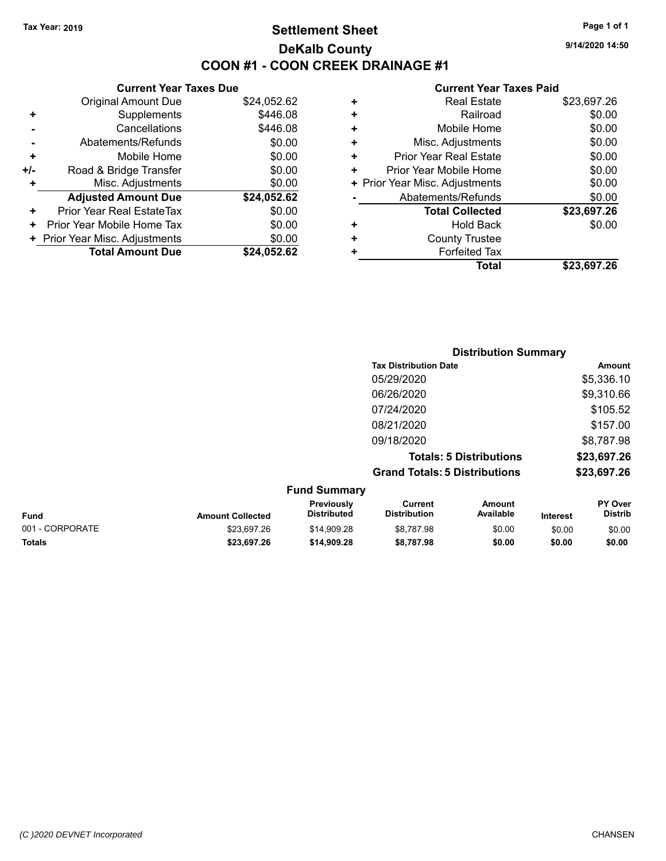# **Settlement Sheet Tax Year: 2019 Page 1 of 1 DeKalb County COON #1 - COON CREEK DRAINAGE #1**

**9/14/2020 14:50**

|     | <b>Current Year Taxes Due</b>  |             |
|-----|--------------------------------|-------------|
|     | <b>Original Amount Due</b>     | \$24,052.62 |
| ٠   | Supplements                    | \$446.08    |
|     | Cancellations                  | \$446.08    |
|     | Abatements/Refunds             | \$0.00      |
| ÷   | Mobile Home                    | \$0.00      |
| +/- | Road & Bridge Transfer         | \$0.00      |
| ٠   | Misc. Adjustments              | \$0.00      |
|     | <b>Adjusted Amount Due</b>     | \$24,052.62 |
| ٠   | Prior Year Real EstateTax      | \$0.00      |
| ٠   | Prior Year Mobile Home Tax     | \$0.00      |
|     | + Prior Year Misc. Adjustments | \$0.00      |
|     | <b>Total Amount Due</b>        | \$24.052.62 |
|     |                                |             |

| ٠ | <b>Real Estate</b>             | \$23,697.26 |
|---|--------------------------------|-------------|
| ٠ | Railroad                       | \$0.00      |
| ٠ | Mobile Home                    | \$0.00      |
| ÷ | Misc. Adjustments              | \$0.00      |
| ٠ | <b>Prior Year Real Estate</b>  | \$0.00      |
| ٠ | Prior Year Mobile Home         | \$0.00      |
|   | + Prior Year Misc. Adjustments | \$0.00      |
|   | Abatements/Refunds             | \$0.00      |
|   | <b>Total Collected</b>         | \$23,697.26 |
| ٠ | Hold Back                      | \$0.00      |
| ٠ | <b>County Trustee</b>          |             |
| ٠ | <b>Forfeited Tax</b>           |             |
|   | Total                          | \$23,697.26 |

|                     | <b>Distribution Summary</b>          |             |
|---------------------|--------------------------------------|-------------|
|                     | <b>Tax Distribution Date</b>         | Amount      |
|                     | 05/29/2020                           | \$5,336.10  |
|                     | 06/26/2020                           | \$9,310.66  |
|                     | 07/24/2020                           | \$105.52    |
|                     | 08/21/2020                           | \$157.00    |
|                     | 09/18/2020                           | \$8,787.98  |
|                     | <b>Totals: 5 Distributions</b>       | \$23,697.26 |
|                     | <b>Grand Totals: 5 Distributions</b> | \$23,697.26 |
| <b>Fund Summary</b> |                                      |             |

| <b>Amount Collected</b> | <b>Previously</b><br>Distributed | Current<br><b>Distribution</b> | Amount<br>Available | <b>Interest</b> | <b>PY Over</b><br><b>Distrib</b> |
|-------------------------|----------------------------------|--------------------------------|---------------------|-----------------|----------------------------------|
| \$23.697.26             | \$14,909.28                      | \$8.787.98                     | \$0.00              | \$0.00          | \$0.00                           |
| \$23.697.26             | \$14.909.28                      | \$8.787.98                     | \$0.00              | \$0.00          | \$0.00                           |
|                         |                                  |                                |                     |                 |                                  |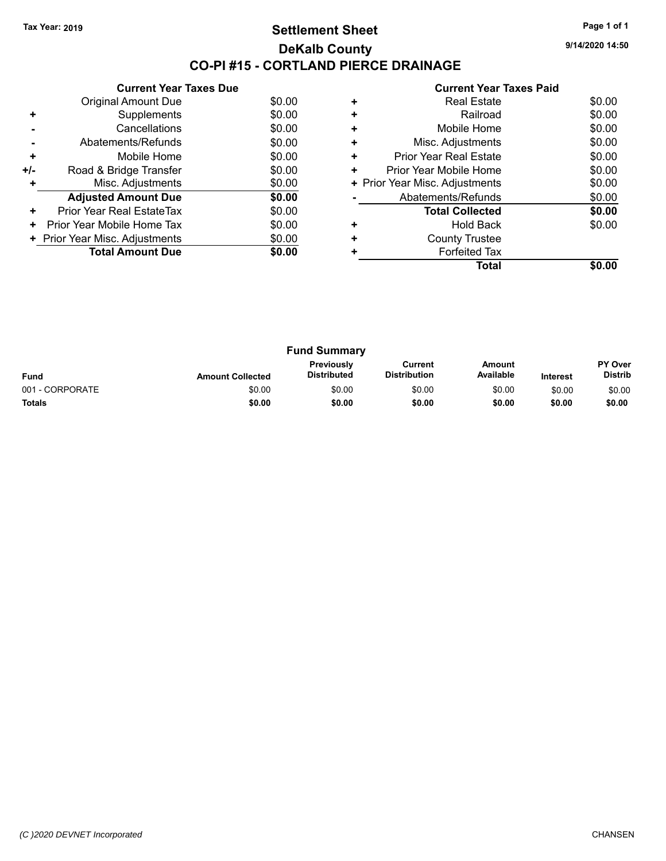## **Settlement Sheet Tax Year: 2019 Page 1 of 1 DeKalb County CO-PI #15 - CORTLAND PIERCE DRAINAGE**

**9/14/2020 14:50**

|       | <b>Current Year Taxes Due</b>  |        |
|-------|--------------------------------|--------|
|       | <b>Original Amount Due</b>     | \$0.00 |
| ٠     | Supplements                    | \$0.00 |
|       | Cancellations                  | \$0.00 |
|       | Abatements/Refunds             | \$0.00 |
| ٠     | Mobile Home                    | \$0.00 |
| $+/-$ | Road & Bridge Transfer         | \$0.00 |
| ٠     | Misc. Adjustments              | \$0.00 |
|       | <b>Adjusted Amount Due</b>     | \$0.00 |
| ÷     | Prior Year Real EstateTax      | \$0.00 |
| ٠     | Prior Year Mobile Home Tax     | \$0.00 |
|       | + Prior Year Misc. Adjustments | \$0.00 |
|       | <b>Total Amount Due</b>        | \$0.00 |
|       |                                |        |

|   | <b>Real Estate</b>             | \$0.00 |
|---|--------------------------------|--------|
| ٠ | Railroad                       | \$0.00 |
| ٠ | Mobile Home                    | \$0.00 |
| ٠ | Misc. Adjustments              | \$0.00 |
| ٠ | Prior Year Real Estate         | \$0.00 |
| ٠ | Prior Year Mobile Home         | \$0.00 |
|   | + Prior Year Misc. Adjustments | \$0.00 |
|   | Abatements/Refunds             | \$0.00 |
|   | <b>Total Collected</b>         | \$0.00 |
| ٠ | <b>Hold Back</b>               | \$0.00 |
| ٠ | <b>County Trustee</b>          |        |
|   | <b>Forfeited Tax</b>           |        |
|   | Total                          |        |

| <b>Fund Summary</b> |                         |                                         |                                |                     |                 |                                  |
|---------------------|-------------------------|-----------------------------------------|--------------------------------|---------------------|-----------------|----------------------------------|
| <b>Fund</b>         | <b>Amount Collected</b> | <b>Previously</b><br><b>Distributed</b> | Current<br><b>Distribution</b> | Amount<br>Available | <b>Interest</b> | <b>PY Over</b><br><b>Distrib</b> |
| 001 - CORPORATE     | \$0.00                  | \$0.00                                  | \$0.00                         | \$0.00              | \$0.00          | \$0.00                           |
| <b>Totals</b>       | \$0.00                  | \$0.00                                  | \$0.00                         | \$0.00              | \$0.00          | \$0.00                           |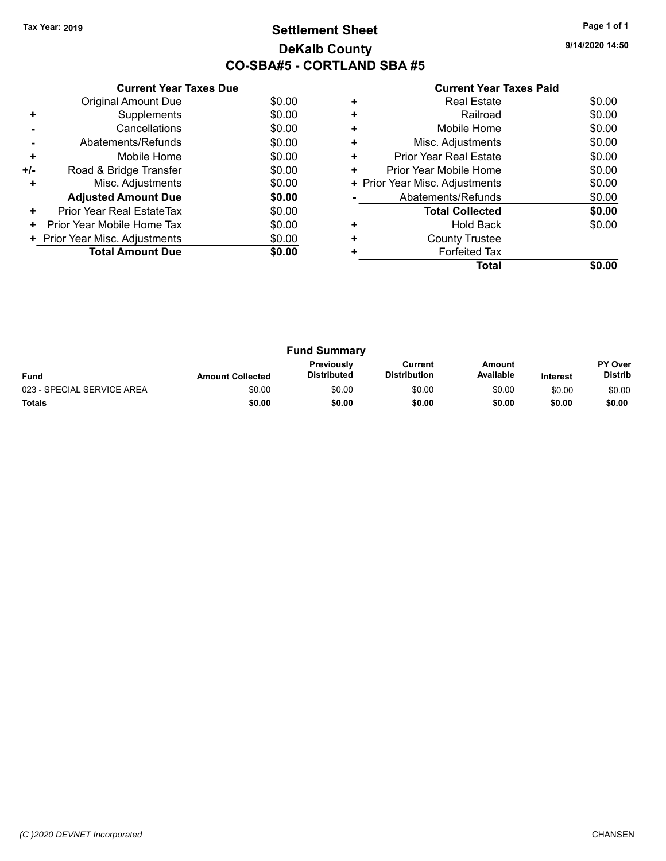# **Settlement Sheet Tax Year: 2019 Page 1 of 1 DeKalb County CO-SBA#5 - CORTLAND SBA #5**

**9/14/2020 14:50**

|     | <b>Current Year Taxes Due</b>    |        |
|-----|----------------------------------|--------|
|     | <b>Original Amount Due</b>       | \$0.00 |
|     | Supplements                      | \$0.00 |
|     | Cancellations                    | \$0.00 |
|     | Abatements/Refunds               | \$0.00 |
| ٠   | Mobile Home                      | \$0.00 |
| +/- | Road & Bridge Transfer           | \$0.00 |
|     | Misc. Adjustments                | \$0.00 |
|     | <b>Adjusted Amount Due</b>       | \$0.00 |
| ٠   | <b>Prior Year Real EstateTax</b> | \$0.00 |
| ÷   | Prior Year Mobile Home Tax       | \$0.00 |
|     | + Prior Year Misc. Adjustments   | \$0.00 |
|     | <b>Total Amount Due</b>          | \$0.00 |
|     |                                  |        |

|   | Real Estate                    | \$0.00 |
|---|--------------------------------|--------|
| ٠ | Railroad                       | \$0.00 |
| ٠ | Mobile Home                    | \$0.00 |
| ٠ | Misc. Adjustments              | \$0.00 |
| ٠ | <b>Prior Year Real Estate</b>  | \$0.00 |
| ٠ | Prior Year Mobile Home         | \$0.00 |
|   | + Prior Year Misc. Adjustments | \$0.00 |
|   | Abatements/Refunds             | \$0.00 |
|   | <b>Total Collected</b>         | \$0.00 |
|   | <b>Hold Back</b>               | \$0.00 |
| ٠ | <b>County Trustee</b>          |        |
|   | <b>Forfeited Tax</b>           |        |
|   | Total                          |        |

| <b>Fund Summary</b>        |                         |                                         |                                |                     |                 |                                  |
|----------------------------|-------------------------|-----------------------------------------|--------------------------------|---------------------|-----------------|----------------------------------|
| <b>Fund</b>                | <b>Amount Collected</b> | <b>Previously</b><br><b>Distributed</b> | Current<br><b>Distribution</b> | Amount<br>Available | <b>Interest</b> | <b>PY Over</b><br><b>Distrib</b> |
| 023 - SPECIAL SERVICE AREA | \$0.00                  | \$0.00                                  | \$0.00                         | \$0.00              | \$0.00          | \$0.00                           |
| <b>Totals</b>              | \$0.00                  | \$0.00                                  | \$0.00                         | \$0.00              | \$0.00          | \$0.00                           |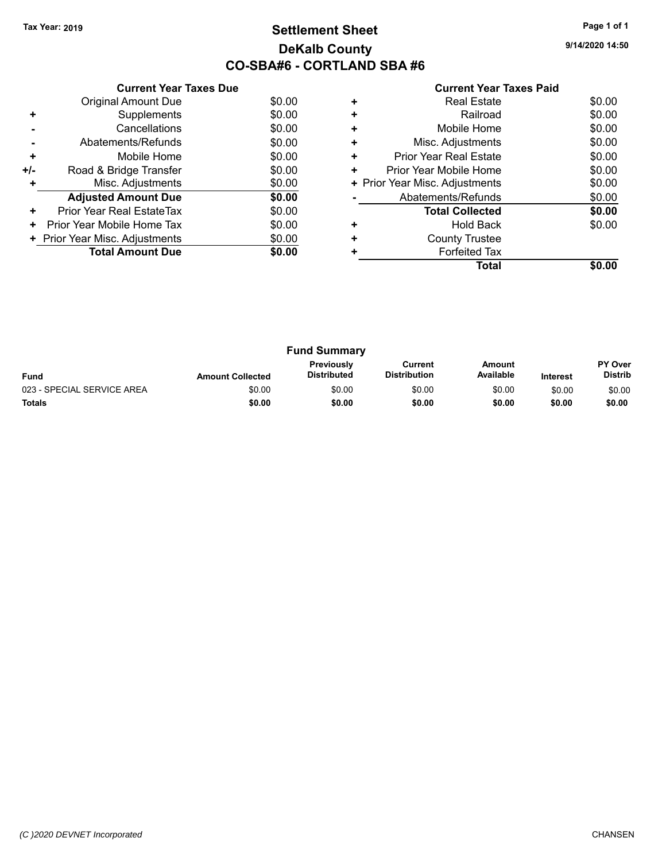# **Settlement Sheet Tax Year: 2019 Page 1 of 1 DeKalb County CO-SBA#6 - CORTLAND SBA #6**

**9/14/2020 14:50**

| <b>Current Year Taxes Paid</b> |  |  |  |
|--------------------------------|--|--|--|
|--------------------------------|--|--|--|

|     | <b>Current Year Taxes Due</b>  |        |
|-----|--------------------------------|--------|
|     | <b>Original Amount Due</b>     | \$0.00 |
| ٠   | Supplements                    | \$0.00 |
|     | Cancellations                  | \$0.00 |
|     | Abatements/Refunds             | \$0.00 |
| ٠   | Mobile Home                    | \$0.00 |
| +/- | Road & Bridge Transfer         | \$0.00 |
|     | Misc. Adjustments              | \$0.00 |
|     | <b>Adjusted Amount Due</b>     | \$0.00 |
| ÷   | Prior Year Real EstateTax      | \$0.00 |
| ٠   | Prior Year Mobile Home Tax     | \$0.00 |
|     | + Prior Year Misc. Adjustments | \$0.00 |
|     | <b>Total Amount Due</b>        | \$0.00 |
|     |                                |        |

|   | <b>Real Estate</b>             | \$0.00 |
|---|--------------------------------|--------|
|   | Railroad                       | \$0.00 |
| ÷ | Mobile Home                    | \$0.00 |
| ٠ | Misc. Adjustments              | \$0.00 |
| ٠ | <b>Prior Year Real Estate</b>  | \$0.00 |
| ٠ | Prior Year Mobile Home         | \$0.00 |
|   | + Prior Year Misc. Adjustments | \$0.00 |
|   | Abatements/Refunds             | \$0.00 |
|   | <b>Total Collected</b>         | \$0.00 |
|   | <b>Hold Back</b>               | \$0.00 |
|   | <b>County Trustee</b>          |        |
|   | <b>Forfeited Tax</b>           |        |
|   | Total                          |        |

| <b>Fund Summary</b>        |                         |                                         |                                |                     |                 |                                  |
|----------------------------|-------------------------|-----------------------------------------|--------------------------------|---------------------|-----------------|----------------------------------|
| <b>Fund</b>                | <b>Amount Collected</b> | <b>Previously</b><br><b>Distributed</b> | Current<br><b>Distribution</b> | Amount<br>Available | <b>Interest</b> | <b>PY Over</b><br><b>Distrib</b> |
| 023 - SPECIAL SERVICE AREA | \$0.00                  | \$0.00                                  | \$0.00                         | \$0.00              | \$0.00          | \$0.00                           |
| <b>Totals</b>              | \$0.00                  | \$0.00                                  | \$0.00                         | \$0.00              | \$0.00          | \$0.00                           |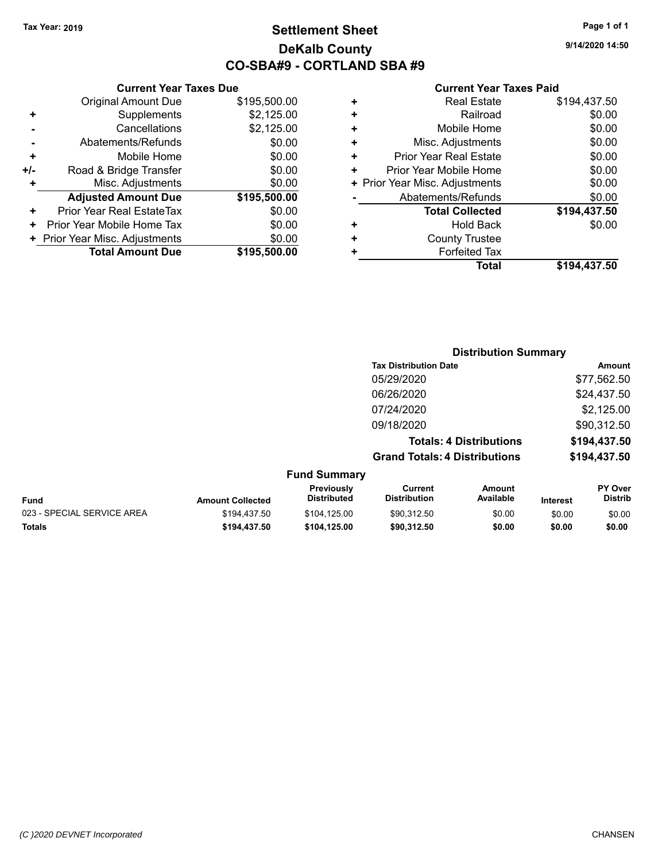# **Settlement Sheet Tax Year: 2019 Page 1 of 1 DeKalb County CO-SBA#9 - CORTLAND SBA #9**

**9/14/2020 14:50**

|     | <b>Current Year Taxes Due</b>  |              |  |  |  |
|-----|--------------------------------|--------------|--|--|--|
|     | <b>Original Amount Due</b>     | \$195,500.00 |  |  |  |
| ٠   | Supplements                    | \$2,125.00   |  |  |  |
|     | Cancellations                  | \$2,125.00   |  |  |  |
|     | Abatements/Refunds             | \$0.00       |  |  |  |
| ٠   | Mobile Home                    | \$0.00       |  |  |  |
| +/- | Road & Bridge Transfer         | \$0.00       |  |  |  |
|     | \$0.00<br>Misc. Adjustments    |              |  |  |  |
|     | <b>Adjusted Amount Due</b>     | \$195,500.00 |  |  |  |
| ٠   | Prior Year Real EstateTax      | \$0.00       |  |  |  |
|     | Prior Year Mobile Home Tax     | \$0.00       |  |  |  |
|     | + Prior Year Misc. Adjustments | \$0.00       |  |  |  |
|     | <b>Total Amount Due</b>        | \$195,500.00 |  |  |  |
|     |                                |              |  |  |  |

| ٠ | <b>Real Estate</b>             | \$194,437.50 |
|---|--------------------------------|--------------|
| ٠ | Railroad                       | \$0.00       |
| ٠ | Mobile Home                    | \$0.00       |
| ٠ | Misc. Adjustments              | \$0.00       |
| ٠ | <b>Prior Year Real Estate</b>  | \$0.00       |
| ٠ | Prior Year Mobile Home         | \$0.00       |
|   | + Prior Year Misc. Adjustments | \$0.00       |
|   | Abatements/Refunds             | \$0.00       |
|   | <b>Total Collected</b>         | \$194,437.50 |
| ٠ | <b>Hold Back</b>               | \$0.00       |
| ٠ | <b>County Trustee</b>          |              |
| ٠ | <b>Forfeited Tax</b>           |              |
|   | Total                          | \$194,437.50 |
|   |                                |              |

|                     | <b>Distribution Summary</b>          |              |
|---------------------|--------------------------------------|--------------|
|                     | <b>Tax Distribution Date</b>         | Amount       |
|                     | 05/29/2020                           | \$77,562.50  |
|                     | 06/26/2020                           | \$24,437.50  |
|                     | 07/24/2020                           | \$2,125.00   |
|                     | 09/18/2020                           | \$90,312.50  |
|                     | <b>Totals: 4 Distributions</b>       | \$194,437.50 |
|                     | <b>Grand Totals: 4 Distributions</b> | \$194,437.50 |
| <b>Fund Summary</b> |                                      |              |

| Fund                       | <b>Amount Collected</b> | Previously<br><b>Distributed</b> | Current<br><b>Distribution</b> | Amount<br>Available | <b>Interest</b> | <b>PY Over</b><br><b>Distrib</b> |
|----------------------------|-------------------------|----------------------------------|--------------------------------|---------------------|-----------------|----------------------------------|
| 023 - SPECIAL SERVICE AREA | \$194.437.50            | \$104.125.00                     | \$90.312.50                    | \$0.00              | \$0.00          | \$0.00                           |
| <b>Totals</b>              | \$194.437.50            | \$104.125.00                     | \$90.312.50                    | \$0.00              | \$0.00          | \$0.00                           |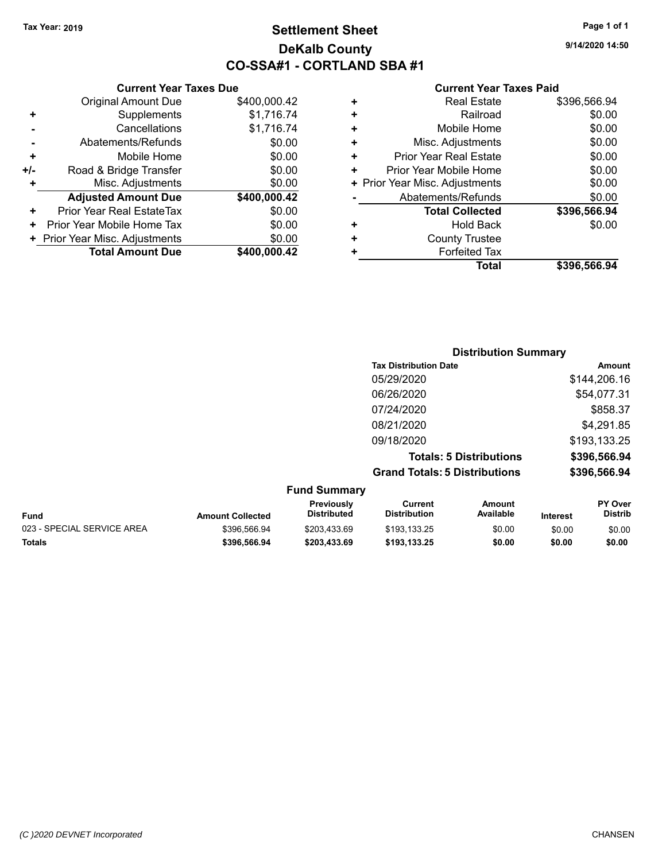**Current Year Taxes Due**

# **Settlement Sheet Tax Year: 2019 Page 1 of 1 DeKalb County CO-SSA#1 - CORTLAND SBA #1**

**9/14/2020 14:50**

#### **Current Year Taxes Paid**

|                      |                                |              |    | <b>Total</b>                   | \$396,566.94 |
|----------------------|--------------------------------|--------------|----|--------------------------------|--------------|
|                      | <b>Total Amount Due</b>        | \$400,000.42 |    | <b>Forfeited Tax</b>           |              |
|                      | + Prior Year Misc. Adjustments | \$0.00       | ٠  | <b>County Trustee</b>          |              |
|                      | + Prior Year Mobile Home Tax   | \$0.00       | ٠  | <b>Hold Back</b>               | \$0.00       |
| ÷                    | Prior Year Real EstateTax      | \$0.00       |    | <b>Total Collected</b>         | \$396,566.94 |
|                      | <b>Adjusted Amount Due</b>     | \$400,000.42 |    | Abatements/Refunds             | \$0.00       |
| ÷                    | Misc. Adjustments              | \$0.00       |    | + Prior Year Misc. Adjustments | \$0.00       |
| I-                   | Road & Bridge Transfer         | \$0.00       | ÷. | Prior Year Mobile Home         | \$0.00       |
| $\ddot{\phantom{1}}$ | Mobile Home                    | \$0.00       | ٠  | <b>Prior Year Real Estate</b>  | \$0.00       |
|                      | Abatements/Refunds             | \$0.00       | ٠  | Misc. Adjustments              | \$0.00       |
|                      | Cancellations                  | \$1,716.74   |    | Mobile Home                    | \$0.00       |
| $\ddot{}$            | Supplements                    | \$1,716.74   | ٠  | Railroad                       | \$0.00       |
|                      | <b>Original Amount Due</b>     | \$400,000.42 | ٠  | <b>Real Estate</b>             | \$396,566.94 |
|                      |                                |              |    |                                |              |

|                            |                         |                                  |                                       |                                | <b>Distribution Summary</b> |                           |  |
|----------------------------|-------------------------|----------------------------------|---------------------------------------|--------------------------------|-----------------------------|---------------------------|--|
|                            |                         |                                  | <b>Tax Distribution Date</b>          |                                |                             | Amount                    |  |
|                            |                         |                                  | 05/29/2020                            |                                |                             | \$144,206.16              |  |
|                            |                         |                                  | 06/26/2020                            |                                |                             | \$54,077.31               |  |
|                            |                         |                                  | 07/24/2020                            |                                |                             | \$858.37                  |  |
|                            |                         |                                  | 08/21/2020                            |                                |                             | \$4,291.85                |  |
|                            |                         |                                  | 09/18/2020                            |                                |                             | \$193,133.25              |  |
|                            |                         |                                  |                                       | <b>Totals: 5 Distributions</b> |                             | \$396,566.94              |  |
|                            |                         |                                  | <b>Grand Totals: 5 Distributions</b>  |                                |                             | \$396,566.94              |  |
|                            |                         | <b>Fund Summary</b>              |                                       |                                |                             |                           |  |
| <b>Fund</b>                | <b>Amount Collected</b> | Previously<br><b>Distributed</b> | <b>Current</b><br><b>Distribution</b> | <b>Amount</b><br>Available     | Interest                    | PY Over<br><b>Distrib</b> |  |
| 023 - SPECIAL SERVICE AREA | \$396,566.94            | \$203,433.69                     | \$193,133.25                          | \$0.00                         | \$0.00                      | \$0.00                    |  |

**Totals \$396,566.94 \$203,433.69 \$193,133.25 \$0.00 \$0.00 \$0.00**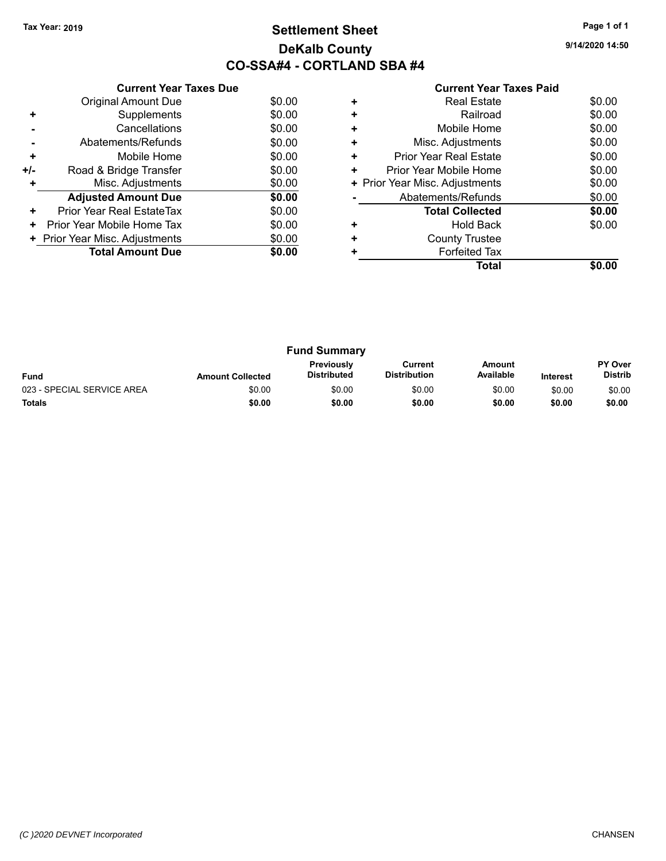# **Settlement Sheet Tax Year: 2019 Page 1 of 1 DeKalb County CO-SSA#4 - CORTLAND SBA #4**

**9/14/2020 14:50**

|     | <b>Current Year Taxes Due</b>  |        |  |  |  |
|-----|--------------------------------|--------|--|--|--|
|     | <b>Original Amount Due</b>     | \$0.00 |  |  |  |
| ٠   | Supplements                    | \$0.00 |  |  |  |
|     | Cancellations                  | \$0.00 |  |  |  |
|     | Abatements/Refunds             | \$0.00 |  |  |  |
| ٠   | Mobile Home                    | \$0.00 |  |  |  |
| +/- | Road & Bridge Transfer         | \$0.00 |  |  |  |
| ٠   | Misc. Adjustments<br>\$0.00    |        |  |  |  |
|     | <b>Adjusted Amount Due</b>     | \$0.00 |  |  |  |
| ٠   | Prior Year Real EstateTax      | \$0.00 |  |  |  |
| ٠   | Prior Year Mobile Home Tax     | \$0.00 |  |  |  |
|     | + Prior Year Misc. Adjustments | \$0.00 |  |  |  |
|     | <b>Total Amount Due</b>        | \$0.00 |  |  |  |
|     |                                |        |  |  |  |

|   | <b>Real Estate</b>             | \$0.00 |
|---|--------------------------------|--------|
| ٠ | Railroad                       | \$0.00 |
| ٠ | Mobile Home                    | \$0.00 |
| ٠ | Misc. Adjustments              | \$0.00 |
| ٠ | <b>Prior Year Real Estate</b>  | \$0.00 |
| ٠ | Prior Year Mobile Home         | \$0.00 |
|   | + Prior Year Misc. Adjustments | \$0.00 |
|   | Abatements/Refunds             | \$0.00 |
|   | <b>Total Collected</b>         | \$0.00 |
| ٠ | <b>Hold Back</b>               | \$0.00 |
| ٠ | <b>County Trustee</b>          |        |
|   | <b>Forfeited Tax</b>           |        |
|   | Total                          |        |

| <b>Fund Summary</b>        |                         |                                         |                                |                     |                 |                                  |
|----------------------------|-------------------------|-----------------------------------------|--------------------------------|---------------------|-----------------|----------------------------------|
| <b>Fund</b>                | <b>Amount Collected</b> | <b>Previously</b><br><b>Distributed</b> | Current<br><b>Distribution</b> | Amount<br>Available | <b>Interest</b> | <b>PY Over</b><br><b>Distrib</b> |
| 023 - SPECIAL SERVICE AREA | \$0.00                  | \$0.00                                  | \$0.00                         | \$0.00              | \$0.00          | \$0.00                           |
| <b>Totals</b>              | \$0.00                  | \$0.00                                  | \$0.00                         | \$0.00              | \$0.00          | \$0.00                           |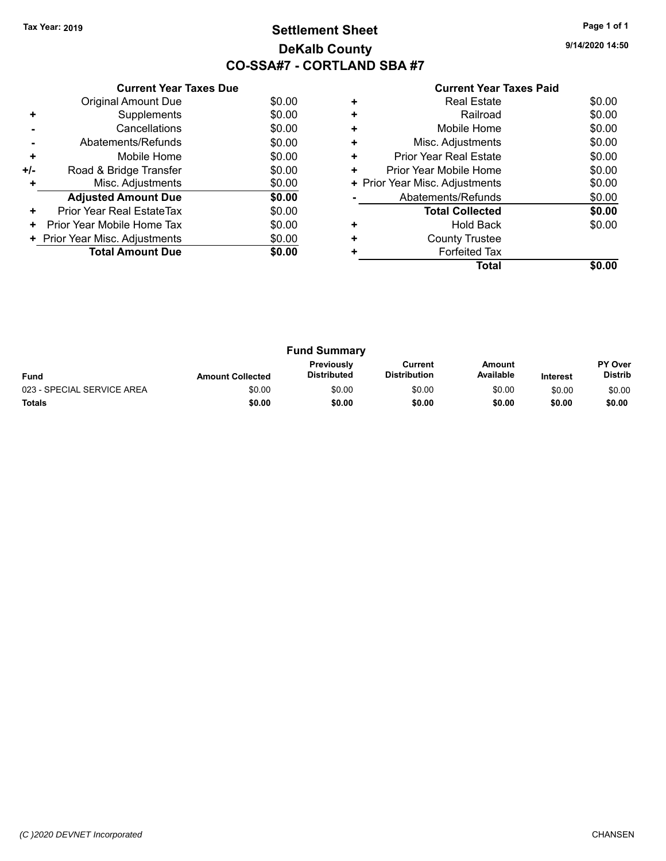# **Settlement Sheet Tax Year: 2019 Page 1 of 1 DeKalb County CO-SSA#7 - CORTLAND SBA #7**

**9/14/2020 14:50**

|     | <b>Current Year Taxes Due</b>  |        |
|-----|--------------------------------|--------|
|     | <b>Original Amount Due</b>     | \$0.00 |
|     | Supplements                    | \$0.00 |
|     | Cancellations                  | \$0.00 |
|     | Abatements/Refunds             | \$0.00 |
| ٠   | Mobile Home                    | \$0.00 |
| +/- | Road & Bridge Transfer         | \$0.00 |
|     | Misc. Adjustments              | \$0.00 |
|     | <b>Adjusted Amount Due</b>     | \$0.00 |
| ÷   | Prior Year Real EstateTax      | \$0.00 |
| ٠   | Prior Year Mobile Home Tax     | \$0.00 |
|     | + Prior Year Misc. Adjustments | \$0.00 |
|     | <b>Total Amount Due</b>        | \$0.00 |
|     |                                |        |

|   | Total                          |        |
|---|--------------------------------|--------|
|   | <b>Forfeited Tax</b>           |        |
| ٠ | <b>County Trustee</b>          |        |
| ٠ | Hold Back                      | \$0.00 |
|   | <b>Total Collected</b>         | \$0.00 |
|   | Abatements/Refunds             | \$0.00 |
|   | + Prior Year Misc. Adjustments | \$0.00 |
|   | Prior Year Mobile Home         | \$0.00 |
| ٠ | Prior Year Real Estate         | \$0.00 |
| ٠ | Misc. Adjustments              | \$0.00 |
| ÷ | Mobile Home                    | \$0.00 |
| ÷ | Railroad                       | \$0.00 |
|   | <b>Real Estate</b>             | \$0.00 |

| <b>Fund Summary</b>        |                         |                                         |                                |                     |                 |                                  |
|----------------------------|-------------------------|-----------------------------------------|--------------------------------|---------------------|-----------------|----------------------------------|
| <b>Fund</b>                | <b>Amount Collected</b> | <b>Previously</b><br><b>Distributed</b> | Current<br><b>Distribution</b> | Amount<br>Available | <b>Interest</b> | <b>PY Over</b><br><b>Distrib</b> |
| 023 - SPECIAL SERVICE AREA | \$0.00                  | \$0.00                                  | \$0.00                         | \$0.00              | \$0.00          | \$0.00                           |
| <b>Totals</b>              | \$0.00                  | \$0.00                                  | \$0.00                         | \$0.00              | \$0.00          | \$0.00                           |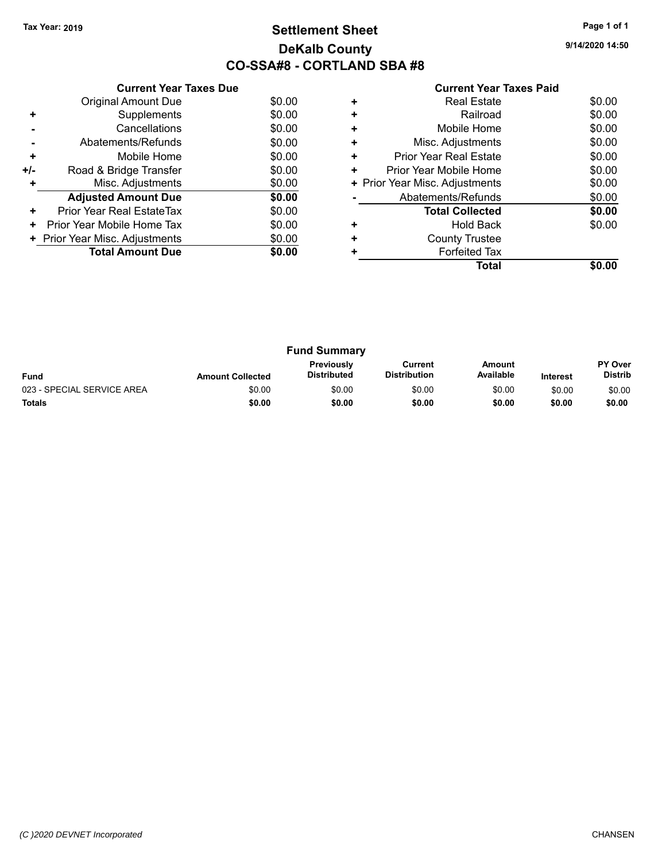# **Settlement Sheet Tax Year: 2019 Page 1 of 1 DeKalb County CO-SSA#8 - CORTLAND SBA #8**

**9/14/2020 14:50**

|     | <b>Current Year Taxes Due</b>  |        |  |  |  |  |
|-----|--------------------------------|--------|--|--|--|--|
|     | <b>Original Amount Due</b>     | \$0.00 |  |  |  |  |
| ÷   | Supplements                    | \$0.00 |  |  |  |  |
|     | Cancellations                  | \$0.00 |  |  |  |  |
|     | Abatements/Refunds             | \$0.00 |  |  |  |  |
| ٠   | Mobile Home                    | \$0.00 |  |  |  |  |
| +/- | Road & Bridge Transfer         | \$0.00 |  |  |  |  |
| ٠   | Misc. Adjustments<br>\$0.00    |        |  |  |  |  |
|     | <b>Adjusted Amount Due</b>     | \$0.00 |  |  |  |  |
| ٠   | Prior Year Real EstateTax      | \$0.00 |  |  |  |  |
| ٠   | Prior Year Mobile Home Tax     | \$0.00 |  |  |  |  |
|     | + Prior Year Misc. Adjustments | \$0.00 |  |  |  |  |
|     | <b>Total Amount Due</b>        | \$0.00 |  |  |  |  |
|     |                                |        |  |  |  |  |

## **Current Year Taxes Paid +** Real Estate \$0.00

| Total                          |        |  |
|--------------------------------|--------|--|
| <b>Forfeited Tax</b>           |        |  |
| <b>County Trustee</b>          |        |  |
| <b>Hold Back</b>               | \$0.00 |  |
| <b>Total Collected</b>         | \$0.00 |  |
| Abatements/Refunds             | \$0.00 |  |
| + Prior Year Misc. Adjustments |        |  |
| Prior Year Mobile Home         | \$0.00 |  |
| <b>Prior Year Real Estate</b>  | \$0.00 |  |
| Misc. Adjustments              | \$0.00 |  |
| Mobile Home                    | \$0.00 |  |
| Railroad                       | \$0.00 |  |
|                                |        |  |

|                            |                         | <b>Fund Summary</b>              |                                |                            |                 |                           |
|----------------------------|-------------------------|----------------------------------|--------------------------------|----------------------------|-----------------|---------------------------|
| <b>Fund</b>                | <b>Amount Collected</b> | <b>Previously</b><br>Distributed | Current<br><b>Distribution</b> | <b>Amount</b><br>Available | <b>Interest</b> | PY Over<br><b>Distrib</b> |
| 023 - SPECIAL SERVICE AREA | \$0.00                  | \$0.00                           | \$0.00                         | \$0.00                     | \$0.00          | \$0.00                    |
| <b>Totals</b>              | \$0.00                  | \$0.00                           | \$0.00                         | \$0.00                     | \$0.00          | \$0.00                    |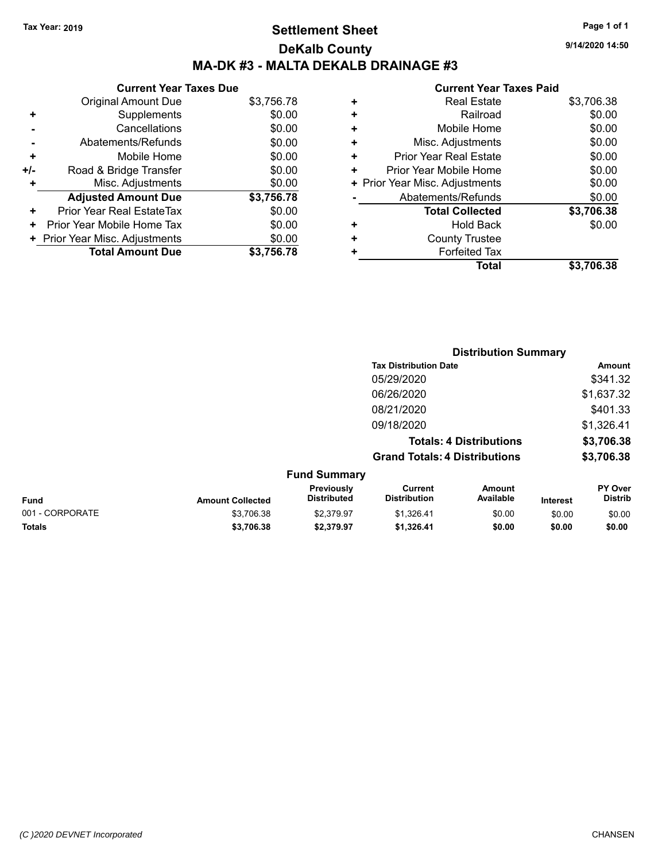# **Settlement Sheet Tax Year: 2019 Page 1 of 1 DeKalb County MA-DK #3 - MALTA DEKALB DRAINAGE #3**

**9/14/2020 14:50**

#### **Current Year Taxes Paid**

|     | <b>Current Year Taxes Due</b>  |            |  |  |  |  |
|-----|--------------------------------|------------|--|--|--|--|
|     | <b>Original Amount Due</b>     | \$3,756.78 |  |  |  |  |
| ٠   | Supplements                    | \$0.00     |  |  |  |  |
|     | Cancellations                  | \$0.00     |  |  |  |  |
|     | Abatements/Refunds             | \$0.00     |  |  |  |  |
| ÷   | Mobile Home                    | \$0.00     |  |  |  |  |
| +/- | Road & Bridge Transfer         | \$0.00     |  |  |  |  |
|     | Misc. Adjustments              | \$0.00     |  |  |  |  |
|     | <b>Adjusted Amount Due</b>     | \$3,756.78 |  |  |  |  |
| ٠   | Prior Year Real EstateTax      | \$0.00     |  |  |  |  |
| ٠   | Prior Year Mobile Home Tax     | \$0.00     |  |  |  |  |
|     | + Prior Year Misc. Adjustments | \$0.00     |  |  |  |  |
|     | <b>Total Amount Due</b>        | \$3,756,78 |  |  |  |  |

|                                | <b>Real Estate</b>            | \$3,706.38 |
|--------------------------------|-------------------------------|------------|
| ٠                              | Railroad                      | \$0.00     |
| ٠                              | Mobile Home                   | \$0.00     |
| ÷                              | Misc. Adjustments             | \$0.00     |
| ٠                              | <b>Prior Year Real Estate</b> | \$0.00     |
| ÷                              | Prior Year Mobile Home        | \$0.00     |
| + Prior Year Misc. Adjustments |                               | \$0.00     |
|                                | Abatements/Refunds            | \$0.00     |
|                                | <b>Total Collected</b>        | \$3,706.38 |
| ٠                              | Hold Back                     | \$0.00     |
| ٠                              | <b>County Trustee</b>         |            |
| ٠                              | <b>Forfeited Tax</b>          |            |
|                                | Total                         | \$3.706.38 |
|                                |                               |            |

|                 |                         |                                  | <b>Distribution Summary</b>           |                                |                 |                                  |
|-----------------|-------------------------|----------------------------------|---------------------------------------|--------------------------------|-----------------|----------------------------------|
|                 |                         |                                  | <b>Tax Distribution Date</b>          |                                |                 | Amount                           |
|                 |                         |                                  | 05/29/2020                            |                                |                 | \$341.32                         |
|                 |                         |                                  | 06/26/2020                            |                                |                 | \$1,637.32                       |
|                 |                         |                                  | 08/21/2020                            |                                |                 | \$401.33                         |
|                 |                         |                                  | 09/18/2020                            |                                |                 | \$1,326.41                       |
|                 |                         |                                  |                                       | <b>Totals: 4 Distributions</b> |                 | \$3,706.38                       |
|                 |                         |                                  | <b>Grand Totals: 4 Distributions</b>  |                                |                 | \$3,706.38                       |
|                 |                         | <b>Fund Summary</b>              |                                       |                                |                 |                                  |
| Fund            | <b>Amount Collected</b> | Previously<br><b>Distributed</b> | <b>Current</b><br><b>Distribution</b> | <b>Amount</b><br>Available     | <b>Interest</b> | <b>PY Over</b><br><b>Distrib</b> |
| 001 - CORPORATE | \$3,706.38              | \$2.379.97                       | \$1,326.41                            | \$0.00                         | \$0.00          | \$0.00                           |
|                 |                         |                                  |                                       |                                |                 |                                  |

**Totals \$3,706.38 \$2,379.97 \$1,326.41 \$0.00 \$0.00 \$0.00**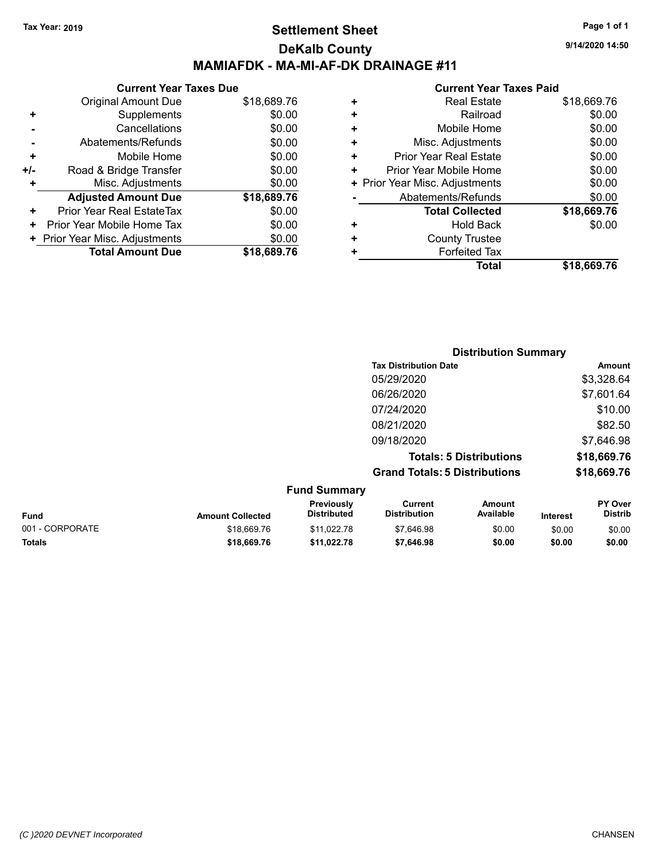## **Settlement Sheet Tax Year: 2019 Page 1 of 1 DeKalb County MAMIAFDK - MA-MI-AF-DK DRAINAGE #11**

**9/14/2020 14:50**

|     | <b>Current Year Taxes Due</b>  |             |
|-----|--------------------------------|-------------|
|     | <b>Original Amount Due</b>     | \$18,689.76 |
| ٠   | Supplements                    | \$0.00      |
|     | Cancellations                  | \$0.00      |
|     | Abatements/Refunds             | \$0.00      |
| ٠   | Mobile Home                    | \$0.00      |
| +/- | Road & Bridge Transfer         | \$0.00      |
|     | Misc. Adjustments              | \$0.00      |
|     | <b>Adjusted Amount Due</b>     | \$18,689.76 |
| ٠   | Prior Year Real EstateTax      | \$0.00      |
| ٠   | Prior Year Mobile Home Tax     | \$0.00      |
|     | + Prior Year Misc. Adjustments | \$0.00      |
|     | <b>Total Amount Due</b>        | \$18,689.76 |
|     |                                |             |

|   | <b>Current Year Taxes Paid</b> |             |
|---|--------------------------------|-------------|
| ٠ | <b>Real Estate</b>             | \$18,669.76 |
| ٠ | Railroad                       | \$0.00      |
| ٠ | Mobile Home                    | \$0.00      |
| ٠ | Misc. Adjustments              | \$0.00      |
| ÷ | <b>Prior Year Real Estate</b>  | \$0.00      |
| ٠ | Prior Year Mobile Home         | \$0.00      |
|   | + Prior Year Misc. Adjustments | \$0.00      |
|   | Abatements/Refunds             | \$0.00      |
|   | <b>Total Collected</b>         | \$18,669.76 |
| ٠ | <b>Hold Back</b>               | \$0.00      |
| ٠ | <b>County Trustee</b>          |             |
| ٠ | <b>Forfeited Tax</b>           |             |
|   | Total                          | \$18,669.76 |
|   |                                |             |

|                 |                         |                                  |                                       | <b>Distribution Summary</b>    |                 |                           |
|-----------------|-------------------------|----------------------------------|---------------------------------------|--------------------------------|-----------------|---------------------------|
|                 |                         |                                  | <b>Tax Distribution Date</b>          |                                |                 | <b>Amount</b>             |
|                 |                         |                                  | 05/29/2020                            |                                |                 | \$3,328.64                |
|                 |                         |                                  | 06/26/2020                            |                                |                 | \$7,601.64                |
|                 |                         |                                  | 07/24/2020                            |                                |                 | \$10.00                   |
|                 |                         |                                  | 08/21/2020                            |                                |                 | \$82.50                   |
|                 |                         |                                  | 09/18/2020                            |                                |                 | \$7,646.98                |
|                 |                         |                                  |                                       | <b>Totals: 5 Distributions</b> |                 | \$18,669.76               |
|                 |                         |                                  | <b>Grand Totals: 5 Distributions</b>  |                                |                 | \$18,669.76               |
|                 |                         | <b>Fund Summary</b>              |                                       |                                |                 |                           |
| <b>Fund</b>     | <b>Amount Collected</b> | Previously<br><b>Distributed</b> | <b>Current</b><br><b>Distribution</b> | Amount<br>Available            | <b>Interest</b> | PY Over<br><b>Distrib</b> |
| 001 - CORPORATE | \$18,669.76             | \$11,022.78                      | \$7,646.98                            | \$0.00                         | \$0.00          | \$0.00                    |

**Totals \$18,669.76 \$11,022.78 \$7,646.98 \$0.00 \$0.00 \$0.00**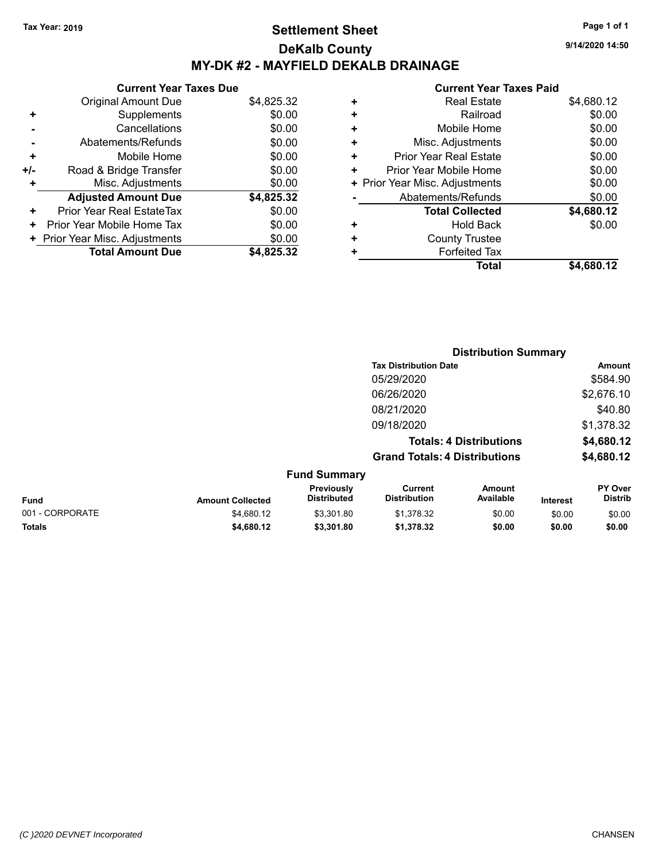# **Settlement Sheet Tax Year: 2019 Page 1 of 1 DeKalb County MY-DK #2 - MAYFIELD DEKALB DRAINAGE**

**Current Year Taxes Due** Original Amount Due \$4,825.32 **+** Supplements \$0.00 **-** Cancellations \$0.00 **-** Abatements/Refunds \$0.00 **+** Mobile Home \$0.00 <sup>+/-</sup> Road & Bridge Transfer \$0.00<br> **+** Misc. Adjustments \$0.00 **+** Misc. Adjustments **Adjusted Amount Due \$4,825.32 +** Prior Year Real EstateTax \$0.00

| <b>Total Amount Due</b>        | \$4,825.32 |
|--------------------------------|------------|
| + Prior Year Misc. Adjustments | \$0.00     |
| + Prior Year Mobile Home Tax   | \$0.00     |
|                                |            |

|   | <b>Real Estate</b>             | \$4,680.12 |
|---|--------------------------------|------------|
| ٠ | Railroad                       | \$0.00     |
| ٠ | Mobile Home                    | \$0.00     |
| ٠ | Misc. Adjustments              | \$0.00     |
| ٠ | Prior Year Real Estate         | \$0.00     |
| ٠ | Prior Year Mobile Home         | \$0.00     |
|   | + Prior Year Misc. Adjustments | \$0.00     |
|   | Abatements/Refunds             | \$0.00     |
|   | <b>Total Collected</b>         | \$4,680.12 |
| ٠ | <b>Hold Back</b>               | \$0.00     |
| ٠ | <b>County Trustee</b>          |            |
| ٠ | <b>Forfeited Tax</b>           |            |
|   | Total                          | \$4,680.12 |
|   |                                |            |

|                         |                                  |                                      | <b>Distribution Summary</b>    |                 |                           |
|-------------------------|----------------------------------|--------------------------------------|--------------------------------|-----------------|---------------------------|
|                         |                                  | <b>Tax Distribution Date</b>         |                                |                 | Amount                    |
|                         |                                  | 05/29/2020                           |                                |                 | \$584.90                  |
|                         |                                  | 06/26/2020                           |                                |                 | \$2,676.10                |
|                         |                                  | 08/21/2020                           |                                |                 | \$40.80                   |
|                         |                                  | 09/18/2020                           |                                |                 | \$1,378.32                |
|                         |                                  |                                      | <b>Totals: 4 Distributions</b> |                 | \$4,680.12                |
|                         |                                  | <b>Grand Totals: 4 Distributions</b> |                                |                 | \$4,680.12                |
|                         | <b>Fund Summary</b>              |                                      |                                |                 |                           |
| <b>Amount Collected</b> | Previously<br><b>Distributed</b> | Current<br><b>Distribution</b>       | Amount<br>Available            | <b>Interest</b> | PY Over<br><b>Distrib</b> |
|                         |                                  |                                      |                                |                 |                           |

| <b>Fund</b>     | <b>Amount Collected</b> | <b>Distributed</b> | <b>Distribution</b> | Available | <b>Interest</b> | <b>Distrib</b> |
|-----------------|-------------------------|--------------------|---------------------|-----------|-----------------|----------------|
| 001 - CORPORATE | \$4,680.12              | \$3.301.80         | \$1.378.32          | \$0.00    | \$0.00          | \$0.00         |
| Totals          | \$4,680.12              | \$3,301.80         | \$1.378.32          | \$0.00    | \$0.00          | \$0.00         |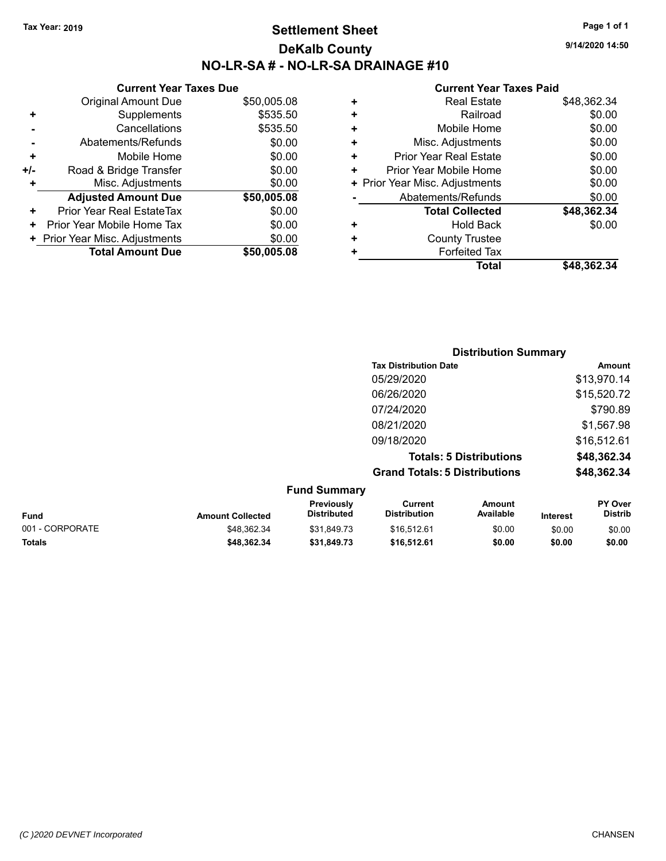## **Settlement Sheet Tax Year: 2019 Page 1 of 1 DeKalb County NO-LR-SA # - NO-LR-SA DRAINAGE #10**

**9/14/2020 14:50**

|     | <b>Current Year Taxes Due</b>  |             |  |  |  |  |  |
|-----|--------------------------------|-------------|--|--|--|--|--|
|     | <b>Original Amount Due</b>     | \$50,005.08 |  |  |  |  |  |
| ٠   | Supplements                    | \$535.50    |  |  |  |  |  |
|     | Cancellations                  | \$535.50    |  |  |  |  |  |
|     | Abatements/Refunds             | \$0.00      |  |  |  |  |  |
| ٠   | Mobile Home                    | \$0.00      |  |  |  |  |  |
| +/- | Road & Bridge Transfer         | \$0.00      |  |  |  |  |  |
|     | Misc. Adjustments              | \$0.00      |  |  |  |  |  |
|     | <b>Adjusted Amount Due</b>     | \$50,005.08 |  |  |  |  |  |
| ٠   | Prior Year Real EstateTax      | \$0.00      |  |  |  |  |  |
|     | Prior Year Mobile Home Tax     | \$0.00      |  |  |  |  |  |
|     | + Prior Year Misc. Adjustments | \$0.00      |  |  |  |  |  |
|     | <b>Total Amount Due</b>        | \$50,005,08 |  |  |  |  |  |

| ٠ | <b>Real Estate</b>             | \$48,362.34 |
|---|--------------------------------|-------------|
| ÷ | Railroad                       | \$0.00      |
| ٠ | Mobile Home                    | \$0.00      |
| ٠ | Misc. Adjustments              | \$0.00      |
| ٠ | Prior Year Real Estate         | \$0.00      |
| ٠ | Prior Year Mobile Home         | \$0.00      |
|   | + Prior Year Misc. Adjustments | \$0.00      |
|   | Abatements/Refunds             | \$0.00      |
|   | <b>Total Collected</b>         | \$48,362.34 |
| ٠ | <b>Hold Back</b>               | \$0.00      |
| ٠ | <b>County Trustee</b>          |             |
| ٠ | <b>Forfeited Tax</b>           |             |
|   | Total                          | \$48,362.34 |
|   |                                |             |

|                     | <b>Distribution Summary</b>          |             |
|---------------------|--------------------------------------|-------------|
|                     | <b>Tax Distribution Date</b>         | Amount      |
|                     | 05/29/2020                           | \$13,970.14 |
|                     | 06/26/2020                           | \$15,520.72 |
|                     | 07/24/2020                           | \$790.89    |
|                     | 08/21/2020                           | \$1,567.98  |
|                     | 09/18/2020                           | \$16,512.61 |
|                     | <b>Totals: 5 Distributions</b>       | \$48,362.34 |
|                     | <b>Grand Totals: 5 Distributions</b> | \$48,362.34 |
| <b>Fund Summary</b> |                                      |             |

| <b>Amount Collected</b> | <b>Previously</b><br>Distributed | Current<br><b>Distribution</b> | Amount<br>Available | <b>Interest</b> | <b>PY Over</b><br><b>Distrib</b> |  |  |
|-------------------------|----------------------------------|--------------------------------|---------------------|-----------------|----------------------------------|--|--|
| \$48,362.34             | \$31.849.73                      | \$16.512.61                    | \$0.00              | \$0.00          | \$0.00                           |  |  |
| \$48.362.34             | \$31.849.73                      | \$16,512.61                    | \$0.00              | \$0.00          | \$0.00                           |  |  |
|                         |                                  |                                | Fullu Juliillial y  |                 |                                  |  |  |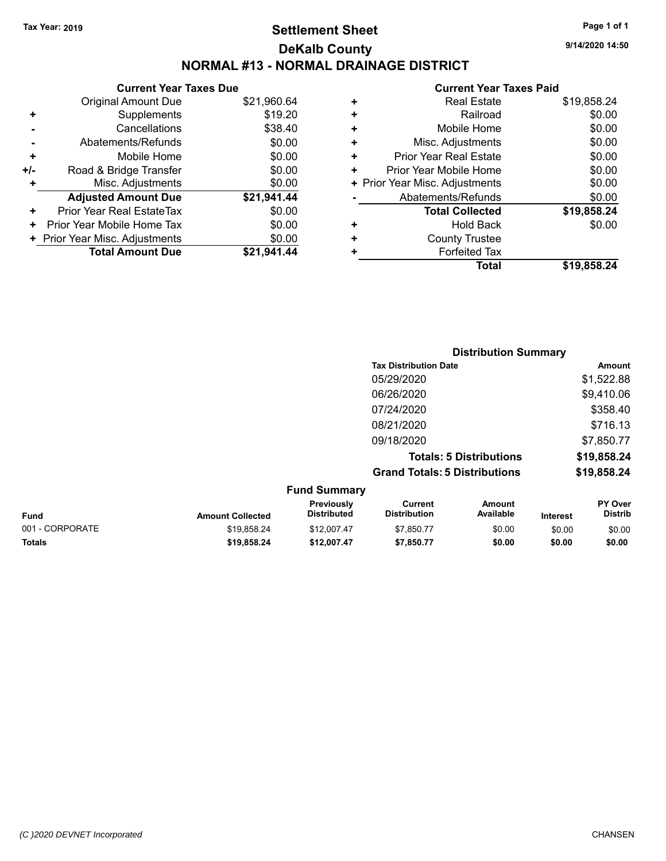# **Settlement Sheet Tax Year: 2019 Page 1 of 1 DeKalb County NORMAL #13 - NORMAL DRAINAGE DISTRICT**

**9/14/2020 14:50**

|       | <b>Current Year Taxes Due</b>  |             |
|-------|--------------------------------|-------------|
|       | <b>Original Amount Due</b>     | \$21,960.64 |
| ÷     | Supplements                    | \$19.20     |
|       | Cancellations                  | \$38.40     |
|       | Abatements/Refunds             | \$0.00      |
| ٠     | Mobile Home                    | \$0.00      |
| $+/-$ | Road & Bridge Transfer         | \$0.00      |
| ٠     | Misc. Adjustments              | \$0.00      |
|       | <b>Adjusted Amount Due</b>     | \$21,941.44 |
| ٠     | Prior Year Real EstateTax      | \$0.00      |
| ٠     | Prior Year Mobile Home Tax     | \$0.00      |
|       | + Prior Year Misc. Adjustments | \$0.00      |
|       | <b>Total Amount Due</b>        | \$21.941.44 |

| ٠ | <b>Real Estate</b>             | \$19,858.24 |
|---|--------------------------------|-------------|
| ÷ | Railroad                       | \$0.00      |
| ٠ | Mobile Home                    | \$0.00      |
| ٠ | Misc. Adjustments              | \$0.00      |
| ٠ | Prior Year Real Estate         | \$0.00      |
| ٠ | Prior Year Mobile Home         | \$0.00      |
|   | + Prior Year Misc. Adjustments | \$0.00      |
|   | Abatements/Refunds             | \$0.00      |
|   | <b>Total Collected</b>         | \$19,858.24 |
| ٠ | Hold Back                      | \$0.00      |
| ٠ | <b>County Trustee</b>          |             |
| ٠ | <b>Forfeited Tax</b>           |             |
|   | Total                          | \$19,858.24 |

|                     | <b>Distribution Summary</b>          |             |
|---------------------|--------------------------------------|-------------|
|                     | <b>Tax Distribution Date</b>         | Amount      |
|                     | 05/29/2020                           | \$1,522.88  |
|                     | 06/26/2020                           | \$9,410.06  |
|                     | 07/24/2020                           | \$358.40    |
|                     | 08/21/2020                           | \$716.13    |
|                     | 09/18/2020                           | \$7,850.77  |
|                     | <b>Totals: 5 Distributions</b>       | \$19,858.24 |
|                     | <b>Grand Totals: 5 Distributions</b> | \$19,858.24 |
| <b>Fund Summary</b> |                                      |             |

| <b>Fund Summary</b> |                         |                                         |                                |                     |                 |                                  |  |
|---------------------|-------------------------|-----------------------------------------|--------------------------------|---------------------|-----------------|----------------------------------|--|
| <b>Fund</b>         | <b>Amount Collected</b> | <b>Previously</b><br><b>Distributed</b> | Current<br><b>Distribution</b> | Amount<br>Available | <b>Interest</b> | <b>PY Over</b><br><b>Distrib</b> |  |
| 001 - CORPORATE     | \$19.858.24             | \$12,007.47                             | \$7.850.77                     | \$0.00              | \$0.00          | \$0.00                           |  |
| <b>Totals</b>       | \$19.858.24             | \$12.007.47                             | \$7,850.77                     | \$0.00              | \$0.00          | \$0.00                           |  |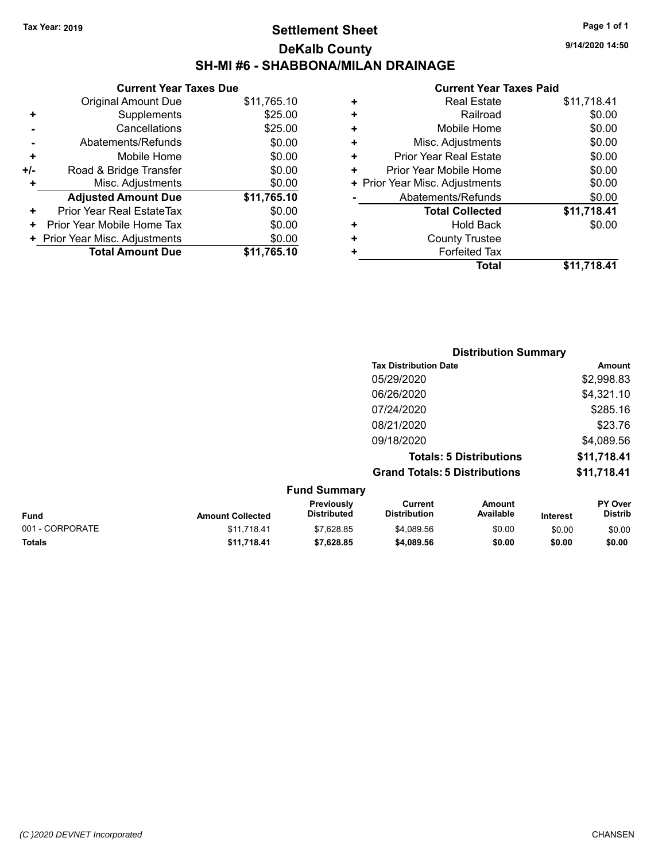# **Settlement Sheet Tax Year: 2019 Page 1 of 1 DeKalb County SH-MI #6 - SHABBONA/MILAN DRAINAGE**

**Current Year Taxes Due** Original Amount Due \$11,765.10 **+** Supplements \$25.00 **-** Cancellations \$25.00 **-** Abatements/Refunds \$0.00 **+** Mobile Home \$0.00 **+/-** Road & Bridge Transfer **\$0.00 +** Misc. Adjustments \$0.00 **Adjusted Amount Due \$11,765.10 +** Prior Year Real EstateTax \$0.00 **+** Prior Year Mobile Home Tax \$0.00 **+ Prior Year Misc. Adjustments**  $$0.00$ **Total Amount Due \$11,765.10**

#### **Current Year Taxes Paid +** Real Estate \$11,718.41 **+** Railroad \$0.00 **+** Mobile Home \$0.00 **+** Misc. Adjustments \$0.00 **+** Prior Year Real Estate \$0.00 **+** Prior Year Mobile Home \$0.00<br> **+** Prior Year Misc. Adjustments \$0.00 **+** Prior Year Misc. Adjustments

|   | Total                    | \$11,718.41 |
|---|--------------------------|-------------|
| ٠ | <b>Forfeited Tax</b>     |             |
| ٠ | <b>County Trustee</b>    |             |
| ٠ | <b>Hold Back</b>         | \$0.00      |
|   | <b>Total Collected</b>   | \$11,718.41 |
|   | Abatements/Refunds       | \$0.00      |
|   | The Teammed. Agaed Terms | vv.vv       |

|                     | <b>Distribution Summary</b>          |             |  |  |  |
|---------------------|--------------------------------------|-------------|--|--|--|
|                     | <b>Tax Distribution Date</b>         | Amount      |  |  |  |
|                     | 05/29/2020                           | \$2,998.83  |  |  |  |
|                     | 06/26/2020                           | \$4,321.10  |  |  |  |
|                     | 07/24/2020                           | \$285.16    |  |  |  |
|                     | 08/21/2020                           | \$23.76     |  |  |  |
|                     | 09/18/2020                           | \$4,089.56  |  |  |  |
|                     | <b>Totals: 5 Distributions</b>       | \$11,718.41 |  |  |  |
|                     | <b>Grand Totals: 5 Distributions</b> | \$11,718.41 |  |  |  |
| $E_{11}$ nd Cummoni |                                      |             |  |  |  |

| <b>FUILD SUILLINGLY</b> |                         |                                         |                                |                     |                 |                                  |  |
|-------------------------|-------------------------|-----------------------------------------|--------------------------------|---------------------|-----------------|----------------------------------|--|
| <b>Fund</b>             | <b>Amount Collected</b> | <b>Previously</b><br><b>Distributed</b> | Current<br><b>Distribution</b> | Amount<br>Available | <b>Interest</b> | <b>PY Over</b><br><b>Distrib</b> |  |
| 001 - CORPORATE         | \$11.718.41             | \$7.628.85                              | \$4.089.56                     | \$0.00              | \$0.00          | \$0.00                           |  |
| Totals                  | \$11.718.41             | \$7.628.85                              | \$4,089.56                     | \$0.00              | \$0.00          | \$0.00                           |  |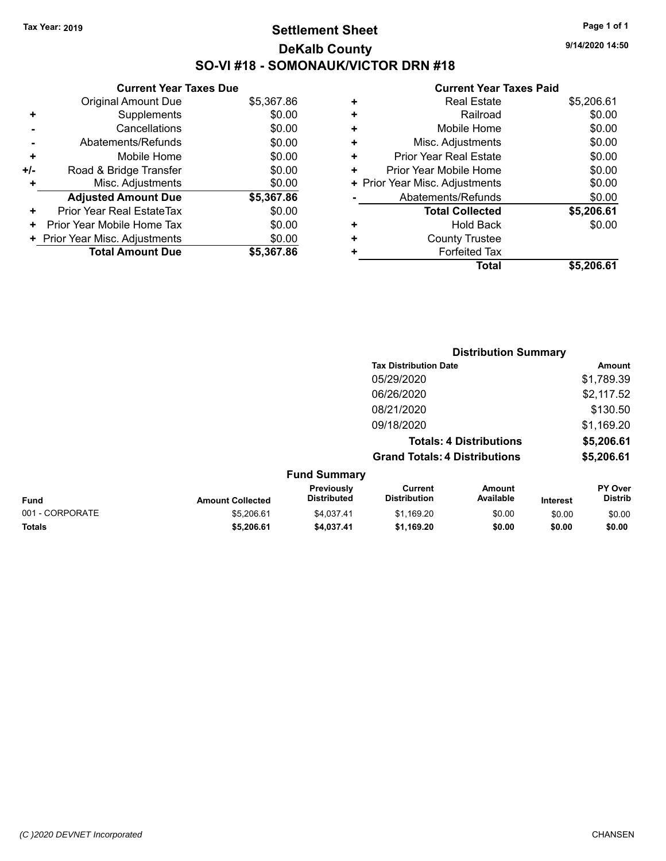# **Settlement Sheet Tax Year: 2019 Page 1 of 1 DeKalb County SO-VI #18 - SOMONAUK/VICTOR DRN #18**

**9/14/2020 14:50**

|     | <b>Current Year Taxes Due</b>  |            |  |  |  |
|-----|--------------------------------|------------|--|--|--|
|     | <b>Original Amount Due</b>     | \$5,367.86 |  |  |  |
| ٠   | Supplements                    | \$0.00     |  |  |  |
|     | Cancellations                  | \$0.00     |  |  |  |
|     | Abatements/Refunds             | \$0.00     |  |  |  |
| ٠   | Mobile Home                    | \$0.00     |  |  |  |
| +/- | Road & Bridge Transfer         | \$0.00     |  |  |  |
|     | Misc. Adjustments              | \$0.00     |  |  |  |
|     | <b>Adjusted Amount Due</b>     | \$5,367.86 |  |  |  |
| ٠   | Prior Year Real EstateTax      | \$0.00     |  |  |  |
| ٠   | Prior Year Mobile Home Tax     | \$0.00     |  |  |  |
|     | + Prior Year Misc. Adjustments | \$0.00     |  |  |  |
|     | <b>Total Amount Due</b>        | \$5,367.86 |  |  |  |

| ٠ | <b>Real Estate</b>             | \$5,206.61 |
|---|--------------------------------|------------|
| ٠ | Railroad                       | \$0.00     |
| ٠ | Mobile Home                    | \$0.00     |
| ٠ | Misc. Adjustments              | \$0.00     |
| ٠ | <b>Prior Year Real Estate</b>  | \$0.00     |
| ٠ | Prior Year Mobile Home         | \$0.00     |
|   | + Prior Year Misc. Adjustments | \$0.00     |
|   | Abatements/Refunds             | \$0.00     |
|   | <b>Total Collected</b>         | \$5,206.61 |
| ٠ | Hold Back                      | \$0.00     |
| ٠ | <b>County Trustee</b>          |            |
| ٠ | <b>Forfeited Tax</b>           |            |
|   | Total                          | \$5,206.61 |
|   |                                |            |

|                 |                         |                                  |                                       | <b>Distribution Summary</b>    |                 |                           |
|-----------------|-------------------------|----------------------------------|---------------------------------------|--------------------------------|-----------------|---------------------------|
|                 |                         |                                  | <b>Tax Distribution Date</b>          |                                |                 | Amount                    |
|                 |                         |                                  | 05/29/2020                            |                                |                 | \$1,789.39                |
|                 |                         |                                  | 06/26/2020                            |                                |                 | \$2,117.52                |
|                 |                         |                                  | 08/21/2020                            |                                |                 | \$130.50                  |
|                 |                         |                                  | 09/18/2020                            |                                |                 | \$1,169.20                |
|                 |                         |                                  |                                       | <b>Totals: 4 Distributions</b> |                 | \$5,206.61                |
|                 |                         |                                  | <b>Grand Totals: 4 Distributions</b>  |                                |                 | \$5,206.61                |
|                 |                         | <b>Fund Summary</b>              |                                       |                                |                 |                           |
| <b>Fund</b>     | <b>Amount Collected</b> | Previously<br><b>Distributed</b> | <b>Current</b><br><b>Distribution</b> | <b>Amount</b><br>Available     | <b>Interest</b> | PY Over<br><b>Distrib</b> |
| 001 - CORPORATE | \$5,206.61              | \$4,037.41                       | \$1,169.20                            | \$0.00                         | \$0.00          | \$0.00                    |
| <b>Totals</b>   | \$5,206.61              | \$4,037.41                       | \$1,169.20                            | \$0.00                         | \$0.00          | \$0.00                    |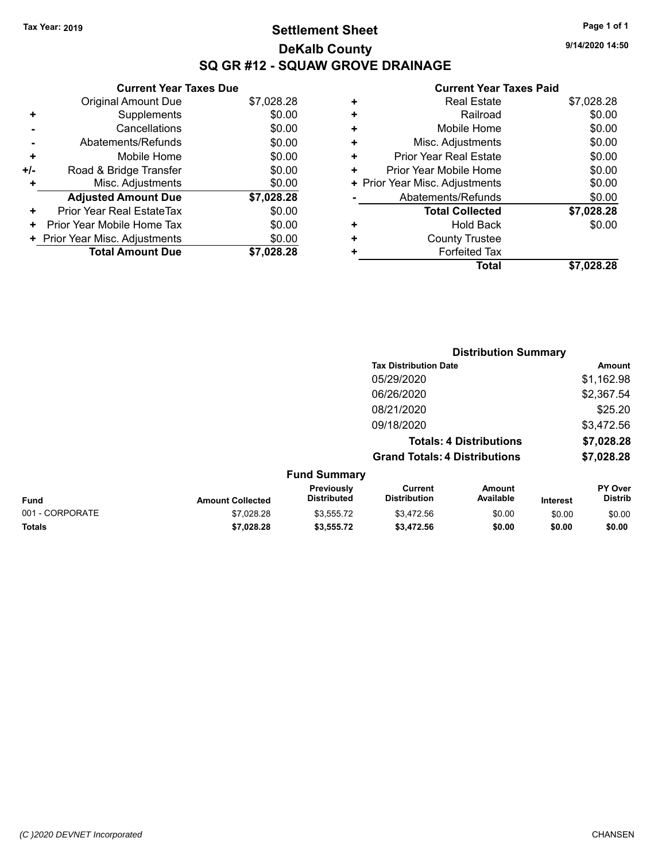# **Settlement Sheet Tax Year: 2019 Page 1 of 1 DeKalb County SQ GR #12 - SQUAW GROVE DRAINAGE**

**9/14/2020 14:50**

|     | <b>Current Year Taxes Due</b>  |            |  |  |  |  |
|-----|--------------------------------|------------|--|--|--|--|
|     | <b>Original Amount Due</b>     | \$7,028.28 |  |  |  |  |
| ٠   | Supplements                    | \$0.00     |  |  |  |  |
|     | Cancellations                  | \$0.00     |  |  |  |  |
|     | Abatements/Refunds             | \$0.00     |  |  |  |  |
| ٠   | Mobile Home                    | \$0.00     |  |  |  |  |
| +/- | Road & Bridge Transfer         | \$0.00     |  |  |  |  |
| ٠   | Misc. Adjustments              | \$0.00     |  |  |  |  |
|     | <b>Adjusted Amount Due</b>     | \$7,028.28 |  |  |  |  |
| ٠   | Prior Year Real EstateTax      | \$0.00     |  |  |  |  |
| ٠   | Prior Year Mobile Home Tax     | \$0.00     |  |  |  |  |
|     | + Prior Year Misc. Adjustments | \$0.00     |  |  |  |  |
|     | <b>Total Amount Due</b>        | \$7.028.28 |  |  |  |  |
|     |                                |            |  |  |  |  |

|   | <b>Real Estate</b>             | \$7,028.28 |
|---|--------------------------------|------------|
| ٠ | Railroad                       | \$0.00     |
| ÷ | Mobile Home                    | \$0.00     |
| ٠ | Misc. Adjustments              | \$0.00     |
| ٠ | Prior Year Real Estate         | \$0.00     |
| ٠ | Prior Year Mobile Home         | \$0.00     |
|   | + Prior Year Misc. Adjustments | \$0.00     |
|   | Abatements/Refunds             | \$0.00     |
|   | <b>Total Collected</b>         | \$7,028.28 |
| + | Hold Back                      | \$0.00     |
| ٠ | <b>County Trustee</b>          |            |
| + | <b>Forfeited Tax</b>           |            |
|   | Total                          | \$7.028.28 |
|   |                                |            |

|                 |                         |                                  |                                       | <b>Distribution Summary</b>    |                 |                           |
|-----------------|-------------------------|----------------------------------|---------------------------------------|--------------------------------|-----------------|---------------------------|
|                 |                         |                                  | <b>Tax Distribution Date</b>          |                                |                 | <b>Amount</b>             |
|                 |                         |                                  | 05/29/2020                            |                                |                 | \$1,162.98                |
|                 |                         |                                  | 06/26/2020                            |                                |                 | \$2,367.54                |
|                 |                         |                                  | 08/21/2020                            |                                |                 | \$25.20                   |
|                 |                         |                                  | 09/18/2020                            |                                |                 | \$3,472.56                |
|                 |                         |                                  |                                       | <b>Totals: 4 Distributions</b> |                 | \$7,028.28                |
|                 |                         |                                  | <b>Grand Totals: 4 Distributions</b>  |                                |                 | \$7,028.28                |
|                 |                         | <b>Fund Summary</b>              |                                       |                                |                 |                           |
| <b>Fund</b>     | <b>Amount Collected</b> | Previously<br><b>Distributed</b> | <b>Current</b><br><b>Distribution</b> | <b>Amount</b><br>Available     | <b>Interest</b> | PY Over<br><b>Distrib</b> |
| 001 - CORPORATE | \$7,028.28              | \$3,555.72                       | \$3,472.56                            | \$0.00                         | \$0.00          | \$0.00                    |
| <b>Totals</b>   | \$7,028.28              | \$3,555.72                       | \$3,472.56                            | \$0.00                         | \$0.00          | \$0.00                    |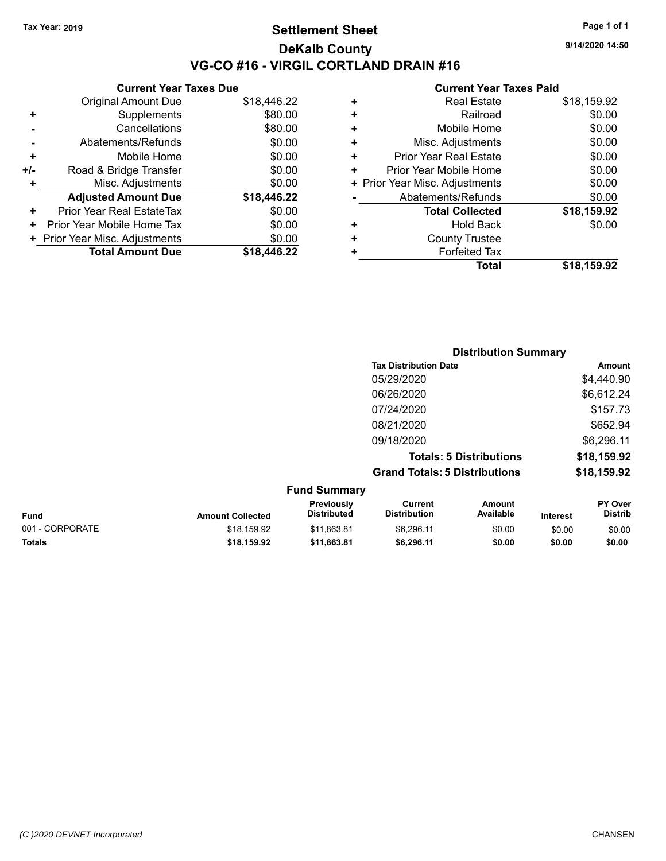## **Settlement Sheet Tax Year: 2019 Page 1 of 1 DeKalb County VG-CO #16 - VIRGIL CORTLAND DRAIN #16**

**9/14/2020 14:50**

|       | <b>Current Year Taxes Due</b>  |             |  |  |  |
|-------|--------------------------------|-------------|--|--|--|
|       | <b>Original Amount Due</b>     | \$18,446.22 |  |  |  |
| ٠     | Supplements                    | \$80.00     |  |  |  |
|       | Cancellations                  | \$80.00     |  |  |  |
|       | Abatements/Refunds             | \$0.00      |  |  |  |
| ٠     | Mobile Home                    | \$0.00      |  |  |  |
| $+/-$ | Road & Bridge Transfer         | \$0.00      |  |  |  |
| ٠     | Misc. Adjustments              | \$0.00      |  |  |  |
|       | <b>Adjusted Amount Due</b>     | \$18,446.22 |  |  |  |
| ٠     | Prior Year Real EstateTax      | \$0.00      |  |  |  |
| ٠     | Prior Year Mobile Home Tax     | \$0.00      |  |  |  |
|       | + Prior Year Misc. Adjustments | \$0.00      |  |  |  |
|       | <b>Total Amount Due</b>        | \$18,446.22 |  |  |  |

|   | Total                          | \$18,159.92 |
|---|--------------------------------|-------------|
| ٠ | <b>Forfeited Tax</b>           |             |
| ÷ | <b>County Trustee</b>          |             |
| ٠ | <b>Hold Back</b>               | \$0.00      |
|   | <b>Total Collected</b>         | \$18,159.92 |
|   | Abatements/Refunds             | \$0.00      |
|   | + Prior Year Misc. Adjustments | \$0.00      |
| ٠ | Prior Year Mobile Home         | \$0.00      |
| ٠ | <b>Prior Year Real Estate</b>  | \$0.00      |
| ٠ | Misc. Adjustments              | \$0.00      |
| ٠ | Mobile Home                    | \$0.00      |
| ٠ | Railroad                       | \$0.00      |
| ٠ | <b>Real Estate</b>             | \$18,159.92 |
|   |                                |             |

|                     | <b>Distribution Summary</b>          |             |
|---------------------|--------------------------------------|-------------|
|                     | <b>Tax Distribution Date</b>         | Amount      |
|                     | 05/29/2020                           | \$4,440.90  |
|                     | 06/26/2020                           | \$6,612.24  |
|                     | 07/24/2020                           | \$157.73    |
|                     | 08/21/2020                           | \$652.94    |
|                     | 09/18/2020                           | \$6,296.11  |
|                     | <b>Totals: 5 Distributions</b>       | \$18,159.92 |
|                     | <b>Grand Totals: 5 Distributions</b> | \$18,159.92 |
| <b>Fund Summary</b> |                                      |             |

| <b>Amount Collected</b> | <b>Previously</b><br><b>Distributed</b> | Current<br><b>Distribution</b> | Amount<br>Available | <b>Interest</b> | <b>PY Over</b><br><b>Distrib</b> |  |
|-------------------------|-----------------------------------------|--------------------------------|---------------------|-----------------|----------------------------------|--|
| \$18,159.92             | \$11.863.81                             | \$6.296.11                     | \$0.00              | \$0.00          | \$0.00                           |  |
| \$18.159.92             | \$11.863.81                             | \$6.296.11                     | \$0.00              | \$0.00          | \$0.00                           |  |
|                         |                                         |                                |                     |                 |                                  |  |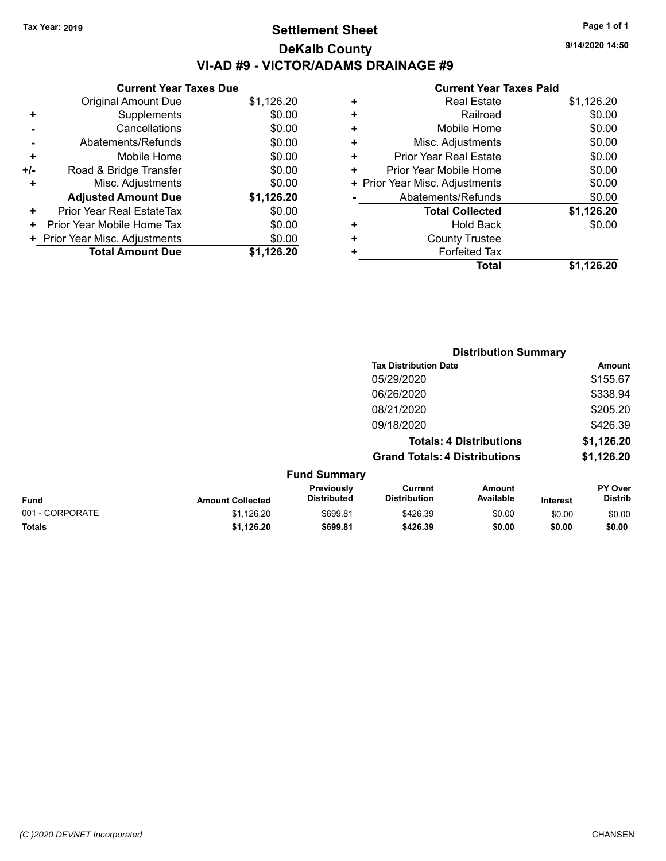# **Settlement Sheet Tax Year: 2019 Page 1 of 1 DeKalb County VI-AD #9 - VICTOR/ADAMS DRAINAGE #9**

**9/14/2020 14:50**

| \$1,126.20 |
|------------|
|            |
| \$0.00     |
| \$0.00     |
| \$0.00     |
| \$0.00     |
| \$0.00     |
| \$0.00     |
| \$1,126.20 |
| \$0.00     |
| \$0.00     |
| \$0.00     |
| \$1.126.20 |
|            |

| ٠ | <b>Real Estate</b>             | \$1,126.20 |
|---|--------------------------------|------------|
| ٠ | Railroad                       | \$0.00     |
| ÷ | Mobile Home                    | \$0.00     |
| ٠ | Misc. Adjustments              | \$0.00     |
| ٠ | <b>Prior Year Real Estate</b>  | \$0.00     |
| ٠ | Prior Year Mobile Home         | \$0.00     |
|   | + Prior Year Misc. Adjustments | \$0.00     |
|   | Abatements/Refunds             | \$0.00     |
|   | <b>Total Collected</b>         | \$1,126.20 |
| ٠ | Hold Back                      | \$0.00     |
| ÷ | <b>County Trustee</b>          |            |
| ÷ | <b>Forfeited Tax</b>           |            |
|   | Total                          | \$1,126.20 |
|   |                                |            |

|                 |                         | <b>Distribution Summary</b>      |                                       |                     |                 |                                  |
|-----------------|-------------------------|----------------------------------|---------------------------------------|---------------------|-----------------|----------------------------------|
|                 |                         |                                  | <b>Tax Distribution Date</b>          |                     |                 | Amount                           |
|                 |                         |                                  | 05/29/2020                            |                     |                 | \$155.67                         |
|                 |                         |                                  | 06/26/2020                            |                     |                 | \$338.94                         |
|                 |                         |                                  | 08/21/2020                            |                     |                 | \$205.20                         |
|                 |                         |                                  | 09/18/2020                            |                     |                 | \$426.39                         |
|                 |                         |                                  | <b>Totals: 4 Distributions</b>        |                     |                 | \$1,126.20                       |
|                 |                         |                                  | <b>Grand Totals: 4 Distributions</b>  |                     |                 | \$1,126.20                       |
|                 |                         | <b>Fund Summary</b>              |                                       |                     |                 |                                  |
| <b>Fund</b>     | <b>Amount Collected</b> | Previously<br><b>Distributed</b> | <b>Current</b><br><b>Distribution</b> | Amount<br>Available | <b>Interest</b> | <b>PY Over</b><br><b>Distrib</b> |
| 001 - CORPORATE | \$1,126.20              | \$699.81                         | \$426.39                              | \$0.00              | \$0.00          | \$0.00                           |
| <b>Totals</b>   | \$1,126.20              | \$699.81                         | \$426.39                              | \$0.00              | \$0.00          | \$0.00                           |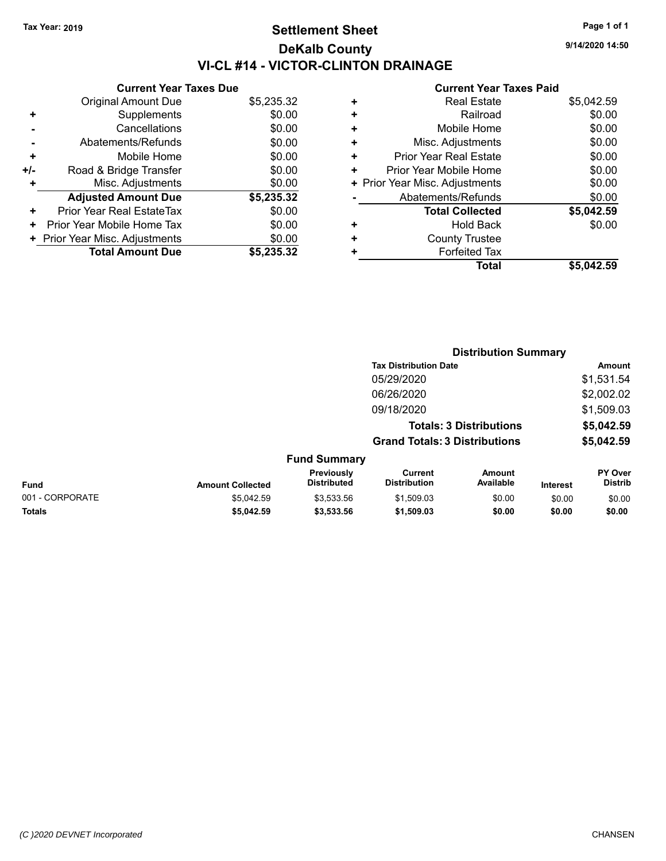# **Settlement Sheet Tax Year: 2019 Page 1 of 1 DeKalb County VI-CL #14 - VICTOR-CLINTON DRAINAGE**

**9/14/2020 14:50**

| <b>Current Year Taxes Due</b>  |            |
|--------------------------------|------------|
| <b>Original Amount Due</b>     | \$5,235.32 |
| Supplements                    | \$0.00     |
| Cancellations                  | \$0.00     |
| Abatements/Refunds             | \$0.00     |
| Mobile Home                    | \$0.00     |
| Road & Bridge Transfer         | \$0.00     |
| Misc. Adjustments              | \$0.00     |
| <b>Adjusted Amount Due</b>     | \$5,235.32 |
| Prior Year Real EstateTax      | \$0.00     |
| Prior Year Mobile Home Tax     | \$0.00     |
| + Prior Year Misc. Adjustments | \$0.00     |
| <b>Total Amount Due</b>        | \$5,235,32 |
|                                |            |

| <b>Real Estate</b>             | \$5,042.59 |
|--------------------------------|------------|
| Railroad                       | \$0.00     |
| Mobile Home                    | \$0.00     |
| Misc. Adjustments              | \$0.00     |
| <b>Prior Year Real Estate</b>  | \$0.00     |
| Prior Year Mobile Home         | \$0.00     |
| + Prior Year Misc. Adjustments | \$0.00     |
| Abatements/Refunds             | \$0.00     |
| <b>Total Collected</b>         | \$5,042.59 |
| <b>Hold Back</b>               | \$0.00     |
| <b>County Trustee</b>          |            |
| <b>Forfeited Tax</b>           |            |
| Total                          | \$5,042.59 |
|                                |            |

|                 |                         |                                  | <b>Distribution Summary</b>                                            |                     |                 |                                  |  |
|-----------------|-------------------------|----------------------------------|------------------------------------------------------------------------|---------------------|-----------------|----------------------------------|--|
|                 |                         |                                  | <b>Tax Distribution Date</b><br>05/29/2020                             |                     |                 | Amount                           |  |
|                 |                         |                                  |                                                                        |                     |                 | \$1,531.54                       |  |
|                 |                         |                                  | 06/26/2020                                                             |                     |                 | \$2,002.02                       |  |
|                 |                         |                                  | 09/18/2020                                                             |                     |                 | \$1,509.03                       |  |
|                 |                         |                                  | <b>Totals: 3 Distributions</b><br><b>Grand Totals: 3 Distributions</b> |                     |                 | \$5,042.59                       |  |
|                 |                         |                                  |                                                                        |                     |                 | \$5,042.59                       |  |
|                 |                         | <b>Fund Summary</b>              |                                                                        |                     |                 |                                  |  |
| <b>Fund</b>     | <b>Amount Collected</b> | Previously<br><b>Distributed</b> | <b>Current</b><br><b>Distribution</b>                                  | Amount<br>Available | <b>Interest</b> | <b>PY Over</b><br><b>Distrib</b> |  |
| 001 - CORPORATE | \$5.042.59              | \$3,533.56                       | \$1,509.03                                                             | \$0.00              | \$0.00          | \$0.00                           |  |
| <b>Totals</b>   | \$5,042.59              | \$3,533.56                       | \$1,509.03                                                             | \$0.00              | \$0.00          | \$0.00                           |  |
|                 |                         |                                  |                                                                        |                     |                 |                                  |  |